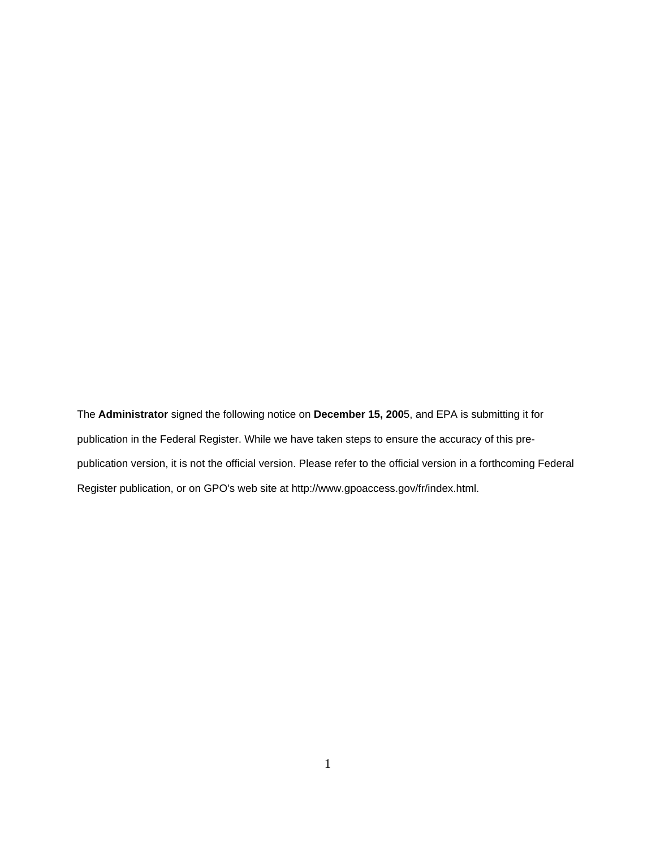The **Administrator** signed the following notice on **December 15, 200**5, and EPA is submitting it for publication in the Federal Register. While we have taken steps to ensure the accuracy of this prepublication version, it is not the official version. Please refer to the official version in a forthcoming Federal Register publication, or on GPO's web site at http://www.gpoaccess.gov/fr/index.html.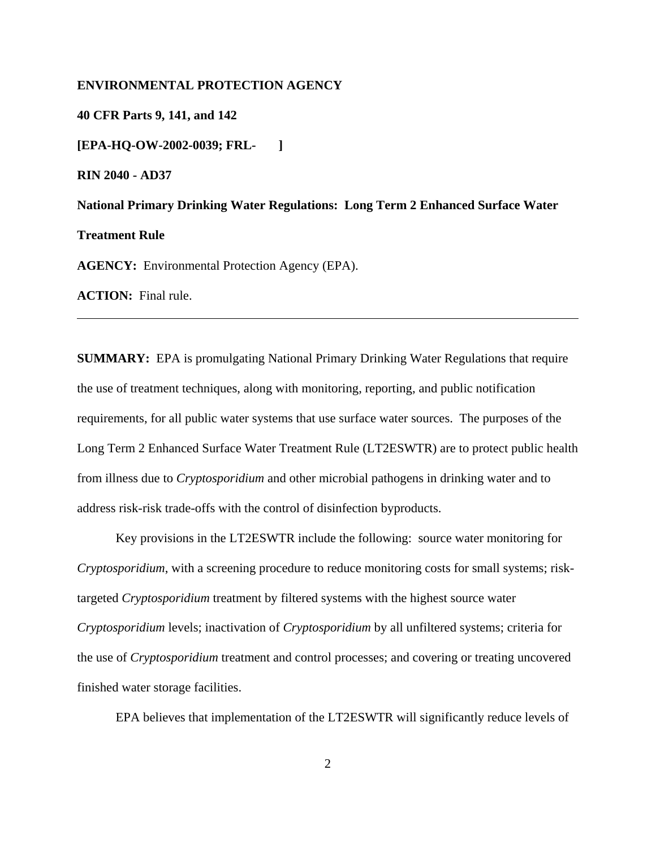## **ENVIRONMENTAL PROTECTION AGENCY**

**40 CFR Parts 9, 141, and 142 [EPA-HQ-OW-2002-0039; FRL- ] RIN 2040 - AD37 National Primary Drinking Water Regulations: Long Term 2 Enhanced Surface Water Treatment Rule AGENCY:** Environmental Protection Agency (EPA). **ACTION:** Final rule.

**SUMMARY:** EPA is promulgating National Primary Drinking Water Regulations that require the use of treatment techniques, along with monitoring, reporting, and public notification requirements, for all public water systems that use surface water sources. The purposes of the Long Term 2 Enhanced Surface Water Treatment Rule (LT2ESWTR) are to protect public health from illness due to *Cryptosporidium* and other microbial pathogens in drinking water and to address risk-risk trade-offs with the control of disinfection byproducts.

Key provisions in the LT2ESWTR include the following: source water monitoring for *Cryptosporidium*, with a screening procedure to reduce monitoring costs for small systems; risktargeted *Cryptosporidium* treatment by filtered systems with the highest source water *Cryptosporidium* levels; inactivation of *Cryptosporidium* by all unfiltered systems; criteria for the use of *Cryptosporidium* treatment and control processes; and covering or treating uncovered finished water storage facilities.

EPA believes that implementation of the LT2ESWTR will significantly reduce levels of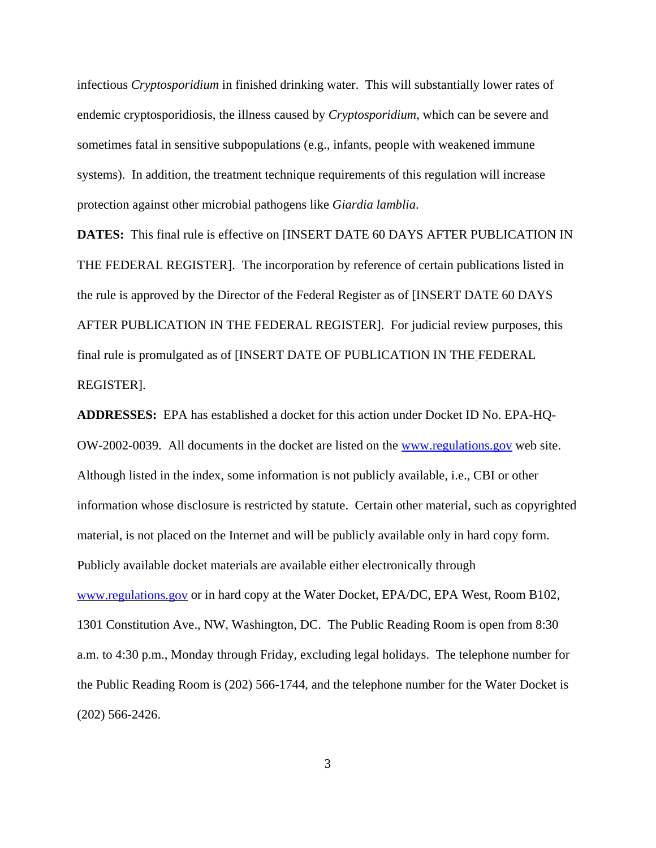infectious *Cryptosporidium* in finished drinking water. This will substantially lower rates of endemic cryptosporidiosis, the illness caused by *Cryptosporidium*, which can be severe and sometimes fatal in sensitive subpopulations (e.g., infants, people with weakened immune systems). In addition, the treatment technique requirements of this regulation will increase protection against other microbial pathogens like *Giardia lamblia*.

**DATES:** This final rule is effective on [INSERT DATE 60 DAYS AFTER PUBLICATION IN THE FEDERAL REGISTER]. The incorporation by reference of certain publications listed in the rule is approved by the Director of the Federal Register as of [INSERT DATE 60 DAYS AFTER PUBLICATION IN THE FEDERAL REGISTER].For judicial review purposes, this final rule is promulgated as of [INSERT DATE OF PUBLICATION IN THE FEDERAL REGISTER].

**ADDRESSES:** EPA has established a docket for this action under Docket ID No. EPA-HQ-OW-2002-0039. All documents in the docket are listed on the www.regulations.gov web site. Although listed in the index, some information is not publicly available, i.e., CBI or other information whose disclosure is restricted by statute. Certain other material, such as copyrighted material, is not placed on the Internet and will be publicly available only in hard copy form. Publicly available docket materials are available either electronically through www.regulations.gov or in hard copy at the Water Docket, EPA/DC, EPA West, Room B102, 1301 Constitution Ave., NW, Washington, DC. The Public Reading Room is open from 8:30 a.m. to 4:30 p.m., Monday through Friday, excluding legal holidays. The telephone number for the Public Reading Room is (202) 566-1744, and the telephone number for the Water Docket is (202) 566-2426.

3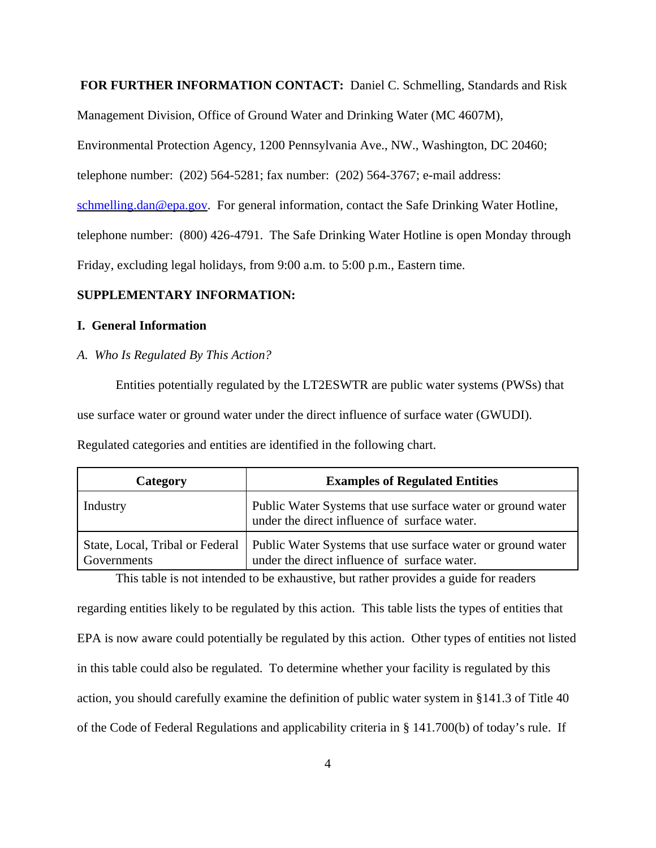## **FOR FURTHER INFORMATION CONTACT:** Daniel C. Schmelling, Standards and Risk

Management Division, Office of Ground Water and Drinking Water (MC 4607M),

Environmental Protection Agency, 1200 Pennsylvania Ave., NW., Washington, DC 20460;

telephone number: (202) 564-5281; fax number: (202) 564-3767; e-mail address:

schmelling.dan@epa.gov. For general information, contact the Safe Drinking Water Hotline,

telephone number: (800) 426-4791. The Safe Drinking Water Hotline is open Monday through

Friday, excluding legal holidays, from 9:00 a.m. to 5:00 p.m., Eastern time.

# **SUPPLEMENTARY INFORMATION:**

### **I. General Information**

### *A. Who Is Regulated By This Action?*

Entities potentially regulated by the LT2ESWTR are public water systems (PWSs) that use surface water or ground water under the direct influence of surface water (GWUDI).

Regulated categories and entities are identified in the following chart.

| Category    | <b>Examples of Regulated Entities</b>                                                                                                         |
|-------------|-----------------------------------------------------------------------------------------------------------------------------------------------|
| Industry    | Public Water Systems that use surface water or ground water<br>under the direct influence of surface water.                                   |
| Governments | State, Local, Tribal or Federal   Public Water Systems that use surface water or ground water<br>under the direct influence of surface water. |

This table is not intended to be exhaustive, but rather provides a guide for readers

regarding entities likely to be regulated by this action. This table lists the types of entities that EPA is now aware could potentially be regulated by this action. Other types of entities not listed in this table could also be regulated. To determine whether your facility is regulated by this action, you should carefully examine the definition of public water system in §141.3 of Title 40 of the Code of Federal Regulations and applicability criteria in § 141.700(b) of today's rule. If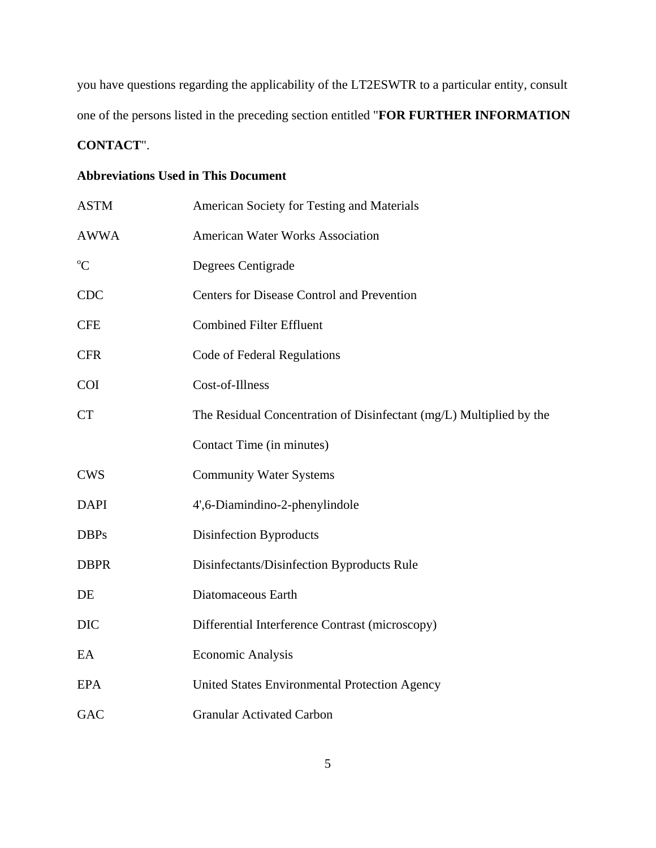you have questions regarding the applicability of the LT2ESWTR to a particular entity, consult one of the persons listed in the preceding section entitled "**FOR FURTHER INFORMATION CONTACT**".

# **Abbreviations Used in This Document**

| <b>ASTM</b> | American Society for Testing and Materials                          |
|-------------|---------------------------------------------------------------------|
| <b>AWWA</b> | <b>American Water Works Association</b>                             |
| $\rm ^{o}C$ | Degrees Centigrade                                                  |
| <b>CDC</b>  | <b>Centers for Disease Control and Prevention</b>                   |
| <b>CFE</b>  | <b>Combined Filter Effluent</b>                                     |
| <b>CFR</b>  | Code of Federal Regulations                                         |
| <b>COI</b>  | Cost-of-Illness                                                     |
| <b>CT</b>   | The Residual Concentration of Disinfectant (mg/L) Multiplied by the |
|             | Contact Time (in minutes)                                           |
| <b>CWS</b>  | <b>Community Water Systems</b>                                      |
| <b>DAPI</b> | 4',6-Diamindino-2-phenylindole                                      |
| <b>DBPs</b> | <b>Disinfection Byproducts</b>                                      |
| <b>DBPR</b> | Disinfectants/Disinfection Byproducts Rule                          |
| DE          | Diatomaceous Earth                                                  |
| <b>DIC</b>  | Differential Interference Contrast (microscopy)                     |
| EA          | <b>Economic Analysis</b>                                            |
| <b>EPA</b>  | United States Environmental Protection Agency                       |
| GAC         | <b>Granular Activated Carbon</b>                                    |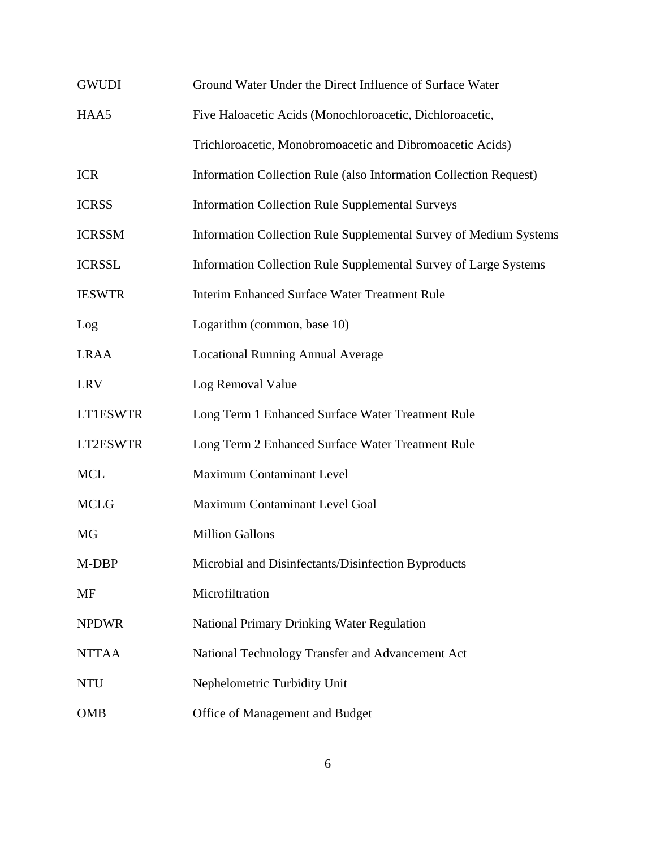| <b>GWUDI</b>  | Ground Water Under the Direct Influence of Surface Water          |
|---------------|-------------------------------------------------------------------|
| HAA5          | Five Haloacetic Acids (Monochloroacetic, Dichloroacetic,          |
|               | Trichloroacetic, Monobromoacetic and Dibromoacetic Acids)         |
| <b>ICR</b>    | Information Collection Rule (also Information Collection Request) |
| <b>ICRSS</b>  | <b>Information Collection Rule Supplemental Surveys</b>           |
| <b>ICRSSM</b> | Information Collection Rule Supplemental Survey of Medium Systems |
| <b>ICRSSL</b> | Information Collection Rule Supplemental Survey of Large Systems  |
| <b>IESWTR</b> | <b>Interim Enhanced Surface Water Treatment Rule</b>              |
| Log           | Logarithm (common, base 10)                                       |
| <b>LRAA</b>   | <b>Locational Running Annual Average</b>                          |
| <b>LRV</b>    | Log Removal Value                                                 |
| LT1ESWTR      | Long Term 1 Enhanced Surface Water Treatment Rule                 |
| LT2ESWTR      | Long Term 2 Enhanced Surface Water Treatment Rule                 |
| <b>MCL</b>    | <b>Maximum Contaminant Level</b>                                  |
| <b>MCLG</b>   | Maximum Contaminant Level Goal                                    |
| <b>MG</b>     | <b>Million Gallons</b>                                            |
| M-DBP         | Microbial and Disinfectants/Disinfection Byproducts               |
| MF            | Microfiltration                                                   |
| <b>NPDWR</b>  | <b>National Primary Drinking Water Regulation</b>                 |
| <b>NTTAA</b>  | National Technology Transfer and Advancement Act                  |
| <b>NTU</b>    | Nephelometric Turbidity Unit                                      |
| <b>OMB</b>    | Office of Management and Budget                                   |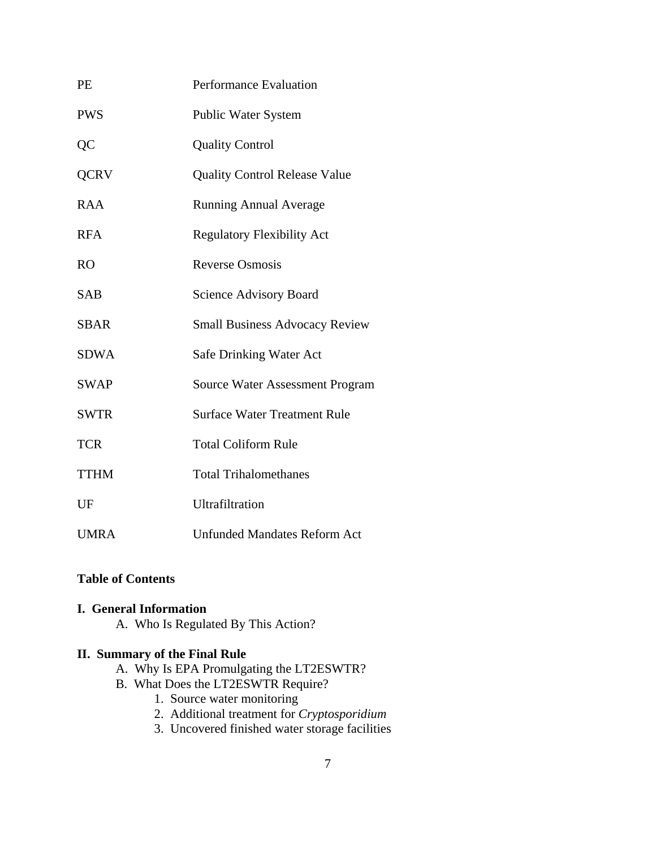| PE          | Performance Evaluation                 |
|-------------|----------------------------------------|
| <b>PWS</b>  | <b>Public Water System</b>             |
| QC          | <b>Quality Control</b>                 |
| <b>QCRV</b> | <b>Quality Control Release Value</b>   |
| <b>RAA</b>  | <b>Running Annual Average</b>          |
| <b>RFA</b>  | <b>Regulatory Flexibility Act</b>      |
| <b>RO</b>   | <b>Reverse Osmosis</b>                 |
| <b>SAB</b>  | <b>Science Advisory Board</b>          |
| <b>SBAR</b> | <b>Small Business Advocacy Review</b>  |
| <b>SDWA</b> | <b>Safe Drinking Water Act</b>         |
| <b>SWAP</b> | <b>Source Water Assessment Program</b> |
| <b>SWTR</b> | <b>Surface Water Treatment Rule</b>    |
| <b>TCR</b>  | <b>Total Coliform Rule</b>             |
| <b>TTHM</b> | <b>Total Trihalomethanes</b>           |
| UF          | Ultrafiltration                        |
| <b>UMRA</b> | <b>Unfunded Mandates Reform Act</b>    |

# **Table of Contents**

# **I. General Information**

A. Who Is Regulated By This Action?

# **II. Summary of the Final Rule**

- A. Why Is EPA Promulgating the LT2ESWTR?
- B. What Does the LT2ESWTR Require?
	- 1. Source water monitoring
	- 2. Additional treatment for *Cryptosporidium*
	- 3. Uncovered finished water storage facilities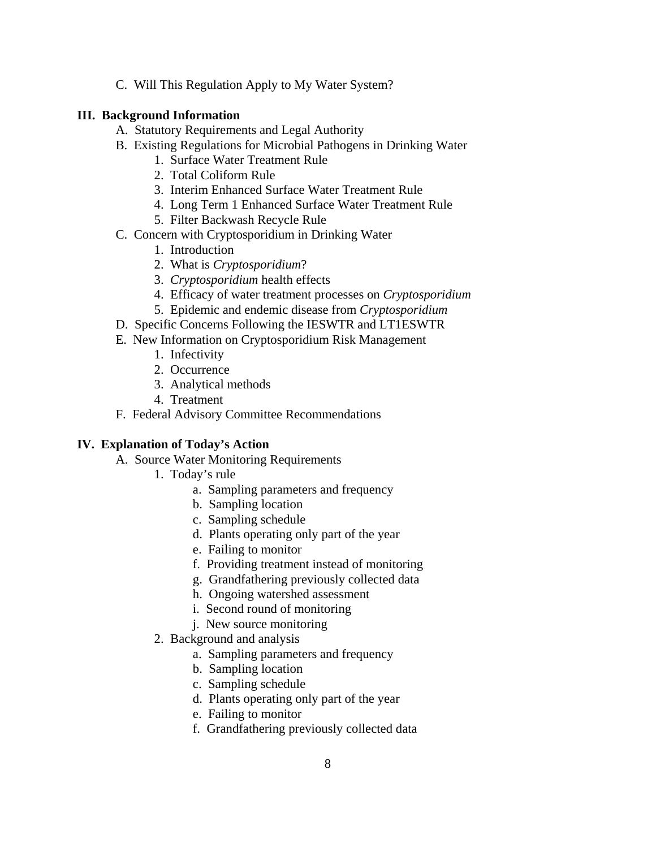C. Will This Regulation Apply to My Water System?

# **III. Background Information**

- A. Statutory Requirements and Legal Authority
- B. Existing Regulations for Microbial Pathogens in Drinking Water
	- 1. Surface Water Treatment Rule
	- 2. Total Coliform Rule
	- 3. Interim Enhanced Surface Water Treatment Rule
	- 4. Long Term 1 Enhanced Surface Water Treatment Rule
	- 5. Filter Backwash Recycle Rule
- C. Concern with Cryptosporidium in Drinking Water
	- 1. Introduction
	- 2. What is *Cryptosporidium*?
	- 3. *Cryptosporidium* health effects
	- 4. Efficacy of water treatment processes on *Cryptosporidium*
	- 5. Epidemic and endemic disease from *Cryptosporidium*
- D. Specific Concerns Following the IESWTR and LT1ESWTR
- E. New Information on Cryptosporidium Risk Management
	- 1. Infectivity
	- 2. Occurrence
	- 3. Analytical methods
	- 4. Treatment
- F. Federal Advisory Committee Recommendations

## **IV. Explanation of Today's Action**

- A. Source Water Monitoring Requirements
	- 1. Today's rule
		- a. Sampling parameters and frequency
		- b. Sampling location
		- c. Sampling schedule
		- d. Plants operating only part of the year
		- e. Failing to monitor
		- f. Providing treatment instead of monitoring
		- g. Grandfathering previously collected data
		- h. Ongoing watershed assessment
		- i. Second round of monitoring
		- j. New source monitoring
	- 2. Background and analysis
		- a. Sampling parameters and frequency
		- b. Sampling location
		- c. Sampling schedule
		- d. Plants operating only part of the year
		- e. Failing to monitor
		- f. Grandfathering previously collected data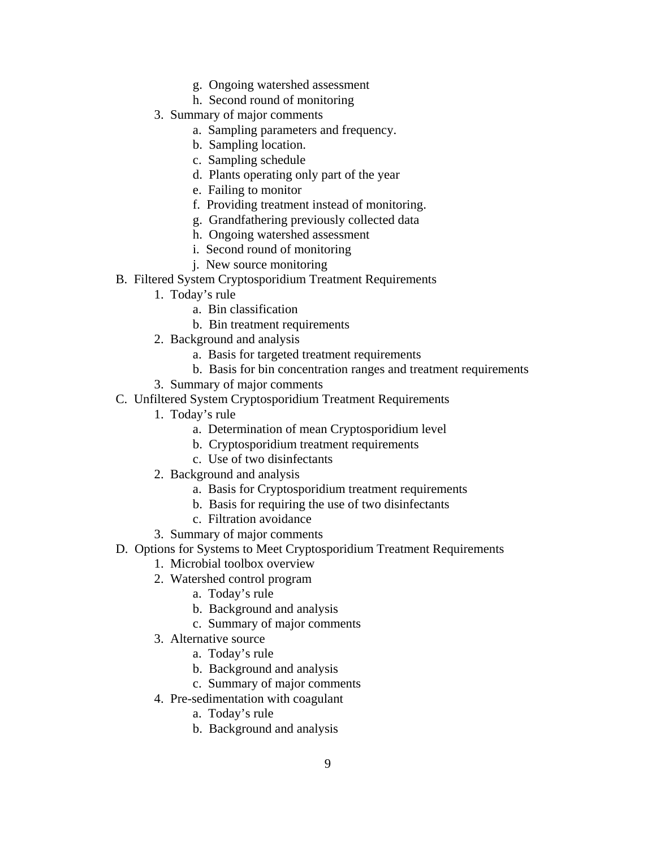- g. Ongoing watershed assessment
- h. Second round of monitoring
- 3. Summary of major comments
	- a. Sampling parameters and frequency.
	- b. Sampling location.
	- c. Sampling schedule
	- d. Plants operating only part of the year
	- e. Failing to monitor
	- f. Providing treatment instead of monitoring.
	- g. Grandfathering previously collected data
	- h. Ongoing watershed assessment
	- i. Second round of monitoring
	- j. New source monitoring
- B. Filtered System Cryptosporidium Treatment Requirements
	- 1. Today's rule
		- a. Bin classification
		- b. Bin treatment requirements
	- 2. Background and analysis
		- a. Basis for targeted treatment requirements
		- b. Basis for bin concentration ranges and treatment requirements
	- 3. Summary of major comments
- C. Unfiltered System Cryptosporidium Treatment Requirements
	- 1. Today's rule
		- a. Determination of mean Cryptosporidium level
		- b. Cryptosporidium treatment requirements
		- c. Use of two disinfectants
	- 2. Background and analysis
		- a. Basis for Cryptosporidium treatment requirements
		- b. Basis for requiring the use of two disinfectants
		- c. Filtration avoidance
	- 3. Summary of major comments
- D. Options for Systems to Meet Cryptosporidium Treatment Requirements
	- 1. Microbial toolbox overview
	- 2. Watershed control program
		- a. Today's rule
		- b. Background and analysis
		- c. Summary of major comments
	- 3. Alternative source
		- a. Today's rule
		- b. Background and analysis
		- c. Summary of major comments
	- 4. Pre-sedimentation with coagulant
		- a. Today's rule
		- b. Background and analysis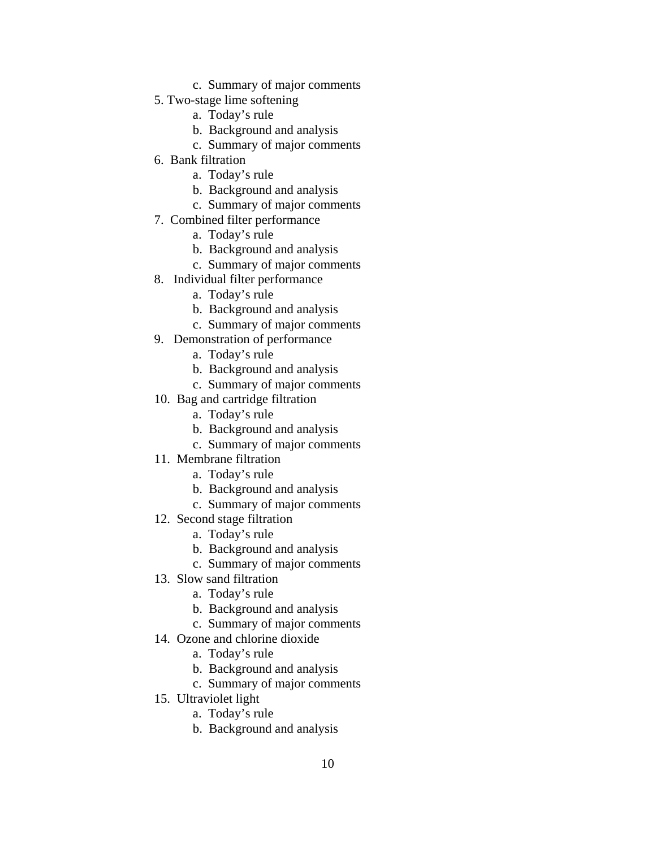- c. Summary of major comments
- 5. Two-stage lime softening
	- a. Today's rule
	- b. Background and analysis
	- c. Summary of major comments
- 6. Bank filtration
	- a. Today's rule
	- b. Background and analysis
	- c. Summary of major comments
- 7. Combined filter performance
	- a. Today's rule
	- b. Background and analysis
	- c. Summary of major comments
- 8. Individual filter performance
	- a. Today's rule
	- b. Background and analysis
	- c. Summary of major comments
- 9. Demonstration of performance
	- a. Today's rule
	- b. Background and analysis
	- c. Summary of major comments
- 10. Bag and cartridge filtration
	- a. Today's rule
	- b. Background and analysis
	- c. Summary of major comments
- 11. Membrane filtration
	- a. Today's rule
	- b. Background and analysis
	- c. Summary of major comments
- 12. Second stage filtration
	- a. Today's rule
	- b. Background and analysis
	- c. Summary of major comments
- 13. Slow sand filtration
	- a. Today's rule
	- b. Background and analysis
	- c. Summary of major comments
- 14. Ozone and chlorine dioxide
	- a. Today's rule
	- b. Background and analysis
	- c. Summary of major comments
- 15. Ultraviolet light
	- a. Today's rule
	- b. Background and analysis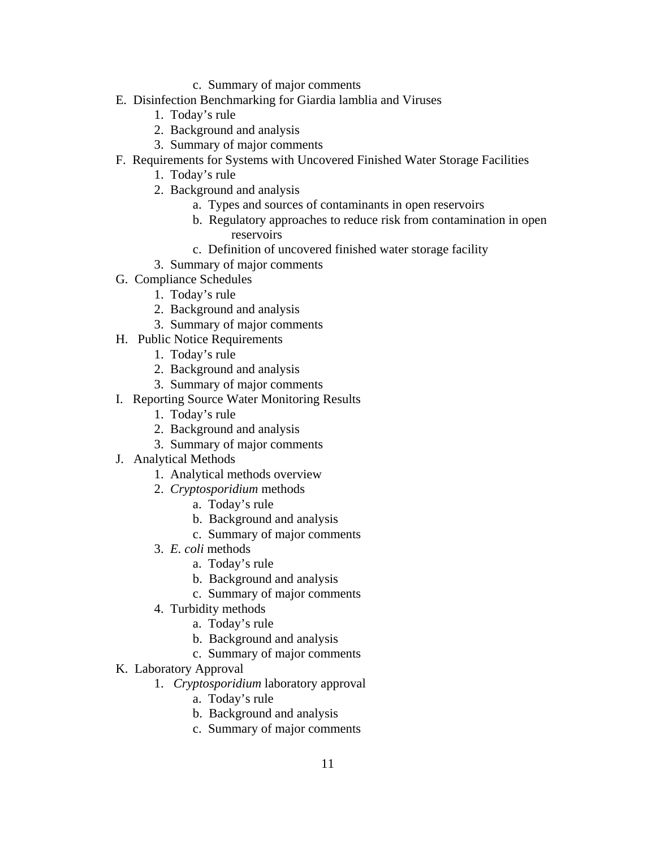- c. Summary of major comments
- E. Disinfection Benchmarking for Giardia lamblia and Viruses
	- 1. Today's rule
	- 2. Background and analysis
	- 3. Summary of major comments
- F. Requirements for Systems with Uncovered Finished Water Storage Facilities
	- 1. Today's rule
	- 2. Background and analysis
		- a. Types and sources of contaminants in open reservoirs
		- b. Regulatory approaches to reduce risk from contamination in open reservoirs
		- c. Definition of uncovered finished water storage facility
	- 3. Summary of major comments
- G. Compliance Schedules
	- 1. Today's rule
	- 2. Background and analysis
	- 3. Summary of major comments
- H. Public Notice Requirements
	- 1. Today's rule
	- 2. Background and analysis
	- 3. Summary of major comments
- I. Reporting Source Water Monitoring Results
	- 1. Today's rule
	- 2. Background and analysis
	- 3. Summary of major comments
- J. Analytical Methods
	- 1. Analytical methods overview
	- 2. *Cryptosporidium* methods
		- a. Today's rule
		- b. Background and analysis
		- c. Summary of major comments
	- 3. *E. coli* methods
		- a. Today's rule
		- b. Background and analysis
		- c. Summary of major comments
	- 4. Turbidity methods
		- a. Today's rule
		- b. Background and analysis
		- c. Summary of major comments
- K. Laboratory Approval
	- 1. *Cryptosporidium* laboratory approval
		- a. Today's rule
		- b. Background and analysis
		- c. Summary of major comments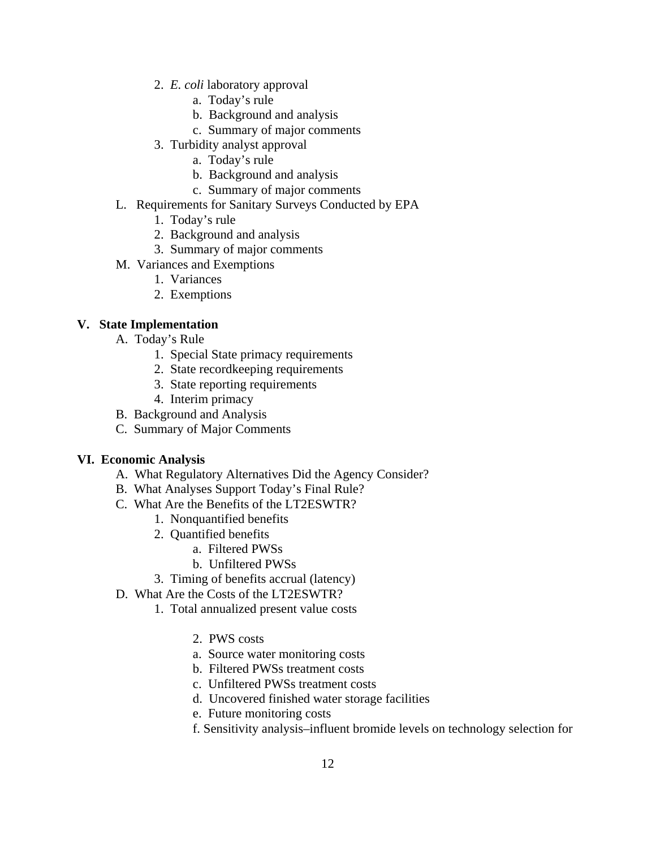- 2. *E. coli* laboratory approval
	- a. Today's rule
	- b. Background and analysis
	- c. Summary of major comments
- 3. Turbidity analyst approval
	- a. Today's rule
	- b. Background and analysis
	- c. Summary of major comments
- L. Requirements for Sanitary Surveys Conducted by EPA
	- 1. Today's rule
	- 2. Background and analysis
	- 3. Summary of major comments
- M. Variances and Exemptions
	- 1. Variances
	- 2. Exemptions

# **V. State Implementation**

- A. Today's Rule
	- 1. Special State primacy requirements
	- 2. State recordkeeping requirements
	- 3. State reporting requirements
	- 4. Interim primacy
- B. Background and Analysis
- C. Summary of Major Comments

# **VI. Economic Analysis**

- A. What Regulatory Alternatives Did the Agency Consider?
- B. What Analyses Support Today's Final Rule?
- C. What Are the Benefits of the LT2ESWTR?
	- 1. Nonquantified benefits
	- 2. Quantified benefits
		- a. Filtered PWSs
		- b. Unfiltered PWSs
	- 3. Timing of benefits accrual (latency)
- D. What Are the Costs of the LT2ESWTR?
	- 1. Total annualized present value costs
		- 2. PWS costs
		- a. Source water monitoring costs
		- b. Filtered PWSs treatment costs
		- c. Unfiltered PWSs treatment costs
		- d. Uncovered finished water storage facilities
		- e. Future monitoring costs
		- f. Sensitivity analysis–influent bromide levels on technology selection for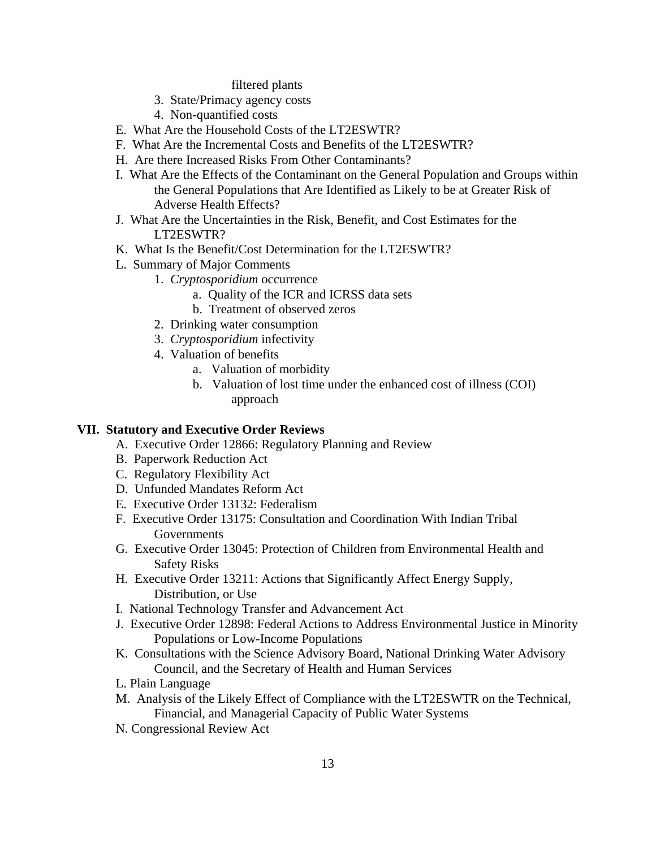filtered plants

- 3. State/Primacy agency costs
- 4. Non-quantified costs
- E. What Are the Household Costs of the LT2ESWTR?
- F. What Are the Incremental Costs and Benefits of the LT2ESWTR?
- H. Are there Increased Risks From Other Contaminants?
- I. What Are the Effects of the Contaminant on the General Population and Groups within the General Populations that Are Identified as Likely to be at Greater Risk of Adverse Health Effects?
- J. What Are the Uncertainties in the Risk, Benefit, and Cost Estimates for the LT2ESWTR?
- K. What Is the Benefit/Cost Determination for the LT2ESWTR?
- L. Summary of Major Comments
	- 1. *Cryptosporidium* occurrence
		- a. Quality of the ICR and ICRSS data sets
		- b. Treatment of observed zeros
	- 2. Drinking water consumption
	- 3. *Cryptosporidium* infectivity
	- 4. Valuation of benefits
		- a. Valuation of morbidity
		- b. Valuation of lost time under the enhanced cost of illness (COI) approach

## **VII. Statutory and Executive Order Reviews**

- A. Executive Order 12866: Regulatory Planning and Review
- B. Paperwork Reduction Act
- C. Regulatory Flexibility Act
- D. Unfunded Mandates Reform Act
- E. Executive Order 13132: Federalism
- F. Executive Order 13175: Consultation and Coordination With Indian Tribal **Governments**
- G. Executive Order 13045: Protection of Children from Environmental Health and Safety Risks
- H. Executive Order 13211: Actions that Significantly Affect Energy Supply, Distribution, or Use
- I. National Technology Transfer and Advancement Act
- J. Executive Order 12898: Federal Actions to Address Environmental Justice in Minority Populations or Low-Income Populations
- K. Consultations with the Science Advisory Board, National Drinking Water Advisory Council, and the Secretary of Health and Human Services
- L. Plain Language
- M. Analysis of the Likely Effect of Compliance with the LT2ESWTR on the Technical, Financial, and Managerial Capacity of Public Water Systems
- N. Congressional Review Act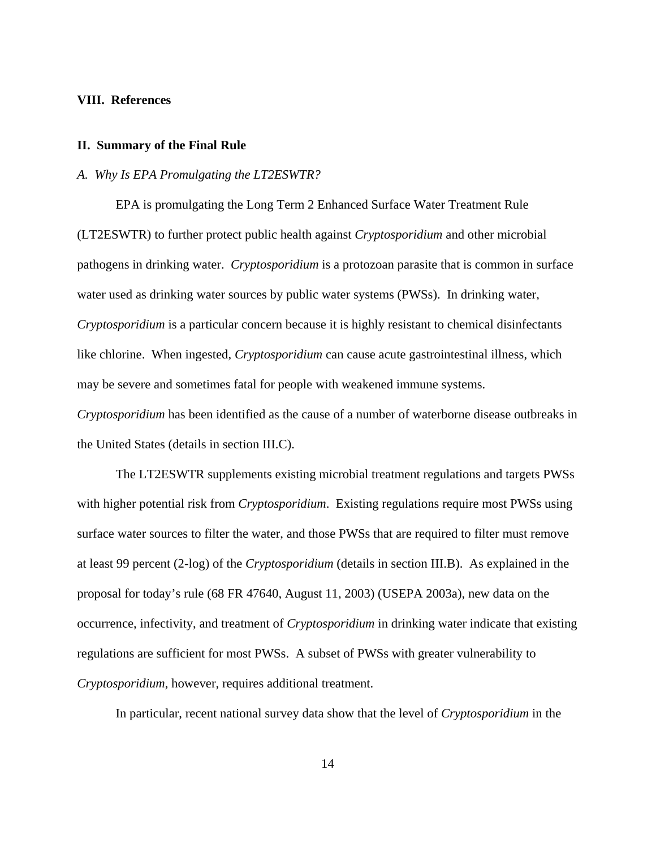#### **VIII. References**

#### **II. Summary of the Final Rule**

#### *A. Why Is EPA Promulgating the LT2ESWTR?*

EPA is promulgating the Long Term 2 Enhanced Surface Water Treatment Rule (LT2ESWTR) to further protect public health against *Cryptosporidium* and other microbial pathogens in drinking water. *Cryptosporidium* is a protozoan parasite that is common in surface water used as drinking water sources by public water systems (PWSs). In drinking water, *Cryptosporidium* is a particular concern because it is highly resistant to chemical disinfectants like chlorine. When ingested, *Cryptosporidium* can cause acute gastrointestinal illness, which may be severe and sometimes fatal for people with weakened immune systems. *Cryptosporidium* has been identified as the cause of a number of waterborne disease outbreaks in

the United States (details in section III.C).

The LT2ESWTR supplements existing microbial treatment regulations and targets PWSs with higher potential risk from *Cryptosporidium*. Existing regulations require most PWSs using surface water sources to filter the water, and those PWSs that are required to filter must remove at least 99 percent (2-log) of the *Cryptosporidium* (details in section III.B). As explained in the proposal for today's rule (68 FR 47640, August 11, 2003) (USEPA 2003a), new data on the occurrence, infectivity, and treatment of *Cryptosporidium* in drinking water indicate that existing regulations are sufficient for most PWSs. A subset of PWSs with greater vulnerability to *Cryptosporidium*, however, requires additional treatment.

In particular, recent national survey data show that the level of *Cryptosporidium* in the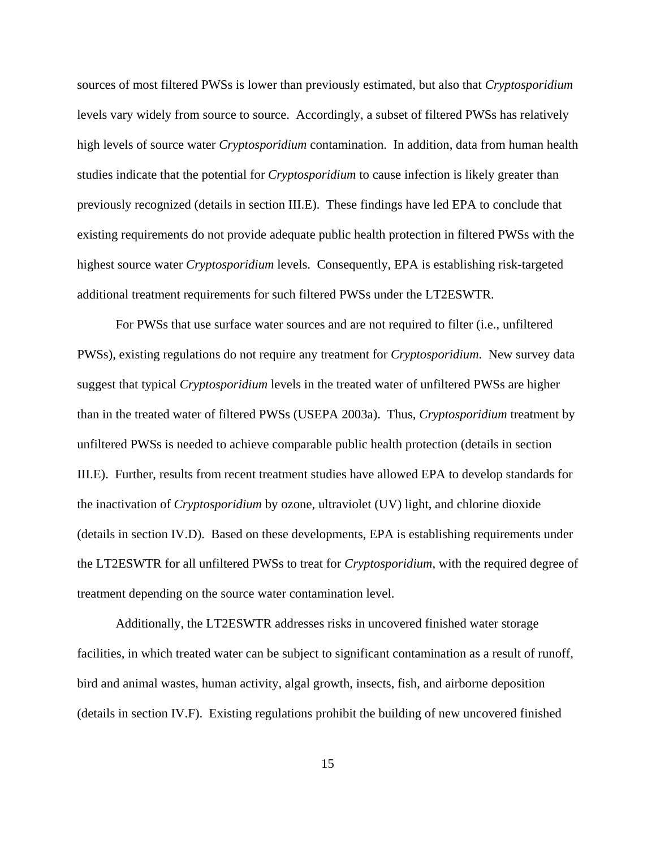sources of most filtered PWSs is lower than previously estimated, but also that *Cryptosporidium* levels vary widely from source to source. Accordingly, a subset of filtered PWSs has relatively high levels of source water *Cryptosporidium* contamination. In addition, data from human health studies indicate that the potential for *Cryptosporidium* to cause infection is likely greater than previously recognized (details in section III.E). These findings have led EPA to conclude that existing requirements do not provide adequate public health protection in filtered PWSs with the highest source water *Cryptosporidium* levels. Consequently, EPA is establishing risk-targeted additional treatment requirements for such filtered PWSs under the LT2ESWTR.

For PWSs that use surface water sources and are not required to filter (i.e., unfiltered PWSs), existing regulations do not require any treatment for *Cryptosporidium*. New survey data suggest that typical *Cryptosporidium* levels in the treated water of unfiltered PWSs are higher than in the treated water of filtered PWSs (USEPA 2003a). Thus, *Cryptosporidium* treatment by unfiltered PWSs is needed to achieve comparable public health protection (details in section III.E). Further, results from recent treatment studies have allowed EPA to develop standards for the inactivation of *Cryptosporidium* by ozone, ultraviolet (UV) light, and chlorine dioxide (details in section IV.D). Based on these developments, EPA is establishing requirements under the LT2ESWTR for all unfiltered PWSs to treat for *Cryptosporidium*, with the required degree of treatment depending on the source water contamination level.

Additionally, the LT2ESWTR addresses risks in uncovered finished water storage facilities, in which treated water can be subject to significant contamination as a result of runoff, bird and animal wastes, human activity, algal growth, insects, fish, and airborne deposition (details in section IV.F). Existing regulations prohibit the building of new uncovered finished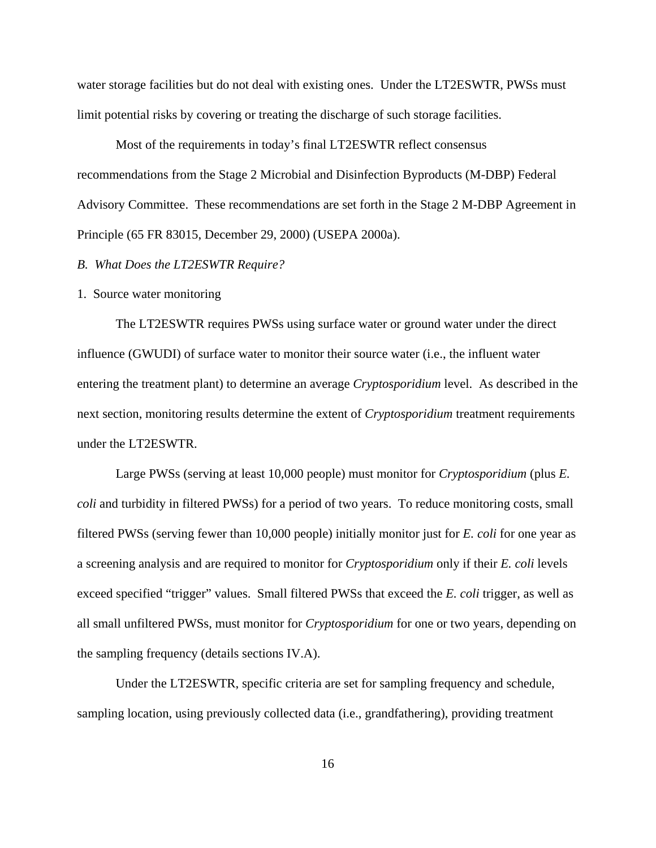water storage facilities but do not deal with existing ones. Under the LT2ESWTR, PWSs must limit potential risks by covering or treating the discharge of such storage facilities.

Most of the requirements in today's final LT2ESWTR reflect consensus recommendations from the Stage 2 Microbial and Disinfection Byproducts (M-DBP) Federal Advisory Committee. These recommendations are set forth in the Stage 2 M-DBP Agreement in Principle (65 FR 83015, December 29, 2000) (USEPA 2000a).

# *B. What Does the LT2ESWTR Require?*

1. Source water monitoring

The LT2ESWTR requires PWSs using surface water or ground water under the direct influence (GWUDI) of surface water to monitor their source water (i.e., the influent water entering the treatment plant) to determine an average *Cryptosporidium* level. As described in the next section, monitoring results determine the extent of *Cryptosporidium* treatment requirements under the LT2ESWTR.

Large PWSs (serving at least 10,000 people) must monitor for *Cryptosporidium* (plus *E. coli* and turbidity in filtered PWSs) for a period of two years. To reduce monitoring costs, small filtered PWSs (serving fewer than 10,000 people) initially monitor just for *E. coli* for one year as a screening analysis and are required to monitor for *Cryptosporidium* only if their *E. coli* levels exceed specified "trigger" values. Small filtered PWSs that exceed the *E. coli* trigger, as well as all small unfiltered PWSs, must monitor for *Cryptosporidium* for one or two years, depending on the sampling frequency (details sections IV.A).

Under the LT2ESWTR, specific criteria are set for sampling frequency and schedule, sampling location, using previously collected data (i.e., grandfathering), providing treatment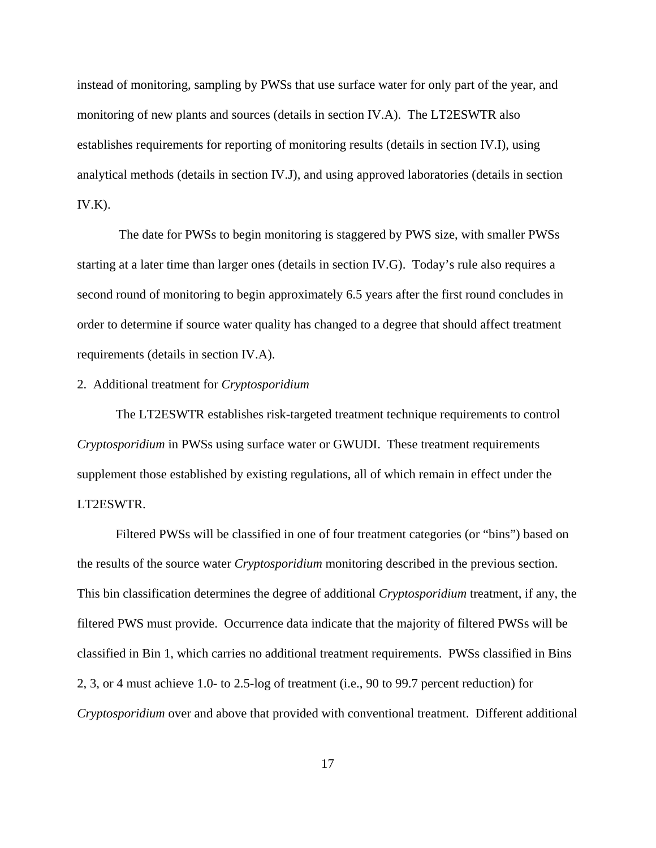instead of monitoring, sampling by PWSs that use surface water for only part of the year, and monitoring of new plants and sources (details in section IV.A). The LT2ESWTR also establishes requirements for reporting of monitoring results (details in section IV.I), using analytical methods (details in section IV.J), and using approved laboratories (details in section  $IV.K$ ).

 The date for PWSs to begin monitoring is staggered by PWS size, with smaller PWSs starting at a later time than larger ones (details in section IV.G). Today's rule also requires a second round of monitoring to begin approximately 6.5 years after the first round concludes in order to determine if source water quality has changed to a degree that should affect treatment requirements (details in section IV.A).

# 2. Additional treatment for *Cryptosporidium*

The LT2ESWTR establishes risk-targeted treatment technique requirements to control *Cryptosporidium* in PWSs using surface water or GWUDI. These treatment requirements supplement those established by existing regulations, all of which remain in effect under the LT2ESWTR.

Filtered PWSs will be classified in one of four treatment categories (or "bins") based on the results of the source water *Cryptosporidium* monitoring described in the previous section. This bin classification determines the degree of additional *Cryptosporidium* treatment, if any, the filtered PWS must provide. Occurrence data indicate that the majority of filtered PWSs will be classified in Bin 1, which carries no additional treatment requirements. PWSs classified in Bins 2, 3, or 4 must achieve 1.0- to 2.5-log of treatment (i.e., 90 to 99.7 percent reduction) for *Cryptosporidium* over and above that provided with conventional treatment. Different additional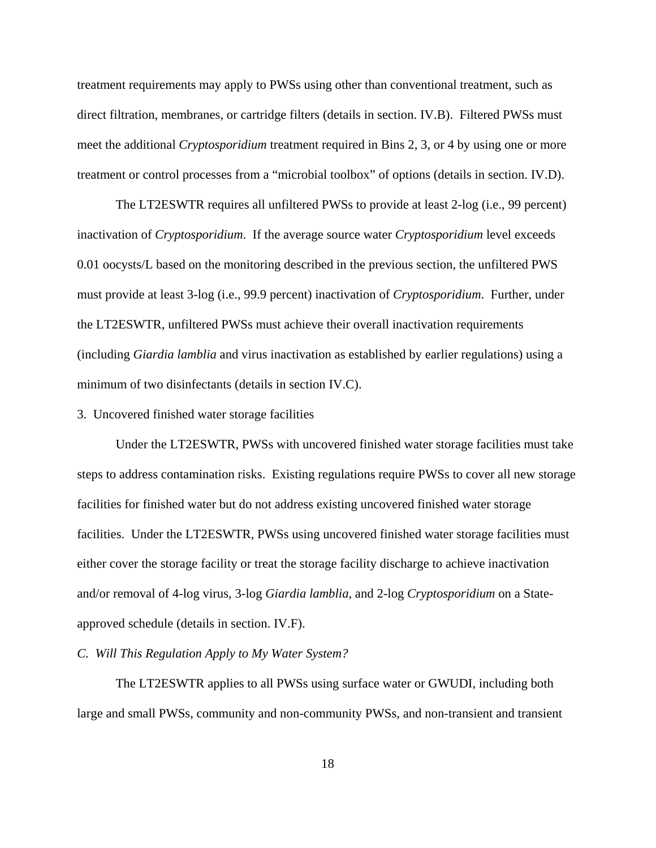treatment requirements may apply to PWSs using other than conventional treatment, such as direct filtration, membranes, or cartridge filters (details in section. IV.B). Filtered PWSs must meet the additional *Cryptosporidium* treatment required in Bins 2, 3, or 4 by using one or more treatment or control processes from a "microbial toolbox" of options (details in section. IV.D).

The LT2ESWTR requires all unfiltered PWSs to provide at least 2-log (i.e., 99 percent) inactivation of *Cryptosporidium*. If the average source water *Cryptosporidium* level exceeds 0.01 oocysts/L based on the monitoring described in the previous section, the unfiltered PWS must provide at least 3-log (i.e., 99.9 percent) inactivation of *Cryptosporidium*. Further, under the LT2ESWTR, unfiltered PWSs must achieve their overall inactivation requirements (including *Giardia lamblia* and virus inactivation as established by earlier regulations) using a minimum of two disinfectants (details in section IV.C).

3. Uncovered finished water storage facilities

Under the LT2ESWTR, PWSs with uncovered finished water storage facilities must take steps to address contamination risks. Existing regulations require PWSs to cover all new storage facilities for finished water but do not address existing uncovered finished water storage facilities. Under the LT2ESWTR, PWSs using uncovered finished water storage facilities must either cover the storage facility or treat the storage facility discharge to achieve inactivation and/or removal of 4-log virus, 3-log *Giardia lamblia*, and 2-log *Cryptosporidium* on a Stateapproved schedule (details in section. IV.F).

### *C. Will This Regulation Apply to My Water System?*

The LT2ESWTR applies to all PWSs using surface water or GWUDI, including both large and small PWSs, community and non-community PWSs, and non-transient and transient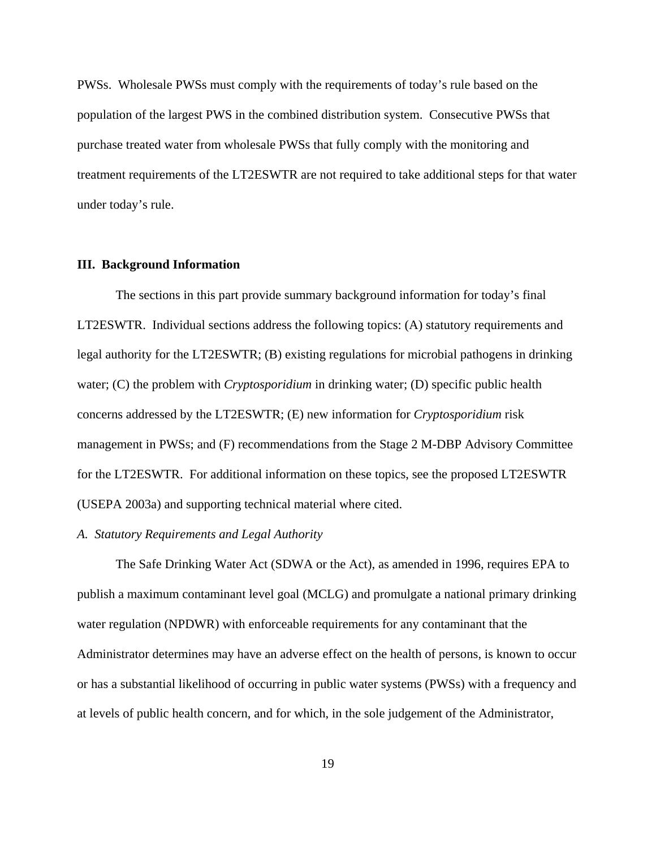PWSs. Wholesale PWSs must comply with the requirements of today's rule based on the population of the largest PWS in the combined distribution system. Consecutive PWSs that purchase treated water from wholesale PWSs that fully comply with the monitoring and treatment requirements of the LT2ESWTR are not required to take additional steps for that water under today's rule.

## **III. Background Information**

The sections in this part provide summary background information for today's final LT2ESWTR. Individual sections address the following topics: (A) statutory requirements and legal authority for the LT2ESWTR; (B) existing regulations for microbial pathogens in drinking water; (C) the problem with *Cryptosporidium* in drinking water; (D) specific public health concerns addressed by the LT2ESWTR; (E) new information for *Cryptosporidium* risk management in PWSs; and (F) recommendations from the Stage 2 M-DBP Advisory Committee for the LT2ESWTR. For additional information on these topics, see the proposed LT2ESWTR (USEPA 2003a) and supporting technical material where cited.

# *A. Statutory Requirements and Legal Authority*

The Safe Drinking Water Act (SDWA or the Act), as amended in 1996, requires EPA to publish a maximum contaminant level goal (MCLG) and promulgate a national primary drinking water regulation (NPDWR) with enforceable requirements for any contaminant that the Administrator determines may have an adverse effect on the health of persons, is known to occur or has a substantial likelihood of occurring in public water systems (PWSs) with a frequency and at levels of public health concern, and for which, in the sole judgement of the Administrator,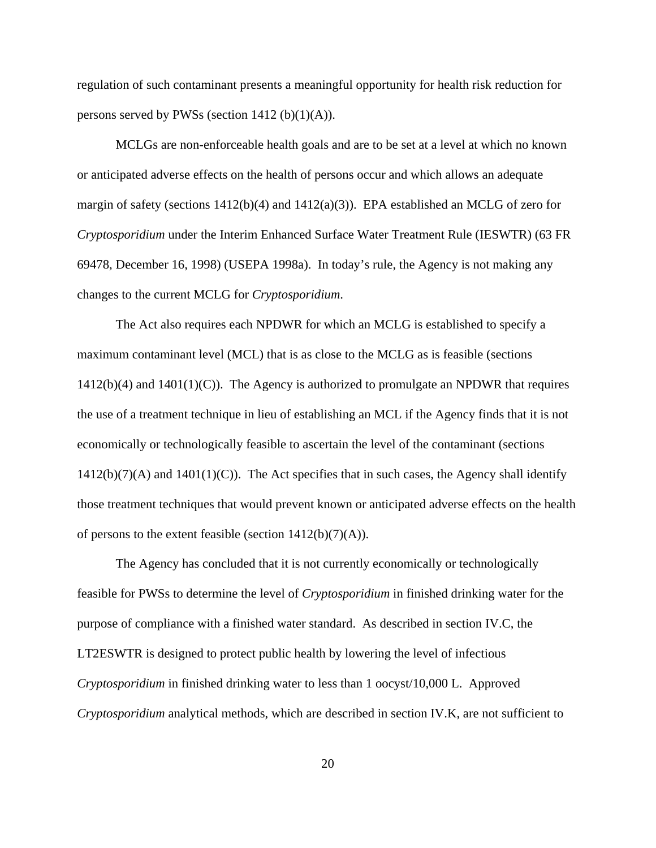regulation of such contaminant presents a meaningful opportunity for health risk reduction for persons served by PWSs (section  $1412$  (b) $(1)(A)$ ).

MCLGs are non-enforceable health goals and are to be set at a level at which no known or anticipated adverse effects on the health of persons occur and which allows an adequate margin of safety (sections 1412(b)(4) and 1412(a)(3)). EPA established an MCLG of zero for *Cryptosporidium* under the Interim Enhanced Surface Water Treatment Rule (IESWTR) (63 FR 69478, December 16, 1998) (USEPA 1998a). In today's rule, the Agency is not making any changes to the current MCLG for *Cryptosporidium*.

The Act also requires each NPDWR for which an MCLG is established to specify a maximum contaminant level (MCL) that is as close to the MCLG as is feasible (sections  $1412(b)(4)$  and  $1401(1)(C)$ ). The Agency is authorized to promulgate an NPDWR that requires the use of a treatment technique in lieu of establishing an MCL if the Agency finds that it is not economically or technologically feasible to ascertain the level of the contaminant (sections  $1412(b)(7)(A)$  and  $1401(1)(C)$ ). The Act specifies that in such cases, the Agency shall identify those treatment techniques that would prevent known or anticipated adverse effects on the health of persons to the extent feasible (section  $1412(b)(7)(A)$ ).

The Agency has concluded that it is not currently economically or technologically feasible for PWSs to determine the level of *Cryptosporidium* in finished drinking water for the purpose of compliance with a finished water standard. As described in section IV.C, the LT2ESWTR is designed to protect public health by lowering the level of infectious *Cryptosporidium* in finished drinking water to less than 1 oocyst/10,000 L. Approved *Cryptosporidium* analytical methods, which are described in section IV.K, are not sufficient to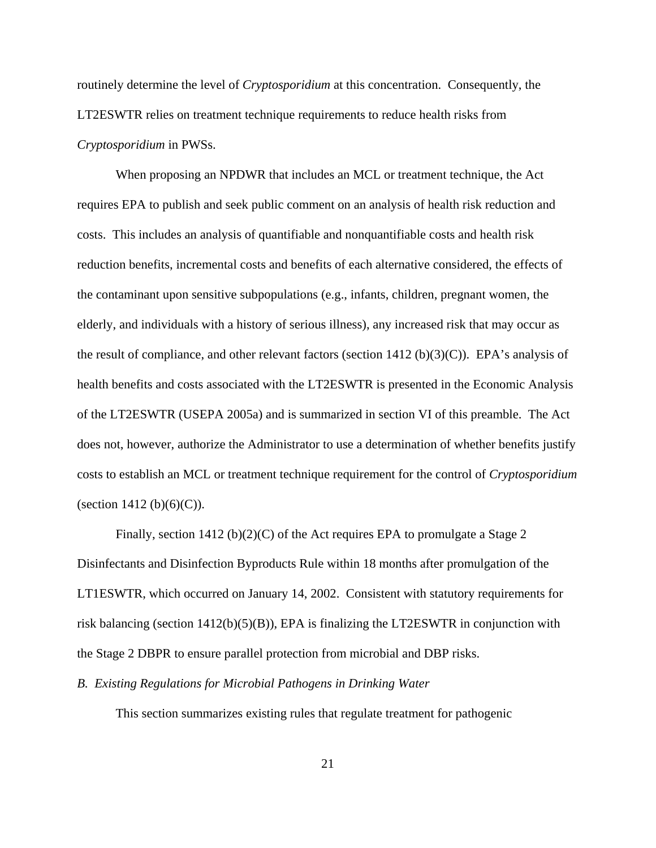routinely determine the level of *Cryptosporidium* at this concentration. Consequently, the LT2ESWTR relies on treatment technique requirements to reduce health risks from *Cryptosporidium* in PWSs.

When proposing an NPDWR that includes an MCL or treatment technique, the Act requires EPA to publish and seek public comment on an analysis of health risk reduction and costs. This includes an analysis of quantifiable and nonquantifiable costs and health risk reduction benefits, incremental costs and benefits of each alternative considered, the effects of the contaminant upon sensitive subpopulations (e.g., infants, children, pregnant women, the elderly, and individuals with a history of serious illness), any increased risk that may occur as the result of compliance, and other relevant factors (section  $1412$  (b)(3)(C)). EPA's analysis of health benefits and costs associated with the LT2ESWTR is presented in the Economic Analysis of the LT2ESWTR (USEPA 2005a) and is summarized in section VI of this preamble. The Act does not, however, authorize the Administrator to use a determination of whether benefits justify costs to establish an MCL or treatment technique requirement for the control of *Cryptosporidium* (section 1412 (b)(6)(C)).

Finally, section 1412 (b)(2)(C) of the Act requires EPA to promulgate a Stage 2 Disinfectants and Disinfection Byproducts Rule within 18 months after promulgation of the LT1ESWTR, which occurred on January 14, 2002. Consistent with statutory requirements for risk balancing (section 1412(b)(5)(B)), EPA is finalizing the LT2ESWTR in conjunction with the Stage 2 DBPR to ensure parallel protection from microbial and DBP risks.

*B. Existing Regulations for Microbial Pathogens in Drinking Water*

This section summarizes existing rules that regulate treatment for pathogenic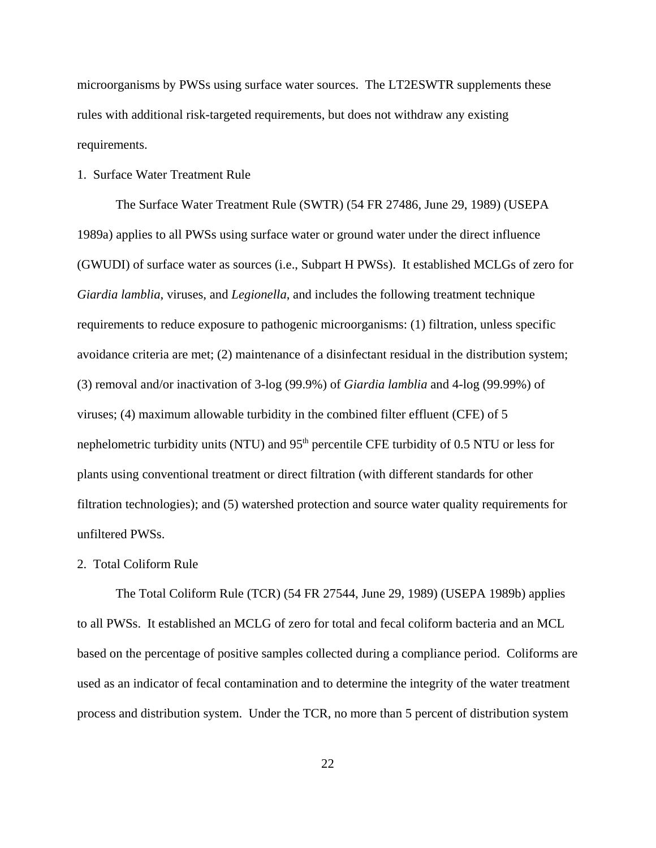microorganisms by PWSs using surface water sources. The LT2ESWTR supplements these rules with additional risk-targeted requirements, but does not withdraw any existing requirements.

## 1. Surface Water Treatment Rule

The Surface Water Treatment Rule (SWTR) (54 FR 27486, June 29, 1989) (USEPA 1989a) applies to all PWSs using surface water or ground water under the direct influence (GWUDI) of surface water as sources (i.e., Subpart H PWSs). It established MCLGs of zero for *Giardia lamblia*, viruses, and *Legionella*, and includes the following treatment technique requirements to reduce exposure to pathogenic microorganisms: (1) filtration, unless specific avoidance criteria are met; (2) maintenance of a disinfectant residual in the distribution system; (3) removal and/or inactivation of 3-log (99.9%) of *Giardia lamblia* and 4-log (99.99%) of viruses; (4) maximum allowable turbidity in the combined filter effluent (CFE) of 5 nephelometric turbidity units (NTU) and  $95<sup>th</sup>$  percentile CFE turbidity of 0.5 NTU or less for plants using conventional treatment or direct filtration (with different standards for other filtration technologies); and (5) watershed protection and source water quality requirements for unfiltered PWSs.

### 2. Total Coliform Rule

The Total Coliform Rule (TCR) (54 FR 27544, June 29, 1989) (USEPA 1989b) applies to all PWSs. It established an MCLG of zero for total and fecal coliform bacteria and an MCL based on the percentage of positive samples collected during a compliance period. Coliforms are used as an indicator of fecal contamination and to determine the integrity of the water treatment process and distribution system. Under the TCR, no more than 5 percent of distribution system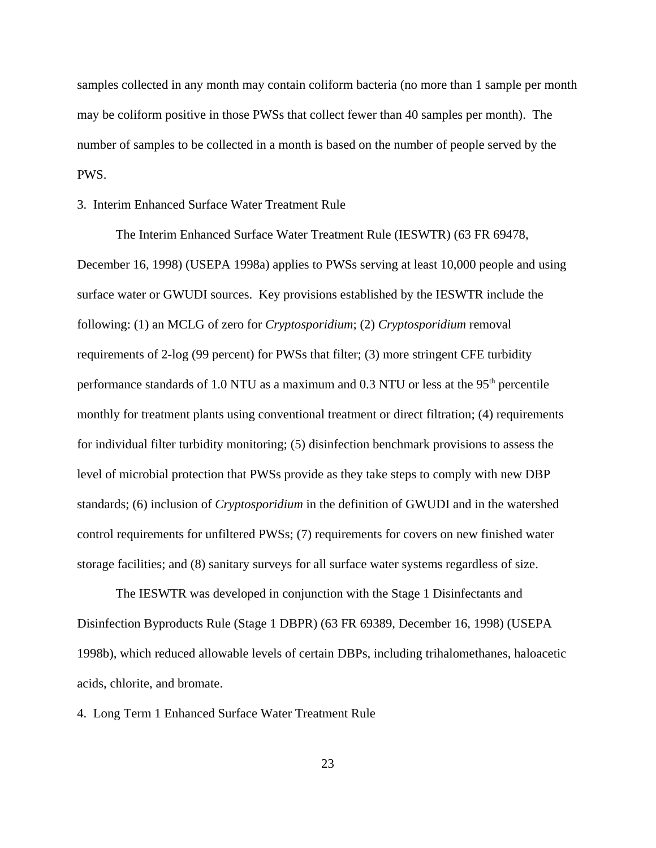samples collected in any month may contain coliform bacteria (no more than 1 sample per month may be coliform positive in those PWSs that collect fewer than 40 samples per month). The number of samples to be collected in a month is based on the number of people served by the PWS.

### 3. Interim Enhanced Surface Water Treatment Rule

The Interim Enhanced Surface Water Treatment Rule (IESWTR) (63 FR 69478, December 16, 1998) (USEPA 1998a) applies to PWSs serving at least 10,000 people and using surface water or GWUDI sources. Key provisions established by the IESWTR include the following: (1) an MCLG of zero for *Cryptosporidium*; (2) *Cryptosporidium* removal requirements of 2-log (99 percent) for PWSs that filter; (3) more stringent CFE turbidity performance standards of 1.0 NTU as a maximum and  $0.3$  NTU or less at the  $95<sup>th</sup>$  percentile monthly for treatment plants using conventional treatment or direct filtration; (4) requirements for individual filter turbidity monitoring; (5) disinfection benchmark provisions to assess the level of microbial protection that PWSs provide as they take steps to comply with new DBP standards; (6) inclusion of *Cryptosporidium* in the definition of GWUDI and in the watershed control requirements for unfiltered PWSs; (7) requirements for covers on new finished water storage facilities; and (8) sanitary surveys for all surface water systems regardless of size.

The IESWTR was developed in conjunction with the Stage 1 Disinfectants and Disinfection Byproducts Rule (Stage 1 DBPR) (63 FR 69389, December 16, 1998) (USEPA 1998b), which reduced allowable levels of certain DBPs, including trihalomethanes, haloacetic acids, chlorite, and bromate.

4. Long Term 1 Enhanced Surface Water Treatment Rule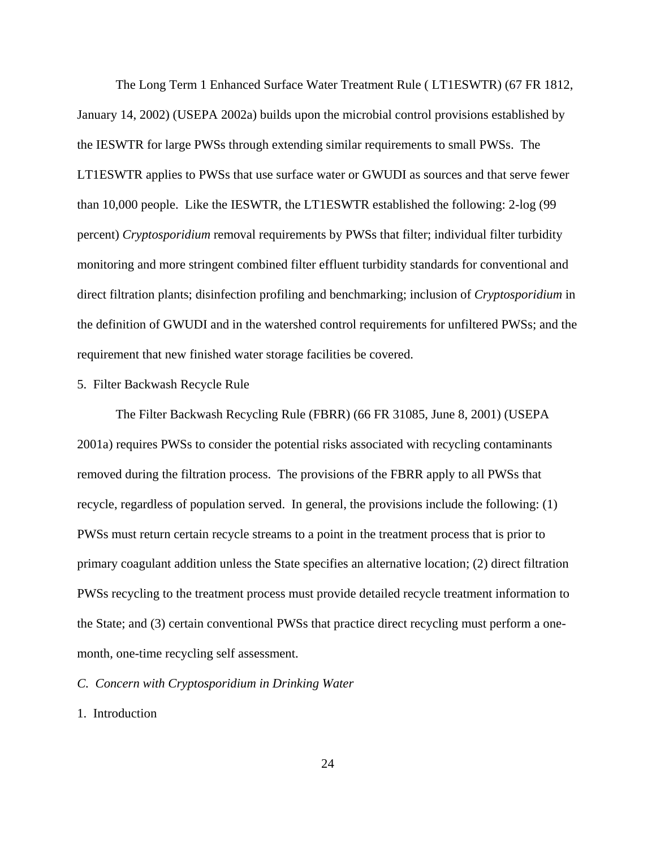The Long Term 1 Enhanced Surface Water Treatment Rule ( LT1ESWTR) (67 FR 1812, January 14, 2002) (USEPA 2002a) builds upon the microbial control provisions established by the IESWTR for large PWSs through extending similar requirements to small PWSs. The LT1ESWTR applies to PWSs that use surface water or GWUDI as sources and that serve fewer than 10,000 people. Like the IESWTR, the LT1ESWTR established the following: 2-log (99 percent) *Cryptosporidium* removal requirements by PWSs that filter; individual filter turbidity monitoring and more stringent combined filter effluent turbidity standards for conventional and direct filtration plants; disinfection profiling and benchmarking; inclusion of *Cryptosporidium* in the definition of GWUDI and in the watershed control requirements for unfiltered PWSs; and the requirement that new finished water storage facilities be covered.

## 5. Filter Backwash Recycle Rule

The Filter Backwash Recycling Rule (FBRR) (66 FR 31085, June 8, 2001) (USEPA 2001a) requires PWSs to consider the potential risks associated with recycling contaminants removed during the filtration process. The provisions of the FBRR apply to all PWSs that recycle, regardless of population served. In general, the provisions include the following: (1) PWSs must return certain recycle streams to a point in the treatment process that is prior to primary coagulant addition unless the State specifies an alternative location; (2) direct filtration PWSs recycling to the treatment process must provide detailed recycle treatment information to the State; and (3) certain conventional PWSs that practice direct recycling must perform a onemonth, one-time recycling self assessment.

# *C. Concern with Cryptosporidium in Drinking Water*

# 1. Introduction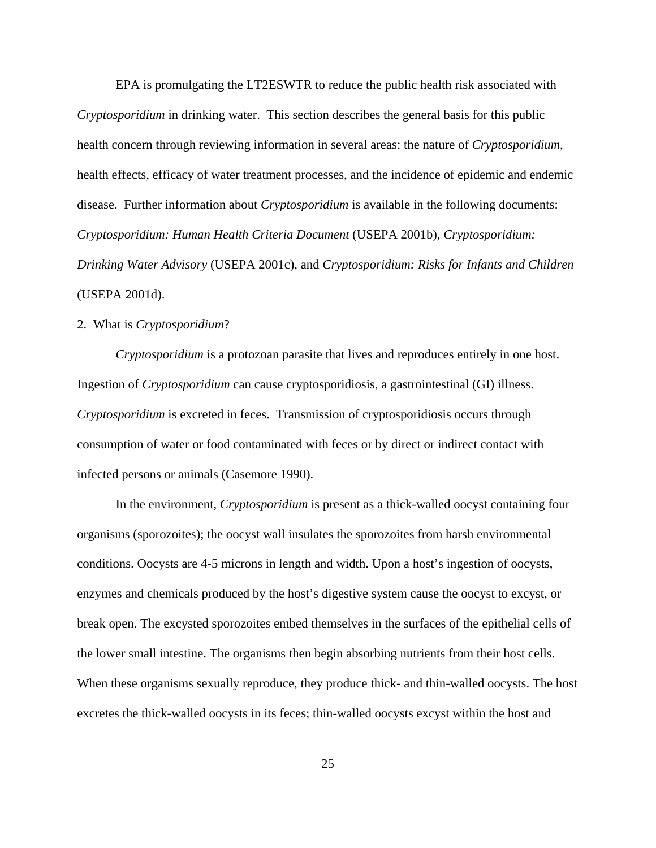EPA is promulgating the LT2ESWTR to reduce the public health risk associated with *Cryptosporidium* in drinking water. This section describes the general basis for this public health concern through reviewing information in several areas: the nature of *Cryptosporidium*, health effects, efficacy of water treatment processes, and the incidence of epidemic and endemic disease. Further information about *Cryptosporidium* is available in the following documents: *Cryptosporidium: Human Health Criteria Document* (USEPA 2001b), *Cryptosporidium: Drinking Water Advisory* (USEPA 2001c), and *Cryptosporidium: Risks for Infants and Children* (USEPA 2001d).

# 2. What is *Cryptosporidium*?

*Cryptosporidium* is a protozoan parasite that lives and reproduces entirely in one host. Ingestion of *Cryptosporidium* can cause cryptosporidiosis, a gastrointestinal (GI) illness. *Cryptosporidium* is excreted in feces. Transmission of cryptosporidiosis occurs through consumption of water or food contaminated with feces or by direct or indirect contact with infected persons or animals (Casemore 1990).

In the environment, *Cryptosporidium* is present as a thick-walled oocyst containing four organisms (sporozoites); the oocyst wall insulates the sporozoites from harsh environmental conditions. Oocysts are 4-5 microns in length and width. Upon a host's ingestion of oocysts, enzymes and chemicals produced by the host's digestive system cause the oocyst to excyst, or break open. The excysted sporozoites embed themselves in the surfaces of the epithelial cells of the lower small intestine. The organisms then begin absorbing nutrients from their host cells. When these organisms sexually reproduce, they produce thick- and thin-walled oocysts. The host excretes the thick-walled oocysts in its feces; thin-walled oocysts excyst within the host and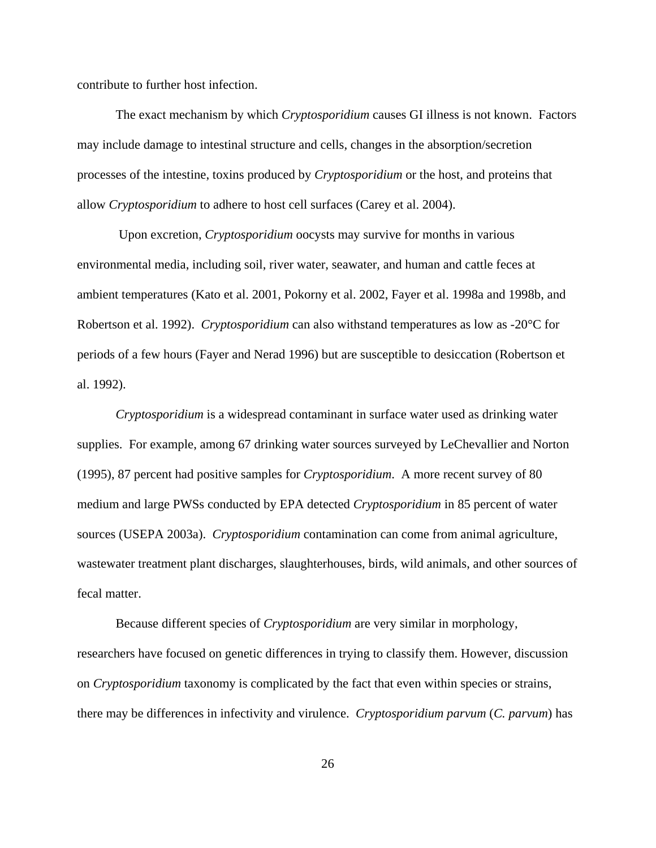contribute to further host infection.

The exact mechanism by which *Cryptosporidium* causes GI illness is not known. Factors may include damage to intestinal structure and cells, changes in the absorption/secretion processes of the intestine, toxins produced by *Cryptosporidium* or the host, and proteins that allow *Cryptosporidium* to adhere to host cell surfaces (Carey et al. 2004).

 Upon excretion, *Cryptosporidium* oocysts may survive for months in various environmental media, including soil, river water, seawater, and human and cattle feces at ambient temperatures (Kato et al. 2001, Pokorny et al. 2002, Fayer et al. 1998a and 1998b, and Robertson et al. 1992). *Cryptosporidium* can also withstand temperatures as low as -20°C for periods of a few hours (Fayer and Nerad 1996) but are susceptible to desiccation (Robertson et al. 1992).

*Cryptosporidium* is a widespread contaminant in surface water used as drinking water supplies. For example, among 67 drinking water sources surveyed by LeChevallier and Norton (1995), 87 percent had positive samples for *Cryptosporidium*. A more recent survey of 80 medium and large PWSs conducted by EPA detected *Cryptosporidium* in 85 percent of water sources (USEPA 2003a). *Cryptosporidium* contamination can come from animal agriculture, wastewater treatment plant discharges, slaughterhouses, birds, wild animals, and other sources of fecal matter.

Because different species of *Cryptosporidium* are very similar in morphology, researchers have focused on genetic differences in trying to classify them. However, discussion on *Cryptosporidium* taxonomy is complicated by the fact that even within species or strains, there may be differences in infectivity and virulence. *Cryptosporidium parvum* (*C. parvum*) has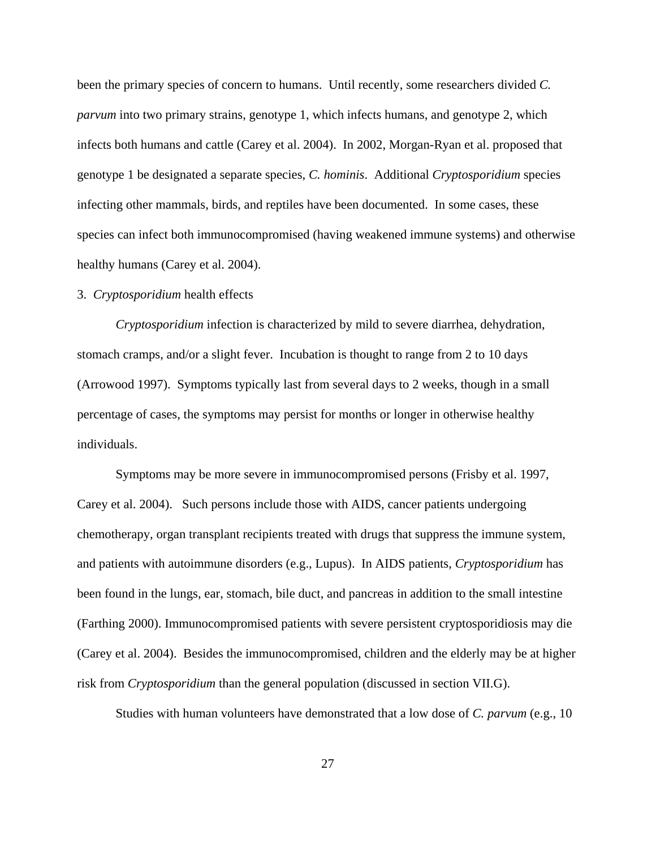been the primary species of concern to humans. Until recently, some researchers divided *C. parvum* into two primary strains, genotype 1, which infects humans, and genotype 2, which infects both humans and cattle (Carey et al. 2004). In 2002, Morgan-Ryan et al. proposed that genotype 1 be designated a separate species, *C. hominis*. Additional *Cryptosporidium* species infecting other mammals, birds, and reptiles have been documented. In some cases, these species can infect both immunocompromised (having weakened immune systems) and otherwise healthy humans (Carey et al. 2004).

## 3. *Cryptosporidium* health effects

*Cryptosporidium* infection is characterized by mild to severe diarrhea, dehydration, stomach cramps, and/or a slight fever. Incubation is thought to range from 2 to 10 days (Arrowood 1997). Symptoms typically last from several days to 2 weeks, though in a small percentage of cases, the symptoms may persist for months or longer in otherwise healthy individuals.

Symptoms may be more severe in immunocompromised persons (Frisby et al. 1997, Carey et al. 2004). Such persons include those with AIDS, cancer patients undergoing chemotherapy, organ transplant recipients treated with drugs that suppress the immune system, and patients with autoimmune disorders (e.g., Lupus). In AIDS patients, *Cryptosporidium* has been found in the lungs, ear, stomach, bile duct, and pancreas in addition to the small intestine (Farthing 2000). Immunocompromised patients with severe persistent cryptosporidiosis may die (Carey et al. 2004). Besides the immunocompromised, children and the elderly may be at higher risk from *Cryptosporidium* than the general population (discussed in section VII.G).

Studies with human volunteers have demonstrated that a low dose of *C. parvum* (e.g., 10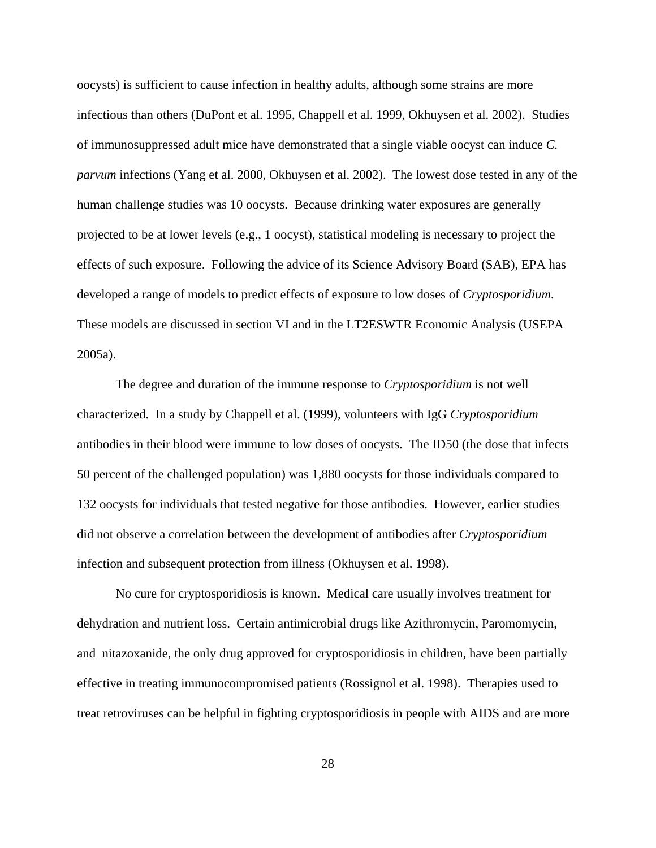oocysts) is sufficient to cause infection in healthy adults, although some strains are more infectious than others (DuPont et al. 1995, Chappell et al. 1999, Okhuysen et al. 2002). Studies of immunosuppressed adult mice have demonstrated that a single viable oocyst can induce *C. parvum* infections (Yang et al. 2000, Okhuysen et al. 2002). The lowest dose tested in any of the human challenge studies was 10 oocysts. Because drinking water exposures are generally projected to be at lower levels (e.g., 1 oocyst), statistical modeling is necessary to project the effects of such exposure. Following the advice of its Science Advisory Board (SAB), EPA has developed a range of models to predict effects of exposure to low doses of *Cryptosporidium*. These models are discussed in section VI and in the LT2ESWTR Economic Analysis (USEPA 2005a).

The degree and duration of the immune response to *Cryptosporidium* is not well characterized. In a study by Chappell et al. (1999), volunteers with IgG *Cryptosporidium* antibodies in their blood were immune to low doses of oocysts. The ID50 (the dose that infects 50 percent of the challenged population) was 1,880 oocysts for those individuals compared to 132 oocysts for individuals that tested negative for those antibodies. However, earlier studies did not observe a correlation between the development of antibodies after *Cryptosporidium* infection and subsequent protection from illness (Okhuysen et al. 1998).

No cure for cryptosporidiosis is known. Medical care usually involves treatment for dehydration and nutrient loss. Certain antimicrobial drugs like Azithromycin, Paromomycin, and nitazoxanide, the only drug approved for cryptosporidiosis in children, have been partially effective in treating immunocompromised patients (Rossignol et al. 1998). Therapies used to treat retroviruses can be helpful in fighting cryptosporidiosis in people with AIDS and are more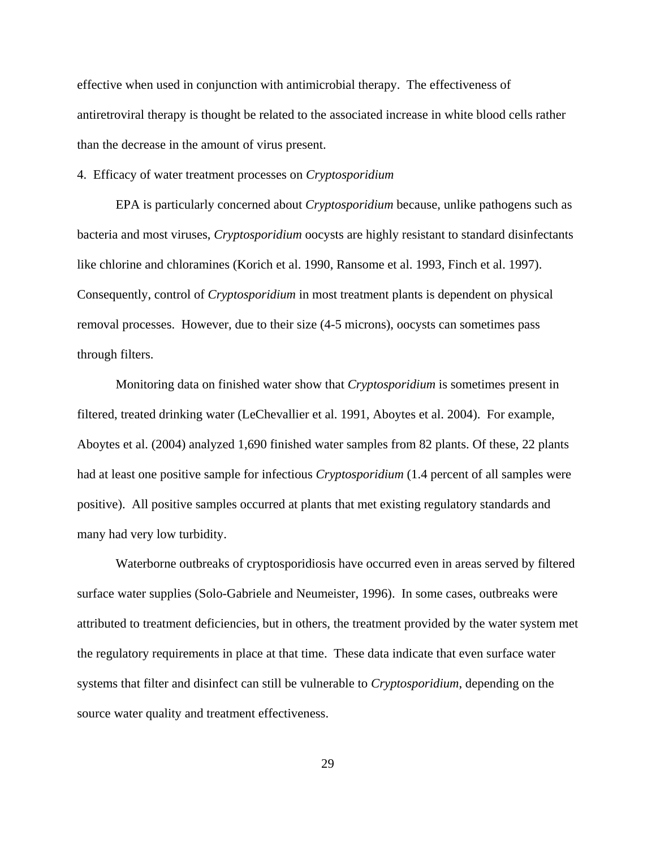effective when used in conjunction with antimicrobial therapy. The effectiveness of antiretroviral therapy is thought be related to the associated increase in white blood cells rather than the decrease in the amount of virus present.

#### 4. Efficacy of water treatment processes on *Cryptosporidium*

EPA is particularly concerned about *Cryptosporidium* because, unlike pathogens such as bacteria and most viruses, *Cryptosporidium* oocysts are highly resistant to standard disinfectants like chlorine and chloramines (Korich et al. 1990, Ransome et al. 1993, Finch et al. 1997). Consequently, control of *Cryptosporidium* in most treatment plants is dependent on physical removal processes. However, due to their size (4-5 microns), oocysts can sometimes pass through filters.

Monitoring data on finished water show that *Cryptosporidium* is sometimes present in filtered, treated drinking water (LeChevallier et al. 1991, Aboytes et al. 2004). For example, Aboytes et al. (2004) analyzed 1,690 finished water samples from 82 plants. Of these, 22 plants had at least one positive sample for infectious *Cryptosporidium* (1.4 percent of all samples were positive). All positive samples occurred at plants that met existing regulatory standards and many had very low turbidity.

Waterborne outbreaks of cryptosporidiosis have occurred even in areas served by filtered surface water supplies (Solo-Gabriele and Neumeister, 1996). In some cases, outbreaks were attributed to treatment deficiencies, but in others, the treatment provided by the water system met the regulatory requirements in place at that time. These data indicate that even surface water systems that filter and disinfect can still be vulnerable to *Cryptosporidium*, depending on the source water quality and treatment effectiveness.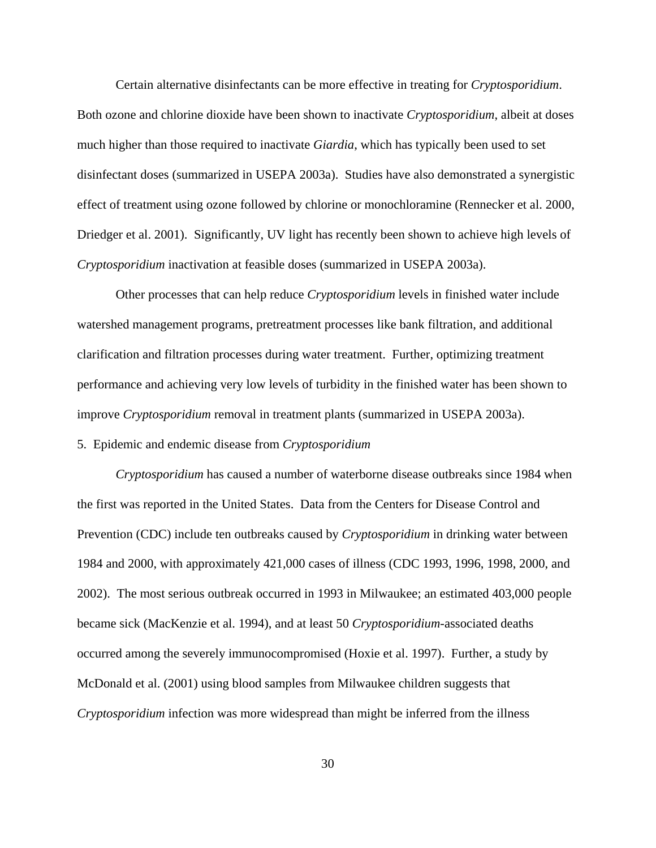Certain alternative disinfectants can be more effective in treating for *Cryptosporidium*. Both ozone and chlorine dioxide have been shown to inactivate *Cryptosporidium*, albeit at doses much higher than those required to inactivate *Giardia*, which has typically been used to set disinfectant doses (summarized in USEPA 2003a). Studies have also demonstrated a synergistic effect of treatment using ozone followed by chlorine or monochloramine (Rennecker et al. 2000, Driedger et al. 2001). Significantly, UV light has recently been shown to achieve high levels of *Cryptosporidium* inactivation at feasible doses (summarized in USEPA 2003a).

Other processes that can help reduce *Cryptosporidium* levels in finished water include watershed management programs, pretreatment processes like bank filtration, and additional clarification and filtration processes during water treatment. Further, optimizing treatment performance and achieving very low levels of turbidity in the finished water has been shown to improve *Cryptosporidium* removal in treatment plants (summarized in USEPA 2003a).

#### 5. Epidemic and endemic disease from *Cryptosporidium*

*Cryptosporidium* has caused a number of waterborne disease outbreaks since 1984 when the first was reported in the United States. Data from the Centers for Disease Control and Prevention (CDC) include ten outbreaks caused by *Cryptosporidium* in drinking water between 1984 and 2000, with approximately 421,000 cases of illness (CDC 1993, 1996, 1998, 2000, and 2002). The most serious outbreak occurred in 1993 in Milwaukee; an estimated 403,000 people became sick (MacKenzie et al. 1994), and at least 50 *Cryptosporidium*-associated deaths occurred among the severely immunocompromised (Hoxie et al. 1997). Further, a study by McDonald et al. (2001) using blood samples from Milwaukee children suggests that *Cryptosporidium* infection was more widespread than might be inferred from the illness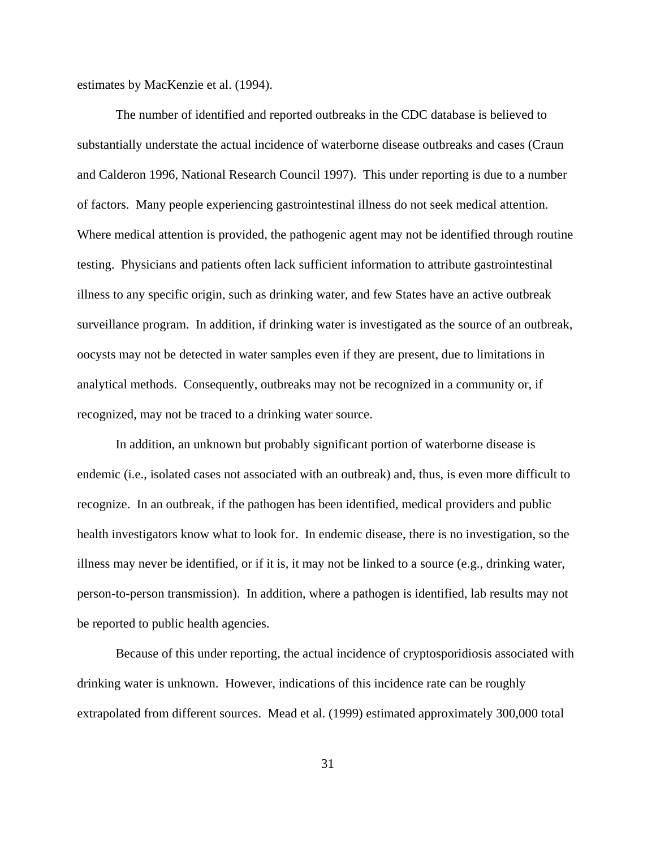estimates by MacKenzie et al. (1994).

The number of identified and reported outbreaks in the CDC database is believed to substantially understate the actual incidence of waterborne disease outbreaks and cases (Craun and Calderon 1996, National Research Council 1997). This under reporting is due to a number of factors. Many people experiencing gastrointestinal illness do not seek medical attention. Where medical attention is provided, the pathogenic agent may not be identified through routine testing. Physicians and patients often lack sufficient information to attribute gastrointestinal illness to any specific origin, such as drinking water, and few States have an active outbreak surveillance program. In addition, if drinking water is investigated as the source of an outbreak, oocysts may not be detected in water samples even if they are present, due to limitations in analytical methods. Consequently, outbreaks may not be recognized in a community or, if recognized, may not be traced to a drinking water source.

In addition, an unknown but probably significant portion of waterborne disease is endemic (i.e., isolated cases not associated with an outbreak) and, thus, is even more difficult to recognize. In an outbreak, if the pathogen has been identified, medical providers and public health investigators know what to look for. In endemic disease, there is no investigation, so the illness may never be identified, or if it is, it may not be linked to a source (e.g., drinking water, person-to-person transmission). In addition, where a pathogen is identified, lab results may not be reported to public health agencies.

Because of this under reporting, the actual incidence of cryptosporidiosis associated with drinking water is unknown. However, indications of this incidence rate can be roughly extrapolated from different sources. Mead et al. (1999) estimated approximately 300,000 total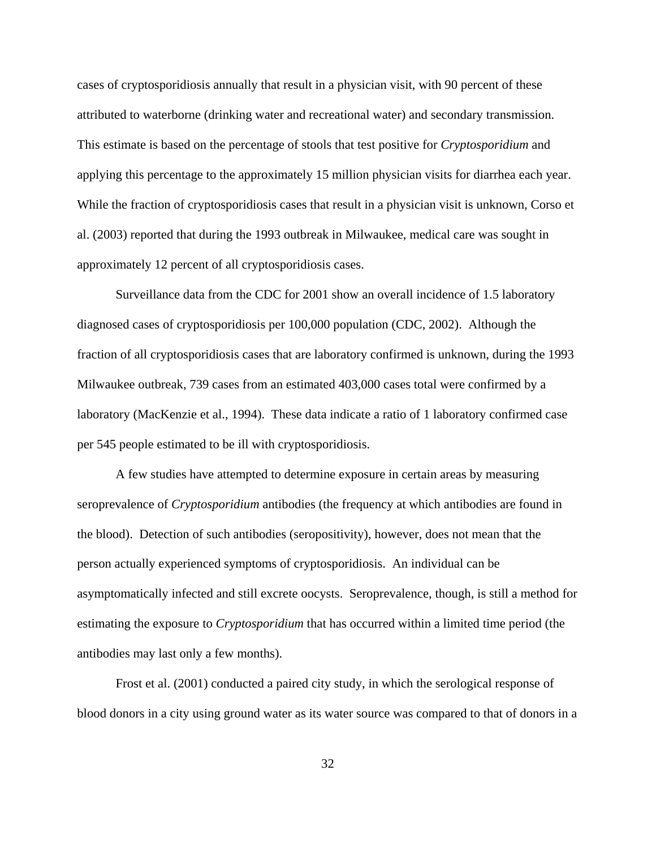cases of cryptosporidiosis annually that result in a physician visit, with 90 percent of these attributed to waterborne (drinking water and recreational water) and secondary transmission. This estimate is based on the percentage of stools that test positive for *Cryptosporidium* and applying this percentage to the approximately 15 million physician visits for diarrhea each year. While the fraction of cryptosporidiosis cases that result in a physician visit is unknown, Corso et al. (2003) reported that during the 1993 outbreak in Milwaukee, medical care was sought in approximately 12 percent of all cryptosporidiosis cases.

Surveillance data from the CDC for 2001 show an overall incidence of 1.5 laboratory diagnosed cases of cryptosporidiosis per 100,000 population (CDC, 2002). Although the fraction of all cryptosporidiosis cases that are laboratory confirmed is unknown, during the 1993 Milwaukee outbreak, 739 cases from an estimated 403,000 cases total were confirmed by a laboratory (MacKenzie et al., 1994). These data indicate a ratio of 1 laboratory confirmed case per 545 people estimated to be ill with cryptosporidiosis.

A few studies have attempted to determine exposure in certain areas by measuring seroprevalence of *Cryptosporidium* antibodies (the frequency at which antibodies are found in the blood). Detection of such antibodies (seropositivity), however, does not mean that the person actually experienced symptoms of cryptosporidiosis. An individual can be asymptomatically infected and still excrete oocysts. Seroprevalence, though, is still a method for estimating the exposure to *Cryptosporidium* that has occurred within a limited time period (the antibodies may last only a few months).

Frost et al. (2001) conducted a paired city study, in which the serological response of blood donors in a city using ground water as its water source was compared to that of donors in a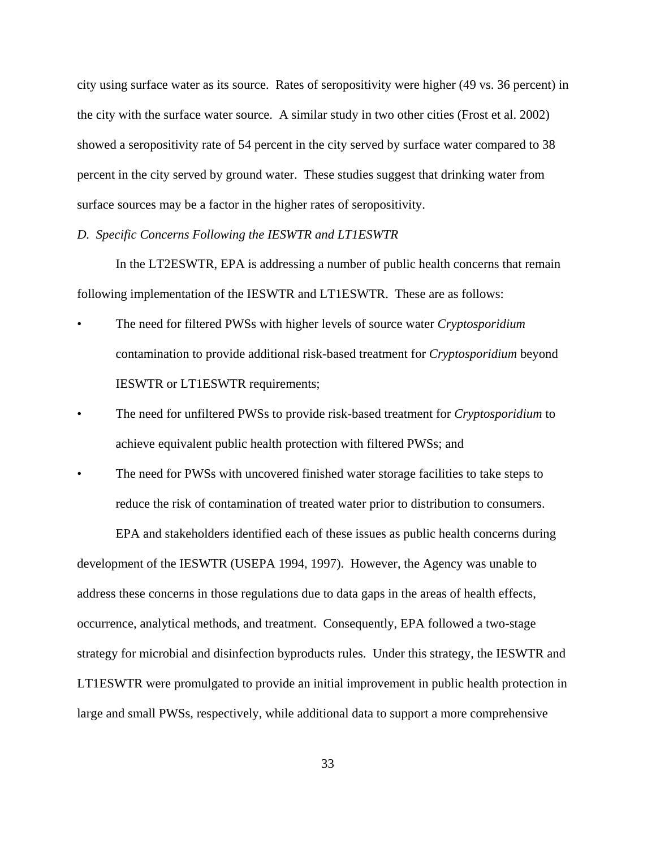city using surface water as its source. Rates of seropositivity were higher (49 vs. 36 percent) in the city with the surface water source. A similar study in two other cities (Frost et al. 2002) showed a seropositivity rate of 54 percent in the city served by surface water compared to 38 percent in the city served by ground water. These studies suggest that drinking water from surface sources may be a factor in the higher rates of seropositivity.

#### *D. Specific Concerns Following the IESWTR and LT1ESWTR*

In the LT2ESWTR, EPA is addressing a number of public health concerns that remain following implementation of the IESWTR and LT1ESWTR. These are as follows:

- The need for filtered PWSs with higher levels of source water *Cryptosporidium* contamination to provide additional risk-based treatment for *Cryptosporidium* beyond IESWTR or LT1ESWTR requirements;
- The need for unfiltered PWSs to provide risk-based treatment for *Cryptosporidium* to achieve equivalent public health protection with filtered PWSs; and
- The need for PWSs with uncovered finished water storage facilities to take steps to reduce the risk of contamination of treated water prior to distribution to consumers.

 EPA and stakeholders identified each of these issues as public health concerns during development of the IESWTR (USEPA 1994, 1997). However, the Agency was unable to address these concerns in those regulations due to data gaps in the areas of health effects, occurrence, analytical methods, and treatment. Consequently, EPA followed a two-stage strategy for microbial and disinfection byproducts rules. Under this strategy, the IESWTR and LT1ESWTR were promulgated to provide an initial improvement in public health protection in large and small PWSs, respectively, while additional data to support a more comprehensive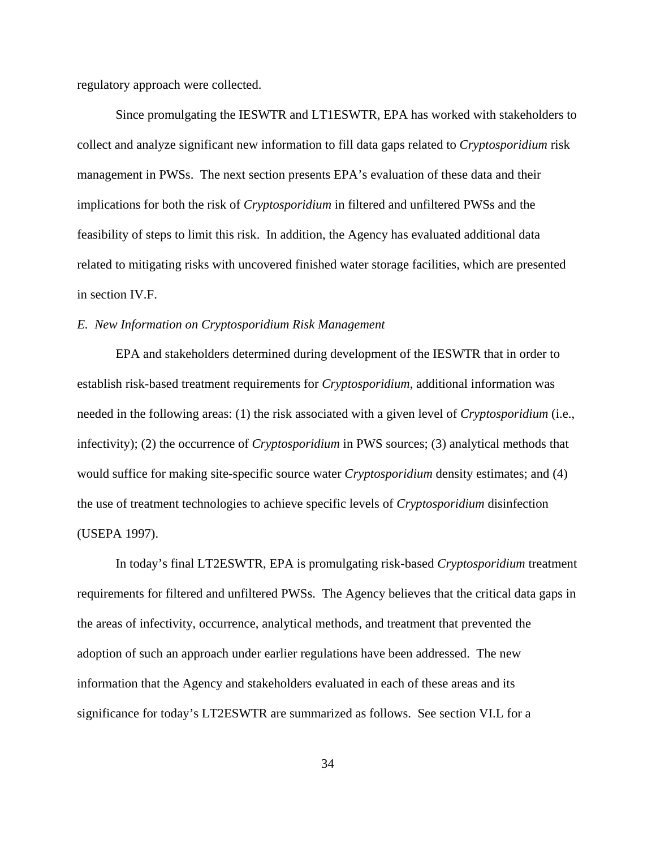regulatory approach were collected.

Since promulgating the IESWTR and LT1ESWTR, EPA has worked with stakeholders to collect and analyze significant new information to fill data gaps related to *Cryptosporidium* risk management in PWSs. The next section presents EPA's evaluation of these data and their implications for both the risk of *Cryptosporidium* in filtered and unfiltered PWSs and the feasibility of steps to limit this risk. In addition, the Agency has evaluated additional data related to mitigating risks with uncovered finished water storage facilities, which are presented in section IV.F.

## *E. New Information on Cryptosporidium Risk Management*

EPA and stakeholders determined during development of the IESWTR that in order to establish risk-based treatment requirements for *Cryptosporidium*, additional information was needed in the following areas: (1) the risk associated with a given level of *Cryptosporidium* (i.e., infectivity); (2) the occurrence of *Cryptosporidium* in PWS sources; (3) analytical methods that would suffice for making site-specific source water *Cryptosporidium* density estimates; and (4) the use of treatment technologies to achieve specific levels of *Cryptosporidium* disinfection (USEPA 1997).

In today's final LT2ESWTR, EPA is promulgating risk-based *Cryptosporidium* treatment requirements for filtered and unfiltered PWSs. The Agency believes that the critical data gaps in the areas of infectivity, occurrence, analytical methods, and treatment that prevented the adoption of such an approach under earlier regulations have been addressed. The new information that the Agency and stakeholders evaluated in each of these areas and its significance for today's LT2ESWTR are summarized as follows. See section VI.L for a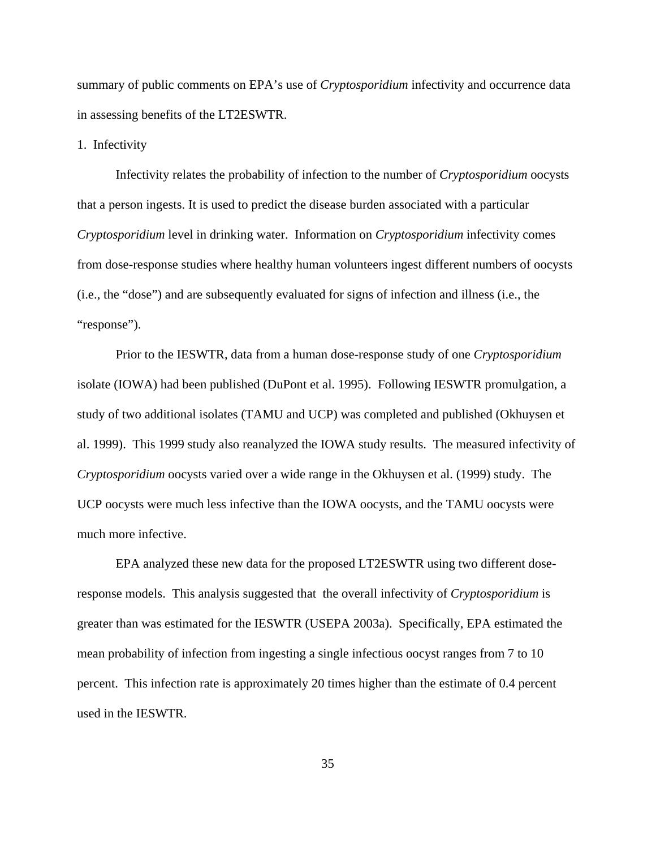summary of public comments on EPA's use of *Cryptosporidium* infectivity and occurrence data in assessing benefits of the LT2ESWTR.

1. Infectivity

Infectivity relates the probability of infection to the number of *Cryptosporidium* oocysts that a person ingests. It is used to predict the disease burden associated with a particular *Cryptosporidium* level in drinking water. Information on *Cryptosporidium* infectivity comes from dose-response studies where healthy human volunteers ingest different numbers of oocysts (i.e., the "dose") and are subsequently evaluated for signs of infection and illness (i.e., the "response").

Prior to the IESWTR, data from a human dose-response study of one *Cryptosporidium* isolate (IOWA) had been published (DuPont et al. 1995). Following IESWTR promulgation, a study of two additional isolates (TAMU and UCP) was completed and published (Okhuysen et al. 1999). This 1999 study also reanalyzed the IOWA study results. The measured infectivity of *Cryptosporidium* oocysts varied over a wide range in the Okhuysen et al. (1999) study. The UCP oocysts were much less infective than the IOWA oocysts, and the TAMU oocysts were much more infective.

EPA analyzed these new data for the proposed LT2ESWTR using two different doseresponse models. This analysis suggested that the overall infectivity of *Cryptosporidium* is greater than was estimated for the IESWTR (USEPA 2003a). Specifically, EPA estimated the mean probability of infection from ingesting a single infectious oocyst ranges from 7 to 10 percent. This infection rate is approximately 20 times higher than the estimate of 0.4 percent used in the IESWTR.

35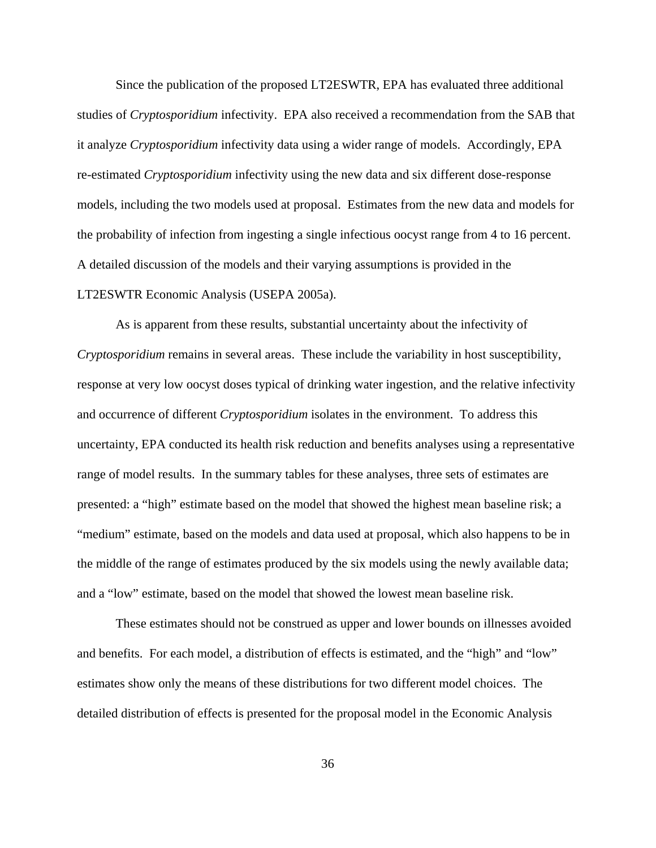Since the publication of the proposed LT2ESWTR, EPA has evaluated three additional studies of *Cryptosporidium* infectivity. EPA also received a recommendation from the SAB that it analyze *Cryptosporidium* infectivity data using a wider range of models. Accordingly, EPA re-estimated *Cryptosporidium* infectivity using the new data and six different dose-response models, including the two models used at proposal. Estimates from the new data and models for the probability of infection from ingesting a single infectious oocyst range from 4 to 16 percent. A detailed discussion of the models and their varying assumptions is provided in the LT2ESWTR Economic Analysis (USEPA 2005a).

As is apparent from these results, substantial uncertainty about the infectivity of *Cryptosporidium* remains in several areas. These include the variability in host susceptibility, response at very low oocyst doses typical of drinking water ingestion, and the relative infectivity and occurrence of different *Cryptosporidium* isolates in the environment. To address this uncertainty, EPA conducted its health risk reduction and benefits analyses using a representative range of model results. In the summary tables for these analyses, three sets of estimates are presented: a "high" estimate based on the model that showed the highest mean baseline risk; a "medium" estimate, based on the models and data used at proposal, which also happens to be in the middle of the range of estimates produced by the six models using the newly available data; and a "low" estimate, based on the model that showed the lowest mean baseline risk.

These estimates should not be construed as upper and lower bounds on illnesses avoided and benefits. For each model, a distribution of effects is estimated, and the "high" and "low" estimates show only the means of these distributions for two different model choices. The detailed distribution of effects is presented for the proposal model in the Economic Analysis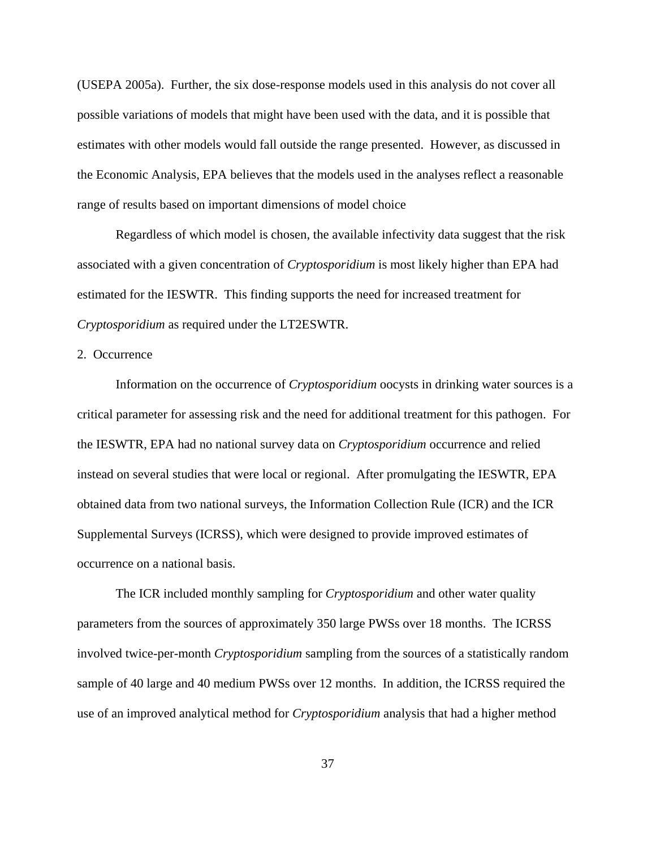(USEPA 2005a). Further, the six dose-response models used in this analysis do not cover all possible variations of models that might have been used with the data, and it is possible that estimates with other models would fall outside the range presented. However, as discussed in the Economic Analysis, EPA believes that the models used in the analyses reflect a reasonable range of results based on important dimensions of model choice

Regardless of which model is chosen, the available infectivity data suggest that the risk associated with a given concentration of *Cryptosporidium* is most likely higher than EPA had estimated for the IESWTR. This finding supports the need for increased treatment for *Cryptosporidium* as required under the LT2ESWTR.

# 2. Occurrence

Information on the occurrence of *Cryptosporidium* oocysts in drinking water sources is a critical parameter for assessing risk and the need for additional treatment for this pathogen. For the IESWTR, EPA had no national survey data on *Cryptosporidium* occurrence and relied instead on several studies that were local or regional. After promulgating the IESWTR, EPA obtained data from two national surveys, the Information Collection Rule (ICR) and the ICR Supplemental Surveys (ICRSS), which were designed to provide improved estimates of occurrence on a national basis.

The ICR included monthly sampling for *Cryptosporidium* and other water quality parameters from the sources of approximately 350 large PWSs over 18 months. The ICRSS involved twice-per-month *Cryptosporidium* sampling from the sources of a statistically random sample of 40 large and 40 medium PWSs over 12 months. In addition, the ICRSS required the use of an improved analytical method for *Cryptosporidium* analysis that had a higher method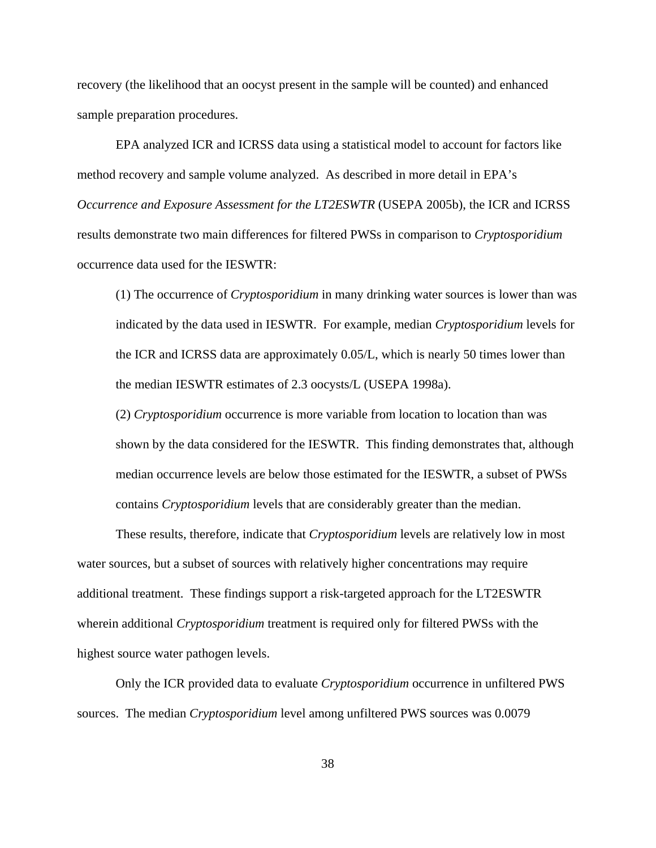recovery (the likelihood that an oocyst present in the sample will be counted) and enhanced sample preparation procedures.

EPA analyzed ICR and ICRSS data using a statistical model to account for factors like method recovery and sample volume analyzed. As described in more detail in EPA's *Occurrence and Exposure Assessment for the LT2ESWTR* (USEPA 2005b), the ICR and ICRSS results demonstrate two main differences for filtered PWSs in comparison to *Cryptosporidium* occurrence data used for the IESWTR:

(1) The occurrence of *Cryptosporidium* in many drinking water sources is lower than was indicated by the data used in IESWTR. For example, median *Cryptosporidium* levels for the ICR and ICRSS data are approximately 0.05/L, which is nearly 50 times lower than the median IESWTR estimates of 2.3 oocysts/L (USEPA 1998a).

(2) *Cryptosporidium* occurrence is more variable from location to location than was shown by the data considered for the IESWTR. This finding demonstrates that, although median occurrence levels are below those estimated for the IESWTR, a subset of PWSs contains *Cryptosporidium* levels that are considerably greater than the median.

These results, therefore, indicate that *Cryptosporidium* levels are relatively low in most water sources, but a subset of sources with relatively higher concentrations may require additional treatment. These findings support a risk-targeted approach for the LT2ESWTR wherein additional *Cryptosporidium* treatment is required only for filtered PWSs with the highest source water pathogen levels.

Only the ICR provided data to evaluate *Cryptosporidium* occurrence in unfiltered PWS sources. The median *Cryptosporidium* level among unfiltered PWS sources was 0.0079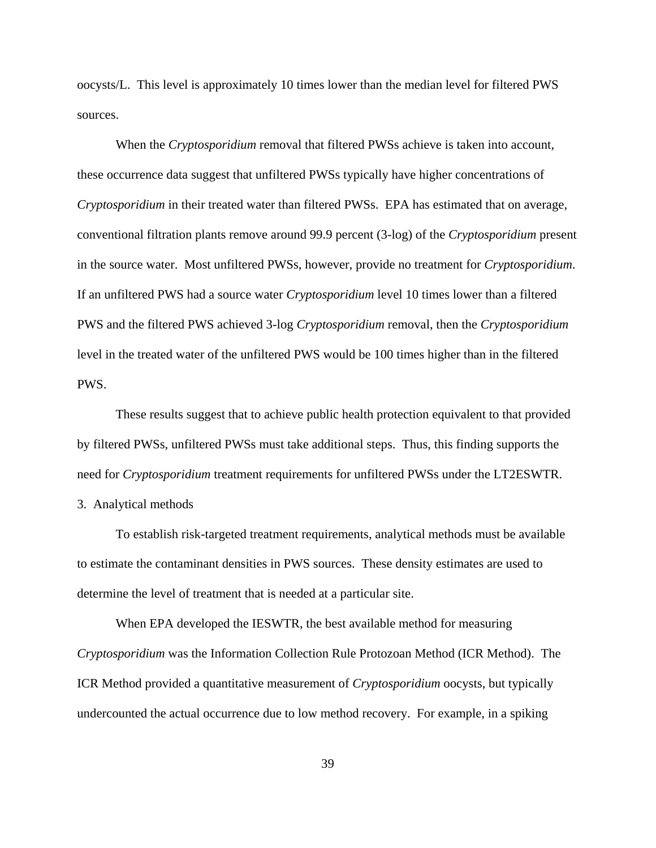oocysts/L. This level is approximately 10 times lower than the median level for filtered PWS sources.

When the *Cryptosporidium* removal that filtered PWSs achieve is taken into account, these occurrence data suggest that unfiltered PWSs typically have higher concentrations of *Cryptosporidium* in their treated water than filtered PWSs. EPA has estimated that on average, conventional filtration plants remove around 99.9 percent (3-log) of the *Cryptosporidium* present in the source water. Most unfiltered PWSs, however, provide no treatment for *Cryptosporidium*. If an unfiltered PWS had a source water *Cryptosporidium* level 10 times lower than a filtered PWS and the filtered PWS achieved 3-log *Cryptosporidium* removal, then the *Cryptosporidium* level in the treated water of the unfiltered PWS would be 100 times higher than in the filtered PWS.

These results suggest that to achieve public health protection equivalent to that provided by filtered PWSs, unfiltered PWSs must take additional steps. Thus, this finding supports the need for *Cryptosporidium* treatment requirements for unfiltered PWSs under the LT2ESWTR. 3. Analytical methods

To establish risk-targeted treatment requirements, analytical methods must be available to estimate the contaminant densities in PWS sources. These density estimates are used to determine the level of treatment that is needed at a particular site.

When EPA developed the IESWTR, the best available method for measuring *Cryptosporidium* was the Information Collection Rule Protozoan Method (ICR Method). The ICR Method provided a quantitative measurement of *Cryptosporidium* oocysts, but typically undercounted the actual occurrence due to low method recovery. For example, in a spiking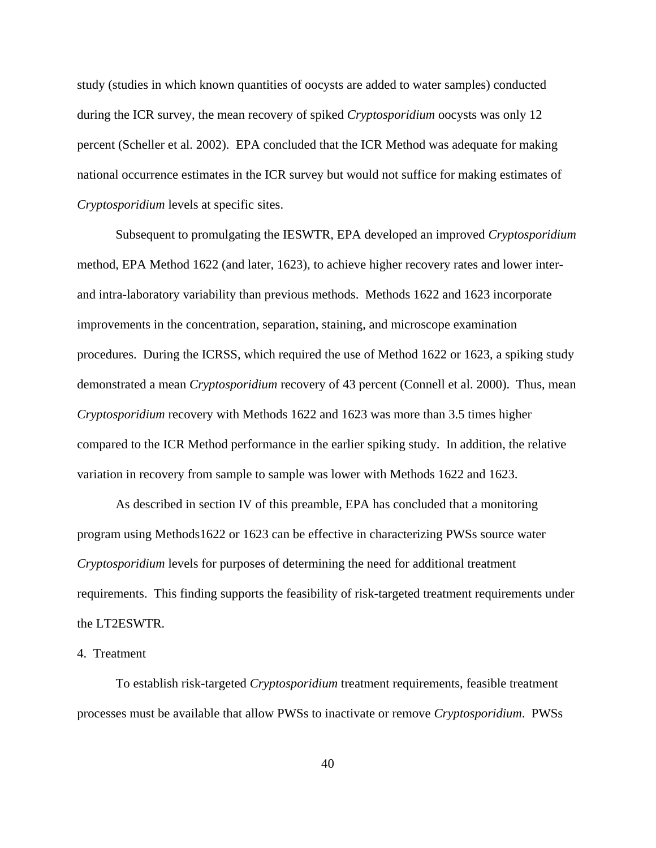study (studies in which known quantities of oocysts are added to water samples) conducted during the ICR survey, the mean recovery of spiked *Cryptosporidium* oocysts was only 12 percent (Scheller et al. 2002). EPA concluded that the ICR Method was adequate for making national occurrence estimates in the ICR survey but would not suffice for making estimates of *Cryptosporidium* levels at specific sites.

Subsequent to promulgating the IESWTR, EPA developed an improved *Cryptosporidium* method, EPA Method 1622 (and later, 1623), to achieve higher recovery rates and lower interand intra-laboratory variability than previous methods. Methods 1622 and 1623 incorporate improvements in the concentration, separation, staining, and microscope examination procedures. During the ICRSS, which required the use of Method 1622 or 1623, a spiking study demonstrated a mean *Cryptosporidium* recovery of 43 percent (Connell et al. 2000). Thus, mean *Cryptosporidium* recovery with Methods 1622 and 1623 was more than 3.5 times higher compared to the ICR Method performance in the earlier spiking study. In addition, the relative variation in recovery from sample to sample was lower with Methods 1622 and 1623.

As described in section IV of this preamble, EPA has concluded that a monitoring program using Methods1622 or 1623 can be effective in characterizing PWSs source water *Cryptosporidium* levels for purposes of determining the need for additional treatment requirements. This finding supports the feasibility of risk-targeted treatment requirements under the LT2ESWTR.

#### 4. Treatment

To establish risk-targeted *Cryptosporidium* treatment requirements, feasible treatment processes must be available that allow PWSs to inactivate or remove *Cryptosporidium*. PWSs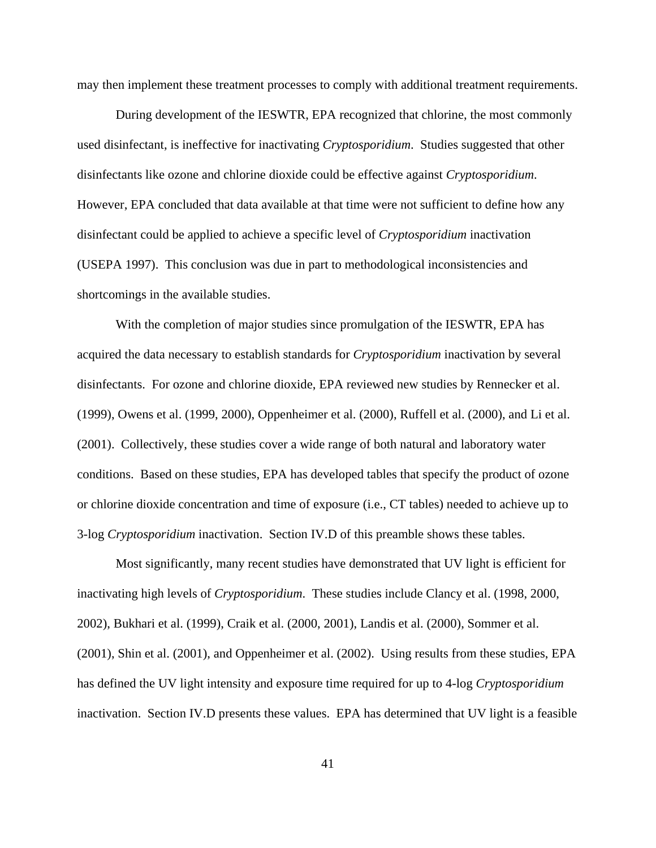may then implement these treatment processes to comply with additional treatment requirements.

During development of the IESWTR, EPA recognized that chlorine, the most commonly used disinfectant, is ineffective for inactivating *Cryptosporidium*. Studies suggested that other disinfectants like ozone and chlorine dioxide could be effective against *Cryptosporidium*. However, EPA concluded that data available at that time were not sufficient to define how any disinfectant could be applied to achieve a specific level of *Cryptosporidium* inactivation (USEPA 1997). This conclusion was due in part to methodological inconsistencies and shortcomings in the available studies.

With the completion of major studies since promulgation of the IESWTR, EPA has acquired the data necessary to establish standards for *Cryptosporidium* inactivation by several disinfectants. For ozone and chlorine dioxide, EPA reviewed new studies by Rennecker et al. (1999), Owens et al. (1999, 2000), Oppenheimer et al. (2000), Ruffell et al. (2000), and Li et al. (2001). Collectively, these studies cover a wide range of both natural and laboratory water conditions. Based on these studies, EPA has developed tables that specify the product of ozone or chlorine dioxide concentration and time of exposure (i.e., CT tables) needed to achieve up to 3-log *Cryptosporidium* inactivation. Section IV.D of this preamble shows these tables.

Most significantly, many recent studies have demonstrated that UV light is efficient for inactivating high levels of *Cryptosporidium*. These studies include Clancy et al. (1998, 2000, 2002), Bukhari et al. (1999), Craik et al. (2000, 2001), Landis et al. (2000), Sommer et al. (2001), Shin et al. (2001), and Oppenheimer et al. (2002). Using results from these studies, EPA has defined the UV light intensity and exposure time required for up to 4-log *Cryptosporidium* inactivation. Section IV.D presents these values. EPA has determined that UV light is a feasible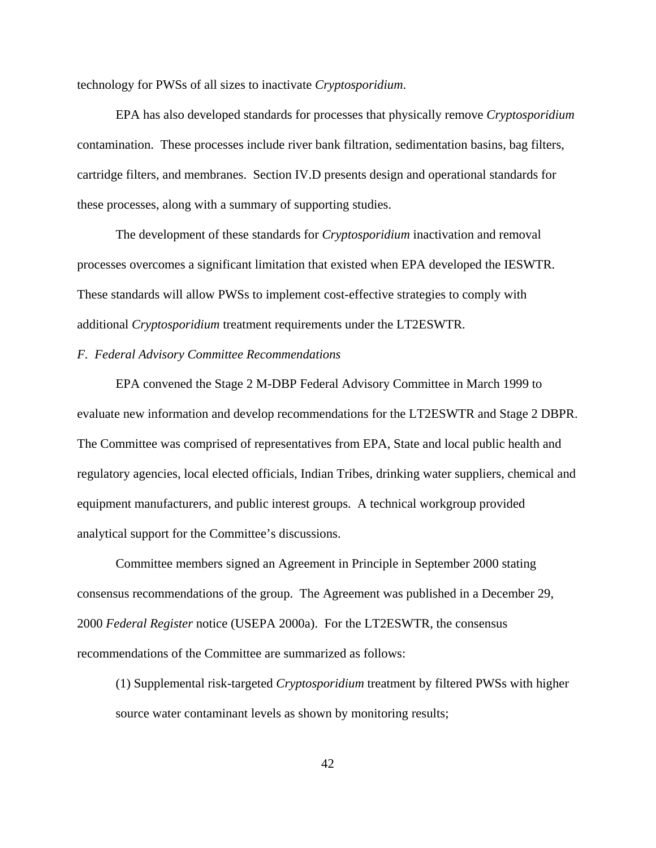technology for PWSs of all sizes to inactivate *Cryptosporidium*.

EPA has also developed standards for processes that physically remove *Cryptosporidium* contamination. These processes include river bank filtration, sedimentation basins, bag filters, cartridge filters, and membranes. Section IV.D presents design and operational standards for these processes, along with a summary of supporting studies.

The development of these standards for *Cryptosporidium* inactivation and removal processes overcomes a significant limitation that existed when EPA developed the IESWTR. These standards will allow PWSs to implement cost-effective strategies to comply with additional *Cryptosporidium* treatment requirements under the LT2ESWTR.

#### *F. Federal Advisory Committee Recommendations*

EPA convened the Stage 2 M-DBP Federal Advisory Committee in March 1999 to evaluate new information and develop recommendations for the LT2ESWTR and Stage 2 DBPR. The Committee was comprised of representatives from EPA, State and local public health and regulatory agencies, local elected officials, Indian Tribes, drinking water suppliers, chemical and equipment manufacturers, and public interest groups. A technical workgroup provided analytical support for the Committee's discussions.

Committee members signed an Agreement in Principle in September 2000 stating consensus recommendations of the group. The Agreement was published in a December 29, 2000 *Federal Register* notice (USEPA 2000a). For the LT2ESWTR, the consensus recommendations of the Committee are summarized as follows:

(1) Supplemental risk-targeted *Cryptosporidium* treatment by filtered PWSs with higher source water contaminant levels as shown by monitoring results;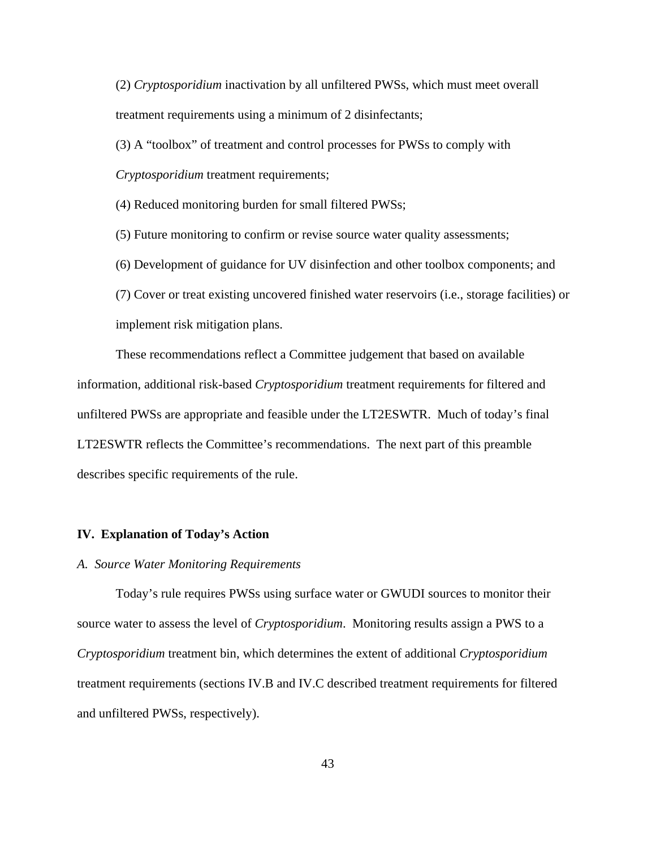(2) *Cryptosporidium* inactivation by all unfiltered PWSs, which must meet overall treatment requirements using a minimum of 2 disinfectants;

(3) A "toolbox" of treatment and control processes for PWSs to comply with

*Cryptosporidium* treatment requirements;

(4) Reduced monitoring burden for small filtered PWSs;

(5) Future monitoring to confirm or revise source water quality assessments;

(6) Development of guidance for UV disinfection and other toolbox components; and

(7) Cover or treat existing uncovered finished water reservoirs (i.e., storage facilities) or implement risk mitigation plans.

These recommendations reflect a Committee judgement that based on available information, additional risk-based *Cryptosporidium* treatment requirements for filtered and unfiltered PWSs are appropriate and feasible under the LT2ESWTR. Much of today's final LT2ESWTR reflects the Committee's recommendations. The next part of this preamble describes specific requirements of the rule.

#### **IV. Explanation of Today's Action**

#### *A. Source Water Monitoring Requirements*

Today's rule requires PWSs using surface water or GWUDI sources to monitor their source water to assess the level of *Cryptosporidium*. Monitoring results assign a PWS to a *Cryptosporidium* treatment bin, which determines the extent of additional *Cryptosporidium* treatment requirements (sections IV.B and IV.C described treatment requirements for filtered and unfiltered PWSs, respectively).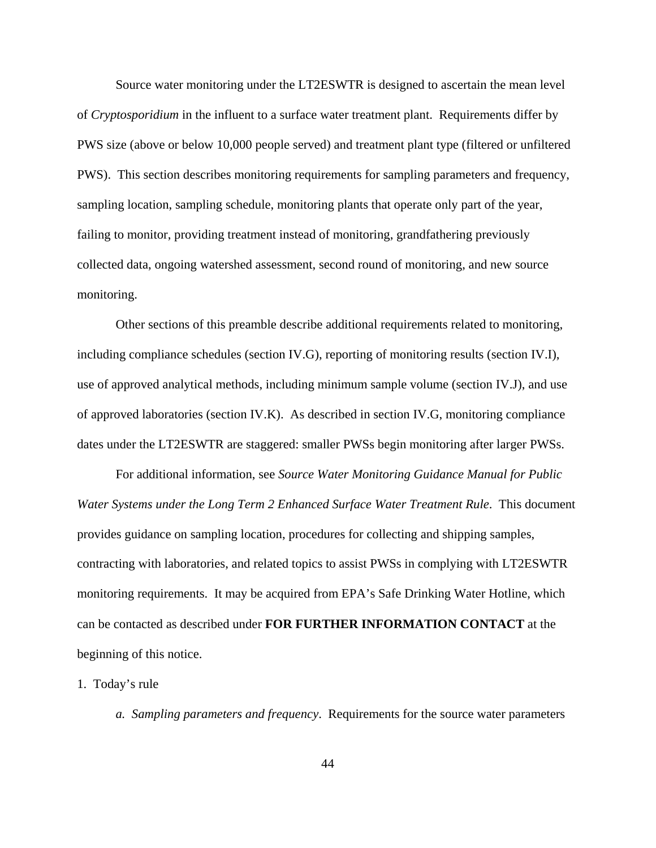Source water monitoring under the LT2ESWTR is designed to ascertain the mean level of *Cryptosporidium* in the influent to a surface water treatment plant. Requirements differ by PWS size (above or below 10,000 people served) and treatment plant type (filtered or unfiltered PWS). This section describes monitoring requirements for sampling parameters and frequency, sampling location, sampling schedule, monitoring plants that operate only part of the year, failing to monitor, providing treatment instead of monitoring, grandfathering previously collected data, ongoing watershed assessment, second round of monitoring, and new source monitoring.

Other sections of this preamble describe additional requirements related to monitoring, including compliance schedules (section IV.G), reporting of monitoring results (section IV.I), use of approved analytical methods, including minimum sample volume (section IV.J), and use of approved laboratories (section IV.K). As described in section IV.G, monitoring compliance dates under the LT2ESWTR are staggered: smaller PWSs begin monitoring after larger PWSs.

For additional information, see *Source Water Monitoring Guidance Manual for Public Water Systems under the Long Term 2 Enhanced Surface Water Treatment Rule*. This document provides guidance on sampling location, procedures for collecting and shipping samples, contracting with laboratories, and related topics to assist PWSs in complying with LT2ESWTR monitoring requirements. It may be acquired from EPA's Safe Drinking Water Hotline, which can be contacted as described under **FOR FURTHER INFORMATION CONTACT** at the beginning of this notice.

# 1. Today's rule

*a. Sampling parameters and frequency*. Requirements for the source water parameters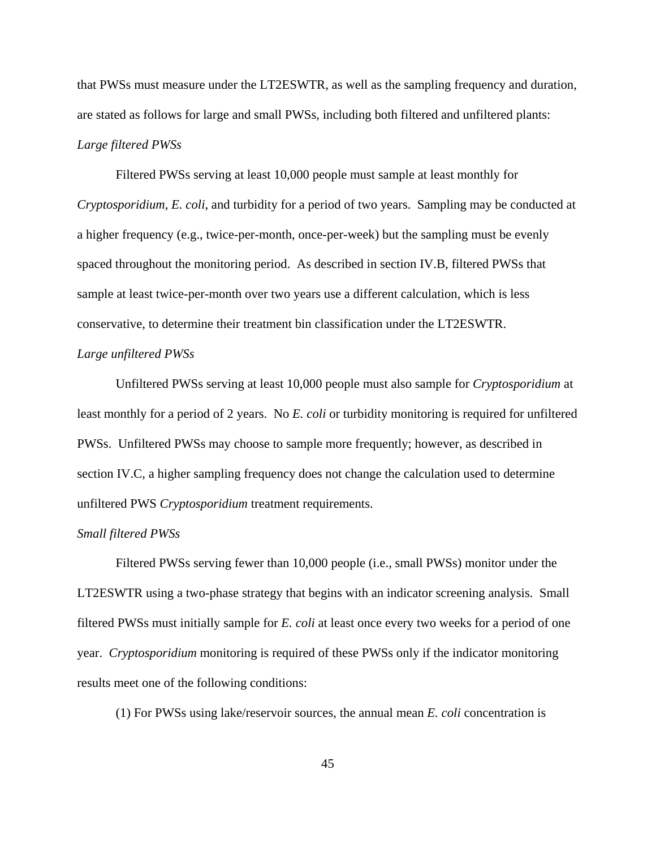that PWSs must measure under the LT2ESWTR, as well as the sampling frequency and duration, are stated as follows for large and small PWSs, including both filtered and unfiltered plants: *Large filtered PWSs*

Filtered PWSs serving at least 10,000 people must sample at least monthly for *Cryptosporidium*, *E. coli*, and turbidity for a period of two years. Sampling may be conducted at a higher frequency (e.g., twice-per-month, once-per-week) but the sampling must be evenly spaced throughout the monitoring period. As described in section IV.B, filtered PWSs that sample at least twice-per-month over two years use a different calculation, which is less conservative, to determine their treatment bin classification under the LT2ESWTR. *Large unfiltered PWSs*

Unfiltered PWSs serving at least 10,000 people must also sample for *Cryptosporidium* at least monthly for a period of 2 years. No *E. coli* or turbidity monitoring is required for unfiltered PWSs. Unfiltered PWSs may choose to sample more frequently; however, as described in section IV.C, a higher sampling frequency does not change the calculation used to determine unfiltered PWS *Cryptosporidium* treatment requirements.

# *Small filtered PWSs*

Filtered PWSs serving fewer than 10,000 people (i.e., small PWSs) monitor under the LT2ESWTR using a two-phase strategy that begins with an indicator screening analysis. Small filtered PWSs must initially sample for *E. coli* at least once every two weeks for a period of one year. *Cryptosporidium* monitoring is required of these PWSs only if the indicator monitoring results meet one of the following conditions:

(1) For PWSs using lake/reservoir sources, the annual mean *E. coli* concentration is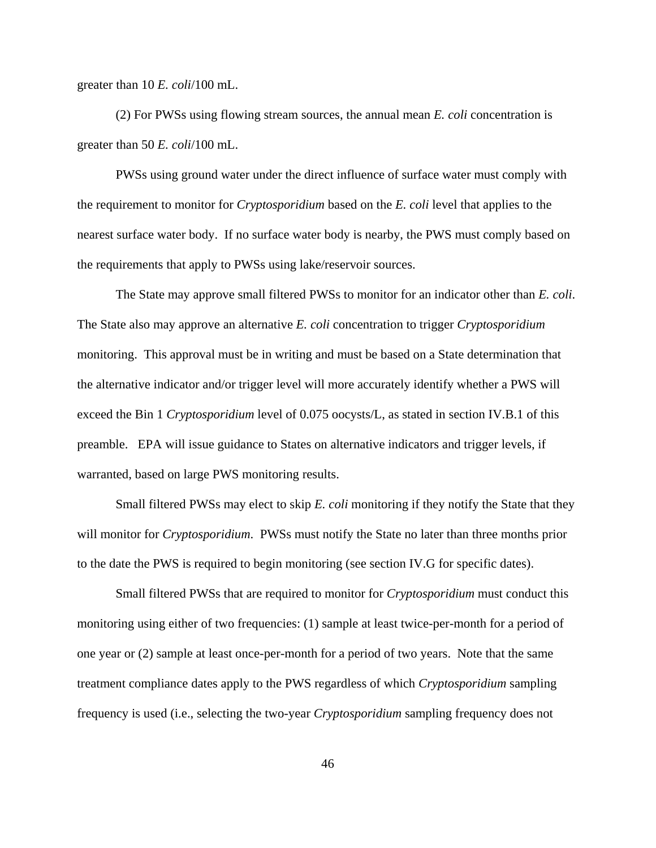greater than 10 *E. coli*/100 mL.

(2) For PWSs using flowing stream sources, the annual mean *E. coli* concentration is greater than 50 *E. coli*/100 mL.

PWSs using ground water under the direct influence of surface water must comply with the requirement to monitor for *Cryptosporidium* based on the *E. coli* level that applies to the nearest surface water body. If no surface water body is nearby, the PWS must comply based on the requirements that apply to PWSs using lake/reservoir sources.

The State may approve small filtered PWSs to monitor for an indicator other than *E. coli*. The State also may approve an alternative *E. coli* concentration to trigger *Cryptosporidium* monitoring. This approval must be in writing and must be based on a State determination that the alternative indicator and/or trigger level will more accurately identify whether a PWS will exceed the Bin 1 *Cryptosporidium* level of 0.075 oocysts/L, as stated in section IV.B.1 of this preamble. EPA will issue guidance to States on alternative indicators and trigger levels, if warranted, based on large PWS monitoring results.

Small filtered PWSs may elect to skip *E. coli* monitoring if they notify the State that they will monitor for *Cryptosporidium*. PWSs must notify the State no later than three months prior to the date the PWS is required to begin monitoring (see section IV.G for specific dates).

Small filtered PWSs that are required to monitor for *Cryptosporidium* must conduct this monitoring using either of two frequencies: (1) sample at least twice-per-month for a period of one year or (2) sample at least once-per-month for a period of two years. Note that the same treatment compliance dates apply to the PWS regardless of which *Cryptosporidium* sampling frequency is used (i.e., selecting the two-year *Cryptosporidium* sampling frequency does not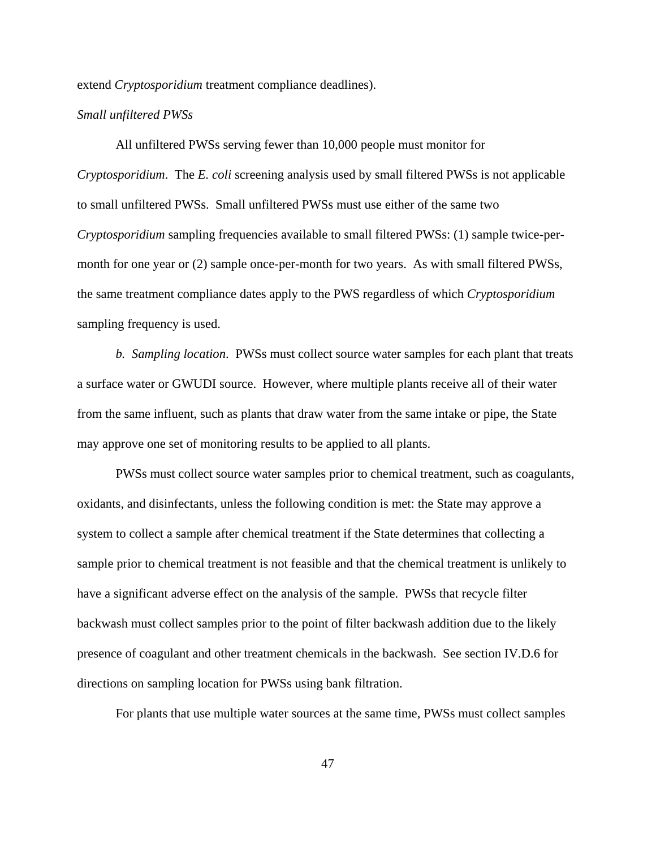extend *Cryptosporidium* treatment compliance deadlines).

#### *Small unfiltered PWSs*

All unfiltered PWSs serving fewer than 10,000 people must monitor for *Cryptosporidium*. The *E. coli* screening analysis used by small filtered PWSs is not applicable to small unfiltered PWSs. Small unfiltered PWSs must use either of the same two *Cryptosporidium* sampling frequencies available to small filtered PWSs: (1) sample twice-permonth for one year or (2) sample once-per-month for two years. As with small filtered PWSs, the same treatment compliance dates apply to the PWS regardless of which *Cryptosporidium* sampling frequency is used.

*b. Sampling location*. PWSs must collect source water samples for each plant that treats a surface water or GWUDI source. However, where multiple plants receive all of their water from the same influent, such as plants that draw water from the same intake or pipe, the State may approve one set of monitoring results to be applied to all plants.

PWSs must collect source water samples prior to chemical treatment, such as coagulants, oxidants, and disinfectants, unless the following condition is met: the State may approve a system to collect a sample after chemical treatment if the State determines that collecting a sample prior to chemical treatment is not feasible and that the chemical treatment is unlikely to have a significant adverse effect on the analysis of the sample. PWSs that recycle filter backwash must collect samples prior to the point of filter backwash addition due to the likely presence of coagulant and other treatment chemicals in the backwash. See section IV.D.6 for directions on sampling location for PWSs using bank filtration.

For plants that use multiple water sources at the same time, PWSs must collect samples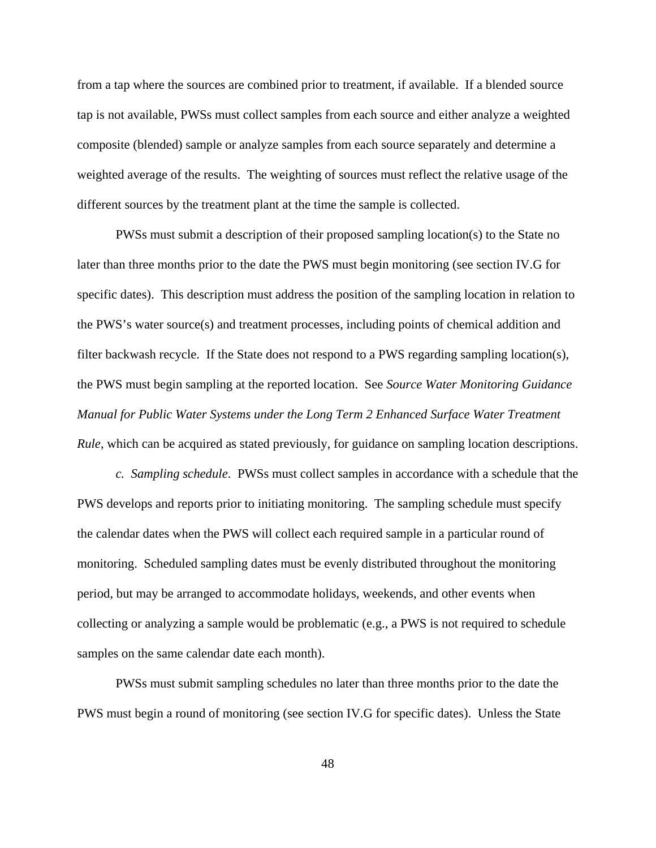from a tap where the sources are combined prior to treatment, if available. If a blended source tap is not available, PWSs must collect samples from each source and either analyze a weighted composite (blended) sample or analyze samples from each source separately and determine a weighted average of the results. The weighting of sources must reflect the relative usage of the different sources by the treatment plant at the time the sample is collected.

PWSs must submit a description of their proposed sampling location(s) to the State no later than three months prior to the date the PWS must begin monitoring (see section IV.G for specific dates). This description must address the position of the sampling location in relation to the PWS's water source(s) and treatment processes, including points of chemical addition and filter backwash recycle. If the State does not respond to a PWS regarding sampling location(s), the PWS must begin sampling at the reported location. See *Source Water Monitoring Guidance Manual for Public Water Systems under the Long Term 2 Enhanced Surface Water Treatment Rule*, which can be acquired as stated previously, for guidance on sampling location descriptions.

*c. Sampling schedule*. PWSs must collect samples in accordance with a schedule that the PWS develops and reports prior to initiating monitoring. The sampling schedule must specify the calendar dates when the PWS will collect each required sample in a particular round of monitoring. Scheduled sampling dates must be evenly distributed throughout the monitoring period, but may be arranged to accommodate holidays, weekends, and other events when collecting or analyzing a sample would be problematic (e.g., a PWS is not required to schedule samples on the same calendar date each month).

PWSs must submit sampling schedules no later than three months prior to the date the PWS must begin a round of monitoring (see section IV.G for specific dates). Unless the State

48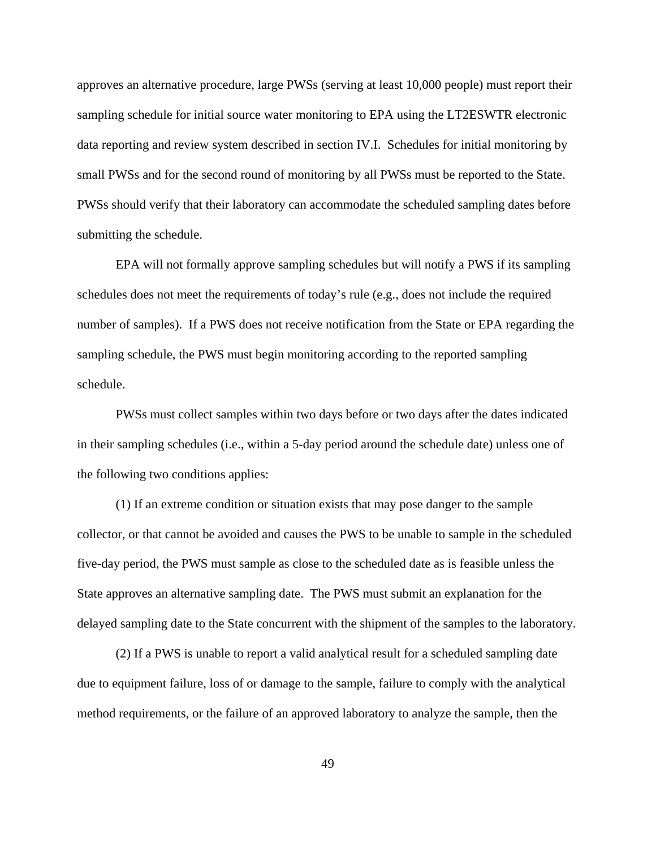approves an alternative procedure, large PWSs (serving at least 10,000 people) must report their sampling schedule for initial source water monitoring to EPA using the LT2ESWTR electronic data reporting and review system described in section IV.I. Schedules for initial monitoring by small PWSs and for the second round of monitoring by all PWSs must be reported to the State. PWSs should verify that their laboratory can accommodate the scheduled sampling dates before submitting the schedule.

EPA will not formally approve sampling schedules but will notify a PWS if its sampling schedules does not meet the requirements of today's rule (e.g., does not include the required number of samples). If a PWS does not receive notification from the State or EPA regarding the sampling schedule, the PWS must begin monitoring according to the reported sampling schedule.

PWSs must collect samples within two days before or two days after the dates indicated in their sampling schedules (i.e., within a 5-day period around the schedule date) unless one of the following two conditions applies:

(1) If an extreme condition or situation exists that may pose danger to the sample collector, or that cannot be avoided and causes the PWS to be unable to sample in the scheduled five-day period, the PWS must sample as close to the scheduled date as is feasible unless the State approves an alternative sampling date. The PWS must submit an explanation for the delayed sampling date to the State concurrent with the shipment of the samples to the laboratory.

(2) If a PWS is unable to report a valid analytical result for a scheduled sampling date due to equipment failure, loss of or damage to the sample, failure to comply with the analytical method requirements, or the failure of an approved laboratory to analyze the sample, then the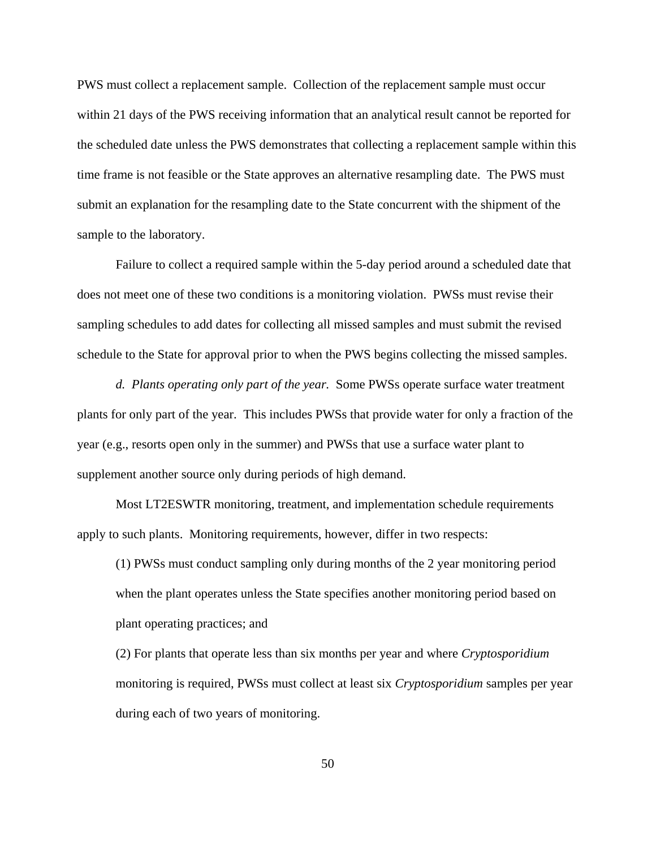PWS must collect a replacement sample. Collection of the replacement sample must occur within 21 days of the PWS receiving information that an analytical result cannot be reported for the scheduled date unless the PWS demonstrates that collecting a replacement sample within this time frame is not feasible or the State approves an alternative resampling date. The PWS must submit an explanation for the resampling date to the State concurrent with the shipment of the sample to the laboratory.

Failure to collect a required sample within the 5-day period around a scheduled date that does not meet one of these two conditions is a monitoring violation. PWSs must revise their sampling schedules to add dates for collecting all missed samples and must submit the revised schedule to the State for approval prior to when the PWS begins collecting the missed samples.

*d. Plants operating only part of the year.* Some PWSs operate surface water treatment plants for only part of the year. This includes PWSs that provide water for only a fraction of the year (e.g., resorts open only in the summer) and PWSs that use a surface water plant to supplement another source only during periods of high demand.

Most LT2ESWTR monitoring, treatment, and implementation schedule requirements apply to such plants. Monitoring requirements, however, differ in two respects:

(1) PWSs must conduct sampling only during months of the 2 year monitoring period when the plant operates unless the State specifies another monitoring period based on plant operating practices; and

(2) For plants that operate less than six months per year and where *Cryptosporidium* monitoring is required, PWSs must collect at least six *Cryptosporidium* samples per year during each of two years of monitoring.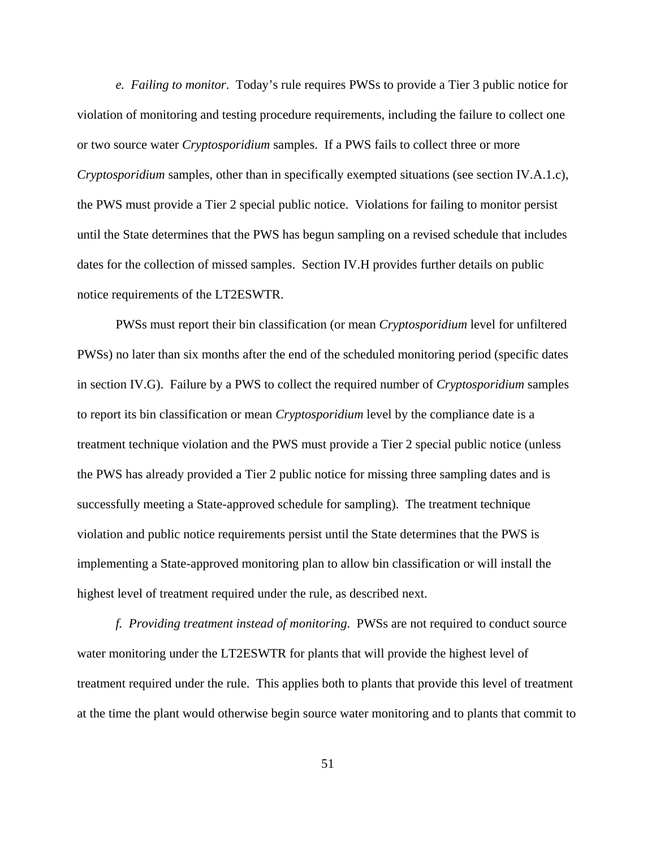*e. Failing to monitor*. Today's rule requires PWSs to provide a Tier 3 public notice for violation of monitoring and testing procedure requirements, including the failure to collect one or two source water *Cryptosporidium* samples. If a PWS fails to collect three or more *Cryptosporidium* samples, other than in specifically exempted situations (see section IV.A.1.c), the PWS must provide a Tier 2 special public notice. Violations for failing to monitor persist until the State determines that the PWS has begun sampling on a revised schedule that includes dates for the collection of missed samples. Section IV.H provides further details on public notice requirements of the LT2ESWTR.

PWSs must report their bin classification (or mean *Cryptosporidium* level for unfiltered PWSs) no later than six months after the end of the scheduled monitoring period (specific dates in section IV.G). Failure by a PWS to collect the required number of *Cryptosporidium* samples to report its bin classification or mean *Cryptosporidium* level by the compliance date is a treatment technique violation and the PWS must provide a Tier 2 special public notice (unless the PWS has already provided a Tier 2 public notice for missing three sampling dates and is successfully meeting a State-approved schedule for sampling). The treatment technique violation and public notice requirements persist until the State determines that the PWS is implementing a State-approved monitoring plan to allow bin classification or will install the highest level of treatment required under the rule, as described next.

*f. Providing treatment instead of monitoring*. PWSs are not required to conduct source water monitoring under the LT2ESWTR for plants that will provide the highest level of treatment required under the rule. This applies both to plants that provide this level of treatment at the time the plant would otherwise begin source water monitoring and to plants that commit to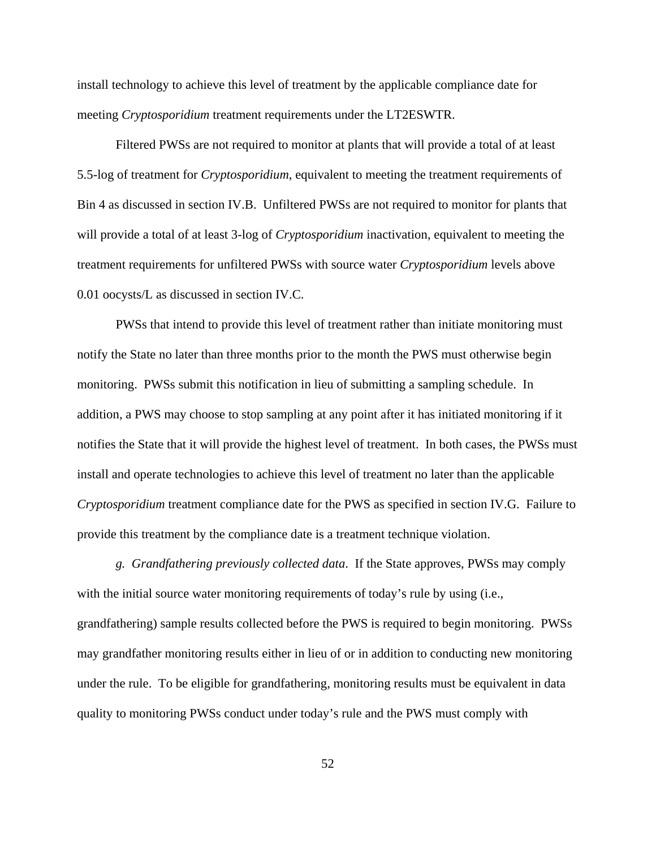install technology to achieve this level of treatment by the applicable compliance date for meeting *Cryptosporidium* treatment requirements under the LT2ESWTR.

Filtered PWSs are not required to monitor at plants that will provide a total of at least 5.5-log of treatment for *Cryptosporidium*, equivalent to meeting the treatment requirements of Bin 4 as discussed in section IV.B. Unfiltered PWSs are not required to monitor for plants that will provide a total of at least 3-log of *Cryptosporidium* inactivation, equivalent to meeting the treatment requirements for unfiltered PWSs with source water *Cryptosporidium* levels above 0.01 oocysts/L as discussed in section IV.C.

PWSs that intend to provide this level of treatment rather than initiate monitoring must notify the State no later than three months prior to the month the PWS must otherwise begin monitoring. PWSs submit this notification in lieu of submitting a sampling schedule. In addition, a PWS may choose to stop sampling at any point after it has initiated monitoring if it notifies the State that it will provide the highest level of treatment. In both cases, the PWSs must install and operate technologies to achieve this level of treatment no later than the applicable *Cryptosporidium* treatment compliance date for the PWS as specified in section IV.G. Failure to provide this treatment by the compliance date is a treatment technique violation.

*g. Grandfathering previously collected data*. If the State approves, PWSs may comply with the initial source water monitoring requirements of today's rule by using (i.e., grandfathering) sample results collected before the PWS is required to begin monitoring. PWSs may grandfather monitoring results either in lieu of or in addition to conducting new monitoring under the rule. To be eligible for grandfathering, monitoring results must be equivalent in data quality to monitoring PWSs conduct under today's rule and the PWS must comply with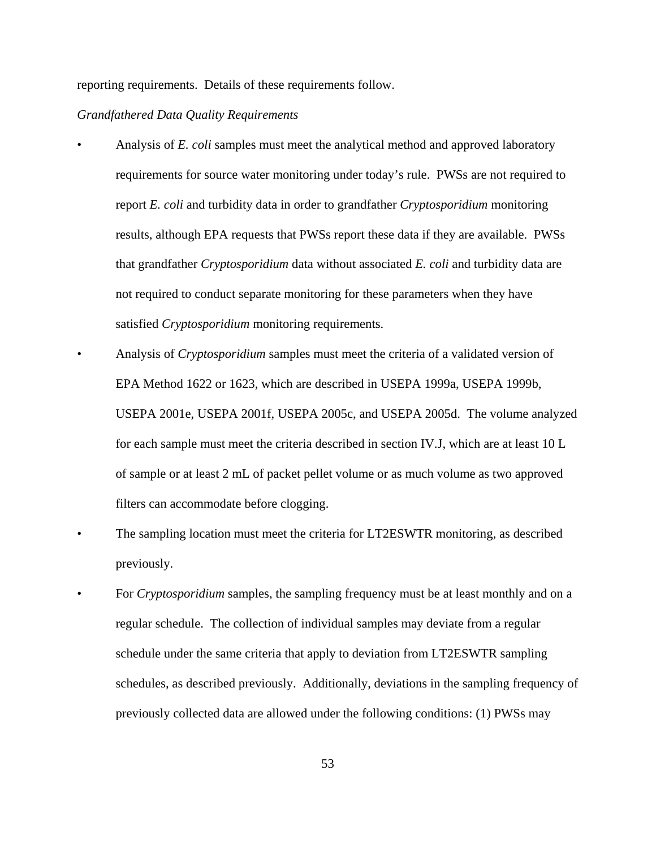reporting requirements. Details of these requirements follow.

# *Grandfathered Data Quality Requirements*

- Analysis of *E. coli* samples must meet the analytical method and approved laboratory requirements for source water monitoring under today's rule. PWSs are not required to report *E. coli* and turbidity data in order to grandfather *Cryptosporidium* monitoring results, although EPA requests that PWSs report these data if they are available. PWSs that grandfather *Cryptosporidium* data without associated *E. coli* and turbidity data are not required to conduct separate monitoring for these parameters when they have satisfied *Cryptosporidium* monitoring requirements.
- Analysis of *Cryptosporidium* samples must meet the criteria of a validated version of EPA Method 1622 or 1623, which are described in USEPA 1999a, USEPA 1999b, USEPA 2001e, USEPA 2001f, USEPA 2005c, and USEPA 2005d. The volume analyzed for each sample must meet the criteria described in section IV.J, which are at least 10 L of sample or at least 2 mL of packet pellet volume or as much volume as two approved filters can accommodate before clogging.
- The sampling location must meet the criteria for LT2ESWTR monitoring, as described previously.
- For *Cryptosporidium* samples, the sampling frequency must be at least monthly and on a regular schedule. The collection of individual samples may deviate from a regular schedule under the same criteria that apply to deviation from LT2ESWTR sampling schedules, as described previously. Additionally, deviations in the sampling frequency of previously collected data are allowed under the following conditions: (1) PWSs may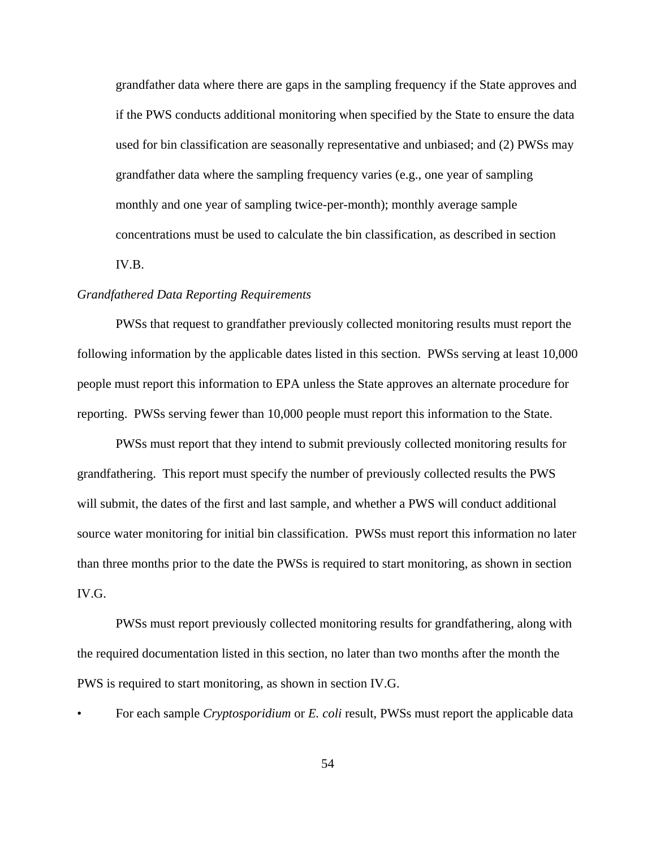grandfather data where there are gaps in the sampling frequency if the State approves and if the PWS conducts additional monitoring when specified by the State to ensure the data used for bin classification are seasonally representative and unbiased; and (2) PWSs may grandfather data where the sampling frequency varies (e.g., one year of sampling monthly and one year of sampling twice-per-month); monthly average sample concentrations must be used to calculate the bin classification, as described in section IV.B.

# *Grandfathered Data Reporting Requirements*

PWSs that request to grandfather previously collected monitoring results must report the following information by the applicable dates listed in this section. PWSs serving at least 10,000 people must report this information to EPA unless the State approves an alternate procedure for reporting. PWSs serving fewer than 10,000 people must report this information to the State.

PWSs must report that they intend to submit previously collected monitoring results for grandfathering. This report must specify the number of previously collected results the PWS will submit, the dates of the first and last sample, and whether a PWS will conduct additional source water monitoring for initial bin classification. PWSs must report this information no later than three months prior to the date the PWSs is required to start monitoring, as shown in section IV.G.

PWSs must report previously collected monitoring results for grandfathering, along with the required documentation listed in this section, no later than two months after the month the PWS is required to start monitoring, as shown in section IV.G.

• For each sample *Cryptosporidium* or *E. coli* result, PWSs must report the applicable data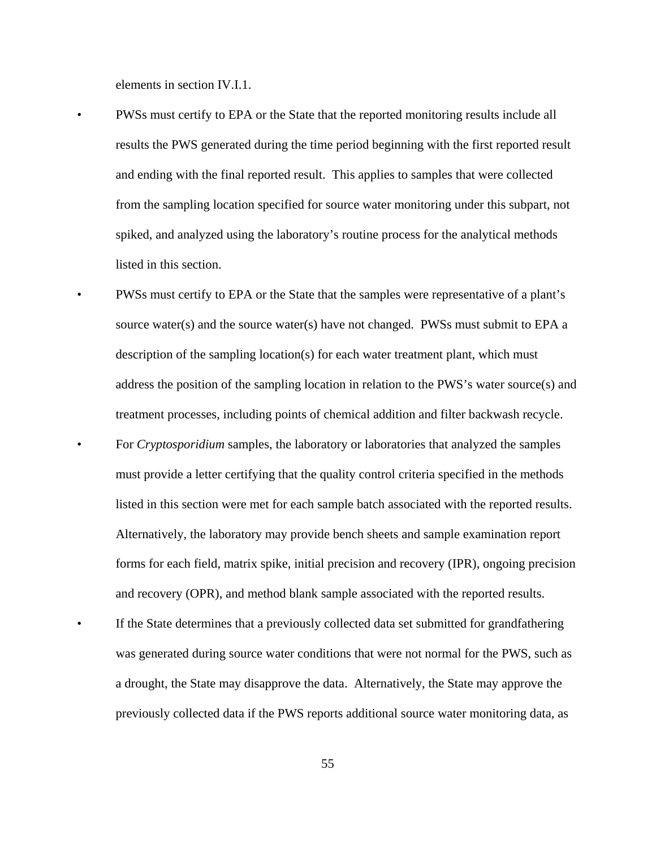elements in section IV.I.1.

- PWSs must certify to EPA or the State that the reported monitoring results include all results the PWS generated during the time period beginning with the first reported result and ending with the final reported result. This applies to samples that were collected from the sampling location specified for source water monitoring under this subpart, not spiked, and analyzed using the laboratory's routine process for the analytical methods listed in this section.
- PWSs must certify to EPA or the State that the samples were representative of a plant's source water(s) and the source water(s) have not changed. PWSs must submit to EPA a description of the sampling location(s) for each water treatment plant, which must address the position of the sampling location in relation to the PWS's water source(s) and treatment processes, including points of chemical addition and filter backwash recycle. • For *Cryptosporidium* samples, the laboratory or laboratories that analyzed the samples must provide a letter certifying that the quality control criteria specified in the methods listed in this section were met for each sample batch associated with the reported results. Alternatively, the laboratory may provide bench sheets and sample examination report forms for each field, matrix spike, initial precision and recovery (IPR), ongoing precision and recovery (OPR), and method blank sample associated with the reported results.
- If the State determines that a previously collected data set submitted for grandfathering was generated during source water conditions that were not normal for the PWS, such as a drought, the State may disapprove the data. Alternatively, the State may approve the previously collected data if the PWS reports additional source water monitoring data, as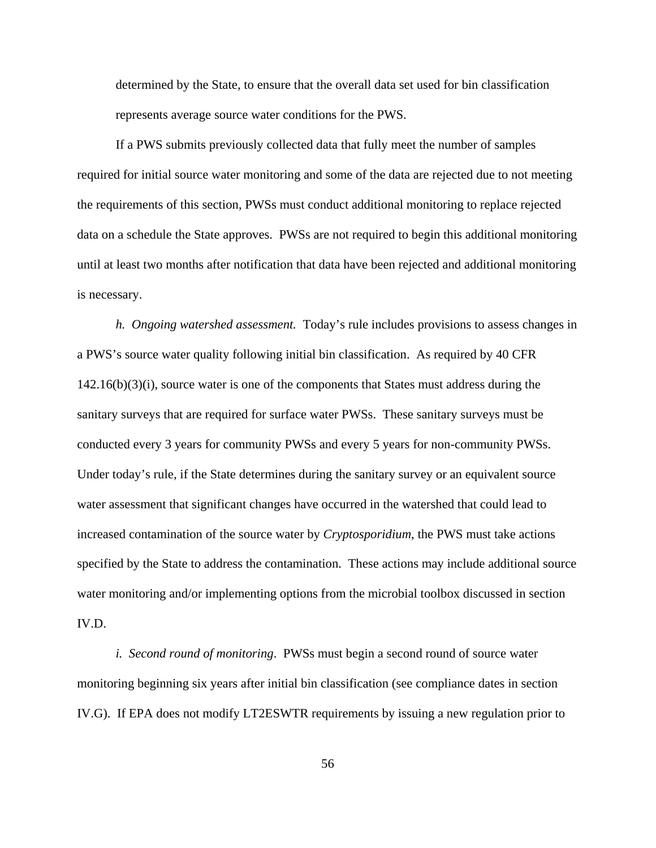determined by the State, to ensure that the overall data set used for bin classification represents average source water conditions for the PWS.

If a PWS submits previously collected data that fully meet the number of samples required for initial source water monitoring and some of the data are rejected due to not meeting the requirements of this section, PWSs must conduct additional monitoring to replace rejected data on a schedule the State approves. PWSs are not required to begin this additional monitoring until at least two months after notification that data have been rejected and additional monitoring is necessary.

*h. Ongoing watershed assessment.* Today's rule includes provisions to assess changes in a PWS's source water quality following initial bin classification. As required by 40 CFR 142.16(b)(3)(i), source water is one of the components that States must address during the sanitary surveys that are required for surface water PWSs. These sanitary surveys must be conducted every 3 years for community PWSs and every 5 years for non-community PWSs. Under today's rule, if the State determines during the sanitary survey or an equivalent source water assessment that significant changes have occurred in the watershed that could lead to increased contamination of the source water by *Cryptosporidium*, the PWS must take actions specified by the State to address the contamination. These actions may include additional source water monitoring and/or implementing options from the microbial toolbox discussed in section IV.D.

*i. Second round of monitoring*. PWSs must begin a second round of source water monitoring beginning six years after initial bin classification (see compliance dates in section IV.G). If EPA does not modify LT2ESWTR requirements by issuing a new regulation prior to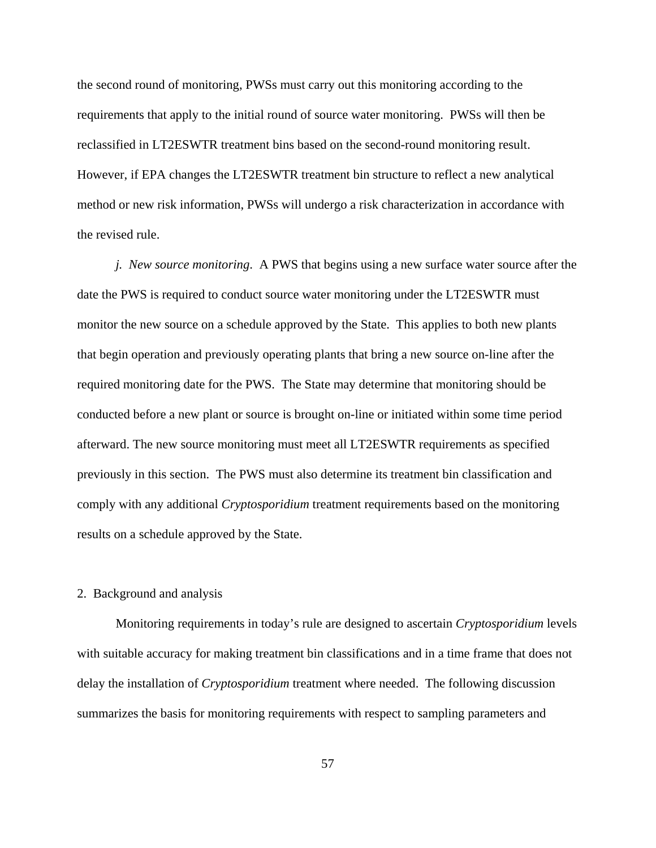the second round of monitoring, PWSs must carry out this monitoring according to the requirements that apply to the initial round of source water monitoring. PWSs will then be reclassified in LT2ESWTR treatment bins based on the second-round monitoring result. However, if EPA changes the LT2ESWTR treatment bin structure to reflect a new analytical method or new risk information, PWSs will undergo a risk characterization in accordance with the revised rule.

*j. New source monitoring*. A PWS that begins using a new surface water source after the date the PWS is required to conduct source water monitoring under the LT2ESWTR must monitor the new source on a schedule approved by the State. This applies to both new plants that begin operation and previously operating plants that bring a new source on-line after the required monitoring date for the PWS. The State may determine that monitoring should be conducted before a new plant or source is brought on-line or initiated within some time period afterward. The new source monitoring must meet all LT2ESWTR requirements as specified previously in this section. The PWS must also determine its treatment bin classification and comply with any additional *Cryptosporidium* treatment requirements based on the monitoring results on a schedule approved by the State.

# 2. Background and analysis

Monitoring requirements in today's rule are designed to ascertain *Cryptosporidium* levels with suitable accuracy for making treatment bin classifications and in a time frame that does not delay the installation of *Cryptosporidium* treatment where needed. The following discussion summarizes the basis for monitoring requirements with respect to sampling parameters and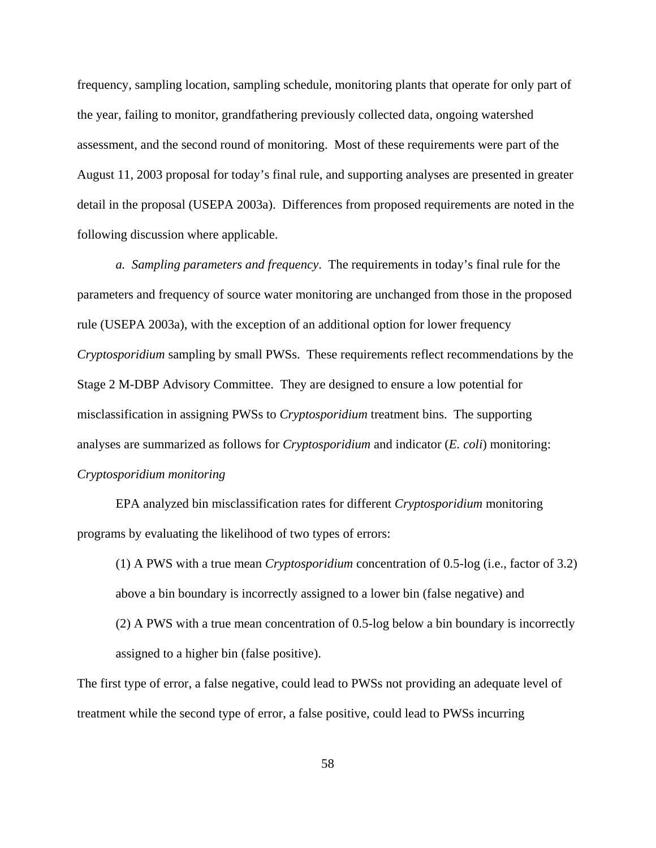frequency, sampling location, sampling schedule, monitoring plants that operate for only part of the year, failing to monitor, grandfathering previously collected data, ongoing watershed assessment, and the second round of monitoring. Most of these requirements were part of the August 11, 2003 proposal for today's final rule, and supporting analyses are presented in greater detail in the proposal (USEPA 2003a). Differences from proposed requirements are noted in the following discussion where applicable.

*a. Sampling parameters and frequency*. The requirements in today's final rule for the parameters and frequency of source water monitoring are unchanged from those in the proposed rule (USEPA 2003a), with the exception of an additional option for lower frequency *Cryptosporidium* sampling by small PWSs. These requirements reflect recommendations by the Stage 2 M-DBP Advisory Committee. They are designed to ensure a low potential for misclassification in assigning PWSs to *Cryptosporidium* treatment bins. The supporting analyses are summarized as follows for *Cryptosporidium* and indicator (*E. coli*) monitoring: *Cryptosporidium monitoring*

EPA analyzed bin misclassification rates for different *Cryptosporidium* monitoring programs by evaluating the likelihood of two types of errors:

(1) A PWS with a true mean *Cryptosporidium* concentration of 0.5-log (i.e., factor of 3.2) above a bin boundary is incorrectly assigned to a lower bin (false negative) and (2) A PWS with a true mean concentration of 0.5-log below a bin boundary is incorrectly assigned to a higher bin (false positive).

The first type of error, a false negative, could lead to PWSs not providing an adequate level of treatment while the second type of error, a false positive, could lead to PWSs incurring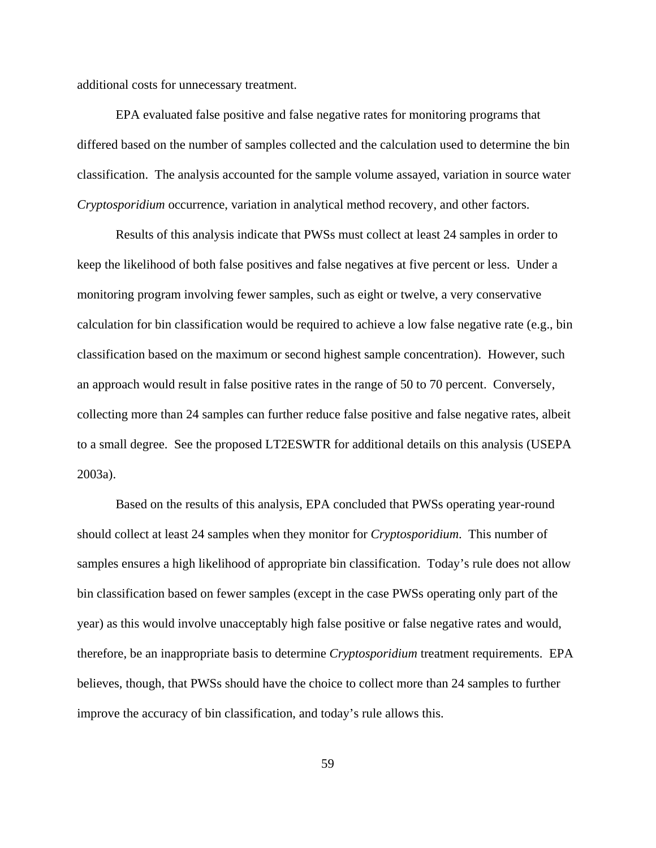additional costs for unnecessary treatment.

EPA evaluated false positive and false negative rates for monitoring programs that differed based on the number of samples collected and the calculation used to determine the bin classification. The analysis accounted for the sample volume assayed, variation in source water *Cryptosporidium* occurrence, variation in analytical method recovery, and other factors.

Results of this analysis indicate that PWSs must collect at least 24 samples in order to keep the likelihood of both false positives and false negatives at five percent or less. Under a monitoring program involving fewer samples, such as eight or twelve, a very conservative calculation for bin classification would be required to achieve a low false negative rate (e.g., bin classification based on the maximum or second highest sample concentration). However, such an approach would result in false positive rates in the range of 50 to 70 percent. Conversely, collecting more than 24 samples can further reduce false positive and false negative rates, albeit to a small degree. See the proposed LT2ESWTR for additional details on this analysis (USEPA 2003a).

Based on the results of this analysis, EPA concluded that PWSs operating year-round should collect at least 24 samples when they monitor for *Cryptosporidium*. This number of samples ensures a high likelihood of appropriate bin classification. Today's rule does not allow bin classification based on fewer samples (except in the case PWSs operating only part of the year) as this would involve unacceptably high false positive or false negative rates and would, therefore, be an inappropriate basis to determine *Cryptosporidium* treatment requirements. EPA believes, though, that PWSs should have the choice to collect more than 24 samples to further improve the accuracy of bin classification, and today's rule allows this.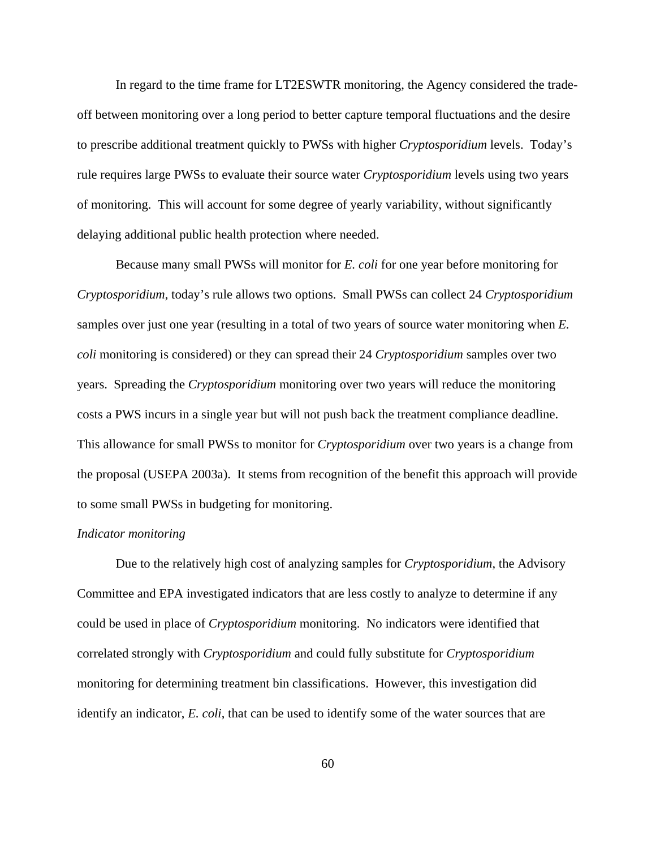In regard to the time frame for LT2ESWTR monitoring, the Agency considered the tradeoff between monitoring over a long period to better capture temporal fluctuations and the desire to prescribe additional treatment quickly to PWSs with higher *Cryptosporidium* levels. Today's rule requires large PWSs to evaluate their source water *Cryptosporidium* levels using two years of monitoring. This will account for some degree of yearly variability, without significantly delaying additional public health protection where needed.

Because many small PWSs will monitor for *E. coli* for one year before monitoring for *Cryptosporidium*, today's rule allows two options. Small PWSs can collect 24 *Cryptosporidium* samples over just one year (resulting in a total of two years of source water monitoring when *E. coli* monitoring is considered) or they can spread their 24 *Cryptosporidium* samples over two years. Spreading the *Cryptosporidium* monitoring over two years will reduce the monitoring costs a PWS incurs in a single year but will not push back the treatment compliance deadline. This allowance for small PWSs to monitor for *Cryptosporidium* over two years is a change from the proposal (USEPA 2003a). It stems from recognition of the benefit this approach will provide to some small PWSs in budgeting for monitoring.

#### *Indicator monitoring*

Due to the relatively high cost of analyzing samples for *Cryptosporidium*, the Advisory Committee and EPA investigated indicators that are less costly to analyze to determine if any could be used in place of *Cryptosporidium* monitoring. No indicators were identified that correlated strongly with *Cryptosporidium* and could fully substitute for *Cryptosporidium* monitoring for determining treatment bin classifications. However, this investigation did identify an indicator, *E. coli*, that can be used to identify some of the water sources that are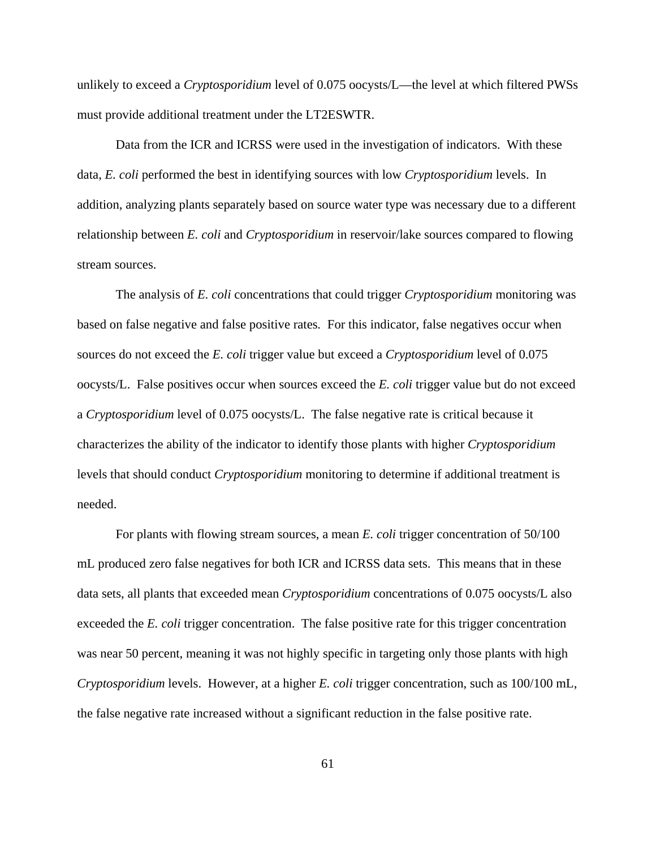unlikely to exceed a *Cryptosporidium* level of 0.075 oocysts/L—the level at which filtered PWSs must provide additional treatment under the LT2ESWTR.

Data from the ICR and ICRSS were used in the investigation of indicators. With these data, *E. coli* performed the best in identifying sources with low *Cryptosporidium* levels. In addition, analyzing plants separately based on source water type was necessary due to a different relationship between *E. coli* and *Cryptosporidium* in reservoir/lake sources compared to flowing stream sources.

The analysis of *E. coli* concentrations that could trigger *Cryptosporidium* monitoring was based on false negative and false positive rates*.* For this indicator, false negatives occur when sources do not exceed the *E. coli* trigger value but exceed a *Cryptosporidium* level of 0.075 oocysts/L. False positives occur when sources exceed the *E. coli* trigger value but do not exceed a *Cryptosporidium* level of 0.075 oocysts/L. The false negative rate is critical because it characterizes the ability of the indicator to identify those plants with higher *Cryptosporidium* levels that should conduct *Cryptosporidium* monitoring to determine if additional treatment is needed.

For plants with flowing stream sources, a mean *E. coli* trigger concentration of 50/100 mL produced zero false negatives for both ICR and ICRSS data sets. This means that in these data sets, all plants that exceeded mean *Cryptosporidium* concentrations of 0.075 oocysts/L also exceeded the *E. coli* trigger concentration. The false positive rate for this trigger concentration was near 50 percent, meaning it was not highly specific in targeting only those plants with high *Cryptosporidium* levels. However, at a higher *E. coli* trigger concentration, such as 100/100 mL, the false negative rate increased without a significant reduction in the false positive rate.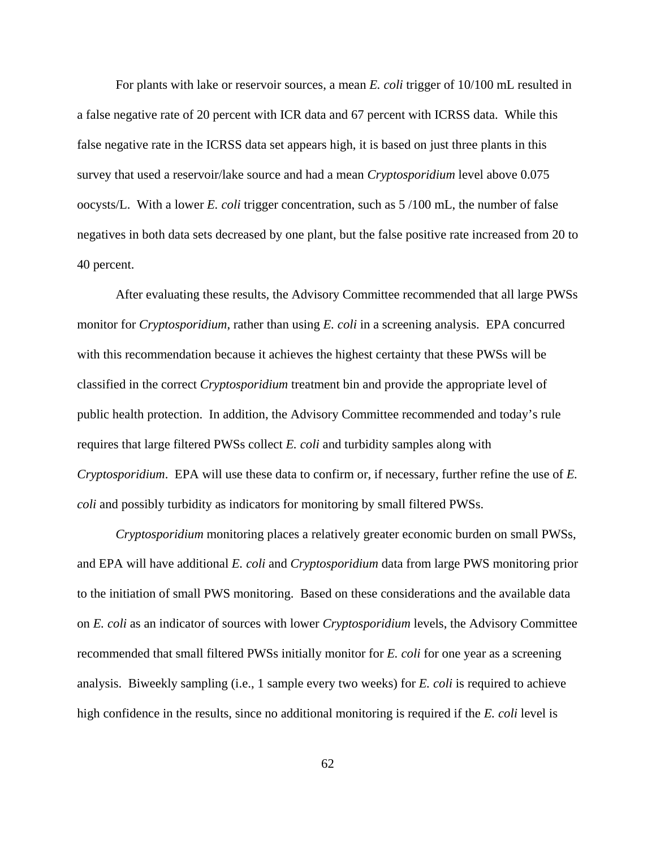For plants with lake or reservoir sources, a mean *E. coli* trigger of 10/100 mL resulted in a false negative rate of 20 percent with ICR data and 67 percent with ICRSS data. While this false negative rate in the ICRSS data set appears high, it is based on just three plants in this survey that used a reservoir/lake source and had a mean *Cryptosporidium* level above 0.075 oocysts/L. With a lower *E. coli* trigger concentration, such as 5 /100 mL, the number of false negatives in both data sets decreased by one plant, but the false positive rate increased from 20 to 40 percent.

After evaluating these results, the Advisory Committee recommended that all large PWSs monitor for *Cryptosporidium*, rather than using *E. coli* in a screening analysis. EPA concurred with this recommendation because it achieves the highest certainty that these PWSs will be classified in the correct *Cryptosporidium* treatment bin and provide the appropriate level of public health protection. In addition, the Advisory Committee recommended and today's rule requires that large filtered PWSs collect *E. coli* and turbidity samples along with *Cryptosporidium*. EPA will use these data to confirm or, if necessary, further refine the use of *E. coli* and possibly turbidity as indicators for monitoring by small filtered PWSs.

*Cryptosporidium* monitoring places a relatively greater economic burden on small PWSs, and EPA will have additional *E. coli* and *Cryptosporidium* data from large PWS monitoring prior to the initiation of small PWS monitoring. Based on these considerations and the available data on *E. coli* as an indicator of sources with lower *Cryptosporidium* levels, the Advisory Committee recommended that small filtered PWSs initially monitor for *E. coli* for one year as a screening analysis. Biweekly sampling (i.e., 1 sample every two weeks) for *E. coli* is required to achieve high confidence in the results, since no additional monitoring is required if the *E. coli* level is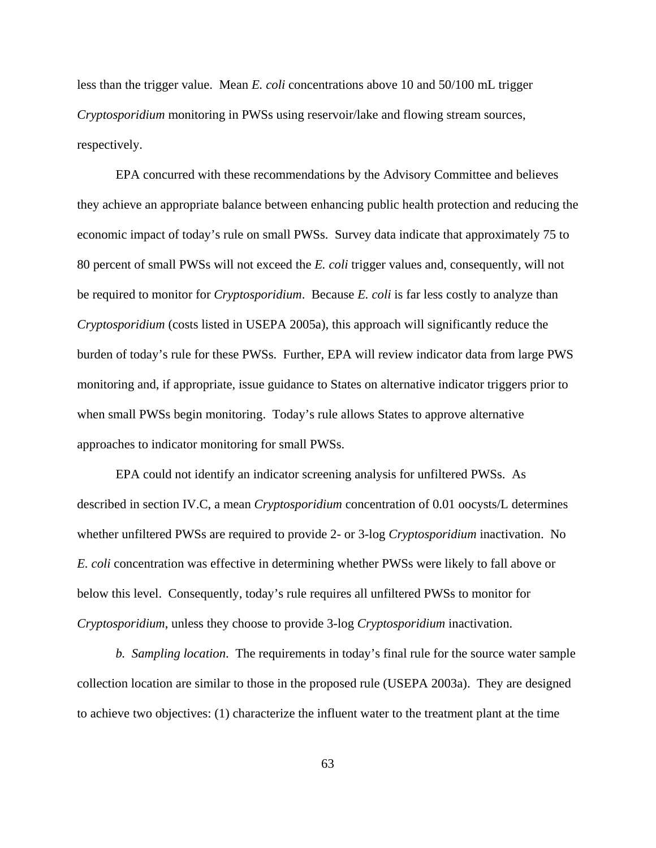less than the trigger value. Mean *E. coli* concentrations above 10 and 50/100 mL trigger *Cryptosporidium* monitoring in PWSs using reservoir/lake and flowing stream sources, respectively.

EPA concurred with these recommendations by the Advisory Committee and believes they achieve an appropriate balance between enhancing public health protection and reducing the economic impact of today's rule on small PWSs. Survey data indicate that approximately 75 to 80 percent of small PWSs will not exceed the *E. coli* trigger values and, consequently, will not be required to monitor for *Cryptosporidium*. Because *E. coli* is far less costly to analyze than *Cryptosporidium* (costs listed in USEPA 2005a), this approach will significantly reduce the burden of today's rule for these PWSs. Further, EPA will review indicator data from large PWS monitoring and, if appropriate, issue guidance to States on alternative indicator triggers prior to when small PWSs begin monitoring. Today's rule allows States to approve alternative approaches to indicator monitoring for small PWSs.

EPA could not identify an indicator screening analysis for unfiltered PWSs. As described in section IV.C, a mean *Cryptosporidium* concentration of 0.01 oocysts/L determines whether unfiltered PWSs are required to provide 2- or 3-log *Cryptosporidium* inactivation. No *E. coli* concentration was effective in determining whether PWSs were likely to fall above or below this level. Consequently, today's rule requires all unfiltered PWSs to monitor for *Cryptosporidium*, unless they choose to provide 3-log *Cryptosporidium* inactivation.

*b. Sampling location*. The requirements in today's final rule for the source water sample collection location are similar to those in the proposed rule (USEPA 2003a). They are designed to achieve two objectives: (1) characterize the influent water to the treatment plant at the time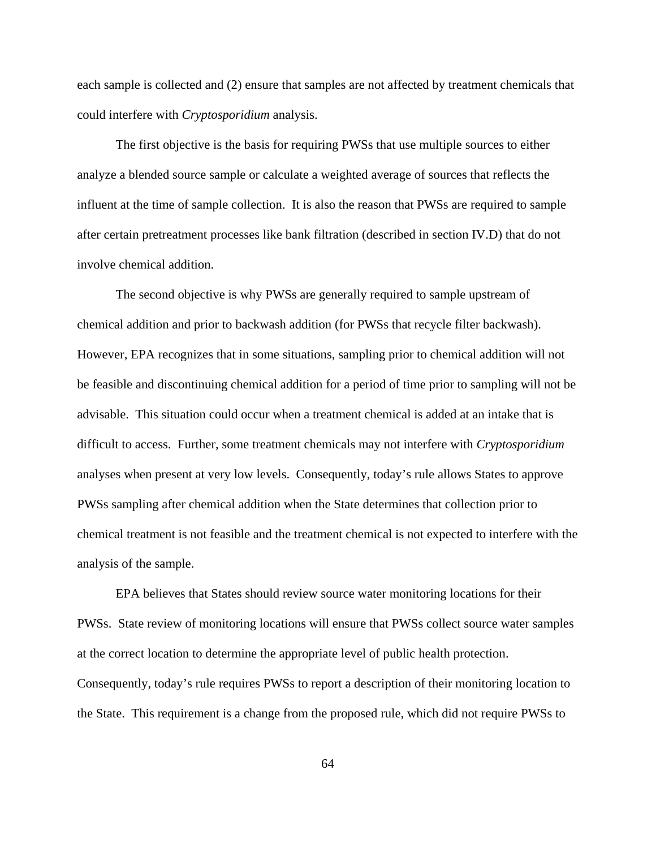each sample is collected and (2) ensure that samples are not affected by treatment chemicals that could interfere with *Cryptosporidium* analysis.

The first objective is the basis for requiring PWSs that use multiple sources to either analyze a blended source sample or calculate a weighted average of sources that reflects the influent at the time of sample collection. It is also the reason that PWSs are required to sample after certain pretreatment processes like bank filtration (described in section IV.D) that do not involve chemical addition.

The second objective is why PWSs are generally required to sample upstream of chemical addition and prior to backwash addition (for PWSs that recycle filter backwash). However, EPA recognizes that in some situations, sampling prior to chemical addition will not be feasible and discontinuing chemical addition for a period of time prior to sampling will not be advisable. This situation could occur when a treatment chemical is added at an intake that is difficult to access. Further, some treatment chemicals may not interfere with *Cryptosporidium* analyses when present at very low levels. Consequently, today's rule allows States to approve PWSs sampling after chemical addition when the State determines that collection prior to chemical treatment is not feasible and the treatment chemical is not expected to interfere with the analysis of the sample.

EPA believes that States should review source water monitoring locations for their PWSs. State review of monitoring locations will ensure that PWSs collect source water samples at the correct location to determine the appropriate level of public health protection. Consequently, today's rule requires PWSs to report a description of their monitoring location to the State. This requirement is a change from the proposed rule, which did not require PWSs to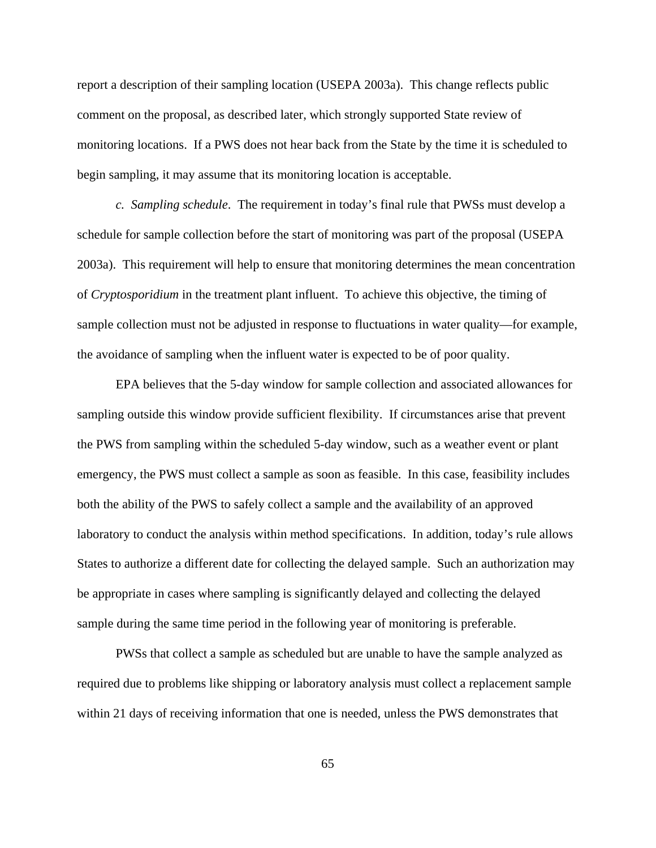report a description of their sampling location (USEPA 2003a). This change reflects public comment on the proposal, as described later, which strongly supported State review of monitoring locations. If a PWS does not hear back from the State by the time it is scheduled to begin sampling, it may assume that its monitoring location is acceptable.

*c. Sampling schedule*. The requirement in today's final rule that PWSs must develop a schedule for sample collection before the start of monitoring was part of the proposal (USEPA 2003a). This requirement will help to ensure that monitoring determines the mean concentration of *Cryptosporidium* in the treatment plant influent. To achieve this objective, the timing of sample collection must not be adjusted in response to fluctuations in water quality—for example, the avoidance of sampling when the influent water is expected to be of poor quality.

EPA believes that the 5-day window for sample collection and associated allowances for sampling outside this window provide sufficient flexibility. If circumstances arise that prevent the PWS from sampling within the scheduled 5-day window, such as a weather event or plant emergency, the PWS must collect a sample as soon as feasible. In this case, feasibility includes both the ability of the PWS to safely collect a sample and the availability of an approved laboratory to conduct the analysis within method specifications. In addition, today's rule allows States to authorize a different date for collecting the delayed sample. Such an authorization may be appropriate in cases where sampling is significantly delayed and collecting the delayed sample during the same time period in the following year of monitoring is preferable.

PWSs that collect a sample as scheduled but are unable to have the sample analyzed as required due to problems like shipping or laboratory analysis must collect a replacement sample within 21 days of receiving information that one is needed, unless the PWS demonstrates that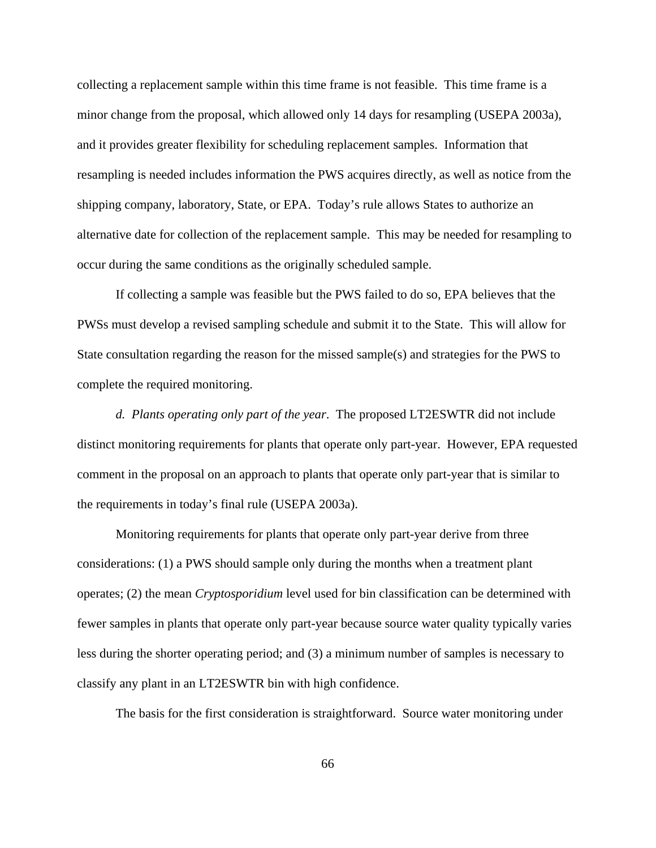collecting a replacement sample within this time frame is not feasible. This time frame is a minor change from the proposal, which allowed only 14 days for resampling (USEPA 2003a), and it provides greater flexibility for scheduling replacement samples. Information that resampling is needed includes information the PWS acquires directly, as well as notice from the shipping company, laboratory, State, or EPA. Today's rule allows States to authorize an alternative date for collection of the replacement sample. This may be needed for resampling to occur during the same conditions as the originally scheduled sample.

If collecting a sample was feasible but the PWS failed to do so, EPA believes that the PWSs must develop a revised sampling schedule and submit it to the State. This will allow for State consultation regarding the reason for the missed sample(s) and strategies for the PWS to complete the required monitoring.

*d. Plants operating only part of the year*. The proposed LT2ESWTR did not include distinct monitoring requirements for plants that operate only part-year. However, EPA requested comment in the proposal on an approach to plants that operate only part-year that is similar to the requirements in today's final rule (USEPA 2003a).

Monitoring requirements for plants that operate only part-year derive from three considerations: (1) a PWS should sample only during the months when a treatment plant operates; (2) the mean *Cryptosporidium* level used for bin classification can be determined with fewer samples in plants that operate only part-year because source water quality typically varies less during the shorter operating period; and (3) a minimum number of samples is necessary to classify any plant in an LT2ESWTR bin with high confidence.

The basis for the first consideration is straightforward. Source water monitoring under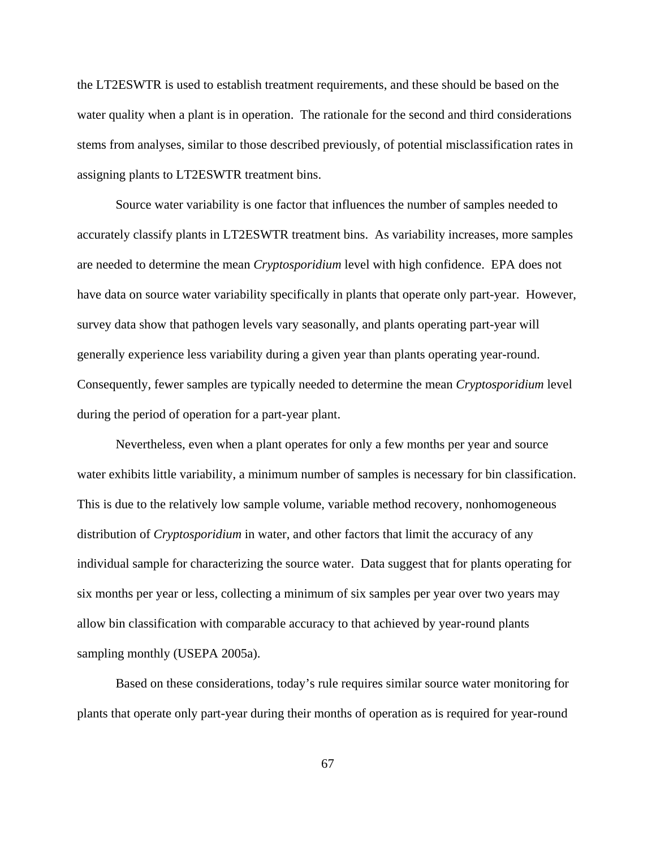the LT2ESWTR is used to establish treatment requirements, and these should be based on the water quality when a plant is in operation. The rationale for the second and third considerations stems from analyses, similar to those described previously, of potential misclassification rates in assigning plants to LT2ESWTR treatment bins.

Source water variability is one factor that influences the number of samples needed to accurately classify plants in LT2ESWTR treatment bins. As variability increases, more samples are needed to determine the mean *Cryptosporidium* level with high confidence. EPA does not have data on source water variability specifically in plants that operate only part-year. However, survey data show that pathogen levels vary seasonally, and plants operating part-year will generally experience less variability during a given year than plants operating year-round. Consequently, fewer samples are typically needed to determine the mean *Cryptosporidium* level during the period of operation for a part-year plant.

Nevertheless, even when a plant operates for only a few months per year and source water exhibits little variability, a minimum number of samples is necessary for bin classification. This is due to the relatively low sample volume, variable method recovery, nonhomogeneous distribution of *Cryptosporidium* in water, and other factors that limit the accuracy of any individual sample for characterizing the source water. Data suggest that for plants operating for six months per year or less, collecting a minimum of six samples per year over two years may allow bin classification with comparable accuracy to that achieved by year-round plants sampling monthly (USEPA 2005a).

Based on these considerations, today's rule requires similar source water monitoring for plants that operate only part-year during their months of operation as is required for year-round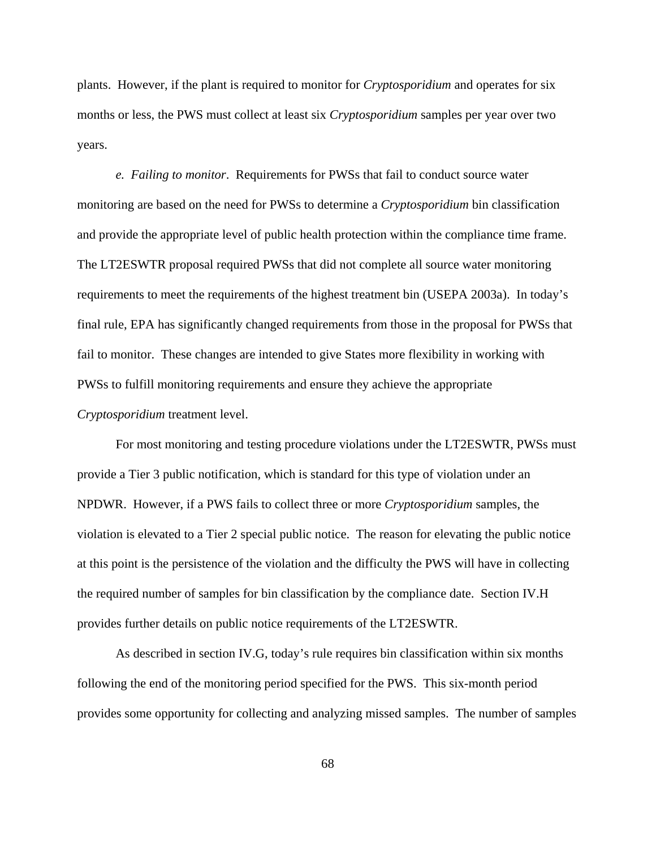plants. However, if the plant is required to monitor for *Cryptosporidium* and operates for six months or less, the PWS must collect at least six *Cryptosporidium* samples per year over two years.

*e. Failing to monitor*. Requirements for PWSs that fail to conduct source water monitoring are based on the need for PWSs to determine a *Cryptosporidium* bin classification and provide the appropriate level of public health protection within the compliance time frame. The LT2ESWTR proposal required PWSs that did not complete all source water monitoring requirements to meet the requirements of the highest treatment bin (USEPA 2003a). In today's final rule, EPA has significantly changed requirements from those in the proposal for PWSs that fail to monitor. These changes are intended to give States more flexibility in working with PWSs to fulfill monitoring requirements and ensure they achieve the appropriate *Cryptosporidium* treatment level.

For most monitoring and testing procedure violations under the LT2ESWTR, PWSs must provide a Tier 3 public notification, which is standard for this type of violation under an NPDWR. However, if a PWS fails to collect three or more *Cryptosporidium* samples, the violation is elevated to a Tier 2 special public notice. The reason for elevating the public notice at this point is the persistence of the violation and the difficulty the PWS will have in collecting the required number of samples for bin classification by the compliance date. Section IV.H provides further details on public notice requirements of the LT2ESWTR.

As described in section IV.G, today's rule requires bin classification within six months following the end of the monitoring period specified for the PWS. This six-month period provides some opportunity for collecting and analyzing missed samples. The number of samples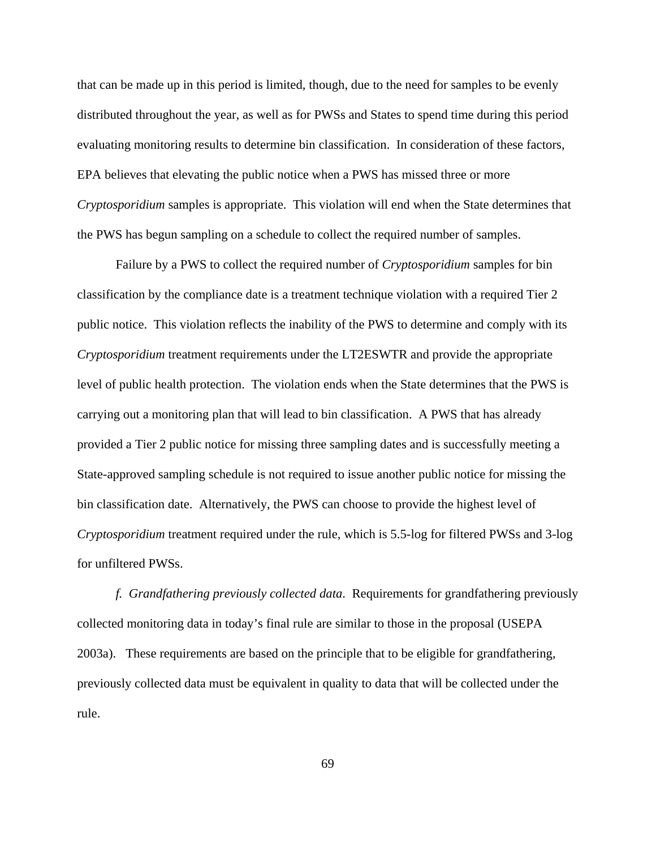that can be made up in this period is limited, though, due to the need for samples to be evenly distributed throughout the year, as well as for PWSs and States to spend time during this period evaluating monitoring results to determine bin classification. In consideration of these factors, EPA believes that elevating the public notice when a PWS has missed three or more *Cryptosporidium* samples is appropriate. This violation will end when the State determines that the PWS has begun sampling on a schedule to collect the required number of samples.

Failure by a PWS to collect the required number of *Cryptosporidium* samples for bin classification by the compliance date is a treatment technique violation with a required Tier 2 public notice. This violation reflects the inability of the PWS to determine and comply with its *Cryptosporidium* treatment requirements under the LT2ESWTR and provide the appropriate level of public health protection. The violation ends when the State determines that the PWS is carrying out a monitoring plan that will lead to bin classification. A PWS that has already provided a Tier 2 public notice for missing three sampling dates and is successfully meeting a State-approved sampling schedule is not required to issue another public notice for missing the bin classification date. Alternatively, the PWS can choose to provide the highest level of *Cryptosporidium* treatment required under the rule, which is 5.5-log for filtered PWSs and 3-log for unfiltered PWSs.

*f. Grandfathering previously collected data*. Requirements for grandfathering previously collected monitoring data in today's final rule are similar to those in the proposal (USEPA 2003a). These requirements are based on the principle that to be eligible for grandfathering, previously collected data must be equivalent in quality to data that will be collected under the rule.

69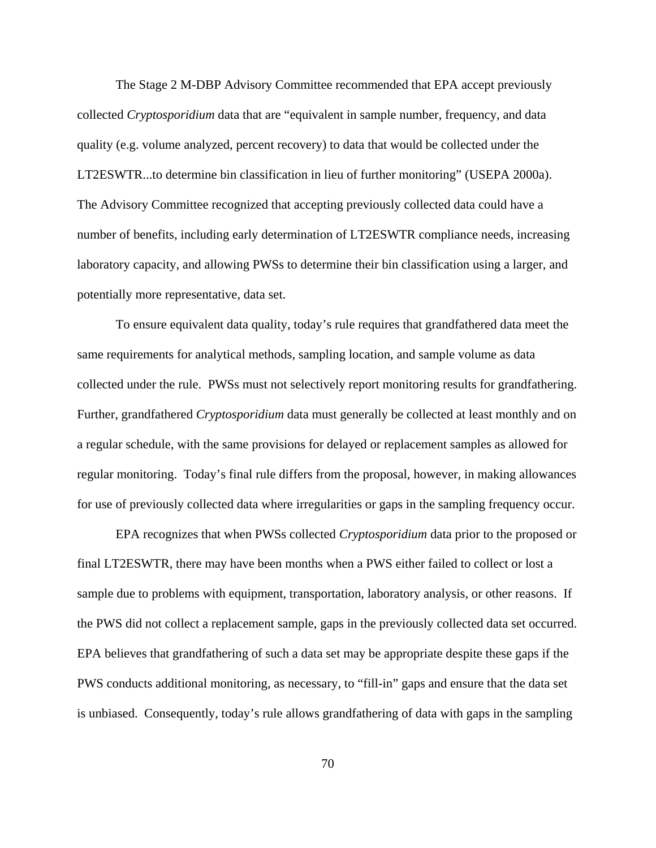The Stage 2 M-DBP Advisory Committee recommended that EPA accept previously collected *Cryptosporidium* data that are "equivalent in sample number, frequency, and data quality (e.g. volume analyzed, percent recovery) to data that would be collected under the LT2ESWTR...to determine bin classification in lieu of further monitoring" (USEPA 2000a). The Advisory Committee recognized that accepting previously collected data could have a number of benefits, including early determination of LT2ESWTR compliance needs, increasing laboratory capacity, and allowing PWSs to determine their bin classification using a larger, and potentially more representative, data set.

To ensure equivalent data quality, today's rule requires that grandfathered data meet the same requirements for analytical methods, sampling location, and sample volume as data collected under the rule. PWSs must not selectively report monitoring results for grandfathering. Further, grandfathered *Cryptosporidium* data must generally be collected at least monthly and on a regular schedule, with the same provisions for delayed or replacement samples as allowed for regular monitoring. Today's final rule differs from the proposal, however, in making allowances for use of previously collected data where irregularities or gaps in the sampling frequency occur.

EPA recognizes that when PWSs collected *Cryptosporidium* data prior to the proposed or final LT2ESWTR, there may have been months when a PWS either failed to collect or lost a sample due to problems with equipment, transportation, laboratory analysis, or other reasons. If the PWS did not collect a replacement sample, gaps in the previously collected data set occurred. EPA believes that grandfathering of such a data set may be appropriate despite these gaps if the PWS conducts additional monitoring, as necessary, to "fill-in" gaps and ensure that the data set is unbiased. Consequently, today's rule allows grandfathering of data with gaps in the sampling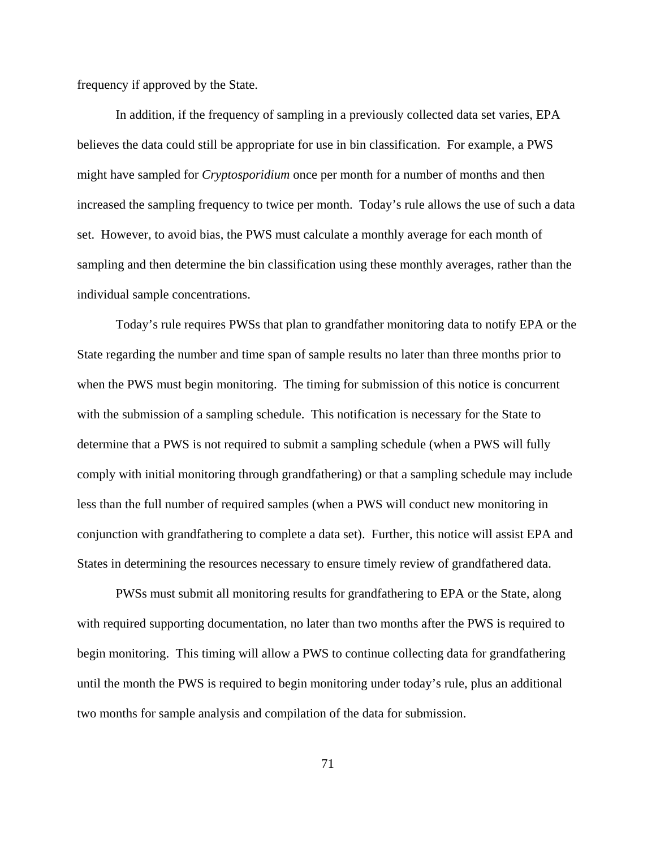frequency if approved by the State.

In addition, if the frequency of sampling in a previously collected data set varies, EPA believes the data could still be appropriate for use in bin classification. For example, a PWS might have sampled for *Cryptosporidium* once per month for a number of months and then increased the sampling frequency to twice per month. Today's rule allows the use of such a data set. However, to avoid bias, the PWS must calculate a monthly average for each month of sampling and then determine the bin classification using these monthly averages, rather than the individual sample concentrations.

Today's rule requires PWSs that plan to grandfather monitoring data to notify EPA or the State regarding the number and time span of sample results no later than three months prior to when the PWS must begin monitoring. The timing for submission of this notice is concurrent with the submission of a sampling schedule. This notification is necessary for the State to determine that a PWS is not required to submit a sampling schedule (when a PWS will fully comply with initial monitoring through grandfathering) or that a sampling schedule may include less than the full number of required samples (when a PWS will conduct new monitoring in conjunction with grandfathering to complete a data set). Further, this notice will assist EPA and States in determining the resources necessary to ensure timely review of grandfathered data.

PWSs must submit all monitoring results for grandfathering to EPA or the State, along with required supporting documentation, no later than two months after the PWS is required to begin monitoring. This timing will allow a PWS to continue collecting data for grandfathering until the month the PWS is required to begin monitoring under today's rule, plus an additional two months for sample analysis and compilation of the data for submission.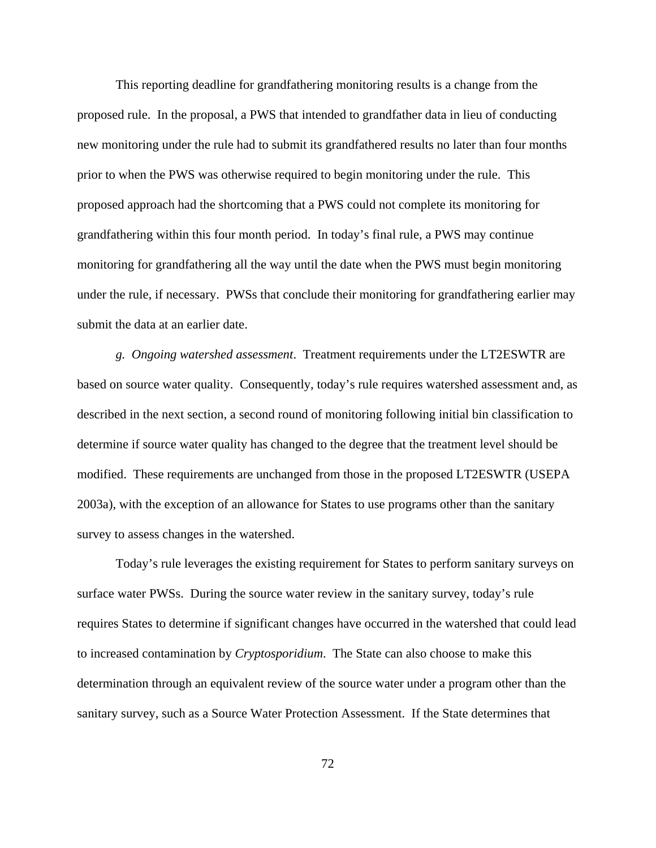This reporting deadline for grandfathering monitoring results is a change from the proposed rule. In the proposal, a PWS that intended to grandfather data in lieu of conducting new monitoring under the rule had to submit its grandfathered results no later than four months prior to when the PWS was otherwise required to begin monitoring under the rule. This proposed approach had the shortcoming that a PWS could not complete its monitoring for grandfathering within this four month period. In today's final rule, a PWS may continue monitoring for grandfathering all the way until the date when the PWS must begin monitoring under the rule, if necessary. PWSs that conclude their monitoring for grandfathering earlier may submit the data at an earlier date.

*g. Ongoing watershed assessment*. Treatment requirements under the LT2ESWTR are based on source water quality. Consequently, today's rule requires watershed assessment and, as described in the next section, a second round of monitoring following initial bin classification to determine if source water quality has changed to the degree that the treatment level should be modified. These requirements are unchanged from those in the proposed LT2ESWTR (USEPA 2003a), with the exception of an allowance for States to use programs other than the sanitary survey to assess changes in the watershed.

Today's rule leverages the existing requirement for States to perform sanitary surveys on surface water PWSs. During the source water review in the sanitary survey, today's rule requires States to determine if significant changes have occurred in the watershed that could lead to increased contamination by *Cryptosporidium*. The State can also choose to make this determination through an equivalent review of the source water under a program other than the sanitary survey, such as a Source Water Protection Assessment. If the State determines that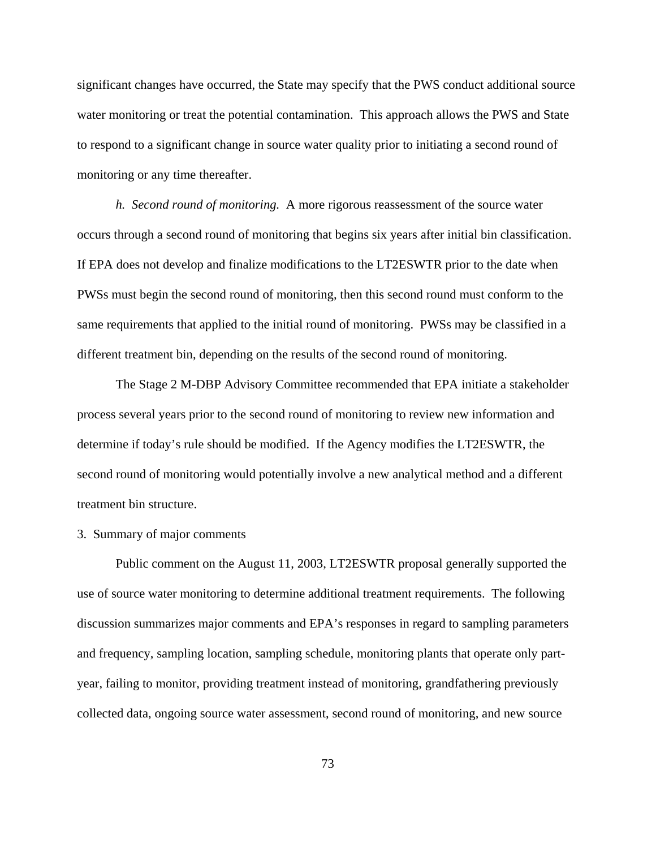significant changes have occurred, the State may specify that the PWS conduct additional source water monitoring or treat the potential contamination. This approach allows the PWS and State to respond to a significant change in source water quality prior to initiating a second round of monitoring or any time thereafter.

*h. Second round of monitoring.* A more rigorous reassessment of the source water occurs through a second round of monitoring that begins six years after initial bin classification. If EPA does not develop and finalize modifications to the LT2ESWTR prior to the date when PWSs must begin the second round of monitoring, then this second round must conform to the same requirements that applied to the initial round of monitoring. PWSs may be classified in a different treatment bin, depending on the results of the second round of monitoring.

The Stage 2 M-DBP Advisory Committee recommended that EPA initiate a stakeholder process several years prior to the second round of monitoring to review new information and determine if today's rule should be modified. If the Agency modifies the LT2ESWTR, the second round of monitoring would potentially involve a new analytical method and a different treatment bin structure.

#### 3. Summary of major comments

Public comment on the August 11, 2003, LT2ESWTR proposal generally supported the use of source water monitoring to determine additional treatment requirements. The following discussion summarizes major comments and EPA's responses in regard to sampling parameters and frequency, sampling location, sampling schedule, monitoring plants that operate only partyear, failing to monitor, providing treatment instead of monitoring, grandfathering previously collected data, ongoing source water assessment, second round of monitoring, and new source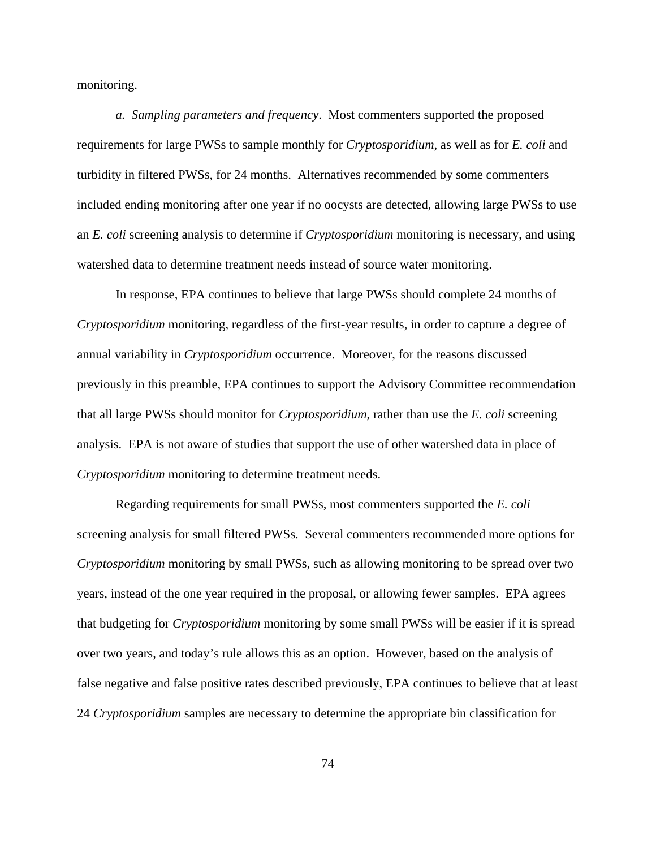monitoring.

*a. Sampling parameters and frequency*. Most commenters supported the proposed requirements for large PWSs to sample monthly for *Cryptosporidium*, as well as for *E. coli* and turbidity in filtered PWSs, for 24 months. Alternatives recommended by some commenters included ending monitoring after one year if no oocysts are detected, allowing large PWSs to use an *E. coli* screening analysis to determine if *Cryptosporidium* monitoring is necessary, and using watershed data to determine treatment needs instead of source water monitoring.

In response, EPA continues to believe that large PWSs should complete 24 months of *Cryptosporidium* monitoring, regardless of the first-year results, in order to capture a degree of annual variability in *Cryptosporidium* occurrence. Moreover, for the reasons discussed previously in this preamble, EPA continues to support the Advisory Committee recommendation that all large PWSs should monitor for *Cryptosporidium*, rather than use the *E. coli* screening analysis. EPA is not aware of studies that support the use of other watershed data in place of *Cryptosporidium* monitoring to determine treatment needs.

Regarding requirements for small PWSs, most commenters supported the *E. coli* screening analysis for small filtered PWSs. Several commenters recommended more options for *Cryptosporidium* monitoring by small PWSs, such as allowing monitoring to be spread over two years, instead of the one year required in the proposal, or allowing fewer samples. EPA agrees that budgeting for *Cryptosporidium* monitoring by some small PWSs will be easier if it is spread over two years, and today's rule allows this as an option. However, based on the analysis of false negative and false positive rates described previously, EPA continues to believe that at least 24 *Cryptosporidium* samples are necessary to determine the appropriate bin classification for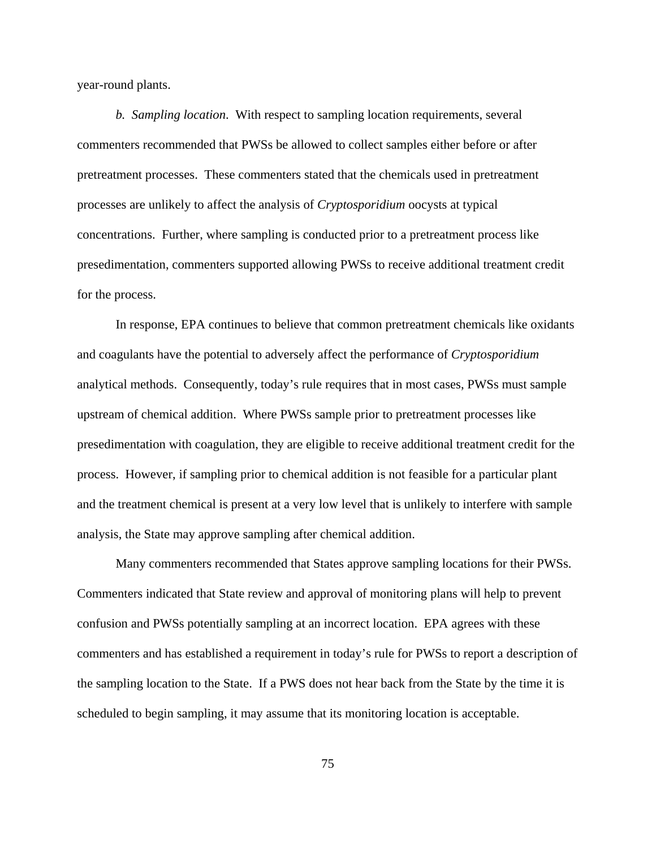year-round plants.

*b. Sampling location*. With respect to sampling location requirements, several commenters recommended that PWSs be allowed to collect samples either before or after pretreatment processes. These commenters stated that the chemicals used in pretreatment processes are unlikely to affect the analysis of *Cryptosporidium* oocysts at typical concentrations. Further, where sampling is conducted prior to a pretreatment process like presedimentation, commenters supported allowing PWSs to receive additional treatment credit for the process.

In response, EPA continues to believe that common pretreatment chemicals like oxidants and coagulants have the potential to adversely affect the performance of *Cryptosporidium* analytical methods. Consequently, today's rule requires that in most cases, PWSs must sample upstream of chemical addition. Where PWSs sample prior to pretreatment processes like presedimentation with coagulation, they are eligible to receive additional treatment credit for the process. However, if sampling prior to chemical addition is not feasible for a particular plant and the treatment chemical is present at a very low level that is unlikely to interfere with sample analysis, the State may approve sampling after chemical addition.

Many commenters recommended that States approve sampling locations for their PWSs. Commenters indicated that State review and approval of monitoring plans will help to prevent confusion and PWSs potentially sampling at an incorrect location. EPA agrees with these commenters and has established a requirement in today's rule for PWSs to report a description of the sampling location to the State. If a PWS does not hear back from the State by the time it is scheduled to begin sampling, it may assume that its monitoring location is acceptable.

75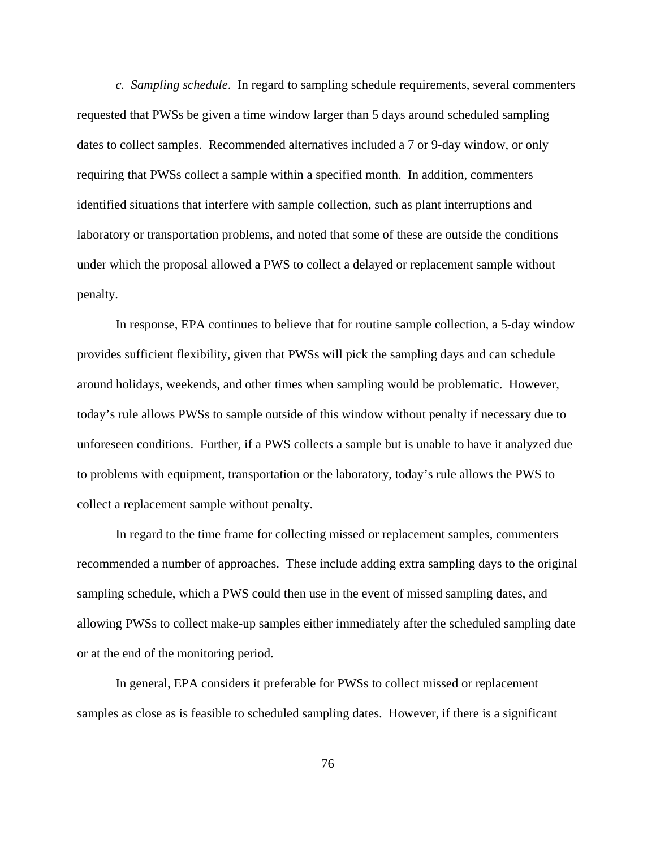*c. Sampling schedule*. In regard to sampling schedule requirements, several commenters requested that PWSs be given a time window larger than 5 days around scheduled sampling dates to collect samples. Recommended alternatives included a 7 or 9-day window, or only requiring that PWSs collect a sample within a specified month. In addition, commenters identified situations that interfere with sample collection, such as plant interruptions and laboratory or transportation problems, and noted that some of these are outside the conditions under which the proposal allowed a PWS to collect a delayed or replacement sample without penalty.

In response, EPA continues to believe that for routine sample collection, a 5-day window provides sufficient flexibility, given that PWSs will pick the sampling days and can schedule around holidays, weekends, and other times when sampling would be problematic. However, today's rule allows PWSs to sample outside of this window without penalty if necessary due to unforeseen conditions. Further, if a PWS collects a sample but is unable to have it analyzed due to problems with equipment, transportation or the laboratory, today's rule allows the PWS to collect a replacement sample without penalty.

In regard to the time frame for collecting missed or replacement samples, commenters recommended a number of approaches. These include adding extra sampling days to the original sampling schedule, which a PWS could then use in the event of missed sampling dates, and allowing PWSs to collect make-up samples either immediately after the scheduled sampling date or at the end of the monitoring period.

In general, EPA considers it preferable for PWSs to collect missed or replacement samples as close as is feasible to scheduled sampling dates. However, if there is a significant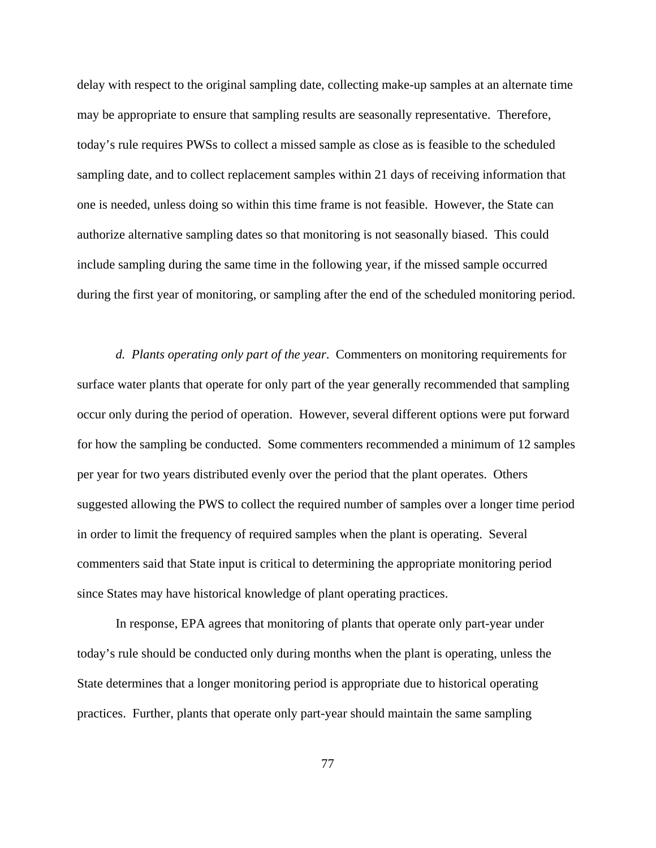delay with respect to the original sampling date, collecting make-up samples at an alternate time may be appropriate to ensure that sampling results are seasonally representative. Therefore, today's rule requires PWSs to collect a missed sample as close as is feasible to the scheduled sampling date, and to collect replacement samples within 21 days of receiving information that one is needed, unless doing so within this time frame is not feasible. However, the State can authorize alternative sampling dates so that monitoring is not seasonally biased. This could include sampling during the same time in the following year, if the missed sample occurred during the first year of monitoring, or sampling after the end of the scheduled monitoring period.

*d. Plants operating only part of the year*. Commenters on monitoring requirements for surface water plants that operate for only part of the year generally recommended that sampling occur only during the period of operation. However, several different options were put forward for how the sampling be conducted. Some commenters recommended a minimum of 12 samples per year for two years distributed evenly over the period that the plant operates. Others suggested allowing the PWS to collect the required number of samples over a longer time period in order to limit the frequency of required samples when the plant is operating. Several commenters said that State input is critical to determining the appropriate monitoring period since States may have historical knowledge of plant operating practices.

In response, EPA agrees that monitoring of plants that operate only part-year under today's rule should be conducted only during months when the plant is operating, unless the State determines that a longer monitoring period is appropriate due to historical operating practices. Further, plants that operate only part-year should maintain the same sampling

77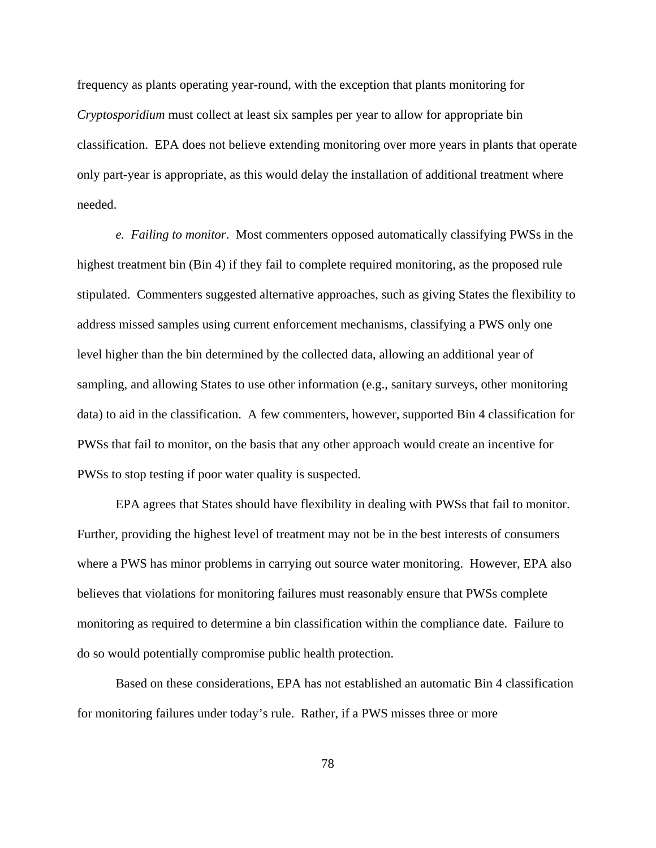frequency as plants operating year-round, with the exception that plants monitoring for *Cryptosporidium* must collect at least six samples per year to allow for appropriate bin classification. EPA does not believe extending monitoring over more years in plants that operate only part-year is appropriate, as this would delay the installation of additional treatment where needed.

*e. Failing to monitor*. Most commenters opposed automatically classifying PWSs in the highest treatment bin (Bin 4) if they fail to complete required monitoring, as the proposed rule stipulated. Commenters suggested alternative approaches, such as giving States the flexibility to address missed samples using current enforcement mechanisms, classifying a PWS only one level higher than the bin determined by the collected data, allowing an additional year of sampling, and allowing States to use other information (e.g., sanitary surveys, other monitoring data) to aid in the classification. A few commenters, however, supported Bin 4 classification for PWSs that fail to monitor, on the basis that any other approach would create an incentive for PWSs to stop testing if poor water quality is suspected.

EPA agrees that States should have flexibility in dealing with PWSs that fail to monitor. Further, providing the highest level of treatment may not be in the best interests of consumers where a PWS has minor problems in carrying out source water monitoring. However, EPA also believes that violations for monitoring failures must reasonably ensure that PWSs complete monitoring as required to determine a bin classification within the compliance date. Failure to do so would potentially compromise public health protection.

Based on these considerations, EPA has not established an automatic Bin 4 classification for monitoring failures under today's rule. Rather, if a PWS misses three or more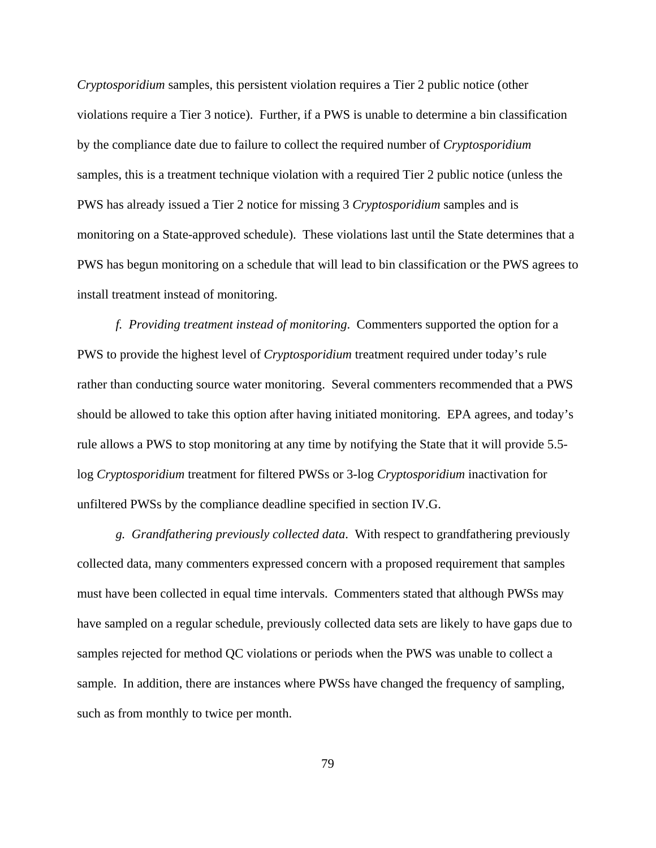*Cryptosporidium* samples, this persistent violation requires a Tier 2 public notice (other violations require a Tier 3 notice). Further, if a PWS is unable to determine a bin classification by the compliance date due to failure to collect the required number of *Cryptosporidium* samples, this is a treatment technique violation with a required Tier 2 public notice (unless the PWS has already issued a Tier 2 notice for missing 3 *Cryptosporidium* samples and is monitoring on a State-approved schedule). These violations last until the State determines that a PWS has begun monitoring on a schedule that will lead to bin classification or the PWS agrees to install treatment instead of monitoring.

*f. Providing treatment instead of monitoring*. Commenters supported the option for a PWS to provide the highest level of *Cryptosporidium* treatment required under today's rule rather than conducting source water monitoring. Several commenters recommended that a PWS should be allowed to take this option after having initiated monitoring. EPA agrees, and today's rule allows a PWS to stop monitoring at any time by notifying the State that it will provide 5.5 log *Cryptosporidium* treatment for filtered PWSs or 3-log *Cryptosporidium* inactivation for unfiltered PWSs by the compliance deadline specified in section IV.G.

*g. Grandfathering previously collected data*. With respect to grandfathering previously collected data, many commenters expressed concern with a proposed requirement that samples must have been collected in equal time intervals. Commenters stated that although PWSs may have sampled on a regular schedule, previously collected data sets are likely to have gaps due to samples rejected for method QC violations or periods when the PWS was unable to collect a sample. In addition, there are instances where PWSs have changed the frequency of sampling, such as from monthly to twice per month.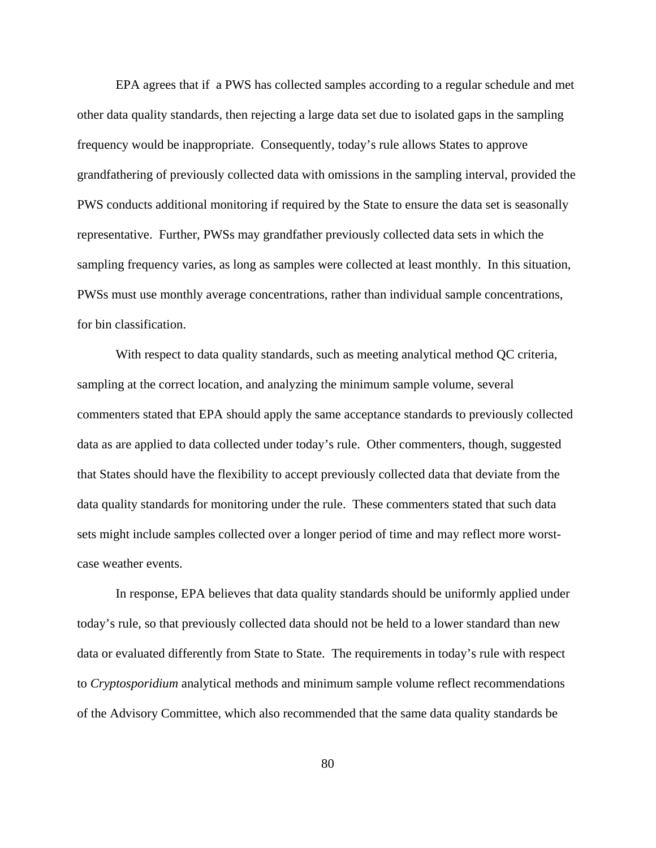EPA agrees that if a PWS has collected samples according to a regular schedule and met other data quality standards, then rejecting a large data set due to isolated gaps in the sampling frequency would be inappropriate. Consequently, today's rule allows States to approve grandfathering of previously collected data with omissions in the sampling interval, provided the PWS conducts additional monitoring if required by the State to ensure the data set is seasonally representative. Further, PWSs may grandfather previously collected data sets in which the sampling frequency varies, as long as samples were collected at least monthly. In this situation, PWSs must use monthly average concentrations, rather than individual sample concentrations, for bin classification.

With respect to data quality standards, such as meeting analytical method QC criteria, sampling at the correct location, and analyzing the minimum sample volume, several commenters stated that EPA should apply the same acceptance standards to previously collected data as are applied to data collected under today's rule. Other commenters, though, suggested that States should have the flexibility to accept previously collected data that deviate from the data quality standards for monitoring under the rule. These commenters stated that such data sets might include samples collected over a longer period of time and may reflect more worstcase weather events.

In response, EPA believes that data quality standards should be uniformly applied under today's rule, so that previously collected data should not be held to a lower standard than new data or evaluated differently from State to State. The requirements in today's rule with respect to *Cryptosporidium* analytical methods and minimum sample volume reflect recommendations of the Advisory Committee, which also recommended that the same data quality standards be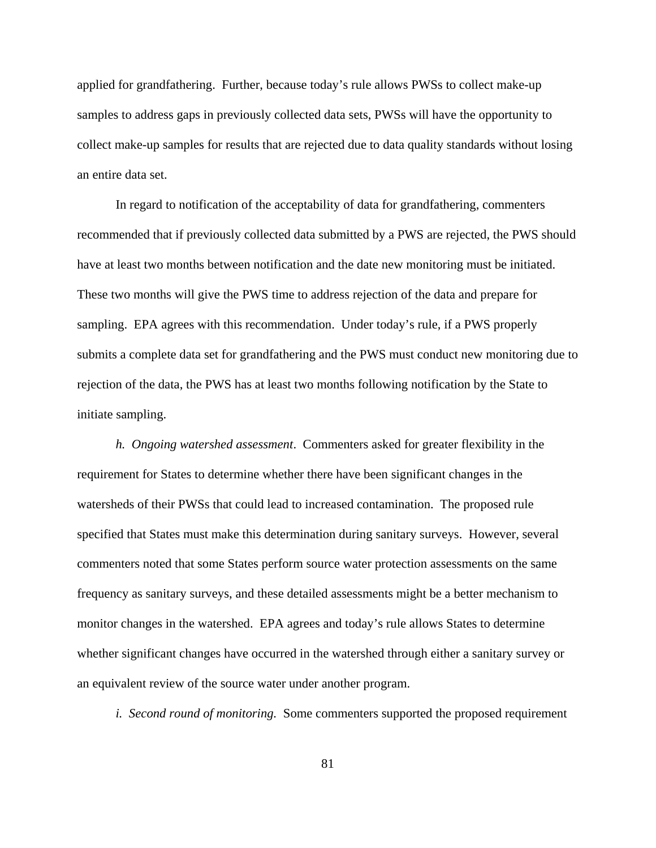applied for grandfathering. Further, because today's rule allows PWSs to collect make-up samples to address gaps in previously collected data sets, PWSs will have the opportunity to collect make-up samples for results that are rejected due to data quality standards without losing an entire data set.

In regard to notification of the acceptability of data for grandfathering, commenters recommended that if previously collected data submitted by a PWS are rejected, the PWS should have at least two months between notification and the date new monitoring must be initiated. These two months will give the PWS time to address rejection of the data and prepare for sampling. EPA agrees with this recommendation. Under today's rule, if a PWS properly submits a complete data set for grandfathering and the PWS must conduct new monitoring due to rejection of the data, the PWS has at least two months following notification by the State to initiate sampling.

*h. Ongoing watershed assessment*. Commenters asked for greater flexibility in the requirement for States to determine whether there have been significant changes in the watersheds of their PWSs that could lead to increased contamination. The proposed rule specified that States must make this determination during sanitary surveys. However, several commenters noted that some States perform source water protection assessments on the same frequency as sanitary surveys, and these detailed assessments might be a better mechanism to monitor changes in the watershed. EPA agrees and today's rule allows States to determine whether significant changes have occurred in the watershed through either a sanitary survey or an equivalent review of the source water under another program.

*i. Second round of monitoring.* Some commenters supported the proposed requirement

81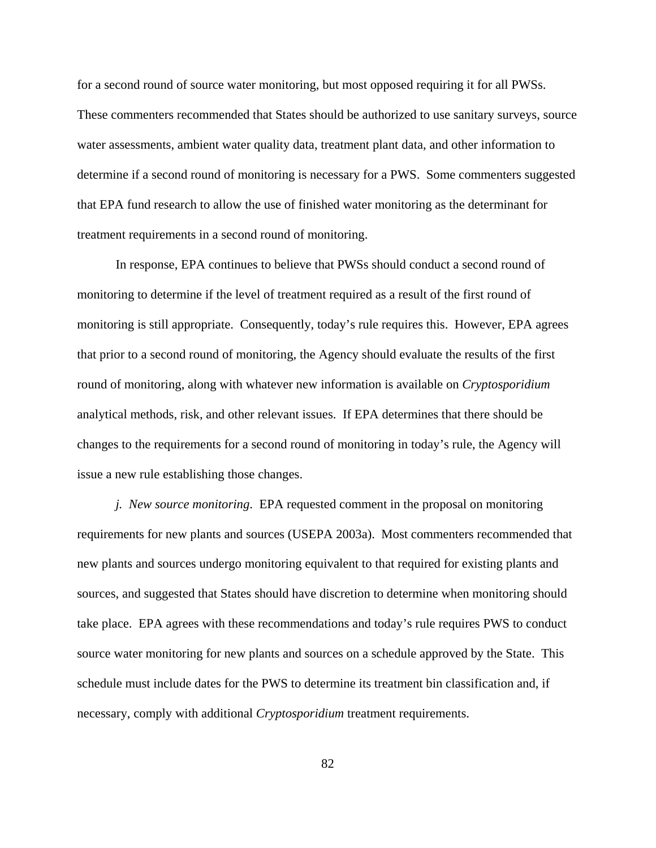for a second round of source water monitoring, but most opposed requiring it for all PWSs. These commenters recommended that States should be authorized to use sanitary surveys, source water assessments, ambient water quality data, treatment plant data, and other information to determine if a second round of monitoring is necessary for a PWS. Some commenters suggested that EPA fund research to allow the use of finished water monitoring as the determinant for treatment requirements in a second round of monitoring.

In response, EPA continues to believe that PWSs should conduct a second round of monitoring to determine if the level of treatment required as a result of the first round of monitoring is still appropriate. Consequently, today's rule requires this. However, EPA agrees that prior to a second round of monitoring, the Agency should evaluate the results of the first round of monitoring, along with whatever new information is available on *Cryptosporidium* analytical methods, risk, and other relevant issues. If EPA determines that there should be changes to the requirements for a second round of monitoring in today's rule, the Agency will issue a new rule establishing those changes.

*j. New source monitoring*. EPA requested comment in the proposal on monitoring requirements for new plants and sources (USEPA 2003a). Most commenters recommended that new plants and sources undergo monitoring equivalent to that required for existing plants and sources, and suggested that States should have discretion to determine when monitoring should take place. EPA agrees with these recommendations and today's rule requires PWS to conduct source water monitoring for new plants and sources on a schedule approved by the State. This schedule must include dates for the PWS to determine its treatment bin classification and, if necessary, comply with additional *Cryptosporidium* treatment requirements.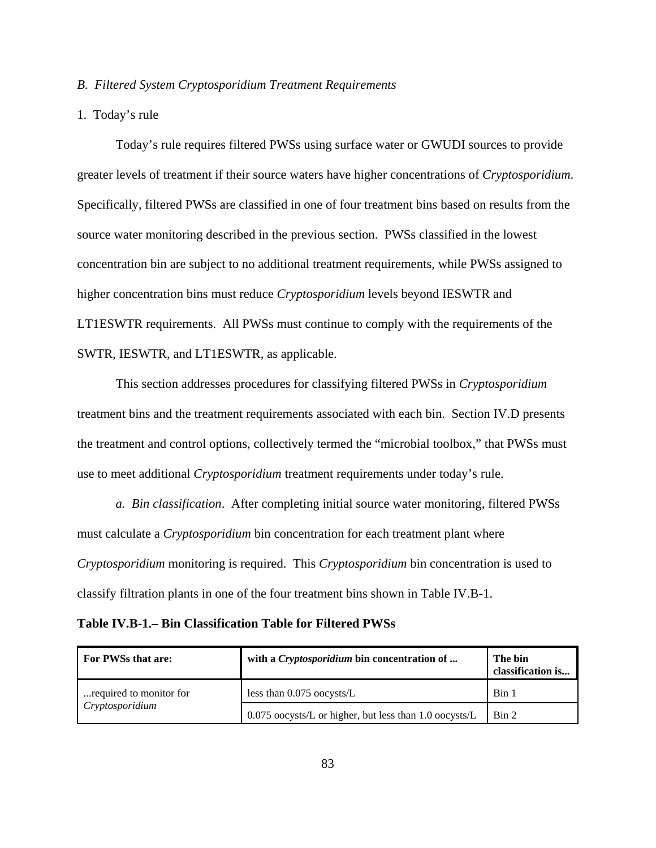## *B. Filtered System Cryptosporidium Treatment Requirements*

## 1. Today's rule

Today's rule requires filtered PWSs using surface water or GWUDI sources to provide greater levels of treatment if their source waters have higher concentrations of *Cryptosporidium*. Specifically, filtered PWSs are classified in one of four treatment bins based on results from the source water monitoring described in the previous section. PWSs classified in the lowest concentration bin are subject to no additional treatment requirements, while PWSs assigned to higher concentration bins must reduce *Cryptosporidium* levels beyond IESWTR and LT1ESWTR requirements. All PWSs must continue to comply with the requirements of the SWTR, IESWTR, and LT1ESWTR, as applicable.

This section addresses procedures for classifying filtered PWSs in *Cryptosporidium* treatment bins and the treatment requirements associated with each bin. Section IV.D presents the treatment and control options, collectively termed the "microbial toolbox," that PWSs must use to meet additional *Cryptosporidium* treatment requirements under today's rule.

*a. Bin classification*. After completing initial source water monitoring, filtered PWSs must calculate a *Cryptosporidium* bin concentration for each treatment plant where *Cryptosporidium* monitoring is required. This *Cryptosporidium* bin concentration is used to classify filtration plants in one of the four treatment bins shown in Table IV.B-1.

**Table IV.B-1.– Bin Classification Table for Filtered PWSs**

| For PWSs that are:      | with a <i>Cryptosporidium</i> bin concentration of     | The bin<br>classification is |
|-------------------------|--------------------------------------------------------|------------------------------|
| required to monitor for | less than 0.075 oocysts/L                              | Bin 1                        |
| Cryptosporidium         | 0.075 oocysts/L or higher, but less than 1.0 oocysts/L | $\operatorname{Bin} 2$       |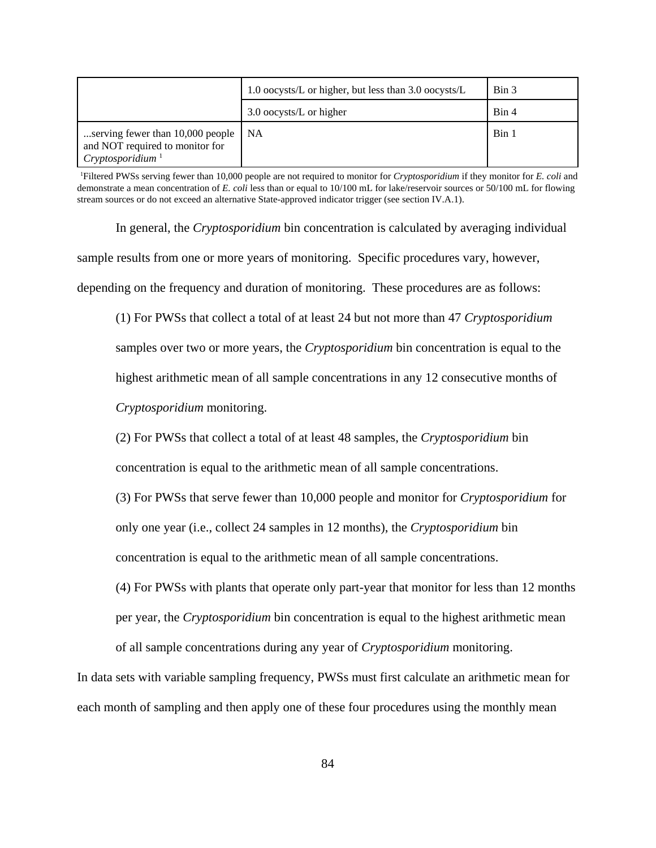|                                                                                                     | 1.0 oocysts/L or higher, but less than $3.0$ oocysts/L |       |
|-----------------------------------------------------------------------------------------------------|--------------------------------------------------------|-------|
|                                                                                                     | 3.0 oocysts/L or higher                                | Bin 4 |
| serving fewer than 10,000 people<br>and NOT required to monitor for<br>Cryptosporidium <sup>1</sup> | NA                                                     | Bin 1 |

1 Filtered PWSs serving fewer than 10,000 people are not required to monitor for *Cryptosporidium* if they monitor for *E. coli* and demonstrate a mean concentration of *E. coli* less than or equal to 10/100 mL for lake/reservoir sources or 50/100 mL for flowing stream sources or do not exceed an alternative State-approved indicator trigger (see section IV.A.1).

In general, the *Cryptosporidium* bin concentration is calculated by averaging individual sample results from one or more years of monitoring. Specific procedures vary, however, depending on the frequency and duration of monitoring. These procedures are as follows:

(1) For PWSs that collect a total of at least 24 but not more than 47 *Cryptosporidium* samples over two or more years, the *Cryptosporidium* bin concentration is equal to the highest arithmetic mean of all sample concentrations in any 12 consecutive months of *Cryptosporidium* monitoring.

(2) For PWSs that collect a total of at least 48 samples, the *Cryptosporidium* bin concentration is equal to the arithmetic mean of all sample concentrations.

(3) For PWSs that serve fewer than 10,000 people and monitor for *Cryptosporidium* for only one year (i.e., collect 24 samples in 12 months), the *Cryptosporidium* bin concentration is equal to the arithmetic mean of all sample concentrations.

(4) For PWSs with plants that operate only part-year that monitor for less than 12 months per year, the *Cryptosporidium* bin concentration is equal to the highest arithmetic mean of all sample concentrations during any year of *Cryptosporidium* monitoring.

In data sets with variable sampling frequency, PWSs must first calculate an arithmetic mean for each month of sampling and then apply one of these four procedures using the monthly mean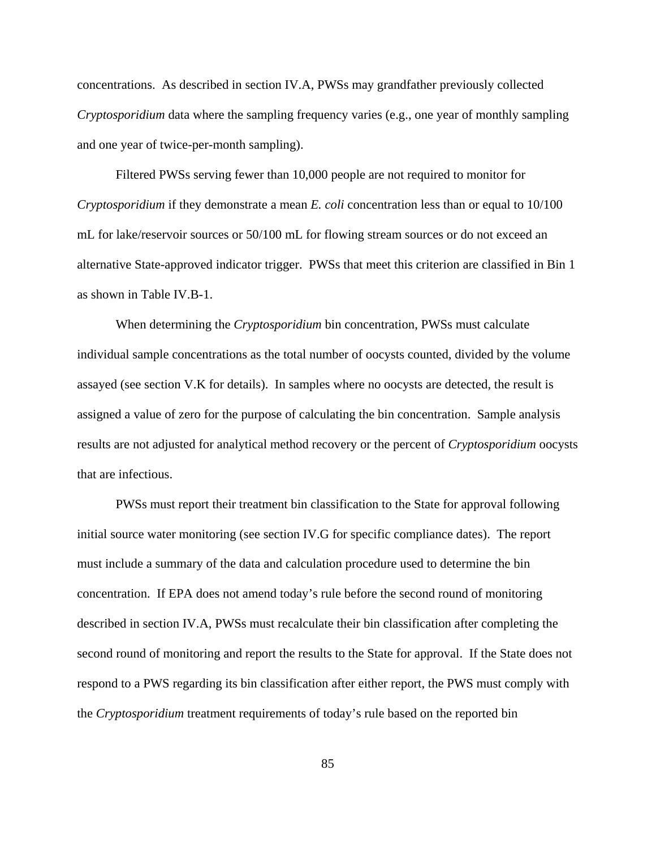concentrations. As described in section IV.A, PWSs may grandfather previously collected *Cryptosporidium* data where the sampling frequency varies (e.g., one year of monthly sampling and one year of twice-per-month sampling).

Filtered PWSs serving fewer than 10,000 people are not required to monitor for *Cryptosporidium* if they demonstrate a mean *E. coli* concentration less than or equal to 10/100 mL for lake/reservoir sources or 50/100 mL for flowing stream sources or do not exceed an alternative State-approved indicator trigger. PWSs that meet this criterion are classified in Bin 1 as shown in Table IV.B-1.

When determining the *Cryptosporidium* bin concentration, PWSs must calculate individual sample concentrations as the total number of oocysts counted, divided by the volume assayed (see section V.K for details). In samples where no oocysts are detected, the result is assigned a value of zero for the purpose of calculating the bin concentration. Sample analysis results are not adjusted for analytical method recovery or the percent of *Cryptosporidium* oocysts that are infectious.

PWSs must report their treatment bin classification to the State for approval following initial source water monitoring (see section IV.G for specific compliance dates). The report must include a summary of the data and calculation procedure used to determine the bin concentration. If EPA does not amend today's rule before the second round of monitoring described in section IV.A, PWSs must recalculate their bin classification after completing the second round of monitoring and report the results to the State for approval. If the State does not respond to a PWS regarding its bin classification after either report, the PWS must comply with the *Cryptosporidium* treatment requirements of today's rule based on the reported bin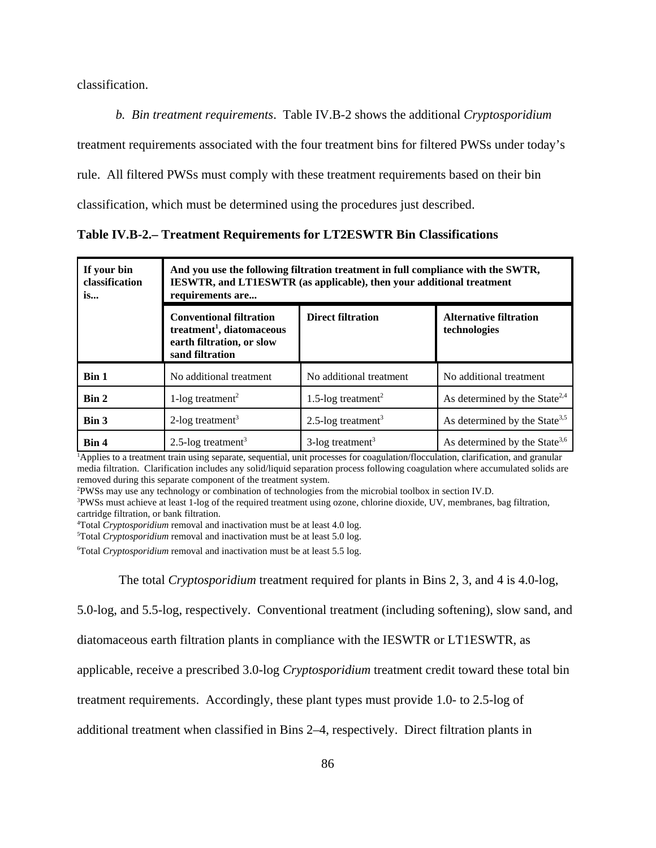classification.

*b. Bin treatment requirements*. Table IV.B-2 shows the additional *Cryptosporidium*

treatment requirements associated with the four treatment bins for filtered PWSs under today's

rule. All filtered PWSs must comply with these treatment requirements based on their bin

classification, which must be determined using the procedures just described.

**Table IV.B-2.– Treatment Requirements for LT2ESWTR Bin Classifications**

| If your bin<br>classification<br>is | And you use the following filtration treatment in full compliance with the SWTR,<br><b>IESWTR, and LT1ESWTR (as applicable), then your additional treatment</b><br>requirements are |                                 |                                               |
|-------------------------------------|-------------------------------------------------------------------------------------------------------------------------------------------------------------------------------------|---------------------------------|-----------------------------------------------|
|                                     | <b>Conventional filtration</b><br>treatment <sup>1</sup> , diatomaceous<br>earth filtration, or slow<br>sand filtration                                                             | <b>Direct filtration</b>        | <b>Alternative filtration</b><br>technologies |
| Bin 1                               | No additional treatment                                                                                                                                                             | No additional treatment         | No additional treatment                       |
| Bin 2                               | 1-log treatment <sup>2</sup>                                                                                                                                                        | 1.5-log treatment <sup>2</sup>  | As determined by the State <sup>2,4</sup>     |
| Bin 3                               | 2-log treatment <sup>3</sup>                                                                                                                                                        | 2.5-log treatment <sup>3</sup>  | As determined by the State <sup>3,5</sup>     |
| Bin 4                               | 2.5-log treatment <sup>3</sup>                                                                                                                                                      | $3$ -log treatment <sup>3</sup> | As determined by the State <sup>3,6</sup>     |

<sup>1</sup>Applies to a treatment train using separate, sequential, unit processes for coagulation/flocculation, clarification, and granular media filtration. Clarification includes any solid/liquid separation process following coagulation where accumulated solids are removed during this separate component of the treatment system. 2

PWSs may use any technology or combination of technologies from the microbial toolbox in section IV.D.

<sup>3</sup>PWSs must achieve at least 1-log of the required treatment using ozone, chlorine dioxide, UV, membranes, bag filtration, cartridge filtration, or bank filtration.

4 Total *Cryptosporidium* removal and inactivation must be at least 4.0 log.

5 Total *Cryptosporidium* removal and inactivation must be at least 5.0 log.

6 Total *Cryptosporidium* removal and inactivation must be at least 5.5 log.

The total *Cryptosporidium* treatment required for plants in Bins 2, 3, and 4 is 4.0-log,

5.0-log, and 5.5-log, respectively. Conventional treatment (including softening), slow sand, and

diatomaceous earth filtration plants in compliance with the IESWTR or LT1ESWTR, as

applicable, receive a prescribed 3.0-log *Cryptosporidium* treatment credit toward these total bin

treatment requirements. Accordingly, these plant types must provide 1.0- to 2.5-log of

additional treatment when classified in Bins 2–4, respectively. Direct filtration plants in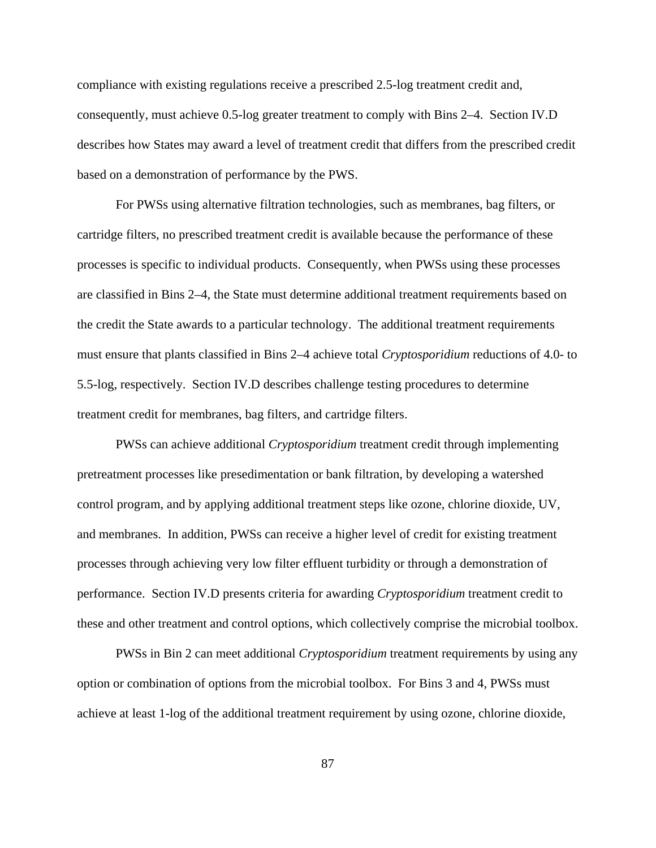compliance with existing regulations receive a prescribed 2.5-log treatment credit and, consequently, must achieve 0.5-log greater treatment to comply with Bins 2–4. Section IV.D describes how States may award a level of treatment credit that differs from the prescribed credit based on a demonstration of performance by the PWS.

For PWSs using alternative filtration technologies, such as membranes, bag filters, or cartridge filters, no prescribed treatment credit is available because the performance of these processes is specific to individual products. Consequently, when PWSs using these processes are classified in Bins 2–4, the State must determine additional treatment requirements based on the credit the State awards to a particular technology. The additional treatment requirements must ensure that plants classified in Bins 2–4 achieve total *Cryptosporidium* reductions of 4.0- to 5.5-log, respectively. Section IV.D describes challenge testing procedures to determine treatment credit for membranes, bag filters, and cartridge filters.

PWSs can achieve additional *Cryptosporidium* treatment credit through implementing pretreatment processes like presedimentation or bank filtration, by developing a watershed control program, and by applying additional treatment steps like ozone, chlorine dioxide, UV, and membranes. In addition, PWSs can receive a higher level of credit for existing treatment processes through achieving very low filter effluent turbidity or through a demonstration of performance. Section IV.D presents criteria for awarding *Cryptosporidium* treatment credit to these and other treatment and control options, which collectively comprise the microbial toolbox.

PWSs in Bin 2 can meet additional *Cryptosporidium* treatment requirements by using any option or combination of options from the microbial toolbox. For Bins 3 and 4, PWSs must achieve at least 1-log of the additional treatment requirement by using ozone, chlorine dioxide,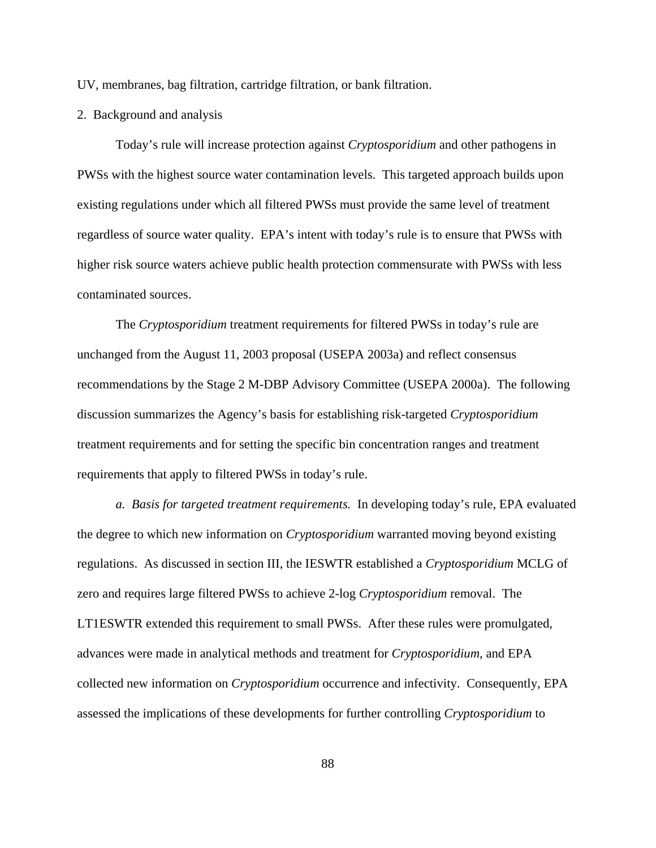UV, membranes, bag filtration, cartridge filtration, or bank filtration.

2. Background and analysis

Today's rule will increase protection against *Cryptosporidium* and other pathogens in PWSs with the highest source water contamination levels. This targeted approach builds upon existing regulations under which all filtered PWSs must provide the same level of treatment regardless of source water quality. EPA's intent with today's rule is to ensure that PWSs with higher risk source waters achieve public health protection commensurate with PWSs with less contaminated sources.

The *Cryptosporidium* treatment requirements for filtered PWSs in today's rule are unchanged from the August 11, 2003 proposal (USEPA 2003a) and reflect consensus recommendations by the Stage 2 M-DBP Advisory Committee (USEPA 2000a). The following discussion summarizes the Agency's basis for establishing risk-targeted *Cryptosporidium* treatment requirements and for setting the specific bin concentration ranges and treatment requirements that apply to filtered PWSs in today's rule.

*a. Basis for targeted treatment requirements.* In developing today's rule, EPA evaluated the degree to which new information on *Cryptosporidium* warranted moving beyond existing regulations. As discussed in section III, the IESWTR established a *Cryptosporidium* MCLG of zero and requires large filtered PWSs to achieve 2-log *Cryptosporidium* removal. The LT1ESWTR extended this requirement to small PWSs. After these rules were promulgated, advances were made in analytical methods and treatment for *Cryptosporidium*, and EPA collected new information on *Cryptosporidium* occurrence and infectivity. Consequently, EPA assessed the implications of these developments for further controlling *Cryptosporidium* to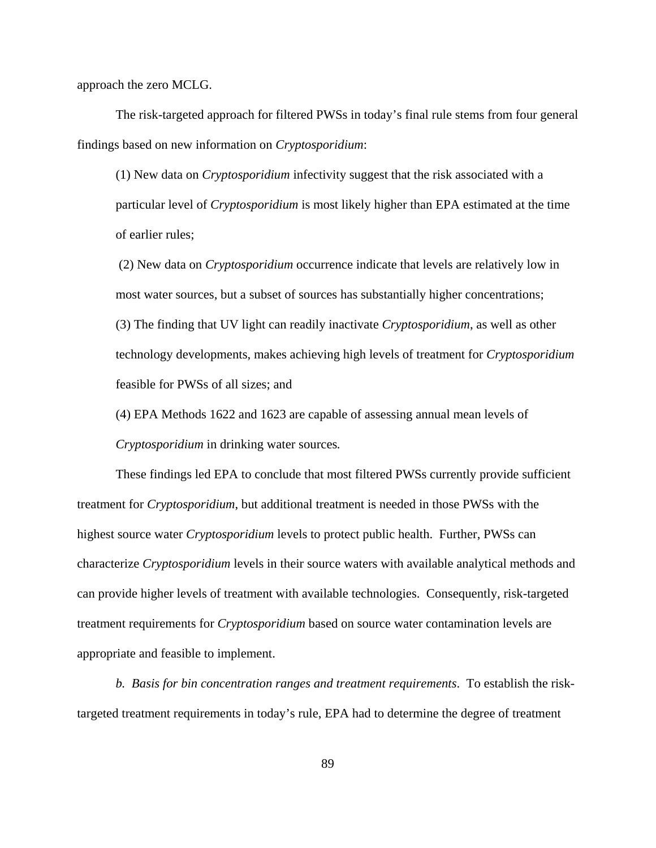approach the zero MCLG.

The risk-targeted approach for filtered PWSs in today's final rule stems from four general findings based on new information on *Cryptosporidium*:

(1) New data on *Cryptosporidium* infectivity suggest that the risk associated with a particular level of *Cryptosporidium* is most likely higher than EPA estimated at the time of earlier rules;

 (2) New data on *Cryptosporidium* occurrence indicate that levels are relatively low in most water sources, but a subset of sources has substantially higher concentrations; (3) The finding that UV light can readily inactivate *Cryptosporidium*, as well as other technology developments, makes achieving high levels of treatment for *Cryptosporidium* feasible for PWSs of all sizes; and

(4) EPA Methods 1622 and 1623 are capable of assessing annual mean levels of *Cryptosporidium* in drinking water sources*.*

These findings led EPA to conclude that most filtered PWSs currently provide sufficient treatment for *Cryptosporidium*, but additional treatment is needed in those PWSs with the highest source water *Cryptosporidium* levels to protect public health. Further, PWSs can characterize *Cryptosporidium* levels in their source waters with available analytical methods and can provide higher levels of treatment with available technologies. Consequently, risk-targeted treatment requirements for *Cryptosporidium* based on source water contamination levels are appropriate and feasible to implement.

*b. Basis for bin concentration ranges and treatment requirements*. To establish the risktargeted treatment requirements in today's rule, EPA had to determine the degree of treatment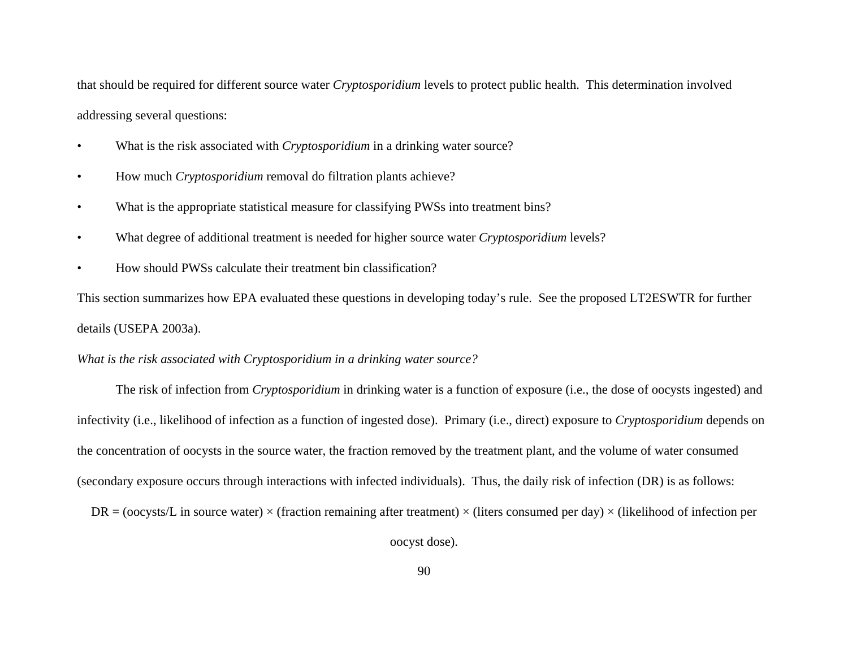that should be required for different source water *Cryptosporidium* levels to protect public health. This determination involved addressing several questions:

- •What is the risk associated with *Cryptosporidium* in a drinking water source?
- •How much *Cryptosporidium* removal do filtration plants achieve?
- •What is the appropriate statistical measure for classifying PWSs into treatment bins?
- •What degree of additional treatment is needed for higher source water *Cryptosporidium* levels?
- •How should PWSs calculate their treatment bin classification?

This section summarizes how EPA evaluated these questions in developing today's rule. See the proposed LT2ESWTR for further details (USEPA 2003a).

*What is the risk associated with Cryptosporidium in a drinking water source?*

The risk of infection from *Cryptosporidium* in drinking water is a function of exposure (i.e., the dose of oocysts ingested) and infectivity (i.e., likelihood of infection as a function of ingested dose). Primary (i.e., direct) exposure to *Cryptosporidium* depends on the concentration of oocysts in the source water, the fraction removed by the treatment plant, and the volume of water consumed (secondary exposure occurs through interactions with infected individuals). Thus, the daily risk of infection (DR) is as follows:

 $DR = (oocysts/L)$  in source water)  $\times$  (fraction remaining after treatment)  $\times$  (liters consumed per day)  $\times$  (likelihood of infection per

oocyst dose).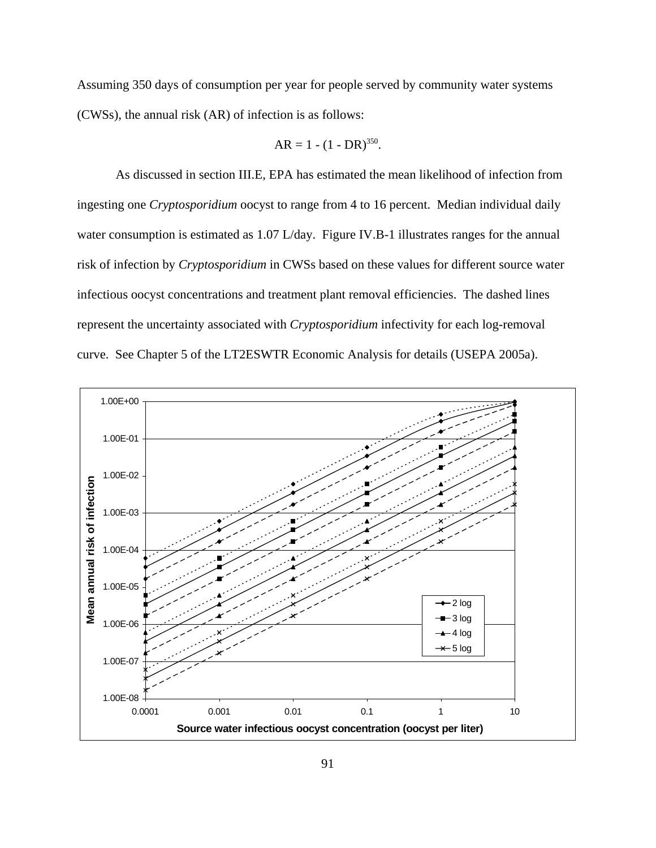Assuming 350 days of consumption per year for people served by community water systems (CWSs), the annual risk (AR) of infection is as follows:

$$
AR = 1 - (1 - DR)^{350}.
$$

As discussed in section III.E, EPA has estimated the mean likelihood of infection from ingesting one *Cryptosporidium* oocyst to range from 4 to 16 percent. Median individual daily water consumption is estimated as 1.07 L/day. Figure IV.B-1 illustrates ranges for the annual risk of infection by *Cryptosporidium* in CWSs based on these values for different source water infectious oocyst concentrations and treatment plant removal efficiencies. The dashed lines represent the uncertainty associated with *Cryptosporidium* infectivity for each log-removal curve. See Chapter 5 of the LT2ESWTR Economic Analysis for details (USEPA 2005a).

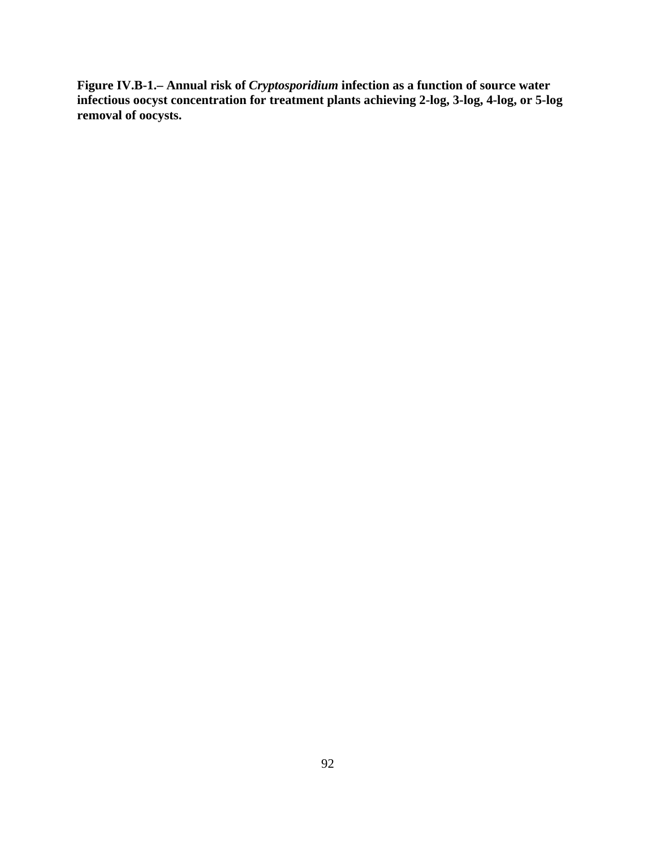**Figure IV.B-1.– Annual risk of** *Cryptosporidium* **infection as a function of source water infectious oocyst concentration for treatment plants achieving 2-log, 3-log, 4-log, or 5-log removal of oocysts.**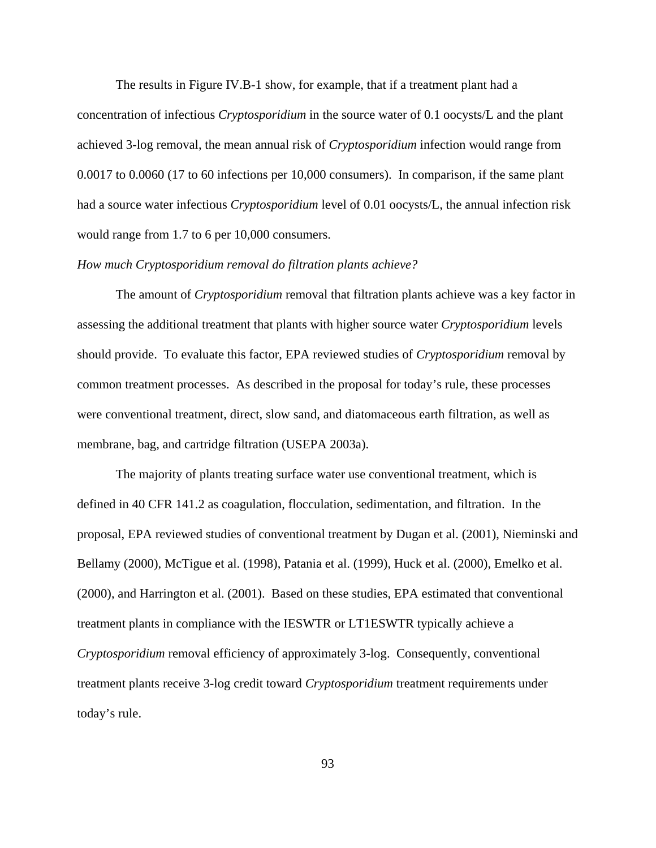The results in Figure IV.B-1 show, for example, that if a treatment plant had a concentration of infectious *Cryptosporidium* in the source water of 0.1 oocysts/L and the plant achieved 3-log removal, the mean annual risk of *Cryptosporidium* infection would range from 0.0017 to 0.0060 (17 to 60 infections per 10,000 consumers). In comparison, if the same plant had a source water infectious *Cryptosporidium* level of 0.01 oocysts/L, the annual infection risk would range from 1.7 to 6 per 10,000 consumers.

## *How much Cryptosporidium removal do filtration plants achieve?*

The amount of *Cryptosporidium* removal that filtration plants achieve was a key factor in assessing the additional treatment that plants with higher source water *Cryptosporidium* levels should provide. To evaluate this factor, EPA reviewed studies of *Cryptosporidium* removal by common treatment processes. As described in the proposal for today's rule, these processes were conventional treatment, direct, slow sand, and diatomaceous earth filtration, as well as membrane, bag, and cartridge filtration (USEPA 2003a).

The majority of plants treating surface water use conventional treatment, which is defined in 40 CFR 141.2 as coagulation, flocculation, sedimentation, and filtration. In the proposal, EPA reviewed studies of conventional treatment by Dugan et al. (2001), Nieminski and Bellamy (2000), McTigue et al. (1998), Patania et al. (1999), Huck et al. (2000), Emelko et al. (2000), and Harrington et al. (2001). Based on these studies, EPA estimated that conventional treatment plants in compliance with the IESWTR or LT1ESWTR typically achieve a *Cryptosporidium* removal efficiency of approximately 3-log. Consequently, conventional treatment plants receive 3-log credit toward *Cryptosporidium* treatment requirements under today's rule.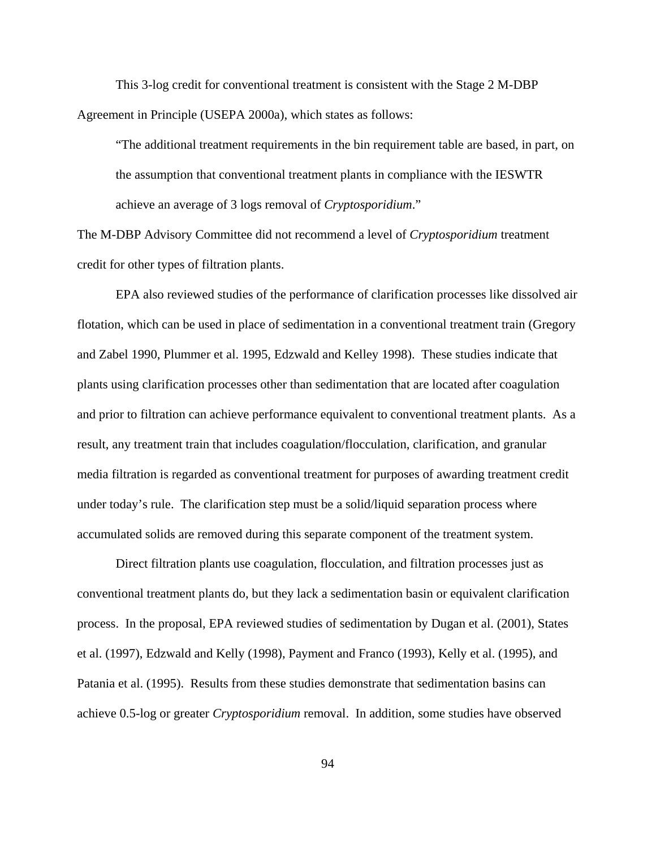This 3-log credit for conventional treatment is consistent with the Stage 2 M-DBP Agreement in Principle (USEPA 2000a), which states as follows:

"The additional treatment requirements in the bin requirement table are based, in part, on the assumption that conventional treatment plants in compliance with the IESWTR achieve an average of 3 logs removal of *Cryptosporidium*."

The M-DBP Advisory Committee did not recommend a level of *Cryptosporidium* treatment credit for other types of filtration plants.

EPA also reviewed studies of the performance of clarification processes like dissolved air flotation, which can be used in place of sedimentation in a conventional treatment train (Gregory and Zabel 1990, Plummer et al. 1995, Edzwald and Kelley 1998). These studies indicate that plants using clarification processes other than sedimentation that are located after coagulation and prior to filtration can achieve performance equivalent to conventional treatment plants. As a result, any treatment train that includes coagulation/flocculation, clarification, and granular media filtration is regarded as conventional treatment for purposes of awarding treatment credit under today's rule. The clarification step must be a solid/liquid separation process where accumulated solids are removed during this separate component of the treatment system.

Direct filtration plants use coagulation, flocculation, and filtration processes just as conventional treatment plants do, but they lack a sedimentation basin or equivalent clarification process. In the proposal, EPA reviewed studies of sedimentation by Dugan et al. (2001), States et al. (1997), Edzwald and Kelly (1998), Payment and Franco (1993), Kelly et al. (1995), and Patania et al. (1995). Results from these studies demonstrate that sedimentation basins can achieve 0.5-log or greater *Cryptosporidium* removal. In addition, some studies have observed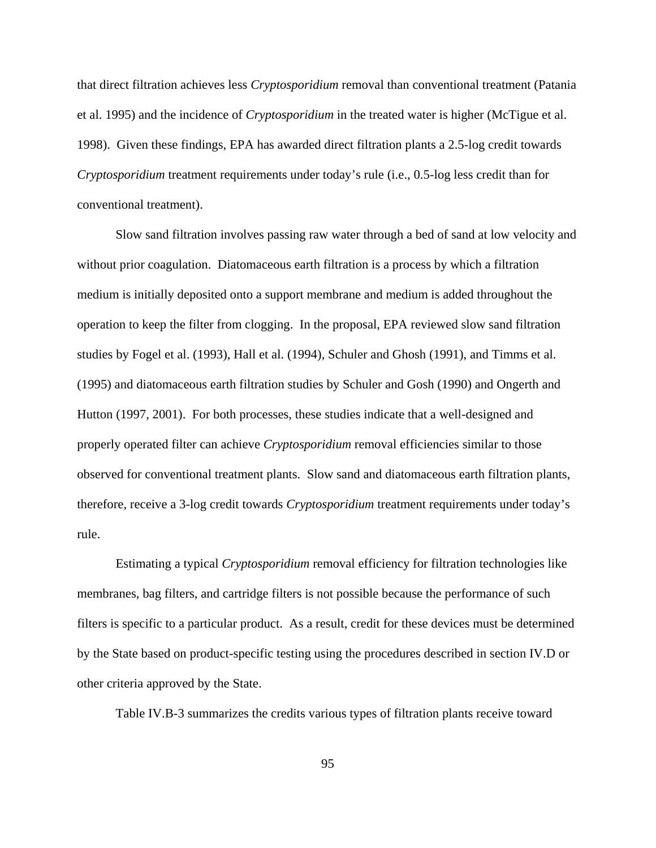that direct filtration achieves less *Cryptosporidium* removal than conventional treatment (Patania et al. 1995) and the incidence of *Cryptosporidium* in the treated water is higher (McTigue et al. 1998). Given these findings, EPA has awarded direct filtration plants a 2.5-log credit towards *Cryptosporidium* treatment requirements under today's rule (i.e., 0.5-log less credit than for conventional treatment).

Slow sand filtration involves passing raw water through a bed of sand at low velocity and without prior coagulation. Diatomaceous earth filtration is a process by which a filtration medium is initially deposited onto a support membrane and medium is added throughout the operation to keep the filter from clogging. In the proposal, EPA reviewed slow sand filtration studies by Fogel et al. (1993), Hall et al. (1994), Schuler and Ghosh (1991), and Timms et al. (1995) and diatomaceous earth filtration studies by Schuler and Gosh (1990) and Ongerth and Hutton (1997, 2001). For both processes, these studies indicate that a well-designed and properly operated filter can achieve *Cryptosporidium* removal efficiencies similar to those observed for conventional treatment plants. Slow sand and diatomaceous earth filtration plants, therefore, receive a 3-log credit towards *Cryptosporidium* treatment requirements under today's rule.

Estimating a typical *Cryptosporidium* removal efficiency for filtration technologies like membranes, bag filters, and cartridge filters is not possible because the performance of such filters is specific to a particular product. As a result, credit for these devices must be determined by the State based on product-specific testing using the procedures described in section IV.D or other criteria approved by the State.

Table IV.B-3 summarizes the credits various types of filtration plants receive toward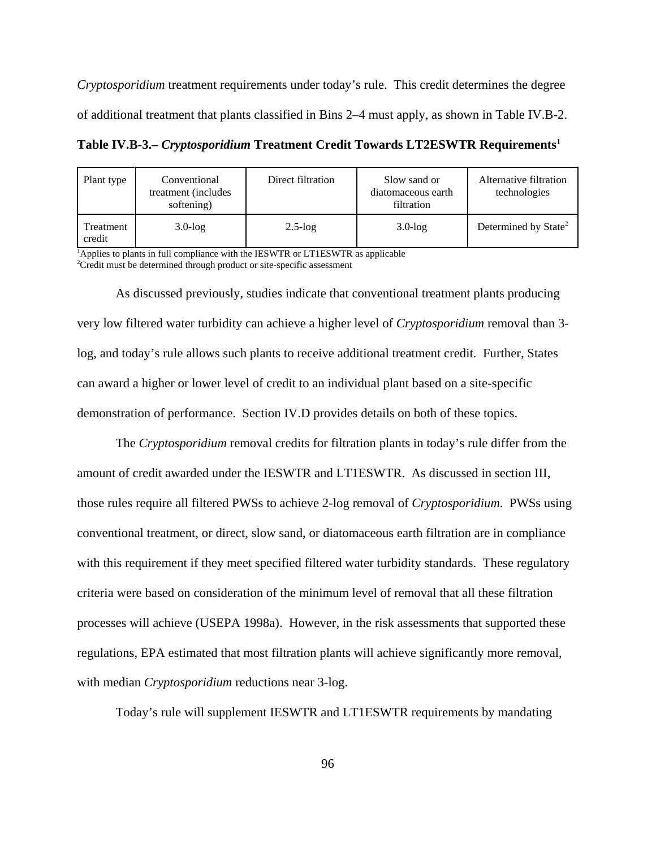*Cryptosporidium* treatment requirements under today's rule. This credit determines the degree of additional treatment that plants classified in Bins 2–4 must apply, as shown in Table IV.B-2.

**Table IV.B-3.– Cryptosporidium Treatment Credit Towards LT2ESWTR Requirements<sup>1</sup>** 

| Plant type          | Conventional<br>treatment (includes)<br>softening) | Direct filtration | Slow sand or<br>diatomaceous earth<br>filtration | Alternative filtration<br>technologies |
|---------------------|----------------------------------------------------|-------------------|--------------------------------------------------|----------------------------------------|
| Treatment<br>credit | $3.0$ - $log$                                      | $2.5$ -log        | $3.0$ - $log$                                    | Determined by State <sup>2</sup>       |

<sup>1</sup>Applies to plants in full compliance with the IESWTR or LT1ESWTR as applicable <sup>2</sup>Credit must be determined through product or site-specific assessment

As discussed previously, studies indicate that conventional treatment plants producing very low filtered water turbidity can achieve a higher level of *Cryptosporidium* removal than 3 log, and today's rule allows such plants to receive additional treatment credit. Further, States can award a higher or lower level of credit to an individual plant based on a site-specific demonstration of performance. Section IV.D provides details on both of these topics.

The *Cryptosporidium* removal credits for filtration plants in today's rule differ from the amount of credit awarded under the IESWTR and LT1ESWTR. As discussed in section III, those rules require all filtered PWSs to achieve 2-log removal of *Cryptosporidium*. PWSs using conventional treatment, or direct, slow sand, or diatomaceous earth filtration are in compliance with this requirement if they meet specified filtered water turbidity standards. These regulatory criteria were based on consideration of the minimum level of removal that all these filtration processes will achieve (USEPA 1998a). However, in the risk assessments that supported these regulations, EPA estimated that most filtration plants will achieve significantly more removal, with median *Cryptosporidium* reductions near 3-log.

Today's rule will supplement IESWTR and LT1ESWTR requirements by mandating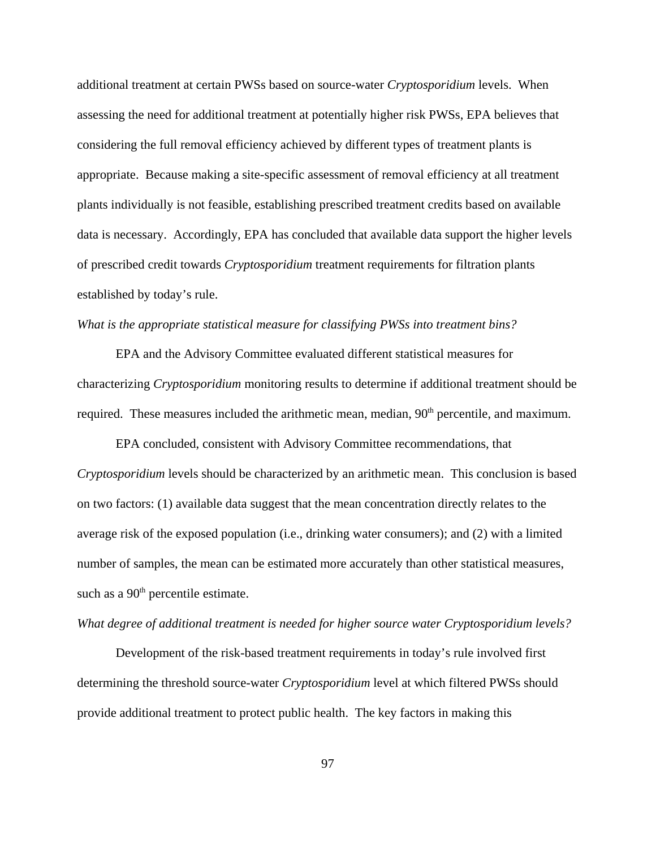additional treatment at certain PWSs based on source-water *Cryptosporidium* levels. When assessing the need for additional treatment at potentially higher risk PWSs, EPA believes that considering the full removal efficiency achieved by different types of treatment plants is appropriate. Because making a site-specific assessment of removal efficiency at all treatment plants individually is not feasible, establishing prescribed treatment credits based on available data is necessary. Accordingly, EPA has concluded that available data support the higher levels of prescribed credit towards *Cryptosporidium* treatment requirements for filtration plants established by today's rule.

## *What is the appropriate statistical measure for classifying PWSs into treatment bins?*

EPA and the Advisory Committee evaluated different statistical measures for characterizing *Cryptosporidium* monitoring results to determine if additional treatment should be required. These measures included the arithmetic mean, median, 90<sup>th</sup> percentile, and maximum.

EPA concluded, consistent with Advisory Committee recommendations, that *Cryptosporidium* levels should be characterized by an arithmetic mean. This conclusion is based on two factors: (1) available data suggest that the mean concentration directly relates to the average risk of the exposed population (i.e., drinking water consumers); and (2) with a limited number of samples, the mean can be estimated more accurately than other statistical measures, such as a  $90<sup>th</sup>$  percentile estimate.

## *What degree of additional treatment is needed for higher source water Cryptosporidium levels?*

Development of the risk-based treatment requirements in today's rule involved first determining the threshold source-water *Cryptosporidium* level at which filtered PWSs should provide additional treatment to protect public health. The key factors in making this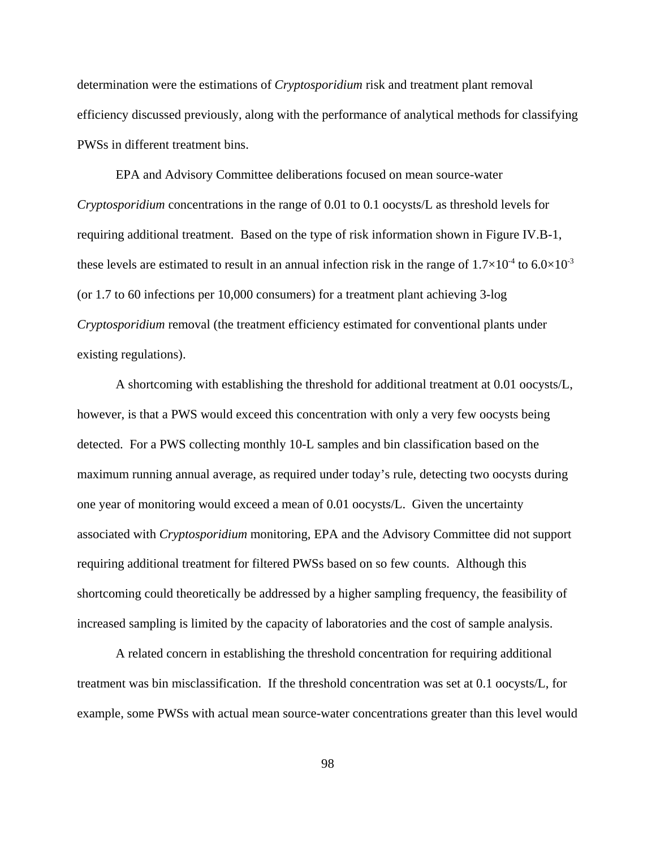determination were the estimations of *Cryptosporidium* risk and treatment plant removal efficiency discussed previously, along with the performance of analytical methods for classifying PWSs in different treatment bins.

EPA and Advisory Committee deliberations focused on mean source-water *Cryptosporidium* concentrations in the range of 0.01 to 0.1 oocysts/L as threshold levels for requiring additional treatment. Based on the type of risk information shown in Figure IV.B-1, these levels are estimated to result in an annual infection risk in the range of  $1.7\times10^{-4}$  to  $6.0\times10^{-3}$ (or 1.7 to 60 infections per 10,000 consumers) for a treatment plant achieving 3-log *Cryptosporidium* removal (the treatment efficiency estimated for conventional plants under existing regulations).

A shortcoming with establishing the threshold for additional treatment at 0.01 oocysts/L, however, is that a PWS would exceed this concentration with only a very few oocysts being detected. For a PWS collecting monthly 10-L samples and bin classification based on the maximum running annual average, as required under today's rule, detecting two oocysts during one year of monitoring would exceed a mean of 0.01 oocysts/L. Given the uncertainty associated with *Cryptosporidium* monitoring, EPA and the Advisory Committee did not support requiring additional treatment for filtered PWSs based on so few counts. Although this shortcoming could theoretically be addressed by a higher sampling frequency, the feasibility of increased sampling is limited by the capacity of laboratories and the cost of sample analysis.

A related concern in establishing the threshold concentration for requiring additional treatment was bin misclassification. If the threshold concentration was set at 0.1 oocysts/L, for example, some PWSs with actual mean source-water concentrations greater than this level would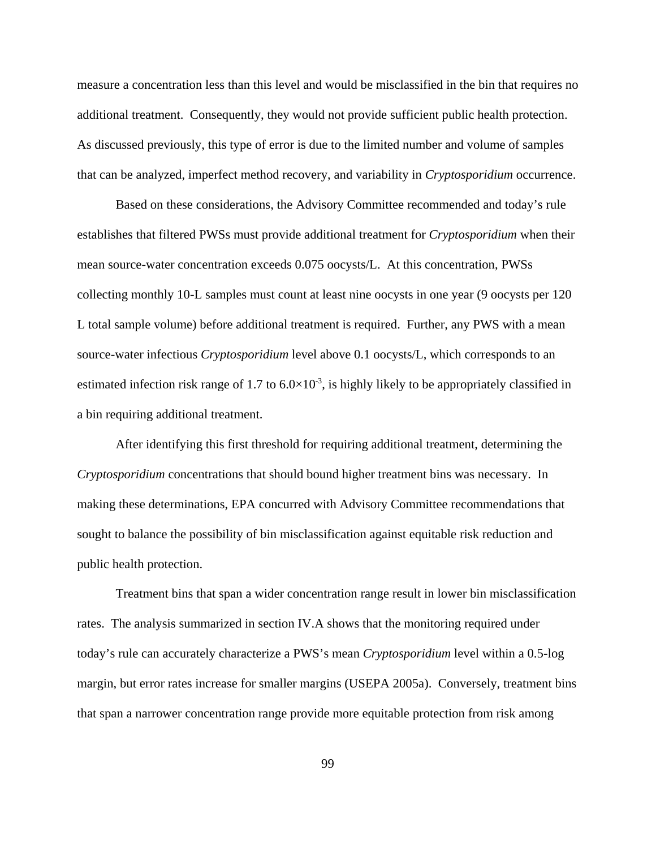measure a concentration less than this level and would be misclassified in the bin that requires no additional treatment. Consequently, they would not provide sufficient public health protection. As discussed previously, this type of error is due to the limited number and volume of samples that can be analyzed, imperfect method recovery, and variability in *Cryptosporidium* occurrence.

Based on these considerations, the Advisory Committee recommended and today's rule establishes that filtered PWSs must provide additional treatment for *Cryptosporidium* when their mean source-water concentration exceeds 0.075 oocysts/L. At this concentration, PWSs collecting monthly 10-L samples must count at least nine oocysts in one year (9 oocysts per 120 L total sample volume) before additional treatment is required. Further, any PWS with a mean source-water infectious *Cryptosporidium* level above 0.1 oocysts/L, which corresponds to an estimated infection risk range of 1.7 to  $6.0 \times 10^{-3}$ , is highly likely to be appropriately classified in a bin requiring additional treatment.

After identifying this first threshold for requiring additional treatment, determining the *Cryptosporidium* concentrations that should bound higher treatment bins was necessary. In making these determinations, EPA concurred with Advisory Committee recommendations that sought to balance the possibility of bin misclassification against equitable risk reduction and public health protection.

Treatment bins that span a wider concentration range result in lower bin misclassification rates. The analysis summarized in section IV.A shows that the monitoring required under today's rule can accurately characterize a PWS's mean *Cryptosporidium* level within a 0.5-log margin, but error rates increase for smaller margins (USEPA 2005a). Conversely, treatment bins that span a narrower concentration range provide more equitable protection from risk among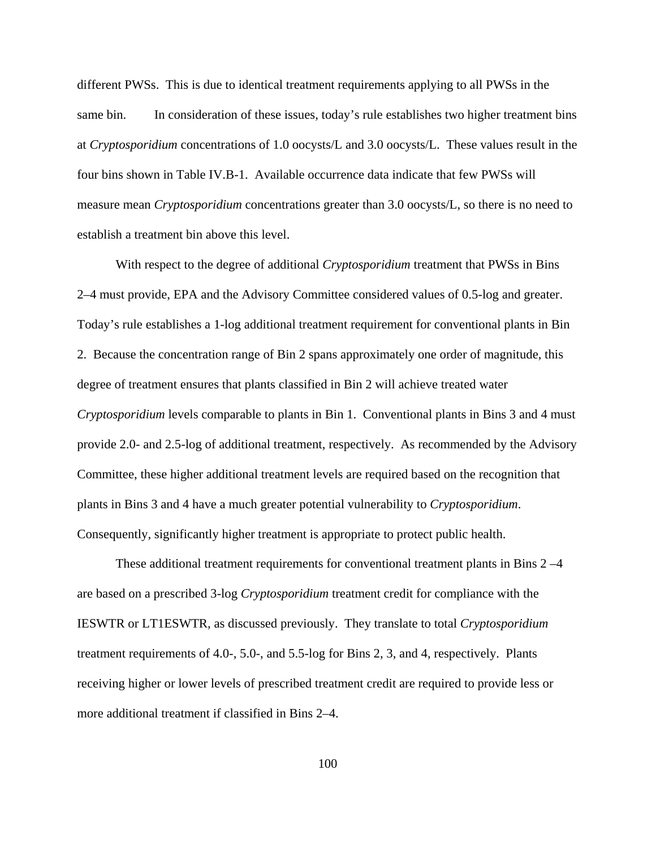different PWSs. This is due to identical treatment requirements applying to all PWSs in the same bin. In consideration of these issues, today's rule establishes two higher treatment bins at *Cryptosporidium* concentrations of 1.0 oocysts/L and 3.0 oocysts/L. These values result in the four bins shown in Table IV.B-1. Available occurrence data indicate that few PWSs will measure mean *Cryptosporidium* concentrations greater than 3.0 oocysts/L, so there is no need to establish a treatment bin above this level.

With respect to the degree of additional *Cryptosporidium* treatment that PWSs in Bins 2–4 must provide, EPA and the Advisory Committee considered values of 0.5-log and greater. Today's rule establishes a 1-log additional treatment requirement for conventional plants in Bin 2. Because the concentration range of Bin 2 spans approximately one order of magnitude, this degree of treatment ensures that plants classified in Bin 2 will achieve treated water *Cryptosporidium* levels comparable to plants in Bin 1. Conventional plants in Bins 3 and 4 must provide 2.0- and 2.5-log of additional treatment, respectively. As recommended by the Advisory Committee, these higher additional treatment levels are required based on the recognition that plants in Bins 3 and 4 have a much greater potential vulnerability to *Cryptosporidium*. Consequently, significantly higher treatment is appropriate to protect public health.

These additional treatment requirements for conventional treatment plants in Bins 2 –4 are based on a prescribed 3-log *Cryptosporidium* treatment credit for compliance with the IESWTR or LT1ESWTR, as discussed previously. They translate to total *Cryptosporidium* treatment requirements of 4.0-, 5.0-, and 5.5-log for Bins 2, 3, and 4, respectively. Plants receiving higher or lower levels of prescribed treatment credit are required to provide less or more additional treatment if classified in Bins 2–4.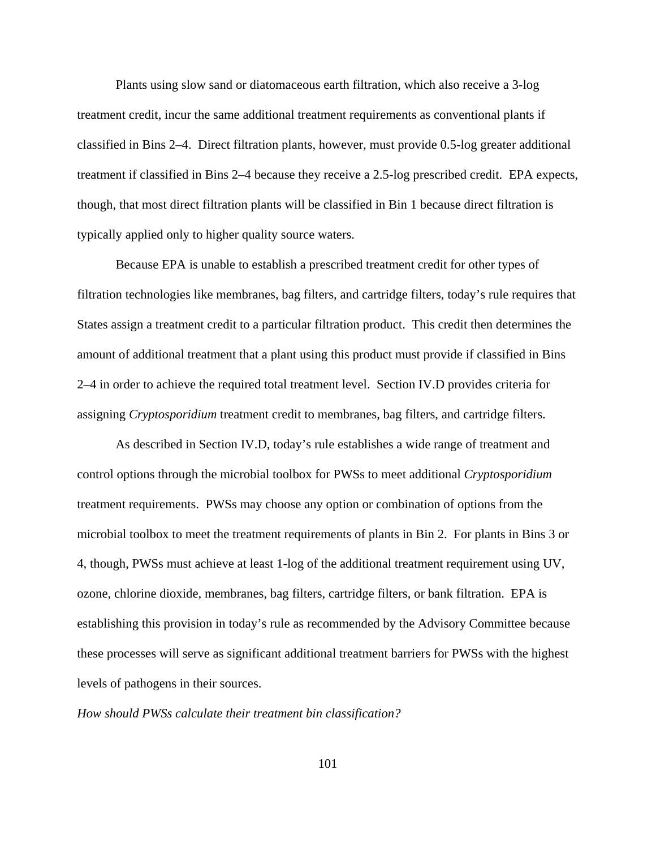Plants using slow sand or diatomaceous earth filtration, which also receive a 3-log treatment credit, incur the same additional treatment requirements as conventional plants if classified in Bins 2–4. Direct filtration plants, however, must provide 0.5-log greater additional treatment if classified in Bins 2–4 because they receive a 2.5-log prescribed credit. EPA expects, though, that most direct filtration plants will be classified in Bin 1 because direct filtration is typically applied only to higher quality source waters.

Because EPA is unable to establish a prescribed treatment credit for other types of filtration technologies like membranes, bag filters, and cartridge filters, today's rule requires that States assign a treatment credit to a particular filtration product. This credit then determines the amount of additional treatment that a plant using this product must provide if classified in Bins 2–4 in order to achieve the required total treatment level. Section IV.D provides criteria for assigning *Cryptosporidium* treatment credit to membranes, bag filters, and cartridge filters.

As described in Section IV.D, today's rule establishes a wide range of treatment and control options through the microbial toolbox for PWSs to meet additional *Cryptosporidium* treatment requirements. PWSs may choose any option or combination of options from the microbial toolbox to meet the treatment requirements of plants in Bin 2. For plants in Bins 3 or 4, though, PWSs must achieve at least 1-log of the additional treatment requirement using UV, ozone, chlorine dioxide, membranes, bag filters, cartridge filters, or bank filtration. EPA is establishing this provision in today's rule as recommended by the Advisory Committee because these processes will serve as significant additional treatment barriers for PWSs with the highest levels of pathogens in their sources.

*How should PWSs calculate their treatment bin classification?*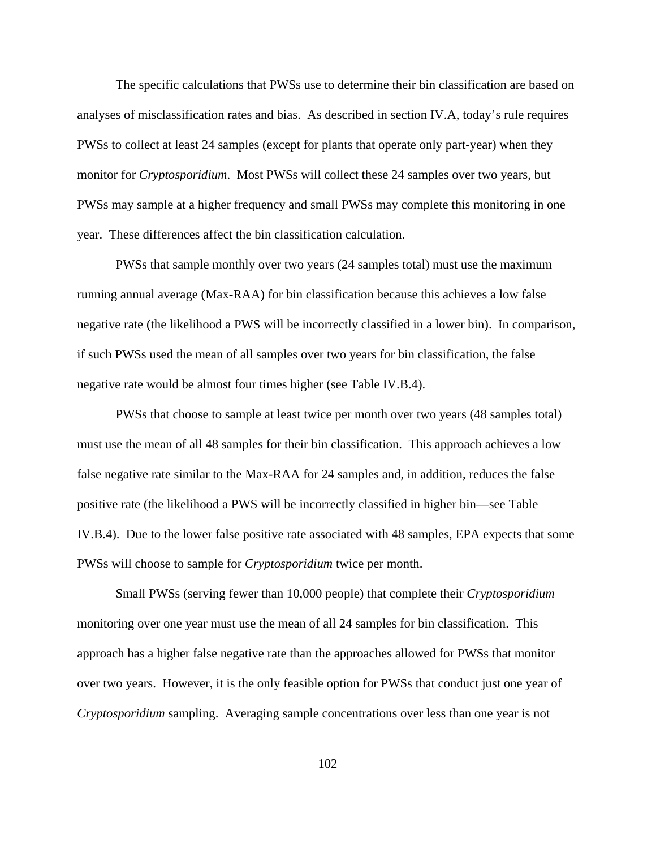The specific calculations that PWSs use to determine their bin classification are based on analyses of misclassification rates and bias. As described in section IV.A, today's rule requires PWSs to collect at least 24 samples (except for plants that operate only part-year) when they monitor for *Cryptosporidium*. Most PWSs will collect these 24 samples over two years, but PWSs may sample at a higher frequency and small PWSs may complete this monitoring in one year. These differences affect the bin classification calculation.

PWSs that sample monthly over two years (24 samples total) must use the maximum running annual average (Max-RAA) for bin classification because this achieves a low false negative rate (the likelihood a PWS will be incorrectly classified in a lower bin). In comparison, if such PWSs used the mean of all samples over two years for bin classification, the false negative rate would be almost four times higher (see Table IV.B.4).

PWSs that choose to sample at least twice per month over two years (48 samples total) must use the mean of all 48 samples for their bin classification. This approach achieves a low false negative rate similar to the Max-RAA for 24 samples and, in addition, reduces the false positive rate (the likelihood a PWS will be incorrectly classified in higher bin—see Table IV.B.4). Due to the lower false positive rate associated with 48 samples, EPA expects that some PWSs will choose to sample for *Cryptosporidium* twice per month.

Small PWSs (serving fewer than 10,000 people) that complete their *Cryptosporidium* monitoring over one year must use the mean of all 24 samples for bin classification. This approach has a higher false negative rate than the approaches allowed for PWSs that monitor over two years. However, it is the only feasible option for PWSs that conduct just one year of *Cryptosporidium* sampling. Averaging sample concentrations over less than one year is not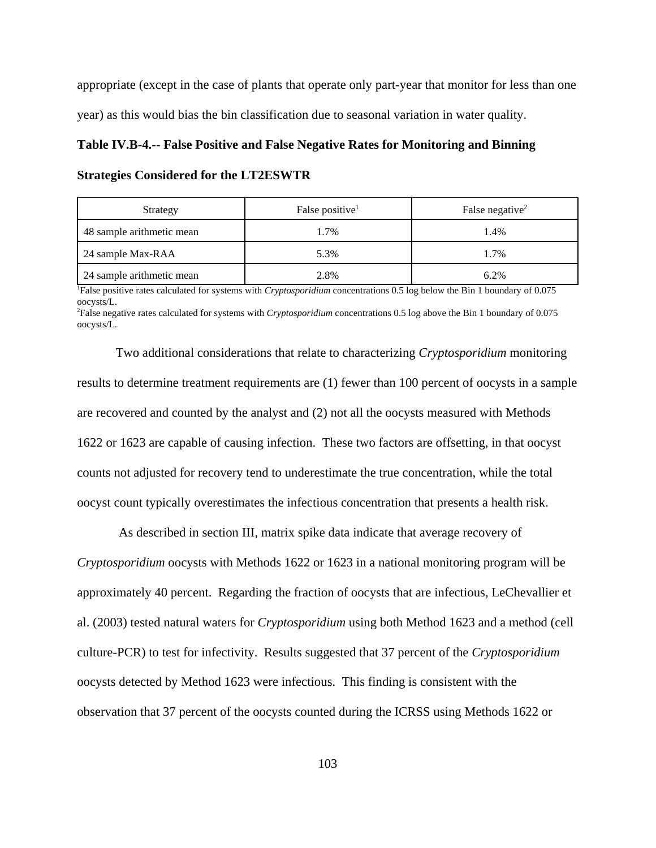appropriate (except in the case of plants that operate only part-year that monitor for less than one year) as this would bias the bin classification due to seasonal variation in water quality.

## **Table IV.B-4.-- False Positive and False Negative Rates for Monitoring and Binning**

#### **Strategies Considered for the LT2ESWTR**

| Strategy                  | False positive <sup>1</sup> | False negative <sup>2</sup> |
|---------------------------|-----------------------------|-----------------------------|
| 48 sample arithmetic mean | 1.7%                        | 1.4%                        |
| 24 sample Max-RAA         | 5.3%                        | 1.7%                        |
| 24 sample arithmetic mean | 2.8%                        | 6.2%                        |

1 False positive rates calculated for systems with *Cryptosporidium* concentrations 0.5 log below the Bin 1 boundary of 0.075 oocysts/L.

2 False negative rates calculated for systems with *Cryptosporidium* concentrations 0.5 log above the Bin 1 boundary of 0.075 oocysts/L.

Two additional considerations that relate to characterizing *Cryptosporidium* monitoring results to determine treatment requirements are (1) fewer than 100 percent of oocysts in a sample are recovered and counted by the analyst and (2) not all the oocysts measured with Methods 1622 or 1623 are capable of causing infection. These two factors are offsetting, in that oocyst counts not adjusted for recovery tend to underestimate the true concentration, while the total oocyst count typically overestimates the infectious concentration that presents a health risk.

 As described in section III, matrix spike data indicate that average recovery of *Cryptosporidium* oocysts with Methods 1622 or 1623 in a national monitoring program will be approximately 40 percent. Regarding the fraction of oocysts that are infectious, LeChevallier et al. (2003) tested natural waters for *Cryptosporidium* using both Method 1623 and a method (cell culture-PCR) to test for infectivity. Results suggested that 37 percent of the *Cryptosporidium* oocysts detected by Method 1623 were infectious. This finding is consistent with the observation that 37 percent of the oocysts counted during the ICRSS using Methods 1622 or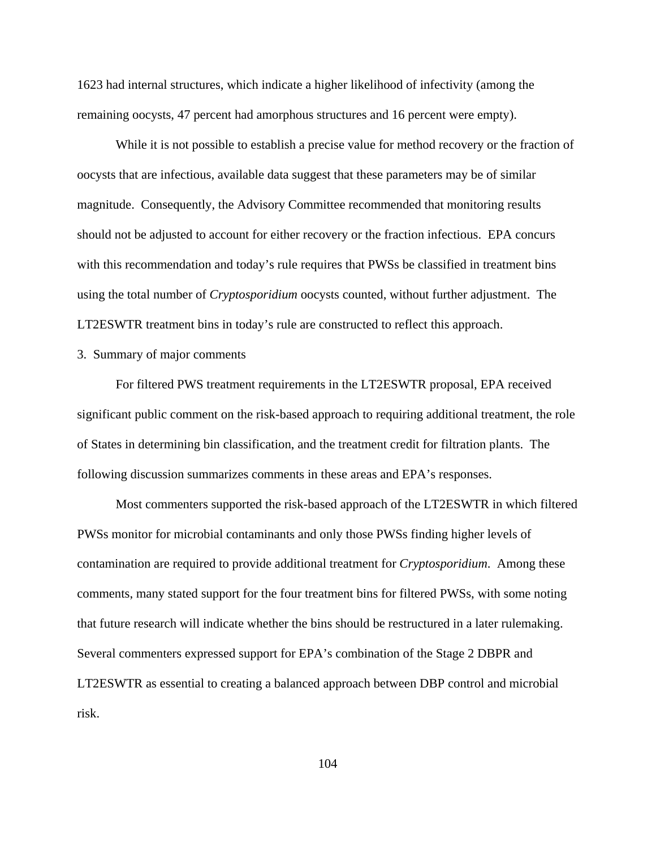1623 had internal structures, which indicate a higher likelihood of infectivity (among the remaining oocysts, 47 percent had amorphous structures and 16 percent were empty).

While it is not possible to establish a precise value for method recovery or the fraction of oocysts that are infectious, available data suggest that these parameters may be of similar magnitude. Consequently, the Advisory Committee recommended that monitoring results should not be adjusted to account for either recovery or the fraction infectious. EPA concurs with this recommendation and today's rule requires that PWSs be classified in treatment bins using the total number of *Cryptosporidium* oocysts counted, without further adjustment. The LT2ESWTR treatment bins in today's rule are constructed to reflect this approach.

## 3. Summary of major comments

For filtered PWS treatment requirements in the LT2ESWTR proposal, EPA received significant public comment on the risk-based approach to requiring additional treatment, the role of States in determining bin classification, and the treatment credit for filtration plants. The following discussion summarizes comments in these areas and EPA's responses.

Most commenters supported the risk-based approach of the LT2ESWTR in which filtered PWSs monitor for microbial contaminants and only those PWSs finding higher levels of contamination are required to provide additional treatment for *Cryptosporidium*. Among these comments, many stated support for the four treatment bins for filtered PWSs, with some noting that future research will indicate whether the bins should be restructured in a later rulemaking. Several commenters expressed support for EPA's combination of the Stage 2 DBPR and LT2ESWTR as essential to creating a balanced approach between DBP control and microbial risk.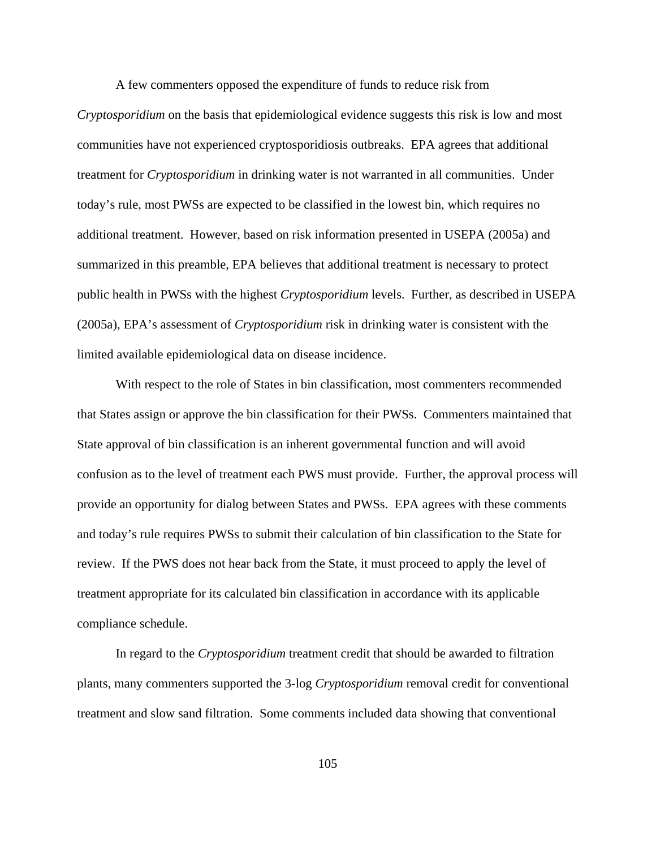A few commenters opposed the expenditure of funds to reduce risk from

*Cryptosporidium* on the basis that epidemiological evidence suggests this risk is low and most communities have not experienced cryptosporidiosis outbreaks. EPA agrees that additional treatment for *Cryptosporidium* in drinking water is not warranted in all communities. Under today's rule, most PWSs are expected to be classified in the lowest bin, which requires no additional treatment. However, based on risk information presented in USEPA (2005a) and summarized in this preamble, EPA believes that additional treatment is necessary to protect public health in PWSs with the highest *Cryptosporidium* levels. Further, as described in USEPA (2005a), EPA's assessment of *Cryptosporidium* risk in drinking water is consistent with the limited available epidemiological data on disease incidence.

With respect to the role of States in bin classification, most commenters recommended that States assign or approve the bin classification for their PWSs. Commenters maintained that State approval of bin classification is an inherent governmental function and will avoid confusion as to the level of treatment each PWS must provide. Further, the approval process will provide an opportunity for dialog between States and PWSs. EPA agrees with these comments and today's rule requires PWSs to submit their calculation of bin classification to the State for review. If the PWS does not hear back from the State, it must proceed to apply the level of treatment appropriate for its calculated bin classification in accordance with its applicable compliance schedule.

In regard to the *Cryptosporidium* treatment credit that should be awarded to filtration plants, many commenters supported the 3-log *Cryptosporidium* removal credit for conventional treatment and slow sand filtration. Some comments included data showing that conventional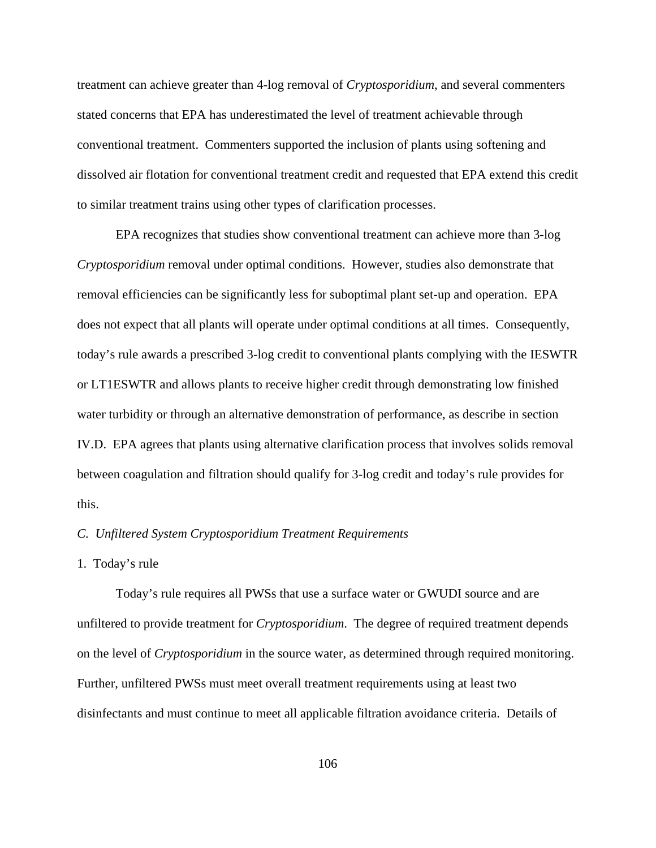treatment can achieve greater than 4-log removal of *Cryptosporidium*, and several commenters stated concerns that EPA has underestimated the level of treatment achievable through conventional treatment. Commenters supported the inclusion of plants using softening and dissolved air flotation for conventional treatment credit and requested that EPA extend this credit to similar treatment trains using other types of clarification processes.

EPA recognizes that studies show conventional treatment can achieve more than 3-log *Cryptosporidium* removal under optimal conditions. However, studies also demonstrate that removal efficiencies can be significantly less for suboptimal plant set-up and operation. EPA does not expect that all plants will operate under optimal conditions at all times. Consequently, today's rule awards a prescribed 3-log credit to conventional plants complying with the IESWTR or LT1ESWTR and allows plants to receive higher credit through demonstrating low finished water turbidity or through an alternative demonstration of performance, as describe in section IV.D. EPA agrees that plants using alternative clarification process that involves solids removal between coagulation and filtration should qualify for 3-log credit and today's rule provides for this.

# *C. Unfiltered System Cryptosporidium Treatment Requirements*

#### 1. Today's rule

Today's rule requires all PWSs that use a surface water or GWUDI source and are unfiltered to provide treatment for *Cryptosporidium*. The degree of required treatment depends on the level of *Cryptosporidium* in the source water, as determined through required monitoring. Further, unfiltered PWSs must meet overall treatment requirements using at least two disinfectants and must continue to meet all applicable filtration avoidance criteria. Details of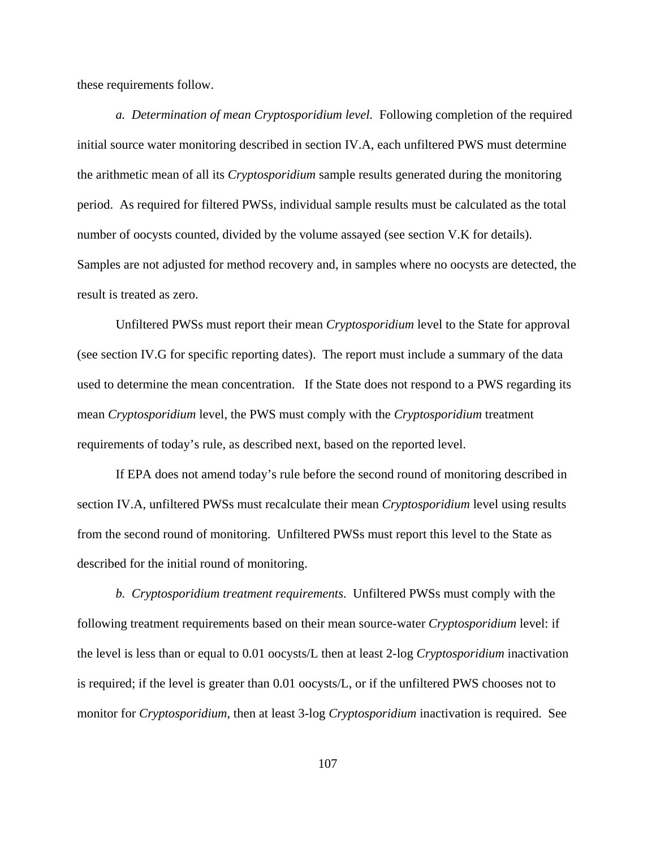these requirements follow.

*a. Determination of mean Cryptosporidium level.* Following completion of the required initial source water monitoring described in section IV.A, each unfiltered PWS must determine the arithmetic mean of all its *Cryptosporidium* sample results generated during the monitoring period. As required for filtered PWSs, individual sample results must be calculated as the total number of oocysts counted, divided by the volume assayed (see section V.K for details). Samples are not adjusted for method recovery and, in samples where no oocysts are detected, the result is treated as zero.

Unfiltered PWSs must report their mean *Cryptosporidium* level to the State for approval (see section IV.G for specific reporting dates). The report must include a summary of the data used to determine the mean concentration. If the State does not respond to a PWS regarding its mean *Cryptosporidium* level, the PWS must comply with the *Cryptosporidium* treatment requirements of today's rule, as described next, based on the reported level.

If EPA does not amend today's rule before the second round of monitoring described in section IV.A, unfiltered PWSs must recalculate their mean *Cryptosporidium* level using results from the second round of monitoring. Unfiltered PWSs must report this level to the State as described for the initial round of monitoring.

*b. Cryptosporidium treatment requirements*. Unfiltered PWSs must comply with the following treatment requirements based on their mean source-water *Cryptosporidium* level: if the level is less than or equal to 0.01 oocysts/L then at least 2-log *Cryptosporidium* inactivation is required; if the level is greater than 0.01 oocysts/L, or if the unfiltered PWS chooses not to monitor for *Cryptosporidium*, then at least 3-log *Cryptosporidium* inactivation is required. See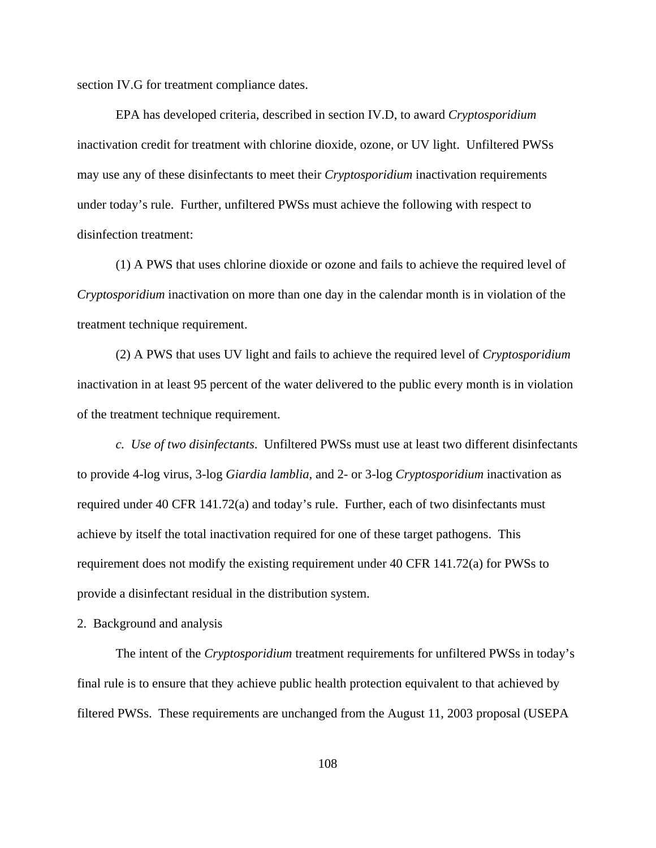section IV.G for treatment compliance dates.

EPA has developed criteria, described in section IV.D, to award *Cryptosporidium* inactivation credit for treatment with chlorine dioxide, ozone, or UV light. Unfiltered PWSs may use any of these disinfectants to meet their *Cryptosporidium* inactivation requirements under today's rule. Further, unfiltered PWSs must achieve the following with respect to disinfection treatment:

(1) A PWS that uses chlorine dioxide or ozone and fails to achieve the required level of *Cryptosporidium* inactivation on more than one day in the calendar month is in violation of the treatment technique requirement.

(2) A PWS that uses UV light and fails to achieve the required level of *Cryptosporidium* inactivation in at least 95 percent of the water delivered to the public every month is in violation of the treatment technique requirement.

*c. Use of two disinfectants*. Unfiltered PWSs must use at least two different disinfectants to provide 4-log virus, 3-log *Giardia lamblia*, and 2- or 3-log *Cryptosporidium* inactivation as required under 40 CFR 141.72(a) and today's rule. Further, each of two disinfectants must achieve by itself the total inactivation required for one of these target pathogens. This requirement does not modify the existing requirement under 40 CFR 141.72(a) for PWSs to provide a disinfectant residual in the distribution system.

2. Background and analysis

The intent of the *Cryptosporidium* treatment requirements for unfiltered PWSs in today's final rule is to ensure that they achieve public health protection equivalent to that achieved by filtered PWSs. These requirements are unchanged from the August 11, 2003 proposal (USEPA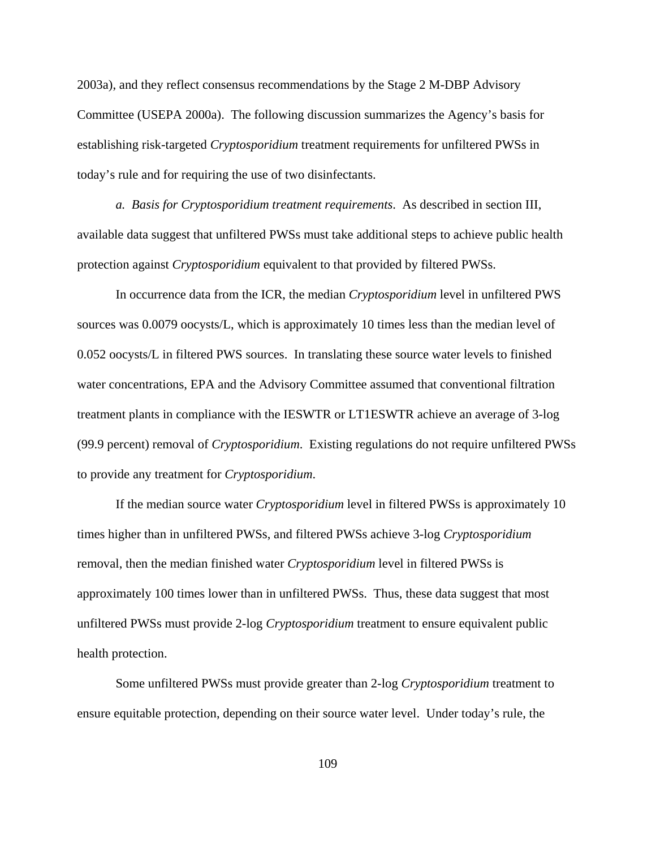2003a), and they reflect consensus recommendations by the Stage 2 M-DBP Advisory Committee (USEPA 2000a). The following discussion summarizes the Agency's basis for establishing risk-targeted *Cryptosporidium* treatment requirements for unfiltered PWSs in today's rule and for requiring the use of two disinfectants.

*a. Basis for Cryptosporidium treatment requirements*. As described in section III, available data suggest that unfiltered PWSs must take additional steps to achieve public health protection against *Cryptosporidium* equivalent to that provided by filtered PWSs.

In occurrence data from the ICR, the median *Cryptosporidium* level in unfiltered PWS sources was 0.0079 oocysts/L, which is approximately 10 times less than the median level of 0.052 oocysts/L in filtered PWS sources. In translating these source water levels to finished water concentrations, EPA and the Advisory Committee assumed that conventional filtration treatment plants in compliance with the IESWTR or LT1ESWTR achieve an average of 3-log (99.9 percent) removal of *Cryptosporidium*. Existing regulations do not require unfiltered PWSs to provide any treatment for *Cryptosporidium*.

If the median source water *Cryptosporidium* level in filtered PWSs is approximately 10 times higher than in unfiltered PWSs, and filtered PWSs achieve 3-log *Cryptosporidium* removal, then the median finished water *Cryptosporidium* level in filtered PWSs is approximately 100 times lower than in unfiltered PWSs. Thus, these data suggest that most unfiltered PWSs must provide 2-log *Cryptosporidium* treatment to ensure equivalent public health protection.

Some unfiltered PWSs must provide greater than 2-log *Cryptosporidium* treatment to ensure equitable protection, depending on their source water level. Under today's rule, the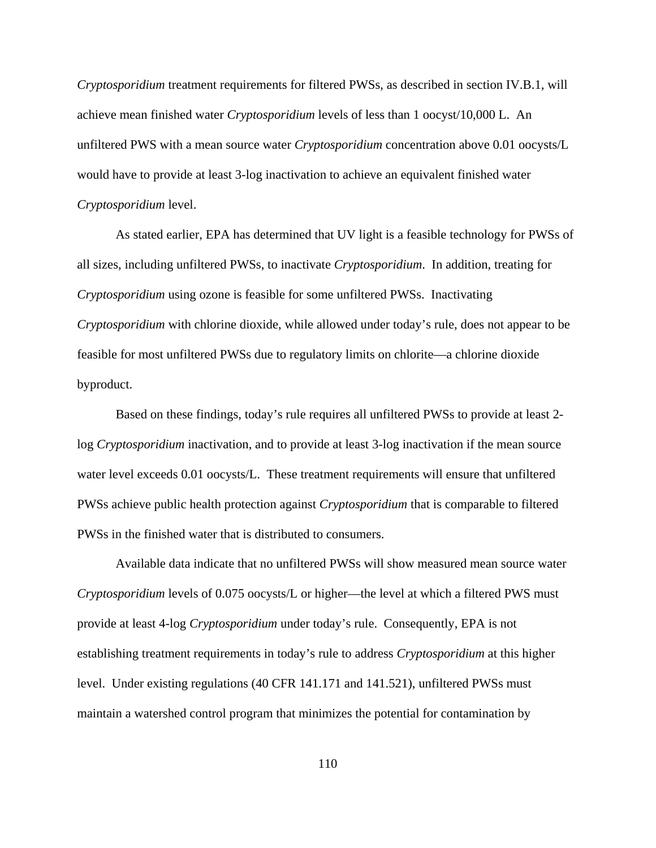*Cryptosporidium* treatment requirements for filtered PWSs, as described in section IV.B.1, will achieve mean finished water *Cryptosporidium* levels of less than 1 oocyst/10,000 L. An unfiltered PWS with a mean source water *Cryptosporidium* concentration above 0.01 oocysts/L would have to provide at least 3-log inactivation to achieve an equivalent finished water *Cryptosporidium* level.

As stated earlier, EPA has determined that UV light is a feasible technology for PWSs of all sizes, including unfiltered PWSs, to inactivate *Cryptosporidium*. In addition, treating for *Cryptosporidium* using ozone is feasible for some unfiltered PWSs. Inactivating *Cryptosporidium* with chlorine dioxide, while allowed under today's rule, does not appear to be feasible for most unfiltered PWSs due to regulatory limits on chlorite—a chlorine dioxide byproduct.

Based on these findings, today's rule requires all unfiltered PWSs to provide at least 2 log *Cryptosporidium* inactivation, and to provide at least 3-log inactivation if the mean source water level exceeds 0.01 oocysts/L. These treatment requirements will ensure that unfiltered PWSs achieve public health protection against *Cryptosporidium* that is comparable to filtered PWSs in the finished water that is distributed to consumers.

Available data indicate that no unfiltered PWSs will show measured mean source water *Cryptosporidium* levels of 0.075 oocysts/L or higher—the level at which a filtered PWS must provide at least 4-log *Cryptosporidium* under today's rule. Consequently, EPA is not establishing treatment requirements in today's rule to address *Cryptosporidium* at this higher level. Under existing regulations (40 CFR 141.171 and 141.521), unfiltered PWSs must maintain a watershed control program that minimizes the potential for contamination by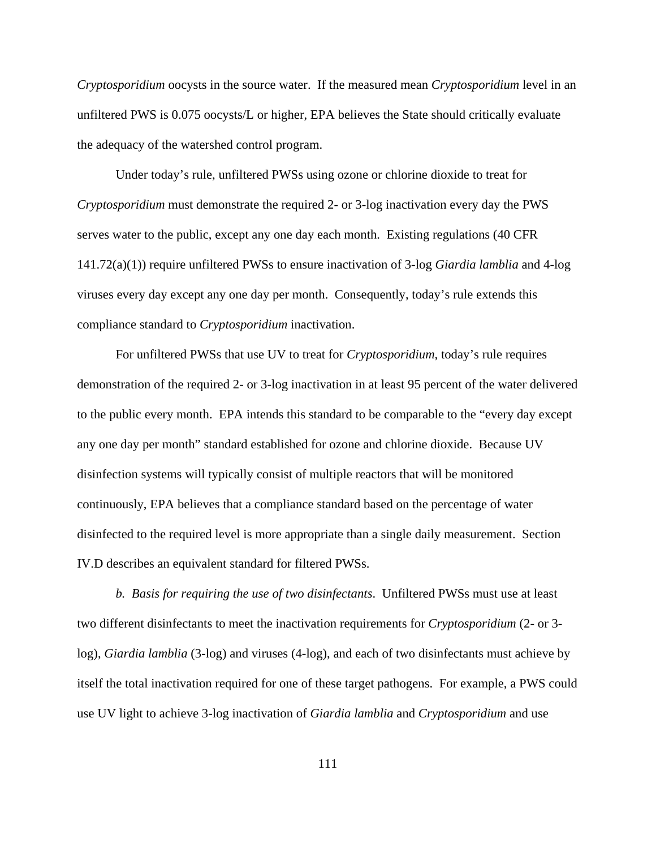*Cryptosporidium* oocysts in the source water. If the measured mean *Cryptosporidium* level in an unfiltered PWS is 0.075 oocysts/L or higher, EPA believes the State should critically evaluate the adequacy of the watershed control program.

Under today's rule, unfiltered PWSs using ozone or chlorine dioxide to treat for *Cryptosporidium* must demonstrate the required 2- or 3-log inactivation every day the PWS serves water to the public, except any one day each month. Existing regulations (40 CFR 141.72(a)(1)) require unfiltered PWSs to ensure inactivation of 3-log *Giardia lamblia* and 4-log viruses every day except any one day per month. Consequently, today's rule extends this compliance standard to *Cryptosporidium* inactivation.

For unfiltered PWSs that use UV to treat for *Cryptosporidium*, today's rule requires demonstration of the required 2- or 3-log inactivation in at least 95 percent of the water delivered to the public every month. EPA intends this standard to be comparable to the "every day except any one day per month" standard established for ozone and chlorine dioxide. Because UV disinfection systems will typically consist of multiple reactors that will be monitored continuously, EPA believes that a compliance standard based on the percentage of water disinfected to the required level is more appropriate than a single daily measurement. Section IV.D describes an equivalent standard for filtered PWSs.

*b. Basis for requiring the use of two disinfectants*. Unfiltered PWSs must use at least two different disinfectants to meet the inactivation requirements for *Cryptosporidium* (2- or 3 log), *Giardia lamblia* (3-log) and viruses (4-log), and each of two disinfectants must achieve by itself the total inactivation required for one of these target pathogens. For example, a PWS could use UV light to achieve 3-log inactivation of *Giardia lamblia* and *Cryptosporidium* and use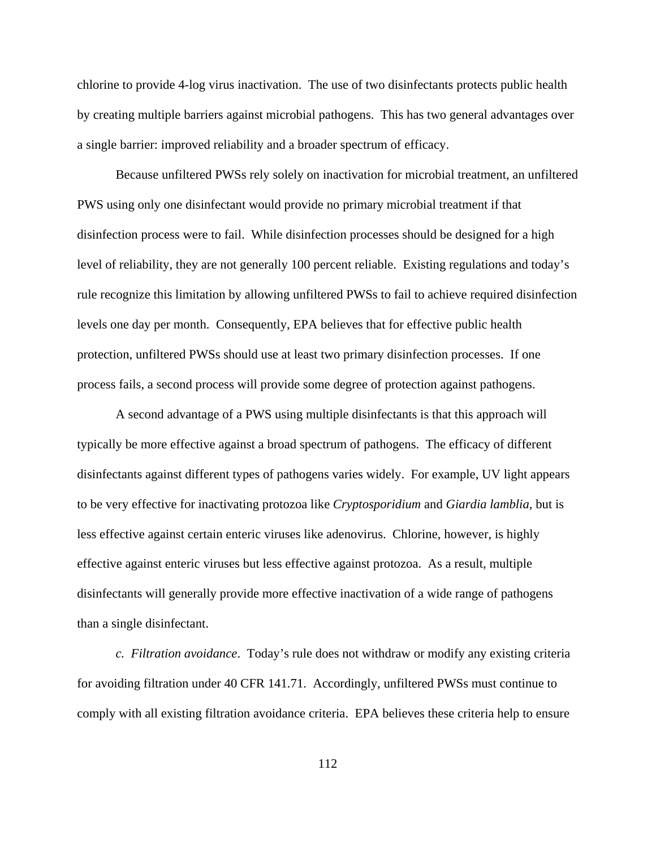chlorine to provide 4-log virus inactivation. The use of two disinfectants protects public health by creating multiple barriers against microbial pathogens. This has two general advantages over a single barrier: improved reliability and a broader spectrum of efficacy.

Because unfiltered PWSs rely solely on inactivation for microbial treatment, an unfiltered PWS using only one disinfectant would provide no primary microbial treatment if that disinfection process were to fail. While disinfection processes should be designed for a high level of reliability, they are not generally 100 percent reliable. Existing regulations and today's rule recognize this limitation by allowing unfiltered PWSs to fail to achieve required disinfection levels one day per month. Consequently, EPA believes that for effective public health protection, unfiltered PWSs should use at least two primary disinfection processes. If one process fails, a second process will provide some degree of protection against pathogens.

A second advantage of a PWS using multiple disinfectants is that this approach will typically be more effective against a broad spectrum of pathogens. The efficacy of different disinfectants against different types of pathogens varies widely. For example, UV light appears to be very effective for inactivating protozoa like *Cryptosporidium* and *Giardia lamblia*, but is less effective against certain enteric viruses like adenovirus. Chlorine, however, is highly effective against enteric viruses but less effective against protozoa. As a result, multiple disinfectants will generally provide more effective inactivation of a wide range of pathogens than a single disinfectant.

*c. Filtration avoidance*. Today's rule does not withdraw or modify any existing criteria for avoiding filtration under 40 CFR 141.71. Accordingly, unfiltered PWSs must continue to comply with all existing filtration avoidance criteria. EPA believes these criteria help to ensure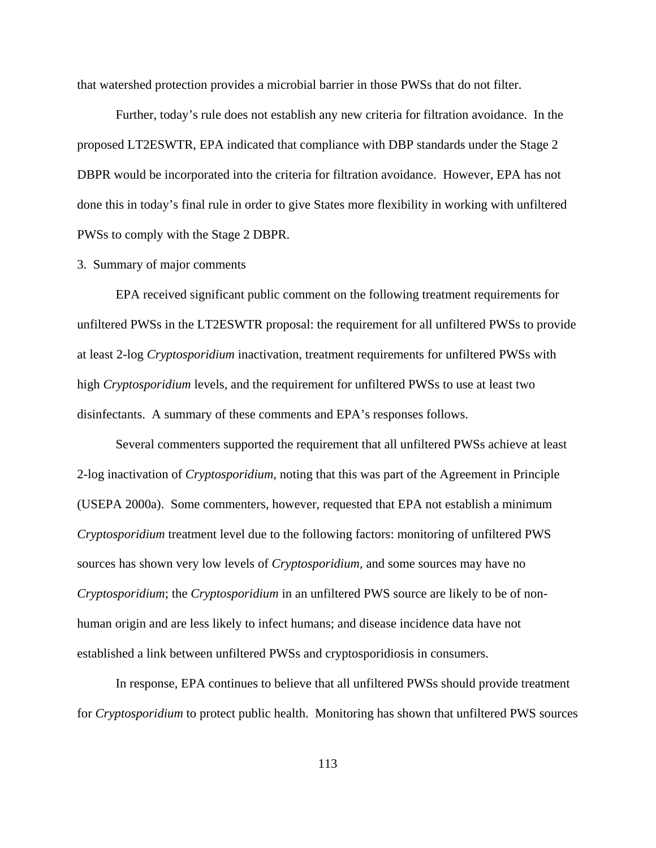that watershed protection provides a microbial barrier in those PWSs that do not filter.

Further, today's rule does not establish any new criteria for filtration avoidance. In the proposed LT2ESWTR, EPA indicated that compliance with DBP standards under the Stage 2 DBPR would be incorporated into the criteria for filtration avoidance. However, EPA has not done this in today's final rule in order to give States more flexibility in working with unfiltered PWSs to comply with the Stage 2 DBPR.

#### 3. Summary of major comments

EPA received significant public comment on the following treatment requirements for unfiltered PWSs in the LT2ESWTR proposal: the requirement for all unfiltered PWSs to provide at least 2-log *Cryptosporidium* inactivation, treatment requirements for unfiltered PWSs with high *Cryptosporidium* levels, and the requirement for unfiltered PWSs to use at least two disinfectants. A summary of these comments and EPA's responses follows.

Several commenters supported the requirement that all unfiltered PWSs achieve at least 2-log inactivation of *Cryptosporidium*, noting that this was part of the Agreement in Principle (USEPA 2000a). Some commenters, however, requested that EPA not establish a minimum *Cryptosporidium* treatment level due to the following factors: monitoring of unfiltered PWS sources has shown very low levels of *Cryptosporidium,* and some sources may have no *Cryptosporidium*; the *Cryptosporidium* in an unfiltered PWS source are likely to be of nonhuman origin and are less likely to infect humans; and disease incidence data have not established a link between unfiltered PWSs and cryptosporidiosis in consumers.

In response, EPA continues to believe that all unfiltered PWSs should provide treatment for *Cryptosporidium* to protect public health. Monitoring has shown that unfiltered PWS sources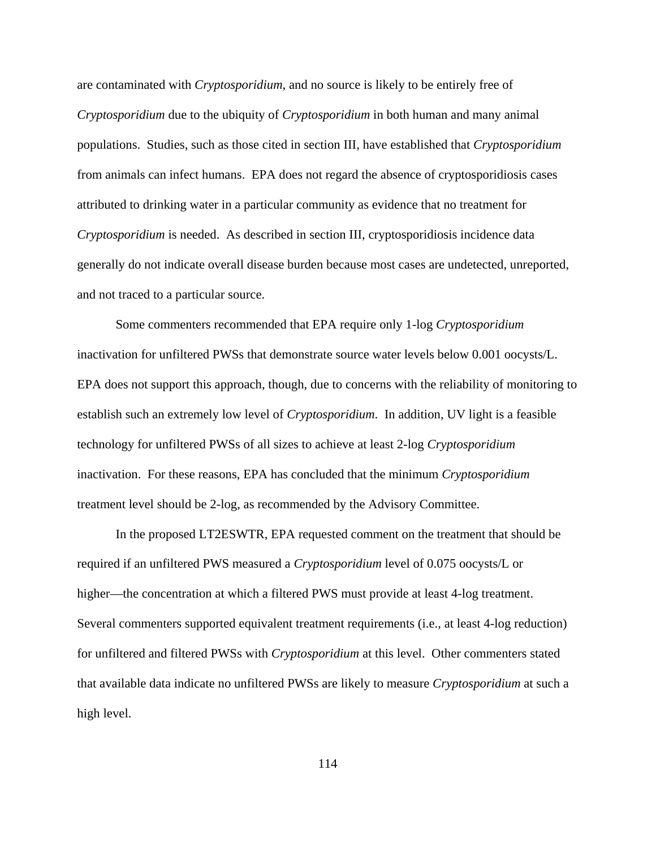are contaminated with *Cryptosporidium*, and no source is likely to be entirely free of *Cryptosporidium* due to the ubiquity of *Cryptosporidium* in both human and many animal populations. Studies, such as those cited in section III, have established that *Cryptosporidium* from animals can infect humans. EPA does not regard the absence of cryptosporidiosis cases attributed to drinking water in a particular community as evidence that no treatment for *Cryptosporidium* is needed. As described in section III, cryptosporidiosis incidence data generally do not indicate overall disease burden because most cases are undetected, unreported, and not traced to a particular source.

Some commenters recommended that EPA require only 1-log *Cryptosporidium* inactivation for unfiltered PWSs that demonstrate source water levels below 0.001 oocysts/L. EPA does not support this approach, though, due to concerns with the reliability of monitoring to establish such an extremely low level of *Cryptosporidium*. In addition, UV light is a feasible technology for unfiltered PWSs of all sizes to achieve at least 2-log *Cryptosporidium* inactivation. For these reasons, EPA has concluded that the minimum *Cryptosporidium* treatment level should be 2-log, as recommended by the Advisory Committee.

In the proposed LT2ESWTR, EPA requested comment on the treatment that should be required if an unfiltered PWS measured a *Cryptosporidium* level of 0.075 oocysts/L or higher—the concentration at which a filtered PWS must provide at least 4-log treatment. Several commenters supported equivalent treatment requirements (i.e., at least 4-log reduction) for unfiltered and filtered PWSs with *Cryptosporidium* at this level. Other commenters stated that available data indicate no unfiltered PWSs are likely to measure *Cryptosporidium* at such a high level.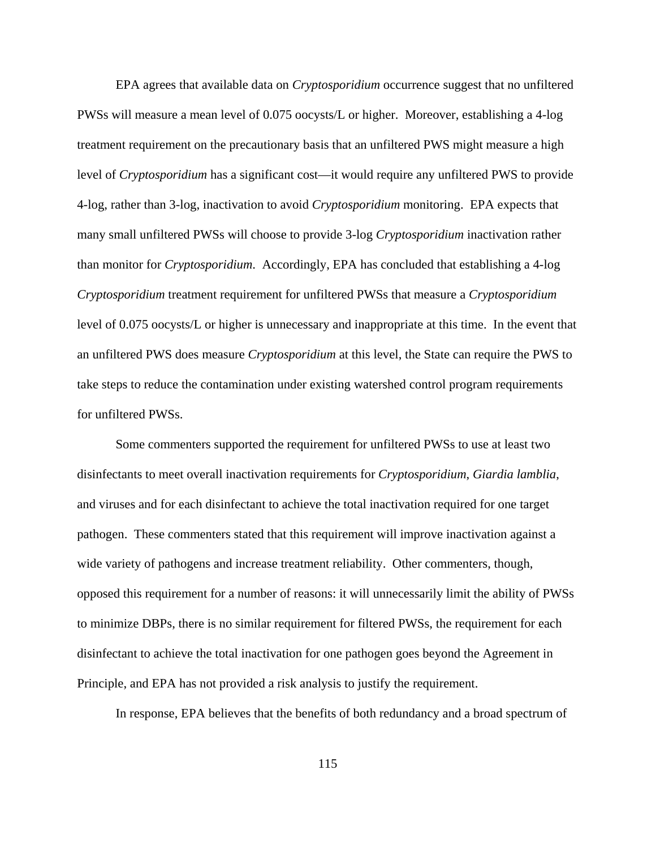EPA agrees that available data on *Cryptosporidium* occurrence suggest that no unfiltered PWSs will measure a mean level of 0.075 oocysts/L or higher. Moreover, establishing a 4-log treatment requirement on the precautionary basis that an unfiltered PWS might measure a high level of *Cryptosporidium* has a significant cost—it would require any unfiltered PWS to provide 4-log, rather than 3-log, inactivation to avoid *Cryptosporidium* monitoring. EPA expects that many small unfiltered PWSs will choose to provide 3-log *Cryptosporidium* inactivation rather than monitor for *Cryptosporidium*. Accordingly, EPA has concluded that establishing a 4-log *Cryptosporidium* treatment requirement for unfiltered PWSs that measure a *Cryptosporidium* level of 0.075 oocysts/L or higher is unnecessary and inappropriate at this time. In the event that an unfiltered PWS does measure *Cryptosporidium* at this level, the State can require the PWS to take steps to reduce the contamination under existing watershed control program requirements for unfiltered PWSs.

Some commenters supported the requirement for unfiltered PWSs to use at least two disinfectants to meet overall inactivation requirements for *Cryptosporidium*, *Giardia lamblia*, and viruses and for each disinfectant to achieve the total inactivation required for one target pathogen. These commenters stated that this requirement will improve inactivation against a wide variety of pathogens and increase treatment reliability. Other commenters, though, opposed this requirement for a number of reasons: it will unnecessarily limit the ability of PWSs to minimize DBPs, there is no similar requirement for filtered PWSs, the requirement for each disinfectant to achieve the total inactivation for one pathogen goes beyond the Agreement in Principle, and EPA has not provided a risk analysis to justify the requirement.

In response, EPA believes that the benefits of both redundancy and a broad spectrum of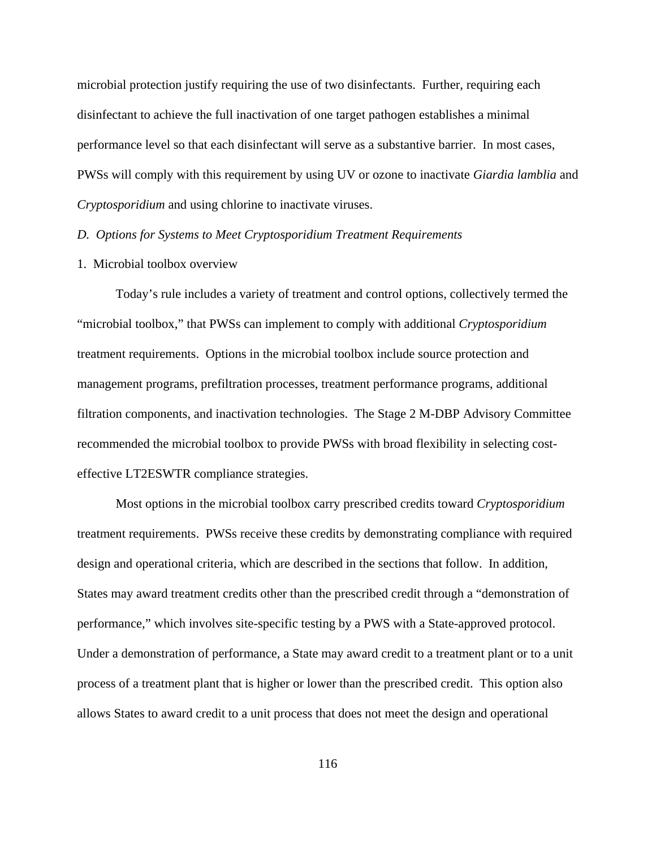microbial protection justify requiring the use of two disinfectants. Further, requiring each disinfectant to achieve the full inactivation of one target pathogen establishes a minimal performance level so that each disinfectant will serve as a substantive barrier. In most cases, PWSs will comply with this requirement by using UV or ozone to inactivate *Giardia lamblia* and *Cryptosporidium* and using chlorine to inactivate viruses.

#### *D. Options for Systems to Meet Cryptosporidium Treatment Requirements*

#### 1. Microbial toolbox overview

Today's rule includes a variety of treatment and control options, collectively termed the "microbial toolbox," that PWSs can implement to comply with additional *Cryptosporidium* treatment requirements. Options in the microbial toolbox include source protection and management programs, prefiltration processes, treatment performance programs, additional filtration components, and inactivation technologies. The Stage 2 M-DBP Advisory Committee recommended the microbial toolbox to provide PWSs with broad flexibility in selecting costeffective LT2ESWTR compliance strategies.

Most options in the microbial toolbox carry prescribed credits toward *Cryptosporidium* treatment requirements. PWSs receive these credits by demonstrating compliance with required design and operational criteria, which are described in the sections that follow. In addition, States may award treatment credits other than the prescribed credit through a "demonstration of performance," which involves site-specific testing by a PWS with a State-approved protocol. Under a demonstration of performance, a State may award credit to a treatment plant or to a unit process of a treatment plant that is higher or lower than the prescribed credit. This option also allows States to award credit to a unit process that does not meet the design and operational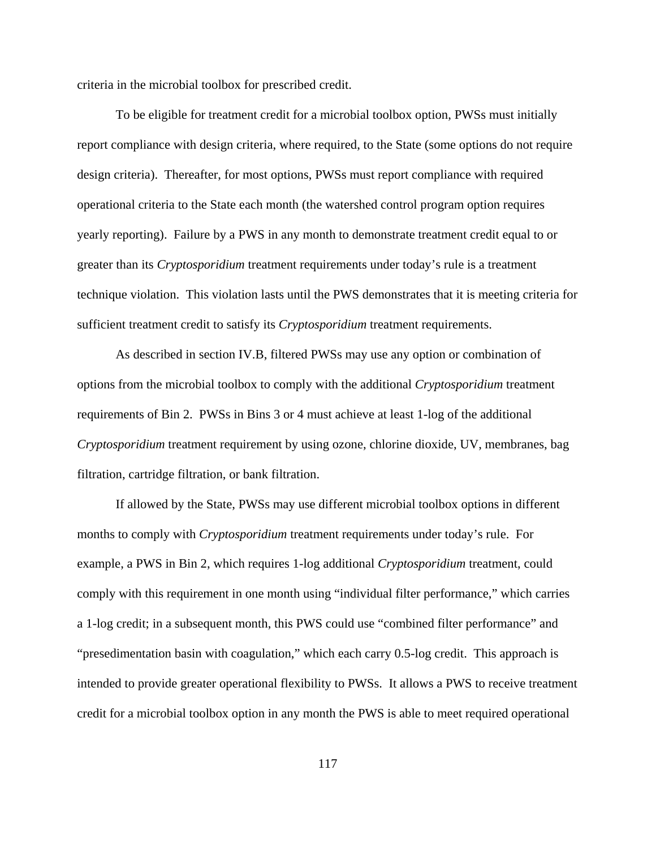criteria in the microbial toolbox for prescribed credit.

To be eligible for treatment credit for a microbial toolbox option, PWSs must initially report compliance with design criteria, where required, to the State (some options do not require design criteria). Thereafter, for most options, PWSs must report compliance with required operational criteria to the State each month (the watershed control program option requires yearly reporting). Failure by a PWS in any month to demonstrate treatment credit equal to or greater than its *Cryptosporidium* treatment requirements under today's rule is a treatment technique violation. This violation lasts until the PWS demonstrates that it is meeting criteria for sufficient treatment credit to satisfy its *Cryptosporidium* treatment requirements.

As described in section IV.B, filtered PWSs may use any option or combination of options from the microbial toolbox to comply with the additional *Cryptosporidium* treatment requirements of Bin 2. PWSs in Bins 3 or 4 must achieve at least 1-log of the additional *Cryptosporidium* treatment requirement by using ozone, chlorine dioxide, UV, membranes, bag filtration, cartridge filtration, or bank filtration.

If allowed by the State, PWSs may use different microbial toolbox options in different months to comply with *Cryptosporidium* treatment requirements under today's rule. For example, a PWS in Bin 2, which requires 1-log additional *Cryptosporidium* treatment, could comply with this requirement in one month using "individual filter performance," which carries a 1-log credit; in a subsequent month, this PWS could use "combined filter performance" and "presedimentation basin with coagulation," which each carry 0.5-log credit. This approach is intended to provide greater operational flexibility to PWSs. It allows a PWS to receive treatment credit for a microbial toolbox option in any month the PWS is able to meet required operational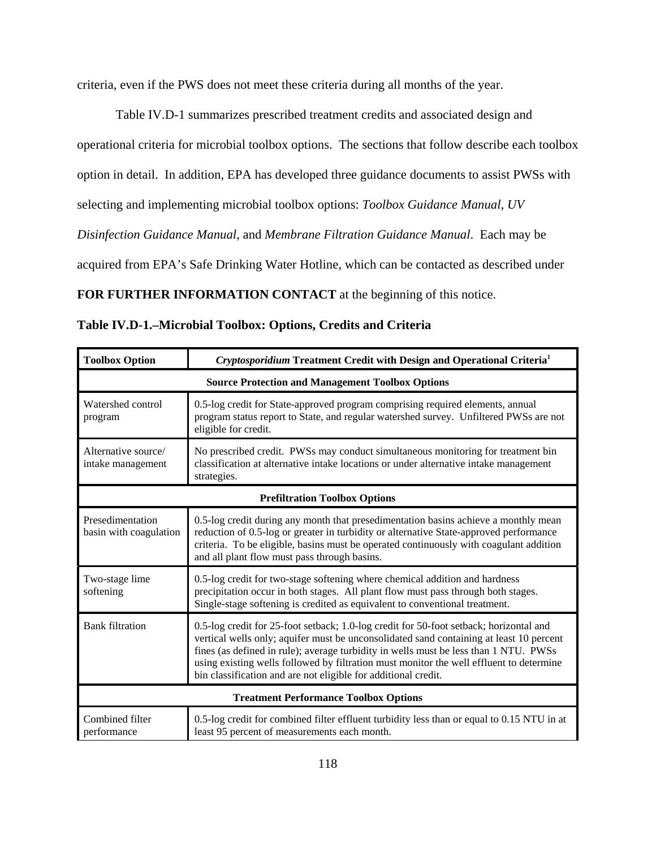criteria, even if the PWS does not meet these criteria during all months of the year.

Table IV.D-1 summarizes prescribed treatment credits and associated design and operational criteria for microbial toolbox options. The sections that follow describe each toolbox option in detail. In addition, EPA has developed three guidance documents to assist PWSs with selecting and implementing microbial toolbox options: *Toolbox Guidance Manual*, *UV Disinfection Guidance Manual*, and *Membrane Filtration Guidance Manual*. Each may be acquired from EPA's Safe Drinking Water Hotline, which can be contacted as described under **FOR FURTHER INFORMATION CONTACT** at the beginning of this notice.

| <b>Toolbox Option</b>                                   | Cryptosporidium Treatment Credit with Design and Operational Criteria <sup>1</sup>                                                                                                                                                                                                                                                                                                                                                     |  |
|---------------------------------------------------------|----------------------------------------------------------------------------------------------------------------------------------------------------------------------------------------------------------------------------------------------------------------------------------------------------------------------------------------------------------------------------------------------------------------------------------------|--|
| <b>Source Protection and Management Toolbox Options</b> |                                                                                                                                                                                                                                                                                                                                                                                                                                        |  |
| Watershed control<br>program                            | 0.5-log credit for State-approved program comprising required elements, annual<br>program status report to State, and regular watershed survey. Unfiltered PWSs are not<br>eligible for credit.                                                                                                                                                                                                                                        |  |
| Alternative source/<br>intake management                | No prescribed credit. PWSs may conduct simultaneous monitoring for treatment bin<br>classification at alternative intake locations or under alternative intake management<br>strategies.                                                                                                                                                                                                                                               |  |
| <b>Prefiltration Toolbox Options</b>                    |                                                                                                                                                                                                                                                                                                                                                                                                                                        |  |
| Presedimentation<br>basin with coagulation              | 0.5-log credit during any month that presedimentation basins achieve a monthly mean<br>reduction of 0.5-log or greater in turbidity or alternative State-approved performance<br>criteria. To be eligible, basins must be operated continuously with coagulant addition<br>and all plant flow must pass through basins.                                                                                                                |  |
| Two-stage lime<br>softening                             | 0.5-log credit for two-stage softening where chemical addition and hardness<br>precipitation occur in both stages. All plant flow must pass through both stages.<br>Single-stage softening is credited as equivalent to conventional treatment.                                                                                                                                                                                        |  |
| <b>Bank filtration</b>                                  | 0.5-log credit for 25-foot setback; 1.0-log credit for 50-foot setback; horizontal and<br>vertical wells only; aquifer must be unconsolidated sand containing at least 10 percent<br>fines (as defined in rule); average turbidity in wells must be less than 1 NTU. PWSs<br>using existing wells followed by filtration must monitor the well effluent to determine<br>bin classification and are not eligible for additional credit. |  |
| <b>Treatment Performance Toolbox Options</b>            |                                                                                                                                                                                                                                                                                                                                                                                                                                        |  |
| Combined filter<br>performance                          | 0.5-log credit for combined filter effluent turbidity less than or equal to 0.15 NTU in at<br>least 95 percent of measurements each month.                                                                                                                                                                                                                                                                                             |  |

| Table IV.D-1.–Microbial Toolbox: Options, Credits and Criteria |  |
|----------------------------------------------------------------|--|
|----------------------------------------------------------------|--|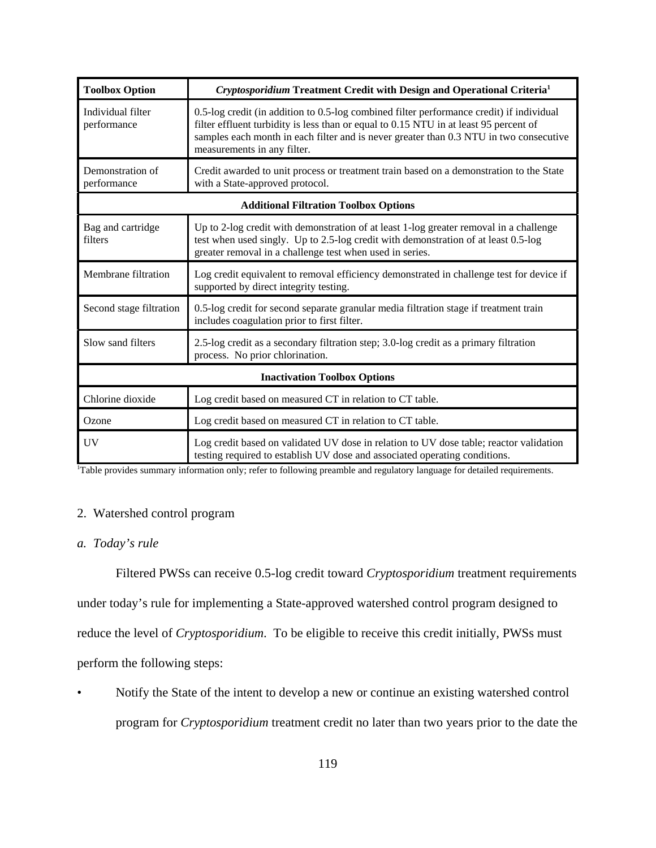| <b>Toolbox Option</b>                        | Cryptosporidium Treatment Credit with Design and Operational Criteria <sup>1</sup>                                                                                                                                                                                                                         |  |
|----------------------------------------------|------------------------------------------------------------------------------------------------------------------------------------------------------------------------------------------------------------------------------------------------------------------------------------------------------------|--|
| Individual filter<br>performance             | 0.5-log credit (in addition to 0.5-log combined filter performance credit) if individual<br>filter effluent turbidity is less than or equal to 0.15 NTU in at least 95 percent of<br>samples each month in each filter and is never greater than 0.3 NTU in two consecutive<br>measurements in any filter. |  |
| Demonstration of<br>performance              | Credit awarded to unit process or treatment train based on a demonstration to the State<br>with a State-approved protocol.                                                                                                                                                                                 |  |
| <b>Additional Filtration Toolbox Options</b> |                                                                                                                                                                                                                                                                                                            |  |
| Bag and cartridge<br>filters                 | Up to 2-log credit with demonstration of at least 1-log greater removal in a challenge<br>test when used singly. Up to 2.5-log credit with demonstration of at least 0.5-log<br>greater removal in a challenge test when used in series.                                                                   |  |
| Membrane filtration                          | Log credit equivalent to removal efficiency demonstrated in challenge test for device if<br>supported by direct integrity testing.                                                                                                                                                                         |  |
| Second stage filtration                      | 0.5-log credit for second separate granular media filtration stage if treatment train<br>includes coagulation prior to first filter.                                                                                                                                                                       |  |
| Slow sand filters                            | 2.5-log credit as a secondary filtration step; 3.0-log credit as a primary filtration<br>process. No prior chlorination.                                                                                                                                                                                   |  |
| <b>Inactivation Toolbox Options</b>          |                                                                                                                                                                                                                                                                                                            |  |
| Chlorine dioxide                             | Log credit based on measured CT in relation to CT table.                                                                                                                                                                                                                                                   |  |
| Ozone                                        | Log credit based on measured CT in relation to CT table.                                                                                                                                                                                                                                                   |  |
| <b>UV</b>                                    | Log credit based on validated UV dose in relation to UV dose table; reactor validation<br>testing required to establish UV dose and associated operating conditions.                                                                                                                                       |  |

1 Table provides summary information only; refer to following preamble and regulatory language for detailed requirements.

# 2. Watershed control program

# *a. Today's rule*

Filtered PWSs can receive 0.5-log credit toward *Cryptosporidium* treatment requirements under today's rule for implementing a State-approved watershed control program designed to reduce the level of *Cryptosporidium*. To be eligible to receive this credit initially, PWSs must perform the following steps:

• Notify the State of the intent to develop a new or continue an existing watershed control program for *Cryptosporidium* treatment credit no later than two years prior to the date the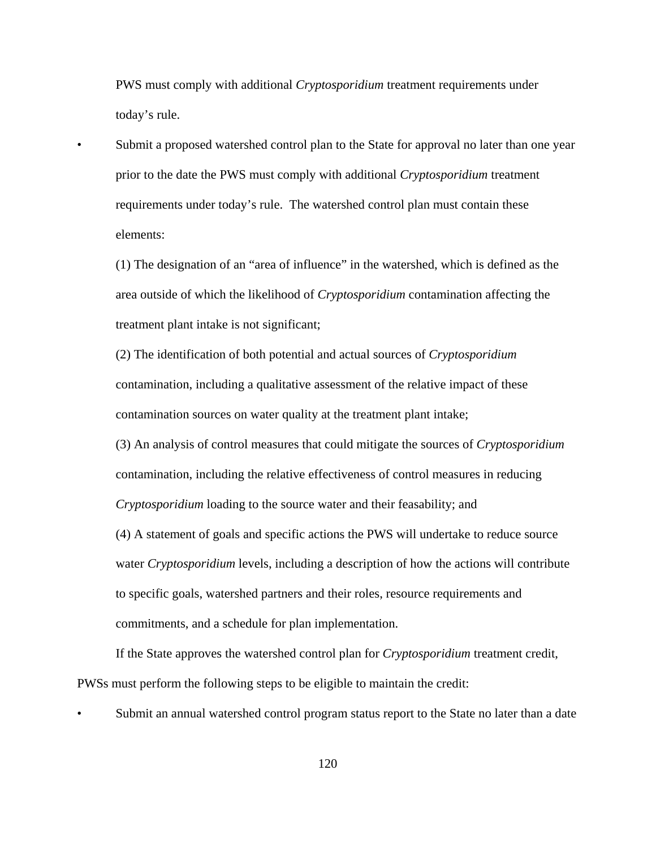PWS must comply with additional *Cryptosporidium* treatment requirements under today's rule.

• Submit a proposed watershed control plan to the State for approval no later than one year prior to the date the PWS must comply with additional *Cryptosporidium* treatment requirements under today's rule. The watershed control plan must contain these elements:

(1) The designation of an "area of influence" in the watershed, which is defined as the area outside of which the likelihood of *Cryptosporidium* contamination affecting the treatment plant intake is not significant;

(2) The identification of both potential and actual sources of *Cryptosporidium* contamination, including a qualitative assessment of the relative impact of these contamination sources on water quality at the treatment plant intake;

(3) An analysis of control measures that could mitigate the sources of *Cryptosporidium*  contamination, including the relative effectiveness of control measures in reducing *Cryptosporidium* loading to the source water and their feasability; and

(4) A statement of goals and specific actions the PWS will undertake to reduce source water *Cryptosporidium* levels, including a description of how the actions will contribute to specific goals, watershed partners and their roles, resource requirements and commitments, and a schedule for plan implementation.

If the State approves the watershed control plan for *Cryptosporidium* treatment credit, PWSs must perform the following steps to be eligible to maintain the credit:

• Submit an annual watershed control program status report to the State no later than a date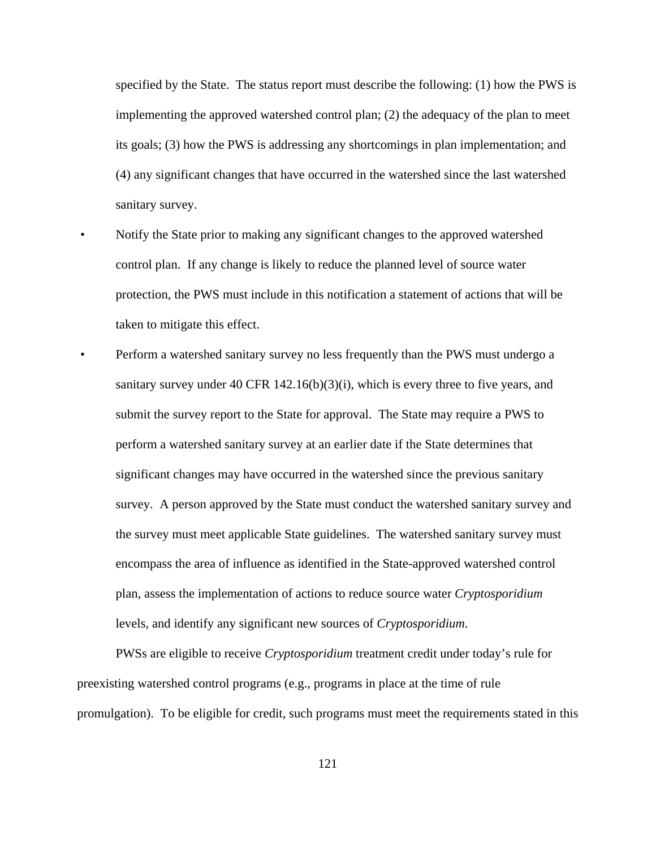specified by the State. The status report must describe the following: (1) how the PWS is implementing the approved watershed control plan; (2) the adequacy of the plan to meet its goals; (3) how the PWS is addressing any shortcomings in plan implementation; and (4) any significant changes that have occurred in the watershed since the last watershed sanitary survey.

- Notify the State prior to making any significant changes to the approved watershed control plan. If any change is likely to reduce the planned level of source water protection, the PWS must include in this notification a statement of actions that will be taken to mitigate this effect.
- Perform a watershed sanitary survey no less frequently than the PWS must undergo a sanitary survey under 40 CFR 142.16(b)(3)(i), which is every three to five years, and submit the survey report to the State for approval. The State may require a PWS to perform a watershed sanitary survey at an earlier date if the State determines that significant changes may have occurred in the watershed since the previous sanitary survey. A person approved by the State must conduct the watershed sanitary survey and the survey must meet applicable State guidelines. The watershed sanitary survey must encompass the area of influence as identified in the State-approved watershed control plan, assess the implementation of actions to reduce source water *Cryptosporidium* levels, and identify any significant new sources of *Cryptosporidium*.

PWSs are eligible to receive *Cryptosporidium* treatment credit under today's rule for preexisting watershed control programs (e.g., programs in place at the time of rule promulgation). To be eligible for credit, such programs must meet the requirements stated in this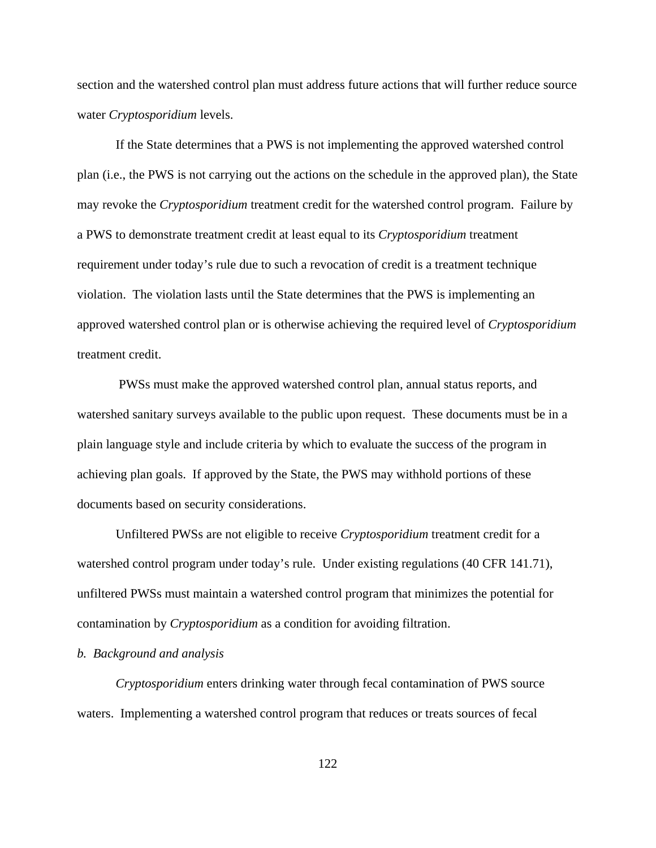section and the watershed control plan must address future actions that will further reduce source water *Cryptosporidium* levels.

If the State determines that a PWS is not implementing the approved watershed control plan (i.e., the PWS is not carrying out the actions on the schedule in the approved plan), the State may revoke the *Cryptosporidium* treatment credit for the watershed control program. Failure by a PWS to demonstrate treatment credit at least equal to its *Cryptosporidium* treatment requirement under today's rule due to such a revocation of credit is a treatment technique violation. The violation lasts until the State determines that the PWS is implementing an approved watershed control plan or is otherwise achieving the required level of *Cryptosporidium* treatment credit.

 PWSs must make the approved watershed control plan, annual status reports, and watershed sanitary surveys available to the public upon request. These documents must be in a plain language style and include criteria by which to evaluate the success of the program in achieving plan goals. If approved by the State, the PWS may withhold portions of these documents based on security considerations.

Unfiltered PWSs are not eligible to receive *Cryptosporidium* treatment credit for a watershed control program under today's rule. Under existing regulations (40 CFR 141.71), unfiltered PWSs must maintain a watershed control program that minimizes the potential for contamination by *Cryptosporidium* as a condition for avoiding filtration.

#### *b. Background and analysis*

*Cryptosporidium* enters drinking water through fecal contamination of PWS source waters. Implementing a watershed control program that reduces or treats sources of fecal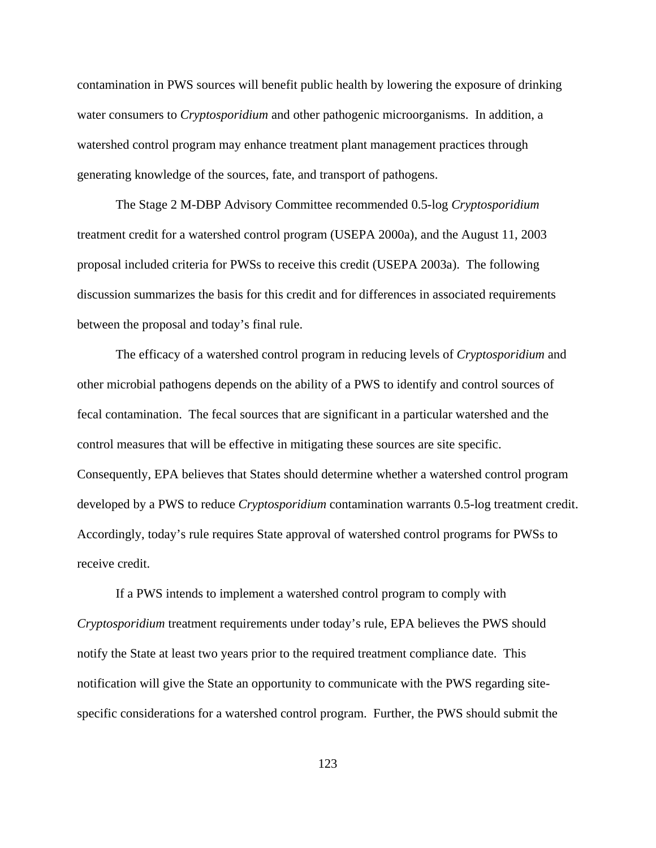contamination in PWS sources will benefit public health by lowering the exposure of drinking water consumers to *Cryptosporidium* and other pathogenic microorganisms. In addition, a watershed control program may enhance treatment plant management practices through generating knowledge of the sources, fate, and transport of pathogens.

The Stage 2 M-DBP Advisory Committee recommended 0.5-log *Cryptosporidium* treatment credit for a watershed control program (USEPA 2000a), and the August 11, 2003 proposal included criteria for PWSs to receive this credit (USEPA 2003a). The following discussion summarizes the basis for this credit and for differences in associated requirements between the proposal and today's final rule.

The efficacy of a watershed control program in reducing levels of *Cryptosporidium* and other microbial pathogens depends on the ability of a PWS to identify and control sources of fecal contamination. The fecal sources that are significant in a particular watershed and the control measures that will be effective in mitigating these sources are site specific. Consequently, EPA believes that States should determine whether a watershed control program developed by a PWS to reduce *Cryptosporidium* contamination warrants 0.5-log treatment credit. Accordingly, today's rule requires State approval of watershed control programs for PWSs to receive credit.

If a PWS intends to implement a watershed control program to comply with *Cryptosporidium* treatment requirements under today's rule, EPA believes the PWS should notify the State at least two years prior to the required treatment compliance date. This notification will give the State an opportunity to communicate with the PWS regarding sitespecific considerations for a watershed control program. Further, the PWS should submit the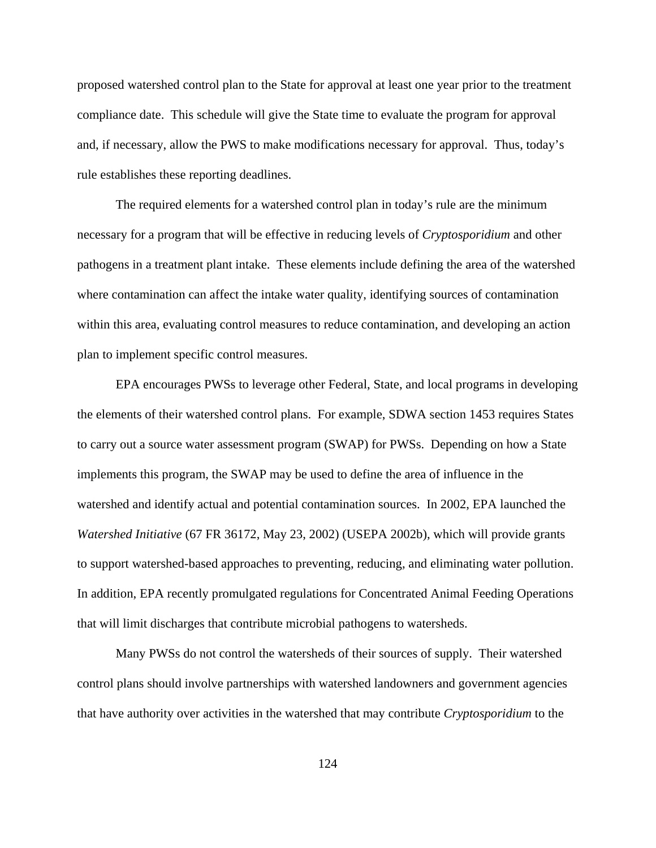proposed watershed control plan to the State for approval at least one year prior to the treatment compliance date. This schedule will give the State time to evaluate the program for approval and, if necessary, allow the PWS to make modifications necessary for approval. Thus, today's rule establishes these reporting deadlines.

The required elements for a watershed control plan in today's rule are the minimum necessary for a program that will be effective in reducing levels of *Cryptosporidium* and other pathogens in a treatment plant intake. These elements include defining the area of the watershed where contamination can affect the intake water quality, identifying sources of contamination within this area, evaluating control measures to reduce contamination, and developing an action plan to implement specific control measures.

EPA encourages PWSs to leverage other Federal, State, and local programs in developing the elements of their watershed control plans. For example, SDWA section 1453 requires States to carry out a source water assessment program (SWAP) for PWSs. Depending on how a State implements this program, the SWAP may be used to define the area of influence in the watershed and identify actual and potential contamination sources. In 2002, EPA launched the *Watershed Initiative* (67 FR 36172, May 23, 2002) (USEPA 2002b), which will provide grants to support watershed-based approaches to preventing, reducing, and eliminating water pollution. In addition, EPA recently promulgated regulations for Concentrated Animal Feeding Operations that will limit discharges that contribute microbial pathogens to watersheds.

Many PWSs do not control the watersheds of their sources of supply. Their watershed control plans should involve partnerships with watershed landowners and government agencies that have authority over activities in the watershed that may contribute *Cryptosporidium* to the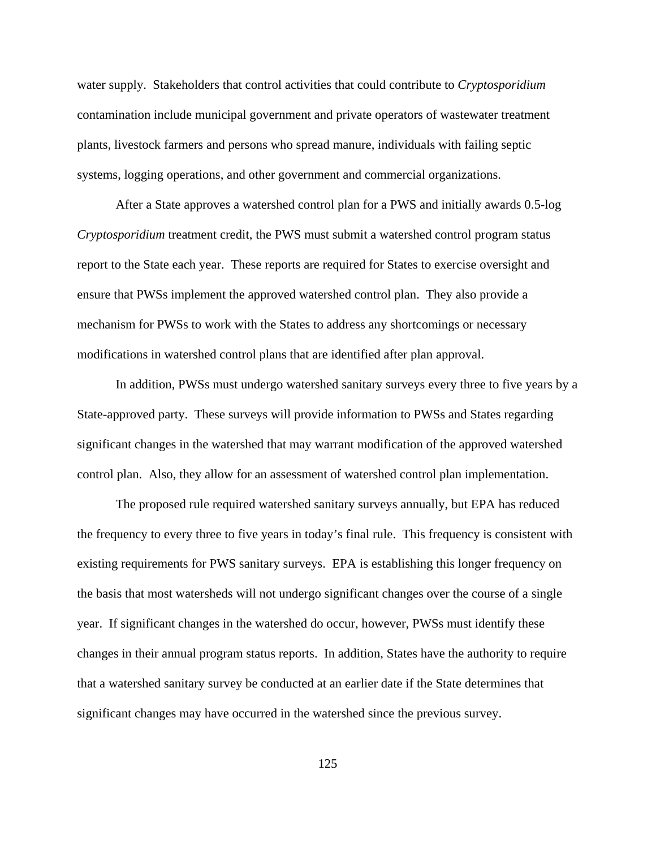water supply. Stakeholders that control activities that could contribute to *Cryptosporidium* contamination include municipal government and private operators of wastewater treatment plants, livestock farmers and persons who spread manure, individuals with failing septic systems, logging operations, and other government and commercial organizations.

After a State approves a watershed control plan for a PWS and initially awards 0.5-log *Cryptosporidium* treatment credit, the PWS must submit a watershed control program status report to the State each year. These reports are required for States to exercise oversight and ensure that PWSs implement the approved watershed control plan. They also provide a mechanism for PWSs to work with the States to address any shortcomings or necessary modifications in watershed control plans that are identified after plan approval.

In addition, PWSs must undergo watershed sanitary surveys every three to five years by a State-approved party. These surveys will provide information to PWSs and States regarding significant changes in the watershed that may warrant modification of the approved watershed control plan. Also, they allow for an assessment of watershed control plan implementation.

The proposed rule required watershed sanitary surveys annually, but EPA has reduced the frequency to every three to five years in today's final rule. This frequency is consistent with existing requirements for PWS sanitary surveys. EPA is establishing this longer frequency on the basis that most watersheds will not undergo significant changes over the course of a single year. If significant changes in the watershed do occur, however, PWSs must identify these changes in their annual program status reports. In addition, States have the authority to require that a watershed sanitary survey be conducted at an earlier date if the State determines that significant changes may have occurred in the watershed since the previous survey.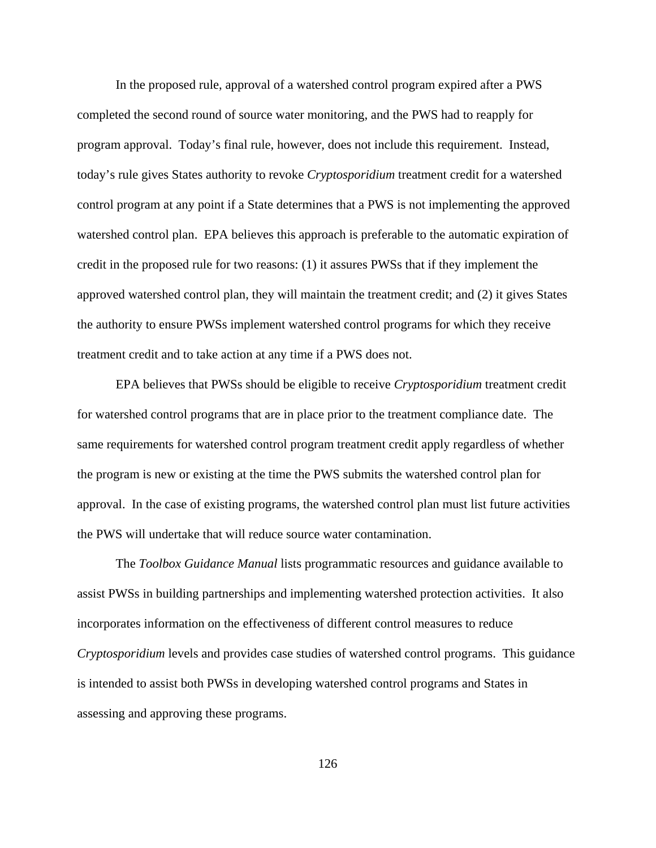In the proposed rule, approval of a watershed control program expired after a PWS completed the second round of source water monitoring, and the PWS had to reapply for program approval. Today's final rule, however, does not include this requirement. Instead, today's rule gives States authority to revoke *Cryptosporidium* treatment credit for a watershed control program at any point if a State determines that a PWS is not implementing the approved watershed control plan. EPA believes this approach is preferable to the automatic expiration of credit in the proposed rule for two reasons: (1) it assures PWSs that if they implement the approved watershed control plan, they will maintain the treatment credit; and (2) it gives States the authority to ensure PWSs implement watershed control programs for which they receive treatment credit and to take action at any time if a PWS does not.

EPA believes that PWSs should be eligible to receive *Cryptosporidium* treatment credit for watershed control programs that are in place prior to the treatment compliance date. The same requirements for watershed control program treatment credit apply regardless of whether the program is new or existing at the time the PWS submits the watershed control plan for approval. In the case of existing programs, the watershed control plan must list future activities the PWS will undertake that will reduce source water contamination.

The *Toolbox Guidance Manual* lists programmatic resources and guidance available to assist PWSs in building partnerships and implementing watershed protection activities. It also incorporates information on the effectiveness of different control measures to reduce *Cryptosporidium* levels and provides case studies of watershed control programs. This guidance is intended to assist both PWSs in developing watershed control programs and States in assessing and approving these programs.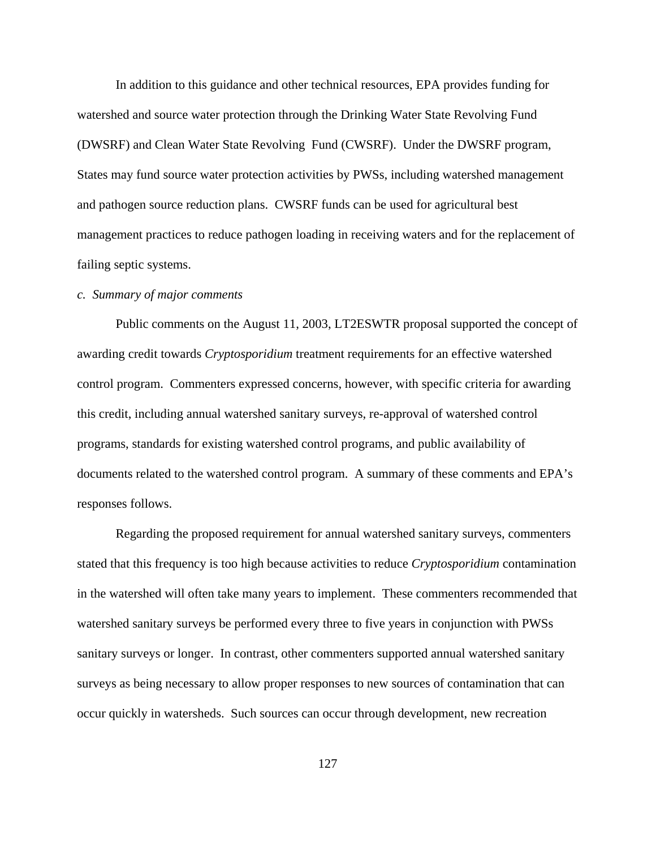In addition to this guidance and other technical resources, EPA provides funding for watershed and source water protection through the Drinking Water State Revolving Fund (DWSRF) and Clean Water State Revolving Fund (CWSRF). Under the DWSRF program, States may fund source water protection activities by PWSs, including watershed management and pathogen source reduction plans. CWSRF funds can be used for agricultural best management practices to reduce pathogen loading in receiving waters and for the replacement of failing septic systems.

#### *c. Summary of major comments*

Public comments on the August 11, 2003, LT2ESWTR proposal supported the concept of awarding credit towards *Cryptosporidium* treatment requirements for an effective watershed control program. Commenters expressed concerns, however, with specific criteria for awarding this credit, including annual watershed sanitary surveys, re-approval of watershed control programs, standards for existing watershed control programs, and public availability of documents related to the watershed control program. A summary of these comments and EPA's responses follows.

Regarding the proposed requirement for annual watershed sanitary surveys, commenters stated that this frequency is too high because activities to reduce *Cryptosporidium* contamination in the watershed will often take many years to implement. These commenters recommended that watershed sanitary surveys be performed every three to five years in conjunction with PWSs sanitary surveys or longer. In contrast, other commenters supported annual watershed sanitary surveys as being necessary to allow proper responses to new sources of contamination that can occur quickly in watersheds. Such sources can occur through development, new recreation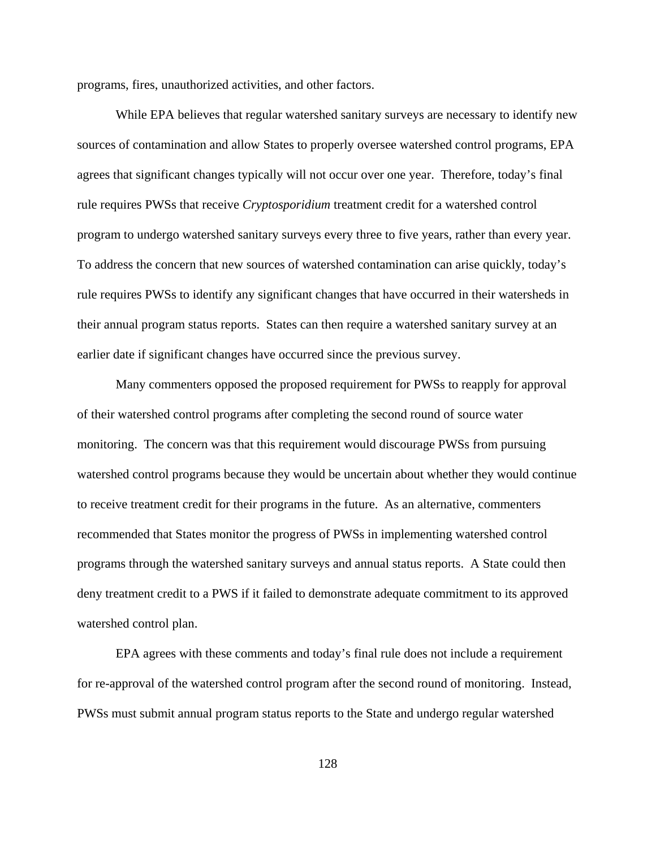programs, fires, unauthorized activities, and other factors.

While EPA believes that regular watershed sanitary surveys are necessary to identify new sources of contamination and allow States to properly oversee watershed control programs, EPA agrees that significant changes typically will not occur over one year. Therefore, today's final rule requires PWSs that receive *Cryptosporidium* treatment credit for a watershed control program to undergo watershed sanitary surveys every three to five years, rather than every year. To address the concern that new sources of watershed contamination can arise quickly, today's rule requires PWSs to identify any significant changes that have occurred in their watersheds in their annual program status reports. States can then require a watershed sanitary survey at an earlier date if significant changes have occurred since the previous survey.

Many commenters opposed the proposed requirement for PWSs to reapply for approval of their watershed control programs after completing the second round of source water monitoring. The concern was that this requirement would discourage PWSs from pursuing watershed control programs because they would be uncertain about whether they would continue to receive treatment credit for their programs in the future. As an alternative, commenters recommended that States monitor the progress of PWSs in implementing watershed control programs through the watershed sanitary surveys and annual status reports. A State could then deny treatment credit to a PWS if it failed to demonstrate adequate commitment to its approved watershed control plan.

EPA agrees with these comments and today's final rule does not include a requirement for re-approval of the watershed control program after the second round of monitoring. Instead, PWSs must submit annual program status reports to the State and undergo regular watershed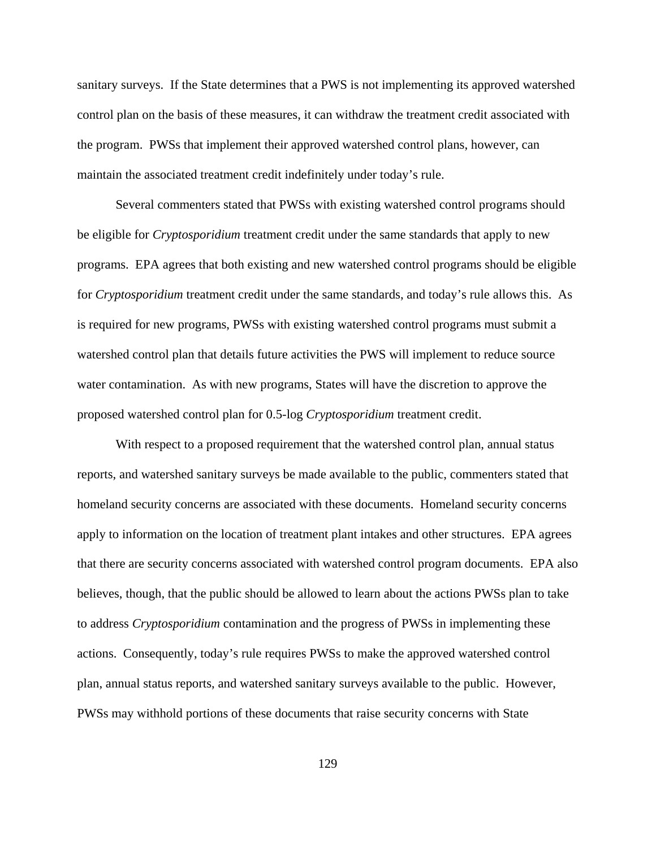sanitary surveys. If the State determines that a PWS is not implementing its approved watershed control plan on the basis of these measures, it can withdraw the treatment credit associated with the program. PWSs that implement their approved watershed control plans, however, can maintain the associated treatment credit indefinitely under today's rule.

Several commenters stated that PWSs with existing watershed control programs should be eligible for *Cryptosporidium* treatment credit under the same standards that apply to new programs. EPA agrees that both existing and new watershed control programs should be eligible for *Cryptosporidium* treatment credit under the same standards, and today's rule allows this. As is required for new programs, PWSs with existing watershed control programs must submit a watershed control plan that details future activities the PWS will implement to reduce source water contamination. As with new programs, States will have the discretion to approve the proposed watershed control plan for 0.5-log *Cryptosporidium* treatment credit.

With respect to a proposed requirement that the watershed control plan, annual status reports, and watershed sanitary surveys be made available to the public, commenters stated that homeland security concerns are associated with these documents. Homeland security concerns apply to information on the location of treatment plant intakes and other structures. EPA agrees that there are security concerns associated with watershed control program documents. EPA also believes, though, that the public should be allowed to learn about the actions PWSs plan to take to address *Cryptosporidium* contamination and the progress of PWSs in implementing these actions. Consequently, today's rule requires PWSs to make the approved watershed control plan, annual status reports, and watershed sanitary surveys available to the public. However, PWSs may withhold portions of these documents that raise security concerns with State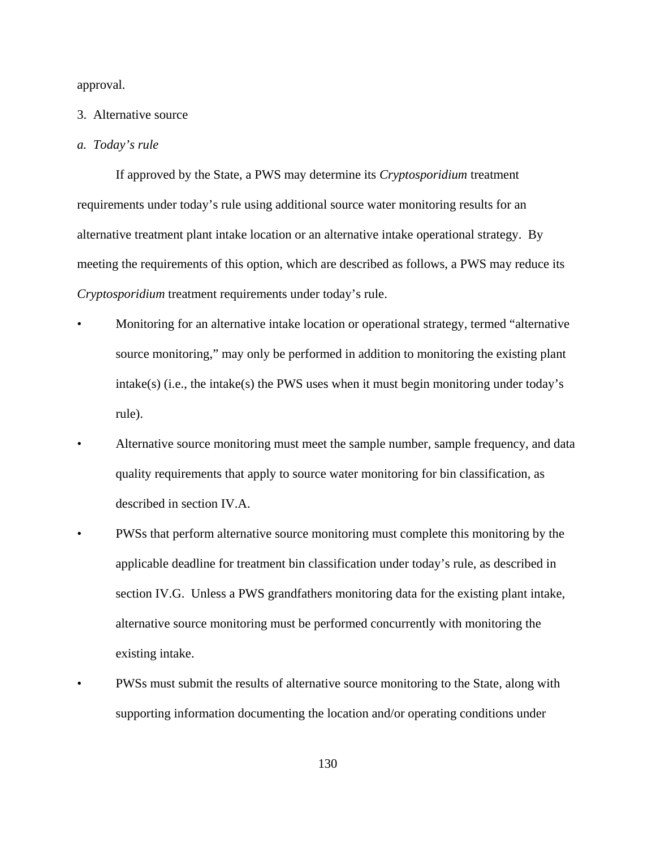approval.

#### 3. Alternative source

#### *a. Today's rule*

If approved by the State, a PWS may determine its *Cryptosporidium* treatment requirements under today's rule using additional source water monitoring results for an alternative treatment plant intake location or an alternative intake operational strategy. By meeting the requirements of this option, which are described as follows, a PWS may reduce its *Cryptosporidium* treatment requirements under today's rule.

- Monitoring for an alternative intake location or operational strategy, termed "alternative source monitoring," may only be performed in addition to monitoring the existing plant intake(s) (i.e., the intake(s) the PWS uses when it must begin monitoring under today's rule).
- Alternative source monitoring must meet the sample number, sample frequency, and data quality requirements that apply to source water monitoring for bin classification, as described in section IV.A.
- PWSs that perform alternative source monitoring must complete this monitoring by the applicable deadline for treatment bin classification under today's rule, as described in section IV.G. Unless a PWS grandfathers monitoring data for the existing plant intake, alternative source monitoring must be performed concurrently with monitoring the existing intake.
- PWSs must submit the results of alternative source monitoring to the State, along with supporting information documenting the location and/or operating conditions under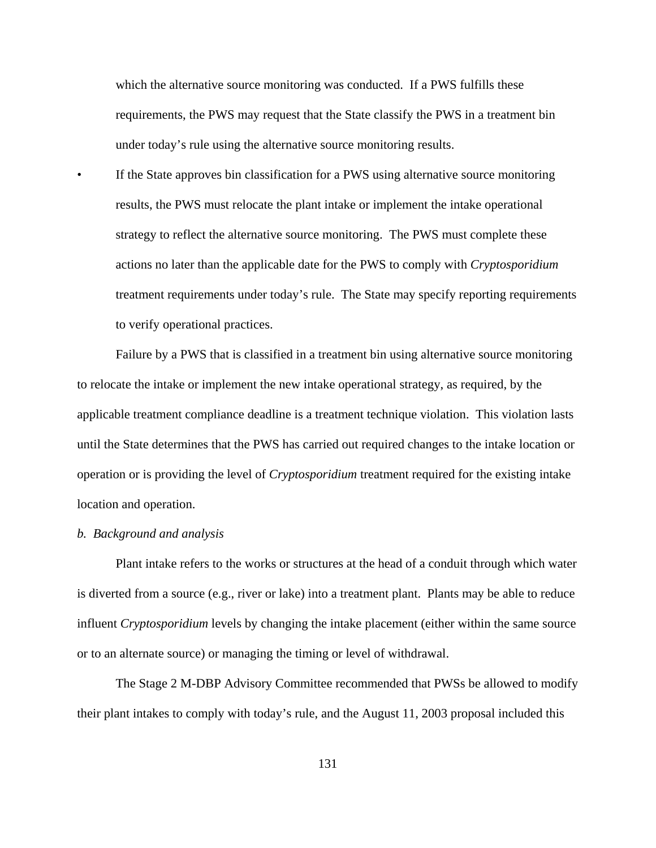which the alternative source monitoring was conducted. If a PWS fulfills these requirements, the PWS may request that the State classify the PWS in a treatment bin under today's rule using the alternative source monitoring results.

If the State approves bin classification for a PWS using alternative source monitoring results, the PWS must relocate the plant intake or implement the intake operational strategy to reflect the alternative source monitoring. The PWS must complete these actions no later than the applicable date for the PWS to comply with *Cryptosporidium* treatment requirements under today's rule. The State may specify reporting requirements to verify operational practices.

Failure by a PWS that is classified in a treatment bin using alternative source monitoring to relocate the intake or implement the new intake operational strategy, as required, by the applicable treatment compliance deadline is a treatment technique violation. This violation lasts until the State determines that the PWS has carried out required changes to the intake location or operation or is providing the level of *Cryptosporidium* treatment required for the existing intake location and operation.

#### *b. Background and analysis*

Plant intake refers to the works or structures at the head of a conduit through which water is diverted from a source (e.g., river or lake) into a treatment plant. Plants may be able to reduce influent *Cryptosporidium* levels by changing the intake placement (either within the same source or to an alternate source) or managing the timing or level of withdrawal.

The Stage 2 M-DBP Advisory Committee recommended that PWSs be allowed to modify their plant intakes to comply with today's rule, and the August 11, 2003 proposal included this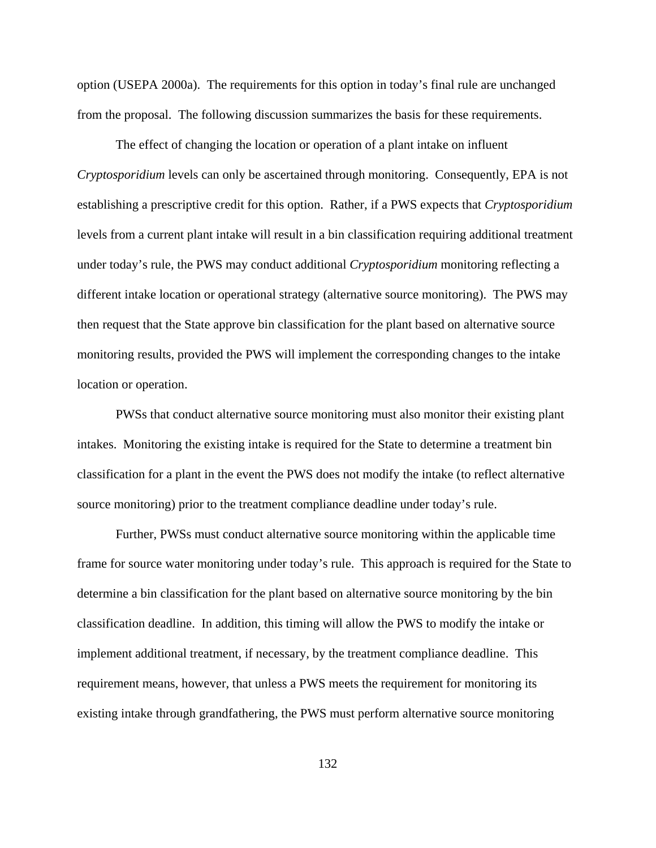option (USEPA 2000a). The requirements for this option in today's final rule are unchanged from the proposal. The following discussion summarizes the basis for these requirements.

The effect of changing the location or operation of a plant intake on influent *Cryptosporidium* levels can only be ascertained through monitoring. Consequently, EPA is not establishing a prescriptive credit for this option. Rather, if a PWS expects that *Cryptosporidium* levels from a current plant intake will result in a bin classification requiring additional treatment under today's rule, the PWS may conduct additional *Cryptosporidium* monitoring reflecting a different intake location or operational strategy (alternative source monitoring). The PWS may then request that the State approve bin classification for the plant based on alternative source monitoring results, provided the PWS will implement the corresponding changes to the intake location or operation.

PWSs that conduct alternative source monitoring must also monitor their existing plant intakes. Monitoring the existing intake is required for the State to determine a treatment bin classification for a plant in the event the PWS does not modify the intake (to reflect alternative source monitoring) prior to the treatment compliance deadline under today's rule.

Further, PWSs must conduct alternative source monitoring within the applicable time frame for source water monitoring under today's rule. This approach is required for the State to determine a bin classification for the plant based on alternative source monitoring by the bin classification deadline. In addition, this timing will allow the PWS to modify the intake or implement additional treatment, if necessary, by the treatment compliance deadline. This requirement means, however, that unless a PWS meets the requirement for monitoring its existing intake through grandfathering, the PWS must perform alternative source monitoring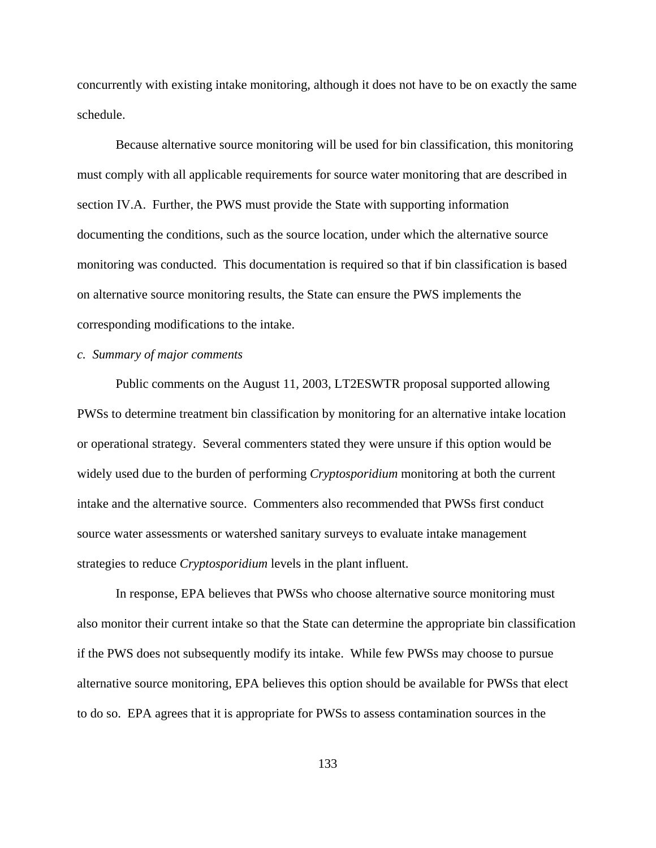concurrently with existing intake monitoring, although it does not have to be on exactly the same schedule.

Because alternative source monitoring will be used for bin classification, this monitoring must comply with all applicable requirements for source water monitoring that are described in section IV.A. Further, the PWS must provide the State with supporting information documenting the conditions, such as the source location, under which the alternative source monitoring was conducted. This documentation is required so that if bin classification is based on alternative source monitoring results, the State can ensure the PWS implements the corresponding modifications to the intake.

## *c. Summary of major comments*

Public comments on the August 11, 2003, LT2ESWTR proposal supported allowing PWSs to determine treatment bin classification by monitoring for an alternative intake location or operational strategy. Several commenters stated they were unsure if this option would be widely used due to the burden of performing *Cryptosporidium* monitoring at both the current intake and the alternative source. Commenters also recommended that PWSs first conduct source water assessments or watershed sanitary surveys to evaluate intake management strategies to reduce *Cryptosporidium* levels in the plant influent.

In response, EPA believes that PWSs who choose alternative source monitoring must also monitor their current intake so that the State can determine the appropriate bin classification if the PWS does not subsequently modify its intake. While few PWSs may choose to pursue alternative source monitoring, EPA believes this option should be available for PWSs that elect to do so. EPA agrees that it is appropriate for PWSs to assess contamination sources in the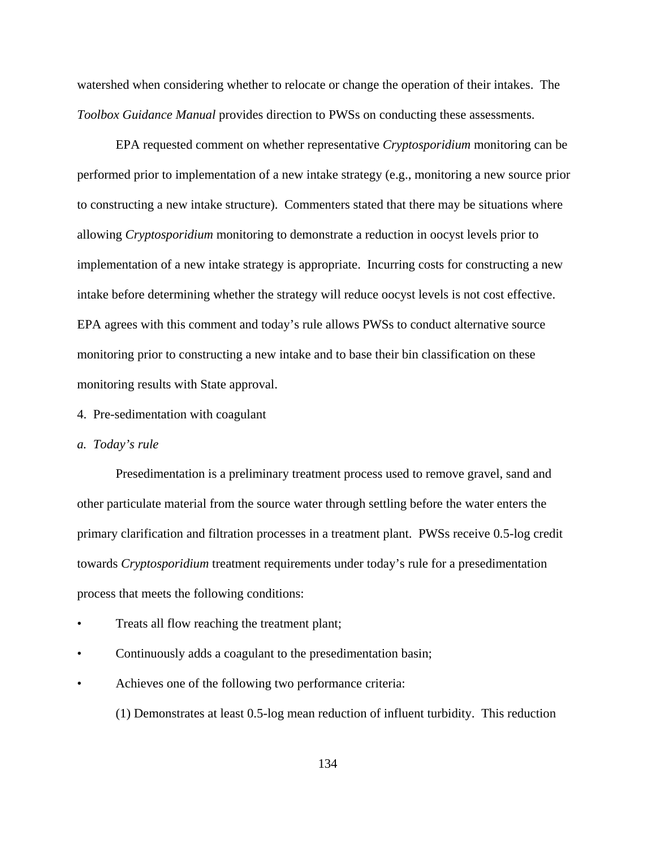watershed when considering whether to relocate or change the operation of their intakes. The *Toolbox Guidance Manual* provides direction to PWSs on conducting these assessments.

EPA requested comment on whether representative *Cryptosporidium* monitoring can be performed prior to implementation of a new intake strategy (e.g., monitoring a new source prior to constructing a new intake structure). Commenters stated that there may be situations where allowing *Cryptosporidium* monitoring to demonstrate a reduction in oocyst levels prior to implementation of a new intake strategy is appropriate. Incurring costs for constructing a new intake before determining whether the strategy will reduce oocyst levels is not cost effective. EPA agrees with this comment and today's rule allows PWSs to conduct alternative source monitoring prior to constructing a new intake and to base their bin classification on these monitoring results with State approval.

## 4. Pre-sedimentation with coagulant

#### *a. Today's rule*

Presedimentation is a preliminary treatment process used to remove gravel, sand and other particulate material from the source water through settling before the water enters the primary clarification and filtration processes in a treatment plant. PWSs receive 0.5-log credit towards *Cryptosporidium* treatment requirements under today's rule for a presedimentation process that meets the following conditions:

- Treats all flow reaching the treatment plant;
- Continuously adds a coagulant to the presedimentation basin;
- Achieves one of the following two performance criteria:

(1) Demonstrates at least 0.5-log mean reduction of influent turbidity. This reduction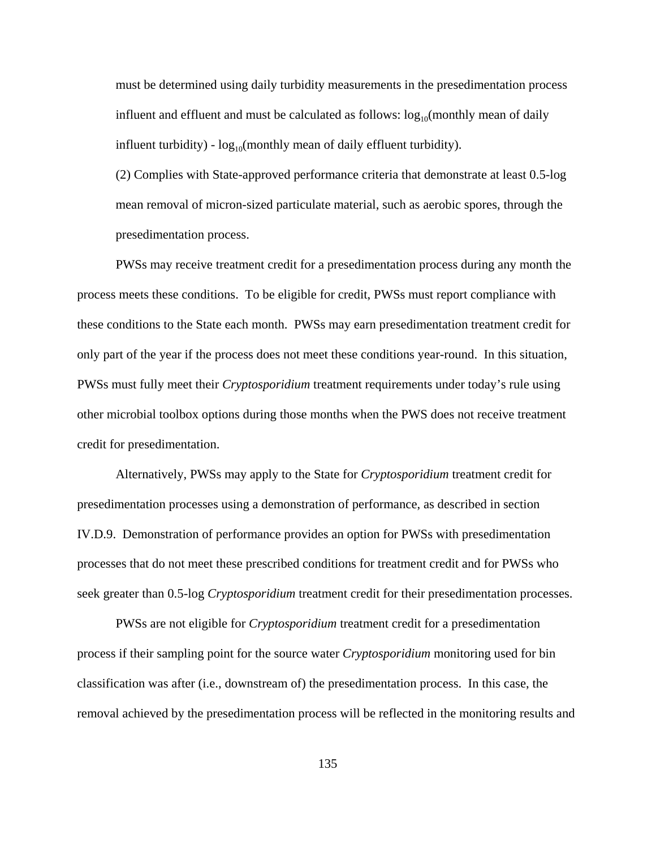must be determined using daily turbidity measurements in the presedimentation process influent and effluent and must be calculated as follows:  $log_{10}($ monthly mean of daily influent turbidity) -  $\log_{10}$ (monthly mean of daily effluent turbidity).

(2) Complies with State-approved performance criteria that demonstrate at least 0.5-log mean removal of micron-sized particulate material, such as aerobic spores, through the presedimentation process.

PWSs may receive treatment credit for a presedimentation process during any month the process meets these conditions. To be eligible for credit, PWSs must report compliance with these conditions to the State each month. PWSs may earn presedimentation treatment credit for only part of the year if the process does not meet these conditions year-round. In this situation, PWSs must fully meet their *Cryptosporidium* treatment requirements under today's rule using other microbial toolbox options during those months when the PWS does not receive treatment credit for presedimentation.

Alternatively, PWSs may apply to the State for *Cryptosporidium* treatment credit for presedimentation processes using a demonstration of performance, as described in section IV.D.9. Demonstration of performance provides an option for PWSs with presedimentation processes that do not meet these prescribed conditions for treatment credit and for PWSs who seek greater than 0.5-log *Cryptosporidium* treatment credit for their presedimentation processes.

PWSs are not eligible for *Cryptosporidium* treatment credit for a presedimentation process if their sampling point for the source water *Cryptosporidium* monitoring used for bin classification was after (i.e., downstream of) the presedimentation process. In this case, the removal achieved by the presedimentation process will be reflected in the monitoring results and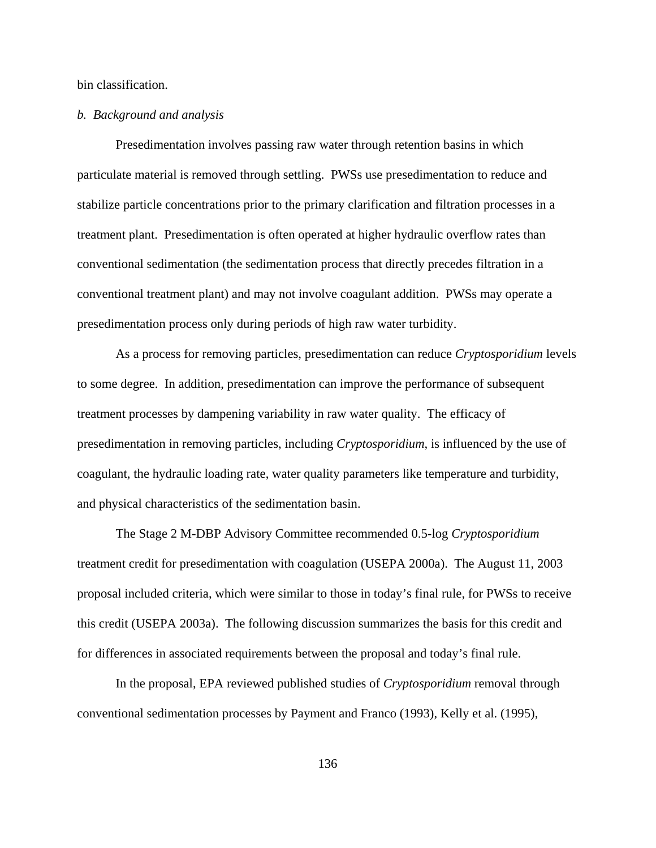bin classification.

# *b. Background and analysis*

Presedimentation involves passing raw water through retention basins in which particulate material is removed through settling. PWSs use presedimentation to reduce and stabilize particle concentrations prior to the primary clarification and filtration processes in a treatment plant. Presedimentation is often operated at higher hydraulic overflow rates than conventional sedimentation (the sedimentation process that directly precedes filtration in a conventional treatment plant) and may not involve coagulant addition. PWSs may operate a presedimentation process only during periods of high raw water turbidity.

As a process for removing particles, presedimentation can reduce *Cryptosporidium* levels to some degree. In addition, presedimentation can improve the performance of subsequent treatment processes by dampening variability in raw water quality. The efficacy of presedimentation in removing particles, including *Cryptosporidium*, is influenced by the use of coagulant, the hydraulic loading rate, water quality parameters like temperature and turbidity, and physical characteristics of the sedimentation basin.

The Stage 2 M-DBP Advisory Committee recommended 0.5-log *Cryptosporidium* treatment credit for presedimentation with coagulation (USEPA 2000a). The August 11, 2003 proposal included criteria, which were similar to those in today's final rule, for PWSs to receive this credit (USEPA 2003a). The following discussion summarizes the basis for this credit and for differences in associated requirements between the proposal and today's final rule.

In the proposal, EPA reviewed published studies of *Cryptosporidium* removal through conventional sedimentation processes by Payment and Franco (1993), Kelly et al. (1995),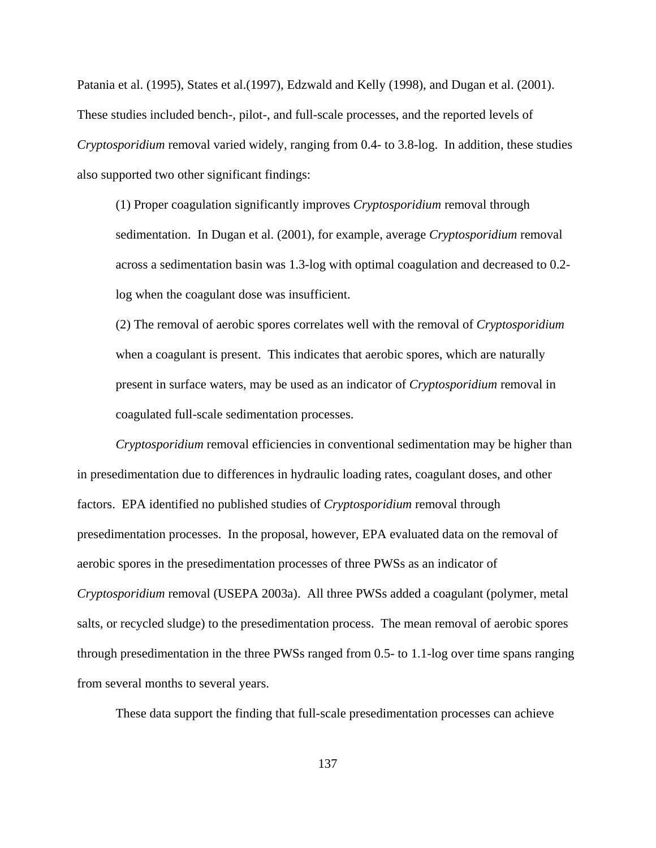Patania et al. (1995), States et al.(1997), Edzwald and Kelly (1998), and Dugan et al. (2001). These studies included bench-, pilot-, and full-scale processes, and the reported levels of *Cryptosporidium* removal varied widely, ranging from 0.4- to 3.8-log. In addition, these studies also supported two other significant findings:

(1) Proper coagulation significantly improves *Cryptosporidium* removal through sedimentation. In Dugan et al. (2001), for example, average *Cryptosporidium* removal across a sedimentation basin was 1.3-log with optimal coagulation and decreased to 0.2 log when the coagulant dose was insufficient.

(2) The removal of aerobic spores correlates well with the removal of *Cryptosporidium* when a coagulant is present. This indicates that aerobic spores, which are naturally present in surface waters, may be used as an indicator of *Cryptosporidium* removal in coagulated full-scale sedimentation processes.

*Cryptosporidium* removal efficiencies in conventional sedimentation may be higher than in presedimentation due to differences in hydraulic loading rates, coagulant doses, and other factors. EPA identified no published studies of *Cryptosporidium* removal through presedimentation processes. In the proposal, however, EPA evaluated data on the removal of aerobic spores in the presedimentation processes of three PWSs as an indicator of *Cryptosporidium* removal (USEPA 2003a). All three PWSs added a coagulant (polymer, metal salts, or recycled sludge) to the presedimentation process. The mean removal of aerobic spores through presedimentation in the three PWSs ranged from 0.5- to 1.1-log over time spans ranging from several months to several years.

These data support the finding that full-scale presedimentation processes can achieve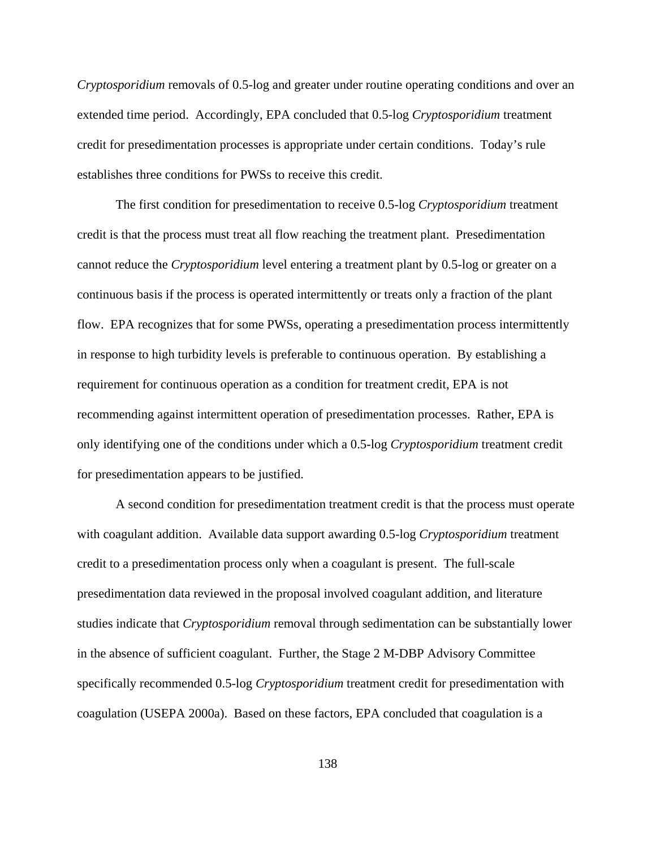*Cryptosporidium* removals of 0.5-log and greater under routine operating conditions and over an extended time period. Accordingly, EPA concluded that 0.5-log *Cryptosporidium* treatment credit for presedimentation processes is appropriate under certain conditions. Today's rule establishes three conditions for PWSs to receive this credit.

The first condition for presedimentation to receive 0.5-log *Cryptosporidium* treatment credit is that the process must treat all flow reaching the treatment plant. Presedimentation cannot reduce the *Cryptosporidium* level entering a treatment plant by 0.5-log or greater on a continuous basis if the process is operated intermittently or treats only a fraction of the plant flow. EPA recognizes that for some PWSs, operating a presedimentation process intermittently in response to high turbidity levels is preferable to continuous operation. By establishing a requirement for continuous operation as a condition for treatment credit, EPA is not recommending against intermittent operation of presedimentation processes. Rather, EPA is only identifying one of the conditions under which a 0.5-log *Cryptosporidium* treatment credit for presedimentation appears to be justified.

A second condition for presedimentation treatment credit is that the process must operate with coagulant addition. Available data support awarding 0.5-log *Cryptosporidium* treatment credit to a presedimentation process only when a coagulant is present. The full-scale presedimentation data reviewed in the proposal involved coagulant addition, and literature studies indicate that *Cryptosporidium* removal through sedimentation can be substantially lower in the absence of sufficient coagulant. Further, the Stage 2 M-DBP Advisory Committee specifically recommended 0.5-log *Cryptosporidium* treatment credit for presedimentation with coagulation (USEPA 2000a). Based on these factors, EPA concluded that coagulation is a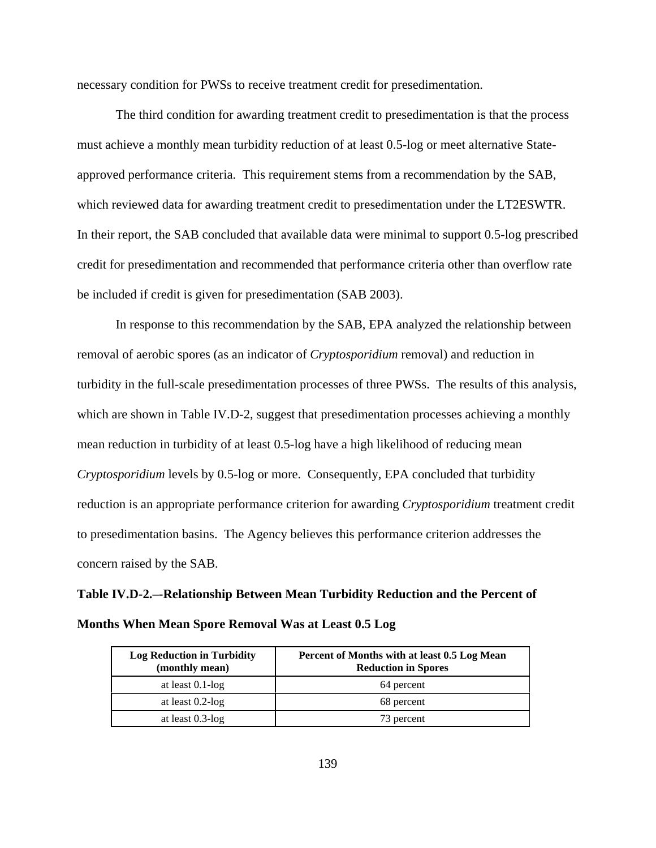necessary condition for PWSs to receive treatment credit for presedimentation.

The third condition for awarding treatment credit to presedimentation is that the process must achieve a monthly mean turbidity reduction of at least 0.5-log or meet alternative Stateapproved performance criteria. This requirement stems from a recommendation by the SAB, which reviewed data for awarding treatment credit to presedimentation under the LT2ESWTR. In their report, the SAB concluded that available data were minimal to support 0.5-log prescribed credit for presedimentation and recommended that performance criteria other than overflow rate be included if credit is given for presedimentation (SAB 2003).

In response to this recommendation by the SAB, EPA analyzed the relationship between removal of aerobic spores (as an indicator of *Cryptosporidium* removal) and reduction in turbidity in the full-scale presedimentation processes of three PWSs. The results of this analysis, which are shown in Table IV.D-2, suggest that presedimentation processes achieving a monthly mean reduction in turbidity of at least 0.5-log have a high likelihood of reducing mean *Cryptosporidium* levels by 0.5-log or more. Consequently, EPA concluded that turbidity reduction is an appropriate performance criterion for awarding *Cryptosporidium* treatment credit to presedimentation basins. The Agency believes this performance criterion addresses the concern raised by the SAB.

# **Table IV.D-2.–-Relationship Between Mean Turbidity Reduction and the Percent of Months When Mean Spore Removal Was at Least 0.5 Log**

| <b>Log Reduction in Turbidity</b><br>(monthly mean) | Percent of Months with at least 0.5 Log Mean<br><b>Reduction in Spores</b> |
|-----------------------------------------------------|----------------------------------------------------------------------------|
| at least $0.1$ -log                                 | 64 percent                                                                 |
| at least $0.2$ -log                                 | 68 percent                                                                 |
| at least $0.3$ -log                                 | 73 percent                                                                 |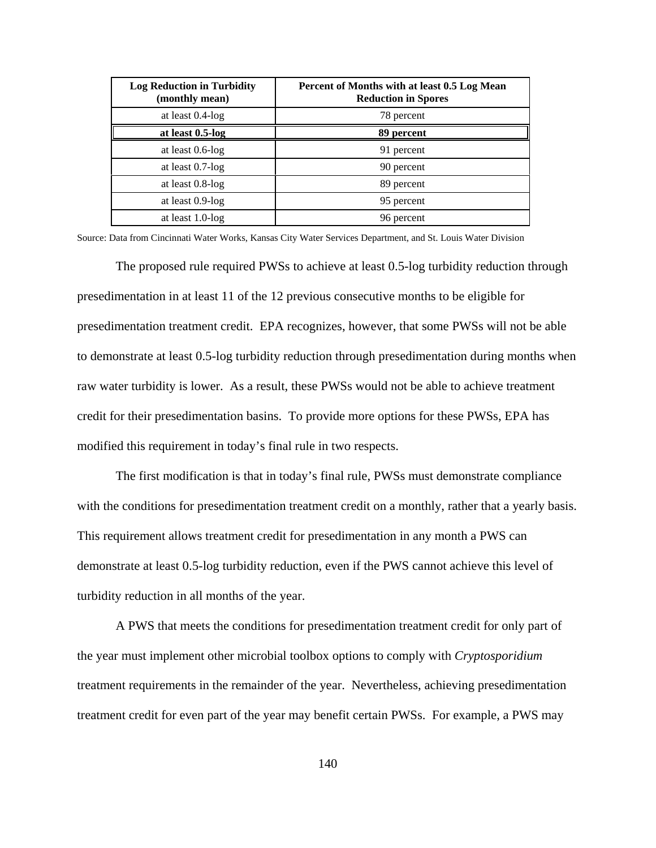| <b>Log Reduction in Turbidity</b><br>(monthly mean) | Percent of Months with at least 0.5 Log Mean<br><b>Reduction in Spores</b> |
|-----------------------------------------------------|----------------------------------------------------------------------------|
| at least $0.4$ -log                                 | 78 percent                                                                 |
| at least 0.5-log                                    | 89 percent                                                                 |
| at least $0.6$ -log                                 | 91 percent                                                                 |
| at least $0.7$ -log                                 | 90 percent                                                                 |
| at least $0.8$ -log                                 | 89 percent                                                                 |
| at least 0.9-log                                    | 95 percent                                                                 |
| at least $1.0$ -log                                 | 96 percent                                                                 |

Source: Data from Cincinnati Water Works, Kansas City Water Services Department, and St. Louis Water Division

The proposed rule required PWSs to achieve at least 0.5-log turbidity reduction through presedimentation in at least 11 of the 12 previous consecutive months to be eligible for presedimentation treatment credit. EPA recognizes, however, that some PWSs will not be able to demonstrate at least 0.5-log turbidity reduction through presedimentation during months when raw water turbidity is lower. As a result, these PWSs would not be able to achieve treatment credit for their presedimentation basins. To provide more options for these PWSs, EPA has modified this requirement in today's final rule in two respects.

The first modification is that in today's final rule, PWSs must demonstrate compliance with the conditions for presedimentation treatment credit on a monthly, rather that a yearly basis. This requirement allows treatment credit for presedimentation in any month a PWS can demonstrate at least 0.5-log turbidity reduction, even if the PWS cannot achieve this level of turbidity reduction in all months of the year.

A PWS that meets the conditions for presedimentation treatment credit for only part of the year must implement other microbial toolbox options to comply with *Cryptosporidium* treatment requirements in the remainder of the year. Nevertheless, achieving presedimentation treatment credit for even part of the year may benefit certain PWSs. For example, a PWS may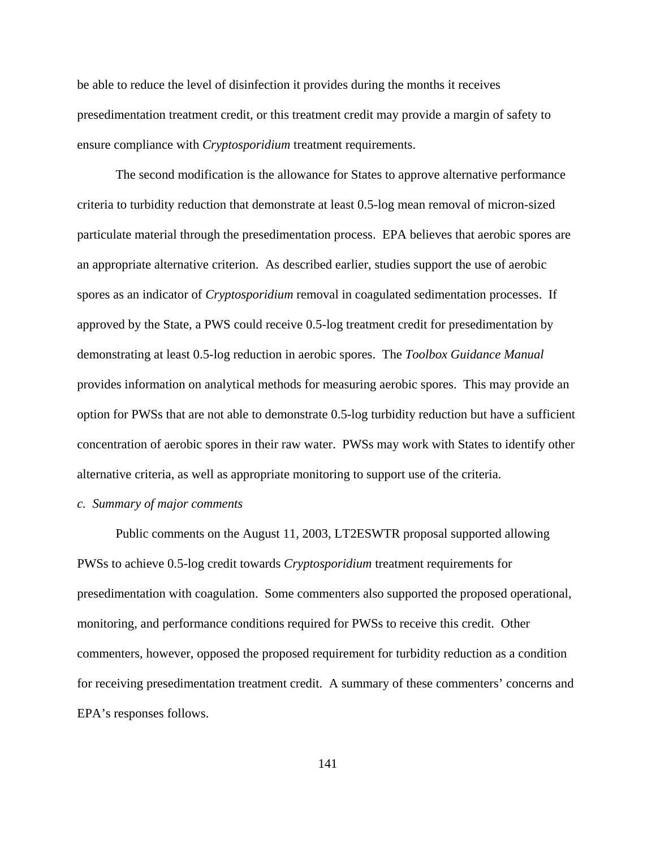be able to reduce the level of disinfection it provides during the months it receives presedimentation treatment credit, or this treatment credit may provide a margin of safety to ensure compliance with *Cryptosporidium* treatment requirements.

The second modification is the allowance for States to approve alternative performance criteria to turbidity reduction that demonstrate at least 0.5-log mean removal of micron-sized particulate material through the presedimentation process. EPA believes that aerobic spores are an appropriate alternative criterion. As described earlier, studies support the use of aerobic spores as an indicator of *Cryptosporidium* removal in coagulated sedimentation processes. If approved by the State, a PWS could receive 0.5-log treatment credit for presedimentation by demonstrating at least 0.5-log reduction in aerobic spores. The *Toolbox Guidance Manual* provides information on analytical methods for measuring aerobic spores. This may provide an option for PWSs that are not able to demonstrate 0.5-log turbidity reduction but have a sufficient concentration of aerobic spores in their raw water. PWSs may work with States to identify other alternative criteria, as well as appropriate monitoring to support use of the criteria.

### *c. Summary of major comments*

Public comments on the August 11, 2003, LT2ESWTR proposal supported allowing PWSs to achieve 0.5-log credit towards *Cryptosporidium* treatment requirements for presedimentation with coagulation. Some commenters also supported the proposed operational, monitoring, and performance conditions required for PWSs to receive this credit. Other commenters, however, opposed the proposed requirement for turbidity reduction as a condition for receiving presedimentation treatment credit. A summary of these commenters' concerns and EPA's responses follows.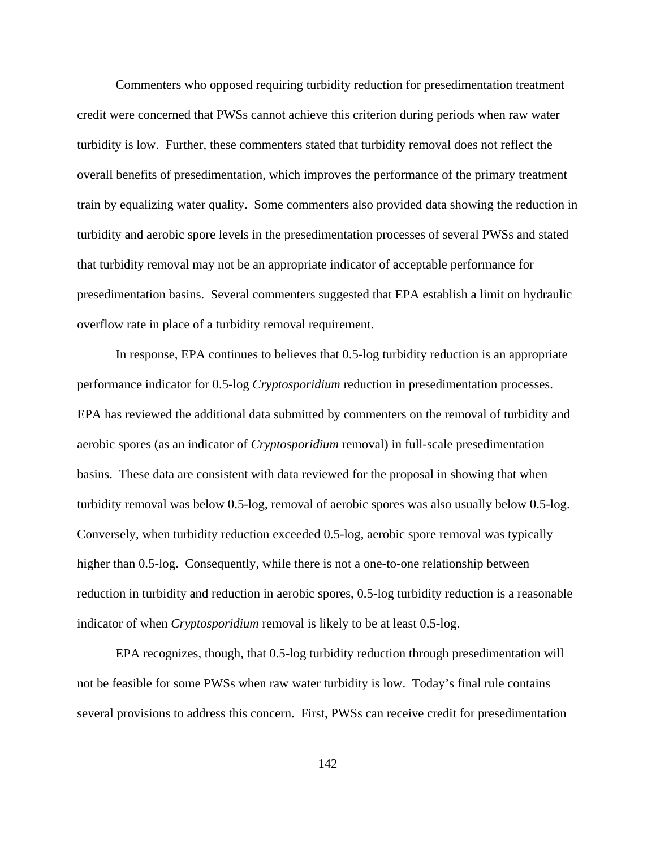Commenters who opposed requiring turbidity reduction for presedimentation treatment credit were concerned that PWSs cannot achieve this criterion during periods when raw water turbidity is low. Further, these commenters stated that turbidity removal does not reflect the overall benefits of presedimentation, which improves the performance of the primary treatment train by equalizing water quality. Some commenters also provided data showing the reduction in turbidity and aerobic spore levels in the presedimentation processes of several PWSs and stated that turbidity removal may not be an appropriate indicator of acceptable performance for presedimentation basins. Several commenters suggested that EPA establish a limit on hydraulic overflow rate in place of a turbidity removal requirement.

In response, EPA continues to believes that 0.5-log turbidity reduction is an appropriate performance indicator for 0.5-log *Cryptosporidium* reduction in presedimentation processes. EPA has reviewed the additional data submitted by commenters on the removal of turbidity and aerobic spores (as an indicator of *Cryptosporidium* removal) in full-scale presedimentation basins. These data are consistent with data reviewed for the proposal in showing that when turbidity removal was below 0.5-log, removal of aerobic spores was also usually below 0.5-log. Conversely, when turbidity reduction exceeded 0.5-log, aerobic spore removal was typically higher than 0.5-log. Consequently, while there is not a one-to-one relationship between reduction in turbidity and reduction in aerobic spores, 0.5-log turbidity reduction is a reasonable indicator of when *Cryptosporidium* removal is likely to be at least 0.5-log.

EPA recognizes, though, that 0.5-log turbidity reduction through presedimentation will not be feasible for some PWSs when raw water turbidity is low. Today's final rule contains several provisions to address this concern. First, PWSs can receive credit for presedimentation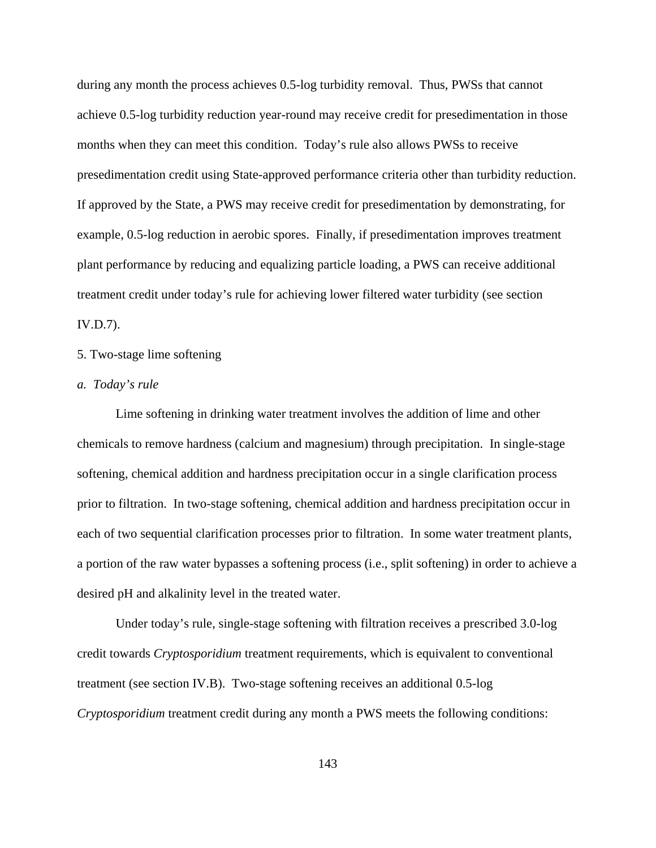during any month the process achieves 0.5-log turbidity removal. Thus, PWSs that cannot achieve 0.5-log turbidity reduction year-round may receive credit for presedimentation in those months when they can meet this condition. Today's rule also allows PWSs to receive presedimentation credit using State-approved performance criteria other than turbidity reduction. If approved by the State, a PWS may receive credit for presedimentation by demonstrating, for example, 0.5-log reduction in aerobic spores. Finally, if presedimentation improves treatment plant performance by reducing and equalizing particle loading, a PWS can receive additional treatment credit under today's rule for achieving lower filtered water turbidity (see section IV.D.7).

## 5. Two-stage lime softening

## *a. Today's rule*

Lime softening in drinking water treatment involves the addition of lime and other chemicals to remove hardness (calcium and magnesium) through precipitation. In single-stage softening, chemical addition and hardness precipitation occur in a single clarification process prior to filtration. In two-stage softening, chemical addition and hardness precipitation occur in each of two sequential clarification processes prior to filtration. In some water treatment plants, a portion of the raw water bypasses a softening process (i.e., split softening) in order to achieve a desired pH and alkalinity level in the treated water.

Under today's rule, single-stage softening with filtration receives a prescribed 3.0-log credit towards *Cryptosporidium* treatment requirements, which is equivalent to conventional treatment (see section IV.B). Two-stage softening receives an additional 0.5-log *Cryptosporidium* treatment credit during any month a PWS meets the following conditions: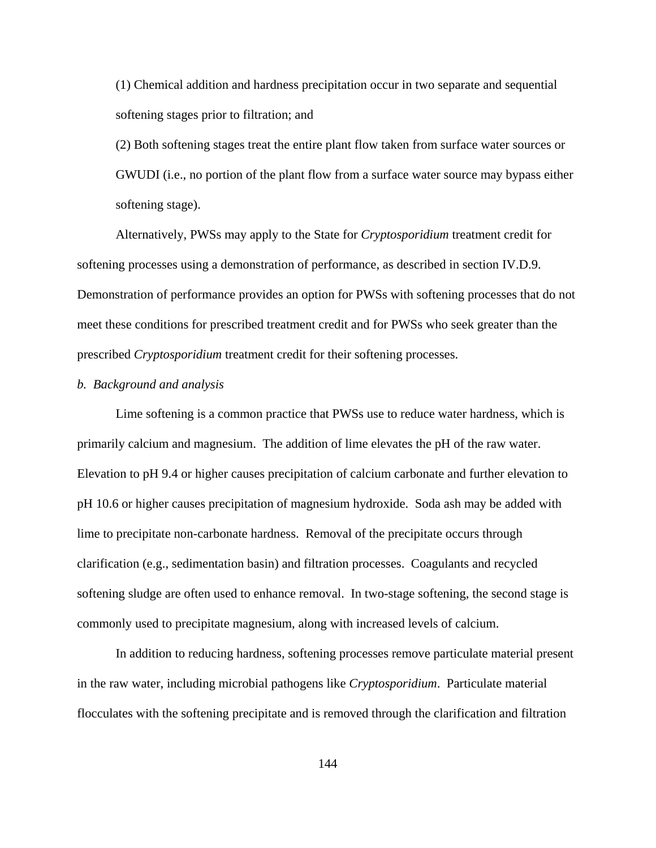(1) Chemical addition and hardness precipitation occur in two separate and sequential softening stages prior to filtration; and

 (2) Both softening stages treat the entire plant flow taken from surface water sources or GWUDI (i.e., no portion of the plant flow from a surface water source may bypass either softening stage).

Alternatively, PWSs may apply to the State for *Cryptosporidium* treatment credit for softening processes using a demonstration of performance, as described in section IV.D.9. Demonstration of performance provides an option for PWSs with softening processes that do not meet these conditions for prescribed treatment credit and for PWSs who seek greater than the prescribed *Cryptosporidium* treatment credit for their softening processes.

## *b. Background and analysis*

Lime softening is a common practice that PWSs use to reduce water hardness, which is primarily calcium and magnesium. The addition of lime elevates the pH of the raw water. Elevation to pH 9.4 or higher causes precipitation of calcium carbonate and further elevation to pH 10.6 or higher causes precipitation of magnesium hydroxide. Soda ash may be added with lime to precipitate non-carbonate hardness. Removal of the precipitate occurs through clarification (e.g., sedimentation basin) and filtration processes. Coagulants and recycled softening sludge are often used to enhance removal. In two-stage softening, the second stage is commonly used to precipitate magnesium, along with increased levels of calcium.

In addition to reducing hardness, softening processes remove particulate material present in the raw water, including microbial pathogens like *Cryptosporidium*. Particulate material flocculates with the softening precipitate and is removed through the clarification and filtration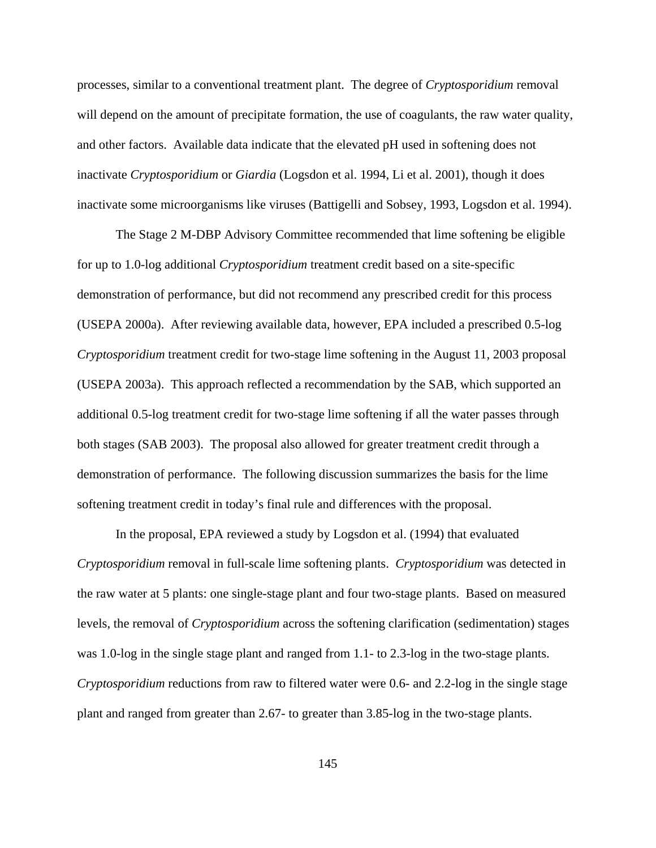processes, similar to a conventional treatment plant. The degree of *Cryptosporidium* removal will depend on the amount of precipitate formation, the use of coagulants, the raw water quality, and other factors. Available data indicate that the elevated pH used in softening does not inactivate *Cryptosporidium* or *Giardia* (Logsdon et al. 1994, Li et al. 2001), though it does inactivate some microorganisms like viruses (Battigelli and Sobsey, 1993, Logsdon et al. 1994).

The Stage 2 M-DBP Advisory Committee recommended that lime softening be eligible for up to 1.0-log additional *Cryptosporidium* treatment credit based on a site-specific demonstration of performance, but did not recommend any prescribed credit for this process (USEPA 2000a). After reviewing available data, however, EPA included a prescribed 0.5-log *Cryptosporidium* treatment credit for two-stage lime softening in the August 11, 2003 proposal (USEPA 2003a). This approach reflected a recommendation by the SAB, which supported an additional 0.5-log treatment credit for two-stage lime softening if all the water passes through both stages (SAB 2003). The proposal also allowed for greater treatment credit through a demonstration of performance. The following discussion summarizes the basis for the lime softening treatment credit in today's final rule and differences with the proposal.

In the proposal, EPA reviewed a study by Logsdon et al. (1994) that evaluated *Cryptosporidium* removal in full-scale lime softening plants. *Cryptosporidium* was detected in the raw water at 5 plants: one single-stage plant and four two-stage plants. Based on measured levels, the removal of *Cryptosporidium* across the softening clarification (sedimentation) stages was 1.0-log in the single stage plant and ranged from 1.1- to 2.3-log in the two-stage plants. *Cryptosporidium* reductions from raw to filtered water were 0.6- and 2.2-log in the single stage plant and ranged from greater than 2.67- to greater than 3.85-log in the two-stage plants.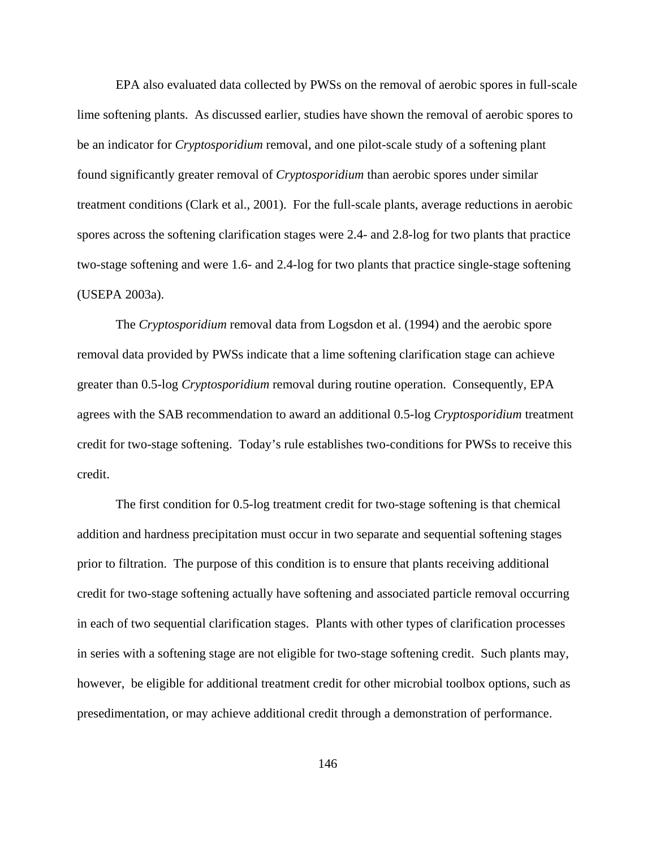EPA also evaluated data collected by PWSs on the removal of aerobic spores in full-scale lime softening plants. As discussed earlier, studies have shown the removal of aerobic spores to be an indicator for *Cryptosporidium* removal, and one pilot-scale study of a softening plant found significantly greater removal of *Cryptosporidium* than aerobic spores under similar treatment conditions (Clark et al., 2001). For the full-scale plants, average reductions in aerobic spores across the softening clarification stages were 2.4- and 2.8-log for two plants that practice two-stage softening and were 1.6- and 2.4-log for two plants that practice single-stage softening (USEPA 2003a).

The *Cryptosporidium* removal data from Logsdon et al. (1994) and the aerobic spore removal data provided by PWSs indicate that a lime softening clarification stage can achieve greater than 0.5-log *Cryptosporidium* removal during routine operation. Consequently, EPA agrees with the SAB recommendation to award an additional 0.5-log *Cryptosporidium* treatment credit for two-stage softening. Today's rule establishes two-conditions for PWSs to receive this credit.

The first condition for 0.5-log treatment credit for two-stage softening is that chemical addition and hardness precipitation must occur in two separate and sequential softening stages prior to filtration. The purpose of this condition is to ensure that plants receiving additional credit for two-stage softening actually have softening and associated particle removal occurring in each of two sequential clarification stages. Plants with other types of clarification processes in series with a softening stage are not eligible for two-stage softening credit. Such plants may, however, be eligible for additional treatment credit for other microbial toolbox options, such as presedimentation, or may achieve additional credit through a demonstration of performance.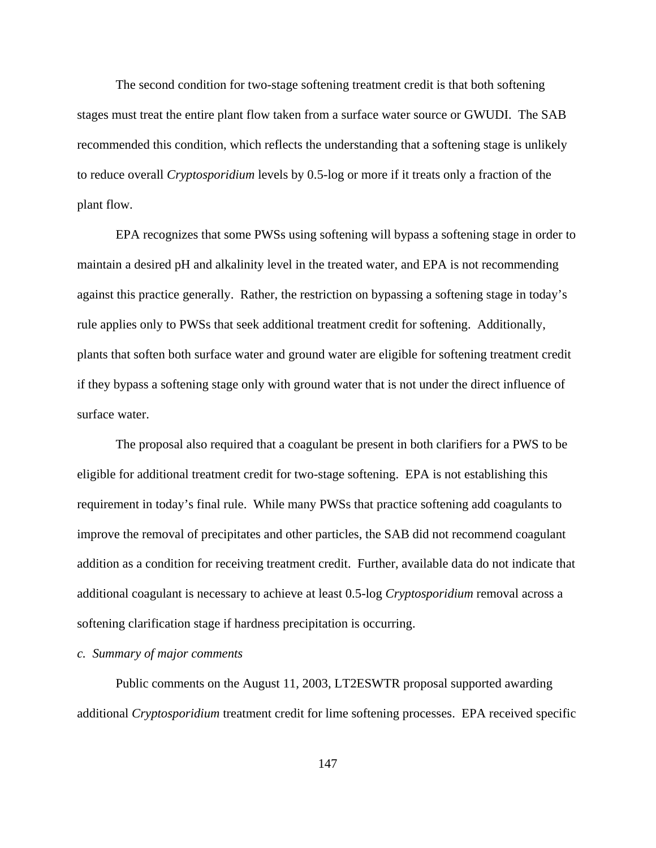The second condition for two-stage softening treatment credit is that both softening stages must treat the entire plant flow taken from a surface water source or GWUDI. The SAB recommended this condition, which reflects the understanding that a softening stage is unlikely to reduce overall *Cryptosporidium* levels by 0.5-log or more if it treats only a fraction of the plant flow.

EPA recognizes that some PWSs using softening will bypass a softening stage in order to maintain a desired pH and alkalinity level in the treated water, and EPA is not recommending against this practice generally. Rather, the restriction on bypassing a softening stage in today's rule applies only to PWSs that seek additional treatment credit for softening. Additionally, plants that soften both surface water and ground water are eligible for softening treatment credit if they bypass a softening stage only with ground water that is not under the direct influence of surface water.

The proposal also required that a coagulant be present in both clarifiers for a PWS to be eligible for additional treatment credit for two-stage softening. EPA is not establishing this requirement in today's final rule. While many PWSs that practice softening add coagulants to improve the removal of precipitates and other particles, the SAB did not recommend coagulant addition as a condition for receiving treatment credit. Further, available data do not indicate that additional coagulant is necessary to achieve at least 0.5-log *Cryptosporidium* removal across a softening clarification stage if hardness precipitation is occurring.

### *c. Summary of major comments*

Public comments on the August 11, 2003, LT2ESWTR proposal supported awarding additional *Cryptosporidium* treatment credit for lime softening processes. EPA received specific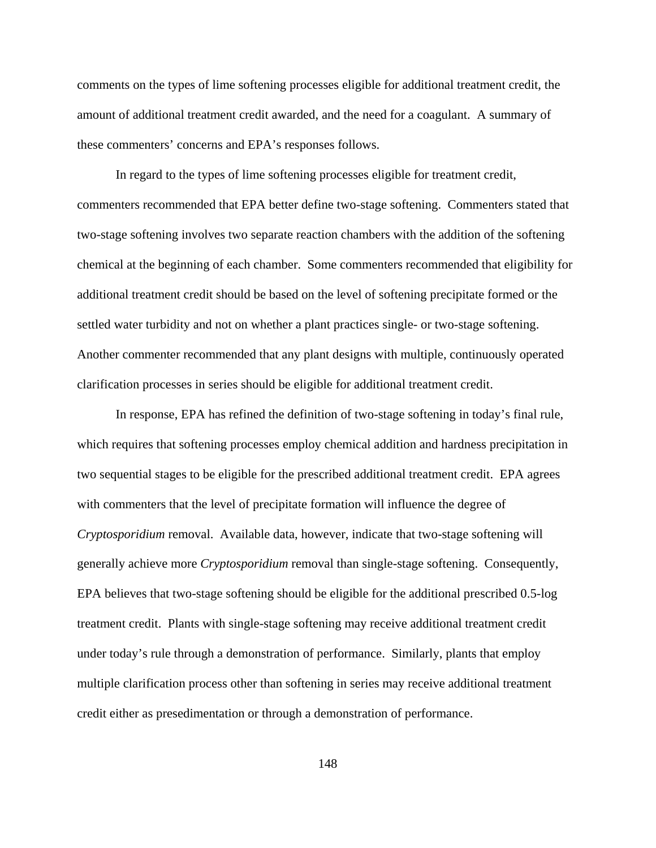comments on the types of lime softening processes eligible for additional treatment credit, the amount of additional treatment credit awarded, and the need for a coagulant. A summary of these commenters' concerns and EPA's responses follows.

In regard to the types of lime softening processes eligible for treatment credit, commenters recommended that EPA better define two-stage softening. Commenters stated that two-stage softening involves two separate reaction chambers with the addition of the softening chemical at the beginning of each chamber. Some commenters recommended that eligibility for additional treatment credit should be based on the level of softening precipitate formed or the settled water turbidity and not on whether a plant practices single- or two-stage softening. Another commenter recommended that any plant designs with multiple, continuously operated clarification processes in series should be eligible for additional treatment credit.

In response, EPA has refined the definition of two-stage softening in today's final rule, which requires that softening processes employ chemical addition and hardness precipitation in two sequential stages to be eligible for the prescribed additional treatment credit. EPA agrees with commenters that the level of precipitate formation will influence the degree of *Cryptosporidium* removal. Available data, however, indicate that two-stage softening will generally achieve more *Cryptosporidium* removal than single-stage softening. Consequently, EPA believes that two-stage softening should be eligible for the additional prescribed 0.5-log treatment credit. Plants with single-stage softening may receive additional treatment credit under today's rule through a demonstration of performance. Similarly, plants that employ multiple clarification process other than softening in series may receive additional treatment credit either as presedimentation or through a demonstration of performance.

148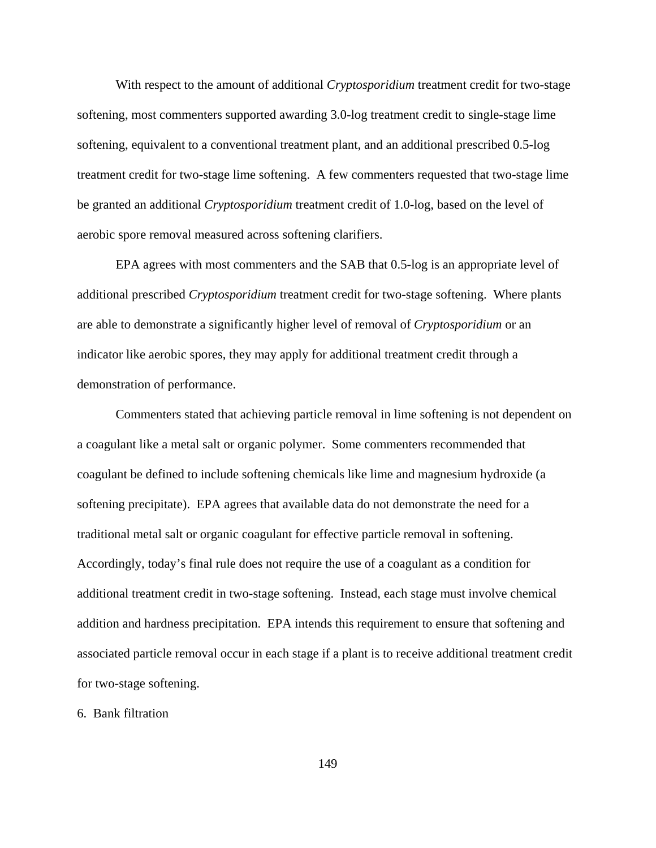With respect to the amount of additional *Cryptosporidium* treatment credit for two-stage softening, most commenters supported awarding 3.0-log treatment credit to single-stage lime softening, equivalent to a conventional treatment plant, and an additional prescribed 0.5-log treatment credit for two-stage lime softening. A few commenters requested that two-stage lime be granted an additional *Cryptosporidium* treatment credit of 1.0-log, based on the level of aerobic spore removal measured across softening clarifiers.

EPA agrees with most commenters and the SAB that 0.5-log is an appropriate level of additional prescribed *Cryptosporidium* treatment credit for two-stage softening. Where plants are able to demonstrate a significantly higher level of removal of *Cryptosporidium* or an indicator like aerobic spores, they may apply for additional treatment credit through a demonstration of performance.

Commenters stated that achieving particle removal in lime softening is not dependent on a coagulant like a metal salt or organic polymer. Some commenters recommended that coagulant be defined to include softening chemicals like lime and magnesium hydroxide (a softening precipitate). EPA agrees that available data do not demonstrate the need for a traditional metal salt or organic coagulant for effective particle removal in softening. Accordingly, today's final rule does not require the use of a coagulant as a condition for additional treatment credit in two-stage softening. Instead, each stage must involve chemical addition and hardness precipitation. EPA intends this requirement to ensure that softening and associated particle removal occur in each stage if a plant is to receive additional treatment credit for two-stage softening.

#### 6. Bank filtration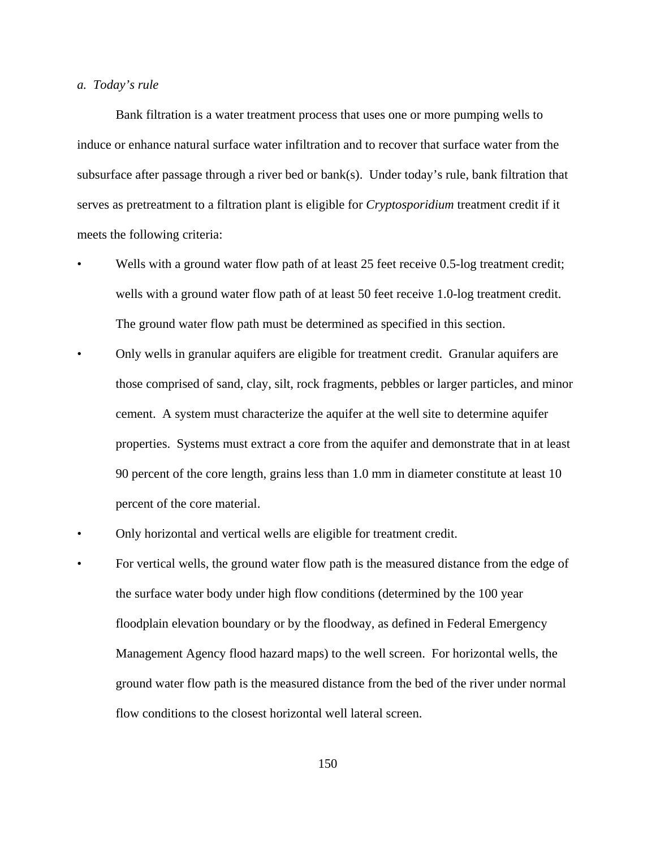## *a. Today's rule*

Bank filtration is a water treatment process that uses one or more pumping wells to induce or enhance natural surface water infiltration and to recover that surface water from the subsurface after passage through a river bed or bank(s). Under today's rule, bank filtration that serves as pretreatment to a filtration plant is eligible for *Cryptosporidium* treatment credit if it meets the following criteria:

- Wells with a ground water flow path of at least 25 feet receive 0.5-log treatment credit; wells with a ground water flow path of at least 50 feet receive 1.0-log treatment credit. The ground water flow path must be determined as specified in this section.
- Only wells in granular aquifers are eligible for treatment credit. Granular aquifers are those comprised of sand, clay, silt, rock fragments, pebbles or larger particles, and minor cement. A system must characterize the aquifer at the well site to determine aquifer properties. Systems must extract a core from the aquifer and demonstrate that in at least 90 percent of the core length, grains less than 1.0 mm in diameter constitute at least 10 percent of the core material.
- Only horizontal and vertical wells are eligible for treatment credit.
- For vertical wells, the ground water flow path is the measured distance from the edge of the surface water body under high flow conditions (determined by the 100 year floodplain elevation boundary or by the floodway, as defined in Federal Emergency Management Agency flood hazard maps) to the well screen. For horizontal wells, the ground water flow path is the measured distance from the bed of the river under normal flow conditions to the closest horizontal well lateral screen.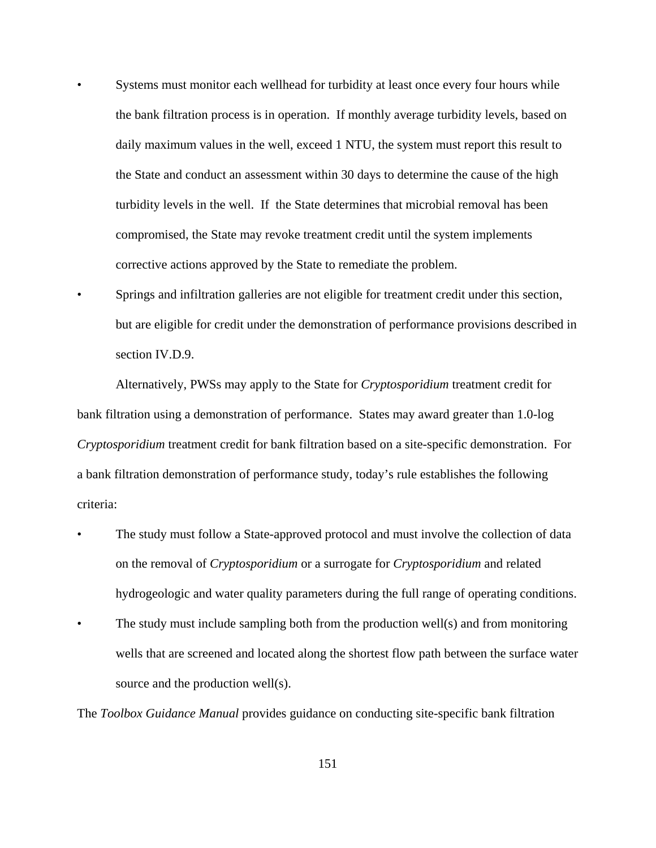- Systems must monitor each wellhead for turbidity at least once every four hours while the bank filtration process is in operation. If monthly average turbidity levels, based on daily maximum values in the well, exceed 1 NTU, the system must report this result to the State and conduct an assessment within 30 days to determine the cause of the high turbidity levels in the well. If the State determines that microbial removal has been compromised, the State may revoke treatment credit until the system implements corrective actions approved by the State to remediate the problem.
- Springs and infiltration galleries are not eligible for treatment credit under this section, but are eligible for credit under the demonstration of performance provisions described in section IV.D.9.

Alternatively, PWSs may apply to the State for *Cryptosporidium* treatment credit for bank filtration using a demonstration of performance. States may award greater than 1.0-log *Cryptosporidium* treatment credit for bank filtration based on a site-specific demonstration. For a bank filtration demonstration of performance study, today's rule establishes the following criteria:

- The study must follow a State-approved protocol and must involve the collection of data on the removal of *Cryptosporidium* or a surrogate for *Cryptosporidium* and related hydrogeologic and water quality parameters during the full range of operating conditions.
- The study must include sampling both from the production well(s) and from monitoring wells that are screened and located along the shortest flow path between the surface water source and the production well(s).

The *Toolbox Guidance Manual* provides guidance on conducting site-specific bank filtration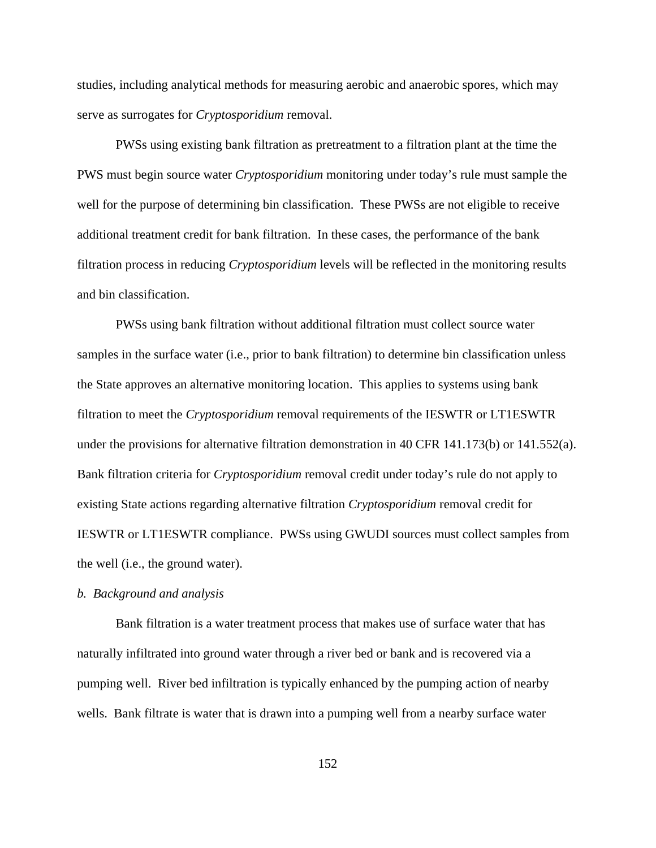studies, including analytical methods for measuring aerobic and anaerobic spores, which may serve as surrogates for *Cryptosporidium* removal.

PWSs using existing bank filtration as pretreatment to a filtration plant at the time the PWS must begin source water *Cryptosporidium* monitoring under today's rule must sample the well for the purpose of determining bin classification. These PWSs are not eligible to receive additional treatment credit for bank filtration. In these cases, the performance of the bank filtration process in reducing *Cryptosporidium* levels will be reflected in the monitoring results and bin classification.

PWSs using bank filtration without additional filtration must collect source water samples in the surface water (i.e., prior to bank filtration) to determine bin classification unless the State approves an alternative monitoring location. This applies to systems using bank filtration to meet the *Cryptosporidium* removal requirements of the IESWTR or LT1ESWTR under the provisions for alternative filtration demonstration in 40 CFR 141.173(b) or 141.552(a). Bank filtration criteria for *Cryptosporidium* removal credit under today's rule do not apply to existing State actions regarding alternative filtration *Cryptosporidium* removal credit for IESWTR or LT1ESWTR compliance. PWSs using GWUDI sources must collect samples from the well (i.e., the ground water).

# *b. Background and analysis*

Bank filtration is a water treatment process that makes use of surface water that has naturally infiltrated into ground water through a river bed or bank and is recovered via a pumping well. River bed infiltration is typically enhanced by the pumping action of nearby wells. Bank filtrate is water that is drawn into a pumping well from a nearby surface water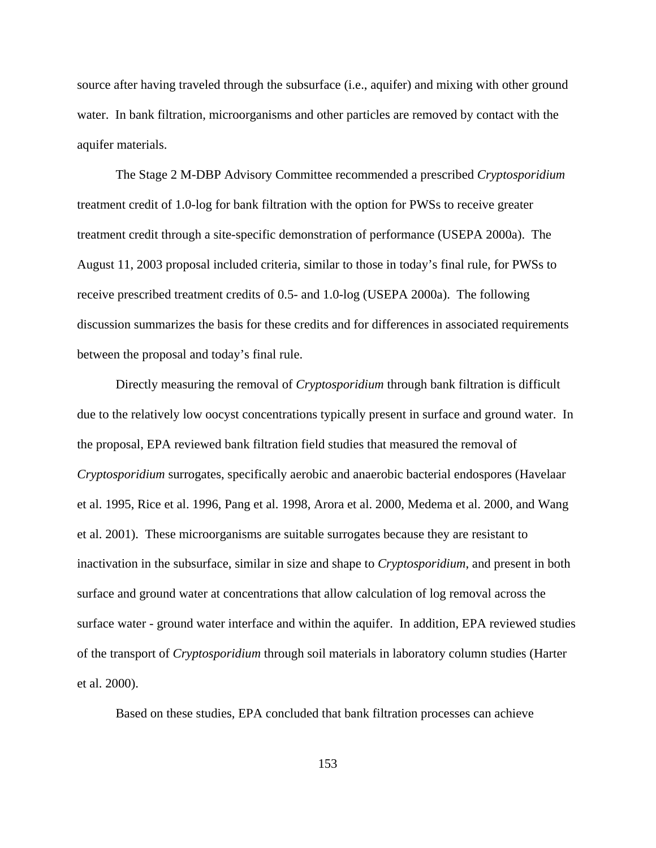source after having traveled through the subsurface (i.e., aquifer) and mixing with other ground water. In bank filtration, microorganisms and other particles are removed by contact with the aquifer materials.

The Stage 2 M-DBP Advisory Committee recommended a prescribed *Cryptosporidium* treatment credit of 1.0-log for bank filtration with the option for PWSs to receive greater treatment credit through a site-specific demonstration of performance (USEPA 2000a). The August 11, 2003 proposal included criteria, similar to those in today's final rule, for PWSs to receive prescribed treatment credits of 0.5- and 1.0-log (USEPA 2000a). The following discussion summarizes the basis for these credits and for differences in associated requirements between the proposal and today's final rule.

Directly measuring the removal of *Cryptosporidium* through bank filtration is difficult due to the relatively low oocyst concentrations typically present in surface and ground water. In the proposal, EPA reviewed bank filtration field studies that measured the removal of *Cryptosporidium* surrogates, specifically aerobic and anaerobic bacterial endospores (Havelaar et al. 1995, Rice et al. 1996, Pang et al. 1998, Arora et al. 2000, Medema et al. 2000, and Wang et al. 2001). These microorganisms are suitable surrogates because they are resistant to inactivation in the subsurface, similar in size and shape to *Cryptosporidium*, and present in both surface and ground water at concentrations that allow calculation of log removal across the surface water - ground water interface and within the aquifer. In addition, EPA reviewed studies of the transport of *Cryptosporidium* through soil materials in laboratory column studies (Harter et al. 2000).

Based on these studies, EPA concluded that bank filtration processes can achieve

153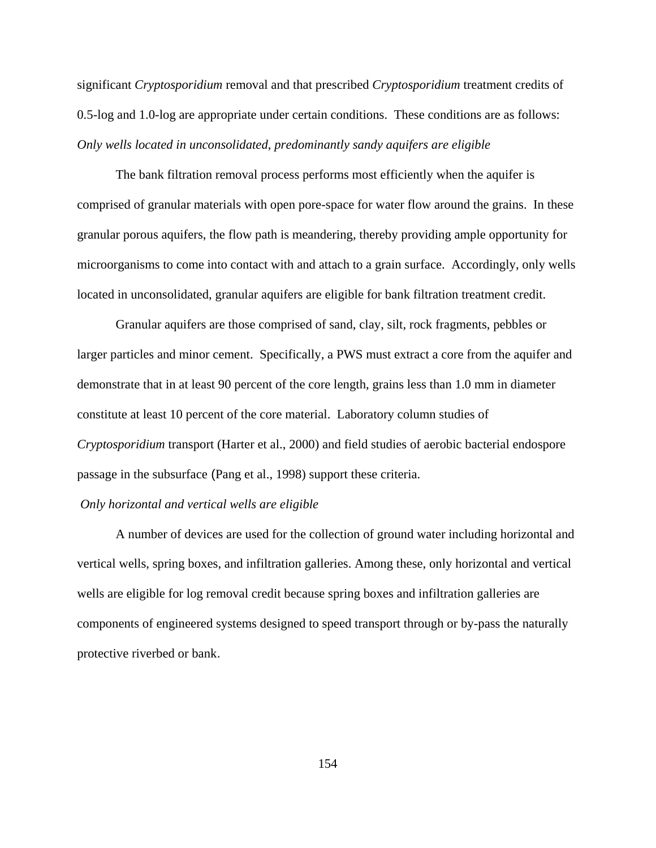significant *Cryptosporidium* removal and that prescribed *Cryptosporidium* treatment credits of 0.5-log and 1.0-log are appropriate under certain conditions. These conditions are as follows: *Only wells located in unconsolidated*, *predominantly sandy aquifers are eligible*

The bank filtration removal process performs most efficiently when the aquifer is comprised of granular materials with open pore-space for water flow around the grains. In these granular porous aquifers, the flow path is meandering, thereby providing ample opportunity for microorganisms to come into contact with and attach to a grain surface. Accordingly, only wells located in unconsolidated, granular aquifers are eligible for bank filtration treatment credit.

Granular aquifers are those comprised of sand, clay, silt, rock fragments, pebbles or larger particles and minor cement. Specifically, a PWS must extract a core from the aquifer and demonstrate that in at least 90 percent of the core length, grains less than 1.0 mm in diameter constitute at least 10 percent of the core material. Laboratory column studies of *Cryptosporidium* transport (Harter et al., 2000) and field studies of aerobic bacterial endospore passage in the subsurface (Pang et al., 1998) support these criteria.

# *Only horizontal and vertical wells are eligible*

A number of devices are used for the collection of ground water including horizontal and vertical wells, spring boxes, and infiltration galleries. Among these, only horizontal and vertical wells are eligible for log removal credit because spring boxes and infiltration galleries are components of engineered systems designed to speed transport through or by-pass the naturally protective riverbed or bank.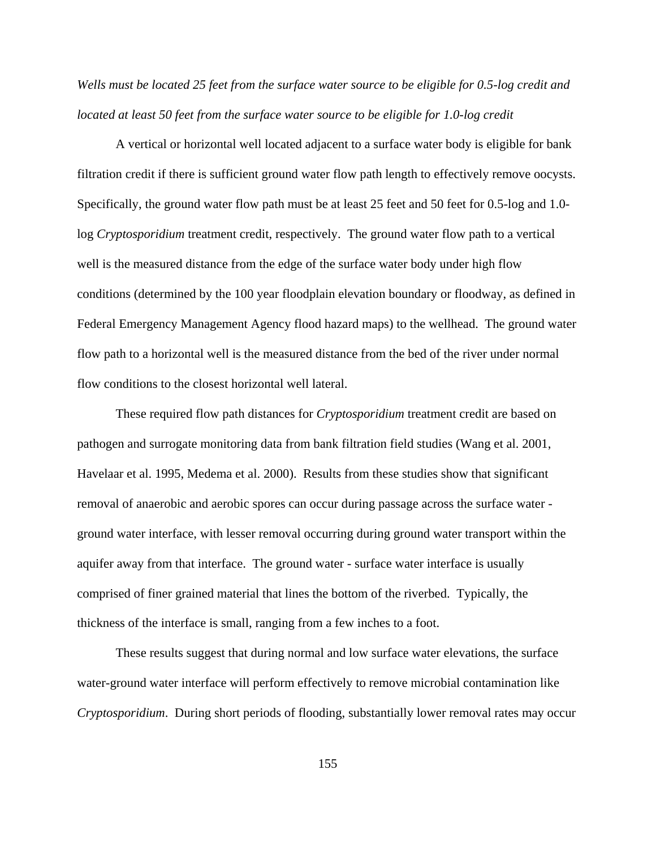*Wells must be located 25 feet from the surface water source to be eligible for 0.5-log credit and located at least 50 feet from the surface water source to be eligible for 1.0-log credit*

A vertical or horizontal well located adjacent to a surface water body is eligible for bank filtration credit if there is sufficient ground water flow path length to effectively remove oocysts. Specifically, the ground water flow path must be at least 25 feet and 50 feet for 0.5-log and 1.0 log *Cryptosporidium* treatment credit, respectively. The ground water flow path to a vertical well is the measured distance from the edge of the surface water body under high flow conditions (determined by the 100 year floodplain elevation boundary or floodway, as defined in Federal Emergency Management Agency flood hazard maps) to the wellhead. The ground water flow path to a horizontal well is the measured distance from the bed of the river under normal flow conditions to the closest horizontal well lateral.

These required flow path distances for *Cryptosporidium* treatment credit are based on pathogen and surrogate monitoring data from bank filtration field studies (Wang et al. 2001, Havelaar et al. 1995, Medema et al. 2000). Results from these studies show that significant removal of anaerobic and aerobic spores can occur during passage across the surface water ground water interface, with lesser removal occurring during ground water transport within the aquifer away from that interface. The ground water - surface water interface is usually comprised of finer grained material that lines the bottom of the riverbed. Typically, the thickness of the interface is small, ranging from a few inches to a foot.

These results suggest that during normal and low surface water elevations, the surface water-ground water interface will perform effectively to remove microbial contamination like *Cryptosporidium*. During short periods of flooding, substantially lower removal rates may occur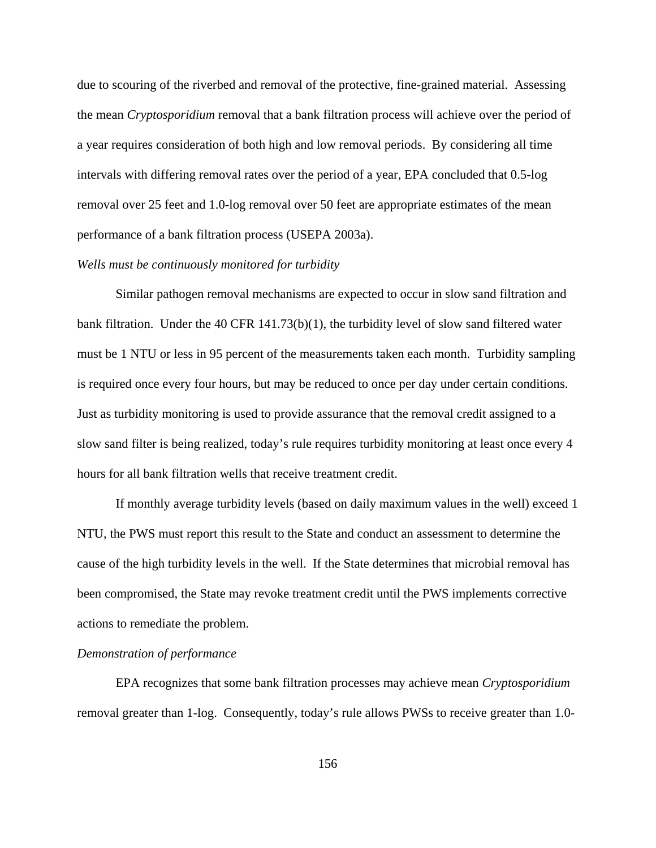due to scouring of the riverbed and removal of the protective, fine-grained material. Assessing the mean *Cryptosporidium* removal that a bank filtration process will achieve over the period of a year requires consideration of both high and low removal periods. By considering all time intervals with differing removal rates over the period of a year, EPA concluded that 0.5-log removal over 25 feet and 1.0-log removal over 50 feet are appropriate estimates of the mean performance of a bank filtration process (USEPA 2003a).

# *Wells must be continuously monitored for turbidity*

Similar pathogen removal mechanisms are expected to occur in slow sand filtration and bank filtration. Under the 40 CFR  $141.73(b)(1)$ , the turbidity level of slow sand filtered water must be 1 NTU or less in 95 percent of the measurements taken each month. Turbidity sampling is required once every four hours, but may be reduced to once per day under certain conditions. Just as turbidity monitoring is used to provide assurance that the removal credit assigned to a slow sand filter is being realized, today's rule requires turbidity monitoring at least once every 4 hours for all bank filtration wells that receive treatment credit.

If monthly average turbidity levels (based on daily maximum values in the well) exceed 1 NTU, the PWS must report this result to the State and conduct an assessment to determine the cause of the high turbidity levels in the well. If the State determines that microbial removal has been compromised, the State may revoke treatment credit until the PWS implements corrective actions to remediate the problem.

#### *Demonstration of performance*

EPA recognizes that some bank filtration processes may achieve mean *Cryptosporidium* removal greater than 1-log. Consequently, today's rule allows PWSs to receive greater than 1.0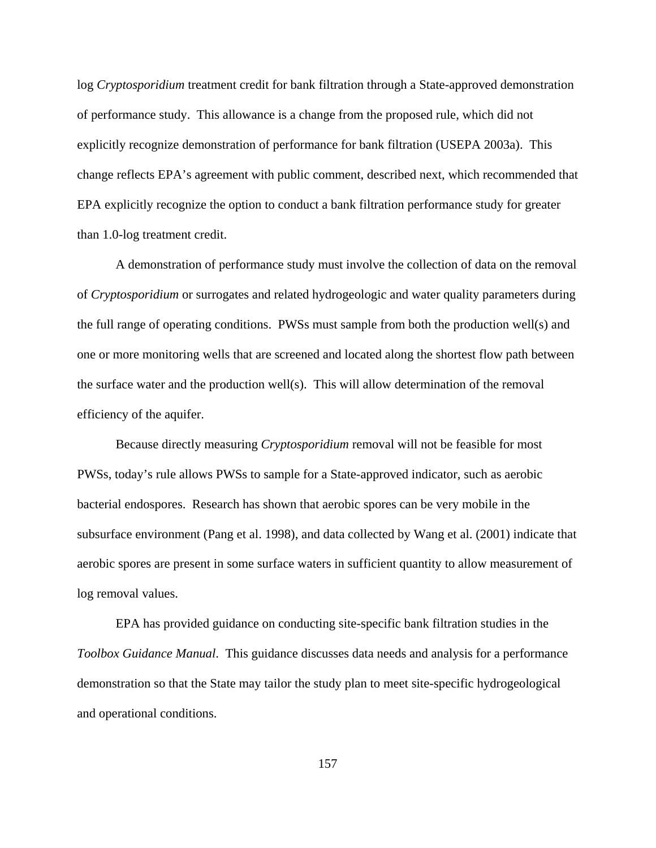log *Cryptosporidium* treatment credit for bank filtration through a State-approved demonstration of performance study. This allowance is a change from the proposed rule, which did not explicitly recognize demonstration of performance for bank filtration (USEPA 2003a). This change reflects EPA's agreement with public comment, described next, which recommended that EPA explicitly recognize the option to conduct a bank filtration performance study for greater than 1.0-log treatment credit.

A demonstration of performance study must involve the collection of data on the removal of *Cryptosporidium* or surrogates and related hydrogeologic and water quality parameters during the full range of operating conditions. PWSs must sample from both the production well(s) and one or more monitoring wells that are screened and located along the shortest flow path between the surface water and the production well(s). This will allow determination of the removal efficiency of the aquifer.

Because directly measuring *Cryptosporidium* removal will not be feasible for most PWSs, today's rule allows PWSs to sample for a State-approved indicator, such as aerobic bacterial endospores. Research has shown that aerobic spores can be very mobile in the subsurface environment (Pang et al. 1998), and data collected by Wang et al. (2001) indicate that aerobic spores are present in some surface waters in sufficient quantity to allow measurement of log removal values.

EPA has provided guidance on conducting site-specific bank filtration studies in the *Toolbox Guidance Manual*. This guidance discusses data needs and analysis for a performance demonstration so that the State may tailor the study plan to meet site-specific hydrogeological and operational conditions.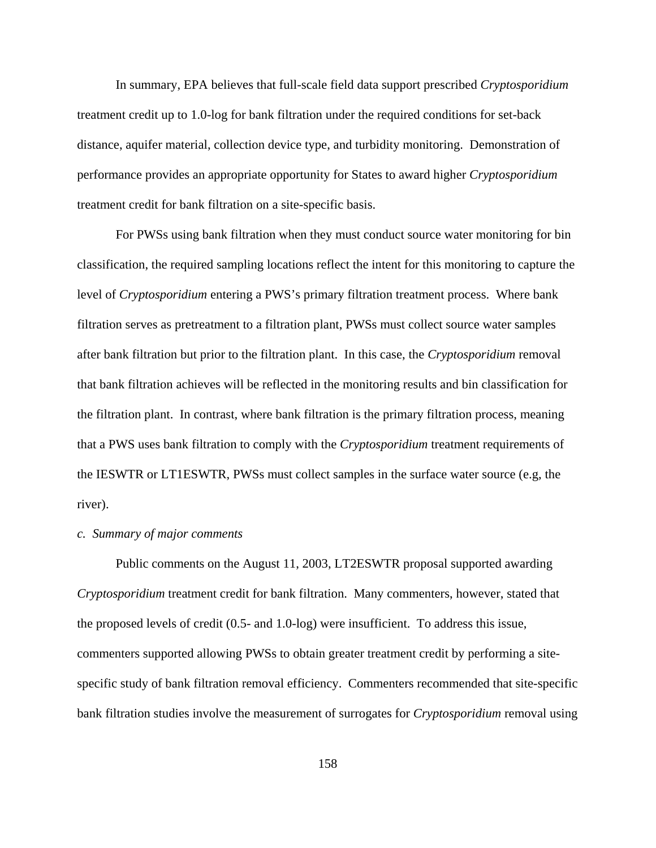In summary, EPA believes that full-scale field data support prescribed *Cryptosporidium* treatment credit up to 1.0-log for bank filtration under the required conditions for set-back distance, aquifer material, collection device type, and turbidity monitoring. Demonstration of performance provides an appropriate opportunity for States to award higher *Cryptosporidium* treatment credit for bank filtration on a site-specific basis.

For PWSs using bank filtration when they must conduct source water monitoring for bin classification, the required sampling locations reflect the intent for this monitoring to capture the level of *Cryptosporidium* entering a PWS's primary filtration treatment process. Where bank filtration serves as pretreatment to a filtration plant, PWSs must collect source water samples after bank filtration but prior to the filtration plant. In this case, the *Cryptosporidium* removal that bank filtration achieves will be reflected in the monitoring results and bin classification for the filtration plant. In contrast, where bank filtration is the primary filtration process, meaning that a PWS uses bank filtration to comply with the *Cryptosporidium* treatment requirements of the IESWTR or LT1ESWTR, PWSs must collect samples in the surface water source (e.g, the river).

#### *c. Summary of major comments*

Public comments on the August 11, 2003, LT2ESWTR proposal supported awarding *Cryptosporidium* treatment credit for bank filtration. Many commenters, however, stated that the proposed levels of credit (0.5- and 1.0-log) were insufficient. To address this issue, commenters supported allowing PWSs to obtain greater treatment credit by performing a sitespecific study of bank filtration removal efficiency. Commenters recommended that site-specific bank filtration studies involve the measurement of surrogates for *Cryptosporidium* removal using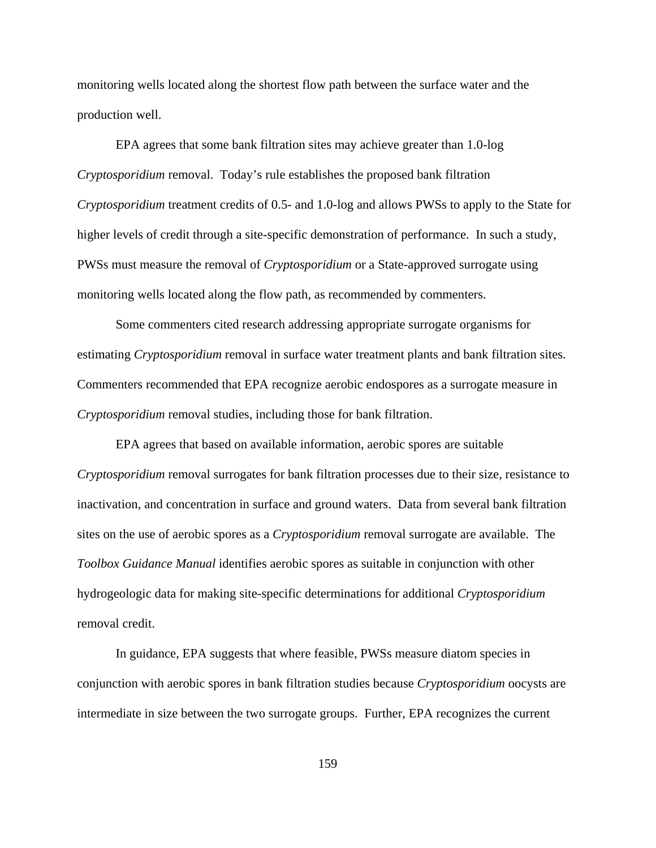monitoring wells located along the shortest flow path between the surface water and the production well.

EPA agrees that some bank filtration sites may achieve greater than 1.0-log *Cryptosporidium* removal. Today's rule establishes the proposed bank filtration *Cryptosporidium* treatment credits of 0.5- and 1.0-log and allows PWSs to apply to the State for higher levels of credit through a site-specific demonstration of performance. In such a study, PWSs must measure the removal of *Cryptosporidium* or a State-approved surrogate using monitoring wells located along the flow path, as recommended by commenters.

Some commenters cited research addressing appropriate surrogate organisms for estimating *Cryptosporidium* removal in surface water treatment plants and bank filtration sites. Commenters recommended that EPA recognize aerobic endospores as a surrogate measure in *Cryptosporidium* removal studies, including those for bank filtration.

EPA agrees that based on available information, aerobic spores are suitable *Cryptosporidium* removal surrogates for bank filtration processes due to their size, resistance to inactivation, and concentration in surface and ground waters. Data from several bank filtration sites on the use of aerobic spores as a *Cryptosporidium* removal surrogate are available. The *Toolbox Guidance Manual* identifies aerobic spores as suitable in conjunction with other hydrogeologic data for making site-specific determinations for additional *Cryptosporidium* removal credit.

In guidance, EPA suggests that where feasible, PWSs measure diatom species in conjunction with aerobic spores in bank filtration studies because *Cryptosporidium* oocysts are intermediate in size between the two surrogate groups. Further, EPA recognizes the current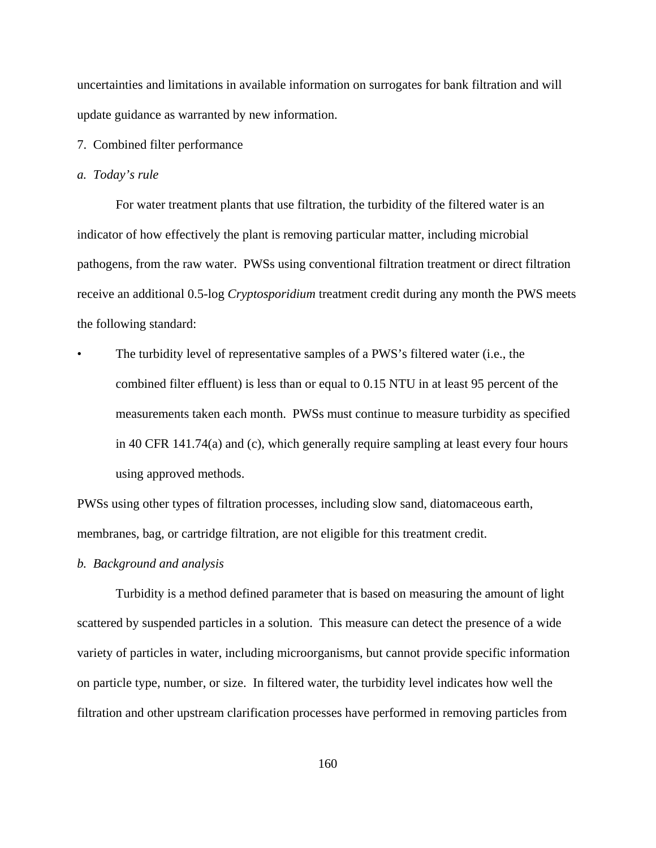uncertainties and limitations in available information on surrogates for bank filtration and will update guidance as warranted by new information.

7. Combined filter performance

#### *a. Today's rule*

For water treatment plants that use filtration, the turbidity of the filtered water is an indicator of how effectively the plant is removing particular matter, including microbial pathogens, from the raw water. PWSs using conventional filtration treatment or direct filtration receive an additional 0.5-log *Cryptosporidium* treatment credit during any month the PWS meets the following standard:

The turbidity level of representative samples of a PWS's filtered water (i.e., the combined filter effluent) is less than or equal to 0.15 NTU in at least 95 percent of the measurements taken each month. PWSs must continue to measure turbidity as specified in 40 CFR 141.74(a) and (c), which generally require sampling at least every four hours using approved methods.

PWSs using other types of filtration processes, including slow sand, diatomaceous earth, membranes, bag, or cartridge filtration, are not eligible for this treatment credit.

#### *b. Background and analysis*

Turbidity is a method defined parameter that is based on measuring the amount of light scattered by suspended particles in a solution. This measure can detect the presence of a wide variety of particles in water, including microorganisms, but cannot provide specific information on particle type, number, or size. In filtered water, the turbidity level indicates how well the filtration and other upstream clarification processes have performed in removing particles from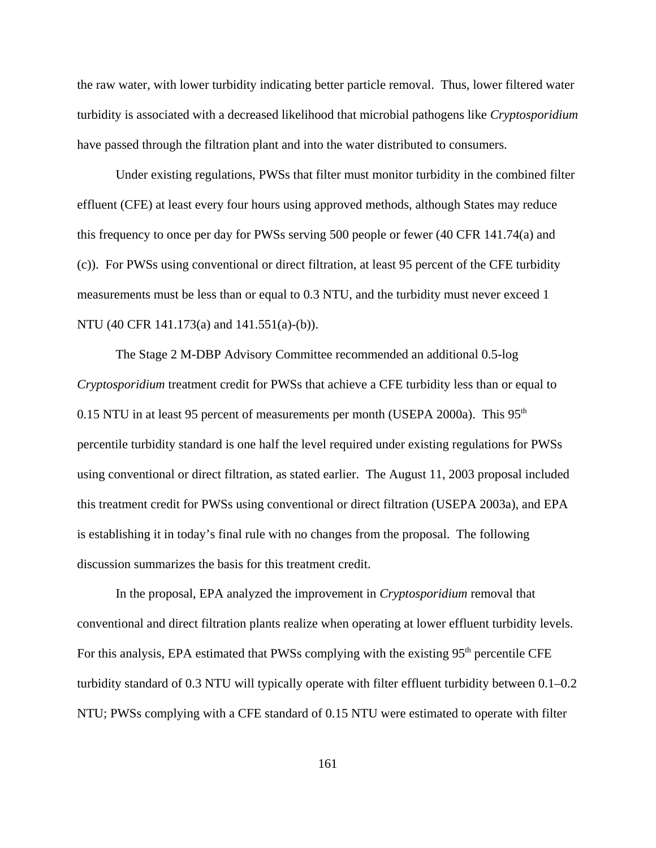the raw water, with lower turbidity indicating better particle removal. Thus, lower filtered water turbidity is associated with a decreased likelihood that microbial pathogens like *Cryptosporidium* have passed through the filtration plant and into the water distributed to consumers.

Under existing regulations, PWSs that filter must monitor turbidity in the combined filter effluent (CFE) at least every four hours using approved methods, although States may reduce this frequency to once per day for PWSs serving 500 people or fewer (40 CFR 141.74(a) and (c)). For PWSs using conventional or direct filtration, at least 95 percent of the CFE turbidity measurements must be less than or equal to 0.3 NTU, and the turbidity must never exceed 1 NTU (40 CFR 141.173(a) and 141.551(a)-(b)).

The Stage 2 M-DBP Advisory Committee recommended an additional 0.5-log *Cryptosporidium* treatment credit for PWSs that achieve a CFE turbidity less than or equal to 0.15 NTU in at least 95 percent of measurements per month (USEPA 2000a). This  $95<sup>th</sup>$ percentile turbidity standard is one half the level required under existing regulations for PWSs using conventional or direct filtration, as stated earlier. The August 11, 2003 proposal included this treatment credit for PWSs using conventional or direct filtration (USEPA 2003a), and EPA is establishing it in today's final rule with no changes from the proposal. The following discussion summarizes the basis for this treatment credit.

In the proposal, EPA analyzed the improvement in *Cryptosporidium* removal that conventional and direct filtration plants realize when operating at lower effluent turbidity levels. For this analysis, EPA estimated that PWSs complying with the existing  $95<sup>th</sup>$  percentile CFE turbidity standard of 0.3 NTU will typically operate with filter effluent turbidity between 0.1–0.2 NTU; PWSs complying with a CFE standard of 0.15 NTU were estimated to operate with filter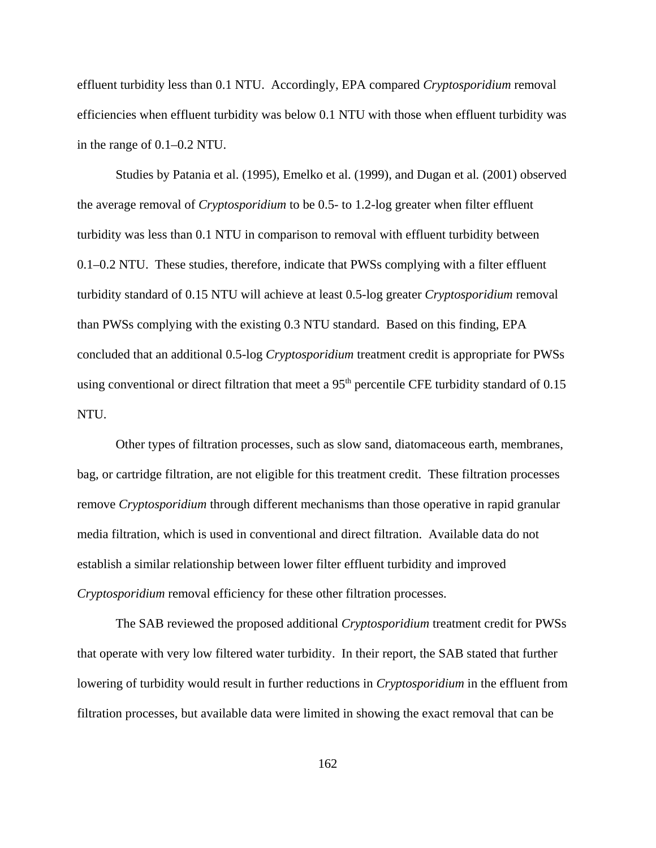effluent turbidity less than 0.1 NTU. Accordingly, EPA compared *Cryptosporidium* removal efficiencies when effluent turbidity was below 0.1 NTU with those when effluent turbidity was in the range of 0.1–0.2 NTU.

Studies by Patania et al. (1995), Emelko et al. (1999), and Dugan et al*.* (2001) observed the average removal of *Cryptosporidium* to be 0.5- to 1.2-log greater when filter effluent turbidity was less than 0.1 NTU in comparison to removal with effluent turbidity between 0.1–0.2 NTU. These studies, therefore, indicate that PWSs complying with a filter effluent turbidity standard of 0.15 NTU will achieve at least 0.5-log greater *Cryptosporidium* removal than PWSs complying with the existing 0.3 NTU standard. Based on this finding, EPA concluded that an additional 0.5-log *Cryptosporidium* treatment credit is appropriate for PWSs using conventional or direct filtration that meet a  $95<sup>th</sup>$  percentile CFE turbidity standard of 0.15 NTU.

Other types of filtration processes, such as slow sand, diatomaceous earth, membranes, bag, or cartridge filtration, are not eligible for this treatment credit. These filtration processes remove *Cryptosporidium* through different mechanisms than those operative in rapid granular media filtration, which is used in conventional and direct filtration. Available data do not establish a similar relationship between lower filter effluent turbidity and improved *Cryptosporidium* removal efficiency for these other filtration processes.

The SAB reviewed the proposed additional *Cryptosporidium* treatment credit for PWSs that operate with very low filtered water turbidity. In their report, the SAB stated that further lowering of turbidity would result in further reductions in *Cryptosporidium* in the effluent from filtration processes, but available data were limited in showing the exact removal that can be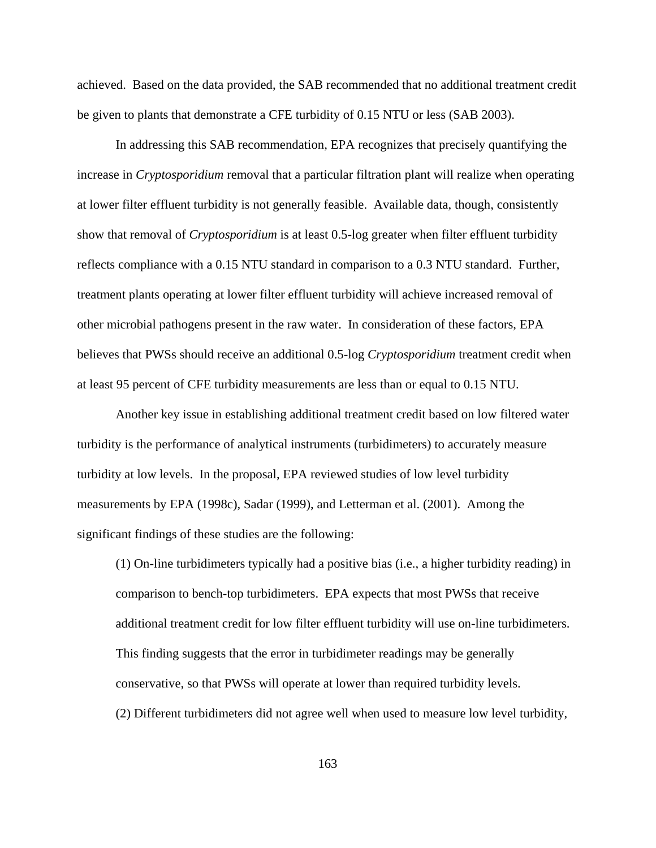achieved. Based on the data provided, the SAB recommended that no additional treatment credit be given to plants that demonstrate a CFE turbidity of 0.15 NTU or less (SAB 2003).

In addressing this SAB recommendation, EPA recognizes that precisely quantifying the increase in *Cryptosporidium* removal that a particular filtration plant will realize when operating at lower filter effluent turbidity is not generally feasible. Available data, though, consistently show that removal of *Cryptosporidium* is at least 0.5-log greater when filter effluent turbidity reflects compliance with a 0.15 NTU standard in comparison to a 0.3 NTU standard. Further, treatment plants operating at lower filter effluent turbidity will achieve increased removal of other microbial pathogens present in the raw water. In consideration of these factors, EPA believes that PWSs should receive an additional 0.5-log *Cryptosporidium* treatment credit when at least 95 percent of CFE turbidity measurements are less than or equal to 0.15 NTU.

Another key issue in establishing additional treatment credit based on low filtered water turbidity is the performance of analytical instruments (turbidimeters) to accurately measure turbidity at low levels. In the proposal, EPA reviewed studies of low level turbidity measurements by EPA (1998c), Sadar (1999), and Letterman et al. (2001). Among the significant findings of these studies are the following:

(1) On-line turbidimeters typically had a positive bias (i.e., a higher turbidity reading) in comparison to bench-top turbidimeters. EPA expects that most PWSs that receive additional treatment credit for low filter effluent turbidity will use on-line turbidimeters. This finding suggests that the error in turbidimeter readings may be generally conservative, so that PWSs will operate at lower than required turbidity levels. (2) Different turbidimeters did not agree well when used to measure low level turbidity,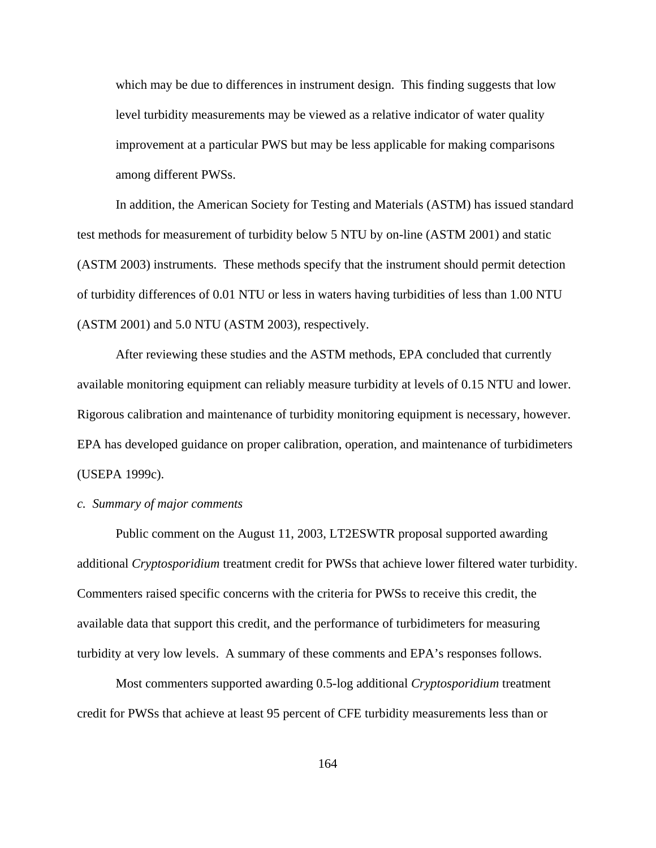which may be due to differences in instrument design. This finding suggests that low level turbidity measurements may be viewed as a relative indicator of water quality improvement at a particular PWS but may be less applicable for making comparisons among different PWSs.

In addition, the American Society for Testing and Materials (ASTM) has issued standard test methods for measurement of turbidity below 5 NTU by on-line (ASTM 2001) and static (ASTM 2003) instruments. These methods specify that the instrument should permit detection of turbidity differences of 0.01 NTU or less in waters having turbidities of less than 1.00 NTU (ASTM 2001) and 5.0 NTU (ASTM 2003), respectively.

After reviewing these studies and the ASTM methods, EPA concluded that currently available monitoring equipment can reliably measure turbidity at levels of 0.15 NTU and lower. Rigorous calibration and maintenance of turbidity monitoring equipment is necessary, however. EPA has developed guidance on proper calibration, operation, and maintenance of turbidimeters (USEPA 1999c).

### *c. Summary of major comments*

Public comment on the August 11, 2003, LT2ESWTR proposal supported awarding additional *Cryptosporidium* treatment credit for PWSs that achieve lower filtered water turbidity. Commenters raised specific concerns with the criteria for PWSs to receive this credit, the available data that support this credit, and the performance of turbidimeters for measuring turbidity at very low levels. A summary of these comments and EPA's responses follows.

Most commenters supported awarding 0.5-log additional *Cryptosporidium* treatment credit for PWSs that achieve at least 95 percent of CFE turbidity measurements less than or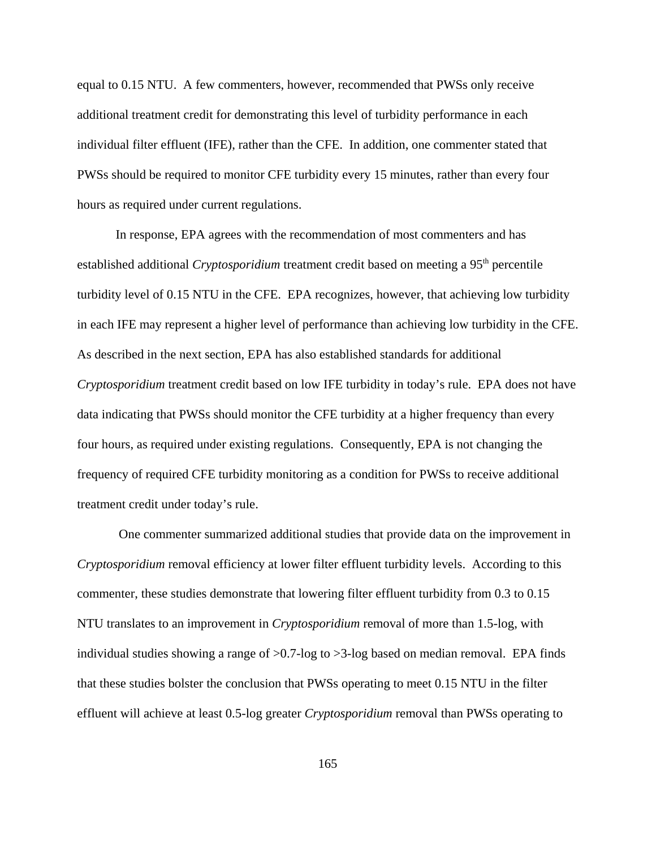equal to 0.15 NTU. A few commenters, however, recommended that PWSs only receive additional treatment credit for demonstrating this level of turbidity performance in each individual filter effluent (IFE), rather than the CFE. In addition, one commenter stated that PWSs should be required to monitor CFE turbidity every 15 minutes, rather than every four hours as required under current regulations.

In response, EPA agrees with the recommendation of most commenters and has established additional *Cryptosporidium* treatment credit based on meeting a 95<sup>th</sup> percentile turbidity level of 0.15 NTU in the CFE. EPA recognizes, however, that achieving low turbidity in each IFE may represent a higher level of performance than achieving low turbidity in the CFE. As described in the next section, EPA has also established standards for additional *Cryptosporidium* treatment credit based on low IFE turbidity in today's rule. EPA does not have data indicating that PWSs should monitor the CFE turbidity at a higher frequency than every four hours, as required under existing regulations. Consequently, EPA is not changing the frequency of required CFE turbidity monitoring as a condition for PWSs to receive additional treatment credit under today's rule.

 One commenter summarized additional studies that provide data on the improvement in *Cryptosporidium* removal efficiency at lower filter effluent turbidity levels. According to this commenter, these studies demonstrate that lowering filter effluent turbidity from 0.3 to 0.15 NTU translates to an improvement in *Cryptosporidium* removal of more than 1.5-log, with individual studies showing a range of >0.7-log to >3-log based on median removal. EPA finds that these studies bolster the conclusion that PWSs operating to meet 0.15 NTU in the filter effluent will achieve at least 0.5-log greater *Cryptosporidium* removal than PWSs operating to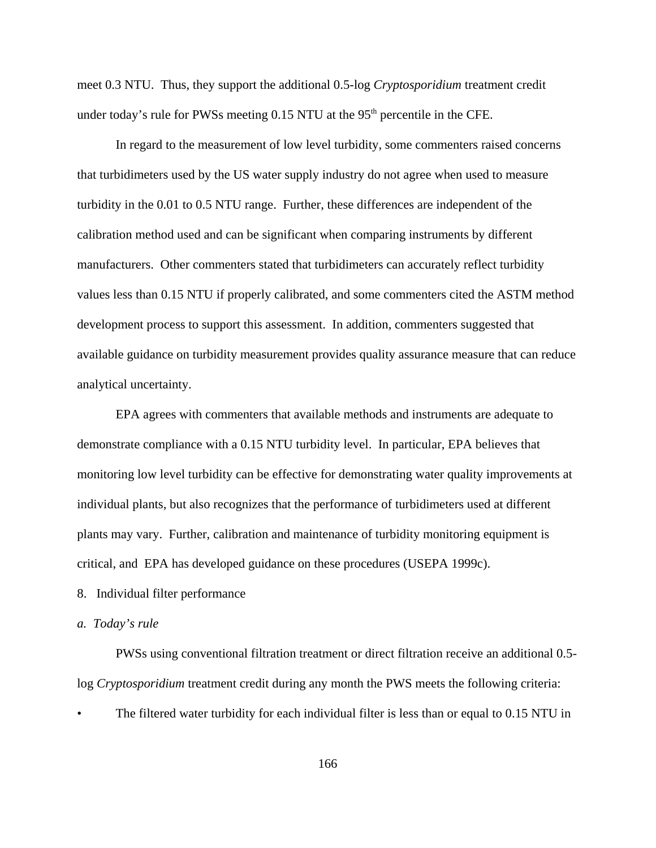meet 0.3 NTU. Thus, they support the additional 0.5-log *Cryptosporidium* treatment credit under today's rule for PWSs meeting  $0.15$  NTU at the 95<sup>th</sup> percentile in the CFE.

In regard to the measurement of low level turbidity, some commenters raised concerns that turbidimeters used by the US water supply industry do not agree when used to measure turbidity in the 0.01 to 0.5 NTU range. Further, these differences are independent of the calibration method used and can be significant when comparing instruments by different manufacturers. Other commenters stated that turbidimeters can accurately reflect turbidity values less than 0.15 NTU if properly calibrated, and some commenters cited the ASTM method development process to support this assessment. In addition, commenters suggested that available guidance on turbidity measurement provides quality assurance measure that can reduce analytical uncertainty.

EPA agrees with commenters that available methods and instruments are adequate to demonstrate compliance with a 0.15 NTU turbidity level. In particular, EPA believes that monitoring low level turbidity can be effective for demonstrating water quality improvements at individual plants, but also recognizes that the performance of turbidimeters used at different plants may vary. Further, calibration and maintenance of turbidity monitoring equipment is critical, and EPA has developed guidance on these procedures (USEPA 1999c).

8. Individual filter performance

# *a. Today's rule*

PWSs using conventional filtration treatment or direct filtration receive an additional 0.5 log *Cryptosporidium* treatment credit during any month the PWS meets the following criteria:

The filtered water turbidity for each individual filter is less than or equal to 0.15 NTU in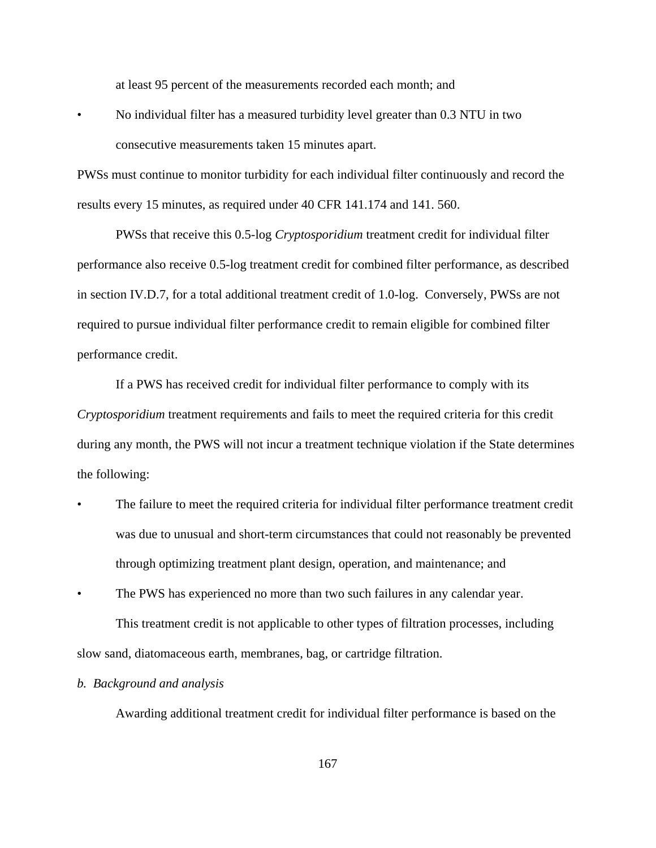at least 95 percent of the measurements recorded each month; and

• No individual filter has a measured turbidity level greater than 0.3 NTU in two consecutive measurements taken 15 minutes apart.

PWSs must continue to monitor turbidity for each individual filter continuously and record the results every 15 minutes, as required under 40 CFR 141.174 and 141. 560.

PWSs that receive this 0.5-log *Cryptosporidium* treatment credit for individual filter performance also receive 0.5-log treatment credit for combined filter performance, as described in section IV.D.7, for a total additional treatment credit of 1.0-log. Conversely, PWSs are not required to pursue individual filter performance credit to remain eligible for combined filter performance credit.

If a PWS has received credit for individual filter performance to comply with its *Cryptosporidium* treatment requirements and fails to meet the required criteria for this credit during any month, the PWS will not incur a treatment technique violation if the State determines the following:

- The failure to meet the required criteria for individual filter performance treatment credit was due to unusual and short-term circumstances that could not reasonably be prevented through optimizing treatment plant design, operation, and maintenance; and
- The PWS has experienced no more than two such failures in any calendar year.

This treatment credit is not applicable to other types of filtration processes, including slow sand, diatomaceous earth, membranes, bag, or cartridge filtration.

# *b. Background and analysis*

Awarding additional treatment credit for individual filter performance is based on the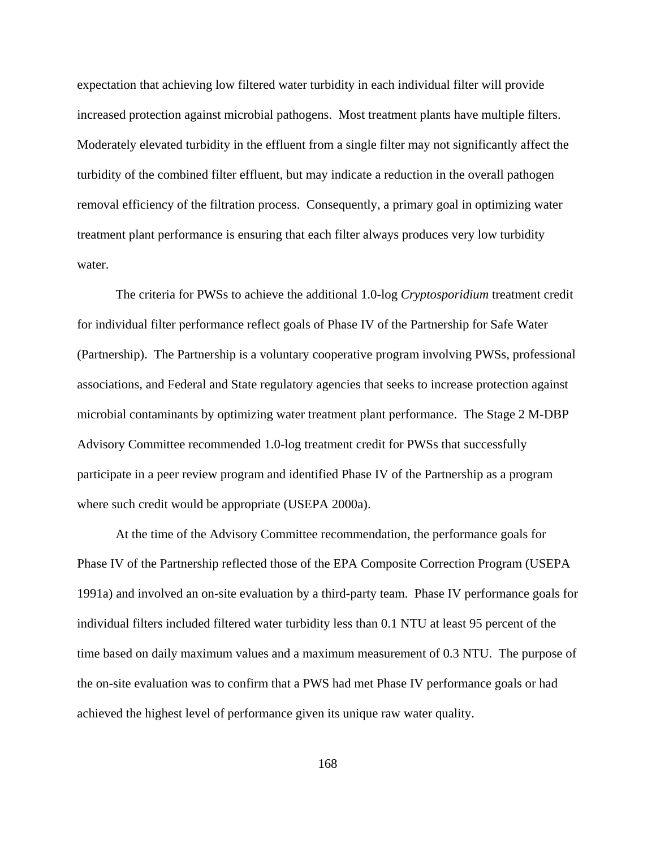expectation that achieving low filtered water turbidity in each individual filter will provide increased protection against microbial pathogens. Most treatment plants have multiple filters. Moderately elevated turbidity in the effluent from a single filter may not significantly affect the turbidity of the combined filter effluent, but may indicate a reduction in the overall pathogen removal efficiency of the filtration process. Consequently, a primary goal in optimizing water treatment plant performance is ensuring that each filter always produces very low turbidity water.

The criteria for PWSs to achieve the additional 1.0-log *Cryptosporidium* treatment credit for individual filter performance reflect goals of Phase IV of the Partnership for Safe Water (Partnership). The Partnership is a voluntary cooperative program involving PWSs, professional associations, and Federal and State regulatory agencies that seeks to increase protection against microbial contaminants by optimizing water treatment plant performance. The Stage 2 M-DBP Advisory Committee recommended 1.0-log treatment credit for PWSs that successfully participate in a peer review program and identified Phase IV of the Partnership as a program where such credit would be appropriate (USEPA 2000a).

At the time of the Advisory Committee recommendation, the performance goals for Phase IV of the Partnership reflected those of the EPA Composite Correction Program (USEPA 1991a) and involved an on-site evaluation by a third-party team. Phase IV performance goals for individual filters included filtered water turbidity less than 0.1 NTU at least 95 percent of the time based on daily maximum values and a maximum measurement of 0.3 NTU. The purpose of the on-site evaluation was to confirm that a PWS had met Phase IV performance goals or had achieved the highest level of performance given its unique raw water quality.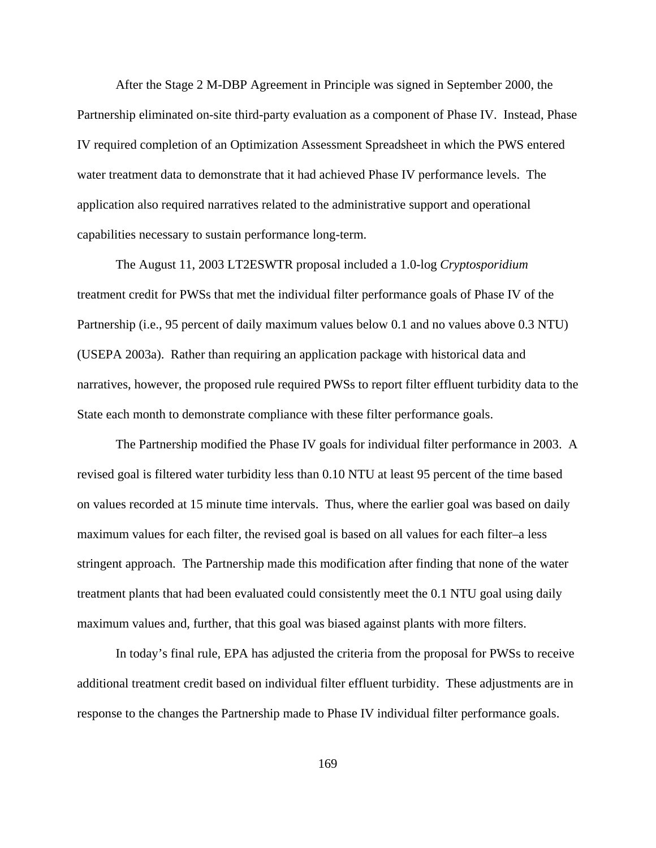After the Stage 2 M-DBP Agreement in Principle was signed in September 2000, the Partnership eliminated on-site third-party evaluation as a component of Phase IV. Instead, Phase IV required completion of an Optimization Assessment Spreadsheet in which the PWS entered water treatment data to demonstrate that it had achieved Phase IV performance levels. The application also required narratives related to the administrative support and operational capabilities necessary to sustain performance long-term.

The August 11, 2003 LT2ESWTR proposal included a 1.0-log *Cryptosporidium* treatment credit for PWSs that met the individual filter performance goals of Phase IV of the Partnership (i.e., 95 percent of daily maximum values below 0.1 and no values above 0.3 NTU) (USEPA 2003a). Rather than requiring an application package with historical data and narratives, however, the proposed rule required PWSs to report filter effluent turbidity data to the State each month to demonstrate compliance with these filter performance goals.

The Partnership modified the Phase IV goals for individual filter performance in 2003. A revised goal is filtered water turbidity less than 0.10 NTU at least 95 percent of the time based on values recorded at 15 minute time intervals. Thus, where the earlier goal was based on daily maximum values for each filter, the revised goal is based on all values for each filter–a less stringent approach. The Partnership made this modification after finding that none of the water treatment plants that had been evaluated could consistently meet the 0.1 NTU goal using daily maximum values and, further, that this goal was biased against plants with more filters.

In today's final rule, EPA has adjusted the criteria from the proposal for PWSs to receive additional treatment credit based on individual filter effluent turbidity. These adjustments are in response to the changes the Partnership made to Phase IV individual filter performance goals.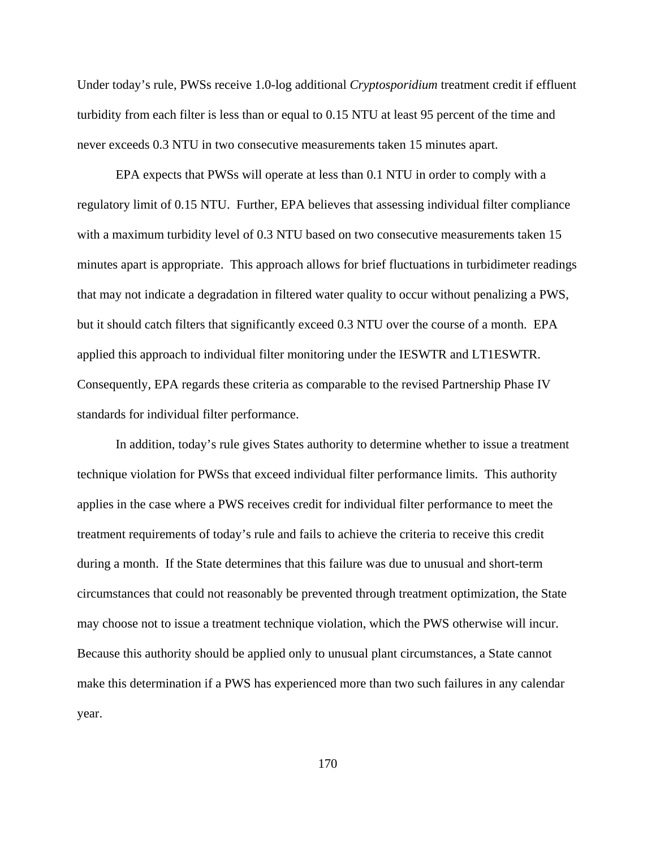Under today's rule, PWSs receive 1.0-log additional *Cryptosporidium* treatment credit if effluent turbidity from each filter is less than or equal to 0.15 NTU at least 95 percent of the time and never exceeds 0.3 NTU in two consecutive measurements taken 15 minutes apart.

EPA expects that PWSs will operate at less than 0.1 NTU in order to comply with a regulatory limit of 0.15 NTU. Further, EPA believes that assessing individual filter compliance with a maximum turbidity level of  $0.3$  NTU based on two consecutive measurements taken 15 minutes apart is appropriate. This approach allows for brief fluctuations in turbidimeter readings that may not indicate a degradation in filtered water quality to occur without penalizing a PWS, but it should catch filters that significantly exceed 0.3 NTU over the course of a month. EPA applied this approach to individual filter monitoring under the IESWTR and LT1ESWTR. Consequently, EPA regards these criteria as comparable to the revised Partnership Phase IV standards for individual filter performance.

In addition, today's rule gives States authority to determine whether to issue a treatment technique violation for PWSs that exceed individual filter performance limits. This authority applies in the case where a PWS receives credit for individual filter performance to meet the treatment requirements of today's rule and fails to achieve the criteria to receive this credit during a month. If the State determines that this failure was due to unusual and short-term circumstances that could not reasonably be prevented through treatment optimization, the State may choose not to issue a treatment technique violation, which the PWS otherwise will incur. Because this authority should be applied only to unusual plant circumstances, a State cannot make this determination if a PWS has experienced more than two such failures in any calendar year.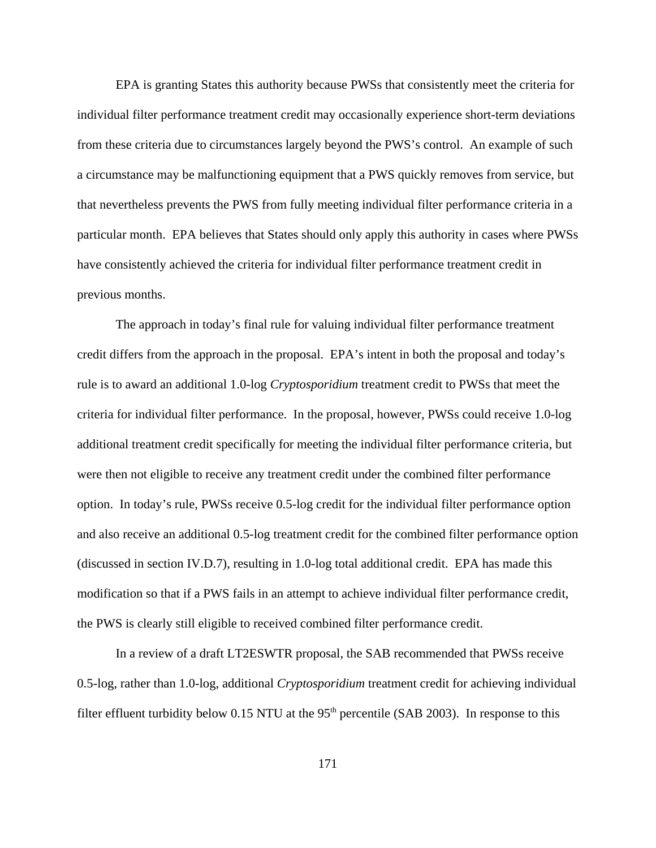EPA is granting States this authority because PWSs that consistently meet the criteria for individual filter performance treatment credit may occasionally experience short-term deviations from these criteria due to circumstances largely beyond the PWS's control. An example of such a circumstance may be malfunctioning equipment that a PWS quickly removes from service, but that nevertheless prevents the PWS from fully meeting individual filter performance criteria in a particular month. EPA believes that States should only apply this authority in cases where PWSs have consistently achieved the criteria for individual filter performance treatment credit in previous months.

The approach in today's final rule for valuing individual filter performance treatment credit differs from the approach in the proposal. EPA's intent in both the proposal and today's rule is to award an additional 1.0-log *Cryptosporidium* treatment credit to PWSs that meet the criteria for individual filter performance. In the proposal, however, PWSs could receive 1.0-log additional treatment credit specifically for meeting the individual filter performance criteria, but were then not eligible to receive any treatment credit under the combined filter performance option. In today's rule, PWSs receive 0.5-log credit for the individual filter performance option and also receive an additional 0.5-log treatment credit for the combined filter performance option (discussed in section IV.D.7), resulting in 1.0-log total additional credit. EPA has made this modification so that if a PWS fails in an attempt to achieve individual filter performance credit, the PWS is clearly still eligible to received combined filter performance credit.

In a review of a draft LT2ESWTR proposal, the SAB recommended that PWSs receive 0.5-log, rather than 1.0-log, additional *Cryptosporidium* treatment credit for achieving individual filter effluent turbidity below  $0.15$  NTU at the 95<sup>th</sup> percentile (SAB 2003). In response to this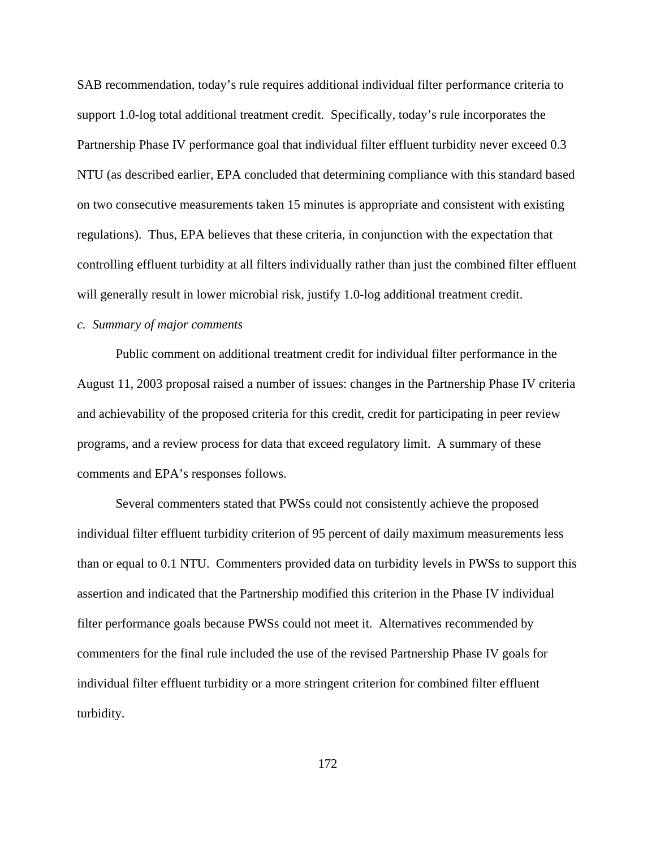SAB recommendation, today's rule requires additional individual filter performance criteria to support 1.0-log total additional treatment credit. Specifically, today's rule incorporates the Partnership Phase IV performance goal that individual filter effluent turbidity never exceed 0.3 NTU (as described earlier, EPA concluded that determining compliance with this standard based on two consecutive measurements taken 15 minutes is appropriate and consistent with existing regulations). Thus, EPA believes that these criteria, in conjunction with the expectation that controlling effluent turbidity at all filters individually rather than just the combined filter effluent will generally result in lower microbial risk, justify 1.0-log additional treatment credit.

# *c. Summary of major comments*

Public comment on additional treatment credit for individual filter performance in the August 11, 2003 proposal raised a number of issues: changes in the Partnership Phase IV criteria and achievability of the proposed criteria for this credit, credit for participating in peer review programs, and a review process for data that exceed regulatory limit. A summary of these comments and EPA's responses follows.

Several commenters stated that PWSs could not consistently achieve the proposed individual filter effluent turbidity criterion of 95 percent of daily maximum measurements less than or equal to 0.1 NTU. Commenters provided data on turbidity levels in PWSs to support this assertion and indicated that the Partnership modified this criterion in the Phase IV individual filter performance goals because PWSs could not meet it. Alternatives recommended by commenters for the final rule included the use of the revised Partnership Phase IV goals for individual filter effluent turbidity or a more stringent criterion for combined filter effluent turbidity.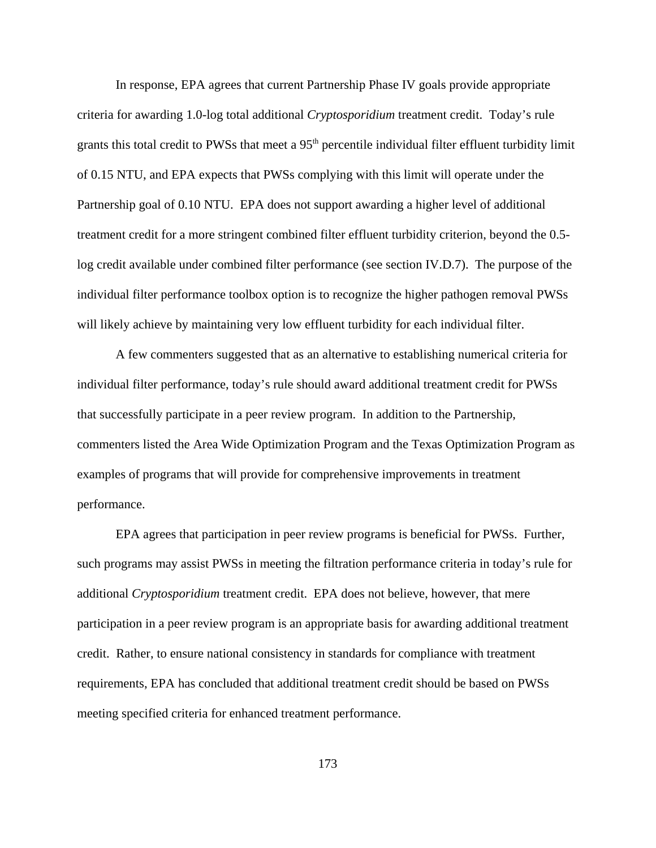In response, EPA agrees that current Partnership Phase IV goals provide appropriate criteria for awarding 1.0-log total additional *Cryptosporidium* treatment credit. Today's rule grants this total credit to PWSs that meet a  $95<sup>th</sup>$  percentile individual filter effluent turbidity limit of 0.15 NTU, and EPA expects that PWSs complying with this limit will operate under the Partnership goal of 0.10 NTU. EPA does not support awarding a higher level of additional treatment credit for a more stringent combined filter effluent turbidity criterion, beyond the 0.5 log credit available under combined filter performance (see section IV.D.7). The purpose of the individual filter performance toolbox option is to recognize the higher pathogen removal PWSs will likely achieve by maintaining very low effluent turbidity for each individual filter.

A few commenters suggested that as an alternative to establishing numerical criteria for individual filter performance, today's rule should award additional treatment credit for PWSs that successfully participate in a peer review program. In addition to the Partnership, commenters listed the Area Wide Optimization Program and the Texas Optimization Program as examples of programs that will provide for comprehensive improvements in treatment performance.

EPA agrees that participation in peer review programs is beneficial for PWSs. Further, such programs may assist PWSs in meeting the filtration performance criteria in today's rule for additional *Cryptosporidium* treatment credit. EPA does not believe, however, that mere participation in a peer review program is an appropriate basis for awarding additional treatment credit. Rather, to ensure national consistency in standards for compliance with treatment requirements, EPA has concluded that additional treatment credit should be based on PWSs meeting specified criteria for enhanced treatment performance.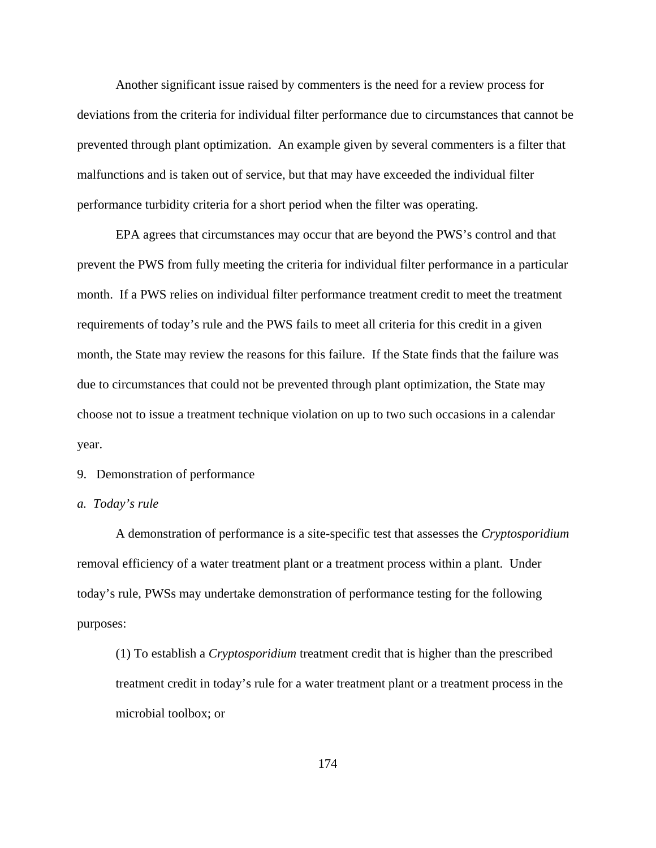Another significant issue raised by commenters is the need for a review process for deviations from the criteria for individual filter performance due to circumstances that cannot be prevented through plant optimization. An example given by several commenters is a filter that malfunctions and is taken out of service, but that may have exceeded the individual filter performance turbidity criteria for a short period when the filter was operating.

EPA agrees that circumstances may occur that are beyond the PWS's control and that prevent the PWS from fully meeting the criteria for individual filter performance in a particular month. If a PWS relies on individual filter performance treatment credit to meet the treatment requirements of today's rule and the PWS fails to meet all criteria for this credit in a given month, the State may review the reasons for this failure. If the State finds that the failure was due to circumstances that could not be prevented through plant optimization, the State may choose not to issue a treatment technique violation on up to two such occasions in a calendar year.

# 9. Demonstration of performance

### *a. Today's rule*

A demonstration of performance is a site-specific test that assesses the *Cryptosporidium* removal efficiency of a water treatment plant or a treatment process within a plant. Under today's rule, PWSs may undertake demonstration of performance testing for the following purposes:

(1) To establish a *Cryptosporidium* treatment credit that is higher than the prescribed treatment credit in today's rule for a water treatment plant or a treatment process in the microbial toolbox; or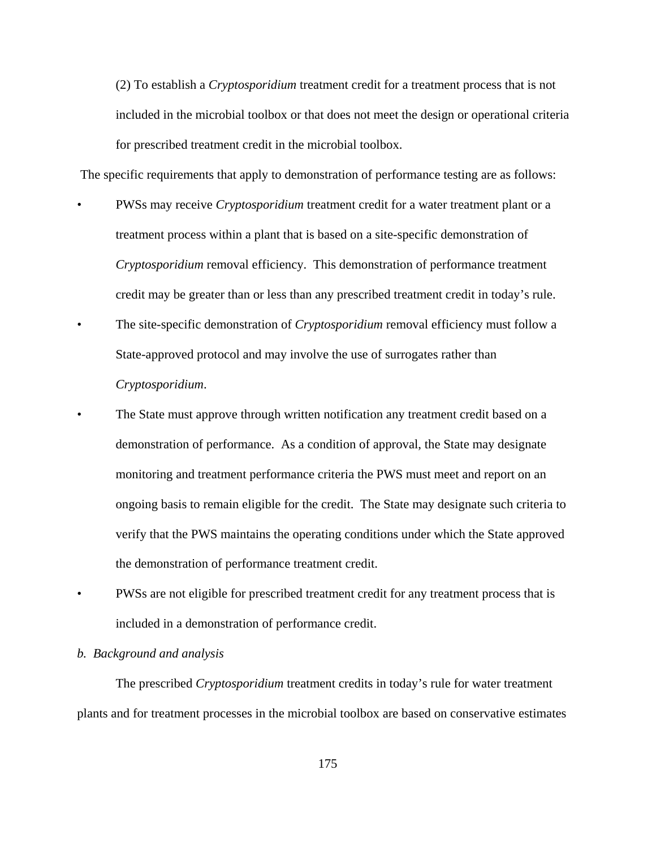(2) To establish a *Cryptosporidium* treatment credit for a treatment process that is not included in the microbial toolbox or that does not meet the design or operational criteria for prescribed treatment credit in the microbial toolbox.

The specific requirements that apply to demonstration of performance testing are as follows:

- PWSs may receive *Cryptosporidium* treatment credit for a water treatment plant or a treatment process within a plant that is based on a site-specific demonstration of *Cryptosporidium* removal efficiency. This demonstration of performance treatment credit may be greater than or less than any prescribed treatment credit in today's rule.
- The site-specific demonstration of *Cryptosporidium* removal efficiency must follow a State-approved protocol and may involve the use of surrogates rather than *Cryptosporidium*.
- The State must approve through written notification any treatment credit based on a demonstration of performance. As a condition of approval, the State may designate monitoring and treatment performance criteria the PWS must meet and report on an ongoing basis to remain eligible for the credit. The State may designate such criteria to verify that the PWS maintains the operating conditions under which the State approved the demonstration of performance treatment credit.
- PWSs are not eligible for prescribed treatment credit for any treatment process that is included in a demonstration of performance credit.

#### *b. Background and analysis*

The prescribed *Cryptosporidium* treatment credits in today's rule for water treatment plants and for treatment processes in the microbial toolbox are based on conservative estimates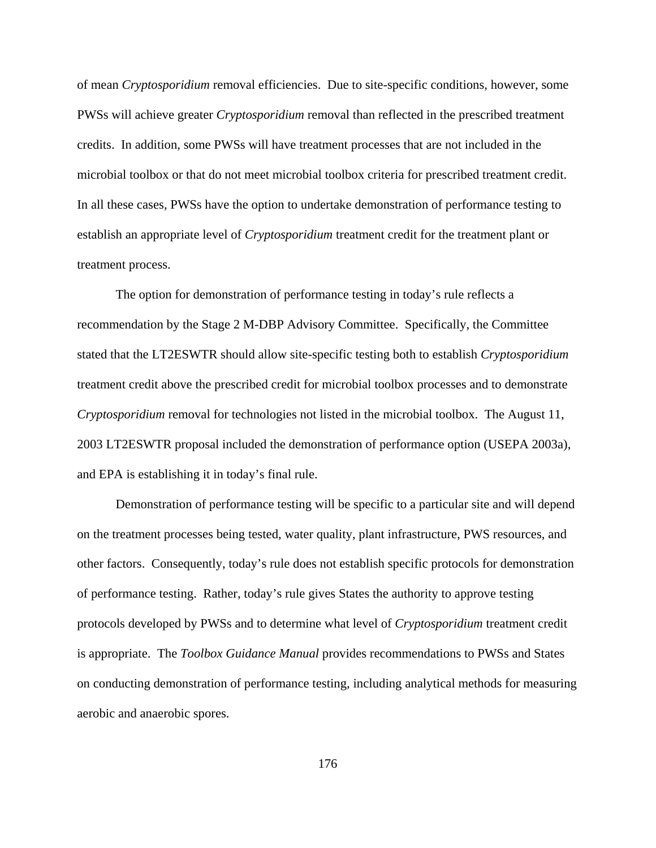of mean *Cryptosporidium* removal efficiencies. Due to site-specific conditions, however, some PWSs will achieve greater *Cryptosporidium* removal than reflected in the prescribed treatment credits. In addition, some PWSs will have treatment processes that are not included in the microbial toolbox or that do not meet microbial toolbox criteria for prescribed treatment credit. In all these cases, PWSs have the option to undertake demonstration of performance testing to establish an appropriate level of *Cryptosporidium* treatment credit for the treatment plant or treatment process.

The option for demonstration of performance testing in today's rule reflects a recommendation by the Stage 2 M-DBP Advisory Committee. Specifically, the Committee stated that the LT2ESWTR should allow site-specific testing both to establish *Cryptosporidium* treatment credit above the prescribed credit for microbial toolbox processes and to demonstrate *Cryptosporidium* removal for technologies not listed in the microbial toolbox. The August 11, 2003 LT2ESWTR proposal included the demonstration of performance option (USEPA 2003a), and EPA is establishing it in today's final rule.

Demonstration of performance testing will be specific to a particular site and will depend on the treatment processes being tested, water quality, plant infrastructure, PWS resources, and other factors. Consequently, today's rule does not establish specific protocols for demonstration of performance testing. Rather, today's rule gives States the authority to approve testing protocols developed by PWSs and to determine what level of *Cryptosporidium* treatment credit is appropriate. The *Toolbox Guidance Manual* provides recommendations to PWSs and States on conducting demonstration of performance testing, including analytical methods for measuring aerobic and anaerobic spores.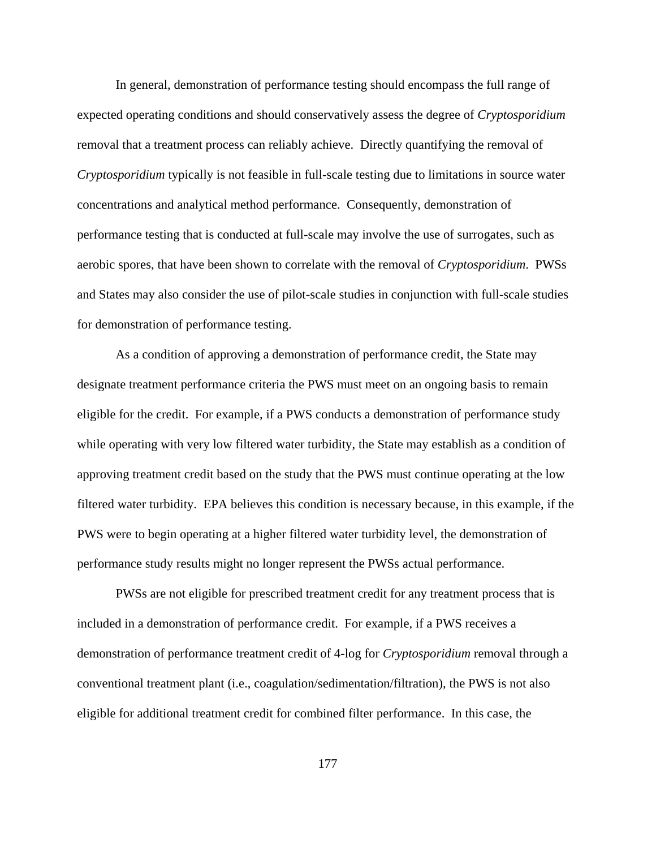In general, demonstration of performance testing should encompass the full range of expected operating conditions and should conservatively assess the degree of *Cryptosporidium* removal that a treatment process can reliably achieve. Directly quantifying the removal of *Cryptosporidium* typically is not feasible in full-scale testing due to limitations in source water concentrations and analytical method performance. Consequently, demonstration of performance testing that is conducted at full-scale may involve the use of surrogates, such as aerobic spores, that have been shown to correlate with the removal of *Cryptosporidium*. PWSs and States may also consider the use of pilot-scale studies in conjunction with full-scale studies for demonstration of performance testing.

As a condition of approving a demonstration of performance credit, the State may designate treatment performance criteria the PWS must meet on an ongoing basis to remain eligible for the credit. For example, if a PWS conducts a demonstration of performance study while operating with very low filtered water turbidity, the State may establish as a condition of approving treatment credit based on the study that the PWS must continue operating at the low filtered water turbidity. EPA believes this condition is necessary because, in this example, if the PWS were to begin operating at a higher filtered water turbidity level, the demonstration of performance study results might no longer represent the PWSs actual performance.

PWSs are not eligible for prescribed treatment credit for any treatment process that is included in a demonstration of performance credit. For example, if a PWS receives a demonstration of performance treatment credit of 4-log for *Cryptosporidium* removal through a conventional treatment plant (i.e., coagulation/sedimentation/filtration), the PWS is not also eligible for additional treatment credit for combined filter performance. In this case, the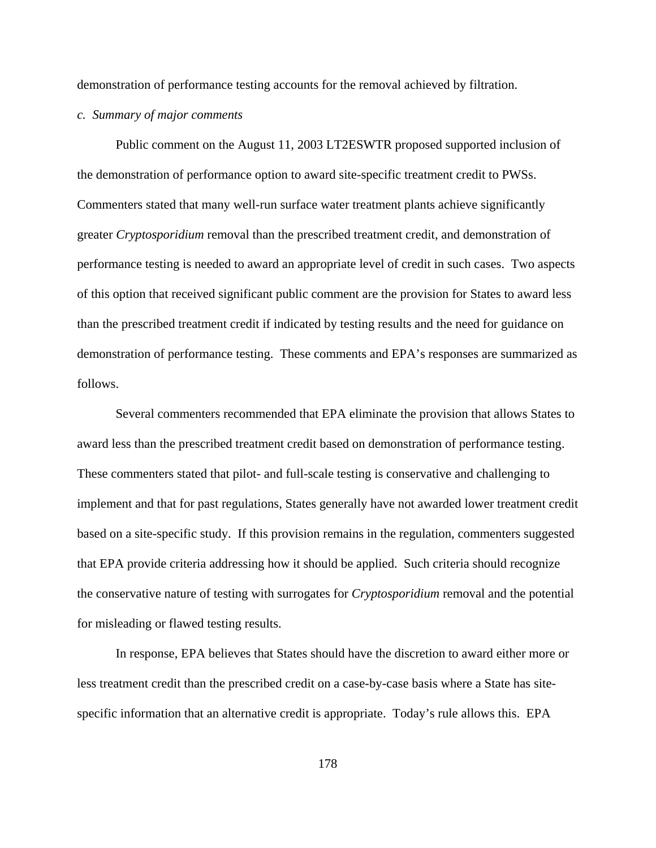demonstration of performance testing accounts for the removal achieved by filtration.

*c. Summary of major comments*

Public comment on the August 11, 2003 LT2ESWTR proposed supported inclusion of the demonstration of performance option to award site-specific treatment credit to PWSs. Commenters stated that many well-run surface water treatment plants achieve significantly greater *Cryptosporidium* removal than the prescribed treatment credit, and demonstration of performance testing is needed to award an appropriate level of credit in such cases. Two aspects of this option that received significant public comment are the provision for States to award less than the prescribed treatment credit if indicated by testing results and the need for guidance on demonstration of performance testing. These comments and EPA's responses are summarized as follows.

Several commenters recommended that EPA eliminate the provision that allows States to award less than the prescribed treatment credit based on demonstration of performance testing. These commenters stated that pilot- and full-scale testing is conservative and challenging to implement and that for past regulations, States generally have not awarded lower treatment credit based on a site-specific study. If this provision remains in the regulation, commenters suggested that EPA provide criteria addressing how it should be applied. Such criteria should recognize the conservative nature of testing with surrogates for *Cryptosporidium* removal and the potential for misleading or flawed testing results.

In response, EPA believes that States should have the discretion to award either more or less treatment credit than the prescribed credit on a case-by-case basis where a State has sitespecific information that an alternative credit is appropriate. Today's rule allows this. EPA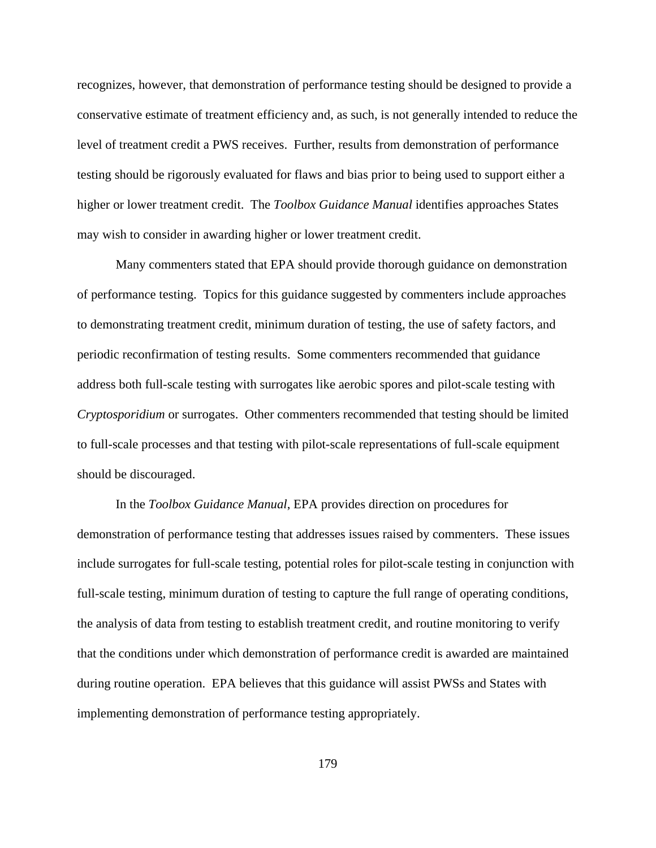recognizes, however, that demonstration of performance testing should be designed to provide a conservative estimate of treatment efficiency and, as such, is not generally intended to reduce the level of treatment credit a PWS receives. Further, results from demonstration of performance testing should be rigorously evaluated for flaws and bias prior to being used to support either a higher or lower treatment credit. The *Toolbox Guidance Manual* identifies approaches States may wish to consider in awarding higher or lower treatment credit.

Many commenters stated that EPA should provide thorough guidance on demonstration of performance testing. Topics for this guidance suggested by commenters include approaches to demonstrating treatment credit, minimum duration of testing, the use of safety factors, and periodic reconfirmation of testing results. Some commenters recommended that guidance address both full-scale testing with surrogates like aerobic spores and pilot-scale testing with *Cryptosporidium* or surrogates. Other commenters recommended that testing should be limited to full-scale processes and that testing with pilot-scale representations of full-scale equipment should be discouraged.

In the *Toolbox Guidance Manual*, EPA provides direction on procedures for demonstration of performance testing that addresses issues raised by commenters. These issues include surrogates for full-scale testing, potential roles for pilot-scale testing in conjunction with full-scale testing, minimum duration of testing to capture the full range of operating conditions, the analysis of data from testing to establish treatment credit, and routine monitoring to verify that the conditions under which demonstration of performance credit is awarded are maintained during routine operation. EPA believes that this guidance will assist PWSs and States with implementing demonstration of performance testing appropriately.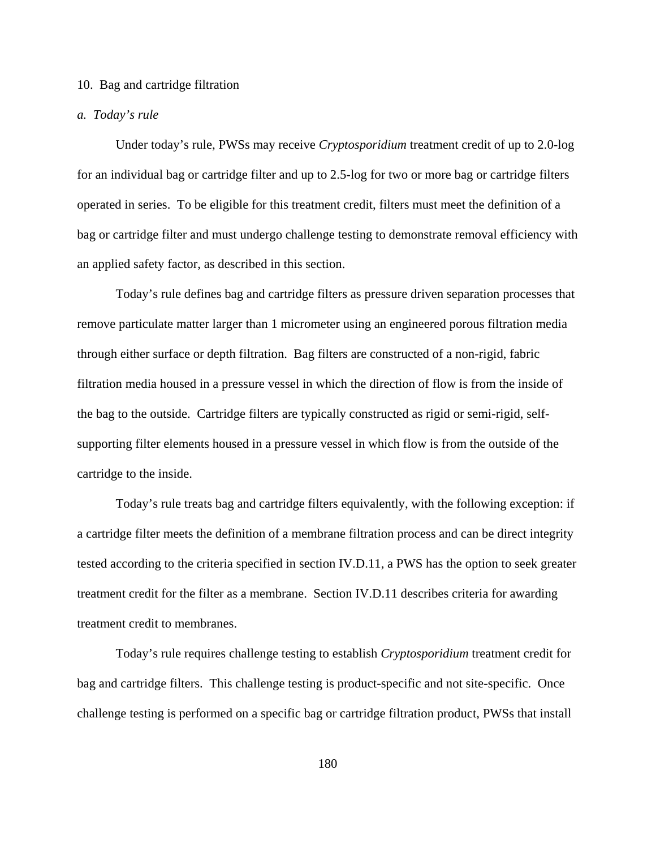#### 10. Bag and cartridge filtration

#### *a. Today's rule*

Under today's rule, PWSs may receive *Cryptosporidium* treatment credit of up to 2.0-log for an individual bag or cartridge filter and up to 2.5-log for two or more bag or cartridge filters operated in series. To be eligible for this treatment credit, filters must meet the definition of a bag or cartridge filter and must undergo challenge testing to demonstrate removal efficiency with an applied safety factor, as described in this section.

Today's rule defines bag and cartridge filters as pressure driven separation processes that remove particulate matter larger than 1 micrometer using an engineered porous filtration media through either surface or depth filtration. Bag filters are constructed of a non-rigid, fabric filtration media housed in a pressure vessel in which the direction of flow is from the inside of the bag to the outside. Cartridge filters are typically constructed as rigid or semi-rigid, selfsupporting filter elements housed in a pressure vessel in which flow is from the outside of the cartridge to the inside.

Today's rule treats bag and cartridge filters equivalently, with the following exception: if a cartridge filter meets the definition of a membrane filtration process and can be direct integrity tested according to the criteria specified in section IV.D.11, a PWS has the option to seek greater treatment credit for the filter as a membrane. Section IV.D.11 describes criteria for awarding treatment credit to membranes.

Today's rule requires challenge testing to establish *Cryptosporidium* treatment credit for bag and cartridge filters. This challenge testing is product-specific and not site-specific. Once challenge testing is performed on a specific bag or cartridge filtration product, PWSs that install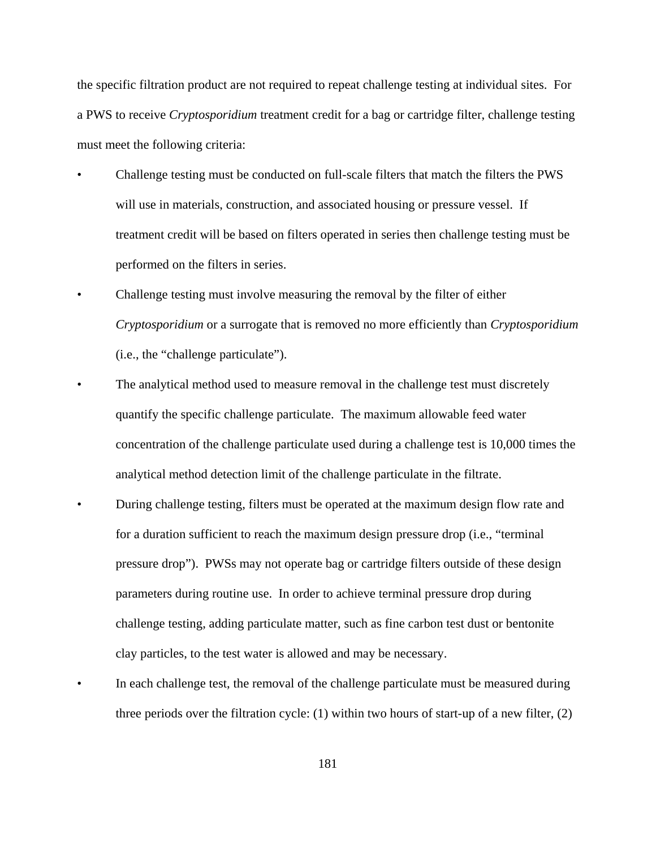the specific filtration product are not required to repeat challenge testing at individual sites. For a PWS to receive *Cryptosporidium* treatment credit for a bag or cartridge filter, challenge testing must meet the following criteria:

- Challenge testing must be conducted on full-scale filters that match the filters the PWS will use in materials, construction, and associated housing or pressure vessel. If treatment credit will be based on filters operated in series then challenge testing must be performed on the filters in series.
- Challenge testing must involve measuring the removal by the filter of either *Cryptosporidium* or a surrogate that is removed no more efficiently than *Cryptosporidium* (i.e., the "challenge particulate").
- The analytical method used to measure removal in the challenge test must discretely quantify the specific challenge particulate. The maximum allowable feed water concentration of the challenge particulate used during a challenge test is 10,000 times the analytical method detection limit of the challenge particulate in the filtrate.
- During challenge testing, filters must be operated at the maximum design flow rate and for a duration sufficient to reach the maximum design pressure drop (i.e., "terminal pressure drop"). PWSs may not operate bag or cartridge filters outside of these design parameters during routine use. In order to achieve terminal pressure drop during challenge testing, adding particulate matter, such as fine carbon test dust or bentonite clay particles, to the test water is allowed and may be necessary.
- In each challenge test, the removal of the challenge particulate must be measured during three periods over the filtration cycle: (1) within two hours of start-up of a new filter, (2)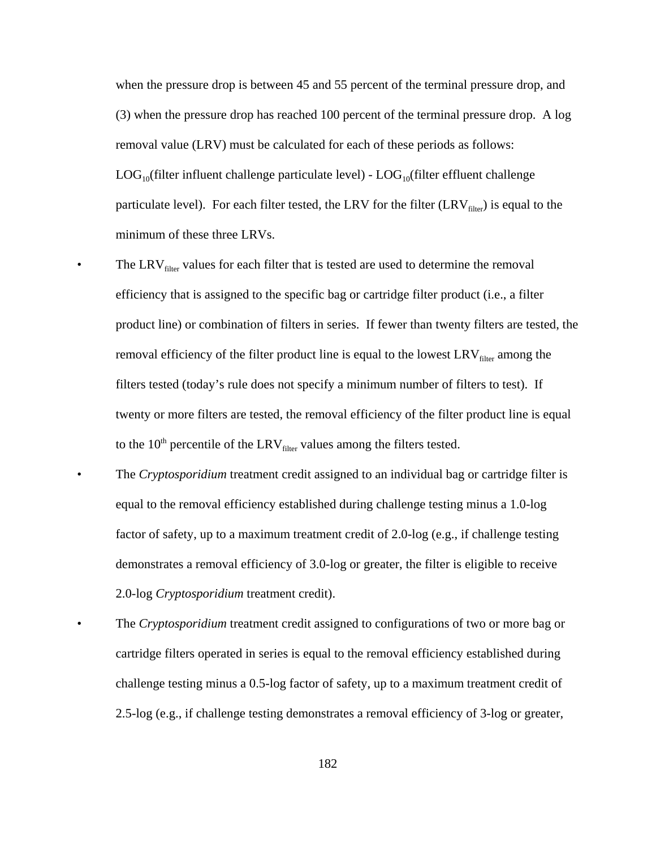when the pressure drop is between 45 and 55 percent of the terminal pressure drop, and (3) when the pressure drop has reached 100 percent of the terminal pressure drop. A log removal value (LRV) must be calculated for each of these periods as follows:  $LOG_{10}$ (filter influent challenge particulate level) -  $LOG_{10}$ (filter effluent challenge particulate level). For each filter tested, the LRV for the filter  $(LRV<sub>filter</sub>)$  is equal to the minimum of these three LRVs.

- The LRV $_{\text{filter}}$  values for each filter that is tested are used to determine the removal efficiency that is assigned to the specific bag or cartridge filter product (i.e., a filter product line) or combination of filters in series. If fewer than twenty filters are tested, the removal efficiency of the filter product line is equal to the lowest  $LRV_{filter}$  among the filters tested (today's rule does not specify a minimum number of filters to test). If twenty or more filters are tested, the removal efficiency of the filter product line is equal to the  $10^{th}$  percentile of the LRV $_{\text{filter}}$  values among the filters tested.
- The *Cryptosporidium* treatment credit assigned to an individual bag or cartridge filter is equal to the removal efficiency established during challenge testing minus a 1.0-log factor of safety, up to a maximum treatment credit of 2.0-log (e.g., if challenge testing demonstrates a removal efficiency of 3.0-log or greater, the filter is eligible to receive 2.0-log *Cryptosporidium* treatment credit).
- The *Cryptosporidium* treatment credit assigned to configurations of two or more bag or cartridge filters operated in series is equal to the removal efficiency established during challenge testing minus a 0.5-log factor of safety, up to a maximum treatment credit of 2.5-log (e.g., if challenge testing demonstrates a removal efficiency of 3-log or greater,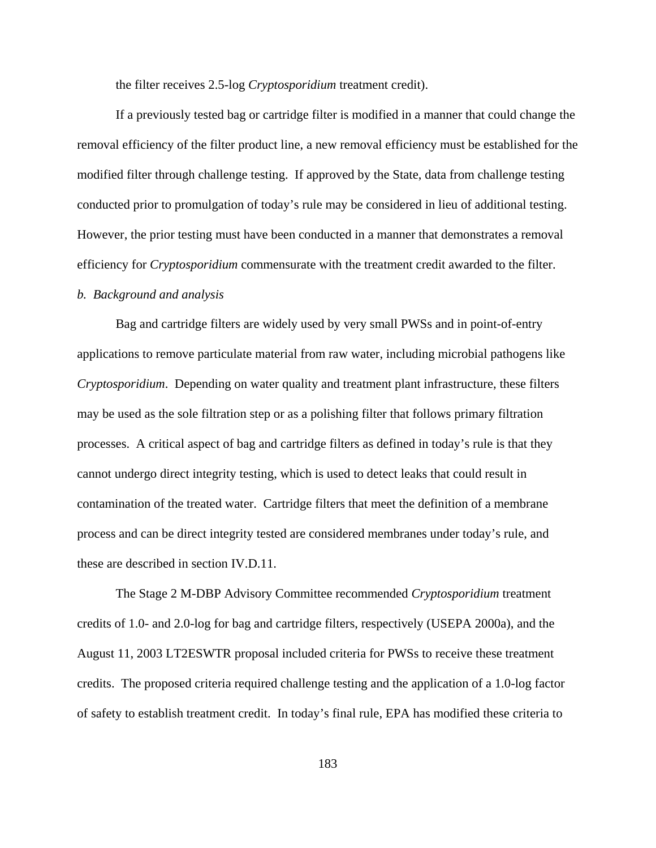the filter receives 2.5-log *Cryptosporidium* treatment credit).

If a previously tested bag or cartridge filter is modified in a manner that could change the removal efficiency of the filter product line, a new removal efficiency must be established for the modified filter through challenge testing. If approved by the State, data from challenge testing conducted prior to promulgation of today's rule may be considered in lieu of additional testing. However, the prior testing must have been conducted in a manner that demonstrates a removal efficiency for *Cryptosporidium* commensurate with the treatment credit awarded to the filter.

## *b. Background and analysis*

Bag and cartridge filters are widely used by very small PWSs and in point-of-entry applications to remove particulate material from raw water, including microbial pathogens like *Cryptosporidium*. Depending on water quality and treatment plant infrastructure, these filters may be used as the sole filtration step or as a polishing filter that follows primary filtration processes. A critical aspect of bag and cartridge filters as defined in today's rule is that they cannot undergo direct integrity testing, which is used to detect leaks that could result in contamination of the treated water. Cartridge filters that meet the definition of a membrane process and can be direct integrity tested are considered membranes under today's rule, and these are described in section IV.D.11.

The Stage 2 M-DBP Advisory Committee recommended *Cryptosporidium* treatment credits of 1.0- and 2.0-log for bag and cartridge filters, respectively (USEPA 2000a), and the August 11, 2003 LT2ESWTR proposal included criteria for PWSs to receive these treatment credits. The proposed criteria required challenge testing and the application of a 1.0-log factor of safety to establish treatment credit. In today's final rule, EPA has modified these criteria to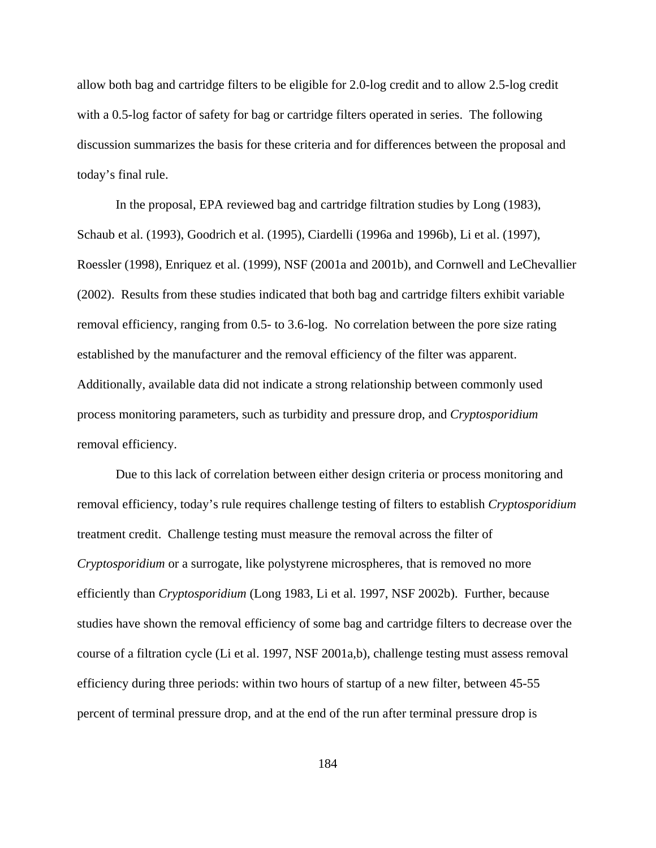allow both bag and cartridge filters to be eligible for 2.0-log credit and to allow 2.5-log credit with a 0.5-log factor of safety for bag or cartridge filters operated in series. The following discussion summarizes the basis for these criteria and for differences between the proposal and today's final rule.

In the proposal, EPA reviewed bag and cartridge filtration studies by Long (1983), Schaub et al. (1993), Goodrich et al. (1995), Ciardelli (1996a and 1996b), Li et al. (1997), Roessler (1998), Enriquez et al. (1999), NSF (2001a and 2001b), and Cornwell and LeChevallier (2002). Results from these studies indicated that both bag and cartridge filters exhibit variable removal efficiency, ranging from 0.5- to 3.6-log. No correlation between the pore size rating established by the manufacturer and the removal efficiency of the filter was apparent. Additionally, available data did not indicate a strong relationship between commonly used process monitoring parameters, such as turbidity and pressure drop, and *Cryptosporidium* removal efficiency.

Due to this lack of correlation between either design criteria or process monitoring and removal efficiency, today's rule requires challenge testing of filters to establish *Cryptosporidium* treatment credit. Challenge testing must measure the removal across the filter of *Cryptosporidium* or a surrogate, like polystyrene microspheres, that is removed no more efficiently than *Cryptosporidium* (Long 1983, Li et al. 1997, NSF 2002b). Further, because studies have shown the removal efficiency of some bag and cartridge filters to decrease over the course of a filtration cycle (Li et al. 1997, NSF 2001a,b), challenge testing must assess removal efficiency during three periods: within two hours of startup of a new filter, between 45-55 percent of terminal pressure drop, and at the end of the run after terminal pressure drop is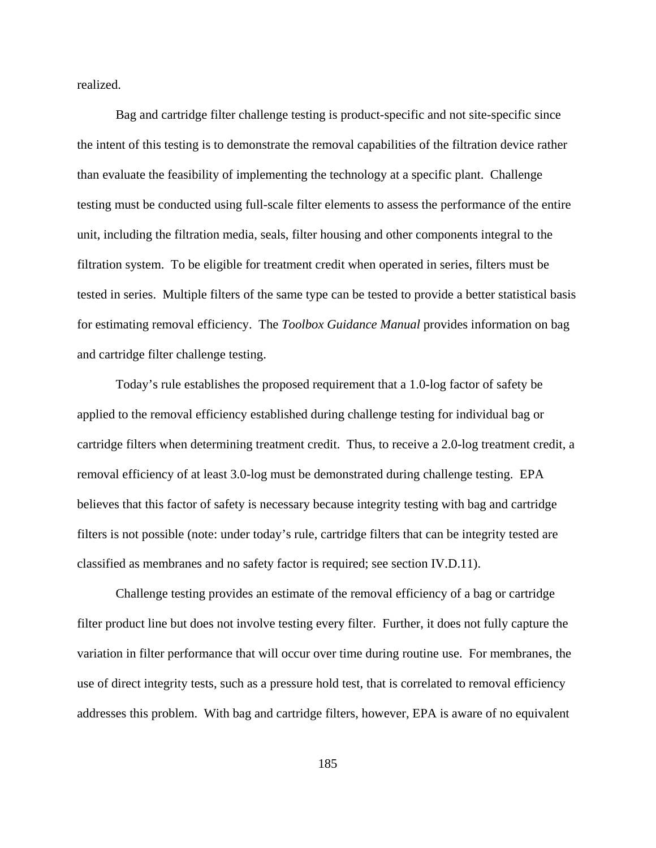realized.

Bag and cartridge filter challenge testing is product-specific and not site-specific since the intent of this testing is to demonstrate the removal capabilities of the filtration device rather than evaluate the feasibility of implementing the technology at a specific plant. Challenge testing must be conducted using full-scale filter elements to assess the performance of the entire unit, including the filtration media, seals, filter housing and other components integral to the filtration system. To be eligible for treatment credit when operated in series, filters must be tested in series. Multiple filters of the same type can be tested to provide a better statistical basis for estimating removal efficiency. The *Toolbox Guidance Manual* provides information on bag and cartridge filter challenge testing.

Today's rule establishes the proposed requirement that a 1.0-log factor of safety be applied to the removal efficiency established during challenge testing for individual bag or cartridge filters when determining treatment credit. Thus, to receive a 2.0-log treatment credit, a removal efficiency of at least 3.0-log must be demonstrated during challenge testing. EPA believes that this factor of safety is necessary because integrity testing with bag and cartridge filters is not possible (note: under today's rule, cartridge filters that can be integrity tested are classified as membranes and no safety factor is required; see section IV.D.11).

Challenge testing provides an estimate of the removal efficiency of a bag or cartridge filter product line but does not involve testing every filter. Further, it does not fully capture the variation in filter performance that will occur over time during routine use. For membranes, the use of direct integrity tests, such as a pressure hold test, that is correlated to removal efficiency addresses this problem. With bag and cartridge filters, however, EPA is aware of no equivalent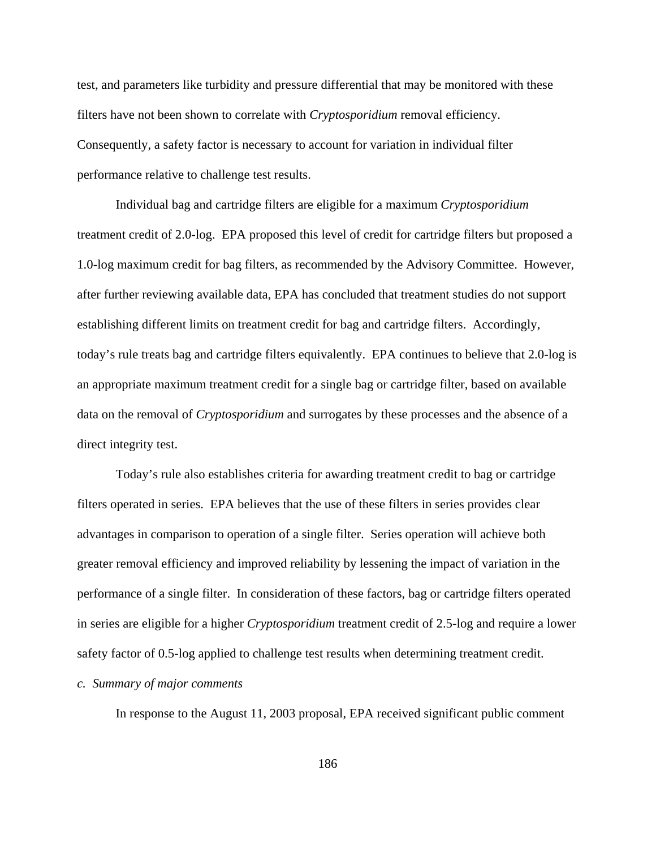test, and parameters like turbidity and pressure differential that may be monitored with these filters have not been shown to correlate with *Cryptosporidium* removal efficiency. Consequently, a safety factor is necessary to account for variation in individual filter performance relative to challenge test results.

Individual bag and cartridge filters are eligible for a maximum *Cryptosporidium* treatment credit of 2.0-log. EPA proposed this level of credit for cartridge filters but proposed a 1.0-log maximum credit for bag filters, as recommended by the Advisory Committee. However, after further reviewing available data, EPA has concluded that treatment studies do not support establishing different limits on treatment credit for bag and cartridge filters. Accordingly, today's rule treats bag and cartridge filters equivalently. EPA continues to believe that 2.0-log is an appropriate maximum treatment credit for a single bag or cartridge filter, based on available data on the removal of *Cryptosporidium* and surrogates by these processes and the absence of a direct integrity test.

Today's rule also establishes criteria for awarding treatment credit to bag or cartridge filters operated in series. EPA believes that the use of these filters in series provides clear advantages in comparison to operation of a single filter. Series operation will achieve both greater removal efficiency and improved reliability by lessening the impact of variation in the performance of a single filter. In consideration of these factors, bag or cartridge filters operated in series are eligible for a higher *Cryptosporidium* treatment credit of 2.5-log and require a lower safety factor of 0.5-log applied to challenge test results when determining treatment credit.

## *c. Summary of major comments*

In response to the August 11, 2003 proposal, EPA received significant public comment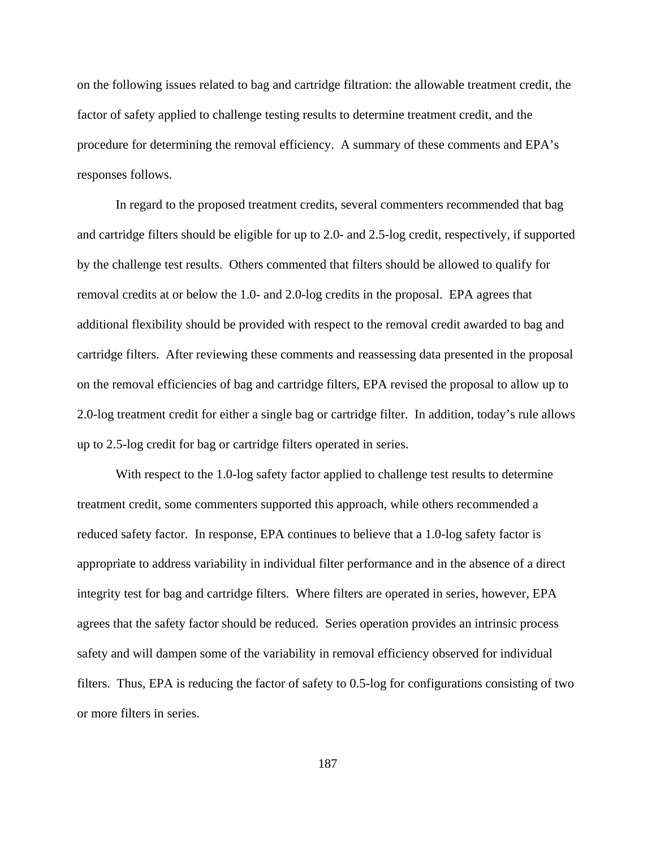on the following issues related to bag and cartridge filtration: the allowable treatment credit, the factor of safety applied to challenge testing results to determine treatment credit, and the procedure for determining the removal efficiency. A summary of these comments and EPA's responses follows.

In regard to the proposed treatment credits, several commenters recommended that bag and cartridge filters should be eligible for up to 2.0- and 2.5-log credit, respectively, if supported by the challenge test results. Others commented that filters should be allowed to qualify for removal credits at or below the 1.0- and 2.0-log credits in the proposal. EPA agrees that additional flexibility should be provided with respect to the removal credit awarded to bag and cartridge filters. After reviewing these comments and reassessing data presented in the proposal on the removal efficiencies of bag and cartridge filters, EPA revised the proposal to allow up to 2.0-log treatment credit for either a single bag or cartridge filter. In addition, today's rule allows up to 2.5-log credit for bag or cartridge filters operated in series.

With respect to the 1.0-log safety factor applied to challenge test results to determine treatment credit, some commenters supported this approach, while others recommended a reduced safety factor. In response, EPA continues to believe that a 1.0-log safety factor is appropriate to address variability in individual filter performance and in the absence of a direct integrity test for bag and cartridge filters. Where filters are operated in series, however, EPA agrees that the safety factor should be reduced. Series operation provides an intrinsic process safety and will dampen some of the variability in removal efficiency observed for individual filters. Thus, EPA is reducing the factor of safety to 0.5-log for configurations consisting of two or more filters in series.

187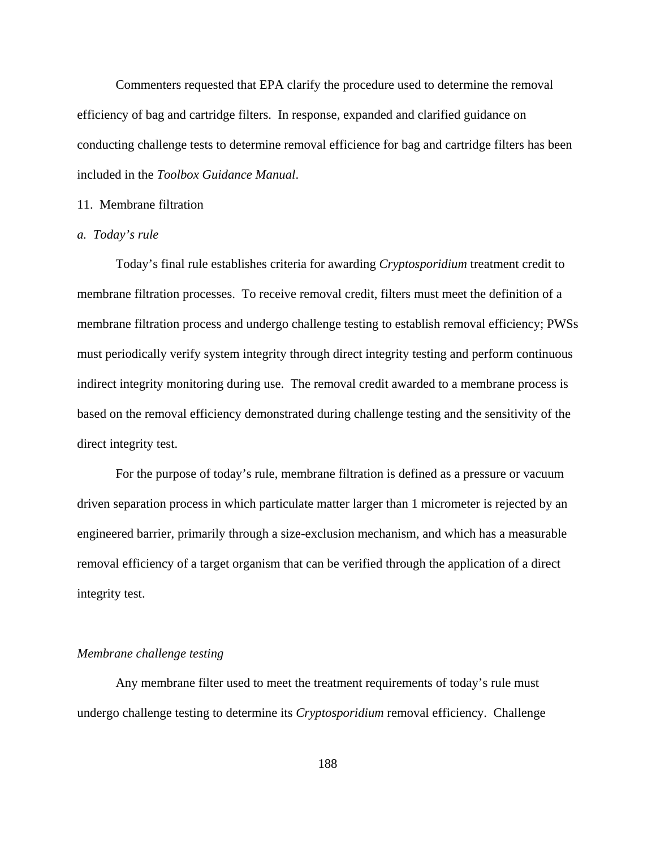Commenters requested that EPA clarify the procedure used to determine the removal efficiency of bag and cartridge filters. In response, expanded and clarified guidance on conducting challenge tests to determine removal efficience for bag and cartridge filters has been included in the *Toolbox Guidance Manual*.

#### 11. Membrane filtration

#### *a. Today's rule*

Today's final rule establishes criteria for awarding *Cryptosporidium* treatment credit to membrane filtration processes. To receive removal credit, filters must meet the definition of a membrane filtration process and undergo challenge testing to establish removal efficiency; PWSs must periodically verify system integrity through direct integrity testing and perform continuous indirect integrity monitoring during use. The removal credit awarded to a membrane process is based on the removal efficiency demonstrated during challenge testing and the sensitivity of the direct integrity test.

For the purpose of today's rule, membrane filtration is defined as a pressure or vacuum driven separation process in which particulate matter larger than 1 micrometer is rejected by an engineered barrier, primarily through a size-exclusion mechanism, and which has a measurable removal efficiency of a target organism that can be verified through the application of a direct integrity test.

## *Membrane challenge testing*

Any membrane filter used to meet the treatment requirements of today's rule must undergo challenge testing to determine its *Cryptosporidium* removal efficiency. Challenge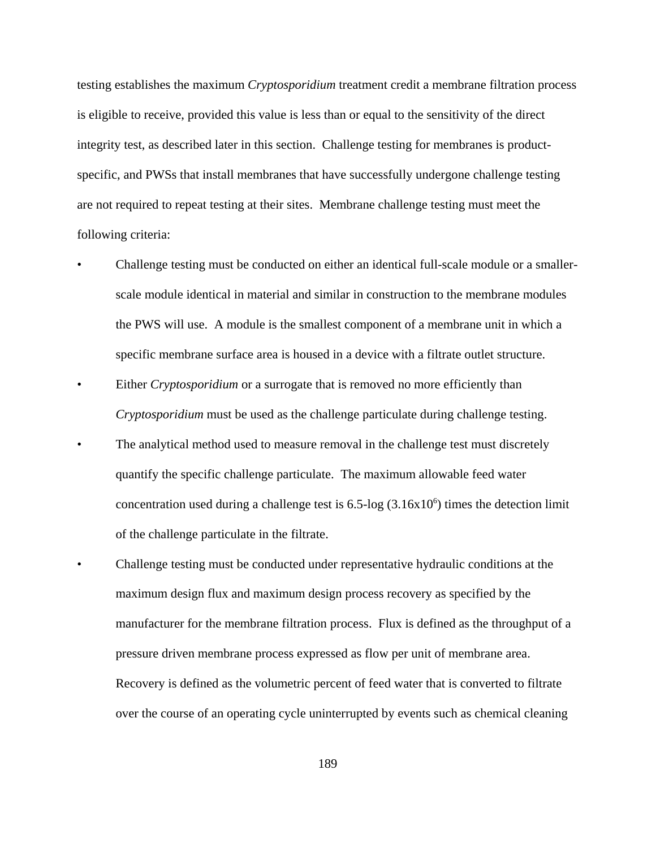testing establishes the maximum *Cryptosporidium* treatment credit a membrane filtration process is eligible to receive, provided this value is less than or equal to the sensitivity of the direct integrity test, as described later in this section. Challenge testing for membranes is productspecific, and PWSs that install membranes that have successfully undergone challenge testing are not required to repeat testing at their sites. Membrane challenge testing must meet the following criteria:

- Challenge testing must be conducted on either an identical full-scale module or a smallerscale module identical in material and similar in construction to the membrane modules the PWS will use. A module is the smallest component of a membrane unit in which a specific membrane surface area is housed in a device with a filtrate outlet structure.
- Either *Cryptosporidium* or a surrogate that is removed no more efficiently than *Cryptosporidium* must be used as the challenge particulate during challenge testing.
- The analytical method used to measure removal in the challenge test must discretely quantify the specific challenge particulate. The maximum allowable feed water concentration used during a challenge test is  $6.5$ -log  $(3.16x10<sup>6</sup>)$  times the detection limit of the challenge particulate in the filtrate.
- Challenge testing must be conducted under representative hydraulic conditions at the maximum design flux and maximum design process recovery as specified by the manufacturer for the membrane filtration process. Flux is defined as the throughput of a pressure driven membrane process expressed as flow per unit of membrane area. Recovery is defined as the volumetric percent of feed water that is converted to filtrate over the course of an operating cycle uninterrupted by events such as chemical cleaning

189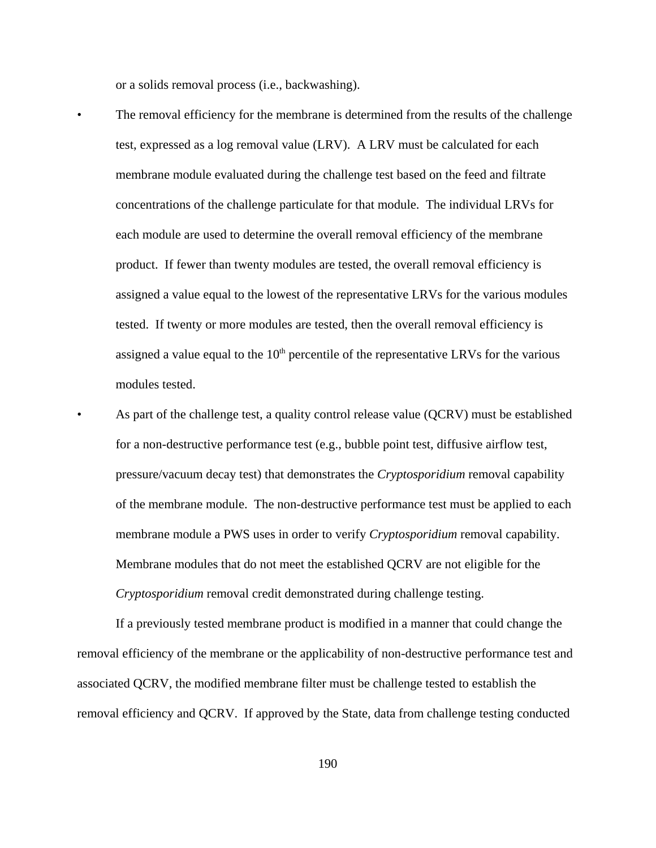or a solids removal process (i.e., backwashing).

- The removal efficiency for the membrane is determined from the results of the challenge test, expressed as a log removal value (LRV). A LRV must be calculated for each membrane module evaluated during the challenge test based on the feed and filtrate concentrations of the challenge particulate for that module. The individual LRVs for each module are used to determine the overall removal efficiency of the membrane product. If fewer than twenty modules are tested, the overall removal efficiency is assigned a value equal to the lowest of the representative LRVs for the various modules tested. If twenty or more modules are tested, then the overall removal efficiency is assigned a value equal to the  $10<sup>th</sup>$  percentile of the representative LRVs for the various modules tested.
- As part of the challenge test, a quality control release value (QCRV) must be established for a non-destructive performance test (e.g., bubble point test, diffusive airflow test, pressure/vacuum decay test) that demonstrates the *Cryptosporidium* removal capability of the membrane module. The non-destructive performance test must be applied to each membrane module a PWS uses in order to verify *Cryptosporidium* removal capability. Membrane modules that do not meet the established QCRV are not eligible for the *Cryptosporidium* removal credit demonstrated during challenge testing.

If a previously tested membrane product is modified in a manner that could change the removal efficiency of the membrane or the applicability of non-destructive performance test and associated QCRV, the modified membrane filter must be challenge tested to establish the removal efficiency and QCRV. If approved by the State, data from challenge testing conducted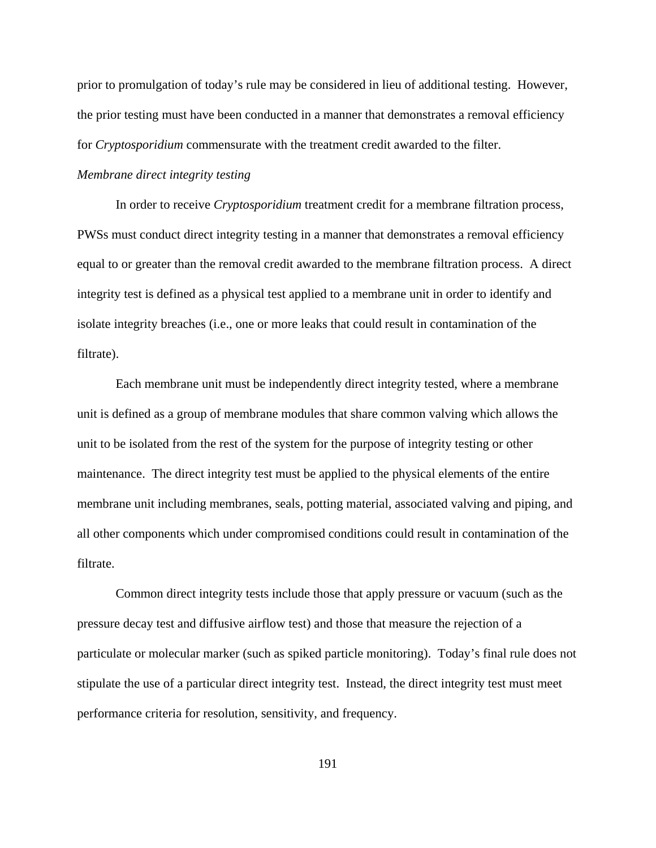prior to promulgation of today's rule may be considered in lieu of additional testing. However, the prior testing must have been conducted in a manner that demonstrates a removal efficiency for *Cryptosporidium* commensurate with the treatment credit awarded to the filter.

## *Membrane direct integrity testing*

In order to receive *Cryptosporidium* treatment credit for a membrane filtration process, PWSs must conduct direct integrity testing in a manner that demonstrates a removal efficiency equal to or greater than the removal credit awarded to the membrane filtration process. A direct integrity test is defined as a physical test applied to a membrane unit in order to identify and isolate integrity breaches (i.e., one or more leaks that could result in contamination of the filtrate).

Each membrane unit must be independently direct integrity tested, where a membrane unit is defined as a group of membrane modules that share common valving which allows the unit to be isolated from the rest of the system for the purpose of integrity testing or other maintenance. The direct integrity test must be applied to the physical elements of the entire membrane unit including membranes, seals, potting material, associated valving and piping, and all other components which under compromised conditions could result in contamination of the filtrate.

Common direct integrity tests include those that apply pressure or vacuum (such as the pressure decay test and diffusive airflow test) and those that measure the rejection of a particulate or molecular marker (such as spiked particle monitoring). Today's final rule does not stipulate the use of a particular direct integrity test. Instead, the direct integrity test must meet performance criteria for resolution, sensitivity, and frequency.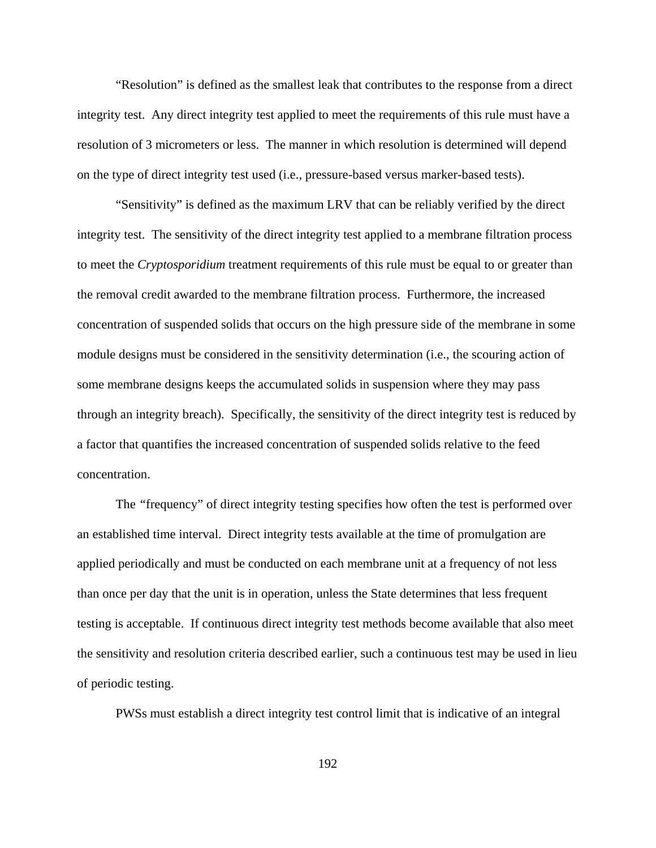"Resolution" is defined as the smallest leak that contributes to the response from a direct integrity test. Any direct integrity test applied to meet the requirements of this rule must have a resolution of 3 micrometers or less. The manner in which resolution is determined will depend on the type of direct integrity test used (i.e., pressure-based versus marker-based tests).

"Sensitivity" is defined as the maximum LRV that can be reliably verified by the direct integrity test. The sensitivity of the direct integrity test applied to a membrane filtration process to meet the *Cryptosporidium* treatment requirements of this rule must be equal to or greater than the removal credit awarded to the membrane filtration process. Furthermore, the increased concentration of suspended solids that occurs on the high pressure side of the membrane in some module designs must be considered in the sensitivity determination (i.e., the scouring action of some membrane designs keeps the accumulated solids in suspension where they may pass through an integrity breach). Specifically, the sensitivity of the direct integrity test is reduced by a factor that quantifies the increased concentration of suspended solids relative to the feed concentration.

The *"*frequency" of direct integrity testing specifies how often the test is performed over an established time interval. Direct integrity tests available at the time of promulgation are applied periodically and must be conducted on each membrane unit at a frequency of not less than once per day that the unit is in operation, unless the State determines that less frequent testing is acceptable. If continuous direct integrity test methods become available that also meet the sensitivity and resolution criteria described earlier, such a continuous test may be used in lieu of periodic testing.

PWSs must establish a direct integrity test control limit that is indicative of an integral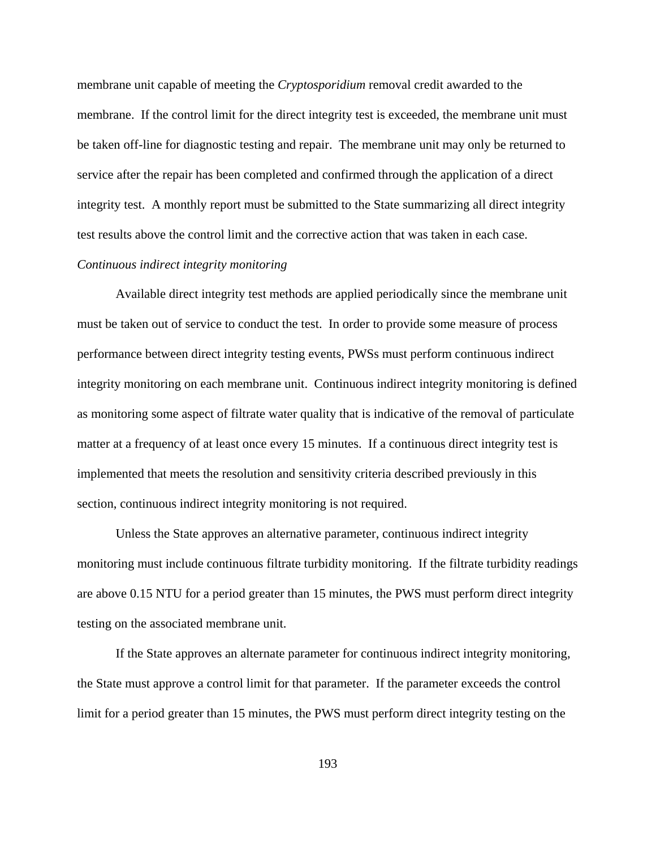membrane unit capable of meeting the *Cryptosporidium* removal credit awarded to the membrane. If the control limit for the direct integrity test is exceeded, the membrane unit must be taken off-line for diagnostic testing and repair. The membrane unit may only be returned to service after the repair has been completed and confirmed through the application of a direct integrity test. A monthly report must be submitted to the State summarizing all direct integrity test results above the control limit and the corrective action that was taken in each case.

# *Continuous indirect integrity monitoring*

Available direct integrity test methods are applied periodically since the membrane unit must be taken out of service to conduct the test. In order to provide some measure of process performance between direct integrity testing events, PWSs must perform continuous indirect integrity monitoring on each membrane unit. Continuous indirect integrity monitoring is defined as monitoring some aspect of filtrate water quality that is indicative of the removal of particulate matter at a frequency of at least once every 15 minutes. If a continuous direct integrity test is implemented that meets the resolution and sensitivity criteria described previously in this section, continuous indirect integrity monitoring is not required.

Unless the State approves an alternative parameter, continuous indirect integrity monitoring must include continuous filtrate turbidity monitoring. If the filtrate turbidity readings are above 0.15 NTU for a period greater than 15 minutes, the PWS must perform direct integrity testing on the associated membrane unit.

If the State approves an alternate parameter for continuous indirect integrity monitoring, the State must approve a control limit for that parameter. If the parameter exceeds the control limit for a period greater than 15 minutes, the PWS must perform direct integrity testing on the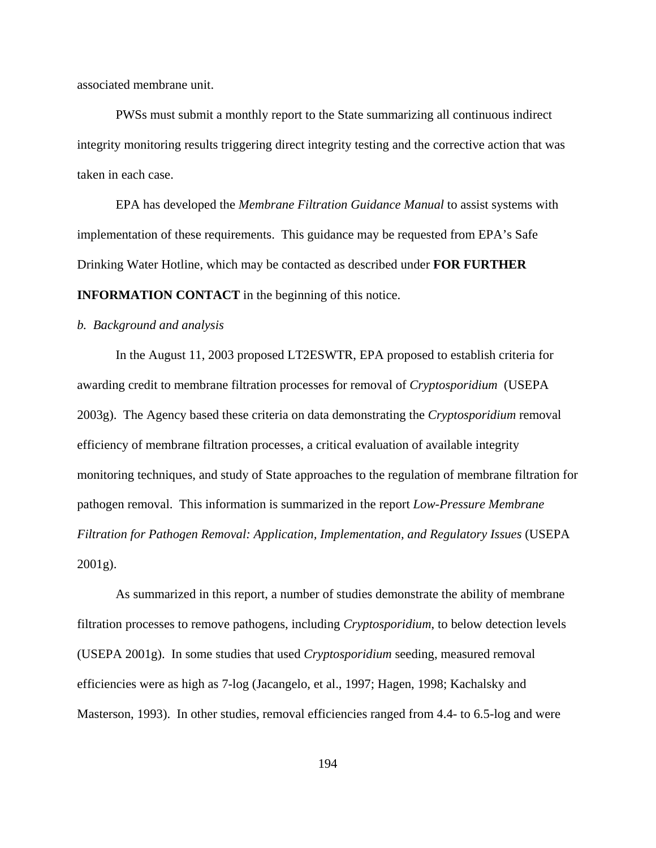associated membrane unit.

PWSs must submit a monthly report to the State summarizing all continuous indirect integrity monitoring results triggering direct integrity testing and the corrective action that was taken in each case.

EPA has developed the *Membrane Filtration Guidance Manual* to assist systems with implementation of these requirements. This guidance may be requested from EPA's Safe Drinking Water Hotline, which may be contacted as described under **FOR FURTHER INFORMATION CONTACT** in the beginning of this notice.

#### *b. Background and analysis*

In the August 11, 2003 proposed LT2ESWTR, EPA proposed to establish criteria for awarding credit to membrane filtration processes for removal of *Cryptosporidium* (USEPA 2003g). The Agency based these criteria on data demonstrating the *Cryptosporidium* removal efficiency of membrane filtration processes, a critical evaluation of available integrity monitoring techniques, and study of State approaches to the regulation of membrane filtration for pathogen removal. This information is summarized in the report *Low-Pressure Membrane Filtration for Pathogen Removal: Application, Implementation, and Regulatory Issues* (USEPA 2001g).

As summarized in this report, a number of studies demonstrate the ability of membrane filtration processes to remove pathogens, including *Cryptosporidium*, to below detection levels (USEPA 2001g). In some studies that used *Cryptosporidium* seeding, measured removal efficiencies were as high as 7-log (Jacangelo, et al., 1997; Hagen, 1998; Kachalsky and Masterson, 1993). In other studies, removal efficiencies ranged from 4.4- to 6.5-log and were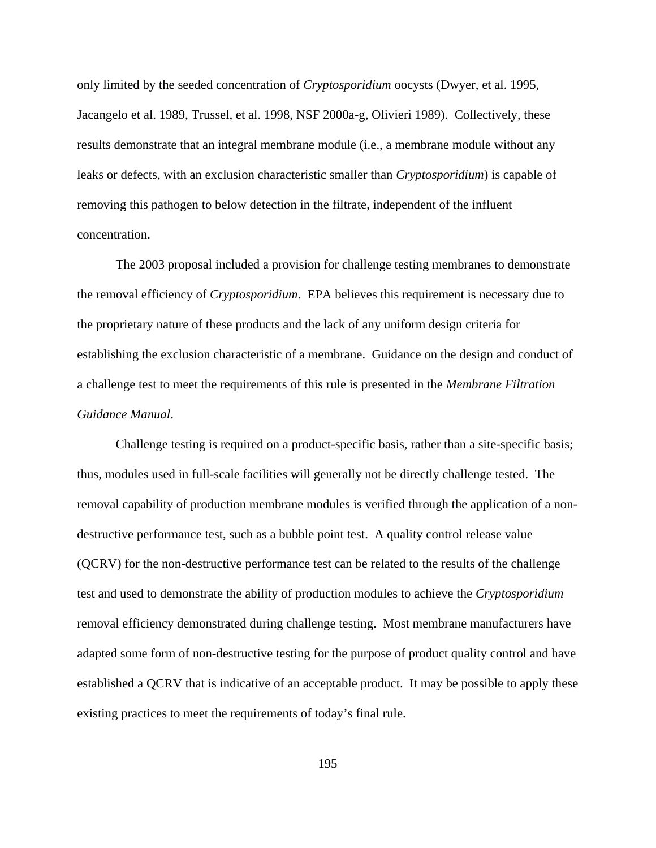only limited by the seeded concentration of *Cryptosporidium* oocysts (Dwyer, et al. 1995, Jacangelo et al. 1989, Trussel, et al. 1998, NSF 2000a-g, Olivieri 1989). Collectively, these results demonstrate that an integral membrane module (i.e., a membrane module without any leaks or defects, with an exclusion characteristic smaller than *Cryptosporidium*) is capable of removing this pathogen to below detection in the filtrate, independent of the influent concentration.

The 2003 proposal included a provision for challenge testing membranes to demonstrate the removal efficiency of *Cryptosporidium*. EPA believes this requirement is necessary due to the proprietary nature of these products and the lack of any uniform design criteria for establishing the exclusion characteristic of a membrane. Guidance on the design and conduct of a challenge test to meet the requirements of this rule is presented in the *Membrane Filtration Guidance Manual*.

Challenge testing is required on a product-specific basis, rather than a site-specific basis; thus, modules used in full-scale facilities will generally not be directly challenge tested. The removal capability of production membrane modules is verified through the application of a nondestructive performance test, such as a bubble point test. A quality control release value (QCRV) for the non-destructive performance test can be related to the results of the challenge test and used to demonstrate the ability of production modules to achieve the *Cryptosporidium* removal efficiency demonstrated during challenge testing. Most membrane manufacturers have adapted some form of non-destructive testing for the purpose of product quality control and have established a QCRV that is indicative of an acceptable product. It may be possible to apply these existing practices to meet the requirements of today's final rule.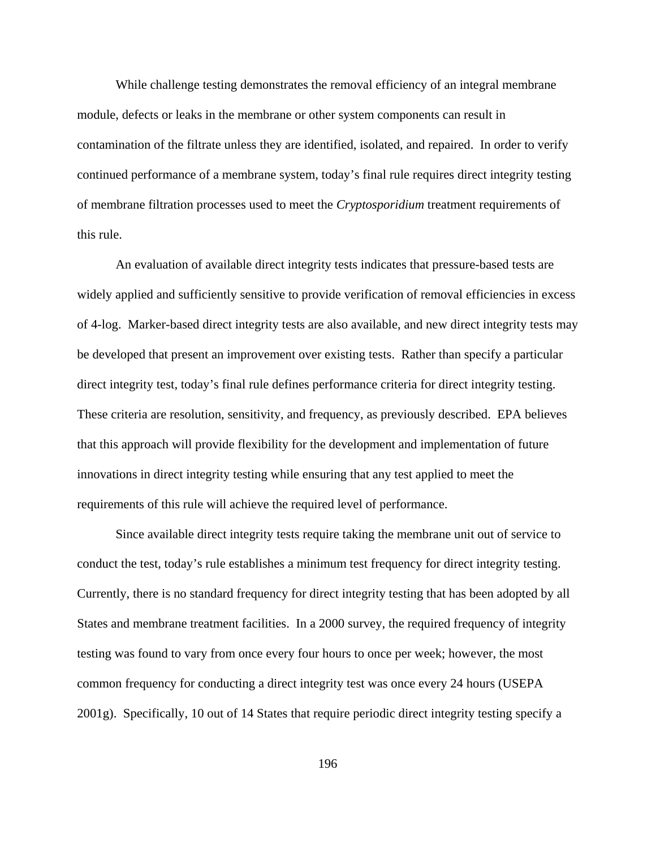While challenge testing demonstrates the removal efficiency of an integral membrane module, defects or leaks in the membrane or other system components can result in contamination of the filtrate unless they are identified, isolated, and repaired. In order to verify continued performance of a membrane system, today's final rule requires direct integrity testing of membrane filtration processes used to meet the *Cryptosporidium* treatment requirements of this rule.

An evaluation of available direct integrity tests indicates that pressure-based tests are widely applied and sufficiently sensitive to provide verification of removal efficiencies in excess of 4-log. Marker-based direct integrity tests are also available, and new direct integrity tests may be developed that present an improvement over existing tests. Rather than specify a particular direct integrity test, today's final rule defines performance criteria for direct integrity testing. These criteria are resolution, sensitivity, and frequency, as previously described. EPA believes that this approach will provide flexibility for the development and implementation of future innovations in direct integrity testing while ensuring that any test applied to meet the requirements of this rule will achieve the required level of performance.

Since available direct integrity tests require taking the membrane unit out of service to conduct the test, today's rule establishes a minimum test frequency for direct integrity testing. Currently, there is no standard frequency for direct integrity testing that has been adopted by all States and membrane treatment facilities. In a 2000 survey, the required frequency of integrity testing was found to vary from once every four hours to once per week; however, the most common frequency for conducting a direct integrity test was once every 24 hours (USEPA 2001g). Specifically, 10 out of 14 States that require periodic direct integrity testing specify a

196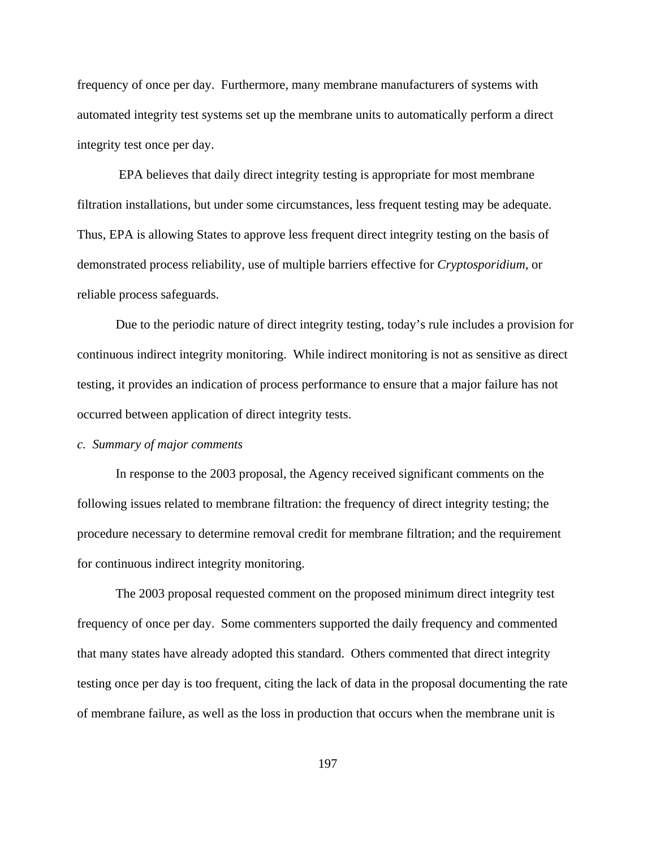frequency of once per day. Furthermore, many membrane manufacturers of systems with automated integrity test systems set up the membrane units to automatically perform a direct integrity test once per day.

 EPA believes that daily direct integrity testing is appropriate for most membrane filtration installations, but under some circumstances, less frequent testing may be adequate. Thus, EPA is allowing States to approve less frequent direct integrity testing on the basis of demonstrated process reliability, use of multiple barriers effective for *Cryptosporidium*, or reliable process safeguards.

Due to the periodic nature of direct integrity testing, today's rule includes a provision for continuous indirect integrity monitoring. While indirect monitoring is not as sensitive as direct testing, it provides an indication of process performance to ensure that a major failure has not occurred between application of direct integrity tests.

# *c. Summary of major comments*

In response to the 2003 proposal, the Agency received significant comments on the following issues related to membrane filtration: the frequency of direct integrity testing; the procedure necessary to determine removal credit for membrane filtration; and the requirement for continuous indirect integrity monitoring.

The 2003 proposal requested comment on the proposed minimum direct integrity test frequency of once per day. Some commenters supported the daily frequency and commented that many states have already adopted this standard. Others commented that direct integrity testing once per day is too frequent, citing the lack of data in the proposal documenting the rate of membrane failure, as well as the loss in production that occurs when the membrane unit is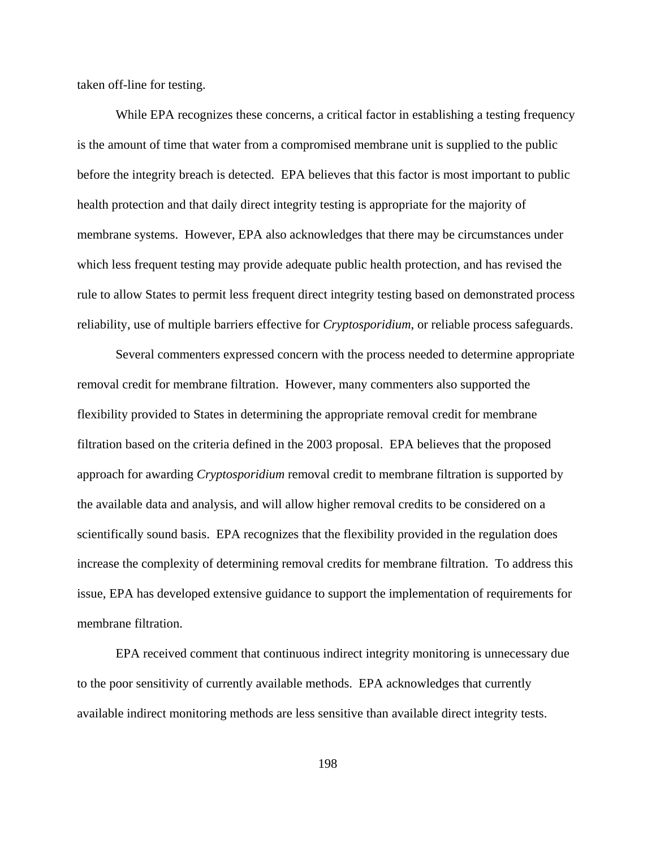taken off-line for testing.

While EPA recognizes these concerns, a critical factor in establishing a testing frequency is the amount of time that water from a compromised membrane unit is supplied to the public before the integrity breach is detected. EPA believes that this factor is most important to public health protection and that daily direct integrity testing is appropriate for the majority of membrane systems. However, EPA also acknowledges that there may be circumstances under which less frequent testing may provide adequate public health protection, and has revised the rule to allow States to permit less frequent direct integrity testing based on demonstrated process reliability, use of multiple barriers effective for *Cryptosporidium*, or reliable process safeguards.

Several commenters expressed concern with the process needed to determine appropriate removal credit for membrane filtration. However, many commenters also supported the flexibility provided to States in determining the appropriate removal credit for membrane filtration based on the criteria defined in the 2003 proposal. EPA believes that the proposed approach for awarding *Cryptosporidium* removal credit to membrane filtration is supported by the available data and analysis, and will allow higher removal credits to be considered on a scientifically sound basis. EPA recognizes that the flexibility provided in the regulation does increase the complexity of determining removal credits for membrane filtration. To address this issue, EPA has developed extensive guidance to support the implementation of requirements for membrane filtration.

EPA received comment that continuous indirect integrity monitoring is unnecessary due to the poor sensitivity of currently available methods. EPA acknowledges that currently available indirect monitoring methods are less sensitive than available direct integrity tests.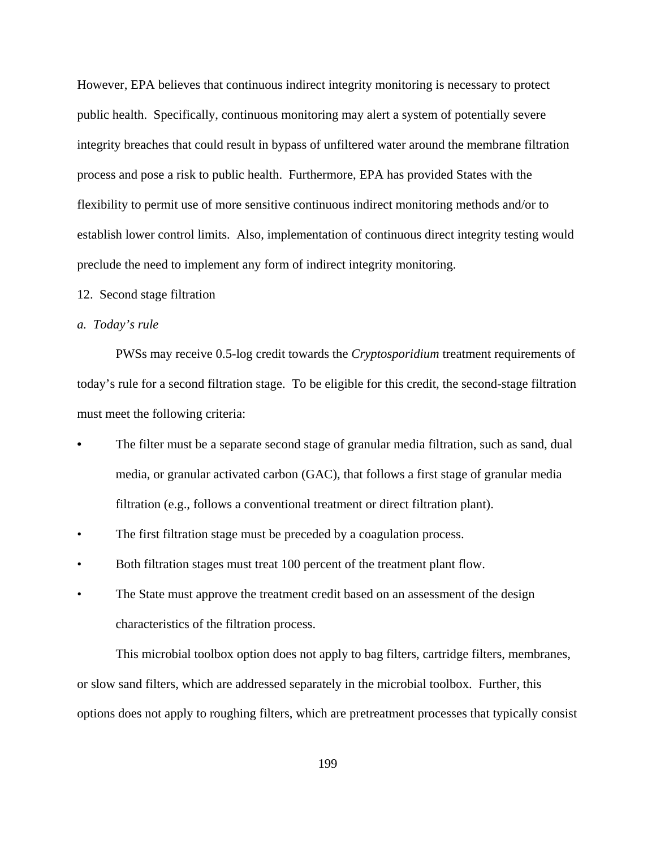However, EPA believes that continuous indirect integrity monitoring is necessary to protect public health. Specifically, continuous monitoring may alert a system of potentially severe integrity breaches that could result in bypass of unfiltered water around the membrane filtration process and pose a risk to public health. Furthermore, EPA has provided States with the flexibility to permit use of more sensitive continuous indirect monitoring methods and/or to establish lower control limits. Also, implementation of continuous direct integrity testing would preclude the need to implement any form of indirect integrity monitoring.

#### 12. Second stage filtration

## *a. Today's rule*

PWSs may receive 0.5-log credit towards the *Cryptosporidium* treatment requirements of today's rule for a second filtration stage. To be eligible for this credit, the second-stage filtration must meet the following criteria:

- **•** The filter must be a separate second stage of granular media filtration, such as sand, dual media, or granular activated carbon (GAC), that follows a first stage of granular media filtration (e.g., follows a conventional treatment or direct filtration plant).
- The first filtration stage must be preceded by a coagulation process.
- Both filtration stages must treat 100 percent of the treatment plant flow.
- The State must approve the treatment credit based on an assessment of the design characteristics of the filtration process.

This microbial toolbox option does not apply to bag filters, cartridge filters, membranes, or slow sand filters, which are addressed separately in the microbial toolbox. Further, this options does not apply to roughing filters, which are pretreatment processes that typically consist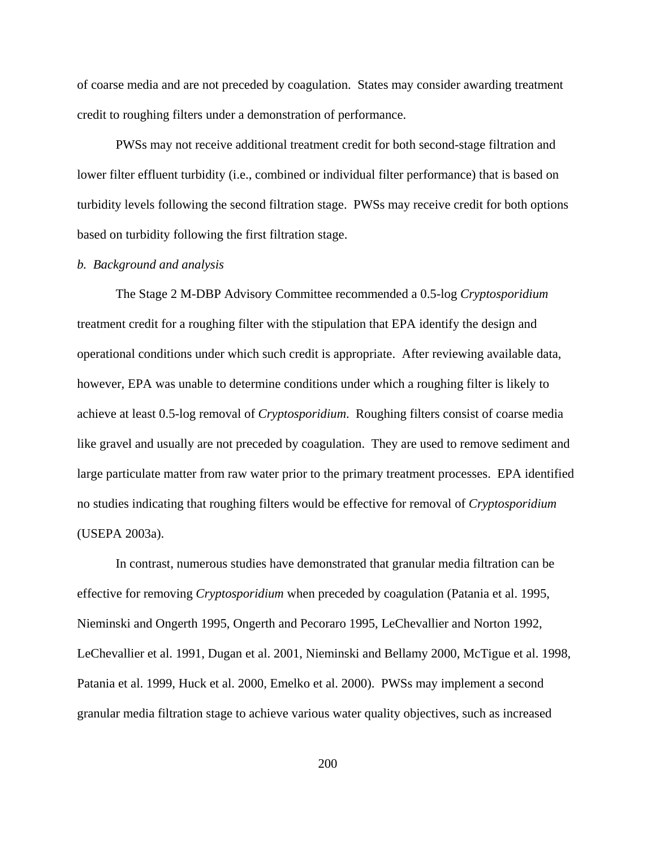of coarse media and are not preceded by coagulation. States may consider awarding treatment credit to roughing filters under a demonstration of performance.

PWSs may not receive additional treatment credit for both second-stage filtration and lower filter effluent turbidity (i.e., combined or individual filter performance) that is based on turbidity levels following the second filtration stage. PWSs may receive credit for both options based on turbidity following the first filtration stage.

#### *b. Background and analysis*

The Stage 2 M-DBP Advisory Committee recommended a 0.5-log *Cryptosporidium* treatment credit for a roughing filter with the stipulation that EPA identify the design and operational conditions under which such credit is appropriate. After reviewing available data, however, EPA was unable to determine conditions under which a roughing filter is likely to achieve at least 0.5-log removal of *Cryptosporidium*. Roughing filters consist of coarse media like gravel and usually are not preceded by coagulation. They are used to remove sediment and large particulate matter from raw water prior to the primary treatment processes. EPA identified no studies indicating that roughing filters would be effective for removal of *Cryptosporidium* (USEPA 2003a).

In contrast, numerous studies have demonstrated that granular media filtration can be effective for removing *Cryptosporidium* when preceded by coagulation (Patania et al. 1995, Nieminski and Ongerth 1995, Ongerth and Pecoraro 1995, LeChevallier and Norton 1992, LeChevallier et al. 1991, Dugan et al. 2001, Nieminski and Bellamy 2000, McTigue et al. 1998, Patania et al. 1999, Huck et al. 2000, Emelko et al. 2000). PWSs may implement a second granular media filtration stage to achieve various water quality objectives, such as increased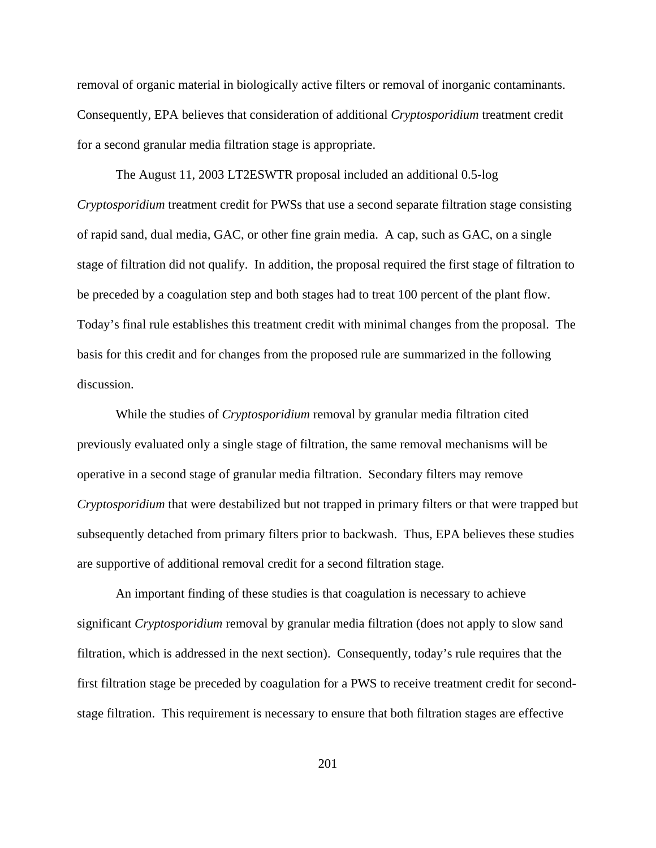removal of organic material in biologically active filters or removal of inorganic contaminants. Consequently, EPA believes that consideration of additional *Cryptosporidium* treatment credit for a second granular media filtration stage is appropriate.

The August 11, 2003 LT2ESWTR proposal included an additional 0.5-log *Cryptosporidium* treatment credit for PWSs that use a second separate filtration stage consisting of rapid sand, dual media, GAC, or other fine grain media. A cap, such as GAC, on a single stage of filtration did not qualify. In addition, the proposal required the first stage of filtration to be preceded by a coagulation step and both stages had to treat 100 percent of the plant flow. Today's final rule establishes this treatment credit with minimal changes from the proposal. The basis for this credit and for changes from the proposed rule are summarized in the following discussion.

While the studies of *Cryptosporidium* removal by granular media filtration cited previously evaluated only a single stage of filtration, the same removal mechanisms will be operative in a second stage of granular media filtration. Secondary filters may remove *Cryptosporidium* that were destabilized but not trapped in primary filters or that were trapped but subsequently detached from primary filters prior to backwash. Thus, EPA believes these studies are supportive of additional removal credit for a second filtration stage.

An important finding of these studies is that coagulation is necessary to achieve significant *Cryptosporidium* removal by granular media filtration (does not apply to slow sand filtration, which is addressed in the next section). Consequently, today's rule requires that the first filtration stage be preceded by coagulation for a PWS to receive treatment credit for secondstage filtration. This requirement is necessary to ensure that both filtration stages are effective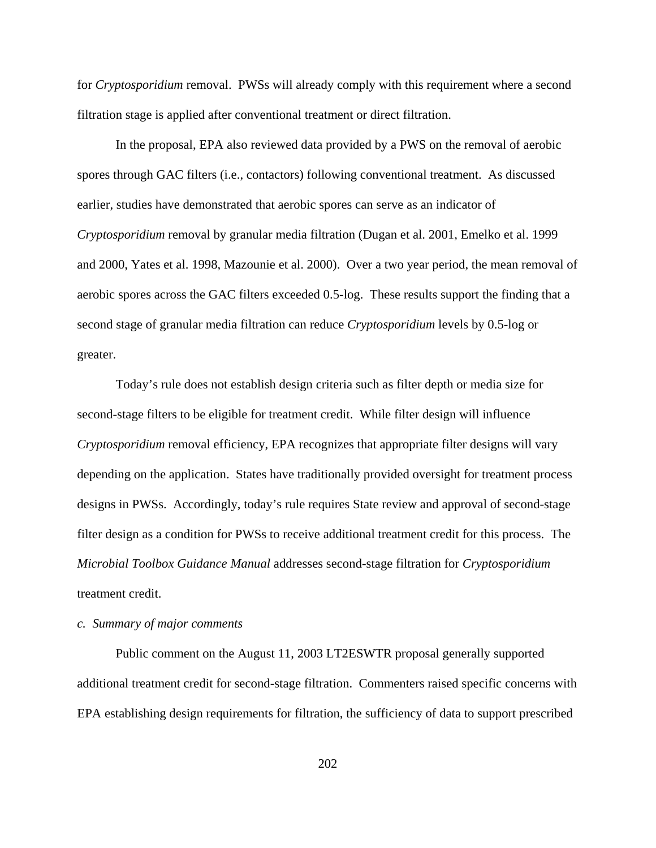for *Cryptosporidium* removal. PWSs will already comply with this requirement where a second filtration stage is applied after conventional treatment or direct filtration.

In the proposal, EPA also reviewed data provided by a PWS on the removal of aerobic spores through GAC filters (i.e., contactors) following conventional treatment. As discussed earlier, studies have demonstrated that aerobic spores can serve as an indicator of *Cryptosporidium* removal by granular media filtration (Dugan et al. 2001, Emelko et al. 1999 and 2000, Yates et al. 1998, Mazounie et al. 2000). Over a two year period, the mean removal of aerobic spores across the GAC filters exceeded 0.5-log. These results support the finding that a second stage of granular media filtration can reduce *Cryptosporidium* levels by 0.5-log or greater.

Today's rule does not establish design criteria such as filter depth or media size for second-stage filters to be eligible for treatment credit. While filter design will influence *Cryptosporidium* removal efficiency, EPA recognizes that appropriate filter designs will vary depending on the application. States have traditionally provided oversight for treatment process designs in PWSs. Accordingly, today's rule requires State review and approval of second-stage filter design as a condition for PWSs to receive additional treatment credit for this process. The *Microbial Toolbox Guidance Manual* addresses second-stage filtration for *Cryptosporidium* treatment credit.

# *c. Summary of major comments*

Public comment on the August 11, 2003 LT2ESWTR proposal generally supported additional treatment credit for second-stage filtration. Commenters raised specific concerns with EPA establishing design requirements for filtration, the sufficiency of data to support prescribed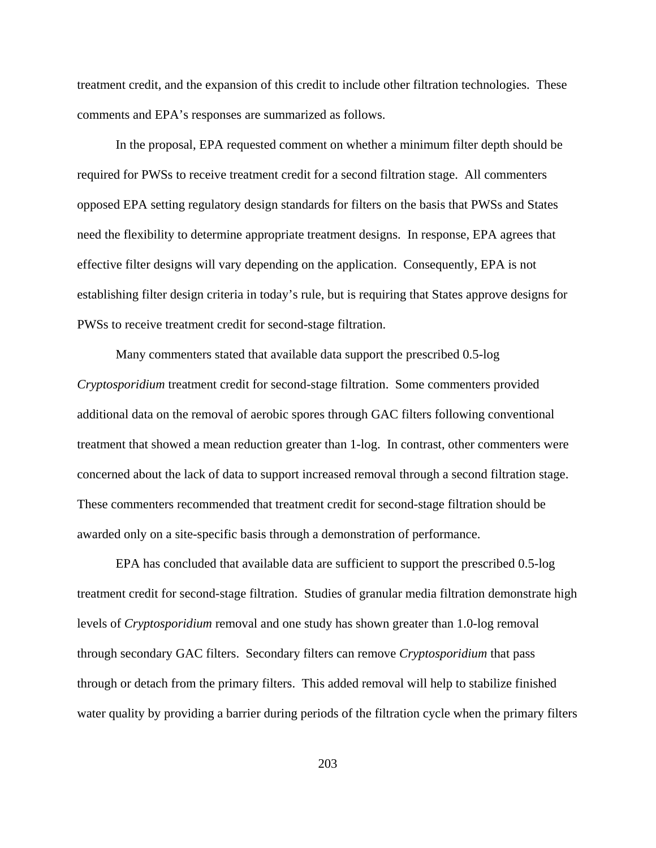treatment credit, and the expansion of this credit to include other filtration technologies. These comments and EPA's responses are summarized as follows.

In the proposal, EPA requested comment on whether a minimum filter depth should be required for PWSs to receive treatment credit for a second filtration stage. All commenters opposed EPA setting regulatory design standards for filters on the basis that PWSs and States need the flexibility to determine appropriate treatment designs. In response, EPA agrees that effective filter designs will vary depending on the application. Consequently, EPA is not establishing filter design criteria in today's rule, but is requiring that States approve designs for PWSs to receive treatment credit for second-stage filtration.

Many commenters stated that available data support the prescribed 0.5-log *Cryptosporidium* treatment credit for second-stage filtration. Some commenters provided additional data on the removal of aerobic spores through GAC filters following conventional treatment that showed a mean reduction greater than 1-log. In contrast, other commenters were concerned about the lack of data to support increased removal through a second filtration stage. These commenters recommended that treatment credit for second-stage filtration should be awarded only on a site-specific basis through a demonstration of performance.

EPA has concluded that available data are sufficient to support the prescribed 0.5-log treatment credit for second-stage filtration. Studies of granular media filtration demonstrate high levels of *Cryptosporidium* removal and one study has shown greater than 1.0-log removal through secondary GAC filters. Secondary filters can remove *Cryptosporidium* that pass through or detach from the primary filters. This added removal will help to stabilize finished water quality by providing a barrier during periods of the filtration cycle when the primary filters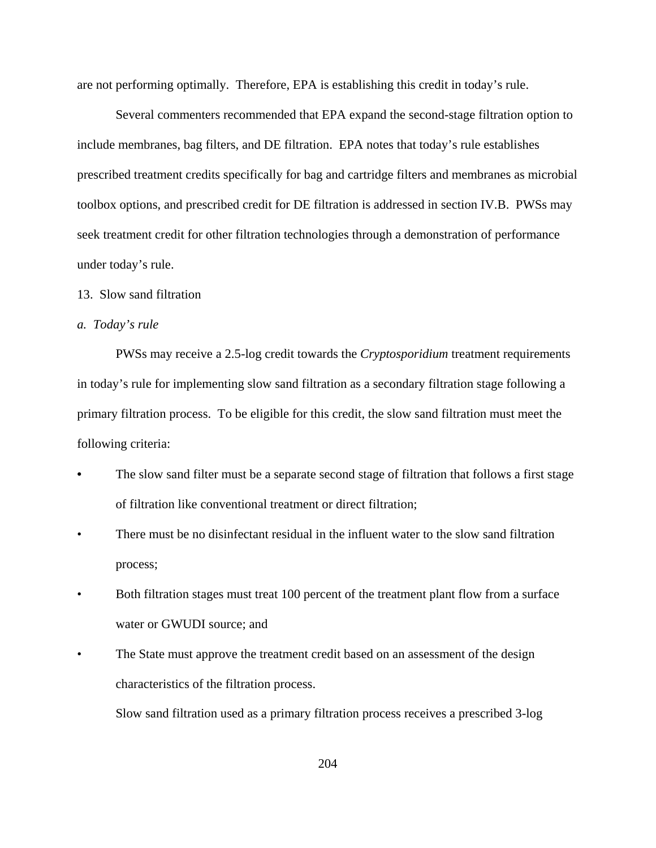are not performing optimally. Therefore, EPA is establishing this credit in today's rule.

Several commenters recommended that EPA expand the second-stage filtration option to include membranes, bag filters, and DE filtration. EPA notes that today's rule establishes prescribed treatment credits specifically for bag and cartridge filters and membranes as microbial toolbox options, and prescribed credit for DE filtration is addressed in section IV.B. PWSs may seek treatment credit for other filtration technologies through a demonstration of performance under today's rule.

#### 13. Slow sand filtration

#### *a. Today's rule*

PWSs may receive a 2.5-log credit towards the *Cryptosporidium* treatment requirements in today's rule for implementing slow sand filtration as a secondary filtration stage following a primary filtration process. To be eligible for this credit, the slow sand filtration must meet the following criteria:

- The slow sand filter must be a separate second stage of filtration that follows a first stage of filtration like conventional treatment or direct filtration;
- There must be no disinfectant residual in the influent water to the slow sand filtration process;
- Both filtration stages must treat 100 percent of the treatment plant flow from a surface water or GWUDI source; and
- The State must approve the treatment credit based on an assessment of the design characteristics of the filtration process.

Slow sand filtration used as a primary filtration process receives a prescribed 3-log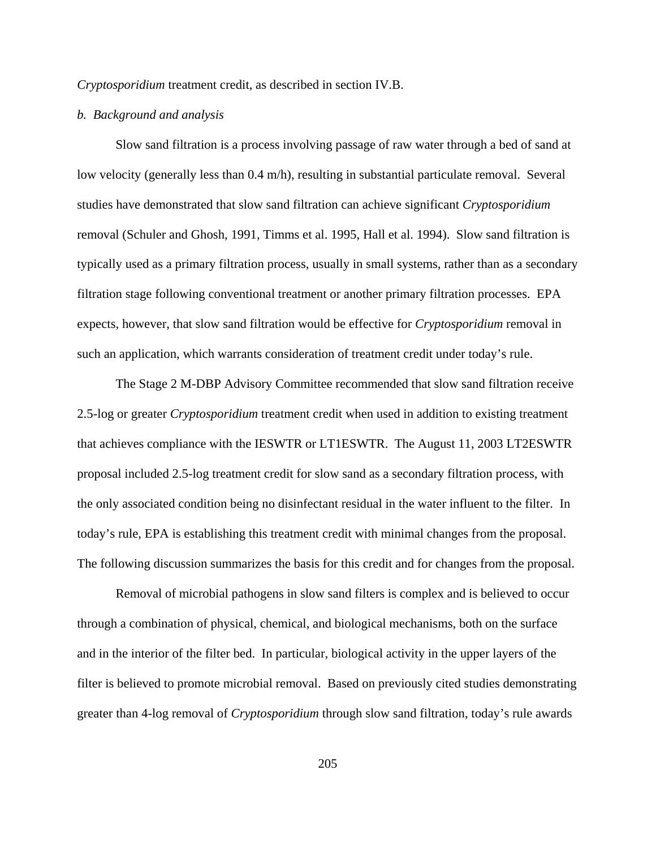*Cryptosporidium* treatment credit, as described in section IV.B.

# *b. Background and analysis*

Slow sand filtration is a process involving passage of raw water through a bed of sand at low velocity (generally less than 0.4 m/h), resulting in substantial particulate removal. Several studies have demonstrated that slow sand filtration can achieve significant *Cryptosporidium* removal (Schuler and Ghosh, 1991, Timms et al. 1995, Hall et al. 1994). Slow sand filtration is typically used as a primary filtration process, usually in small systems, rather than as a secondary filtration stage following conventional treatment or another primary filtration processes. EPA expects, however, that slow sand filtration would be effective for *Cryptosporidium* removal in such an application, which warrants consideration of treatment credit under today's rule.

The Stage 2 M-DBP Advisory Committee recommended that slow sand filtration receive 2.5-log or greater *Cryptosporidium* treatment credit when used in addition to existing treatment that achieves compliance with the IESWTR or LT1ESWTR. The August 11, 2003 LT2ESWTR proposal included 2.5-log treatment credit for slow sand as a secondary filtration process, with the only associated condition being no disinfectant residual in the water influent to the filter. In today's rule, EPA is establishing this treatment credit with minimal changes from the proposal. The following discussion summarizes the basis for this credit and for changes from the proposal.

Removal of microbial pathogens in slow sand filters is complex and is believed to occur through a combination of physical, chemical, and biological mechanisms, both on the surface and in the interior of the filter bed. In particular, biological activity in the upper layers of the filter is believed to promote microbial removal. Based on previously cited studies demonstrating greater than 4-log removal of *Cryptosporidium* through slow sand filtration, today's rule awards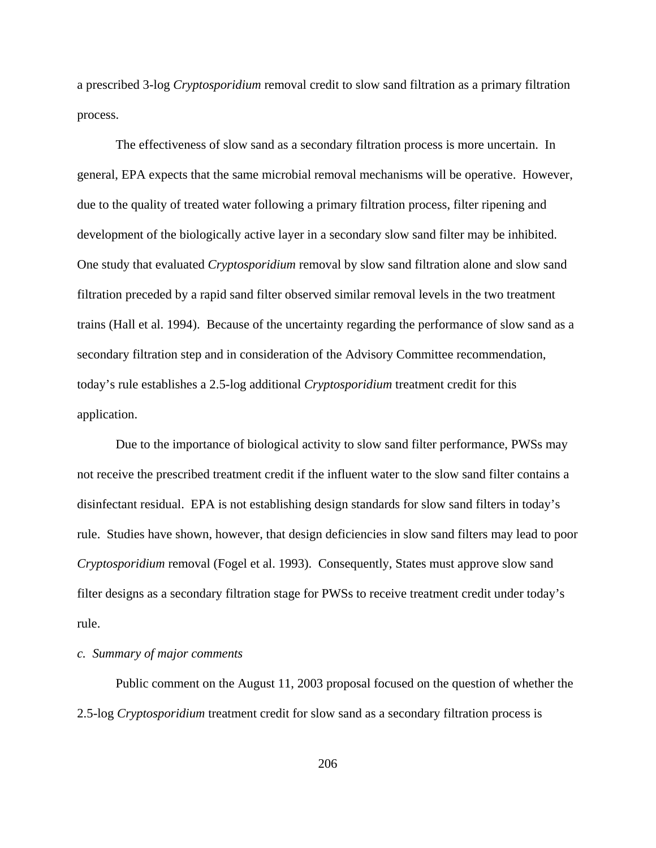a prescribed 3-log *Cryptosporidium* removal credit to slow sand filtration as a primary filtration process.

The effectiveness of slow sand as a secondary filtration process is more uncertain. In general, EPA expects that the same microbial removal mechanisms will be operative. However, due to the quality of treated water following a primary filtration process, filter ripening and development of the biologically active layer in a secondary slow sand filter may be inhibited. One study that evaluated *Cryptosporidium* removal by slow sand filtration alone and slow sand filtration preceded by a rapid sand filter observed similar removal levels in the two treatment trains (Hall et al. 1994). Because of the uncertainty regarding the performance of slow sand as a secondary filtration step and in consideration of the Advisory Committee recommendation, today's rule establishes a 2.5-log additional *Cryptosporidium* treatment credit for this application.

Due to the importance of biological activity to slow sand filter performance, PWSs may not receive the prescribed treatment credit if the influent water to the slow sand filter contains a disinfectant residual. EPA is not establishing design standards for slow sand filters in today's rule. Studies have shown, however, that design deficiencies in slow sand filters may lead to poor *Cryptosporidium* removal (Fogel et al. 1993). Consequently, States must approve slow sand filter designs as a secondary filtration stage for PWSs to receive treatment credit under today's rule.

# *c. Summary of major comments*

Public comment on the August 11, 2003 proposal focused on the question of whether the 2.5-log *Cryptosporidium* treatment credit for slow sand as a secondary filtration process is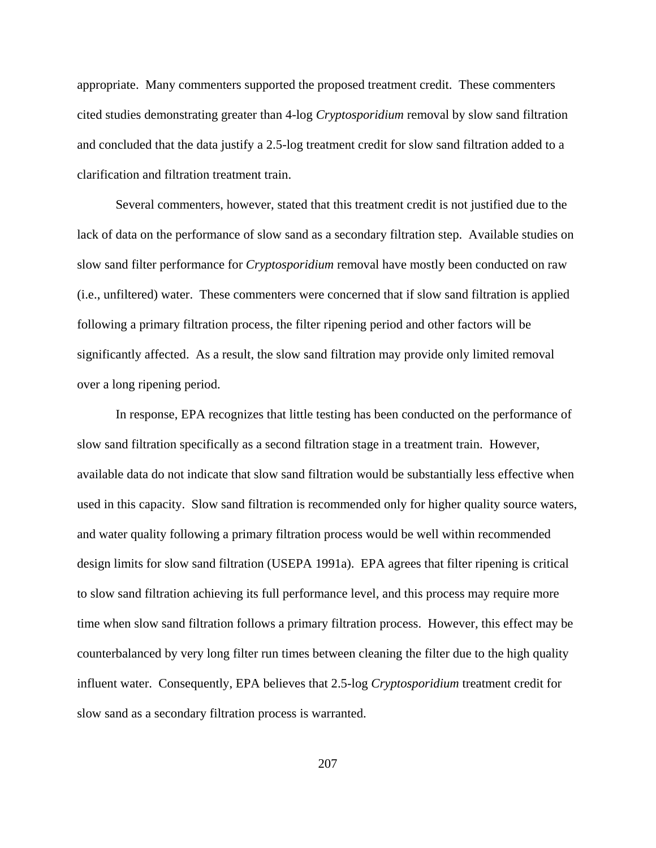appropriate. Many commenters supported the proposed treatment credit. These commenters cited studies demonstrating greater than 4-log *Cryptosporidium* removal by slow sand filtration and concluded that the data justify a 2.5-log treatment credit for slow sand filtration added to a clarification and filtration treatment train.

Several commenters, however, stated that this treatment credit is not justified due to the lack of data on the performance of slow sand as a secondary filtration step. Available studies on slow sand filter performance for *Cryptosporidium* removal have mostly been conducted on raw (i.e., unfiltered) water. These commenters were concerned that if slow sand filtration is applied following a primary filtration process, the filter ripening period and other factors will be significantly affected. As a result, the slow sand filtration may provide only limited removal over a long ripening period.

In response, EPA recognizes that little testing has been conducted on the performance of slow sand filtration specifically as a second filtration stage in a treatment train. However, available data do not indicate that slow sand filtration would be substantially less effective when used in this capacity. Slow sand filtration is recommended only for higher quality source waters, and water quality following a primary filtration process would be well within recommended design limits for slow sand filtration (USEPA 1991a). EPA agrees that filter ripening is critical to slow sand filtration achieving its full performance level, and this process may require more time when slow sand filtration follows a primary filtration process. However, this effect may be counterbalanced by very long filter run times between cleaning the filter due to the high quality influent water. Consequently, EPA believes that 2.5-log *Cryptosporidium* treatment credit for slow sand as a secondary filtration process is warranted.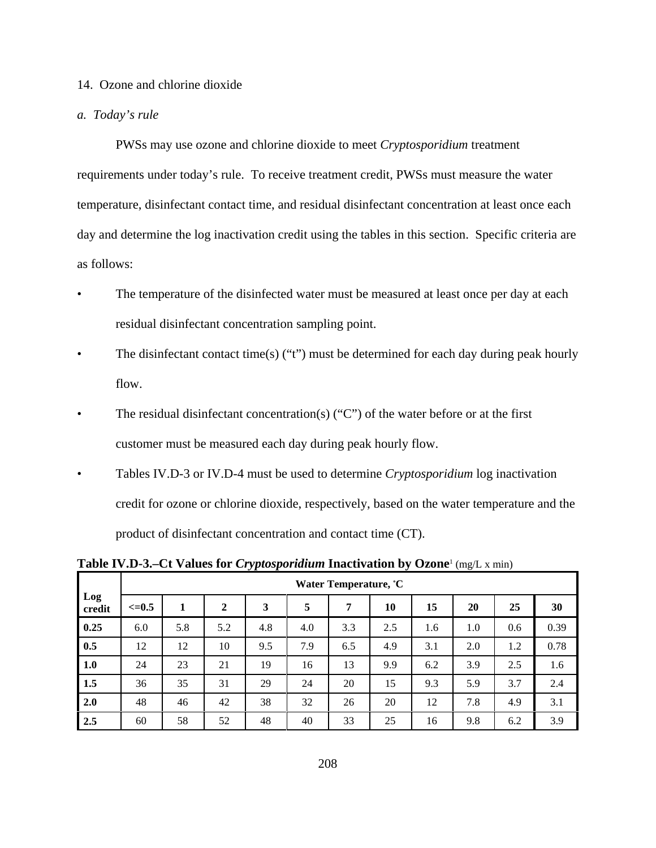# 14. Ozone and chlorine dioxide

## *a. Today's rule*

PWSs may use ozone and chlorine dioxide to meet *Cryptosporidium* treatment requirements under today's rule. To receive treatment credit, PWSs must measure the water temperature, disinfectant contact time, and residual disinfectant concentration at least once each day and determine the log inactivation credit using the tables in this section. Specific criteria are as follows:

- The temperature of the disinfected water must be measured at least once per day at each residual disinfectant concentration sampling point.
- The disinfectant contact time(s) ("t") must be determined for each day during peak hourly flow.
- The residual disinfectant concentration(s) ("C") of the water before or at the first customer must be measured each day during peak hourly flow.
- Tables IV.D-3 or IV.D-4 must be used to determine *Cryptosporidium* log inactivation credit for ozone or chlorine dioxide, respectively, based on the water temperature and the product of disinfectant concentration and contact time (CT).

**Table IV.D-3.–Ct Values for** *Cryptosporidium* **Inactivation by Ozone**<sup>1</sup> (mg/L x min)

|               | Water Temperature, °C |     |                |     |     |     |     |     |     |     |      |
|---------------|-----------------------|-----|----------------|-----|-----|-----|-----|-----|-----|-----|------|
| Log<br>credit | $\leq 0.5$            | 1   | $\overline{2}$ | 3   | 5   | 7   | 10  | 15  | 20  | 25  | 30   |
| 0.25          | 6.0                   | 5.8 | 5.2            | 4.8 | 4.0 | 3.3 | 2.5 | 1.6 | 1.0 | 0.6 | 0.39 |
| 0.5           | 12                    | 12  | 10             | 9.5 | 7.9 | 6.5 | 4.9 | 3.1 | 2.0 | 1.2 | 0.78 |
| 1.0           | 24                    | 23  | 21             | 19  | 16  | 13  | 9.9 | 6.2 | 3.9 | 2.5 | 1.6  |
| 1.5           | 36                    | 35  | 31             | 29  | 24  | 20  | 15  | 9.3 | 5.9 | 3.7 | 2.4  |
| 2.0           | 48                    | 46  | 42             | 38  | 32  | 26  | 20  | 12  | 7.8 | 4.9 | 3.1  |
| 2.5           | 60                    | 58  | 52             | 48  | 40  | 33  | 25  | 16  | 9.8 | 6.2 | 3.9  |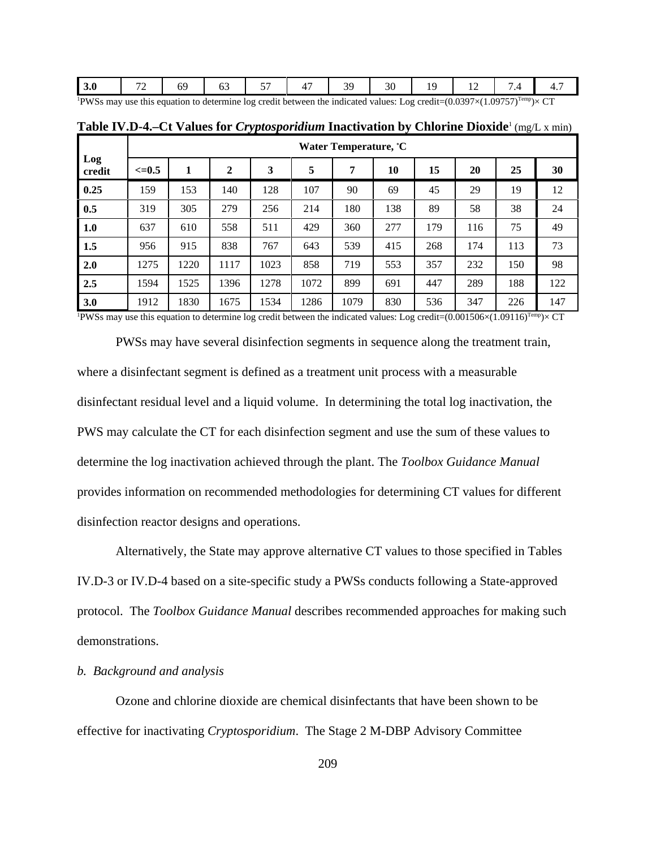| PWSs may use this equation to determine log credit between the indicated values: Log credit= $(0.0397\times(1.09757)^{Temp} \times CT$ |  |  |  |  |  |  |
|----------------------------------------------------------------------------------------------------------------------------------------|--|--|--|--|--|--|

|               |            | Water Temperature, C |                |      |      |      |     |     |     |     |     |
|---------------|------------|----------------------|----------------|------|------|------|-----|-----|-----|-----|-----|
| Log<br>credit | $\leq=0.5$ | 1                    | $\overline{2}$ | 3    | 5    | 7    | 10  | 15  | 20  | 25  | 30  |
| 0.25          | 159        | 153                  | 140            | 128  | 107  | 90   | 69  | 45  | 29  | 19  | 12  |
| 0.5           | 319        | 305                  | 279            | 256  | 214  | 180  | 138 | 89  | 58  | 38  | 24  |
| 1.0           | 637        | 610                  | 558            | 511  | 429  | 360  | 277 | 179 | 116 | 75  | 49  |
| 1.5           | 956        | 915                  | 838            | 767  | 643  | 539  | 415 | 268 | 174 | 113 | 73  |
| 2.0           | 1275       | 1220                 | 1117           | 1023 | 858  | 719  | 553 | 357 | 232 | 150 | 98  |
| 2.5           | 1594       | 1525                 | 1396           | 1278 | 1072 | 899  | 691 | 447 | 289 | 188 | 122 |
| <b>3.0</b>    | 1912       | 1830                 | 1675           | 1534 | 1286 | 1079 | 830 | 536 | 347 | 226 | 147 |

**Table IV.D-4.–Ct Values for** *Cryptosporidium* **Inactivation by Chlorine Dioxide**<sup>1</sup> (mg/L x min)

<sup>1</sup>PWSs may use this equation to determine log credit between the indicated values: Log credit= $(0.001506\times(1.09116)^{Temp}\times CT$ 

PWSs may have several disinfection segments in sequence along the treatment train, where a disinfectant segment is defined as a treatment unit process with a measurable disinfectant residual level and a liquid volume. In determining the total log inactivation, the PWS may calculate the CT for each disinfection segment and use the sum of these values to determine the log inactivation achieved through the plant. The *Toolbox Guidance Manual* provides information on recommended methodologies for determining CT values for different disinfection reactor designs and operations.

Alternatively, the State may approve alternative CT values to those specified in Tables IV.D-3 or IV.D-4 based on a site-specific study a PWSs conducts following a State-approved protocol. The *Toolbox Guidance Manual* describes recommended approaches for making such demonstrations.

# *b. Background and analysis*

Ozone and chlorine dioxide are chemical disinfectants that have been shown to be effective for inactivating *Cryptosporidium*. The Stage 2 M-DBP Advisory Committee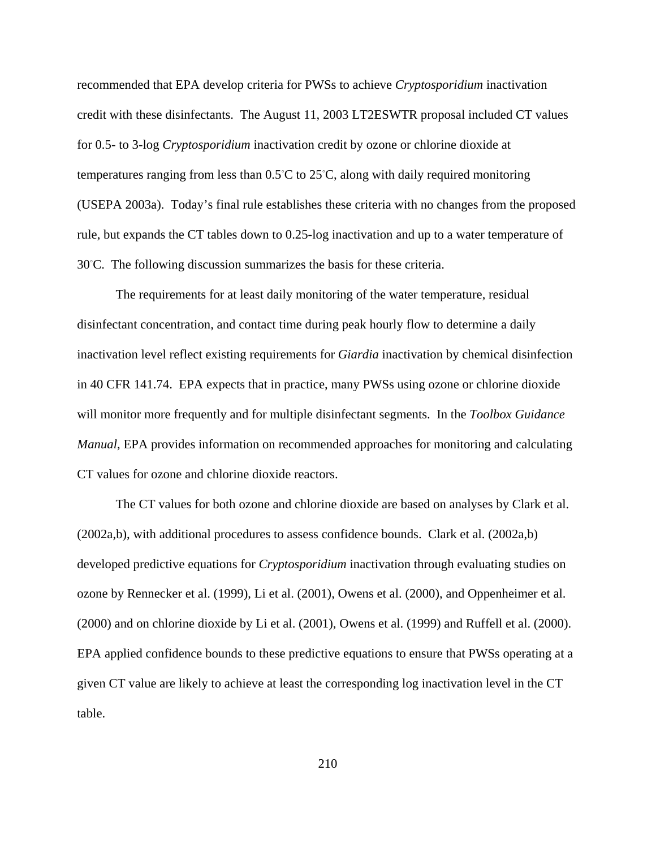recommended that EPA develop criteria for PWSs to achieve *Cryptosporidium* inactivation credit with these disinfectants. The August 11, 2003 LT2ESWTR proposal included CT values for 0.5- to 3-log *Cryptosporidium* inactivation credit by ozone or chlorine dioxide at temperatures ranging from less than  $0.5^{\circ}$ C to  $25^{\circ}$ C, along with daily required monitoring (USEPA 2003a). Today's final rule establishes these criteria with no changes from the proposed rule, but expands the CT tables down to 0.25-log inactivation and up to a water temperature of 30°C. The following discussion summarizes the basis for these criteria.

The requirements for at least daily monitoring of the water temperature, residual disinfectant concentration, and contact time during peak hourly flow to determine a daily inactivation level reflect existing requirements for *Giardia* inactivation by chemical disinfection in 40 CFR 141.74. EPA expects that in practice, many PWSs using ozone or chlorine dioxide will monitor more frequently and for multiple disinfectant segments. In the *Toolbox Guidance Manual*, EPA provides information on recommended approaches for monitoring and calculating CT values for ozone and chlorine dioxide reactors.

The CT values for both ozone and chlorine dioxide are based on analyses by Clark et al. (2002a,b), with additional procedures to assess confidence bounds. Clark et al. (2002a,b) developed predictive equations for *Cryptosporidium* inactivation through evaluating studies on ozone by Rennecker et al. (1999), Li et al. (2001), Owens et al. (2000), and Oppenheimer et al. (2000) and on chlorine dioxide by Li et al. (2001), Owens et al. (1999) and Ruffell et al. (2000). EPA applied confidence bounds to these predictive equations to ensure that PWSs operating at a given CT value are likely to achieve at least the corresponding log inactivation level in the CT table.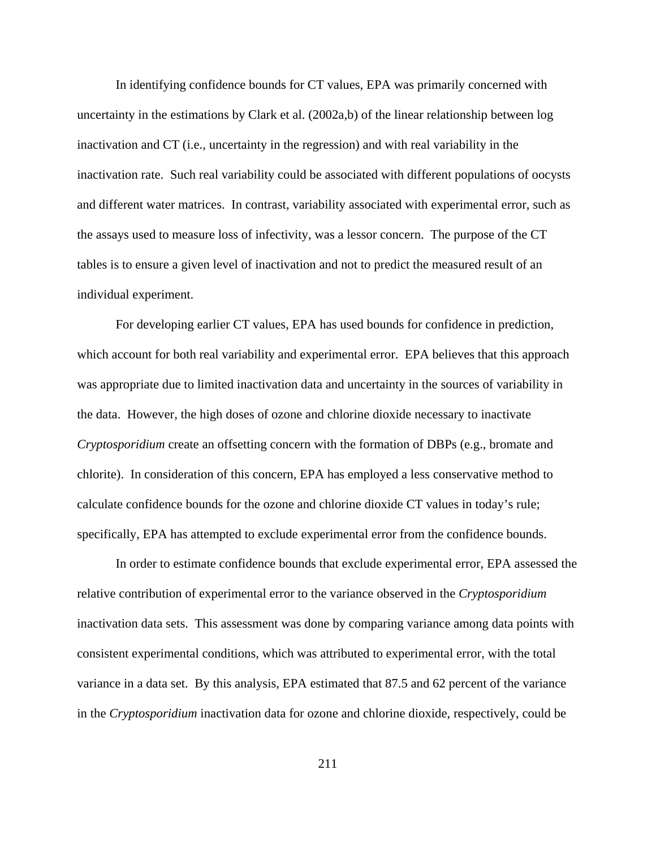In identifying confidence bounds for CT values, EPA was primarily concerned with uncertainty in the estimations by Clark et al. (2002a,b) of the linear relationship between log inactivation and CT (i.e., uncertainty in the regression) and with real variability in the inactivation rate. Such real variability could be associated with different populations of oocysts and different water matrices. In contrast, variability associated with experimental error, such as the assays used to measure loss of infectivity, was a lessor concern. The purpose of the CT tables is to ensure a given level of inactivation and not to predict the measured result of an individual experiment.

For developing earlier CT values, EPA has used bounds for confidence in prediction, which account for both real variability and experimental error. EPA believes that this approach was appropriate due to limited inactivation data and uncertainty in the sources of variability in the data. However, the high doses of ozone and chlorine dioxide necessary to inactivate *Cryptosporidium* create an offsetting concern with the formation of DBPs (e.g., bromate and chlorite). In consideration of this concern, EPA has employed a less conservative method to calculate confidence bounds for the ozone and chlorine dioxide CT values in today's rule; specifically, EPA has attempted to exclude experimental error from the confidence bounds.

In order to estimate confidence bounds that exclude experimental error, EPA assessed the relative contribution of experimental error to the variance observed in the *Cryptosporidium* inactivation data sets. This assessment was done by comparing variance among data points with consistent experimental conditions, which was attributed to experimental error, with the total variance in a data set. By this analysis, EPA estimated that 87.5 and 62 percent of the variance in the *Cryptosporidium* inactivation data for ozone and chlorine dioxide, respectively, could be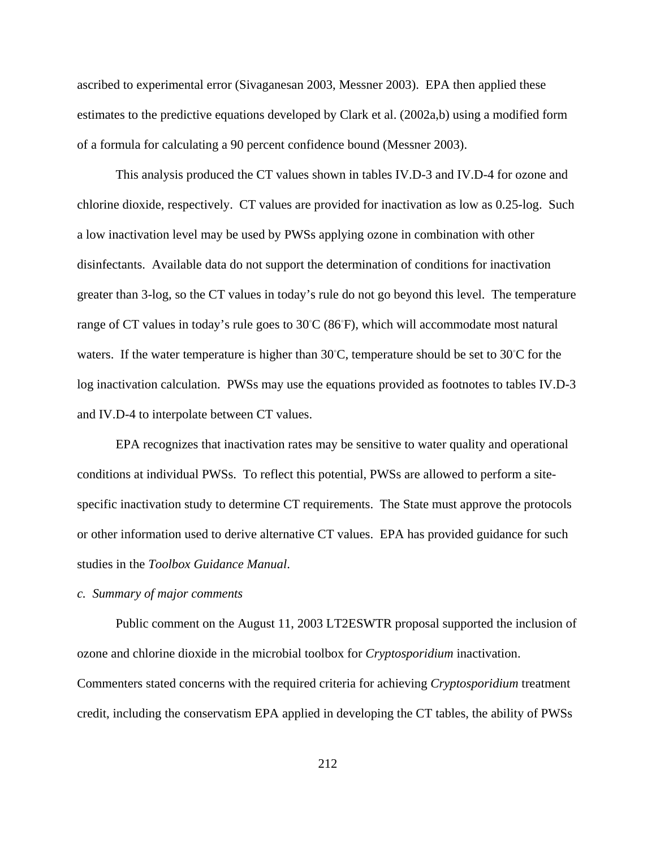ascribed to experimental error (Sivaganesan 2003, Messner 2003). EPA then applied these estimates to the predictive equations developed by Clark et al. (2002a,b) using a modified form of a formula for calculating a 90 percent confidence bound (Messner 2003).

This analysis produced the CT values shown in tables IV.D-3 and IV.D-4 for ozone and chlorine dioxide, respectively. CT values are provided for inactivation as low as 0.25-log. Such a low inactivation level may be used by PWSs applying ozone in combination with other disinfectants. Available data do not support the determination of conditions for inactivation greater than 3-log, so the CT values in today's rule do not go beyond this level. The temperature range of CT values in today's rule goes to  $30^{\circ}C$  (86°F), which will accommodate most natural waters. If the water temperature is higher than  $30^{\circ}$ C, temperature should be set to  $30^{\circ}$ C for the log inactivation calculation. PWSs may use the equations provided as footnotes to tables IV.D-3 and IV.D-4 to interpolate between CT values.

EPA recognizes that inactivation rates may be sensitive to water quality and operational conditions at individual PWSs. To reflect this potential, PWSs are allowed to perform a sitespecific inactivation study to determine CT requirements. The State must approve the protocols or other information used to derive alternative CT values. EPA has provided guidance for such studies in the *Toolbox Guidance Manual*.

# *c. Summary of major comments*

Public comment on the August 11, 2003 LT2ESWTR proposal supported the inclusion of ozone and chlorine dioxide in the microbial toolbox for *Cryptosporidium* inactivation. Commenters stated concerns with the required criteria for achieving *Cryptosporidium* treatment credit, including the conservatism EPA applied in developing the CT tables, the ability of PWSs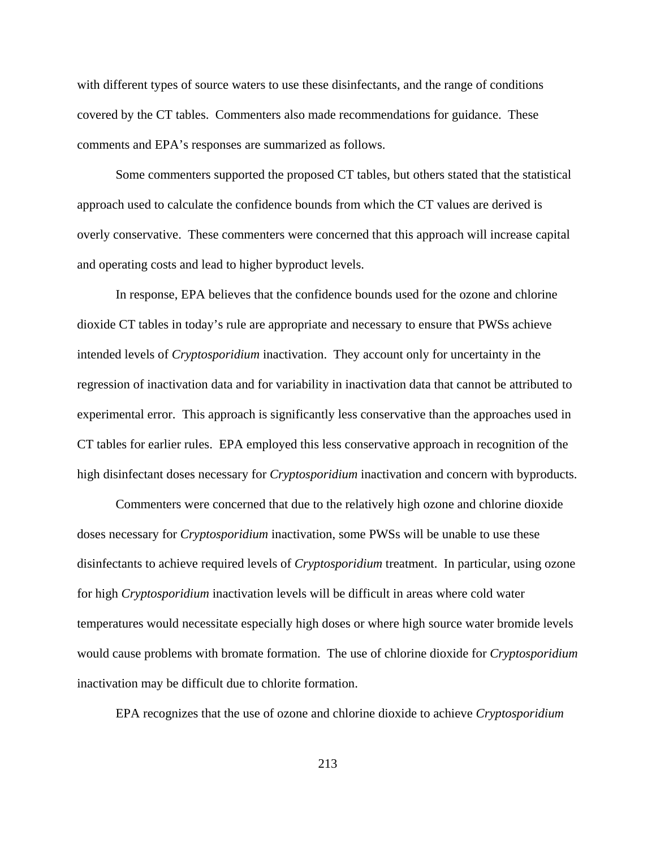with different types of source waters to use these disinfectants, and the range of conditions covered by the CT tables. Commenters also made recommendations for guidance. These comments and EPA's responses are summarized as follows.

Some commenters supported the proposed CT tables, but others stated that the statistical approach used to calculate the confidence bounds from which the CT values are derived is overly conservative. These commenters were concerned that this approach will increase capital and operating costs and lead to higher byproduct levels.

In response, EPA believes that the confidence bounds used for the ozone and chlorine dioxide CT tables in today's rule are appropriate and necessary to ensure that PWSs achieve intended levels of *Cryptosporidium* inactivation. They account only for uncertainty in the regression of inactivation data and for variability in inactivation data that cannot be attributed to experimental error. This approach is significantly less conservative than the approaches used in CT tables for earlier rules. EPA employed this less conservative approach in recognition of the high disinfectant doses necessary for *Cryptosporidium* inactivation and concern with byproducts.

 Commenters were concerned that due to the relatively high ozone and chlorine dioxide doses necessary for *Cryptosporidium* inactivation, some PWSs will be unable to use these disinfectants to achieve required levels of *Cryptosporidium* treatment. In particular, using ozone for high *Cryptosporidium* inactivation levels will be difficult in areas where cold water temperatures would necessitate especially high doses or where high source water bromide levels would cause problems with bromate formation. The use of chlorine dioxide for *Cryptosporidium* inactivation may be difficult due to chlorite formation.

EPA recognizes that the use of ozone and chlorine dioxide to achieve *Cryptosporidium*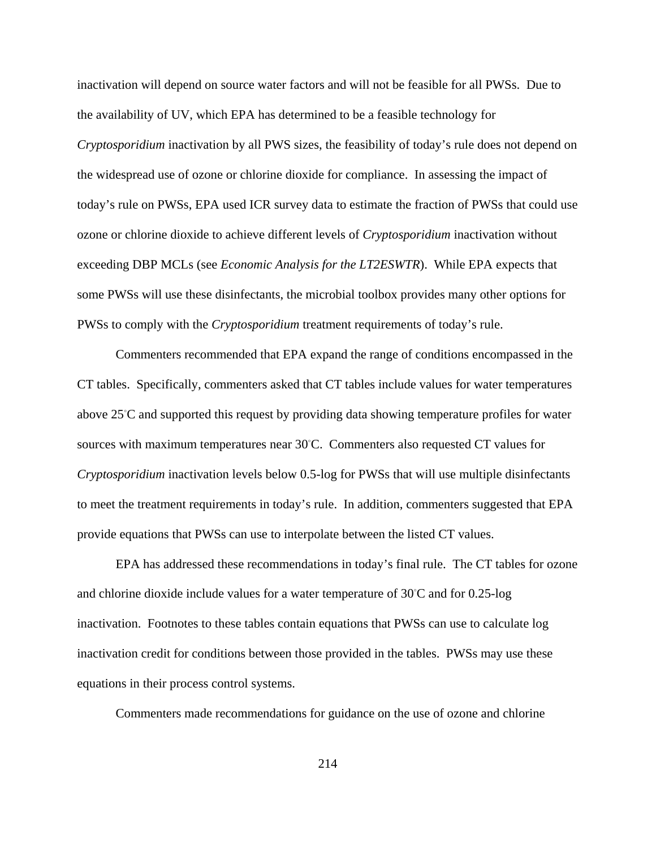inactivation will depend on source water factors and will not be feasible for all PWSs. Due to the availability of UV, which EPA has determined to be a feasible technology for *Cryptosporidium* inactivation by all PWS sizes, the feasibility of today's rule does not depend on the widespread use of ozone or chlorine dioxide for compliance. In assessing the impact of today's rule on PWSs, EPA used ICR survey data to estimate the fraction of PWSs that could use ozone or chlorine dioxide to achieve different levels of *Cryptosporidium* inactivation without exceeding DBP MCLs (see *Economic Analysis for the LT2ESWTR*). While EPA expects that some PWSs will use these disinfectants, the microbial toolbox provides many other options for PWSs to comply with the *Cryptosporidium* treatment requirements of today's rule.

Commenters recommended that EPA expand the range of conditions encompassed in the CT tables. Specifically, commenters asked that CT tables include values for water temperatures above 25°C and supported this request by providing data showing temperature profiles for water sources with maximum temperatures near 30°C. Commenters also requested CT values for *Cryptosporidium* inactivation levels below 0.5-log for PWSs that will use multiple disinfectants to meet the treatment requirements in today's rule. In addition, commenters suggested that EPA provide equations that PWSs can use to interpolate between the listed CT values.

EPA has addressed these recommendations in today's final rule. The CT tables for ozone and chlorine dioxide include values for a water temperature of  $30^{\circ}$ C and for 0.25-log inactivation. Footnotes to these tables contain equations that PWSs can use to calculate log inactivation credit for conditions between those provided in the tables. PWSs may use these equations in their process control systems.

Commenters made recommendations for guidance on the use of ozone and chlorine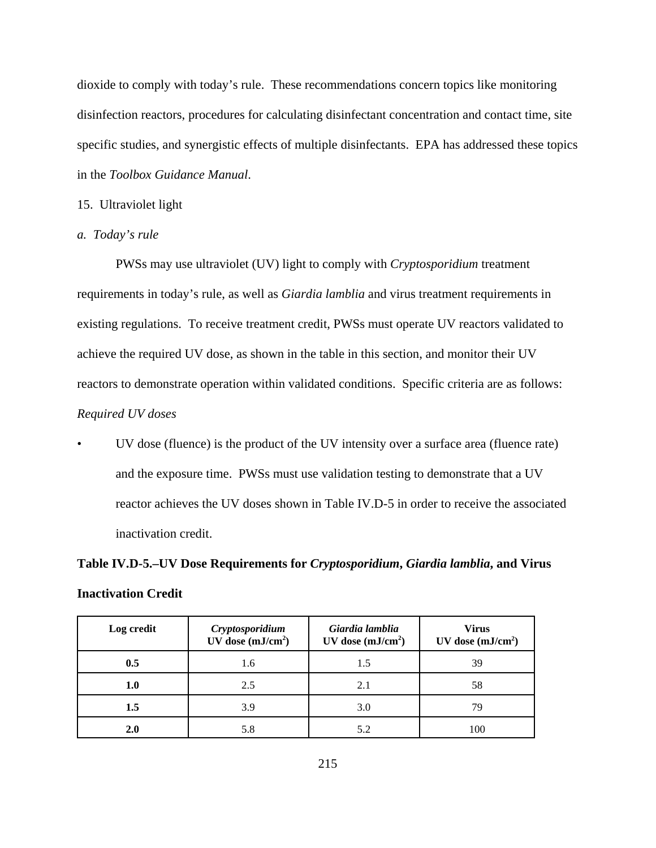dioxide to comply with today's rule. These recommendations concern topics like monitoring disinfection reactors, procedures for calculating disinfectant concentration and contact time, site specific studies, and synergistic effects of multiple disinfectants. EPA has addressed these topics in the *Toolbox Guidance Manual*.

#### 15. Ultraviolet light

*a. Today's rule*

PWSs may use ultraviolet (UV) light to comply with *Cryptosporidium* treatment requirements in today's rule, as well as *Giardia lamblia* and virus treatment requirements in existing regulations. To receive treatment credit, PWSs must operate UV reactors validated to achieve the required UV dose, as shown in the table in this section, and monitor their UV reactors to demonstrate operation within validated conditions. Specific criteria are as follows: *Required UV doses*

• UV dose (fluence) is the product of the UV intensity over a surface area (fluence rate) and the exposure time. PWSs must use validation testing to demonstrate that a UV reactor achieves the UV doses shown in Table IV.D-5 in order to receive the associated inactivation credit.

# **Table IV.D-5.–UV Dose Requirements for** *Cryptosporidium***,** *Giardia lamblia***, and Virus Inactivation Credit**

| Log credit | Cryptosporidium<br>UV dose $(mJ/cm2)$ | Giardia lamblia<br>UV dose $(mJ/cm2)$ | <b>Virus</b><br>UV dose $(mJ/cm2)$ |  |  |
|------------|---------------------------------------|---------------------------------------|------------------------------------|--|--|
| 0.5        | 1.6                                   | 1.5                                   | 39                                 |  |  |
| 1.0        | 2.5                                   | 2.1                                   | 58                                 |  |  |
| 1.5        | 3.9                                   | 3.0                                   | 79                                 |  |  |
| 2.0        | 5.8                                   | 5.2                                   | 100                                |  |  |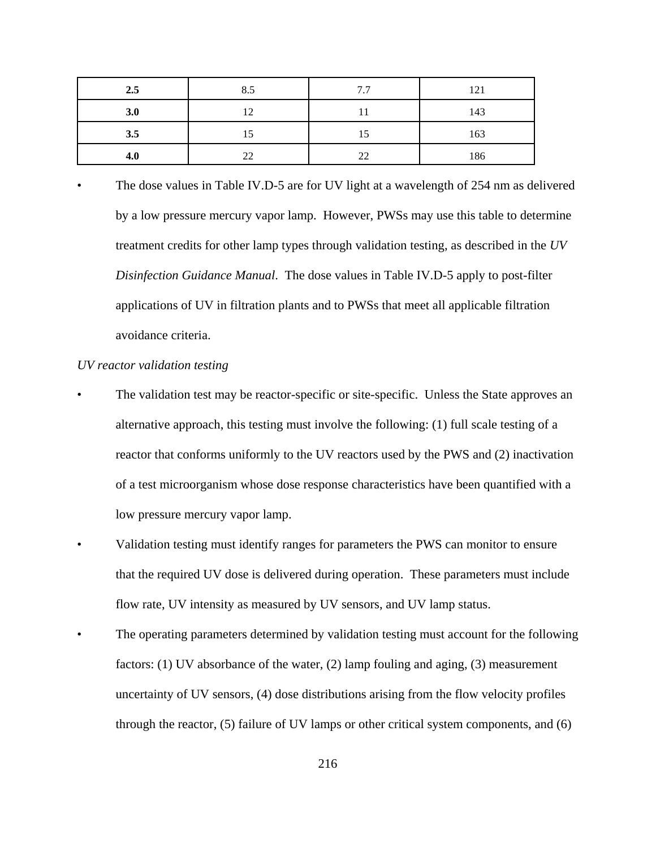| 2.5 | 8.5 | 7.7 | 121 |
|-----|-----|-----|-----|
| 3.0 | 12  |     | 143 |
| 3.5 | 15  | 15  | 163 |
| 4.0 | 22  | 22  | 186 |

The dose values in Table IV.D-5 are for UV light at a wavelength of 254 nm as delivered by a low pressure mercury vapor lamp. However, PWSs may use this table to determine treatment credits for other lamp types through validation testing, as described in the *UV Disinfection Guidance Manual*. The dose values in Table IV.D-5 apply to post-filter applications of UV in filtration plants and to PWSs that meet all applicable filtration avoidance criteria.

# *UV reactor validation testing*

- The validation test may be reactor-specific or site-specific. Unless the State approves an alternative approach, this testing must involve the following: (1) full scale testing of a reactor that conforms uniformly to the UV reactors used by the PWS and (2) inactivation of a test microorganism whose dose response characteristics have been quantified with a low pressure mercury vapor lamp.
- Validation testing must identify ranges for parameters the PWS can monitor to ensure that the required UV dose is delivered during operation. These parameters must include flow rate, UV intensity as measured by UV sensors, and UV lamp status.
- The operating parameters determined by validation testing must account for the following factors: (1) UV absorbance of the water, (2) lamp fouling and aging, (3) measurement uncertainty of UV sensors, (4) dose distributions arising from the flow velocity profiles through the reactor, (5) failure of UV lamps or other critical system components, and (6)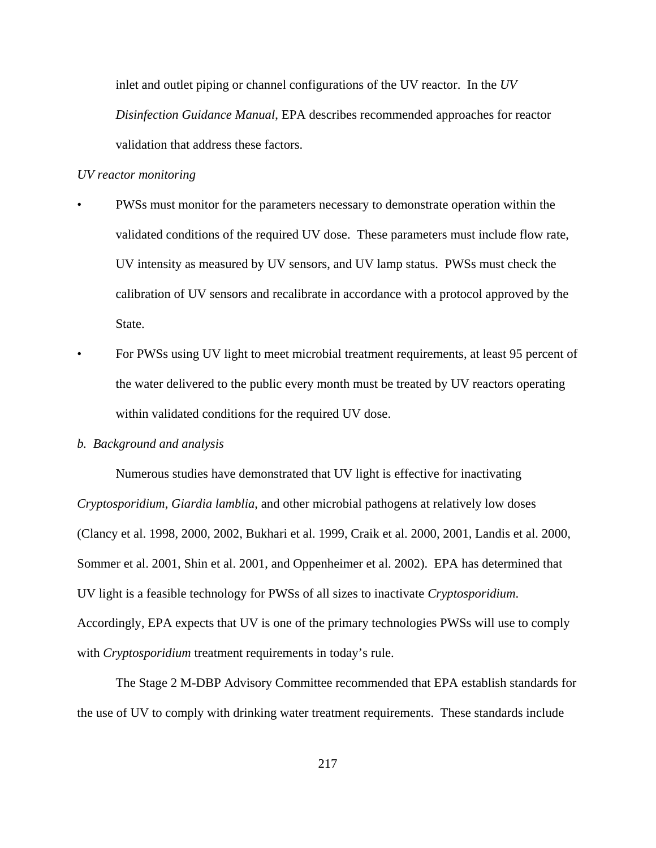inlet and outlet piping or channel configurations of the UV reactor. In the *UV Disinfection Guidance Manual*, EPA describes recommended approaches for reactor validation that address these factors.

#### *UV reactor monitoring*

- PWSs must monitor for the parameters necessary to demonstrate operation within the validated conditions of the required UV dose. These parameters must include flow rate, UV intensity as measured by UV sensors, and UV lamp status. PWSs must check the calibration of UV sensors and recalibrate in accordance with a protocol approved by the State.
- For PWSs using UV light to meet microbial treatment requirements, at least 95 percent of the water delivered to the public every month must be treated by UV reactors operating within validated conditions for the required UV dose.

### *b. Background and analysis*

Numerous studies have demonstrated that UV light is effective for inactivating *Cryptosporidium*, *Giardia lamblia*, and other microbial pathogens at relatively low doses (Clancy et al. 1998, 2000, 2002, Bukhari et al. 1999, Craik et al. 2000, 2001, Landis et al. 2000, Sommer et al. 2001, Shin et al. 2001, and Oppenheimer et al. 2002). EPA has determined that UV light is a feasible technology for PWSs of all sizes to inactivate *Cryptosporidium*. Accordingly, EPA expects that UV is one of the primary technologies PWSs will use to comply with *Cryptosporidium* treatment requirements in today's rule.

The Stage 2 M-DBP Advisory Committee recommended that EPA establish standards for the use of UV to comply with drinking water treatment requirements. These standards include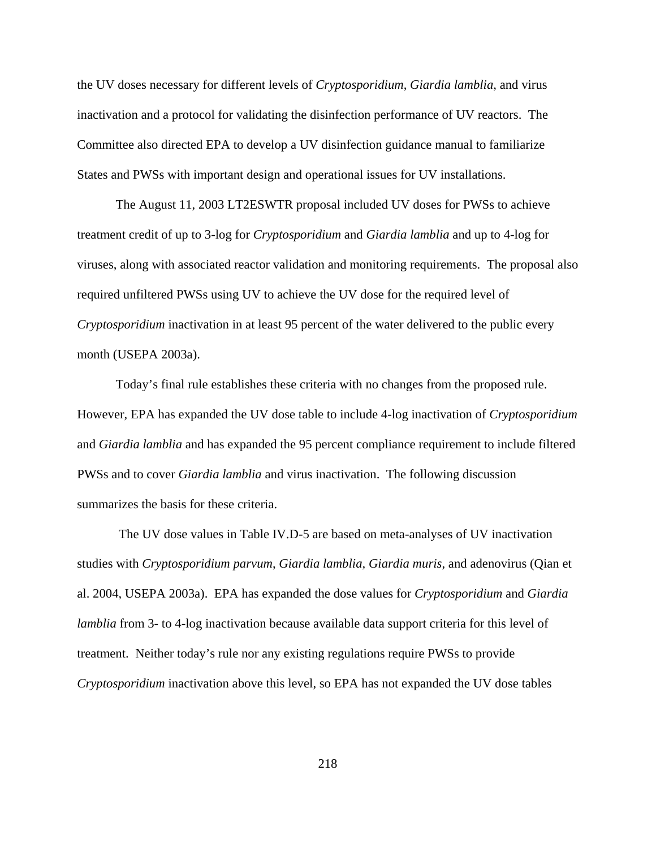the UV doses necessary for different levels of *Cryptosporidium*, *Giardia lamblia*, and virus inactivation and a protocol for validating the disinfection performance of UV reactors. The Committee also directed EPA to develop a UV disinfection guidance manual to familiarize States and PWSs with important design and operational issues for UV installations.

The August 11, 2003 LT2ESWTR proposal included UV doses for PWSs to achieve treatment credit of up to 3-log for *Cryptosporidium* and *Giardia lamblia* and up to 4-log for viruses, along with associated reactor validation and monitoring requirements. The proposal also required unfiltered PWSs using UV to achieve the UV dose for the required level of *Cryptosporidium* inactivation in at least 95 percent of the water delivered to the public every month (USEPA 2003a).

Today's final rule establishes these criteria with no changes from the proposed rule. However, EPA has expanded the UV dose table to include 4-log inactivation of *Cryptosporidium* and *Giardia lamblia* and has expanded the 95 percent compliance requirement to include filtered PWSs and to cover *Giardia lamblia* and virus inactivation. The following discussion summarizes the basis for these criteria.

 The UV dose values in Table IV.D-5 are based on meta-analyses of UV inactivation studies with *Cryptosporidium parvum*, *Giardia lamblia, Giardia muris*, and adenovirus (Qian et al. 2004, USEPA 2003a). EPA has expanded the dose values for *Cryptosporidium* and *Giardia lamblia* from 3- to 4-log inactivation because available data support criteria for this level of treatment. Neither today's rule nor any existing regulations require PWSs to provide *Cryptosporidium* inactivation above this level, so EPA has not expanded the UV dose tables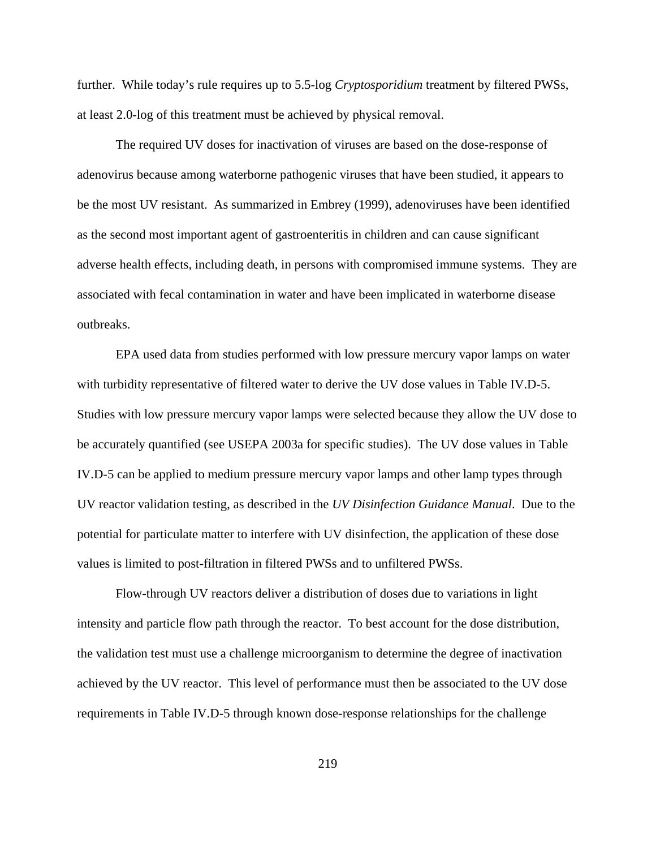further. While today's rule requires up to 5.5-log *Cryptosporidium* treatment by filtered PWSs, at least 2.0-log of this treatment must be achieved by physical removal.

The required UV doses for inactivation of viruses are based on the dose-response of adenovirus because among waterborne pathogenic viruses that have been studied, it appears to be the most UV resistant. As summarized in Embrey (1999), adenoviruses have been identified as the second most important agent of gastroenteritis in children and can cause significant adverse health effects, including death, in persons with compromised immune systems. They are associated with fecal contamination in water and have been implicated in waterborne disease outbreaks.

EPA used data from studies performed with low pressure mercury vapor lamps on water with turbidity representative of filtered water to derive the UV dose values in Table IV.D-5. Studies with low pressure mercury vapor lamps were selected because they allow the UV dose to be accurately quantified (see USEPA 2003a for specific studies). The UV dose values in Table IV.D-5 can be applied to medium pressure mercury vapor lamps and other lamp types through UV reactor validation testing, as described in the *UV Disinfection Guidance Manual*. Due to the potential for particulate matter to interfere with UV disinfection, the application of these dose values is limited to post-filtration in filtered PWSs and to unfiltered PWSs.

Flow-through UV reactors deliver a distribution of doses due to variations in light intensity and particle flow path through the reactor. To best account for the dose distribution, the validation test must use a challenge microorganism to determine the degree of inactivation achieved by the UV reactor. This level of performance must then be associated to the UV dose requirements in Table IV.D-5 through known dose-response relationships for the challenge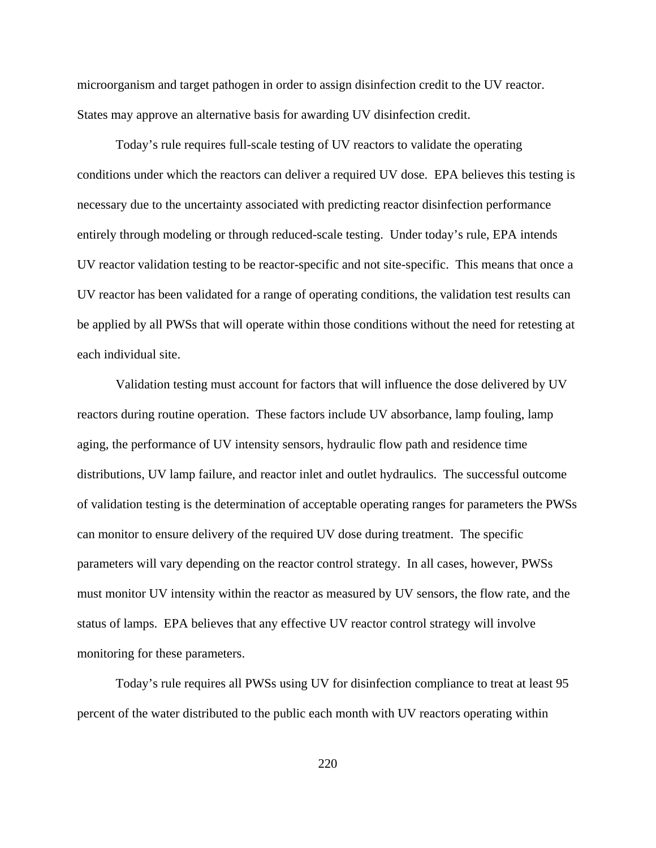microorganism and target pathogen in order to assign disinfection credit to the UV reactor. States may approve an alternative basis for awarding UV disinfection credit.

Today's rule requires full-scale testing of UV reactors to validate the operating conditions under which the reactors can deliver a required UV dose. EPA believes this testing is necessary due to the uncertainty associated with predicting reactor disinfection performance entirely through modeling or through reduced-scale testing. Under today's rule, EPA intends UV reactor validation testing to be reactor-specific and not site-specific. This means that once a UV reactor has been validated for a range of operating conditions, the validation test results can be applied by all PWSs that will operate within those conditions without the need for retesting at each individual site.

Validation testing must account for factors that will influence the dose delivered by UV reactors during routine operation. These factors include UV absorbance, lamp fouling, lamp aging, the performance of UV intensity sensors, hydraulic flow path and residence time distributions, UV lamp failure, and reactor inlet and outlet hydraulics. The successful outcome of validation testing is the determination of acceptable operating ranges for parameters the PWSs can monitor to ensure delivery of the required UV dose during treatment. The specific parameters will vary depending on the reactor control strategy. In all cases, however, PWSs must monitor UV intensity within the reactor as measured by UV sensors, the flow rate, and the status of lamps. EPA believes that any effective UV reactor control strategy will involve monitoring for these parameters.

Today's rule requires all PWSs using UV for disinfection compliance to treat at least 95 percent of the water distributed to the public each month with UV reactors operating within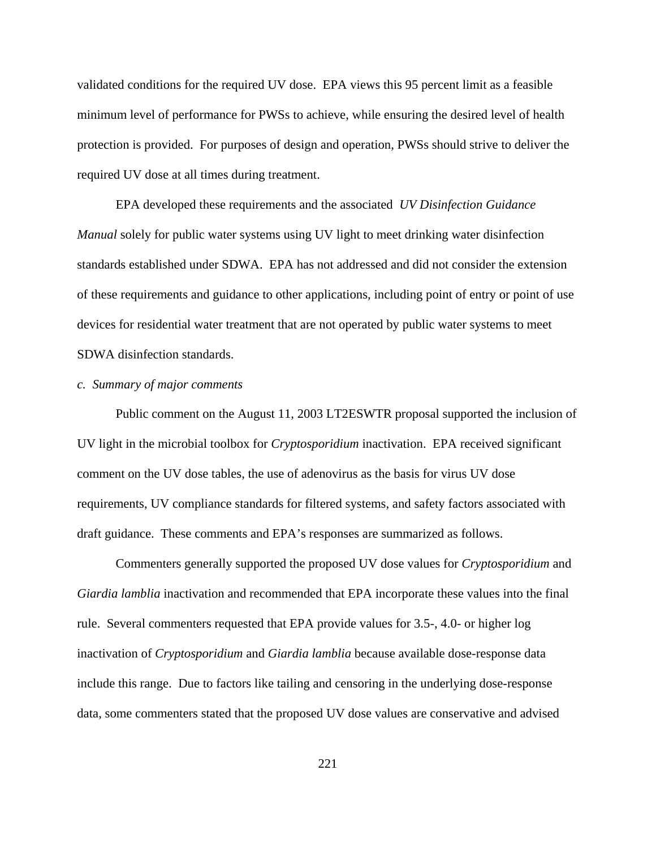validated conditions for the required UV dose. EPA views this 95 percent limit as a feasible minimum level of performance for PWSs to achieve, while ensuring the desired level of health protection is provided. For purposes of design and operation, PWSs should strive to deliver the required UV dose at all times during treatment.

EPA developed these requirements and the associated *UV Disinfection Guidance Manual* solely for public water systems using UV light to meet drinking water disinfection standards established under SDWA. EPA has not addressed and did not consider the extension of these requirements and guidance to other applications, including point of entry or point of use devices for residential water treatment that are not operated by public water systems to meet SDWA disinfection standards.

## *c. Summary of major comments*

Public comment on the August 11, 2003 LT2ESWTR proposal supported the inclusion of UV light in the microbial toolbox for *Cryptosporidium* inactivation. EPA received significant comment on the UV dose tables, the use of adenovirus as the basis for virus UV dose requirements, UV compliance standards for filtered systems, and safety factors associated with draft guidance. These comments and EPA's responses are summarized as follows.

Commenters generally supported the proposed UV dose values for *Cryptosporidium* and *Giardia lamblia* inactivation and recommended that EPA incorporate these values into the final rule. Several commenters requested that EPA provide values for 3.5-, 4.0- or higher log inactivation of *Cryptosporidium* and *Giardia lamblia* because available dose-response data include this range. Due to factors like tailing and censoring in the underlying dose-response data, some commenters stated that the proposed UV dose values are conservative and advised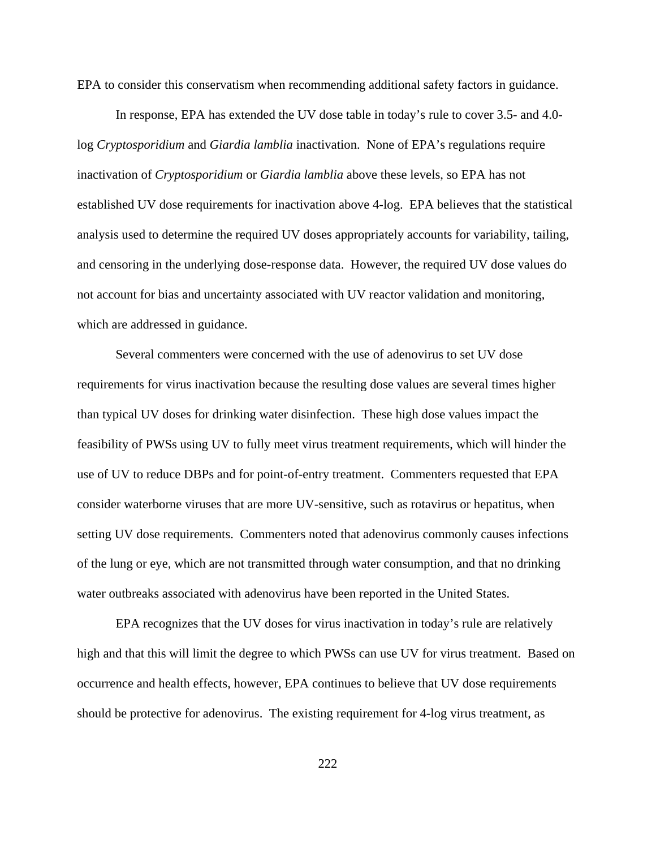EPA to consider this conservatism when recommending additional safety factors in guidance.

In response, EPA has extended the UV dose table in today's rule to cover 3.5- and 4.0 log *Cryptosporidium* and *Giardia lamblia* inactivation. None of EPA's regulations require inactivation of *Cryptosporidium* or *Giardia lamblia* above these levels, so EPA has not established UV dose requirements for inactivation above 4-log. EPA believes that the statistical analysis used to determine the required UV doses appropriately accounts for variability, tailing, and censoring in the underlying dose-response data. However, the required UV dose values do not account for bias and uncertainty associated with UV reactor validation and monitoring, which are addressed in guidance.

Several commenters were concerned with the use of adenovirus to set UV dose requirements for virus inactivation because the resulting dose values are several times higher than typical UV doses for drinking water disinfection. These high dose values impact the feasibility of PWSs using UV to fully meet virus treatment requirements, which will hinder the use of UV to reduce DBPs and for point-of-entry treatment. Commenters requested that EPA consider waterborne viruses that are more UV-sensitive, such as rotavirus or hepatitus, when setting UV dose requirements. Commenters noted that adenovirus commonly causes infections of the lung or eye, which are not transmitted through water consumption, and that no drinking water outbreaks associated with adenovirus have been reported in the United States.

EPA recognizes that the UV doses for virus inactivation in today's rule are relatively high and that this will limit the degree to which PWSs can use UV for virus treatment. Based on occurrence and health effects, however, EPA continues to believe that UV dose requirements should be protective for adenovirus. The existing requirement for 4-log virus treatment, as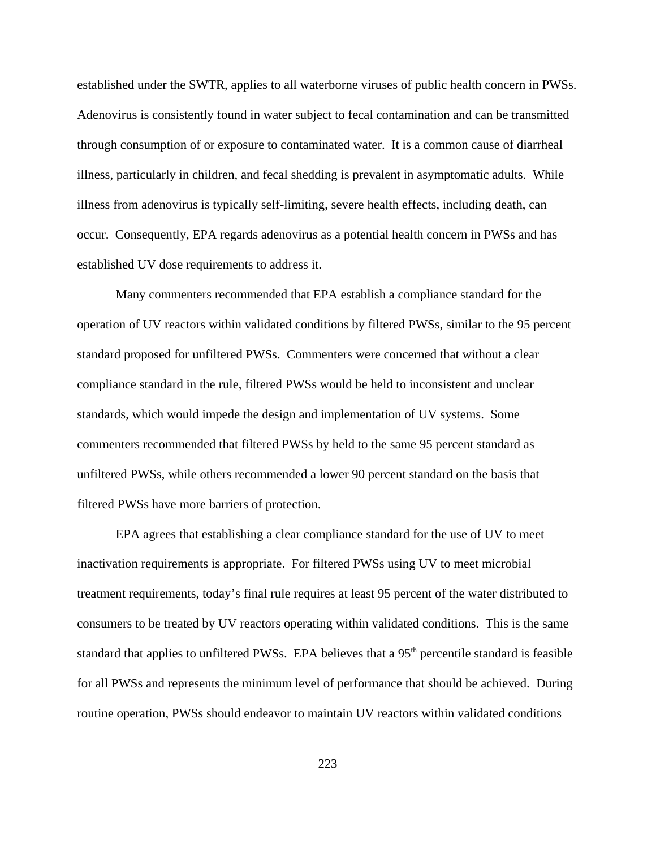established under the SWTR, applies to all waterborne viruses of public health concern in PWSs. Adenovirus is consistently found in water subject to fecal contamination and can be transmitted through consumption of or exposure to contaminated water. It is a common cause of diarrheal illness, particularly in children, and fecal shedding is prevalent in asymptomatic adults. While illness from adenovirus is typically self-limiting, severe health effects, including death, can occur. Consequently, EPA regards adenovirus as a potential health concern in PWSs and has established UV dose requirements to address it.

Many commenters recommended that EPA establish a compliance standard for the operation of UV reactors within validated conditions by filtered PWSs, similar to the 95 percent standard proposed for unfiltered PWSs. Commenters were concerned that without a clear compliance standard in the rule, filtered PWSs would be held to inconsistent and unclear standards, which would impede the design and implementation of UV systems. Some commenters recommended that filtered PWSs by held to the same 95 percent standard as unfiltered PWSs, while others recommended a lower 90 percent standard on the basis that filtered PWSs have more barriers of protection.

EPA agrees that establishing a clear compliance standard for the use of UV to meet inactivation requirements is appropriate. For filtered PWSs using UV to meet microbial treatment requirements, today's final rule requires at least 95 percent of the water distributed to consumers to be treated by UV reactors operating within validated conditions. This is the same standard that applies to unfiltered PWSs. EPA believes that a 95<sup>th</sup> percentile standard is feasible for all PWSs and represents the minimum level of performance that should be achieved. During routine operation, PWSs should endeavor to maintain UV reactors within validated conditions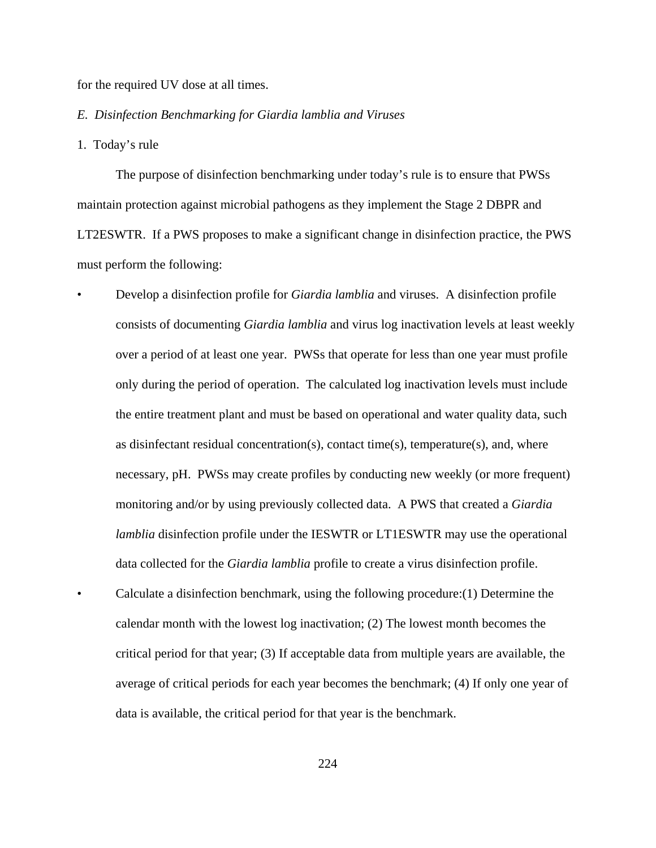for the required UV dose at all times.

### *E. Disinfection Benchmarking for Giardia lamblia and Viruses*

1. Today's rule

The purpose of disinfection benchmarking under today's rule is to ensure that PWSs maintain protection against microbial pathogens as they implement the Stage 2 DBPR and LT2ESWTR. If a PWS proposes to make a significant change in disinfection practice, the PWS must perform the following:

- Develop a disinfection profile for *Giardia lamblia* and viruses. A disinfection profile consists of documenting *Giardia lamblia* and virus log inactivation levels at least weekly over a period of at least one year. PWSs that operate for less than one year must profile only during the period of operation. The calculated log inactivation levels must include the entire treatment plant and must be based on operational and water quality data, such as disinfectant residual concentration(s), contact time(s), temperature(s), and, where necessary, pH. PWSs may create profiles by conducting new weekly (or more frequent) monitoring and/or by using previously collected data. A PWS that created a *Giardia lamblia* disinfection profile under the IESWTR or LT1ESWTR may use the operational data collected for the *Giardia lamblia* profile to create a virus disinfection profile. • Calculate a disinfection benchmark, using the following procedure:(1) Determine the
- calendar month with the lowest log inactivation; (2) The lowest month becomes the critical period for that year; (3) If acceptable data from multiple years are available, the average of critical periods for each year becomes the benchmark; (4) If only one year of data is available, the critical period for that year is the benchmark.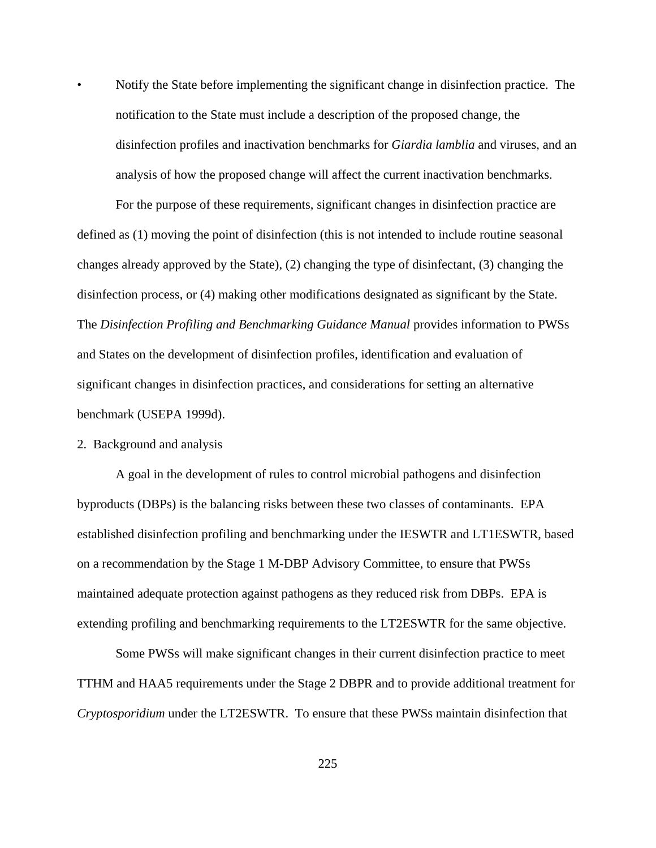• Notify the State before implementing the significant change in disinfection practice. The notification to the State must include a description of the proposed change, the disinfection profiles and inactivation benchmarks for *Giardia lamblia* and viruses, and an analysis of how the proposed change will affect the current inactivation benchmarks.

For the purpose of these requirements, significant changes in disinfection practice are defined as (1) moving the point of disinfection (this is not intended to include routine seasonal changes already approved by the State), (2) changing the type of disinfectant, (3) changing the disinfection process, or (4) making other modifications designated as significant by the State. The *Disinfection Profiling and Benchmarking Guidance Manual* provides information to PWSs and States on the development of disinfection profiles, identification and evaluation of significant changes in disinfection practices, and considerations for setting an alternative benchmark (USEPA 1999d).

2. Background and analysis

A goal in the development of rules to control microbial pathogens and disinfection byproducts (DBPs) is the balancing risks between these two classes of contaminants. EPA established disinfection profiling and benchmarking under the IESWTR and LT1ESWTR, based on a recommendation by the Stage 1 M-DBP Advisory Committee, to ensure that PWSs maintained adequate protection against pathogens as they reduced risk from DBPs. EPA is extending profiling and benchmarking requirements to the LT2ESWTR for the same objective.

Some PWSs will make significant changes in their current disinfection practice to meet TTHM and HAA5 requirements under the Stage 2 DBPR and to provide additional treatment for *Cryptosporidium* under the LT2ESWTR. To ensure that these PWSs maintain disinfection that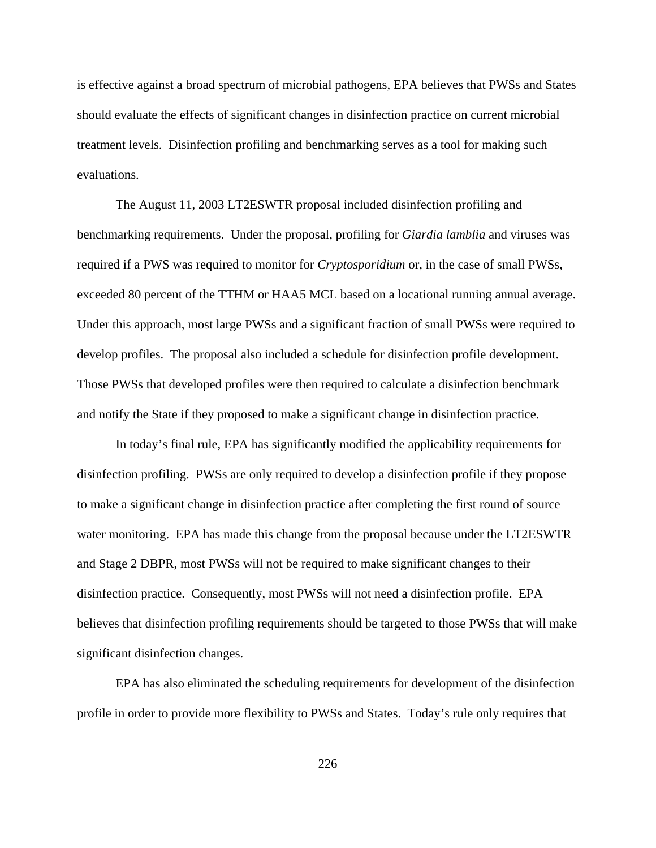is effective against a broad spectrum of microbial pathogens, EPA believes that PWSs and States should evaluate the effects of significant changes in disinfection practice on current microbial treatment levels. Disinfection profiling and benchmarking serves as a tool for making such evaluations.

The August 11, 2003 LT2ESWTR proposal included disinfection profiling and benchmarking requirements. Under the proposal, profiling for *Giardia lamblia* and viruses was required if a PWS was required to monitor for *Cryptosporidium* or, in the case of small PWSs, exceeded 80 percent of the TTHM or HAA5 MCL based on a locational running annual average. Under this approach, most large PWSs and a significant fraction of small PWSs were required to develop profiles. The proposal also included a schedule for disinfection profile development. Those PWSs that developed profiles were then required to calculate a disinfection benchmark and notify the State if they proposed to make a significant change in disinfection practice.

In today's final rule, EPA has significantly modified the applicability requirements for disinfection profiling. PWSs are only required to develop a disinfection profile if they propose to make a significant change in disinfection practice after completing the first round of source water monitoring. EPA has made this change from the proposal because under the LT2ESWTR and Stage 2 DBPR, most PWSs will not be required to make significant changes to their disinfection practice. Consequently, most PWSs will not need a disinfection profile. EPA believes that disinfection profiling requirements should be targeted to those PWSs that will make significant disinfection changes.

EPA has also eliminated the scheduling requirements for development of the disinfection profile in order to provide more flexibility to PWSs and States. Today's rule only requires that

226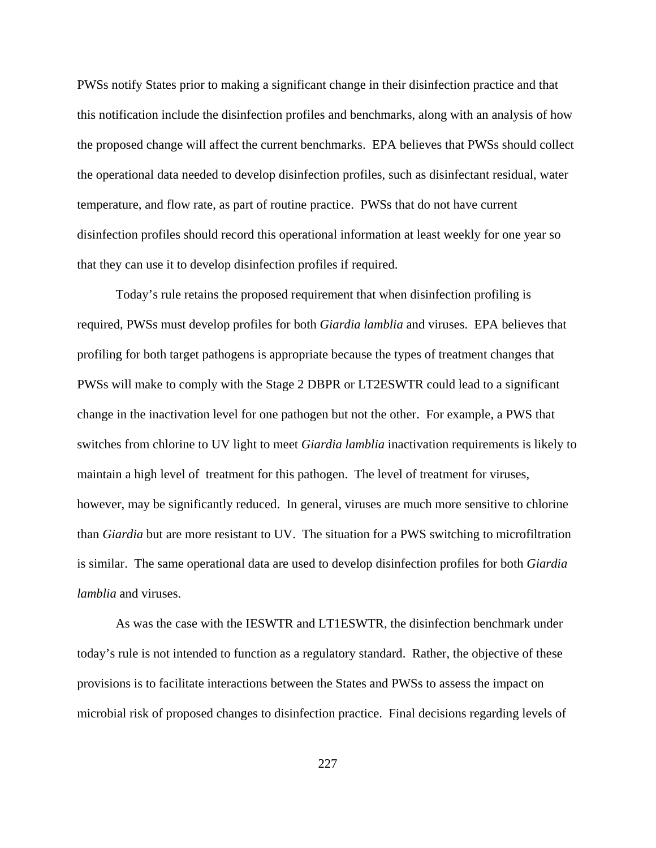PWSs notify States prior to making a significant change in their disinfection practice and that this notification include the disinfection profiles and benchmarks, along with an analysis of how the proposed change will affect the current benchmarks. EPA believes that PWSs should collect the operational data needed to develop disinfection profiles, such as disinfectant residual, water temperature, and flow rate, as part of routine practice. PWSs that do not have current disinfection profiles should record this operational information at least weekly for one year so that they can use it to develop disinfection profiles if required.

Today's rule retains the proposed requirement that when disinfection profiling is required, PWSs must develop profiles for both *Giardia lamblia* and viruses. EPA believes that profiling for both target pathogens is appropriate because the types of treatment changes that PWSs will make to comply with the Stage 2 DBPR or LT2ESWTR could lead to a significant change in the inactivation level for one pathogen but not the other. For example, a PWS that switches from chlorine to UV light to meet *Giardia lamblia* inactivation requirements is likely to maintain a high level of treatment for this pathogen. The level of treatment for viruses, however, may be significantly reduced. In general, viruses are much more sensitive to chlorine than *Giardia* but are more resistant to UV. The situation for a PWS switching to microfiltration is similar. The same operational data are used to develop disinfection profiles for both *Giardia lamblia* and viruses.

As was the case with the IESWTR and LT1ESWTR, the disinfection benchmark under today's rule is not intended to function as a regulatory standard. Rather, the objective of these provisions is to facilitate interactions between the States and PWSs to assess the impact on microbial risk of proposed changes to disinfection practice. Final decisions regarding levels of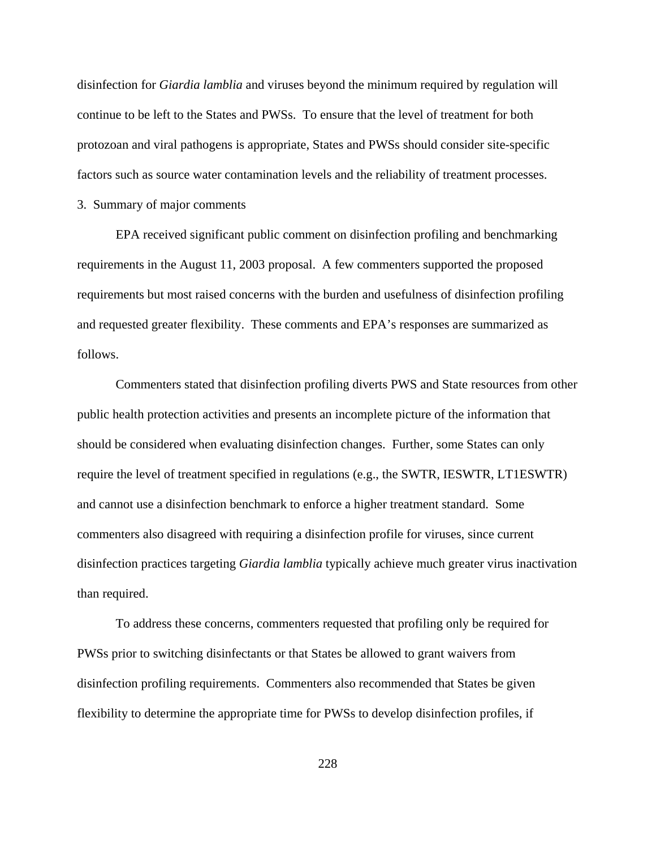disinfection for *Giardia lamblia* and viruses beyond the minimum required by regulation will continue to be left to the States and PWSs. To ensure that the level of treatment for both protozoan and viral pathogens is appropriate, States and PWSs should consider site-specific factors such as source water contamination levels and the reliability of treatment processes.

3. Summary of major comments

EPA received significant public comment on disinfection profiling and benchmarking requirements in the August 11, 2003 proposal. A few commenters supported the proposed requirements but most raised concerns with the burden and usefulness of disinfection profiling and requested greater flexibility. These comments and EPA's responses are summarized as follows.

Commenters stated that disinfection profiling diverts PWS and State resources from other public health protection activities and presents an incomplete picture of the information that should be considered when evaluating disinfection changes. Further, some States can only require the level of treatment specified in regulations (e.g., the SWTR, IESWTR, LT1ESWTR) and cannot use a disinfection benchmark to enforce a higher treatment standard. Some commenters also disagreed with requiring a disinfection profile for viruses, since current disinfection practices targeting *Giardia lamblia* typically achieve much greater virus inactivation than required.

To address these concerns, commenters requested that profiling only be required for PWSs prior to switching disinfectants or that States be allowed to grant waivers from disinfection profiling requirements. Commenters also recommended that States be given flexibility to determine the appropriate time for PWSs to develop disinfection profiles, if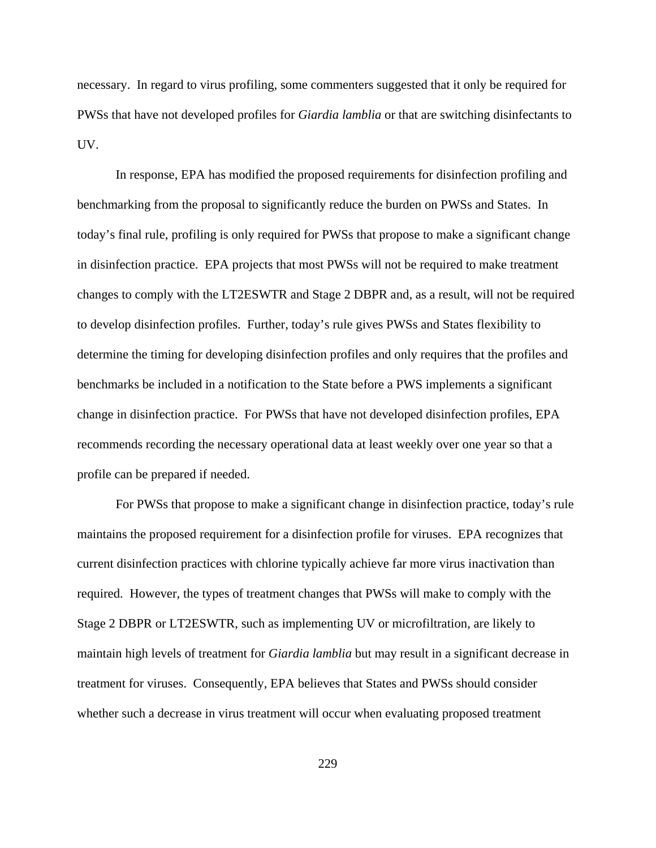necessary. In regard to virus profiling, some commenters suggested that it only be required for PWSs that have not developed profiles for *Giardia lamblia* or that are switching disinfectants to UV.

In response, EPA has modified the proposed requirements for disinfection profiling and benchmarking from the proposal to significantly reduce the burden on PWSs and States. In today's final rule, profiling is only required for PWSs that propose to make a significant change in disinfection practice. EPA projects that most PWSs will not be required to make treatment changes to comply with the LT2ESWTR and Stage 2 DBPR and, as a result, will not be required to develop disinfection profiles. Further, today's rule gives PWSs and States flexibility to determine the timing for developing disinfection profiles and only requires that the profiles and benchmarks be included in a notification to the State before a PWS implements a significant change in disinfection practice. For PWSs that have not developed disinfection profiles, EPA recommends recording the necessary operational data at least weekly over one year so that a profile can be prepared if needed.

For PWSs that propose to make a significant change in disinfection practice, today's rule maintains the proposed requirement for a disinfection profile for viruses. EPA recognizes that current disinfection practices with chlorine typically achieve far more virus inactivation than required. However, the types of treatment changes that PWSs will make to comply with the Stage 2 DBPR or LT2ESWTR, such as implementing UV or microfiltration, are likely to maintain high levels of treatment for *Giardia lamblia* but may result in a significant decrease in treatment for viruses. Consequently, EPA believes that States and PWSs should consider whether such a decrease in virus treatment will occur when evaluating proposed treatment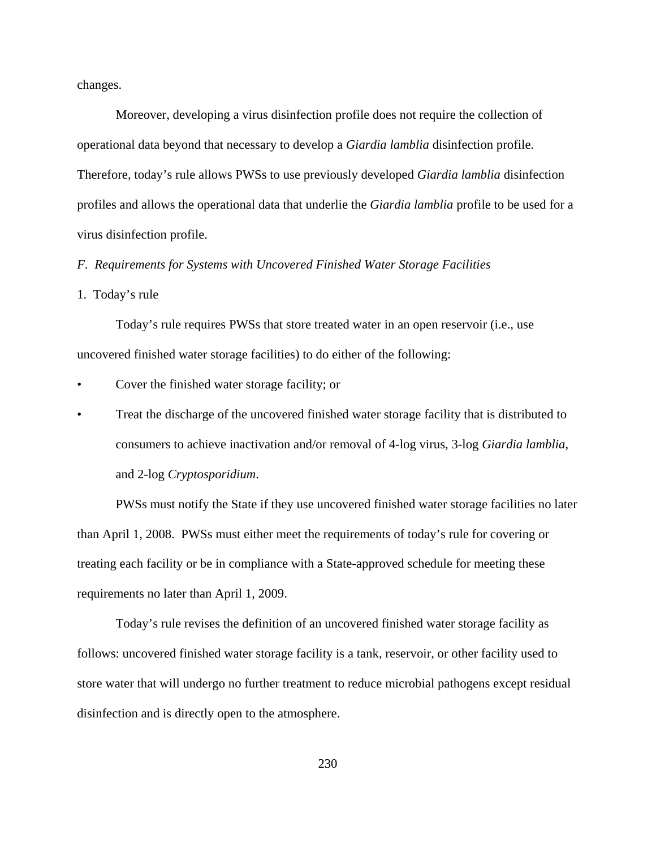changes.

Moreover, developing a virus disinfection profile does not require the collection of operational data beyond that necessary to develop a *Giardia lamblia* disinfection profile. Therefore, today's rule allows PWSs to use previously developed *Giardia lamblia* disinfection profiles and allows the operational data that underlie the *Giardia lamblia* profile to be used for a virus disinfection profile.

*F. Requirements for Systems with Uncovered Finished Water Storage Facilities*

1. Today's rule

Today's rule requires PWSs that store treated water in an open reservoir (i.e., use uncovered finished water storage facilities) to do either of the following:

• Cover the finished water storage facility; or

• Treat the discharge of the uncovered finished water storage facility that is distributed to consumers to achieve inactivation and/or removal of 4-log virus, 3-log *Giardia lamblia*, and 2-log *Cryptosporidium*.

PWSs must notify the State if they use uncovered finished water storage facilities no later than April 1, 2008. PWSs must either meet the requirements of today's rule for covering or treating each facility or be in compliance with a State-approved schedule for meeting these requirements no later than April 1, 2009.

Today's rule revises the definition of an uncovered finished water storage facility as follows: uncovered finished water storage facility is a tank, reservoir, or other facility used to store water that will undergo no further treatment to reduce microbial pathogens except residual disinfection and is directly open to the atmosphere.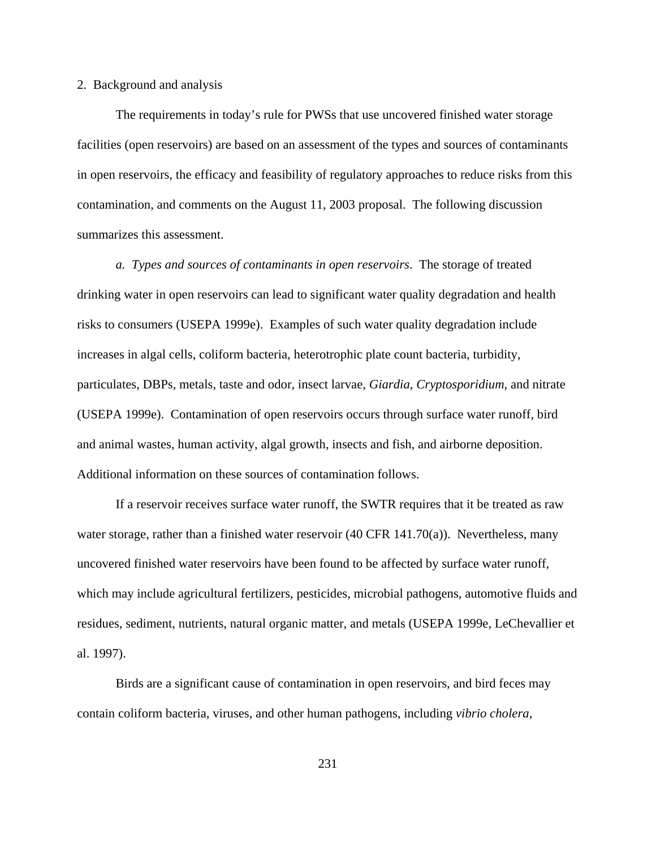### 2. Background and analysis

The requirements in today's rule for PWSs that use uncovered finished water storage facilities (open reservoirs) are based on an assessment of the types and sources of contaminants in open reservoirs, the efficacy and feasibility of regulatory approaches to reduce risks from this contamination, and comments on the August 11, 2003 proposal. The following discussion summarizes this assessment.

*a. Types and sources of contaminants in open reservoirs*. The storage of treated drinking water in open reservoirs can lead to significant water quality degradation and health risks to consumers (USEPA 1999e). Examples of such water quality degradation include increases in algal cells, coliform bacteria, heterotrophic plate count bacteria, turbidity, particulates, DBPs, metals, taste and odor, insect larvae, *Giardia*, *Cryptosporidium*, and nitrate (USEPA 1999e). Contamination of open reservoirs occurs through surface water runoff, bird and animal wastes, human activity, algal growth, insects and fish, and airborne deposition. Additional information on these sources of contamination follows.

If a reservoir receives surface water runoff, the SWTR requires that it be treated as raw water storage, rather than a finished water reservoir  $(40 \text{ CFR } 141.70(a))$ . Nevertheless, many uncovered finished water reservoirs have been found to be affected by surface water runoff, which may include agricultural fertilizers, pesticides, microbial pathogens, automotive fluids and residues, sediment, nutrients, natural organic matter, and metals (USEPA 1999e, LeChevallier et al. 1997).

Birds are a significant cause of contamination in open reservoirs, and bird feces may contain coliform bacteria, viruses, and other human pathogens, including *vibrio cholera*,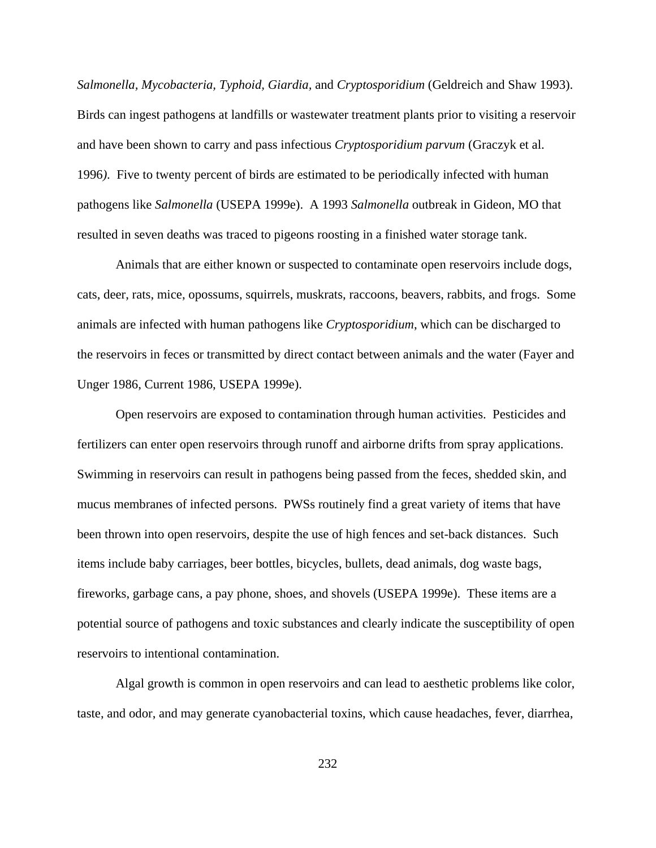*Salmonella, Mycobacteria, Typhoid, Giardia,* and *Cryptosporidium* (Geldreich and Shaw 1993). Birds can ingest pathogens at landfills or wastewater treatment plants prior to visiting a reservoir and have been shown to carry and pass infectious *Cryptosporidium parvum* (Graczyk et al. 1996*)*. Five to twenty percent of birds are estimated to be periodically infected with human pathogens like *Salmonella* (USEPA 1999e). A 1993 *Salmonella* outbreak in Gideon, MO that resulted in seven deaths was traced to pigeons roosting in a finished water storage tank.

Animals that are either known or suspected to contaminate open reservoirs include dogs, cats, deer, rats, mice, opossums, squirrels, muskrats, raccoons, beavers, rabbits, and frogs. Some animals are infected with human pathogens like *Cryptosporidium*, which can be discharged to the reservoirs in feces or transmitted by direct contact between animals and the water (Fayer and Unger 1986, Current 1986, USEPA 1999e).

Open reservoirs are exposed to contamination through human activities. Pesticides and fertilizers can enter open reservoirs through runoff and airborne drifts from spray applications. Swimming in reservoirs can result in pathogens being passed from the feces, shedded skin, and mucus membranes of infected persons. PWSs routinely find a great variety of items that have been thrown into open reservoirs, despite the use of high fences and set-back distances. Such items include baby carriages, beer bottles, bicycles, bullets, dead animals, dog waste bags, fireworks, garbage cans, a pay phone, shoes, and shovels (USEPA 1999e). These items are a potential source of pathogens and toxic substances and clearly indicate the susceptibility of open reservoirs to intentional contamination.

Algal growth is common in open reservoirs and can lead to aesthetic problems like color, taste, and odor, and may generate cyanobacterial toxins, which cause headaches, fever, diarrhea,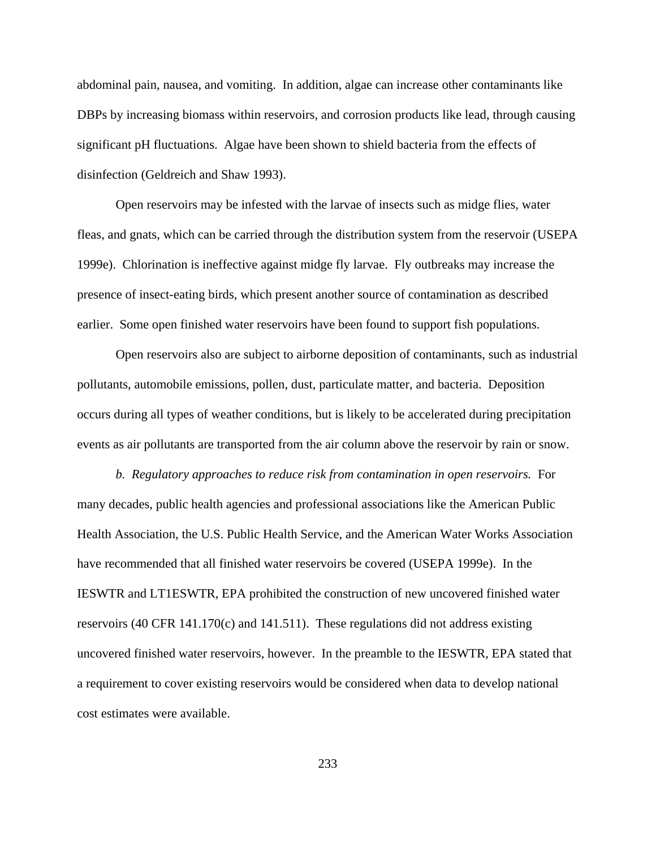abdominal pain, nausea, and vomiting. In addition, algae can increase other contaminants like DBPs by increasing biomass within reservoirs, and corrosion products like lead, through causing significant pH fluctuations. Algae have been shown to shield bacteria from the effects of disinfection (Geldreich and Shaw 1993).

Open reservoirs may be infested with the larvae of insects such as midge flies, water fleas, and gnats, which can be carried through the distribution system from the reservoir (USEPA 1999e). Chlorination is ineffective against midge fly larvae. Fly outbreaks may increase the presence of insect-eating birds, which present another source of contamination as described earlier. Some open finished water reservoirs have been found to support fish populations.

Open reservoirs also are subject to airborne deposition of contaminants, such as industrial pollutants, automobile emissions, pollen, dust, particulate matter, and bacteria. Deposition occurs during all types of weather conditions, but is likely to be accelerated during precipitation events as air pollutants are transported from the air column above the reservoir by rain or snow.

*b. Regulatory approaches to reduce risk from contamination in open reservoirs.* For many decades, public health agencies and professional associations like the American Public Health Association, the U.S. Public Health Service, and the American Water Works Association have recommended that all finished water reservoirs be covered (USEPA 1999e). In the IESWTR and LT1ESWTR, EPA prohibited the construction of new uncovered finished water reservoirs (40 CFR 141.170(c) and 141.511). These regulations did not address existing uncovered finished water reservoirs, however. In the preamble to the IESWTR, EPA stated that a requirement to cover existing reservoirs would be considered when data to develop national cost estimates were available.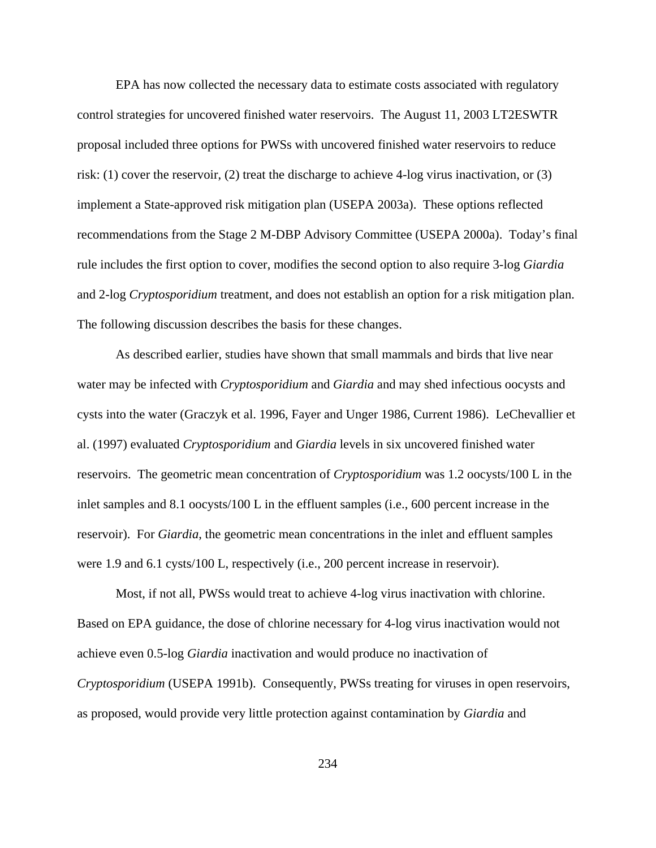EPA has now collected the necessary data to estimate costs associated with regulatory control strategies for uncovered finished water reservoirs. The August 11, 2003 LT2ESWTR proposal included three options for PWSs with uncovered finished water reservoirs to reduce risk: (1) cover the reservoir, (2) treat the discharge to achieve 4-log virus inactivation, or (3) implement a State-approved risk mitigation plan (USEPA 2003a). These options reflected recommendations from the Stage 2 M-DBP Advisory Committee (USEPA 2000a). Today's final rule includes the first option to cover, modifies the second option to also require 3-log *Giardia* and 2-log *Cryptosporidium* treatment, and does not establish an option for a risk mitigation plan. The following discussion describes the basis for these changes.

As described earlier, studies have shown that small mammals and birds that live near water may be infected with *Cryptosporidium* and *Giardia* and may shed infectious oocysts and cysts into the water (Graczyk et al. 1996, Fayer and Unger 1986, Current 1986). LeChevallier et al. (1997) evaluated *Cryptosporidium* and *Giardia* levels in six uncovered finished water reservoirs. The geometric mean concentration of *Cryptosporidium* was 1.2 oocysts/100 L in the inlet samples and 8.1 oocysts/100 L in the effluent samples (i.e., 600 percent increase in the reservoir). For *Giardia*, the geometric mean concentrations in the inlet and effluent samples were 1.9 and 6.1 cysts/100 L, respectively (i.e., 200 percent increase in reservoir).

Most, if not all, PWSs would treat to achieve 4-log virus inactivation with chlorine. Based on EPA guidance, the dose of chlorine necessary for 4-log virus inactivation would not achieve even 0.5-log *Giardia* inactivation and would produce no inactivation of *Cryptosporidium* (USEPA 1991b). Consequently, PWSs treating for viruses in open reservoirs, as proposed, would provide very little protection against contamination by *Giardia* and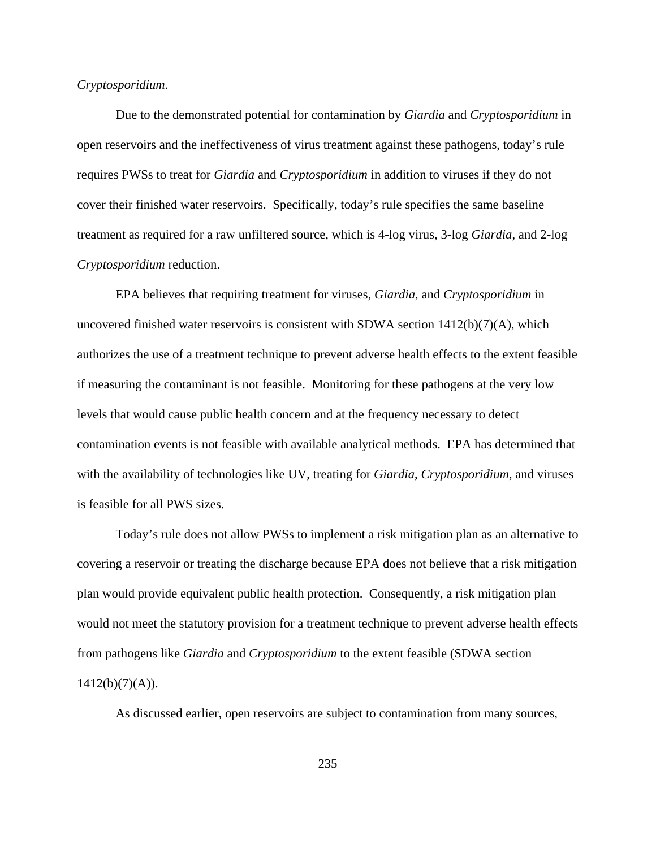### *Cryptosporidium*.

Due to the demonstrated potential for contamination by *Giardia* and *Cryptosporidium* in open reservoirs and the ineffectiveness of virus treatment against these pathogens, today's rule requires PWSs to treat for *Giardia* and *Cryptosporidium* in addition to viruses if they do not cover their finished water reservoirs. Specifically, today's rule specifies the same baseline treatment as required for a raw unfiltered source, which is 4-log virus, 3-log *Giardia*, and 2-log *Cryptosporidium* reduction.

EPA believes that requiring treatment for viruses, *Giardia*, and *Cryptosporidium* in uncovered finished water reservoirs is consistent with SDWA section  $1412(b)(7)(A)$ , which authorizes the use of a treatment technique to prevent adverse health effects to the extent feasible if measuring the contaminant is not feasible. Monitoring for these pathogens at the very low levels that would cause public health concern and at the frequency necessary to detect contamination events is not feasible with available analytical methods. EPA has determined that with the availability of technologies like UV, treating for *Giardia*, *Cryptosporidium*, and viruses is feasible for all PWS sizes.

Today's rule does not allow PWSs to implement a risk mitigation plan as an alternative to covering a reservoir or treating the discharge because EPA does not believe that a risk mitigation plan would provide equivalent public health protection. Consequently, a risk mitigation plan would not meet the statutory provision for a treatment technique to prevent adverse health effects from pathogens like *Giardia* and *Cryptosporidium* to the extent feasible (SDWA section  $1412(b)(7)(A)$ ).

As discussed earlier, open reservoirs are subject to contamination from many sources,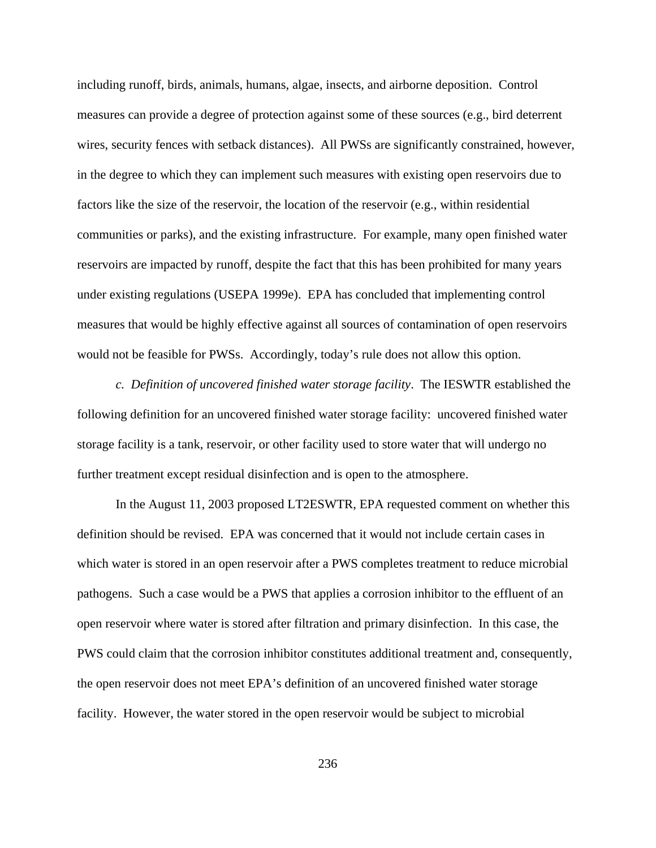including runoff, birds, animals, humans, algae, insects, and airborne deposition. Control measures can provide a degree of protection against some of these sources (e.g., bird deterrent wires, security fences with setback distances). All PWSs are significantly constrained, however, in the degree to which they can implement such measures with existing open reservoirs due to factors like the size of the reservoir, the location of the reservoir (e.g., within residential communities or parks), and the existing infrastructure. For example, many open finished water reservoirs are impacted by runoff, despite the fact that this has been prohibited for many years under existing regulations (USEPA 1999e). EPA has concluded that implementing control measures that would be highly effective against all sources of contamination of open reservoirs would not be feasible for PWSs. Accordingly, today's rule does not allow this option.

*c. Definition of uncovered finished water storage facility*. The IESWTR established the following definition for an uncovered finished water storage facility: uncovered finished water storage facility is a tank, reservoir, or other facility used to store water that will undergo no further treatment except residual disinfection and is open to the atmosphere.

In the August 11, 2003 proposed LT2ESWTR, EPA requested comment on whether this definition should be revised. EPA was concerned that it would not include certain cases in which water is stored in an open reservoir after a PWS completes treatment to reduce microbial pathogens. Such a case would be a PWS that applies a corrosion inhibitor to the effluent of an open reservoir where water is stored after filtration and primary disinfection. In this case, the PWS could claim that the corrosion inhibitor constitutes additional treatment and, consequently, the open reservoir does not meet EPA's definition of an uncovered finished water storage facility. However, the water stored in the open reservoir would be subject to microbial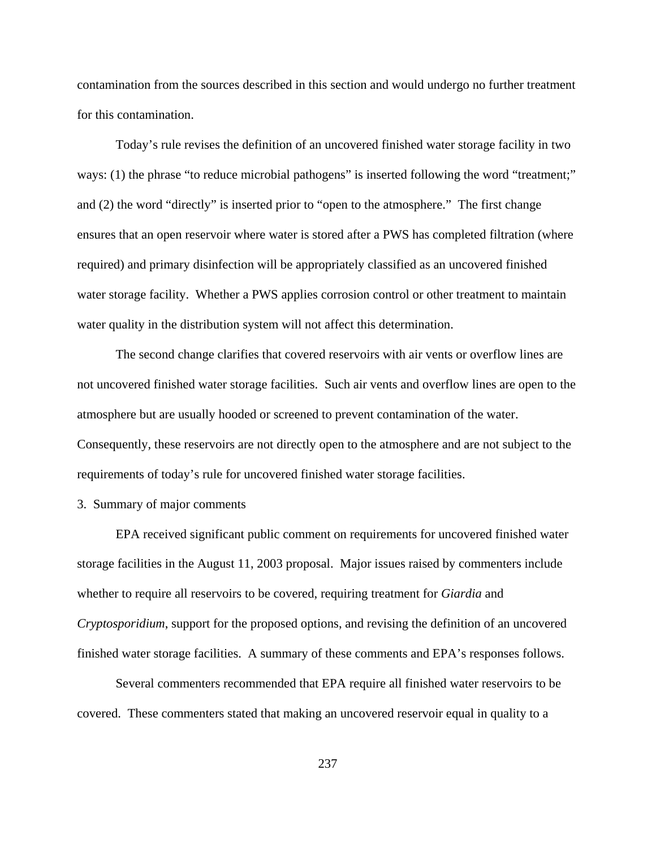contamination from the sources described in this section and would undergo no further treatment for this contamination.

Today's rule revises the definition of an uncovered finished water storage facility in two ways: (1) the phrase "to reduce microbial pathogens" is inserted following the word "treatment;" and (2) the word "directly" is inserted prior to "open to the atmosphere." The first change ensures that an open reservoir where water is stored after a PWS has completed filtration (where required) and primary disinfection will be appropriately classified as an uncovered finished water storage facility. Whether a PWS applies corrosion control or other treatment to maintain water quality in the distribution system will not affect this determination.

The second change clarifies that covered reservoirs with air vents or overflow lines are not uncovered finished water storage facilities. Such air vents and overflow lines are open to the atmosphere but are usually hooded or screened to prevent contamination of the water. Consequently, these reservoirs are not directly open to the atmosphere and are not subject to the requirements of today's rule for uncovered finished water storage facilities.

3. Summary of major comments

EPA received significant public comment on requirements for uncovered finished water storage facilities in the August 11, 2003 proposal. Major issues raised by commenters include whether to require all reservoirs to be covered, requiring treatment for *Giardia* and *Cryptosporidium*, support for the proposed options, and revising the definition of an uncovered finished water storage facilities. A summary of these comments and EPA's responses follows.

Several commenters recommended that EPA require all finished water reservoirs to be covered. These commenters stated that making an uncovered reservoir equal in quality to a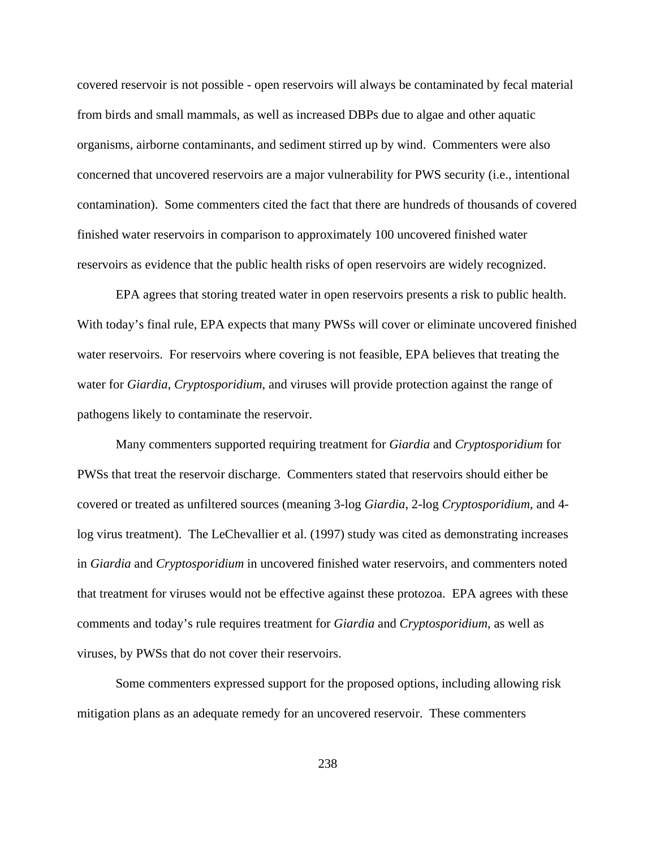covered reservoir is not possible - open reservoirs will always be contaminated by fecal material from birds and small mammals, as well as increased DBPs due to algae and other aquatic organisms, airborne contaminants, and sediment stirred up by wind. Commenters were also concerned that uncovered reservoirs are a major vulnerability for PWS security (i.e., intentional contamination). Some commenters cited the fact that there are hundreds of thousands of covered finished water reservoirs in comparison to approximately 100 uncovered finished water reservoirs as evidence that the public health risks of open reservoirs are widely recognized.

EPA agrees that storing treated water in open reservoirs presents a risk to public health. With today's final rule, EPA expects that many PWSs will cover or eliminate uncovered finished water reservoirs. For reservoirs where covering is not feasible, EPA believes that treating the water for *Giardia*, *Cryptosporidium*, and viruses will provide protection against the range of pathogens likely to contaminate the reservoir.

Many commenters supported requiring treatment for *Giardia* and *Cryptosporidium* for PWSs that treat the reservoir discharge. Commenters stated that reservoirs should either be covered or treated as unfiltered sources (meaning 3-log *Giardia*, 2-log *Cryptosporidium*, and 4 log virus treatment). The LeChevallier et al. (1997) study was cited as demonstrating increases in *Giardia* and *Cryptosporidium* in uncovered finished water reservoirs, and commenters noted that treatment for viruses would not be effective against these protozoa. EPA agrees with these comments and today's rule requires treatment for *Giardia* and *Cryptosporidium*, as well as viruses, by PWSs that do not cover their reservoirs.

Some commenters expressed support for the proposed options, including allowing risk mitigation plans as an adequate remedy for an uncovered reservoir. These commenters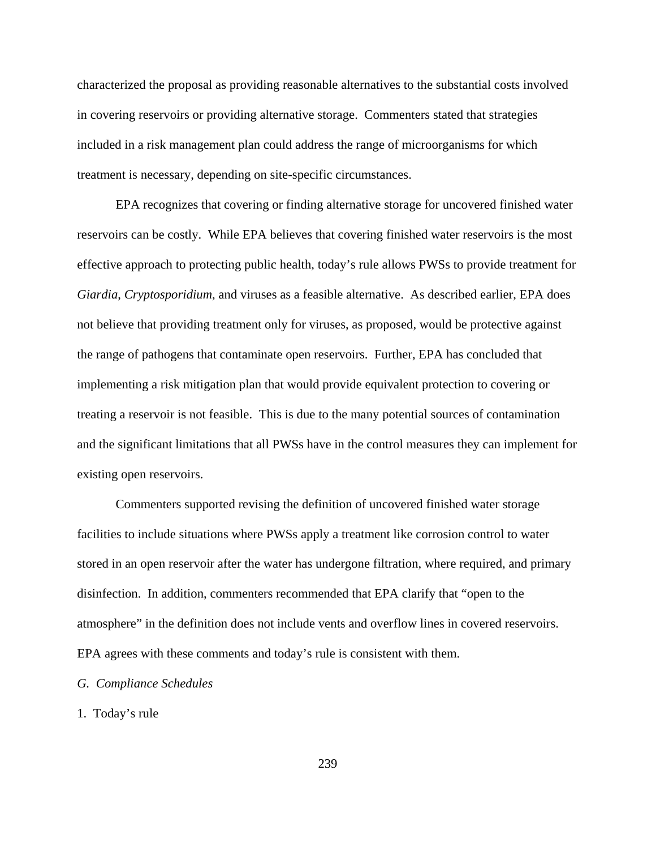characterized the proposal as providing reasonable alternatives to the substantial costs involved in covering reservoirs or providing alternative storage. Commenters stated that strategies included in a risk management plan could address the range of microorganisms for which treatment is necessary, depending on site-specific circumstances.

EPA recognizes that covering or finding alternative storage for uncovered finished water reservoirs can be costly. While EPA believes that covering finished water reservoirs is the most effective approach to protecting public health, today's rule allows PWSs to provide treatment for *Giardia*, *Cryptosporidium*, and viruses as a feasible alternative. As described earlier, EPA does not believe that providing treatment only for viruses, as proposed, would be protective against the range of pathogens that contaminate open reservoirs. Further, EPA has concluded that implementing a risk mitigation plan that would provide equivalent protection to covering or treating a reservoir is not feasible. This is due to the many potential sources of contamination and the significant limitations that all PWSs have in the control measures they can implement for existing open reservoirs.

Commenters supported revising the definition of uncovered finished water storage facilities to include situations where PWSs apply a treatment like corrosion control to water stored in an open reservoir after the water has undergone filtration, where required, and primary disinfection. In addition, commenters recommended that EPA clarify that "open to the atmosphere" in the definition does not include vents and overflow lines in covered reservoirs. EPA agrees with these comments and today's rule is consistent with them.

## *G. Compliance Schedules*

## 1. Today's rule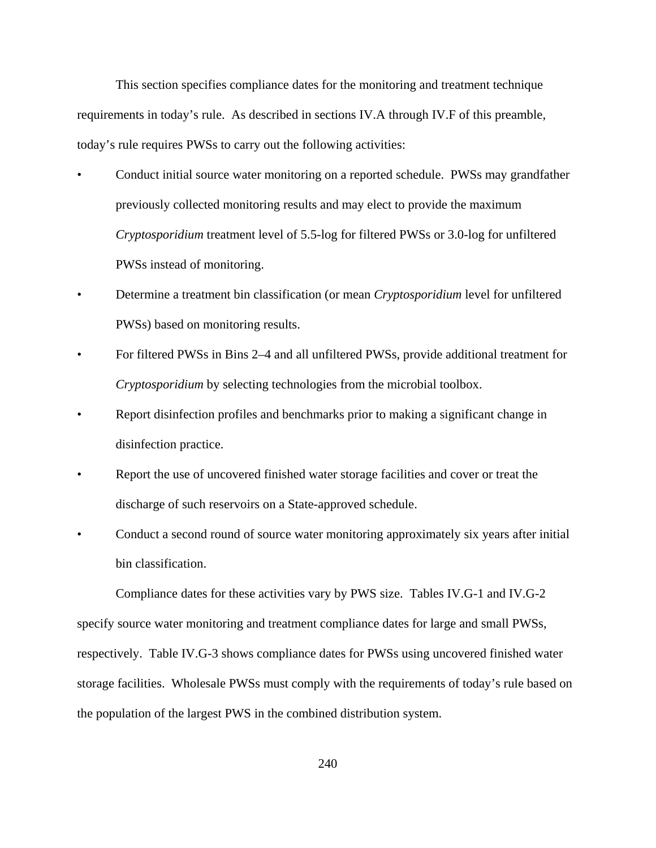This section specifies compliance dates for the monitoring and treatment technique requirements in today's rule. As described in sections IV.A through IV.F of this preamble, today's rule requires PWSs to carry out the following activities:

- Conduct initial source water monitoring on a reported schedule. PWSs may grandfather previously collected monitoring results and may elect to provide the maximum *Cryptosporidium* treatment level of 5.5-log for filtered PWSs or 3.0-log for unfiltered PWSs instead of monitoring.
- Determine a treatment bin classification (or mean *Cryptosporidium* level for unfiltered PWSs) based on monitoring results.
- For filtered PWSs in Bins 2–4 and all unfiltered PWSs, provide additional treatment for *Cryptosporidium* by selecting technologies from the microbial toolbox.
- Report disinfection profiles and benchmarks prior to making a significant change in disinfection practice.
- Report the use of uncovered finished water storage facilities and cover or treat the discharge of such reservoirs on a State-approved schedule.
- Conduct a second round of source water monitoring approximately six years after initial bin classification.

Compliance dates for these activities vary by PWS size. Tables IV.G-1 and IV.G-2 specify source water monitoring and treatment compliance dates for large and small PWSs, respectively. Table IV.G-3 shows compliance dates for PWSs using uncovered finished water storage facilities. Wholesale PWSs must comply with the requirements of today's rule based on the population of the largest PWS in the combined distribution system.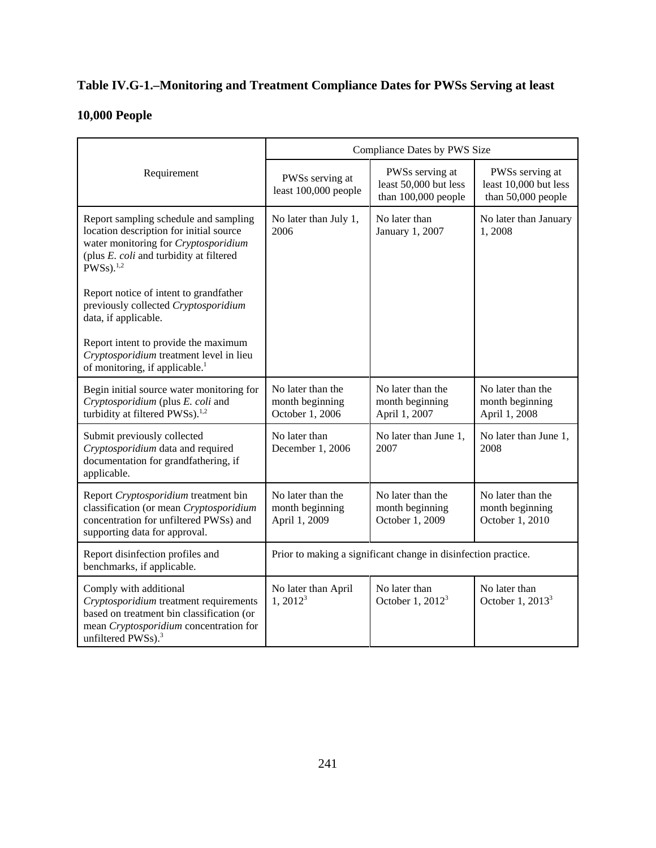# **Table IV.G-1.–Monitoring and Treatment Compliance Dates for PWSs Serving at least**

# **10,000 People**

|                                                                                                                                                                                                 | Compliance Dates by PWS Size                                   |                                                                 |                                                                |
|-------------------------------------------------------------------------------------------------------------------------------------------------------------------------------------------------|----------------------------------------------------------------|-----------------------------------------------------------------|----------------------------------------------------------------|
| Requirement                                                                                                                                                                                     | PWSs serving at<br>least 100,000 people                        | PWSs serving at<br>least 50,000 but less<br>than 100,000 people | PWSs serving at<br>least 10,000 but less<br>than 50,000 people |
| Report sampling schedule and sampling<br>location description for initial source<br>water monitoring for Cryptosporidium<br>(plus E. coli and turbidity at filtered<br>$PWSS$ ). <sup>1,2</sup> | No later than July 1,<br>2006                                  | No later than<br>January 1, 2007                                | No later than January<br>1,2008                                |
| Report notice of intent to grandfather<br>previously collected Cryptosporidium<br>data, if applicable.                                                                                          |                                                                |                                                                 |                                                                |
| Report intent to provide the maximum<br>Cryptosporidium treatment level in lieu<br>of monitoring, if applicable. <sup>1</sup>                                                                   |                                                                |                                                                 |                                                                |
| Begin initial source water monitoring for<br>Cryptosporidium (plus E. coli and<br>turbidity at filtered PWSs). <sup>1,2</sup>                                                                   | No later than the<br>month beginning<br>October 1, 2006        | No later than the<br>month beginning<br>April 1, 2007           | No later than the<br>month beginning<br>April 1, 2008          |
| Submit previously collected<br>Cryptosporidium data and required<br>documentation for grandfathering, if<br>applicable.                                                                         | No later than<br>December 1, 2006                              | No later than June 1,<br>2007                                   | No later than June 1,<br>2008                                  |
| Report Cryptosporidium treatment bin<br>classification (or mean Cryptosporidium<br>concentration for unfiltered PWSs) and<br>supporting data for approval.                                      | No later than the<br>month beginning<br>April 1, 2009          | No later than the<br>month beginning<br>October 1, 2009         | No later than the<br>month beginning<br>October 1, 2010        |
| Report disinfection profiles and<br>benchmarks, if applicable.                                                                                                                                  | Prior to making a significant change in disinfection practice. |                                                                 |                                                                |
| Comply with additional<br>Cryptosporidium treatment requirements<br>based on treatment bin classification (or<br>mean Cryptosporidium concentration for<br>unfiltered PWSs). <sup>3</sup>       | No later than April<br>$1,2012^3$                              | No later than<br>October 1, 2012 <sup>3</sup>                   | No later than<br>October 1, $20133$                            |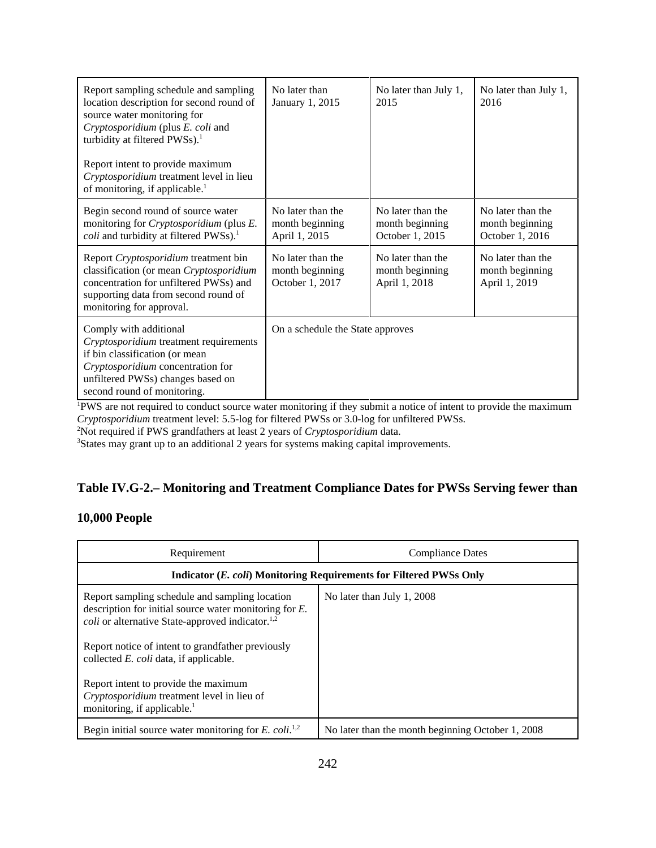| Report sampling schedule and sampling<br>location description for second round of<br>source water monitoring for<br>Cryptosporidium (plus E. coli and<br>turbidity at filtered PWSs). <sup>1</sup><br>Report intent to provide maximum<br>Cryptosporidium treatment level in lieu<br>of monitoring, if applicable. <sup>1</sup> | No later than<br>January 1, 2015                        | No later than July 1,<br>2015                           | No later than July 1,<br>2016                           |
|---------------------------------------------------------------------------------------------------------------------------------------------------------------------------------------------------------------------------------------------------------------------------------------------------------------------------------|---------------------------------------------------------|---------------------------------------------------------|---------------------------------------------------------|
| Begin second round of source water<br>monitoring for Cryptosporidium (plus E.<br>coli and turbidity at filtered PWSs). <sup>1</sup>                                                                                                                                                                                             | No later than the<br>month beginning<br>April 1, 2015   | No later than the<br>month beginning<br>October 1, 2015 | No later than the<br>month beginning<br>October 1, 2016 |
| Report Cryptosporidium treatment bin<br>classification (or mean Cryptosporidium<br>concentration for unfiltered PWSs) and<br>supporting data from second round of<br>monitoring for approval.                                                                                                                                   | No later than the<br>month beginning<br>October 1, 2017 | No later than the<br>month beginning<br>April 1, 2018   | No later than the<br>month beginning<br>April 1, 2019   |
| Comply with additional<br>Cryptosporidium treatment requirements<br>if bin classification (or mean<br>Cryptosporidium concentration for<br>unfiltered PWSs) changes based on<br>second round of monitoring.                                                                                                                     | On a schedule the State approves                        |                                                         |                                                         |

1 PWS are not required to conduct source water monitoring if they submit a notice of intent to provide the maximum *Cryptosporidium* treatment level: 5.5-log for filtered PWSs or 3.0-log for unfiltered PWSs.

2 Not required if PWS grandfathers at least 2 years of *Cryptosporidium* data.

<sup>3</sup>States may grant up to an additional 2 years for systems making capital improvements.

# **Table IV.G-2.– Monitoring and Treatment Compliance Dates for PWSs Serving fewer than**

# **10,000 People**

| Requirement                                                                                                                                                                                                                             | <b>Compliance Dates</b>                           |  |
|-----------------------------------------------------------------------------------------------------------------------------------------------------------------------------------------------------------------------------------------|---------------------------------------------------|--|
| Indicator (E. coli) Monitoring Requirements for Filtered PWSs Only                                                                                                                                                                      |                                                   |  |
| Report sampling schedule and sampling location<br>description for initial source water monitoring for $E$ .<br><i>coli</i> or alternative State-approved indicator. <sup>1,2</sup><br>Report notice of intent to grandfather previously | No later than July 1, 2008                        |  |
| collected <i>E. coli</i> data, if applicable.<br>Report intent to provide the maximum<br>Cryptosporidium treatment level in lieu of<br>monitoring, if applicable. <sup>1</sup>                                                          |                                                   |  |
| Begin initial source water monitoring for E. coli. <sup>1,2</sup>                                                                                                                                                                       | No later than the month beginning October 1, 2008 |  |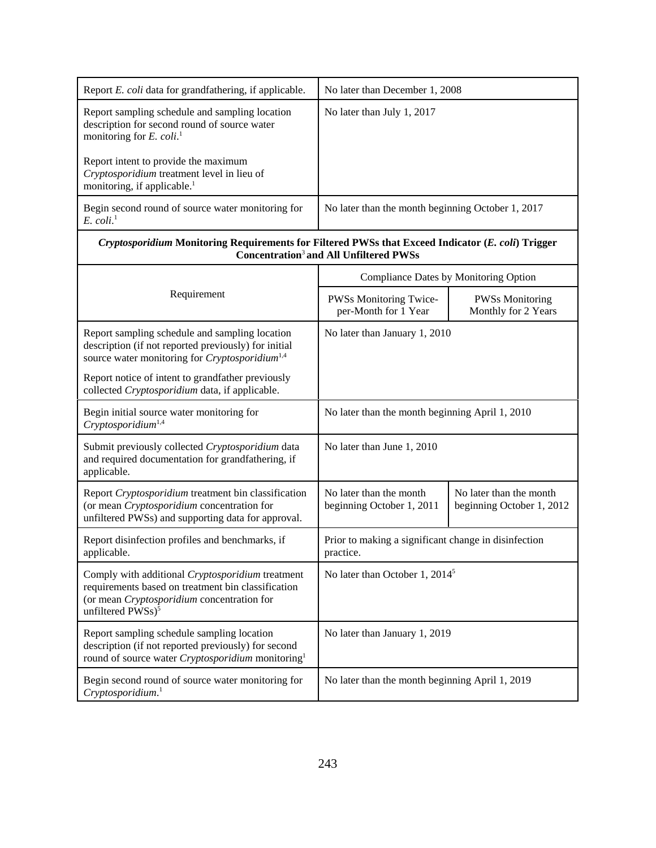| Report E. coli data for grandfathering, if applicable.                                                                                                                                | No later than December 1, 2008                                    |                                                      |  |
|---------------------------------------------------------------------------------------------------------------------------------------------------------------------------------------|-------------------------------------------------------------------|------------------------------------------------------|--|
| Report sampling schedule and sampling location<br>description for second round of source water<br>monitoring for $E.$ coli. <sup>1</sup>                                              | No later than July 1, 2017                                        |                                                      |  |
| Report intent to provide the maximum<br>Cryptosporidium treatment level in lieu of<br>monitoring, if applicable. <sup>1</sup>                                                         |                                                                   |                                                      |  |
| Begin second round of source water monitoring for<br>$E.$ $\text{coli.}^1$                                                                                                            | No later than the month beginning October 1, 2017                 |                                                      |  |
| Cryptosporidium Monitoring Requirements for Filtered PWSs that Exceed Indicator (E. coli) Trigger                                                                                     | <b>Concentration<sup>3</sup> and All Unfiltered PWSs</b>          |                                                      |  |
|                                                                                                                                                                                       | Compliance Dates by Monitoring Option                             |                                                      |  |
| Requirement                                                                                                                                                                           | PWSs Monitoring Twice-<br>per-Month for 1 Year                    | <b>PWSs Monitoring</b><br>Monthly for 2 Years        |  |
| Report sampling schedule and sampling location<br>description (if not reported previously) for initial<br>source water monitoring for Cryptosporidium <sup>1,4</sup>                  | No later than January 1, 2010                                     |                                                      |  |
| Report notice of intent to grandfather previously<br>collected Cryptosporidium data, if applicable.                                                                                   |                                                                   |                                                      |  |
| Begin initial source water monitoring for<br>Cryptosporidium <sup>1,4</sup>                                                                                                           | No later than the month beginning April 1, 2010                   |                                                      |  |
| Submit previously collected Cryptosporidium data<br>and required documentation for grandfathering, if<br>applicable.                                                                  | No later than June 1, 2010                                        |                                                      |  |
| Report Cryptosporidium treatment bin classification<br>(or mean Cryptosporidium concentration for<br>unfiltered PWSs) and supporting data for approval.                               | No later than the month<br>beginning October 1, 2011              | No later than the month<br>beginning October 1, 2012 |  |
| Report disinfection profiles and benchmarks, if<br>applicable.                                                                                                                        | Prior to making a significant change in disinfection<br>practice. |                                                      |  |
| Comply with additional Cryptosporidium treatment<br>requirements based on treatment bin classification<br>(or mean Cryptosporidium concentration for<br>unfiltered PWSs) <sup>5</sup> | No later than October 1, 2014 <sup>5</sup>                        |                                                      |  |
| Report sampling schedule sampling location<br>description (if not reported previously) for second<br>round of source water Cryptosporidium monitoring <sup>1</sup>                    | No later than January 1, 2019                                     |                                                      |  |
| Begin second round of source water monitoring for<br>Cryptosporidium. <sup>1</sup>                                                                                                    | No later than the month beginning April 1, 2019                   |                                                      |  |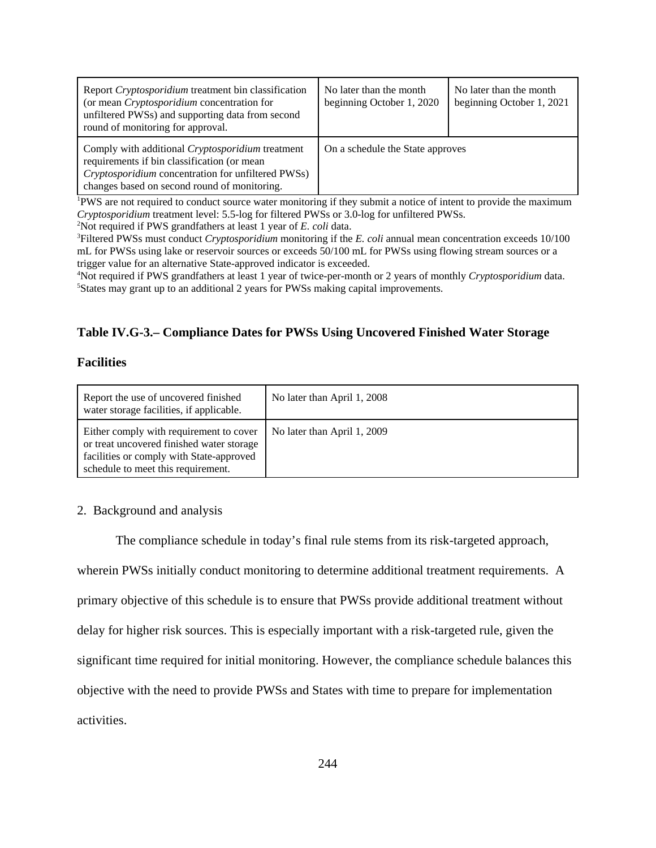| Report Cryptosporidium treatment bin classification<br>(or mean <i>Cryptosporidium</i> concentration for<br>unfiltered PWSs) and supporting data from second<br>round of monitoring for approval.            | No later than the month<br>beginning October 1, 2020 | No later than the month<br>beginning October 1, 2021 |
|--------------------------------------------------------------------------------------------------------------------------------------------------------------------------------------------------------------|------------------------------------------------------|------------------------------------------------------|
| Comply with additional <i>Cryptosporidium</i> treatment<br>requirements if bin classification (or mean<br>Cryptosporidium concentration for unfiltered PWSs)<br>changes based on second round of monitoring. | On a schedule the State approves                     |                                                      |

<sup>1</sup>PWS are not required to conduct source water monitoring if they submit a notice of intent to provide the maximum *Cryptosporidium* treatment level: 5.5-log for filtered PWSs or 3.0-log for unfiltered PWSs.

2 Not required if PWS grandfathers at least 1 year of *E. coli* data.

3 Filtered PWSs must conduct *Cryptosporidium* monitoring if the *E. coli* annual mean concentration exceeds 10/100 mL for PWSs using lake or reservoir sources or exceeds 50/100 mL for PWSs using flowing stream sources or a trigger value for an alternative State-approved indicator is exceeded.

4 Not required if PWS grandfathers at least 1 year of twice-per-month or 2 years of monthly *Cryptosporidium* data. 5 States may grant up to an additional 2 years for PWSs making capital improvements.

# **Table IV.G-3.– Compliance Dates for PWSs Using Uncovered Finished Water Storage**

## **Facilities**

| Report the use of uncovered finished<br>water storage facilities, if applicable.                                                                                       | No later than April 1, 2008 |
|------------------------------------------------------------------------------------------------------------------------------------------------------------------------|-----------------------------|
| Either comply with requirement to cover<br>or treat uncovered finished water storage<br>facilities or comply with State-approved<br>schedule to meet this requirement. | No later than April 1, 2009 |

## 2. Background and analysis

The compliance schedule in today's final rule stems from its risk-targeted approach, wherein PWSs initially conduct monitoring to determine additional treatment requirements. A primary objective of this schedule is to ensure that PWSs provide additional treatment without delay for higher risk sources. This is especially important with a risk-targeted rule, given the significant time required for initial monitoring. However, the compliance schedule balances this objective with the need to provide PWSs and States with time to prepare for implementation activities.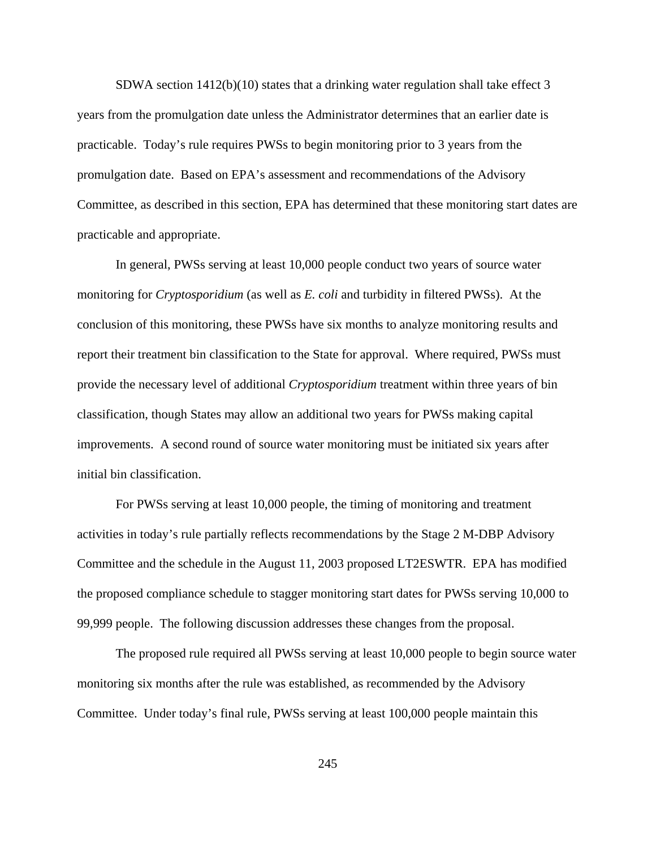SDWA section  $1412(b)(10)$  states that a drinking water regulation shall take effect 3 years from the promulgation date unless the Administrator determines that an earlier date is practicable. Today's rule requires PWSs to begin monitoring prior to 3 years from the promulgation date. Based on EPA's assessment and recommendations of the Advisory Committee, as described in this section, EPA has determined that these monitoring start dates are practicable and appropriate.

In general, PWSs serving at least 10,000 people conduct two years of source water monitoring for *Cryptosporidium* (as well as *E. coli* and turbidity in filtered PWSs). At the conclusion of this monitoring, these PWSs have six months to analyze monitoring results and report their treatment bin classification to the State for approval. Where required, PWSs must provide the necessary level of additional *Cryptosporidium* treatment within three years of bin classification, though States may allow an additional two years for PWSs making capital improvements. A second round of source water monitoring must be initiated six years after initial bin classification.

For PWSs serving at least 10,000 people, the timing of monitoring and treatment activities in today's rule partially reflects recommendations by the Stage 2 M-DBP Advisory Committee and the schedule in the August 11, 2003 proposed LT2ESWTR. EPA has modified the proposed compliance schedule to stagger monitoring start dates for PWSs serving 10,000 to 99,999 people. The following discussion addresses these changes from the proposal.

The proposed rule required all PWSs serving at least 10,000 people to begin source water monitoring six months after the rule was established, as recommended by the Advisory Committee. Under today's final rule, PWSs serving at least 100,000 people maintain this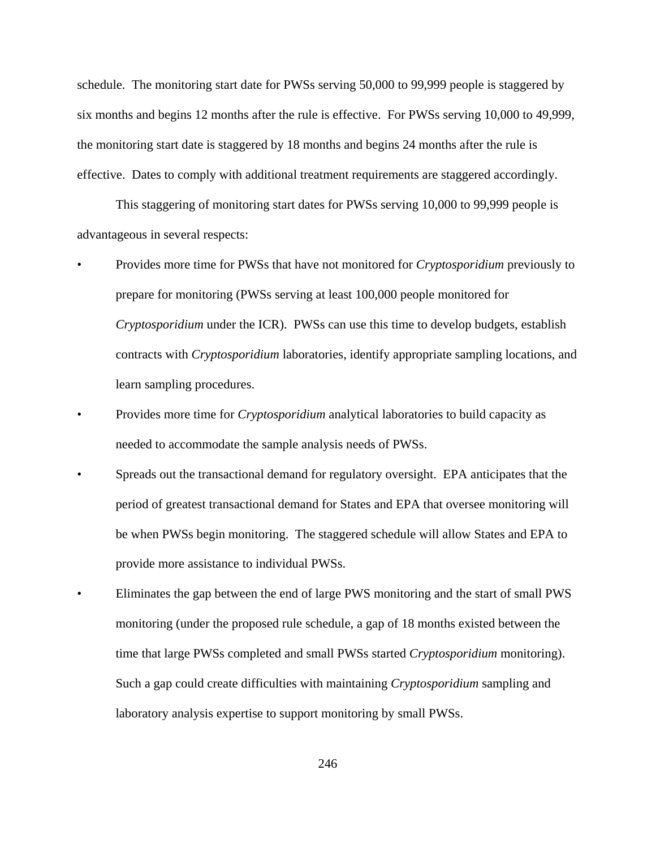schedule. The monitoring start date for PWSs serving 50,000 to 99,999 people is staggered by six months and begins 12 months after the rule is effective. For PWSs serving 10,000 to 49,999, the monitoring start date is staggered by 18 months and begins 24 months after the rule is effective. Dates to comply with additional treatment requirements are staggered accordingly.

This staggering of monitoring start dates for PWSs serving 10,000 to 99,999 people is advantageous in several respects:

- Provides more time for PWSs that have not monitored for *Cryptosporidium* previously to prepare for monitoring (PWSs serving at least 100,000 people monitored for *Cryptosporidium* under the ICR). PWSs can use this time to develop budgets, establish contracts with *Cryptosporidium* laboratories, identify appropriate sampling locations, and learn sampling procedures.
- Provides more time for *Cryptosporidium* analytical laboratories to build capacity as needed to accommodate the sample analysis needs of PWSs.
- Spreads out the transactional demand for regulatory oversight. EPA anticipates that the period of greatest transactional demand for States and EPA that oversee monitoring will be when PWSs begin monitoring. The staggered schedule will allow States and EPA to provide more assistance to individual PWSs.
- Eliminates the gap between the end of large PWS monitoring and the start of small PWS monitoring (under the proposed rule schedule, a gap of 18 months existed between the time that large PWSs completed and small PWSs started *Cryptosporidium* monitoring). Such a gap could create difficulties with maintaining *Cryptosporidium* sampling and laboratory analysis expertise to support monitoring by small PWSs.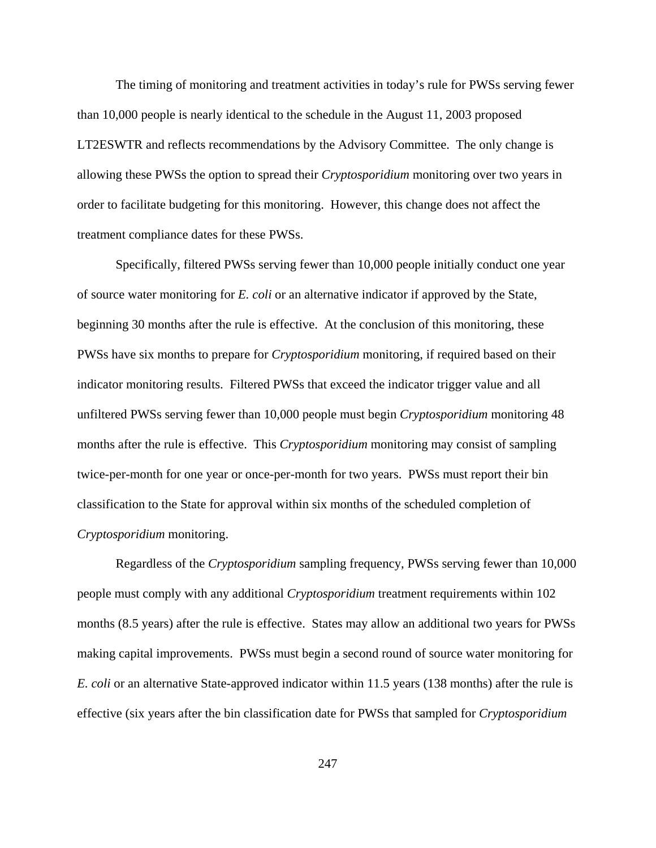The timing of monitoring and treatment activities in today's rule for PWSs serving fewer than 10,000 people is nearly identical to the schedule in the August 11, 2003 proposed LT2ESWTR and reflects recommendations by the Advisory Committee. The only change is allowing these PWSs the option to spread their *Cryptosporidium* monitoring over two years in order to facilitate budgeting for this monitoring. However, this change does not affect the treatment compliance dates for these PWSs.

Specifically, filtered PWSs serving fewer than 10,000 people initially conduct one year of source water monitoring for *E. coli* or an alternative indicator if approved by the State, beginning 30 months after the rule is effective. At the conclusion of this monitoring, these PWSs have six months to prepare for *Cryptosporidium* monitoring, if required based on their indicator monitoring results. Filtered PWSs that exceed the indicator trigger value and all unfiltered PWSs serving fewer than 10,000 people must begin *Cryptosporidium* monitoring 48 months after the rule is effective. This *Cryptosporidium* monitoring may consist of sampling twice-per-month for one year or once-per-month for two years. PWSs must report their bin classification to the State for approval within six months of the scheduled completion of *Cryptosporidium* monitoring.

Regardless of the *Cryptosporidium* sampling frequency, PWSs serving fewer than 10,000 people must comply with any additional *Cryptosporidium* treatment requirements within 102 months (8.5 years) after the rule is effective. States may allow an additional two years for PWSs making capital improvements. PWSs must begin a second round of source water monitoring for *E. coli* or an alternative State-approved indicator within 11.5 years (138 months) after the rule is effective (six years after the bin classification date for PWSs that sampled for *Cryptosporidium*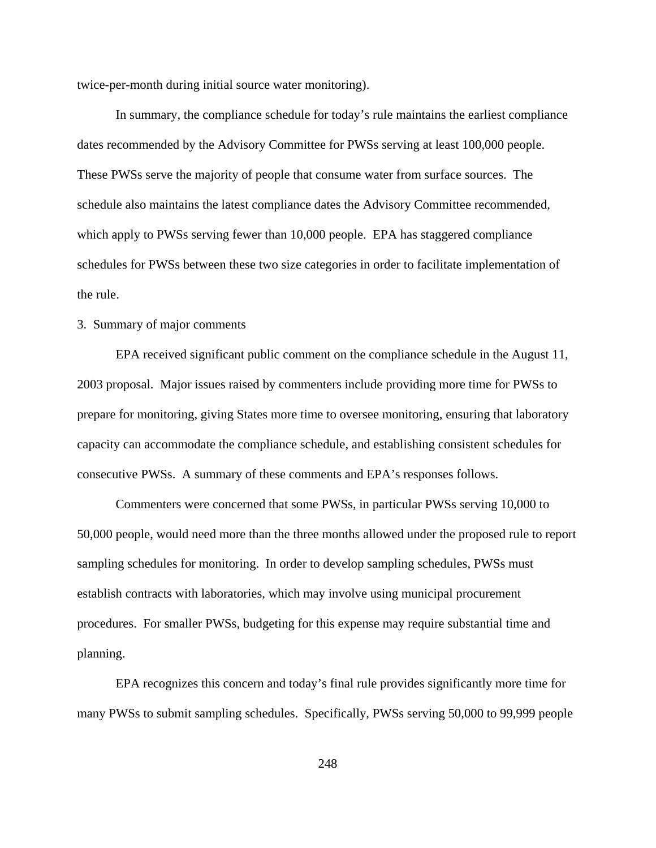twice-per-month during initial source water monitoring).

In summary, the compliance schedule for today's rule maintains the earliest compliance dates recommended by the Advisory Committee for PWSs serving at least 100,000 people. These PWSs serve the majority of people that consume water from surface sources. The schedule also maintains the latest compliance dates the Advisory Committee recommended, which apply to PWSs serving fewer than 10,000 people. EPA has staggered compliance schedules for PWSs between these two size categories in order to facilitate implementation of the rule.

## 3. Summary of major comments

EPA received significant public comment on the compliance schedule in the August 11, 2003 proposal. Major issues raised by commenters include providing more time for PWSs to prepare for monitoring, giving States more time to oversee monitoring, ensuring that laboratory capacity can accommodate the compliance schedule, and establishing consistent schedules for consecutive PWSs. A summary of these comments and EPA's responses follows.

Commenters were concerned that some PWSs, in particular PWSs serving 10,000 to 50,000 people, would need more than the three months allowed under the proposed rule to report sampling schedules for monitoring. In order to develop sampling schedules, PWSs must establish contracts with laboratories, which may involve using municipal procurement procedures. For smaller PWSs, budgeting for this expense may require substantial time and planning.

EPA recognizes this concern and today's final rule provides significantly more time for many PWSs to submit sampling schedules. Specifically, PWSs serving 50,000 to 99,999 people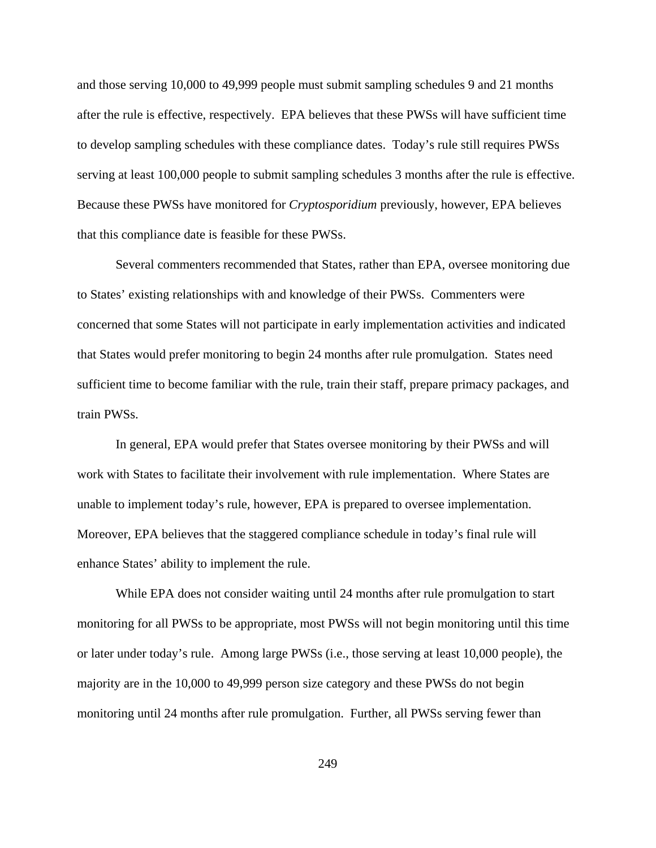and those serving 10,000 to 49,999 people must submit sampling schedules 9 and 21 months after the rule is effective, respectively. EPA believes that these PWSs will have sufficient time to develop sampling schedules with these compliance dates. Today's rule still requires PWSs serving at least 100,000 people to submit sampling schedules 3 months after the rule is effective. Because these PWSs have monitored for *Cryptosporidium* previously, however, EPA believes that this compliance date is feasible for these PWSs.

Several commenters recommended that States, rather than EPA, oversee monitoring due to States' existing relationships with and knowledge of their PWSs. Commenters were concerned that some States will not participate in early implementation activities and indicated that States would prefer monitoring to begin 24 months after rule promulgation. States need sufficient time to become familiar with the rule, train their staff, prepare primacy packages, and train PWSs.

In general, EPA would prefer that States oversee monitoring by their PWSs and will work with States to facilitate their involvement with rule implementation. Where States are unable to implement today's rule, however, EPA is prepared to oversee implementation. Moreover, EPA believes that the staggered compliance schedule in today's final rule will enhance States' ability to implement the rule.

While EPA does not consider waiting until 24 months after rule promulgation to start monitoring for all PWSs to be appropriate, most PWSs will not begin monitoring until this time or later under today's rule. Among large PWSs (i.e., those serving at least 10,000 people), the majority are in the 10,000 to 49,999 person size category and these PWSs do not begin monitoring until 24 months after rule promulgation. Further, all PWSs serving fewer than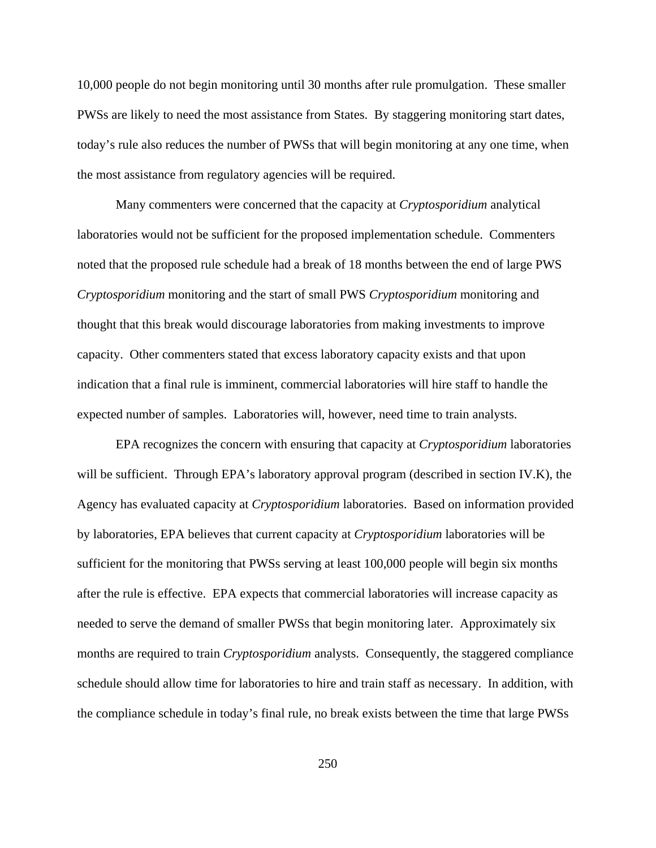10,000 people do not begin monitoring until 30 months after rule promulgation. These smaller PWSs are likely to need the most assistance from States. By staggering monitoring start dates, today's rule also reduces the number of PWSs that will begin monitoring at any one time, when the most assistance from regulatory agencies will be required.

Many commenters were concerned that the capacity at *Cryptosporidium* analytical laboratories would not be sufficient for the proposed implementation schedule. Commenters noted that the proposed rule schedule had a break of 18 months between the end of large PWS *Cryptosporidium* monitoring and the start of small PWS *Cryptosporidium* monitoring and thought that this break would discourage laboratories from making investments to improve capacity. Other commenters stated that excess laboratory capacity exists and that upon indication that a final rule is imminent, commercial laboratories will hire staff to handle the expected number of samples. Laboratories will, however, need time to train analysts.

EPA recognizes the concern with ensuring that capacity at *Cryptosporidium* laboratories will be sufficient. Through EPA's laboratory approval program (described in section IV.K), the Agency has evaluated capacity at *Cryptosporidium* laboratories. Based on information provided by laboratories, EPA believes that current capacity at *Cryptosporidium* laboratories will be sufficient for the monitoring that PWSs serving at least 100,000 people will begin six months after the rule is effective. EPA expects that commercial laboratories will increase capacity as needed to serve the demand of smaller PWSs that begin monitoring later. Approximately six months are required to train *Cryptosporidium* analysts. Consequently, the staggered compliance schedule should allow time for laboratories to hire and train staff as necessary. In addition, with the compliance schedule in today's final rule, no break exists between the time that large PWSs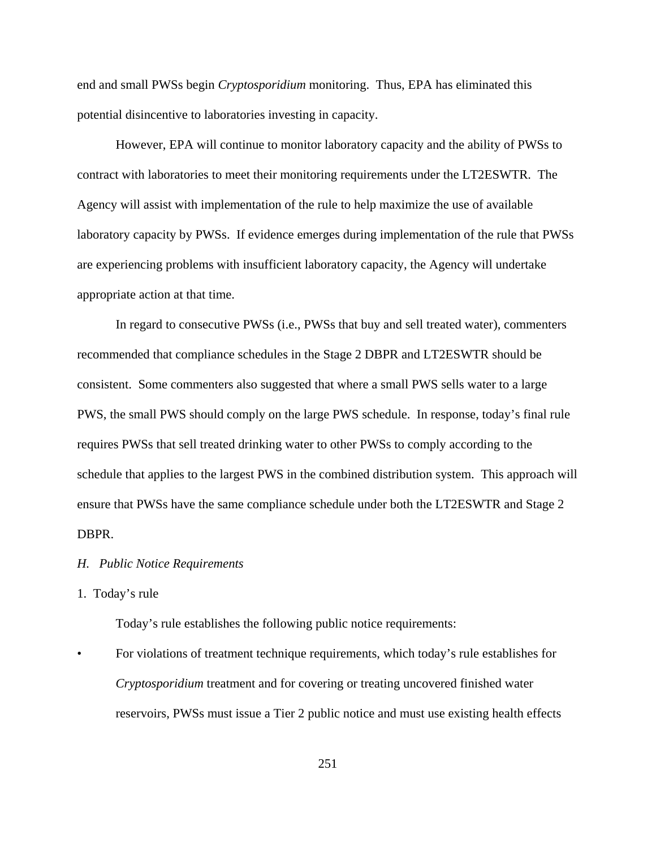end and small PWSs begin *Cryptosporidium* monitoring. Thus, EPA has eliminated this potential disincentive to laboratories investing in capacity.

However, EPA will continue to monitor laboratory capacity and the ability of PWSs to contract with laboratories to meet their monitoring requirements under the LT2ESWTR. The Agency will assist with implementation of the rule to help maximize the use of available laboratory capacity by PWSs. If evidence emerges during implementation of the rule that PWSs are experiencing problems with insufficient laboratory capacity, the Agency will undertake appropriate action at that time.

In regard to consecutive PWSs (i.e., PWSs that buy and sell treated water), commenters recommended that compliance schedules in the Stage 2 DBPR and LT2ESWTR should be consistent. Some commenters also suggested that where a small PWS sells water to a large PWS, the small PWS should comply on the large PWS schedule. In response, today's final rule requires PWSs that sell treated drinking water to other PWSs to comply according to the schedule that applies to the largest PWS in the combined distribution system. This approach will ensure that PWSs have the same compliance schedule under both the LT2ESWTR and Stage 2 DBPR.

### *H. Public Notice Requirements*

### 1. Today's rule

Today's rule establishes the following public notice requirements:

• For violations of treatment technique requirements, which today's rule establishes for *Cryptosporidium* treatment and for covering or treating uncovered finished water reservoirs, PWSs must issue a Tier 2 public notice and must use existing health effects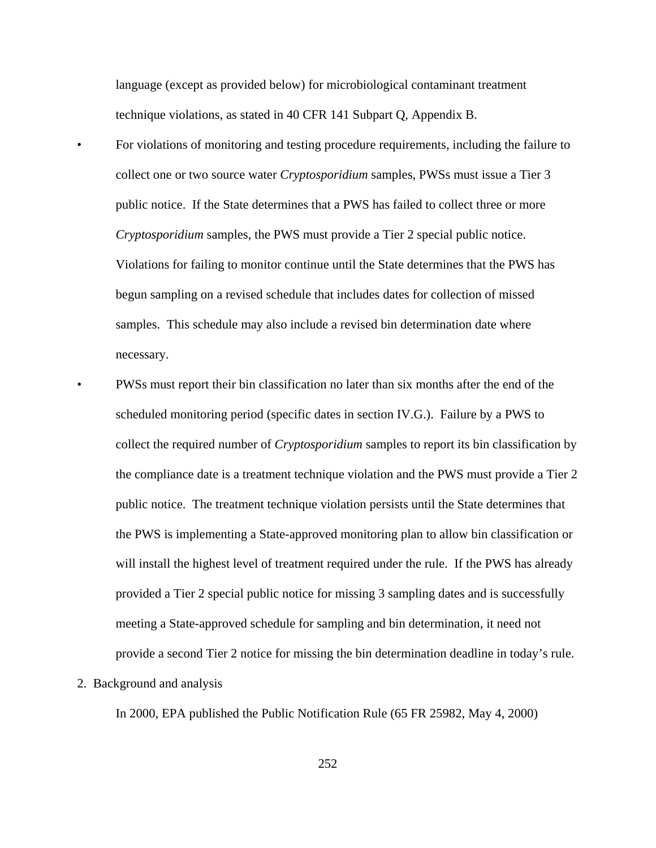language (except as provided below) for microbiological contaminant treatment technique violations, as stated in 40 CFR 141 Subpart Q, Appendix B.

• For violations of monitoring and testing procedure requirements, including the failure to collect one or two source water *Cryptosporidium* samples, PWSs must issue a Tier 3 public notice. If the State determines that a PWS has failed to collect three or more *Cryptosporidium* samples, the PWS must provide a Tier 2 special public notice. Violations for failing to monitor continue until the State determines that the PWS has begun sampling on a revised schedule that includes dates for collection of missed samples. This schedule may also include a revised bin determination date where necessary.

- PWSs must report their bin classification no later than six months after the end of the scheduled monitoring period (specific dates in section IV.G.). Failure by a PWS to collect the required number of *Cryptosporidium* samples to report its bin classification by the compliance date is a treatment technique violation and the PWS must provide a Tier 2 public notice. The treatment technique violation persists until the State determines that the PWS is implementing a State-approved monitoring plan to allow bin classification or will install the highest level of treatment required under the rule. If the PWS has already provided a Tier 2 special public notice for missing 3 sampling dates and is successfully meeting a State-approved schedule for sampling and bin determination, it need not provide a second Tier 2 notice for missing the bin determination deadline in today's rule.
- 2. Background and analysis

In 2000, EPA published the Public Notification Rule (65 FR 25982, May 4, 2000)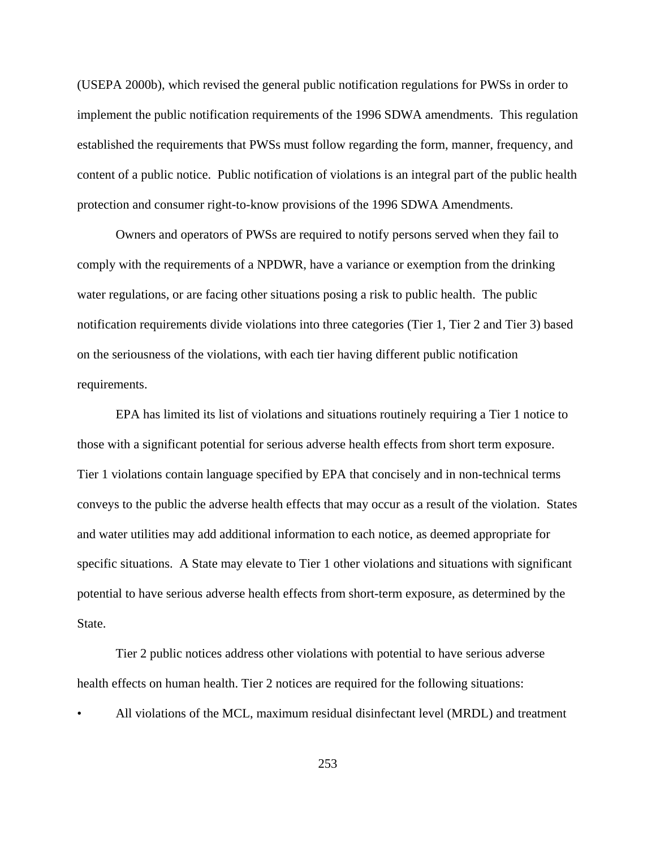(USEPA 2000b), which revised the general public notification regulations for PWSs in order to implement the public notification requirements of the 1996 SDWA amendments. This regulation established the requirements that PWSs must follow regarding the form, manner, frequency, and content of a public notice. Public notification of violations is an integral part of the public health protection and consumer right-to-know provisions of the 1996 SDWA Amendments.

Owners and operators of PWSs are required to notify persons served when they fail to comply with the requirements of a NPDWR, have a variance or exemption from the drinking water regulations, or are facing other situations posing a risk to public health. The public notification requirements divide violations into three categories (Tier 1, Tier 2 and Tier 3) based on the seriousness of the violations, with each tier having different public notification requirements.

EPA has limited its list of violations and situations routinely requiring a Tier 1 notice to those with a significant potential for serious adverse health effects from short term exposure. Tier 1 violations contain language specified by EPA that concisely and in non-technical terms conveys to the public the adverse health effects that may occur as a result of the violation. States and water utilities may add additional information to each notice, as deemed appropriate for specific situations. A State may elevate to Tier 1 other violations and situations with significant potential to have serious adverse health effects from short-term exposure, as determined by the State.

Tier 2 public notices address other violations with potential to have serious adverse health effects on human health. Tier 2 notices are required for the following situations:

• All violations of the MCL, maximum residual disinfectant level (MRDL) and treatment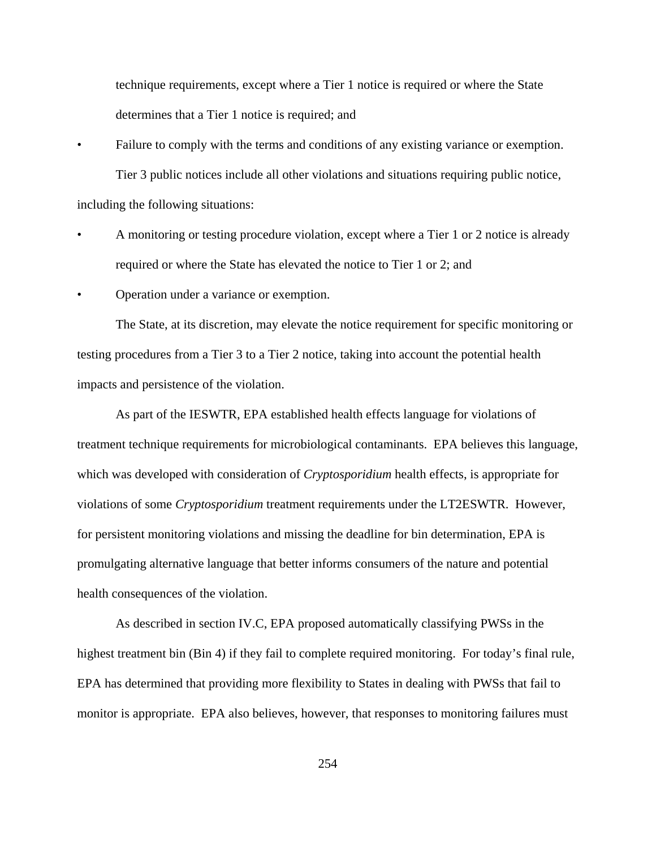technique requirements, except where a Tier 1 notice is required or where the State determines that a Tier 1 notice is required; and

- Failure to comply with the terms and conditions of any existing variance or exemption. Tier 3 public notices include all other violations and situations requiring public notice, including the following situations:
- A monitoring or testing procedure violation, except where a Tier 1 or 2 notice is already required or where the State has elevated the notice to Tier 1 or 2; and
- Operation under a variance or exemption.

The State, at its discretion, may elevate the notice requirement for specific monitoring or testing procedures from a Tier 3 to a Tier 2 notice, taking into account the potential health impacts and persistence of the violation.

As part of the IESWTR, EPA established health effects language for violations of treatment technique requirements for microbiological contaminants. EPA believes this language, which was developed with consideration of *Cryptosporidium* health effects, is appropriate for violations of some *Cryptosporidium* treatment requirements under the LT2ESWTR. However, for persistent monitoring violations and missing the deadline for bin determination, EPA is promulgating alternative language that better informs consumers of the nature and potential health consequences of the violation.

As described in section IV.C, EPA proposed automatically classifying PWSs in the highest treatment bin (Bin 4) if they fail to complete required monitoring. For today's final rule, EPA has determined that providing more flexibility to States in dealing with PWSs that fail to monitor is appropriate. EPA also believes, however, that responses to monitoring failures must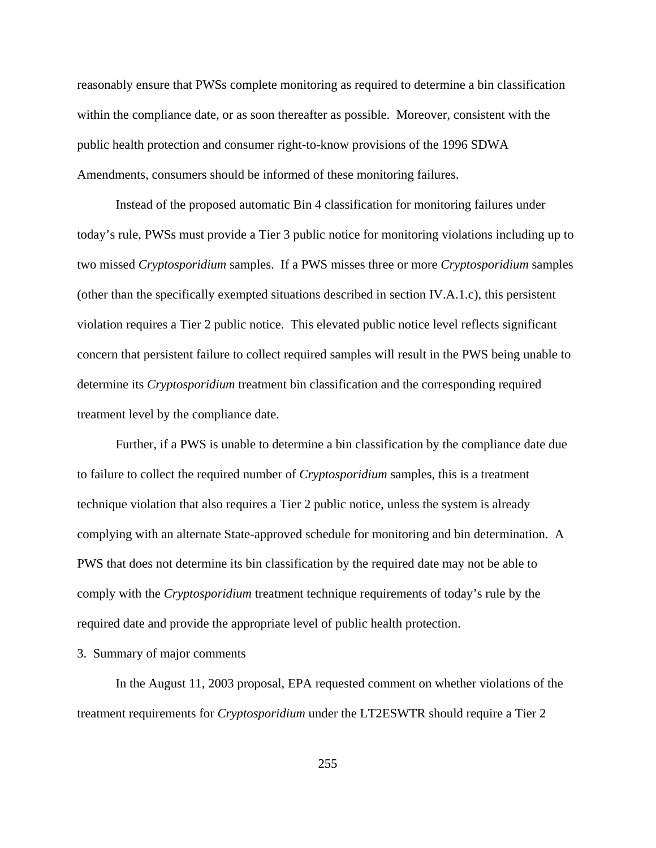reasonably ensure that PWSs complete monitoring as required to determine a bin classification within the compliance date, or as soon thereafter as possible. Moreover, consistent with the public health protection and consumer right-to-know provisions of the 1996 SDWA Amendments, consumers should be informed of these monitoring failures.

Instead of the proposed automatic Bin 4 classification for monitoring failures under today's rule, PWSs must provide a Tier 3 public notice for monitoring violations including up to two missed *Cryptosporidium* samples. If a PWS misses three or more *Cryptosporidium* samples (other than the specifically exempted situations described in section IV.A.1.c), this persistent violation requires a Tier 2 public notice. This elevated public notice level reflects significant concern that persistent failure to collect required samples will result in the PWS being unable to determine its *Cryptosporidium* treatment bin classification and the corresponding required treatment level by the compliance date.

Further, if a PWS is unable to determine a bin classification by the compliance date due to failure to collect the required number of *Cryptosporidium* samples, this is a treatment technique violation that also requires a Tier 2 public notice, unless the system is already complying with an alternate State-approved schedule for monitoring and bin determination. A PWS that does not determine its bin classification by the required date may not be able to comply with the *Cryptosporidium* treatment technique requirements of today's rule by the required date and provide the appropriate level of public health protection.

# 3. Summary of major comments

In the August 11, 2003 proposal, EPA requested comment on whether violations of the treatment requirements for *Cryptosporidium* under the LT2ESWTR should require a Tier 2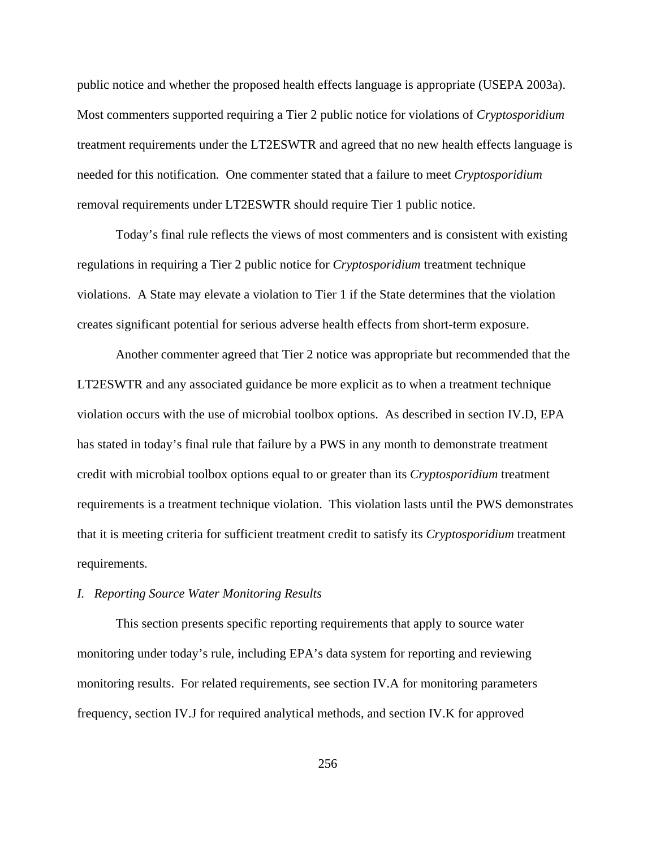public notice and whether the proposed health effects language is appropriate (USEPA 2003a). Most commenters supported requiring a Tier 2 public notice for violations of *Cryptosporidium* treatment requirements under the LT2ESWTR and agreed that no new health effects language is needed for this notification*.* One commenter stated that a failure to meet *Cryptosporidium* removal requirements under LT2ESWTR should require Tier 1 public notice.

Today's final rule reflects the views of most commenters and is consistent with existing regulations in requiring a Tier 2 public notice for *Cryptosporidium* treatment technique violations. A State may elevate a violation to Tier 1 if the State determines that the violation creates significant potential for serious adverse health effects from short-term exposure.

Another commenter agreed that Tier 2 notice was appropriate but recommended that the LT2ESWTR and any associated guidance be more explicit as to when a treatment technique violation occurs with the use of microbial toolbox options. As described in section IV.D, EPA has stated in today's final rule that failure by a PWS in any month to demonstrate treatment credit with microbial toolbox options equal to or greater than its *Cryptosporidium* treatment requirements is a treatment technique violation. This violation lasts until the PWS demonstrates that it is meeting criteria for sufficient treatment credit to satisfy its *Cryptosporidium* treatment requirements.

# *I. Reporting Source Water Monitoring Results*

This section presents specific reporting requirements that apply to source water monitoring under today's rule, including EPA's data system for reporting and reviewing monitoring results. For related requirements, see section IV.A for monitoring parameters frequency, section IV.J for required analytical methods, and section IV.K for approved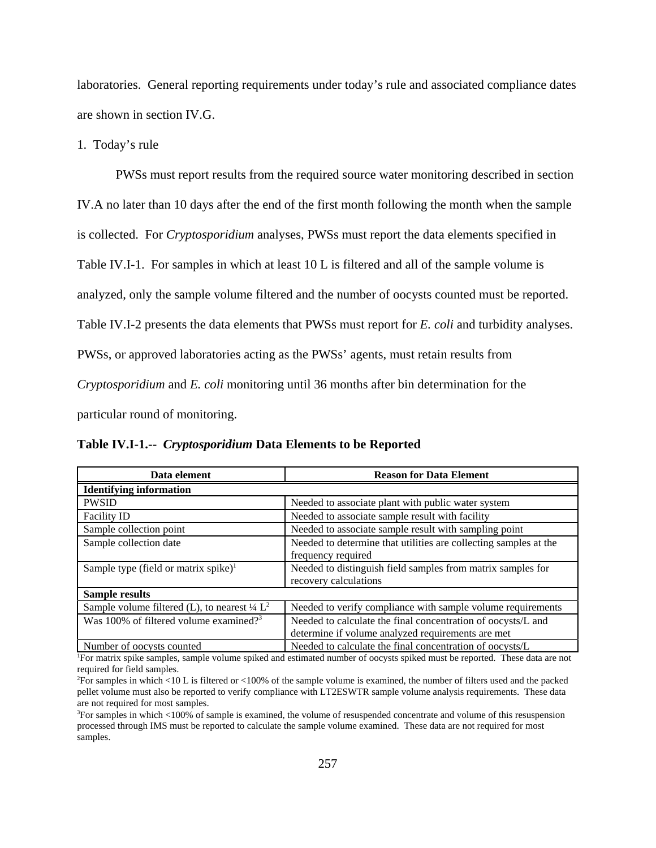laboratories. General reporting requirements under today's rule and associated compliance dates are shown in section IV.G.

# 1. Today's rule

PWSs must report results from the required source water monitoring described in section IV.A no later than 10 days after the end of the first month following the month when the sample is collected. For *Cryptosporidium* analyses, PWSs must report the data elements specified in Table IV.I-1. For samples in which at least 10 L is filtered and all of the sample volume is analyzed, only the sample volume filtered and the number of oocysts counted must be reported. Table IV.I-2 presents the data elements that PWSs must report for *E. coli* and turbidity analyses. PWSs, or approved laboratories acting as the PWSs' agents, must retain results from *Cryptosporidium* and *E. coli* monitoring until 36 months after bin determination for the particular round of monitoring.

**Table IV.I-1.--** *Cryptosporidium* **Data Elements to be Reported**

| Data element                                                                                                                            | <b>Reason for Data Element</b>                                   |  |  |  |
|-----------------------------------------------------------------------------------------------------------------------------------------|------------------------------------------------------------------|--|--|--|
| <b>Identifying information</b>                                                                                                          |                                                                  |  |  |  |
| <b>PWSID</b>                                                                                                                            | Needed to associate plant with public water system               |  |  |  |
| <b>Facility ID</b>                                                                                                                      | Needed to associate sample result with facility                  |  |  |  |
| Sample collection point                                                                                                                 | Needed to associate sample result with sampling point            |  |  |  |
| Sample collection date                                                                                                                  | Needed to determine that utilities are collecting samples at the |  |  |  |
|                                                                                                                                         | frequency required                                               |  |  |  |
| Sample type (field or matrix spike) $1$                                                                                                 | Needed to distinguish field samples from matrix samples for      |  |  |  |
|                                                                                                                                         | recovery calculations                                            |  |  |  |
| <b>Sample results</b>                                                                                                                   |                                                                  |  |  |  |
| Sample volume filtered (L), to nearest $\frac{1}{4} L^2$                                                                                | Needed to verify compliance with sample volume requirements      |  |  |  |
| Was 100% of filtered volume examined? <sup>3</sup>                                                                                      | Needed to calculate the final concentration of oocysts/L and     |  |  |  |
|                                                                                                                                         | determine if volume analyzed requirements are met                |  |  |  |
| Number of oocysts counted                                                                                                               | Needed to calculate the final concentration of oocysts/L         |  |  |  |
| <sup>1</sup> For matrix spike samples, sample volume spiked and estimated number of oocysts spiked must be reported. These data are not |                                                                  |  |  |  |

required for field samples.

3 For samples in which <100% of sample is examined, the volume of resuspended concentrate and volume of this resuspension processed through IMS must be reported to calculate the sample volume examined. These data are not required for most samples.

<sup>2</sup> For samples in which <10 L is filtered or <100% of the sample volume is examined, the number of filters used and the packed pellet volume must also be reported to verify compliance with LT2ESWTR sample volume analysis requirements. These data are not required for most samples.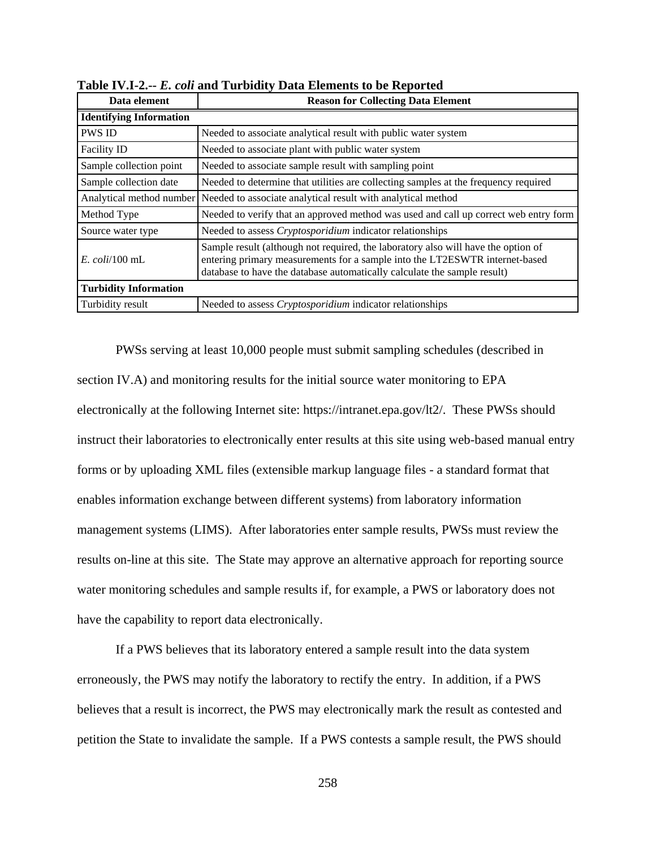| Data element                   | <b>Reason for Collecting Data Element</b>                                                                                                                                                                                                    |  |  |  |  |
|--------------------------------|----------------------------------------------------------------------------------------------------------------------------------------------------------------------------------------------------------------------------------------------|--|--|--|--|
| <b>Identifying Information</b> |                                                                                                                                                                                                                                              |  |  |  |  |
| <b>PWS ID</b>                  | Needed to associate analytical result with public water system                                                                                                                                                                               |  |  |  |  |
| Facility ID                    | Needed to associate plant with public water system                                                                                                                                                                                           |  |  |  |  |
| Sample collection point        | Needed to associate sample result with sampling point                                                                                                                                                                                        |  |  |  |  |
| Sample collection date         | Needed to determine that utilities are collecting samples at the frequency required                                                                                                                                                          |  |  |  |  |
|                                | Analytical method number Needed to associate analytical result with analytical method                                                                                                                                                        |  |  |  |  |
| Method Type                    | Needed to verify that an approved method was used and call up correct web entry form                                                                                                                                                         |  |  |  |  |
| Source water type              | Needed to assess <i>Cryptosporidium</i> indicator relationships                                                                                                                                                                              |  |  |  |  |
| $E.$ coli/100 mL               | Sample result (although not required, the laboratory also will have the option of<br>entering primary measurements for a sample into the LT2ESWTR internet-based<br>database to have the database automatically calculate the sample result) |  |  |  |  |
| <b>Turbidity Information</b>   |                                                                                                                                                                                                                                              |  |  |  |  |
| Turbidity result               | Needed to assess <i>Cryptosporidium</i> indicator relationships                                                                                                                                                                              |  |  |  |  |

**Table IV.I-2.--** *E. coli* **and Turbidity Data Elements to be Reported**

PWSs serving at least 10,000 people must submit sampling schedules (described in section IV.A) and monitoring results for the initial source water monitoring to EPA electronically at the following Internet site: https://intranet.epa.gov/lt2/. These PWSs should instruct their laboratories to electronically enter results at this site using web-based manual entry forms or by uploading XML files (extensible markup language files - a standard format that enables information exchange between different systems) from laboratory information management systems (LIMS). After laboratories enter sample results, PWSs must review the results on-line at this site. The State may approve an alternative approach for reporting source water monitoring schedules and sample results if, for example, a PWS or laboratory does not have the capability to report data electronically.

If a PWS believes that its laboratory entered a sample result into the data system erroneously, the PWS may notify the laboratory to rectify the entry. In addition, if a PWS believes that a result is incorrect, the PWS may electronically mark the result as contested and petition the State to invalidate the sample. If a PWS contests a sample result, the PWS should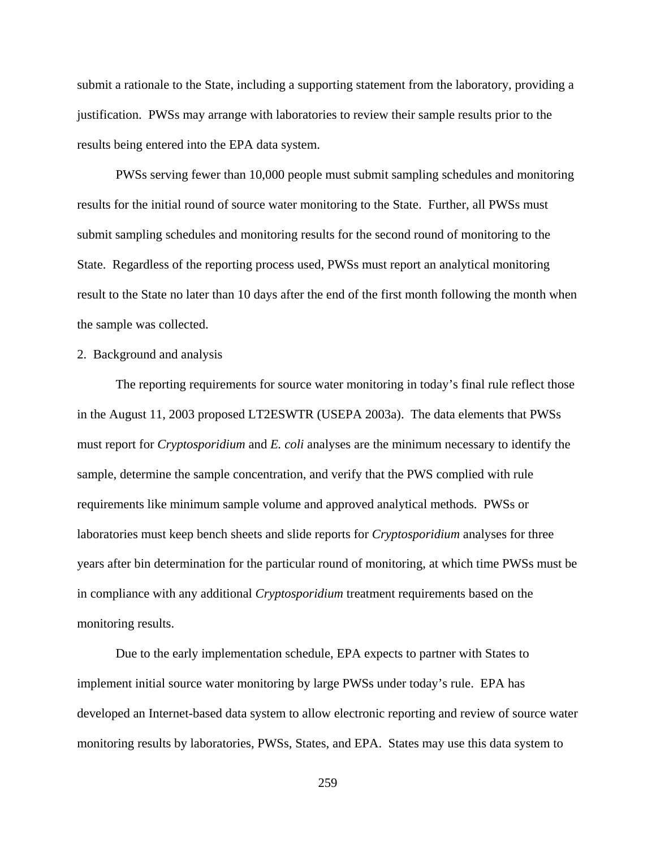submit a rationale to the State, including a supporting statement from the laboratory, providing a justification. PWSs may arrange with laboratories to review their sample results prior to the results being entered into the EPA data system.

PWSs serving fewer than 10,000 people must submit sampling schedules and monitoring results for the initial round of source water monitoring to the State. Further, all PWSs must submit sampling schedules and monitoring results for the second round of monitoring to the State. Regardless of the reporting process used, PWSs must report an analytical monitoring result to the State no later than 10 days after the end of the first month following the month when the sample was collected.

# 2. Background and analysis

The reporting requirements for source water monitoring in today's final rule reflect those in the August 11, 2003 proposed LT2ESWTR (USEPA 2003a). The data elements that PWSs must report for *Cryptosporidium* and *E. coli* analyses are the minimum necessary to identify the sample, determine the sample concentration, and verify that the PWS complied with rule requirements like minimum sample volume and approved analytical methods. PWSs or laboratories must keep bench sheets and slide reports for *Cryptosporidium* analyses for three years after bin determination for the particular round of monitoring, at which time PWSs must be in compliance with any additional *Cryptosporidium* treatment requirements based on the monitoring results.

Due to the early implementation schedule, EPA expects to partner with States to implement initial source water monitoring by large PWSs under today's rule. EPA has developed an Internet-based data system to allow electronic reporting and review of source water monitoring results by laboratories, PWSs, States, and EPA. States may use this data system to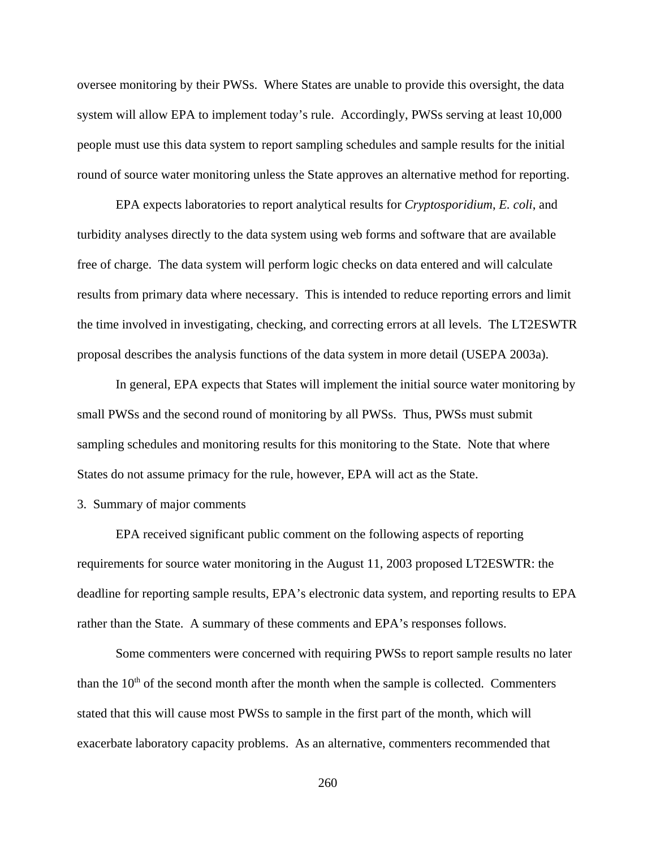oversee monitoring by their PWSs. Where States are unable to provide this oversight, the data system will allow EPA to implement today's rule. Accordingly, PWSs serving at least 10,000 people must use this data system to report sampling schedules and sample results for the initial round of source water monitoring unless the State approves an alternative method for reporting.

EPA expects laboratories to report analytical results for *Cryptosporidium*, *E. coli*, and turbidity analyses directly to the data system using web forms and software that are available free of charge. The data system will perform logic checks on data entered and will calculate results from primary data where necessary. This is intended to reduce reporting errors and limit the time involved in investigating, checking, and correcting errors at all levels. The LT2ESWTR proposal describes the analysis functions of the data system in more detail (USEPA 2003a).

In general, EPA expects that States will implement the initial source water monitoring by small PWSs and the second round of monitoring by all PWSs. Thus, PWSs must submit sampling schedules and monitoring results for this monitoring to the State. Note that where States do not assume primacy for the rule, however, EPA will act as the State.

3. Summary of major comments

EPA received significant public comment on the following aspects of reporting requirements for source water monitoring in the August 11, 2003 proposed LT2ESWTR: the deadline for reporting sample results, EPA's electronic data system, and reporting results to EPA rather than the State. A summary of these comments and EPA's responses follows.

Some commenters were concerned with requiring PWSs to report sample results no later than the  $10<sup>th</sup>$  of the second month after the month when the sample is collected. Commenters stated that this will cause most PWSs to sample in the first part of the month, which will exacerbate laboratory capacity problems. As an alternative, commenters recommended that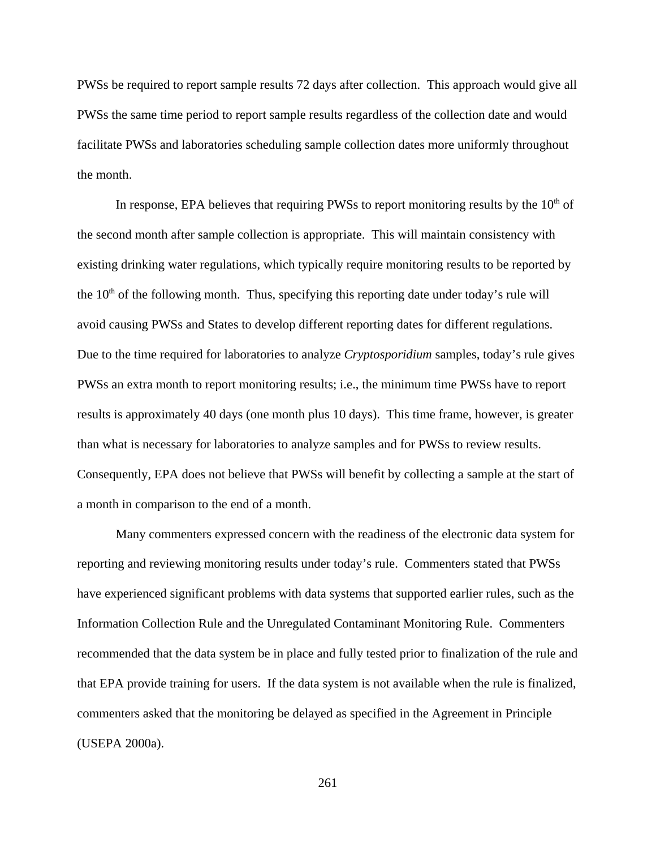PWSs be required to report sample results 72 days after collection. This approach would give all PWSs the same time period to report sample results regardless of the collection date and would facilitate PWSs and laboratories scheduling sample collection dates more uniformly throughout the month.

In response, EPA believes that requiring PWSs to report monitoring results by the  $10<sup>th</sup>$  of the second month after sample collection is appropriate. This will maintain consistency with existing drinking water regulations, which typically require monitoring results to be reported by the  $10<sup>th</sup>$  of the following month. Thus, specifying this reporting date under today's rule will avoid causing PWSs and States to develop different reporting dates for different regulations. Due to the time required for laboratories to analyze *Cryptosporidium* samples, today's rule gives PWSs an extra month to report monitoring results; i.e., the minimum time PWSs have to report results is approximately 40 days (one month plus 10 days). This time frame, however, is greater than what is necessary for laboratories to analyze samples and for PWSs to review results. Consequently, EPA does not believe that PWSs will benefit by collecting a sample at the start of a month in comparison to the end of a month.

Many commenters expressed concern with the readiness of the electronic data system for reporting and reviewing monitoring results under today's rule. Commenters stated that PWSs have experienced significant problems with data systems that supported earlier rules, such as the Information Collection Rule and the Unregulated Contaminant Monitoring Rule. Commenters recommended that the data system be in place and fully tested prior to finalization of the rule and that EPA provide training for users. If the data system is not available when the rule is finalized, commenters asked that the monitoring be delayed as specified in the Agreement in Principle (USEPA 2000a).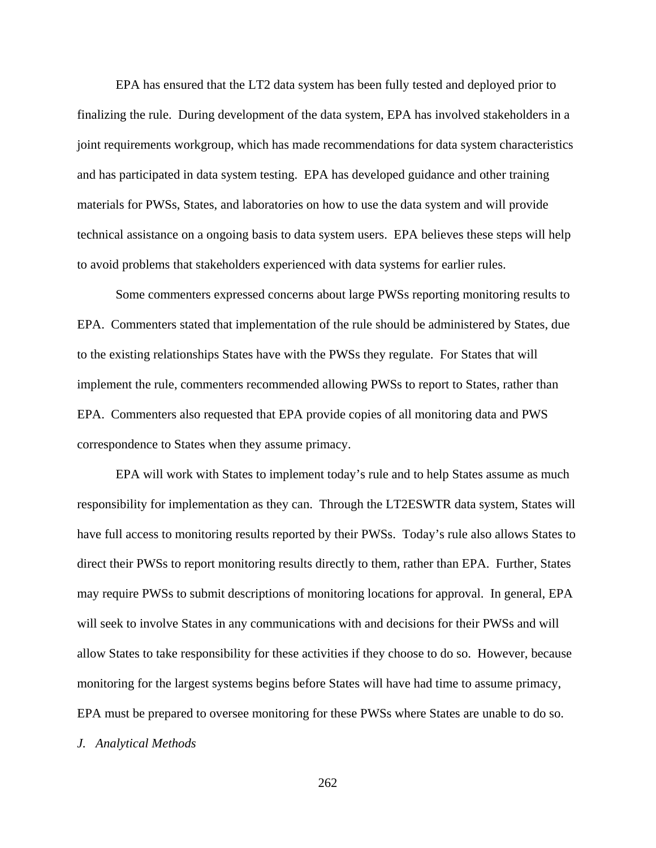EPA has ensured that the LT2 data system has been fully tested and deployed prior to finalizing the rule. During development of the data system, EPA has involved stakeholders in a joint requirements workgroup, which has made recommendations for data system characteristics and has participated in data system testing. EPA has developed guidance and other training materials for PWSs, States, and laboratories on how to use the data system and will provide technical assistance on a ongoing basis to data system users. EPA believes these steps will help to avoid problems that stakeholders experienced with data systems for earlier rules.

Some commenters expressed concerns about large PWSs reporting monitoring results to EPA. Commenters stated that implementation of the rule should be administered by States, due to the existing relationships States have with the PWSs they regulate. For States that will implement the rule, commenters recommended allowing PWSs to report to States, rather than EPA. Commenters also requested that EPA provide copies of all monitoring data and PWS correspondence to States when they assume primacy.

EPA will work with States to implement today's rule and to help States assume as much responsibility for implementation as they can. Through the LT2ESWTR data system, States will have full access to monitoring results reported by their PWSs. Today's rule also allows States to direct their PWSs to report monitoring results directly to them, rather than EPA. Further, States may require PWSs to submit descriptions of monitoring locations for approval. In general, EPA will seek to involve States in any communications with and decisions for their PWSs and will allow States to take responsibility for these activities if they choose to do so. However, because monitoring for the largest systems begins before States will have had time to assume primacy, EPA must be prepared to oversee monitoring for these PWSs where States are unable to do so.

*J. Analytical Methods*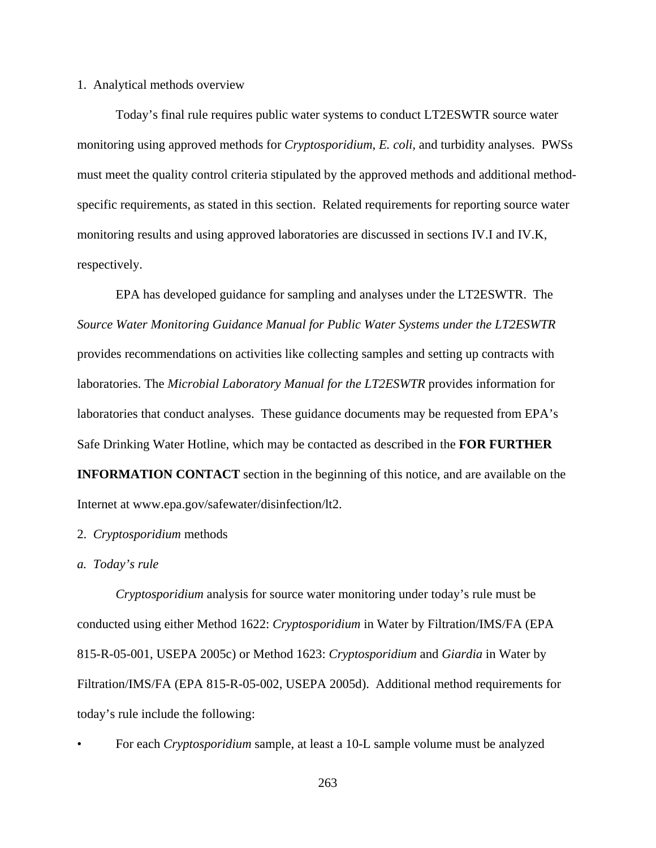### 1. Analytical methods overview

Today's final rule requires public water systems to conduct LT2ESWTR source water monitoring using approved methods for *Cryptosporidium*, *E. coli,* and turbidity analyses. PWSs must meet the quality control criteria stipulated by the approved methods and additional methodspecific requirements, as stated in this section. Related requirements for reporting source water monitoring results and using approved laboratories are discussed in sections IV.I and IV.K, respectively.

EPA has developed guidance for sampling and analyses under the LT2ESWTR. The *Source Water Monitoring Guidance Manual for Public Water Systems under the LT2ESWTR* provides recommendations on activities like collecting samples and setting up contracts with laboratories. The *Microbial Laboratory Manual for the LT2ESWTR* provides information for laboratories that conduct analyses. These guidance documents may be requested from EPA's Safe Drinking Water Hotline, which may be contacted as described in the **FOR FURTHER INFORMATION CONTACT** section in the beginning of this notice, and are available on the Internet at www.epa.gov/safewater/disinfection/lt2.

# 2. *Cryptosporidium* methods

# *a. Today's rule*

*Cryptosporidium* analysis for source water monitoring under today's rule must be conducted using either Method 1622: *Cryptosporidium* in Water by Filtration/IMS/FA (EPA 815-R-05-001, USEPA 2005c) or Method 1623: *Cryptosporidium* and *Giardia* in Water by Filtration/IMS/FA (EPA 815-R-05-002, USEPA 2005d). Additional method requirements for today's rule include the following:

• For each *Cryptosporidium* sample, at least a 10-L sample volume must be analyzed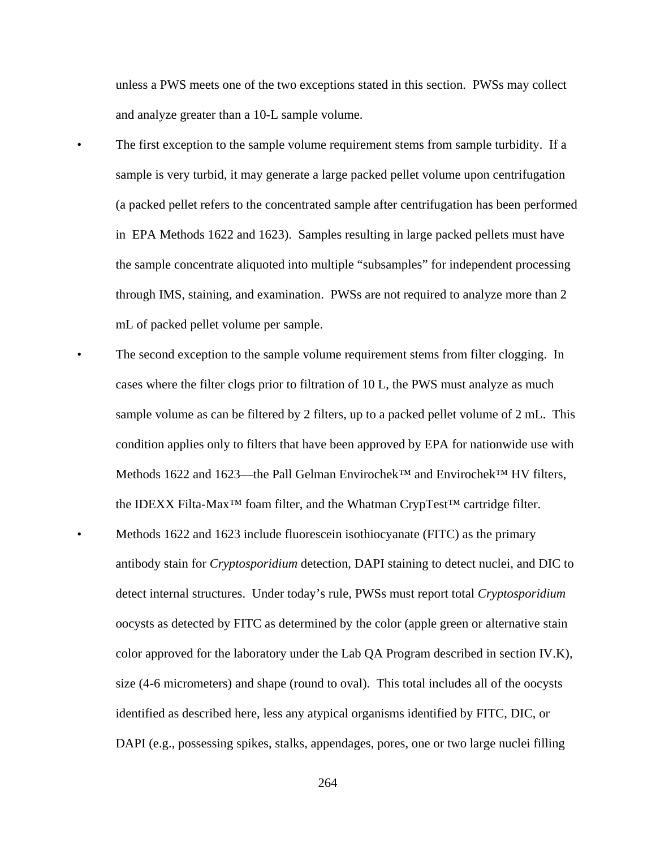unless a PWS meets one of the two exceptions stated in this section. PWSs may collect and analyze greater than a 10-L sample volume.

- The first exception to the sample volume requirement stems from sample turbidity. If a sample is very turbid, it may generate a large packed pellet volume upon centrifugation (a packed pellet refers to the concentrated sample after centrifugation has been performed in EPA Methods 1622 and 1623). Samples resulting in large packed pellets must have the sample concentrate aliquoted into multiple "subsamples" for independent processing through IMS, staining, and examination. PWSs are not required to analyze more than 2 mL of packed pellet volume per sample.
	- The second exception to the sample volume requirement stems from filter clogging. In cases where the filter clogs prior to filtration of 10 L, the PWS must analyze as much sample volume as can be filtered by 2 filters, up to a packed pellet volume of 2 mL. This condition applies only to filters that have been approved by EPA for nationwide use with Methods 1622 and 1623—the Pall Gelman Envirochek™ and Envirochek™ HV filters, the IDEXX Filta-Max™ foam filter, and the Whatman CrypTest™ cartridge filter. • Methods 1622 and 1623 include fluorescein isothiocyanate (FITC) as the primary antibody stain for *Cryptosporidium* detection, DAPI staining to detect nuclei, and DIC to detect internal structures. Under today's rule, PWSs must report total *Cryptosporidium* oocysts as detected by FITC as determined by the color (apple green or alternative stain color approved for the laboratory under the Lab QA Program described in section IV.K), size (4-6 micrometers) and shape (round to oval). This total includes all of the oocysts identified as described here, less any atypical organisms identified by FITC, DIC, or DAPI (e.g., possessing spikes, stalks, appendages, pores, one or two large nuclei filling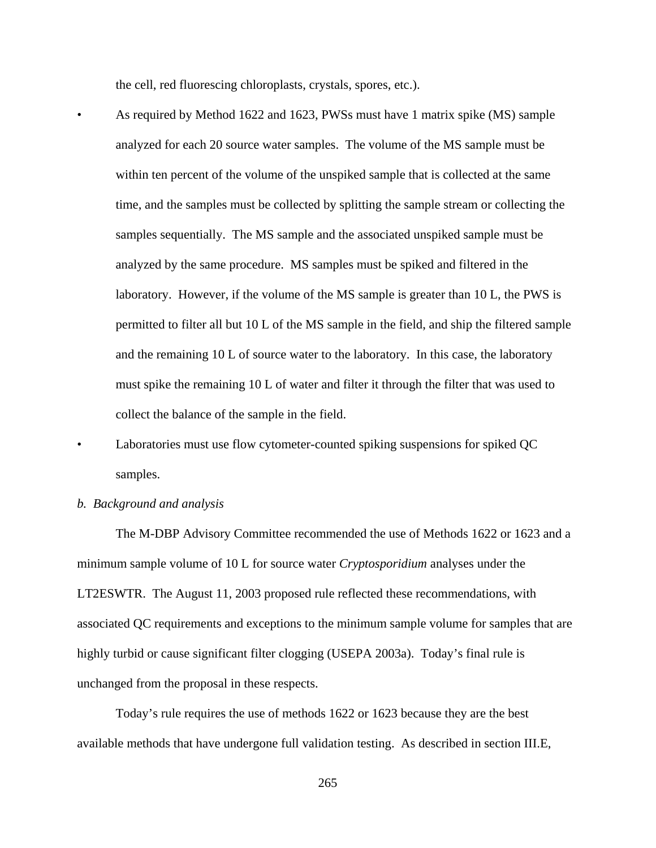the cell, red fluorescing chloroplasts, crystals, spores, etc.).

- As required by Method 1622 and 1623, PWSs must have 1 matrix spike (MS) sample analyzed for each 20 source water samples. The volume of the MS sample must be within ten percent of the volume of the unspiked sample that is collected at the same time, and the samples must be collected by splitting the sample stream or collecting the samples sequentially. The MS sample and the associated unspiked sample must be analyzed by the same procedure. MS samples must be spiked and filtered in the laboratory. However, if the volume of the MS sample is greater than 10 L, the PWS is permitted to filter all but 10 L of the MS sample in the field, and ship the filtered sample and the remaining 10 L of source water to the laboratory. In this case, the laboratory must spike the remaining 10 L of water and filter it through the filter that was used to collect the balance of the sample in the field.
- Laboratories must use flow cytometer-counted spiking suspensions for spiked QC samples.
- *b. Background and analysis*

The M-DBP Advisory Committee recommended the use of Methods 1622 or 1623 and a minimum sample volume of 10 L for source water *Cryptosporidium* analyses under the LT2ESWTR. The August 11, 2003 proposed rule reflected these recommendations, with associated QC requirements and exceptions to the minimum sample volume for samples that are highly turbid or cause significant filter clogging (USEPA 2003a). Today's final rule is unchanged from the proposal in these respects.

Today's rule requires the use of methods 1622 or 1623 because they are the best available methods that have undergone full validation testing. As described in section III.E,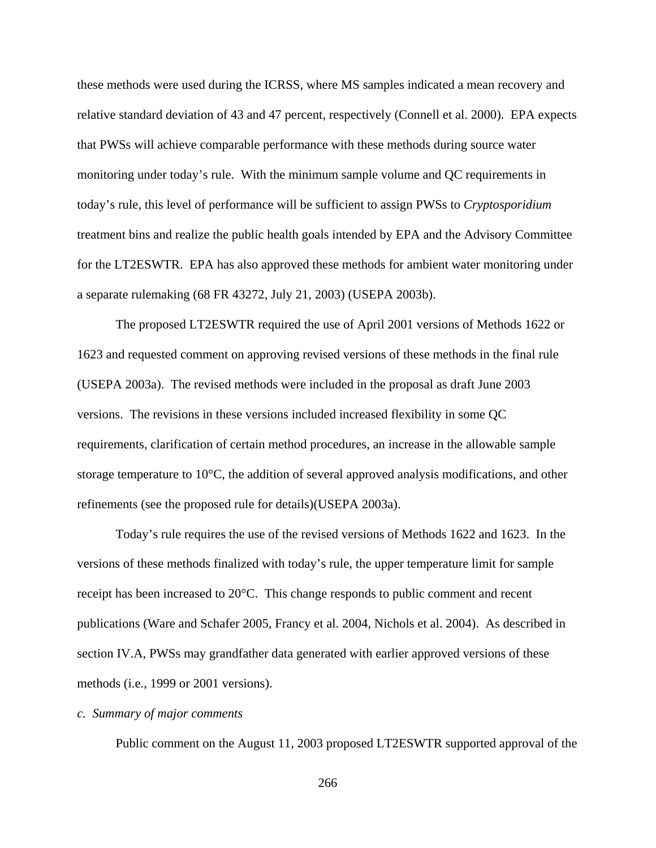these methods were used during the ICRSS, where MS samples indicated a mean recovery and relative standard deviation of 43 and 47 percent, respectively (Connell et al. 2000). EPA expects that PWSs will achieve comparable performance with these methods during source water monitoring under today's rule. With the minimum sample volume and QC requirements in today's rule, this level of performance will be sufficient to assign PWSs to *Cryptosporidium* treatment bins and realize the public health goals intended by EPA and the Advisory Committee for the LT2ESWTR. EPA has also approved these methods for ambient water monitoring under a separate rulemaking (68 FR 43272, July 21, 2003) (USEPA 2003b).

The proposed LT2ESWTR required the use of April 2001 versions of Methods 1622 or 1623 and requested comment on approving revised versions of these methods in the final rule (USEPA 2003a). The revised methods were included in the proposal as draft June 2003 versions. The revisions in these versions included increased flexibility in some QC requirements, clarification of certain method procedures, an increase in the allowable sample storage temperature to 10°C, the addition of several approved analysis modifications, and other refinements (see the proposed rule for details)(USEPA 2003a).

Today's rule requires the use of the revised versions of Methods 1622 and 1623. In the versions of these methods finalized with today's rule, the upper temperature limit for sample receipt has been increased to 20°C. This change responds to public comment and recent publications (Ware and Schafer 2005, Francy et al. 2004, Nichols et al. 2004). As described in section IV.A, PWSs may grandfather data generated with earlier approved versions of these methods (i.e., 1999 or 2001 versions).

### *c. Summary of major comments*

Public comment on the August 11, 2003 proposed LT2ESWTR supported approval of the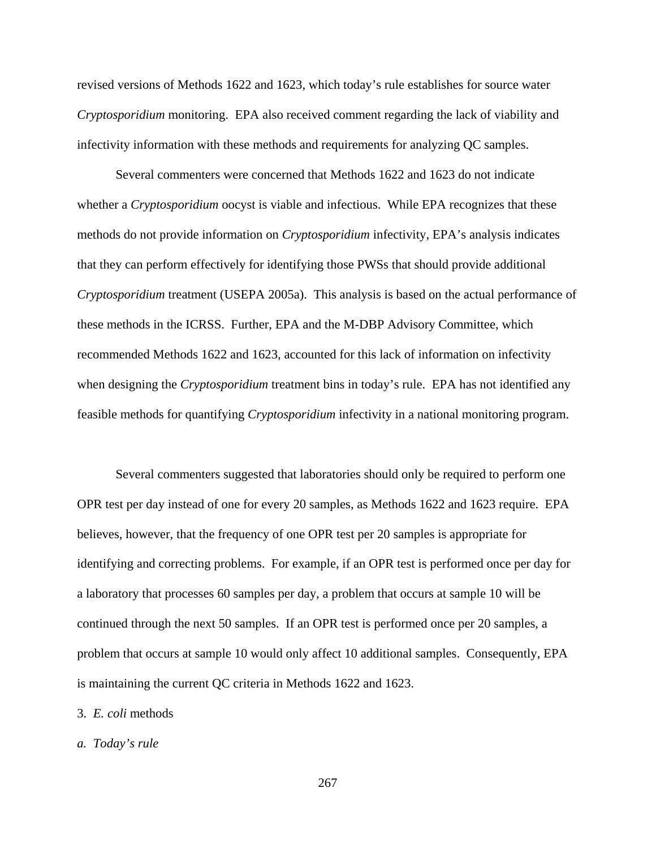revised versions of Methods 1622 and 1623, which today's rule establishes for source water *Cryptosporidium* monitoring. EPA also received comment regarding the lack of viability and infectivity information with these methods and requirements for analyzing QC samples.

Several commenters were concerned that Methods 1622 and 1623 do not indicate whether a *Cryptosporidium* oocyst is viable and infectious. While EPA recognizes that these methods do not provide information on *Cryptosporidium* infectivity, EPA's analysis indicates that they can perform effectively for identifying those PWSs that should provide additional *Cryptosporidium* treatment (USEPA 2005a). This analysis is based on the actual performance of these methods in the ICRSS. Further, EPA and the M-DBP Advisory Committee, which recommended Methods 1622 and 1623, accounted for this lack of information on infectivity when designing the *Cryptosporidium* treatment bins in today's rule. EPA has not identified any feasible methods for quantifying *Cryptosporidium* infectivity in a national monitoring program.

Several commenters suggested that laboratories should only be required to perform one OPR test per day instead of one for every 20 samples, as Methods 1622 and 1623 require. EPA believes, however, that the frequency of one OPR test per 20 samples is appropriate for identifying and correcting problems. For example, if an OPR test is performed once per day for a laboratory that processes 60 samples per day, a problem that occurs at sample 10 will be continued through the next 50 samples. If an OPR test is performed once per 20 samples, a problem that occurs at sample 10 would only affect 10 additional samples. Consequently, EPA is maintaining the current QC criteria in Methods 1622 and 1623.

# 3. *E. coli* methods

# *a. Today's rule*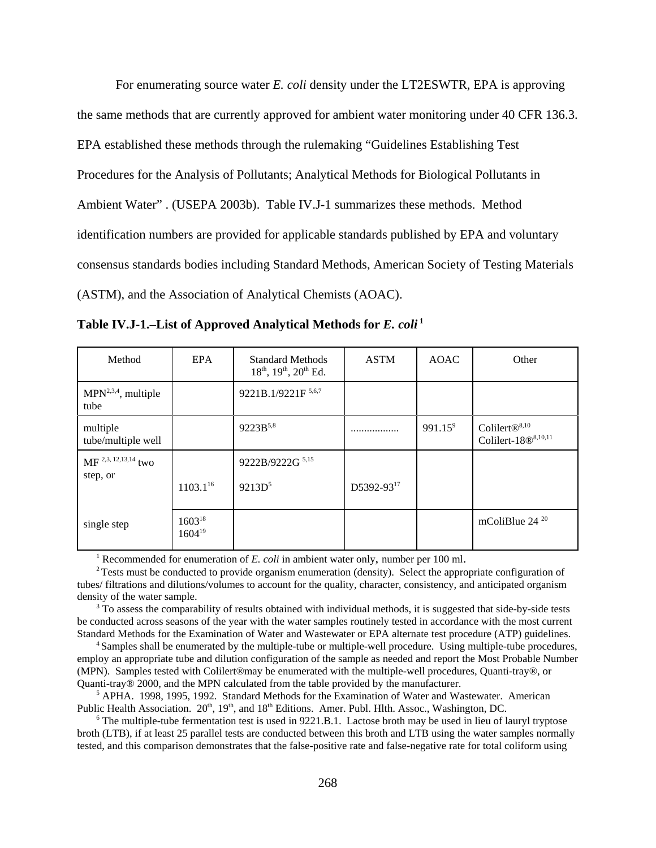For enumerating source water *E. coli* density under the LT2ESWTR, EPA is approving the same methods that are currently approved for ambient water monitoring under 40 CFR 136.3. EPA established these methods through the rulemaking "Guidelines Establishing Test Procedures for the Analysis of Pollutants; Analytical Methods for Biological Pollutants in Ambient Water" . (USEPA 2003b). Table IV.J-1 summarizes these methods. Method identification numbers are provided for applicable standards published by EPA and voluntary consensus standards bodies including Standard Methods, American Society of Testing Materials (ASTM), and the Association of Analytical Chemists (AOAC).

| Method                             | EPA                        | <b>Standard Methods</b><br>$18^{th}$ , $19^{th}$ , $20^{th}$ Ed. | <b>ASTM</b> | <b>AOAC</b> | Other                                                              |
|------------------------------------|----------------------------|------------------------------------------------------------------|-------------|-------------|--------------------------------------------------------------------|
| $MPN2,3,4$ , multiple<br>tube      |                            | 9221B.1/9221F 5,6,7                                              |             |             |                                                                    |
| multiple<br>tube/multiple well     |                            | 9223B <sup>5,8</sup>                                             |             | $991.15^9$  | Colilert $\mathbb{B}^{8,10}$<br>Colilert-18 $\mathbb{B}^{8,10,11}$ |
| MF 2,3, 12, 13, 14 two<br>step, or |                            | 9222B/9222G 5,15                                                 |             |             |                                                                    |
|                                    | $1103.1^{16}$              | $9213D^5$                                                        | D5392-9317  |             |                                                                    |
| single step                        | $1603^{18}$<br>$1604^{19}$ |                                                                  |             |             | mColiBlue $24^{20}$                                                |

**Table IV.J-1.–List of Approved Analytical Methods for** *E. coli* **1** 

<sup>1</sup> Recommended for enumeration of  $E$ . *coli* in ambient water only, number per 100 ml.

<sup>2</sup> Tests must be conducted to provide organism enumeration (density). Select the appropriate configuration of tubes/ filtrations and dilutions/volumes to account for the quality, character, consistency, and anticipated organism density of the water sample.

<sup>3</sup> To assess the comparability of results obtained with individual methods, it is suggested that side-by-side tests be conducted across seasons of the year with the water samples routinely tested in accordance with the most current Standard Methods for the Examination of Water and Wastewater or EPA alternate test procedure (ATP) guidelines.

4 Samples shall be enumerated by the multiple-tube or multiple-well procedure. Using multiple-tube procedures, employ an appropriate tube and dilution configuration of the sample as needed and report the Most Probable Number (MPN). Samples tested with Colilert®may be enumerated with the multiple-well procedures, Quanti-tray®, or Quanti-tray® 2000, and the MPN calculated from the table provided by the manufacturer.

<sup>5</sup> APHA. 1998, 1995, 1992. Standard Methods for the Examination of Water and Wastewater. American Public Health Association. 20<sup>th</sup>, 19<sup>th</sup>, and 18<sup>th</sup> Editions. Amer. Publ. Hlth. Assoc., Washington, DC.

<sup>6</sup> The multiple-tube fermentation test is used in 9221.B.1. Lactose broth may be used in lieu of lauryl tryptose broth (LTB), if at least 25 parallel tests are conducted between this broth and LTB using the water samples normally tested, and this comparison demonstrates that the false-positive rate and false-negative rate for total coliform using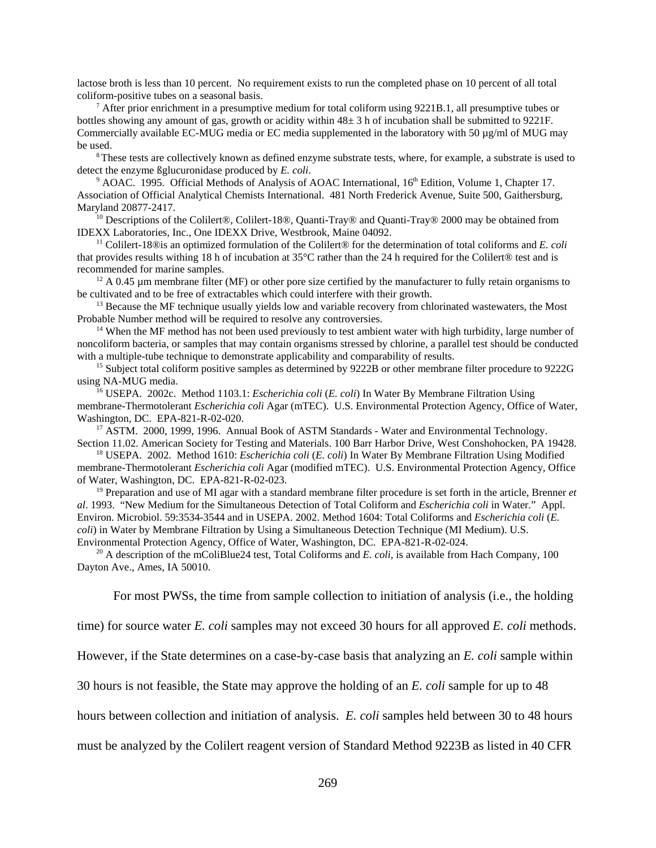lactose broth is less than 10 percent. No requirement exists to run the completed phase on 10 percent of all total coliform-positive tubes on a seasonal basis.

After prior enrichment in a presumptive medium for total coliform using 9221B.1, all presumptive tubes or bottles showing any amount of gas, growth or acidity within 48± 3 h of incubation shall be submitted to 9221F. Commercially available EC-MUG media or EC media supplemented in the laboratory with 50  $\mu$ g/ml of MUG may be used.

<sup>8</sup>These tests are collectively known as defined enzyme substrate tests, where, for example, a substrate is used to detect the enzyme ßglucuronidase produced by *E. coli*.

<sup>9</sup> AOAC. 1995. Official Methods of Analysis of AOAC International, 16<sup>th</sup> Edition, Volume 1, Chapter 17. Association of Official Analytical Chemists International. 481 North Frederick Avenue, Suite 500, Gaithersburg, Maryland 20877-2417.

<sup>10</sup> Descriptions of the Colilert®, Colilert-18®, Quanti-Tray® and Quanti-Tray® 2000 may be obtained from IDEXX Laboratories, Inc., One IDEXX Drive, Westbrook, Maine 04092.

<sup>11</sup> Colilert-18 $\circledR$  is an optimized formulation of the Colilert $\circledR$  for the determination of total coliforms and *E. coli* that provides results withing 18 h of incubation at 35°C rather than the 24 h required for the Colilert® test and is recommended for marine samples.

<sup>12</sup> A 0.45  $\mu$ m membrane filter (MF) or other pore size certified by the manufacturer to fully retain organisms to be cultivated and to be free of extractables which could interfere with their growth.

 $<sup>13</sup>$  Because the MF technique usually yields low and variable recovery from chlorinated wastewaters, the Most</sup> Probable Number method will be required to resolve any controversies.

<sup>14</sup> When the MF method has not been used previously to test ambient water with high turbidity, large number of noncoliform bacteria, or samples that may contain organisms stressed by chlorine, a parallel test should be conducted with a multiple-tube technique to demonstrate applicability and comparability of results.

<sup>15</sup> Subject total coliform positive samples as determined by 9222B or other membrane filter procedure to 9222G using NA-MUG media.

16 USEPA. 2002c. Method 1103.1: *Escherichia coli* (*E. coli*) In Water By Membrane Filtration Using membrane-Thermotolerant *Escherichia coli* Agar (mTEC). U.S. Environmental Protection Agency, Office of Water, Washington, DC. EPA-821-R-02-020.

<sup>17</sup> ASTM. 2000, 1999, 1996. Annual Book of ASTM Standards - Water and Environmental Technology. Section 11.02. American Society for Testing and Materials. 100 Barr Harbor Drive, West Conshohocken, PA 19428.

18 USEPA. 2002. Method 1610: *Escherichia coli* (*E. coli*) In Water By Membrane Filtration Using Modified membrane-Thermotolerant *Escherichia coli* Agar (modified mTEC). U.S. Environmental Protection Agency, Office of Water, Washington, DC. EPA-821-R-02-023.

<sup>19</sup> Preparation and use of MI agar with a standard membrane filter procedure is set forth in the article, Brenner *et al*. 1993. "New Medium for the Simultaneous Detection of Total Coliform and *Escherichia coli* in Water." Appl. Environ. Microbiol. 59:3534-3544 and in USEPA. 2002. Method 1604: Total Coliforms and *Escherichia coli* (*E. coli*) in Water by Membrane Filtration by Using a Simultaneous Detection Technique (MI Medium). U.S. Environmental Protection Agency, Office of Water, Washington, DC. EPA-821-R-02-024.

<sup>20</sup> A description of the mColiBlue24 test, Total Coliforms and *E. coli*, is available from Hach Company, 100 Dayton Ave., Ames, IA 50010.

For most PWSs, the time from sample collection to initiation of analysis (i.e., the holding

time) for source water *E. coli* samples may not exceed 30 hours for all approved *E. coli* methods.

However, if the State determines on a case-by-case basis that analyzing an *E. coli* sample within

30 hours is not feasible, the State may approve the holding of an *E. coli* sample for up to 48

hours between collection and initiation of analysis. *E. coli* samples held between 30 to 48 hours

must be analyzed by the Colilert reagent version of Standard Method 9223B as listed in 40 CFR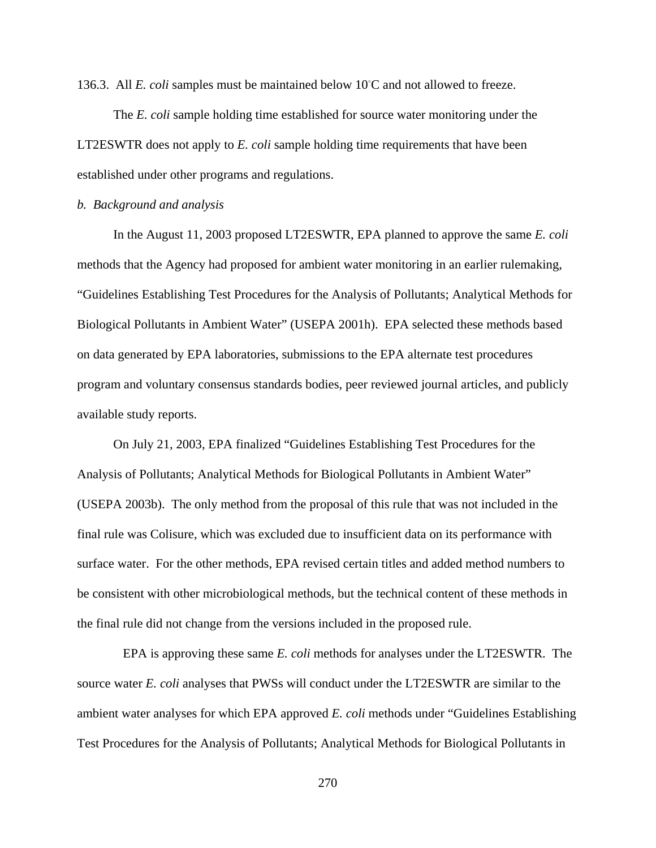136.3. All *E. coli* samples must be maintained below 10°C and not allowed to freeze.

The *E. coli* sample holding time established for source water monitoring under the LT2ESWTR does not apply to *E. coli* sample holding time requirements that have been established under other programs and regulations.

### *b. Background and analysis*

In the August 11, 2003 proposed LT2ESWTR, EPA planned to approve the same *E. coli* methods that the Agency had proposed for ambient water monitoring in an earlier rulemaking, "Guidelines Establishing Test Procedures for the Analysis of Pollutants; Analytical Methods for Biological Pollutants in Ambient Water" (USEPA 2001h). EPA selected these methods based on data generated by EPA laboratories, submissions to the EPA alternate test procedures program and voluntary consensus standards bodies, peer reviewed journal articles, and publicly available study reports.

On July 21, 2003, EPA finalized "Guidelines Establishing Test Procedures for the Analysis of Pollutants; Analytical Methods for Biological Pollutants in Ambient Water" (USEPA 2003b). The only method from the proposal of this rule that was not included in the final rule was Colisure, which was excluded due to insufficient data on its performance with surface water. For the other methods, EPA revised certain titles and added method numbers to be consistent with other microbiological methods, but the technical content of these methods in the final rule did not change from the versions included in the proposed rule.

 EPA is approving these same *E. coli* methods for analyses under the LT2ESWTR. The source water *E. coli* analyses that PWSs will conduct under the LT2ESWTR are similar to the ambient water analyses for which EPA approved *E. coli* methods under "Guidelines Establishing Test Procedures for the Analysis of Pollutants; Analytical Methods for Biological Pollutants in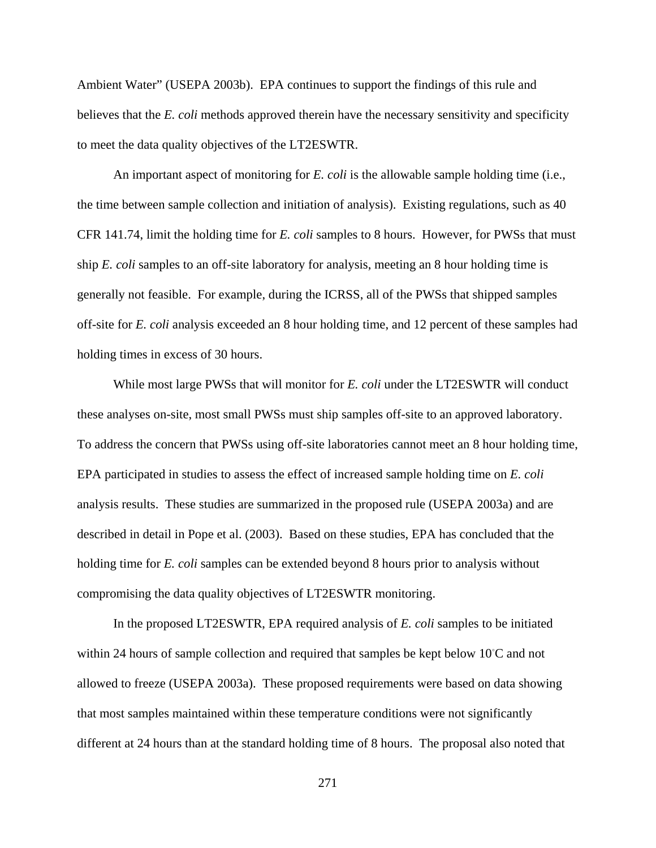Ambient Water" (USEPA 2003b). EPA continues to support the findings of this rule and believes that the *E. coli* methods approved therein have the necessary sensitivity and specificity to meet the data quality objectives of the LT2ESWTR.

An important aspect of monitoring for *E. coli* is the allowable sample holding time (i.e., the time between sample collection and initiation of analysis). Existing regulations, such as 40 CFR 141.74, limit the holding time for *E. coli* samples to 8 hours. However, for PWSs that must ship *E. coli* samples to an off-site laboratory for analysis, meeting an 8 hour holding time is generally not feasible. For example, during the ICRSS, all of the PWSs that shipped samples off-site for *E. coli* analysis exceeded an 8 hour holding time, and 12 percent of these samples had holding times in excess of 30 hours.

While most large PWSs that will monitor for *E. coli* under the LT2ESWTR will conduct these analyses on-site, most small PWSs must ship samples off-site to an approved laboratory. To address the concern that PWSs using off-site laboratories cannot meet an 8 hour holding time, EPA participated in studies to assess the effect of increased sample holding time on *E. coli* analysis results. These studies are summarized in the proposed rule (USEPA 2003a) and are described in detail in Pope et al. (2003). Based on these studies, EPA has concluded that the holding time for *E. coli* samples can be extended beyond 8 hours prior to analysis without compromising the data quality objectives of LT2ESWTR monitoring.

In the proposed LT2ESWTR, EPA required analysis of *E. coli* samples to be initiated within 24 hours of sample collection and required that samples be kept below  $10^{\circ}$ C and not allowed to freeze (USEPA 2003a). These proposed requirements were based on data showing that most samples maintained within these temperature conditions were not significantly different at 24 hours than at the standard holding time of 8 hours. The proposal also noted that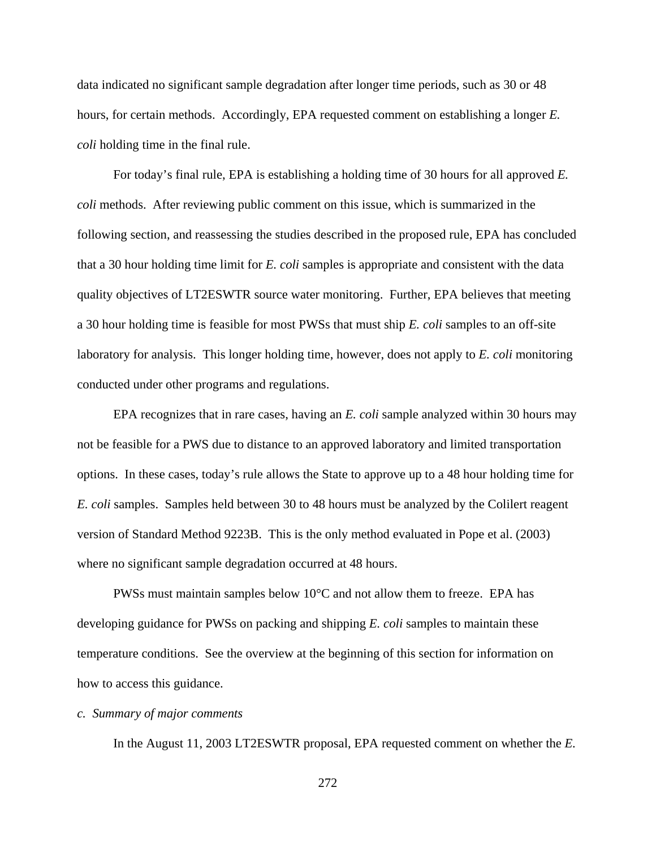data indicated no significant sample degradation after longer time periods, such as 30 or 48 hours, for certain methods. Accordingly, EPA requested comment on establishing a longer *E. coli* holding time in the final rule.

For today's final rule, EPA is establishing a holding time of 30 hours for all approved *E. coli* methods. After reviewing public comment on this issue, which is summarized in the following section, and reassessing the studies described in the proposed rule, EPA has concluded that a 30 hour holding time limit for *E. coli* samples is appropriate and consistent with the data quality objectives of LT2ESWTR source water monitoring. Further, EPA believes that meeting a 30 hour holding time is feasible for most PWSs that must ship *E. coli* samples to an off-site laboratory for analysis. This longer holding time, however, does not apply to *E. coli* monitoring conducted under other programs and regulations.

EPA recognizes that in rare cases, having an *E. coli* sample analyzed within 30 hours may not be feasible for a PWS due to distance to an approved laboratory and limited transportation options. In these cases, today's rule allows the State to approve up to a 48 hour holding time for *E. coli* samples. Samples held between 30 to 48 hours must be analyzed by the Colilert reagent version of Standard Method 9223B. This is the only method evaluated in Pope et al. (2003) where no significant sample degradation occurred at 48 hours.

PWSs must maintain samples below 10°C and not allow them to freeze. EPA has developing guidance for PWSs on packing and shipping *E. coli* samples to maintain these temperature conditions. See the overview at the beginning of this section for information on how to access this guidance.

# *c. Summary of major comments*

In the August 11, 2003 LT2ESWTR proposal, EPA requested comment on whether the *E.*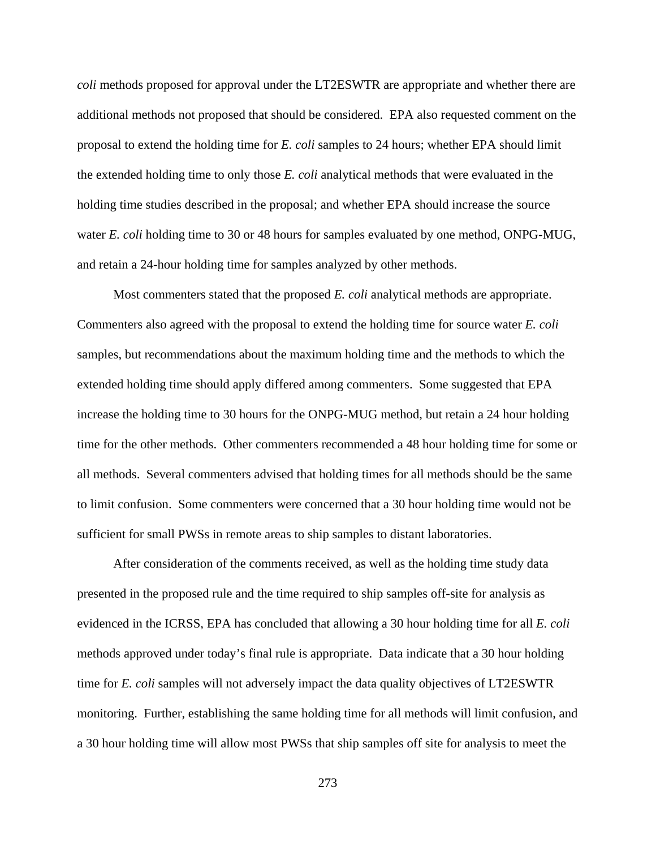*coli* methods proposed for approval under the LT2ESWTR are appropriate and whether there are additional methods not proposed that should be considered. EPA also requested comment on the proposal to extend the holding time for *E. coli* samples to 24 hours; whether EPA should limit the extended holding time to only those *E. coli* analytical methods that were evaluated in the holding time studies described in the proposal; and whether EPA should increase the source water *E. coli* holding time to 30 or 48 hours for samples evaluated by one method, ONPG-MUG, and retain a 24-hour holding time for samples analyzed by other methods.

Most commenters stated that the proposed *E. coli* analytical methods are appropriate. Commenters also agreed with the proposal to extend the holding time for source water *E. coli* samples, but recommendations about the maximum holding time and the methods to which the extended holding time should apply differed among commenters. Some suggested that EPA increase the holding time to 30 hours for the ONPG-MUG method, but retain a 24 hour holding time for the other methods. Other commenters recommended a 48 hour holding time for some or all methods. Several commenters advised that holding times for all methods should be the same to limit confusion. Some commenters were concerned that a 30 hour holding time would not be sufficient for small PWSs in remote areas to ship samples to distant laboratories.

After consideration of the comments received, as well as the holding time study data presented in the proposed rule and the time required to ship samples off-site for analysis as evidenced in the ICRSS, EPA has concluded that allowing a 30 hour holding time for all *E. coli* methods approved under today's final rule is appropriate. Data indicate that a 30 hour holding time for *E. coli* samples will not adversely impact the data quality objectives of LT2ESWTR monitoring. Further, establishing the same holding time for all methods will limit confusion, and a 30 hour holding time will allow most PWSs that ship samples off site for analysis to meet the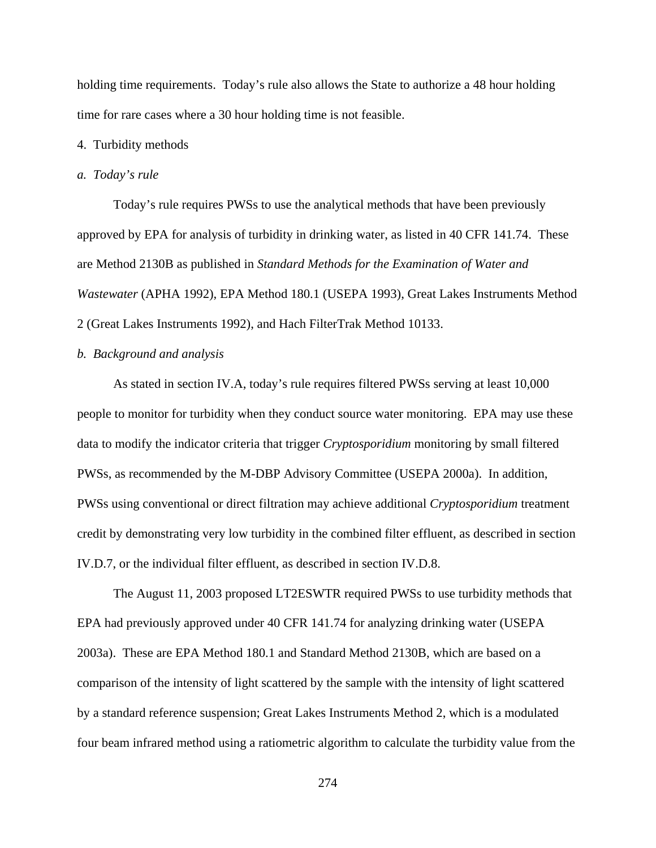holding time requirements. Today's rule also allows the State to authorize a 48 hour holding time for rare cases where a 30 hour holding time is not feasible.

# 4. Turbidity methods

#### *a. Today's rule*

Today's rule requires PWSs to use the analytical methods that have been previously approved by EPA for analysis of turbidity in drinking water, as listed in 40 CFR 141.74. These are Method 2130B as published in *Standard Methods for the Examination of Water and Wastewater* (APHA 1992), EPA Method 180.1 (USEPA 1993), Great Lakes Instruments Method 2 (Great Lakes Instruments 1992), and Hach FilterTrak Method 10133.

# *b. Background and analysis*

As stated in section IV.A, today's rule requires filtered PWSs serving at least 10,000 people to monitor for turbidity when they conduct source water monitoring. EPA may use these data to modify the indicator criteria that trigger *Cryptosporidium* monitoring by small filtered PWSs, as recommended by the M-DBP Advisory Committee (USEPA 2000a). In addition, PWSs using conventional or direct filtration may achieve additional *Cryptosporidium* treatment credit by demonstrating very low turbidity in the combined filter effluent, as described in section IV.D.7, or the individual filter effluent, as described in section IV.D.8.

The August 11, 2003 proposed LT2ESWTR required PWSs to use turbidity methods that EPA had previously approved under 40 CFR 141.74 for analyzing drinking water (USEPA 2003a). These are EPA Method 180.1 and Standard Method 2130B, which are based on a comparison of the intensity of light scattered by the sample with the intensity of light scattered by a standard reference suspension; Great Lakes Instruments Method 2, which is a modulated four beam infrared method using a ratiometric algorithm to calculate the turbidity value from the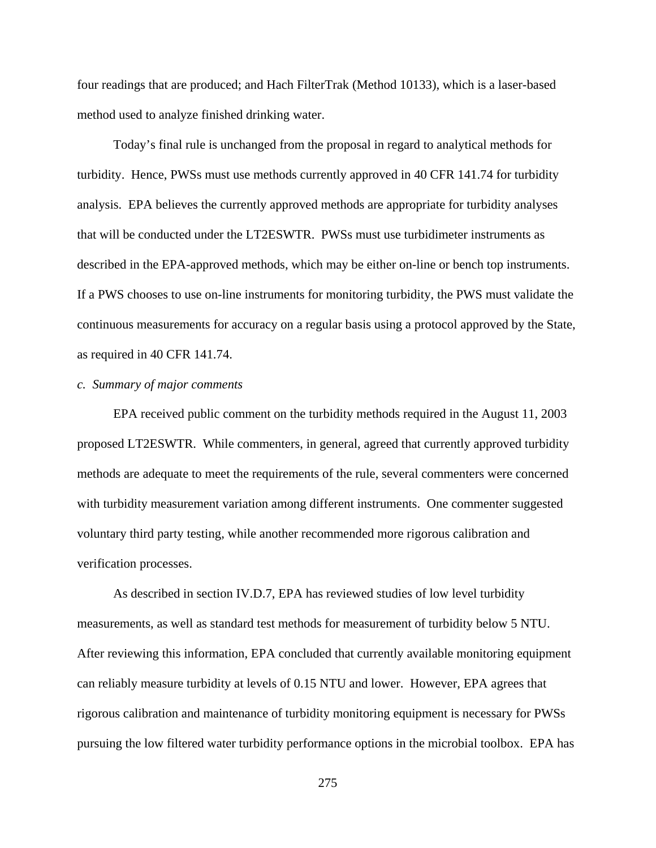four readings that are produced; and Hach FilterTrak (Method 10133), which is a laser-based method used to analyze finished drinking water.

Today's final rule is unchanged from the proposal in regard to analytical methods for turbidity. Hence, PWSs must use methods currently approved in 40 CFR 141.74 for turbidity analysis. EPA believes the currently approved methods are appropriate for turbidity analyses that will be conducted under the LT2ESWTR. PWSs must use turbidimeter instruments as described in the EPA-approved methods, which may be either on-line or bench top instruments. If a PWS chooses to use on-line instruments for monitoring turbidity, the PWS must validate the continuous measurements for accuracy on a regular basis using a protocol approved by the State, as required in 40 CFR 141.74.

# *c. Summary of major comments*

EPA received public comment on the turbidity methods required in the August 11, 2003 proposed LT2ESWTR. While commenters, in general, agreed that currently approved turbidity methods are adequate to meet the requirements of the rule, several commenters were concerned with turbidity measurement variation among different instruments. One commenter suggested voluntary third party testing, while another recommended more rigorous calibration and verification processes.

As described in section IV.D.7, EPA has reviewed studies of low level turbidity measurements, as well as standard test methods for measurement of turbidity below 5 NTU. After reviewing this information, EPA concluded that currently available monitoring equipment can reliably measure turbidity at levels of 0.15 NTU and lower. However, EPA agrees that rigorous calibration and maintenance of turbidity monitoring equipment is necessary for PWSs pursuing the low filtered water turbidity performance options in the microbial toolbox. EPA has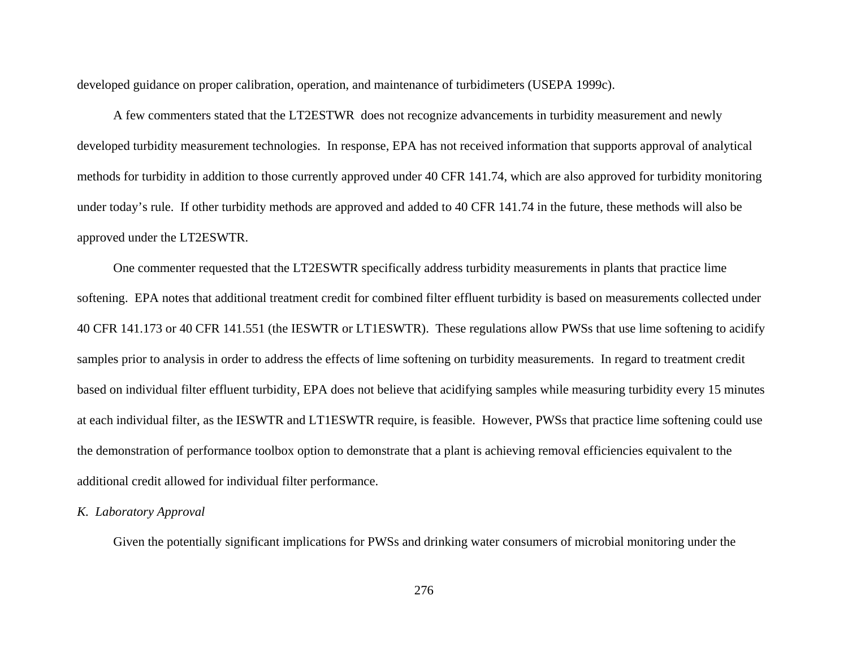developed guidance on proper calibration, operation, and maintenance of turbidimeters (USEPA 1999c).

A few commenters stated that the LT2ESTWR does not recognize advancements in turbidity measurement and newly developed turbidity measurement technologies. In response, EPA has not received information that supports approval of analytical methods for turbidity in addition to those currently approved under 40 CFR 141.74, which are also approved for turbidity monitoring under today's rule. If other turbidity methods are approved and added to 40 CFR 141.74 in the future, these methods will also be approved under the LT2ESWTR.

One commenter requested that the LT2ESWTR specifically address turbidity measurements in plants that practice lime softening. EPA notes that additional treatment credit for combined filter effluent turbidity is based on measurements collected under 40 CFR 141.173 or 40 CFR 141.551 (the IESWTR or LT1ESWTR). These regulations allow PWSs that use lime softening to acidify samples prior to analysis in order to address the effects of lime softening on turbidity measurements. In regard to treatment credit based on individual filter effluent turbidity, EPA does not believe that acidifying samples while measuring turbidity every 15 minutes at each individual filter, as the IESWTR and LT1ESWTR require, is feasible. However, PWSs that practice lime softening could use the demonstration of performance toolbox option to demonstrate that a plant is achieving removal efficiencies equivalent to the additional credit allowed for individual filter performance.

# *K. Laboratory Approval*

Given the potentially significant implications for PWSs and drinking water consumers of microbial monitoring under the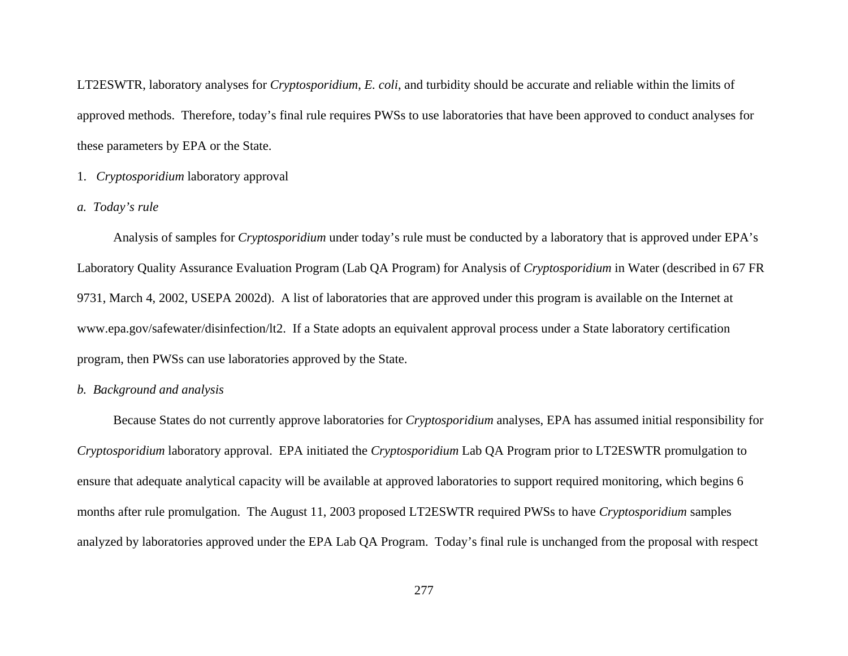LT2ESWTR, laboratory analyses for *Cryptosporidium*, *E. coli*, and turbidity should be accurate and reliable within the limits of approved methods. Therefore, today's final rule requires PWSs to use laboratories that have been approved to conduct analyses for these parameters by EPA or the State.

# 1. *Cryptosporidium* laboratory approval

# *a. Today's rule*

Analysis of samples for *Cryptosporidium* under today's rule must be conducted by a laboratory that is approved under EPA's Laboratory Quality Assurance Evaluation Program (Lab QA Program) for Analysis of *Cryptosporidium* in Water (described in 67 FR 9731, March 4, 2002, USEPA 2002d). A list of laboratories that are approved under this program is available on the Internet at www.epa.gov/safewater/disinfection/lt2. If a State adopts an equivalent approval process under a State laboratory certification program, then PWSs can use laboratories approved by the State.

# *b. Background and analysis*

Because States do not currently approve laboratories for *Cryptosporidium* analyses, EPA has assumed initial responsibility for *Cryptosporidium* laboratory approval. EPA initiated the *Cryptosporidium* Lab QA Program prior to LT2ESWTR promulgation to ensure that adequate analytical capacity will be available at approved laboratories to support required monitoring, which begins 6 months after rule promulgation. The August 11, 2003 proposed LT2ESWTR required PWSs to have *Cryptosporidium* samples analyzed by laboratories approved under the EPA Lab QA Program. Today's final rule is unchanged from the proposal with respect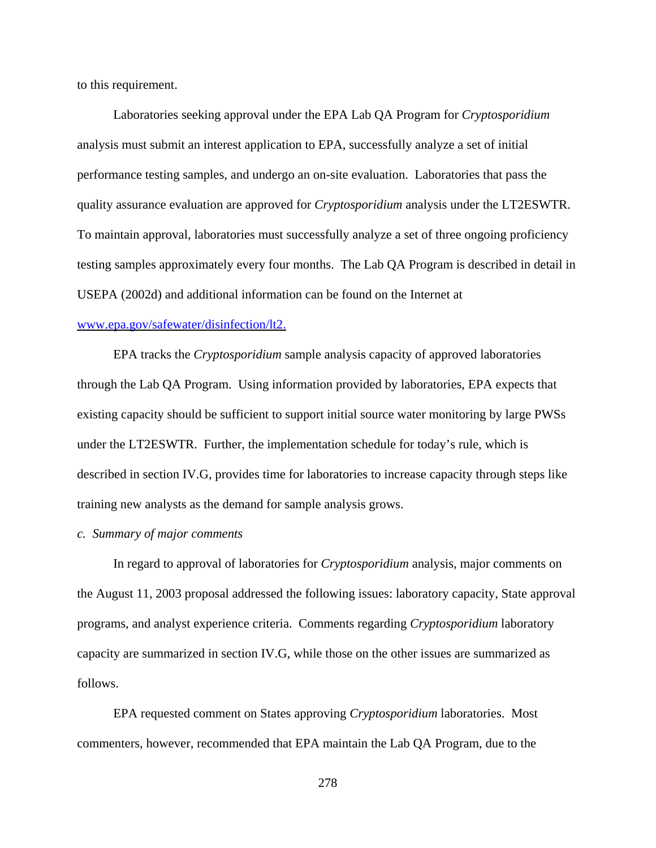to this requirement.

Laboratories seeking approval under the EPA Lab QA Program for *Cryptosporidium* analysis must submit an interest application to EPA, successfully analyze a set of initial performance testing samples, and undergo an on-site evaluation. Laboratories that pass the quality assurance evaluation are approved for *Cryptosporidium* analysis under the LT2ESWTR. To maintain approval, laboratories must successfully analyze a set of three ongoing proficiency testing samples approximately every four months. The Lab QA Program is described in detail in USEPA (2002d) and additional information can be found on the Internet at

# www.epa.gov/safewater/disinfection/lt2.

EPA tracks the *Cryptosporidium* sample analysis capacity of approved laboratories through the Lab QA Program. Using information provided by laboratories, EPA expects that existing capacity should be sufficient to support initial source water monitoring by large PWSs under the LT2ESWTR. Further, the implementation schedule for today's rule, which is described in section IV.G, provides time for laboratories to increase capacity through steps like training new analysts as the demand for sample analysis grows.

### *c. Summary of major comments*

In regard to approval of laboratories for *Cryptosporidium* analysis, major comments on the August 11, 2003 proposal addressed the following issues: laboratory capacity, State approval programs, and analyst experience criteria. Comments regarding *Cryptosporidium* laboratory capacity are summarized in section IV.G, while those on the other issues are summarized as follows.

EPA requested comment on States approving *Cryptosporidium* laboratories. Most commenters, however, recommended that EPA maintain the Lab QA Program, due to the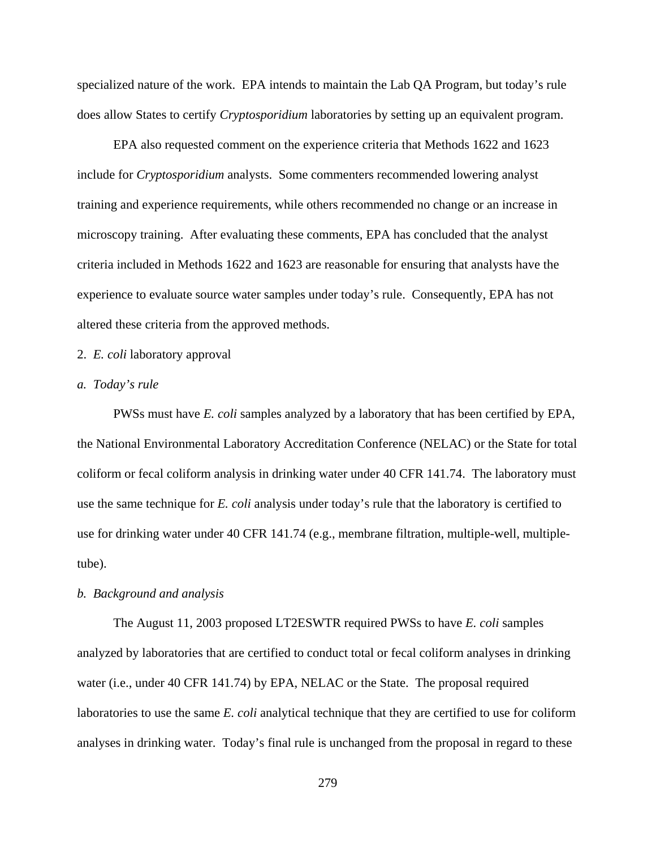specialized nature of the work. EPA intends to maintain the Lab QA Program, but today's rule does allow States to certify *Cryptosporidium* laboratories by setting up an equivalent program.

EPA also requested comment on the experience criteria that Methods 1622 and 1623 include for *Cryptosporidium* analysts. Some commenters recommended lowering analyst training and experience requirements, while others recommended no change or an increase in microscopy training. After evaluating these comments, EPA has concluded that the analyst criteria included in Methods 1622 and 1623 are reasonable for ensuring that analysts have the experience to evaluate source water samples under today's rule. Consequently, EPA has not altered these criteria from the approved methods.

# 2. *E. coli* laboratory approval

### *a. Today's rule*

PWSs must have *E. coli* samples analyzed by a laboratory that has been certified by EPA, the National Environmental Laboratory Accreditation Conference (NELAC) or the State for total coliform or fecal coliform analysis in drinking water under 40 CFR 141.74. The laboratory must use the same technique for *E. coli* analysis under today's rule that the laboratory is certified to use for drinking water under 40 CFR 141.74 (e.g., membrane filtration, multiple-well, multipletube).

#### *b. Background and analysis*

The August 11, 2003 proposed LT2ESWTR required PWSs to have *E. coli* samples analyzed by laboratories that are certified to conduct total or fecal coliform analyses in drinking water (i.e., under 40 CFR 141.74) by EPA, NELAC or the State. The proposal required laboratories to use the same *E. coli* analytical technique that they are certified to use for coliform analyses in drinking water. Today's final rule is unchanged from the proposal in regard to these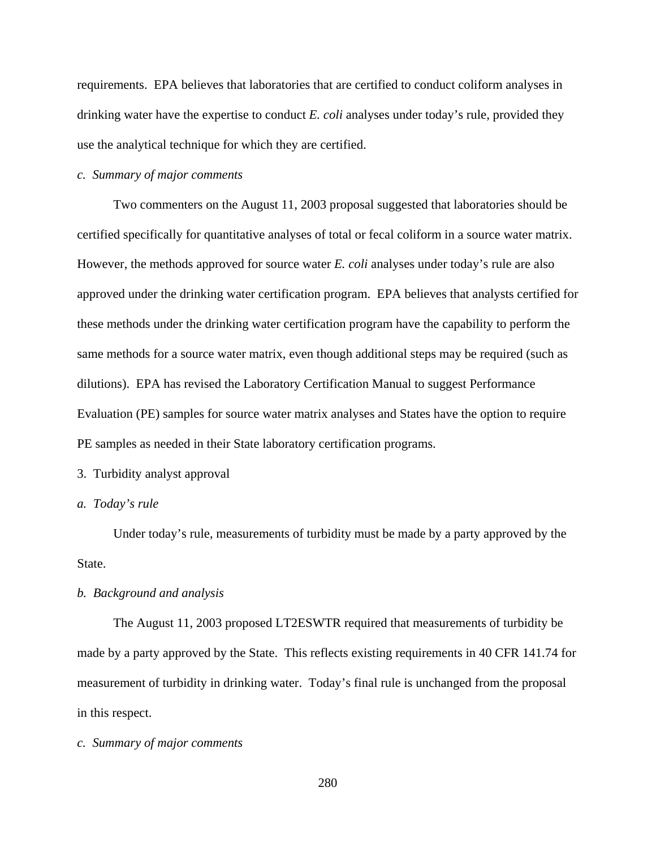requirements. EPA believes that laboratories that are certified to conduct coliform analyses in drinking water have the expertise to conduct *E. coli* analyses under today's rule, provided they use the analytical technique for which they are certified.

#### *c. Summary of major comments*

Two commenters on the August 11, 2003 proposal suggested that laboratories should be certified specifically for quantitative analyses of total or fecal coliform in a source water matrix. However, the methods approved for source water *E. coli* analyses under today's rule are also approved under the drinking water certification program. EPA believes that analysts certified for these methods under the drinking water certification program have the capability to perform the same methods for a source water matrix, even though additional steps may be required (such as dilutions). EPA has revised the Laboratory Certification Manual to suggest Performance Evaluation (PE) samples for source water matrix analyses and States have the option to require PE samples as needed in their State laboratory certification programs.

# 3. Turbidity analyst approval

# *a. Today's rule*

Under today's rule, measurements of turbidity must be made by a party approved by the State.

### *b. Background and analysis*

The August 11, 2003 proposed LT2ESWTR required that measurements of turbidity be made by a party approved by the State. This reflects existing requirements in 40 CFR 141.74 for measurement of turbidity in drinking water. Today's final rule is unchanged from the proposal in this respect.

# *c. Summary of major comments*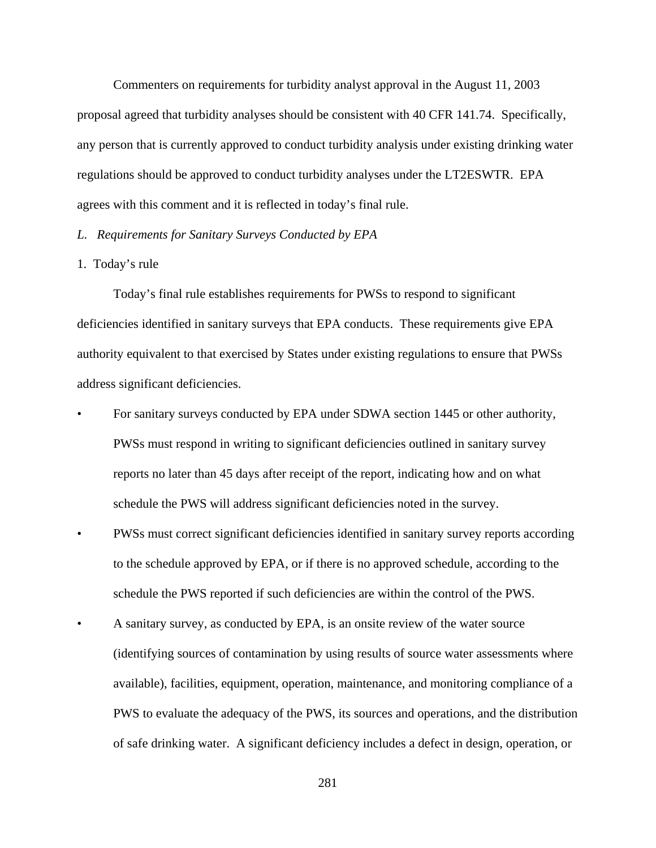Commenters on requirements for turbidity analyst approval in the August 11, 2003 proposal agreed that turbidity analyses should be consistent with 40 CFR 141.74. Specifically, any person that is currently approved to conduct turbidity analysis under existing drinking water regulations should be approved to conduct turbidity analyses under the LT2ESWTR. EPA agrees with this comment and it is reflected in today's final rule.

# *L. Requirements for Sanitary Surveys Conducted by EPA*

# 1. Today's rule

Today's final rule establishes requirements for PWSs to respond to significant deficiencies identified in sanitary surveys that EPA conducts. These requirements give EPA authority equivalent to that exercised by States under existing regulations to ensure that PWSs address significant deficiencies.

- For sanitary surveys conducted by EPA under SDWA section 1445 or other authority, PWSs must respond in writing to significant deficiencies outlined in sanitary survey reports no later than 45 days after receipt of the report, indicating how and on what schedule the PWS will address significant deficiencies noted in the survey.
- PWSs must correct significant deficiencies identified in sanitary survey reports according to the schedule approved by EPA, or if there is no approved schedule, according to the schedule the PWS reported if such deficiencies are within the control of the PWS.
- A sanitary survey, as conducted by EPA, is an onsite review of the water source (identifying sources of contamination by using results of source water assessments where available), facilities, equipment, operation, maintenance, and monitoring compliance of a PWS to evaluate the adequacy of the PWS, its sources and operations, and the distribution of safe drinking water. A significant deficiency includes a defect in design, operation, or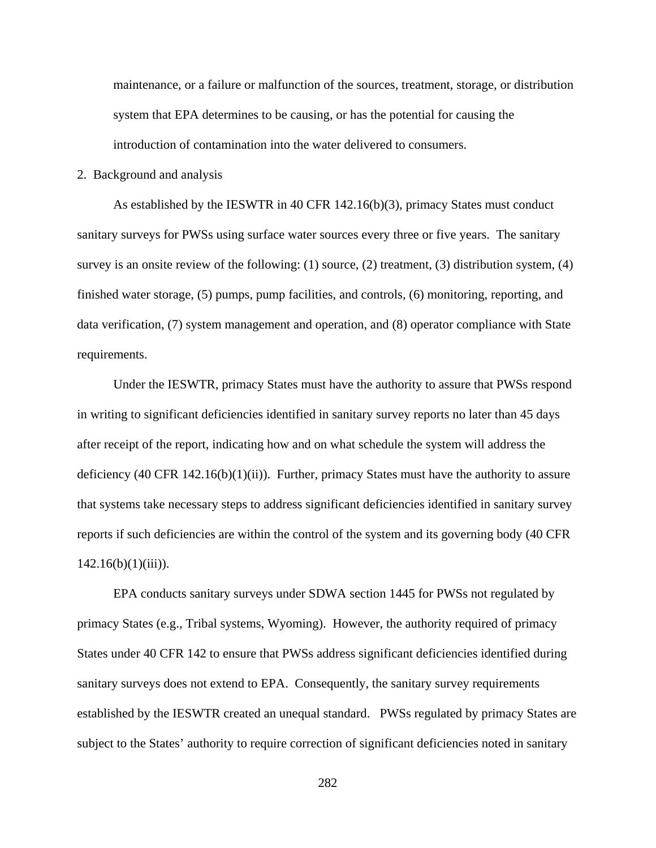maintenance, or a failure or malfunction of the sources, treatment, storage, or distribution system that EPA determines to be causing, or has the potential for causing the introduction of contamination into the water delivered to consumers.

2. Background and analysis

As established by the IESWTR in 40 CFR 142.16(b)(3), primacy States must conduct sanitary surveys for PWSs using surface water sources every three or five years. The sanitary survey is an onsite review of the following: (1) source, (2) treatment, (3) distribution system, (4) finished water storage, (5) pumps, pump facilities, and controls, (6) monitoring, reporting, and data verification, (7) system management and operation, and (8) operator compliance with State requirements.

Under the IESWTR, primacy States must have the authority to assure that PWSs respond in writing to significant deficiencies identified in sanitary survey reports no later than 45 days after receipt of the report, indicating how and on what schedule the system will address the deficiency (40 CFR 142.16(b)(1)(ii)). Further, primacy States must have the authority to assure that systems take necessary steps to address significant deficiencies identified in sanitary survey reports if such deficiencies are within the control of the system and its governing body (40 CFR  $142.16(b)(1)(iii)$ ).

EPA conducts sanitary surveys under SDWA section 1445 for PWSs not regulated by primacy States (e.g., Tribal systems, Wyoming). However, the authority required of primacy States under 40 CFR 142 to ensure that PWSs address significant deficiencies identified during sanitary surveys does not extend to EPA. Consequently, the sanitary survey requirements established by the IESWTR created an unequal standard. PWSs regulated by primacy States are subject to the States' authority to require correction of significant deficiencies noted in sanitary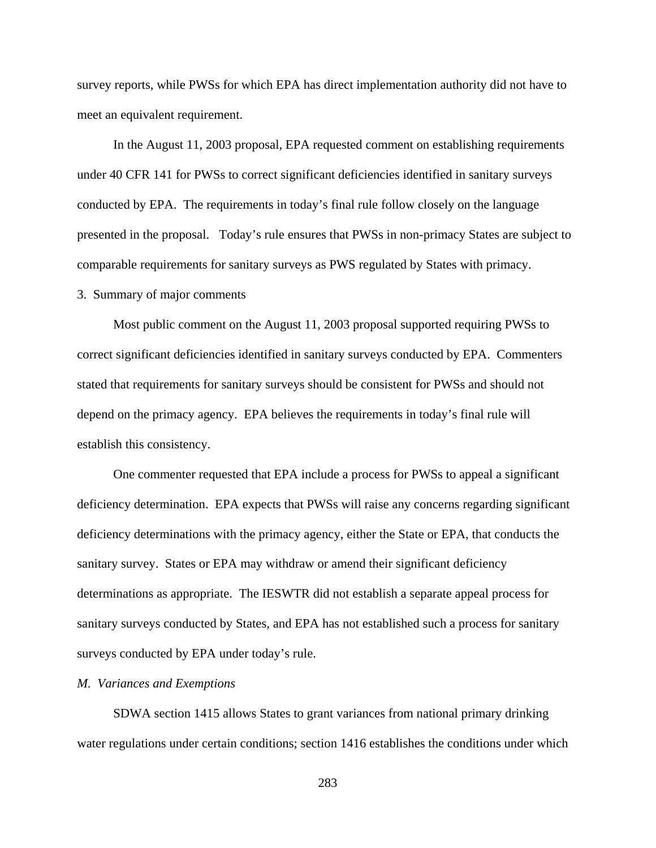survey reports, while PWSs for which EPA has direct implementation authority did not have to meet an equivalent requirement.

In the August 11, 2003 proposal, EPA requested comment on establishing requirements under 40 CFR 141 for PWSs to correct significant deficiencies identified in sanitary surveys conducted by EPA. The requirements in today's final rule follow closely on the language presented in the proposal. Today's rule ensures that PWSs in non-primacy States are subject to comparable requirements for sanitary surveys as PWS regulated by States with primacy.

# 3. Summary of major comments

Most public comment on the August 11, 2003 proposal supported requiring PWSs to correct significant deficiencies identified in sanitary surveys conducted by EPA. Commenters stated that requirements for sanitary surveys should be consistent for PWSs and should not depend on the primacy agency. EPA believes the requirements in today's final rule will establish this consistency.

One commenter requested that EPA include a process for PWSs to appeal a significant deficiency determination. EPA expects that PWSs will raise any concerns regarding significant deficiency determinations with the primacy agency, either the State or EPA, that conducts the sanitary survey. States or EPA may withdraw or amend their significant deficiency determinations as appropriate. The IESWTR did not establish a separate appeal process for sanitary surveys conducted by States, and EPA has not established such a process for sanitary surveys conducted by EPA under today's rule.

# *M. Variances and Exemptions*

SDWA section 1415 allows States to grant variances from national primary drinking water regulations under certain conditions; section 1416 establishes the conditions under which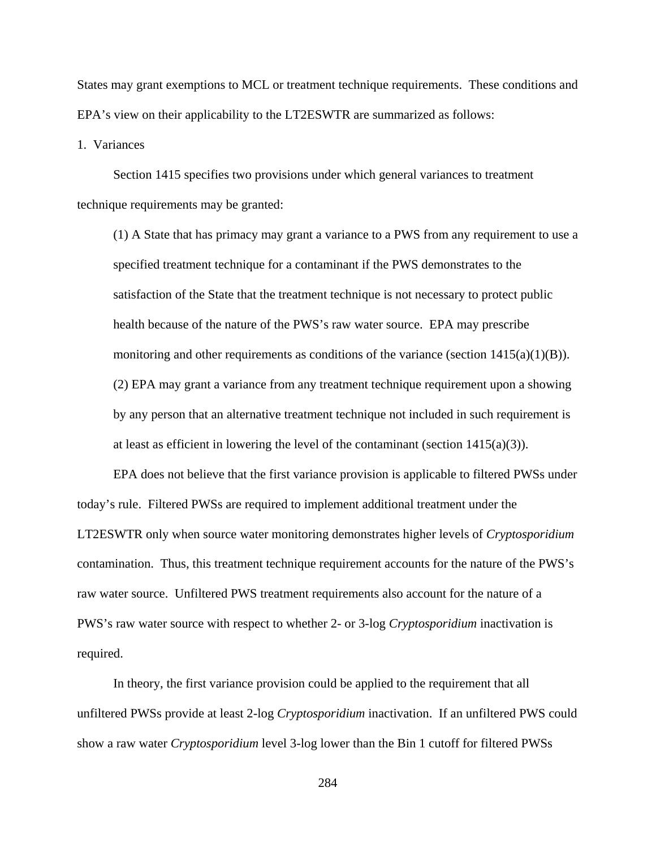States may grant exemptions to MCL or treatment technique requirements. These conditions and EPA's view on their applicability to the LT2ESWTR are summarized as follows:

1. Variances

Section 1415 specifies two provisions under which general variances to treatment technique requirements may be granted:

(1) A State that has primacy may grant a variance to a PWS from any requirement to use a specified treatment technique for a contaminant if the PWS demonstrates to the satisfaction of the State that the treatment technique is not necessary to protect public health because of the nature of the PWS's raw water source. EPA may prescribe monitoring and other requirements as conditions of the variance (section  $1415(a)(1)(B)$ ). (2) EPA may grant a variance from any treatment technique requirement upon a showing by any person that an alternative treatment technique not included in such requirement is at least as efficient in lowering the level of the contaminant (section  $1415(a)(3)$ ).

EPA does not believe that the first variance provision is applicable to filtered PWSs under today's rule. Filtered PWSs are required to implement additional treatment under the LT2ESWTR only when source water monitoring demonstrates higher levels of *Cryptosporidium* contamination. Thus, this treatment technique requirement accounts for the nature of the PWS's raw water source. Unfiltered PWS treatment requirements also account for the nature of a PWS's raw water source with respect to whether 2- or 3-log *Cryptosporidium* inactivation is required.

In theory, the first variance provision could be applied to the requirement that all unfiltered PWSs provide at least 2-log *Cryptosporidium* inactivation. If an unfiltered PWS could show a raw water *Cryptosporidium* level 3-log lower than the Bin 1 cutoff for filtered PWSs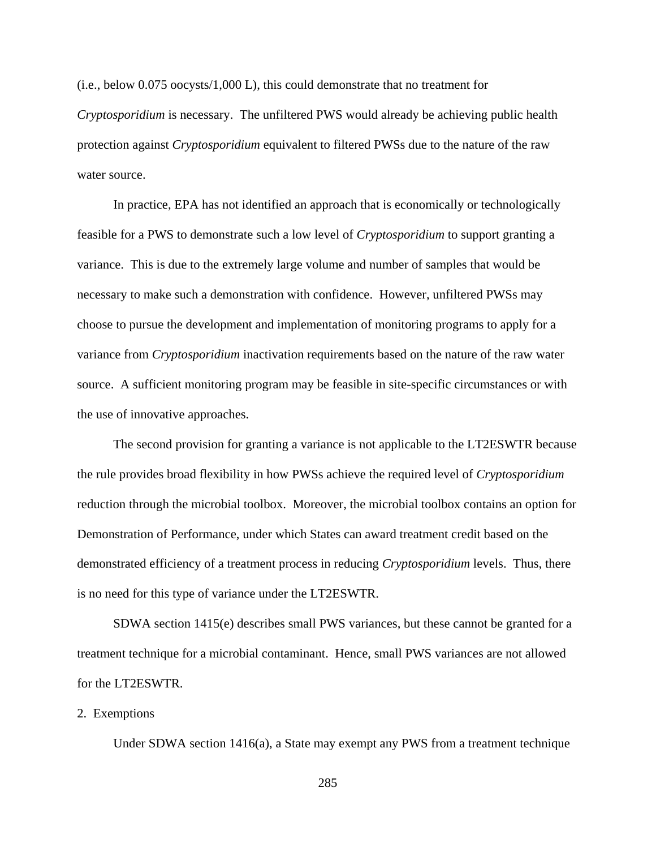(i.e., below 0.075 oocysts/1,000 L), this could demonstrate that no treatment for *Cryptosporidium* is necessary. The unfiltered PWS would already be achieving public health protection against *Cryptosporidium* equivalent to filtered PWSs due to the nature of the raw water source.

In practice, EPA has not identified an approach that is economically or technologically feasible for a PWS to demonstrate such a low level of *Cryptosporidium* to support granting a variance. This is due to the extremely large volume and number of samples that would be necessary to make such a demonstration with confidence. However, unfiltered PWSs may choose to pursue the development and implementation of monitoring programs to apply for a variance from *Cryptosporidium* inactivation requirements based on the nature of the raw water source. A sufficient monitoring program may be feasible in site-specific circumstances or with the use of innovative approaches.

The second provision for granting a variance is not applicable to the LT2ESWTR because the rule provides broad flexibility in how PWSs achieve the required level of *Cryptosporidium* reduction through the microbial toolbox. Moreover, the microbial toolbox contains an option for Demonstration of Performance, under which States can award treatment credit based on the demonstrated efficiency of a treatment process in reducing *Cryptosporidium* levels. Thus, there is no need for this type of variance under the LT2ESWTR.

SDWA section 1415(e) describes small PWS variances, but these cannot be granted for a treatment technique for a microbial contaminant. Hence, small PWS variances are not allowed for the LT2ESWTR.

# 2. Exemptions

Under SDWA section 1416(a), a State may exempt any PWS from a treatment technique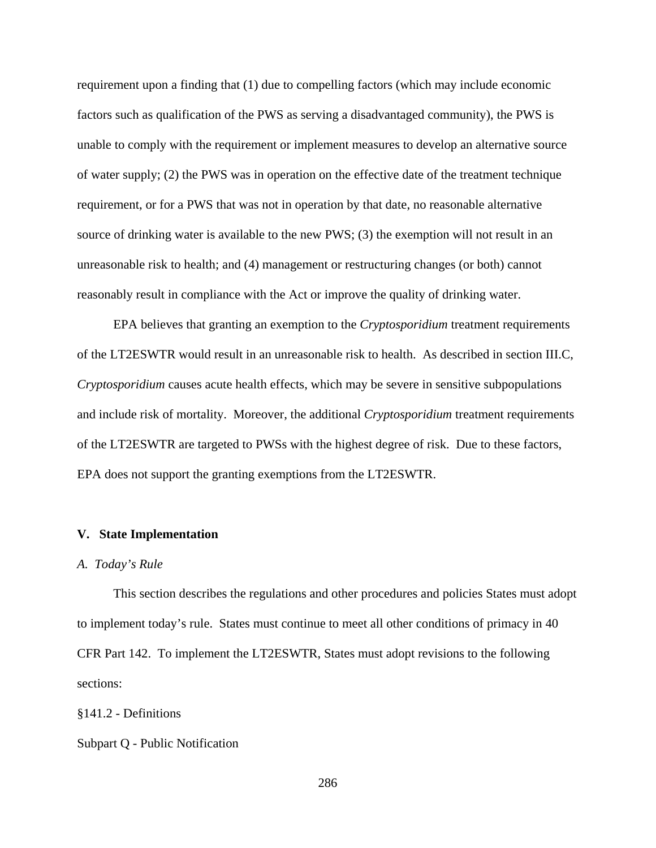requirement upon a finding that (1) due to compelling factors (which may include economic factors such as qualification of the PWS as serving a disadvantaged community), the PWS is unable to comply with the requirement or implement measures to develop an alternative source of water supply; (2) the PWS was in operation on the effective date of the treatment technique requirement, or for a PWS that was not in operation by that date, no reasonable alternative source of drinking water is available to the new PWS; (3) the exemption will not result in an unreasonable risk to health; and (4) management or restructuring changes (or both) cannot reasonably result in compliance with the Act or improve the quality of drinking water.

EPA believes that granting an exemption to the *Cryptosporidium* treatment requirements of the LT2ESWTR would result in an unreasonable risk to health. As described in section III.C, *Cryptosporidium* causes acute health effects, which may be severe in sensitive subpopulations and include risk of mortality. Moreover, the additional *Cryptosporidium* treatment requirements of the LT2ESWTR are targeted to PWSs with the highest degree of risk. Due to these factors, EPA does not support the granting exemptions from the LT2ESWTR.

#### **V. State Implementation**

# *A. Today's Rule*

This section describes the regulations and other procedures and policies States must adopt to implement today's rule. States must continue to meet all other conditions of primacy in 40 CFR Part 142. To implement the LT2ESWTR, States must adopt revisions to the following sections:

§141.2 - Definitions

Subpart Q - Public Notification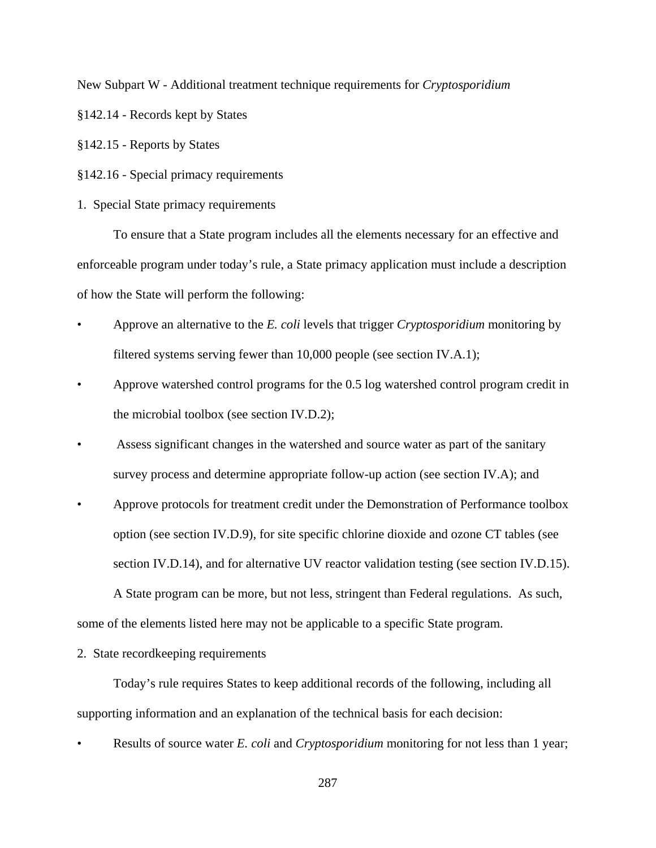New Subpart W - Additional treatment technique requirements for *Cryptosporidium*

§142.14 - Records kept by States

§142.15 - Reports by States

§142.16 - Special primacy requirements

1. Special State primacy requirements

To ensure that a State program includes all the elements necessary for an effective and enforceable program under today's rule, a State primacy application must include a description of how the State will perform the following:

- Approve an alternative to the *E. coli* levels that trigger *Cryptosporidium* monitoring by filtered systems serving fewer than 10,000 people (see section IV.A.1);
- Approve watershed control programs for the 0.5 log watershed control program credit in the microbial toolbox (see section IV.D.2);
- Assess significant changes in the watershed and source water as part of the sanitary survey process and determine appropriate follow-up action (see section IV.A); and
- Approve protocols for treatment credit under the Demonstration of Performance toolbox option (see section IV.D.9), for site specific chlorine dioxide and ozone CT tables (see section IV.D.14), and for alternative UV reactor validation testing (see section IV.D.15).

A State program can be more, but not less, stringent than Federal regulations. As such, some of the elements listed here may not be applicable to a specific State program.

2. State recordkeeping requirements

Today's rule requires States to keep additional records of the following, including all supporting information and an explanation of the technical basis for each decision:

• Results of source water *E. coli* and *Cryptosporidium* monitoring for not less than 1 year;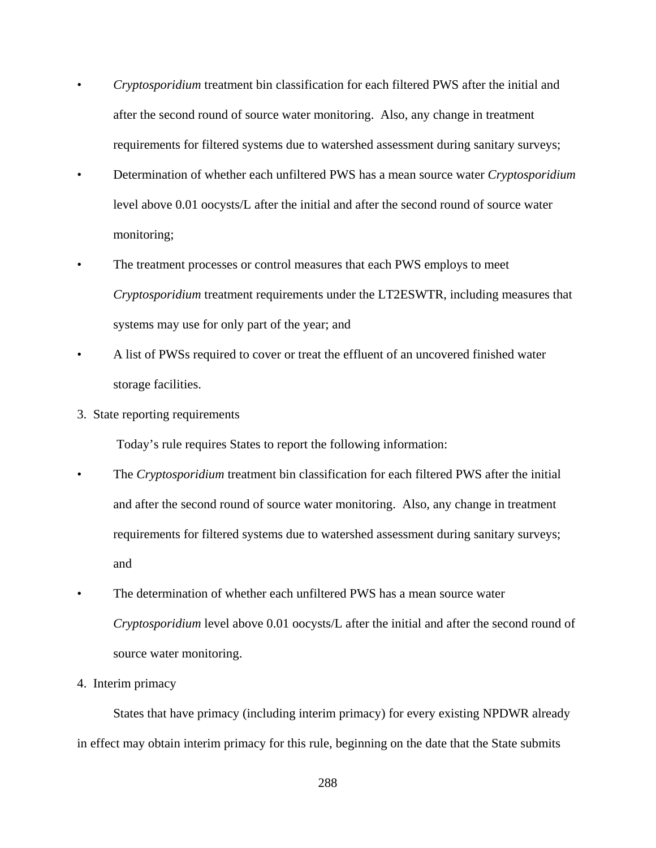- *Cryptosporidium* treatment bin classification for each filtered PWS after the initial and after the second round of source water monitoring. Also, any change in treatment requirements for filtered systems due to watershed assessment during sanitary surveys;
- Determination of whether each unfiltered PWS has a mean source water *Cryptosporidium* level above 0.01 oocysts/L after the initial and after the second round of source water monitoring;
- The treatment processes or control measures that each PWS employs to meet *Cryptosporidium* treatment requirements under the LT2ESWTR, including measures that systems may use for only part of the year; and
- A list of PWSs required to cover or treat the effluent of an uncovered finished water storage facilities.
- 3. State reporting requirements

Today's rule requires States to report the following information:

- The *Cryptosporidium* treatment bin classification for each filtered PWS after the initial and after the second round of source water monitoring. Also, any change in treatment requirements for filtered systems due to watershed assessment during sanitary surveys; and
- The determination of whether each unfiltered PWS has a mean source water *Cryptosporidium* level above 0.01 oocysts/L after the initial and after the second round of source water monitoring.
- 4. Interim primacy

States that have primacy (including interim primacy) for every existing NPDWR already in effect may obtain interim primacy for this rule, beginning on the date that the State submits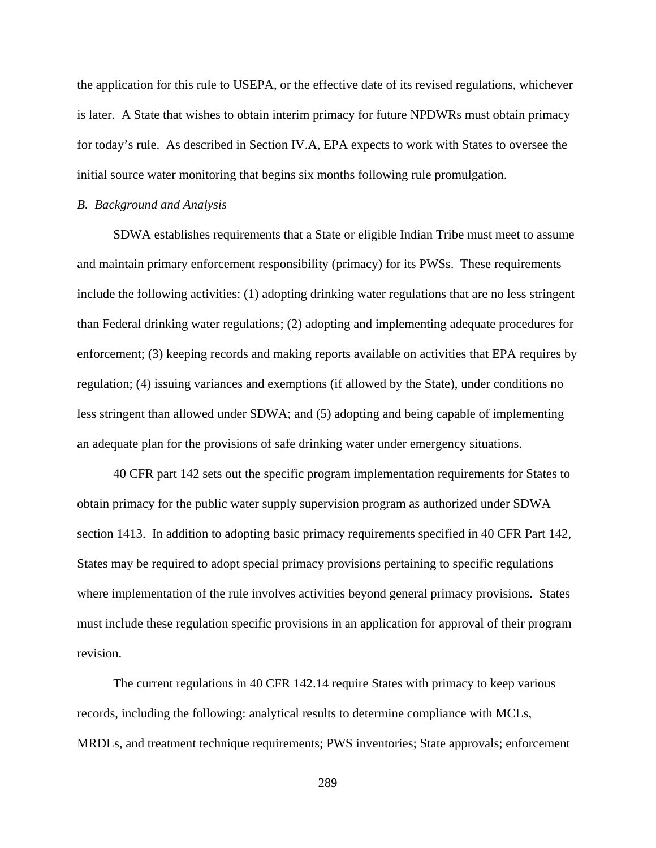the application for this rule to USEPA, or the effective date of its revised regulations, whichever is later. A State that wishes to obtain interim primacy for future NPDWRs must obtain primacy for today's rule. As described in Section IV.A, EPA expects to work with States to oversee the initial source water monitoring that begins six months following rule promulgation.

### *B. Background and Analysis*

SDWA establishes requirements that a State or eligible Indian Tribe must meet to assume and maintain primary enforcement responsibility (primacy) for its PWSs. These requirements include the following activities: (1) adopting drinking water regulations that are no less stringent than Federal drinking water regulations; (2) adopting and implementing adequate procedures for enforcement; (3) keeping records and making reports available on activities that EPA requires by regulation; (4) issuing variances and exemptions (if allowed by the State), under conditions no less stringent than allowed under SDWA; and (5) adopting and being capable of implementing an adequate plan for the provisions of safe drinking water under emergency situations.

40 CFR part 142 sets out the specific program implementation requirements for States to obtain primacy for the public water supply supervision program as authorized under SDWA section 1413. In addition to adopting basic primacy requirements specified in 40 CFR Part 142, States may be required to adopt special primacy provisions pertaining to specific regulations where implementation of the rule involves activities beyond general primacy provisions. States must include these regulation specific provisions in an application for approval of their program revision.

The current regulations in 40 CFR 142.14 require States with primacy to keep various records, including the following: analytical results to determine compliance with MCLs, MRDLs, and treatment technique requirements; PWS inventories; State approvals; enforcement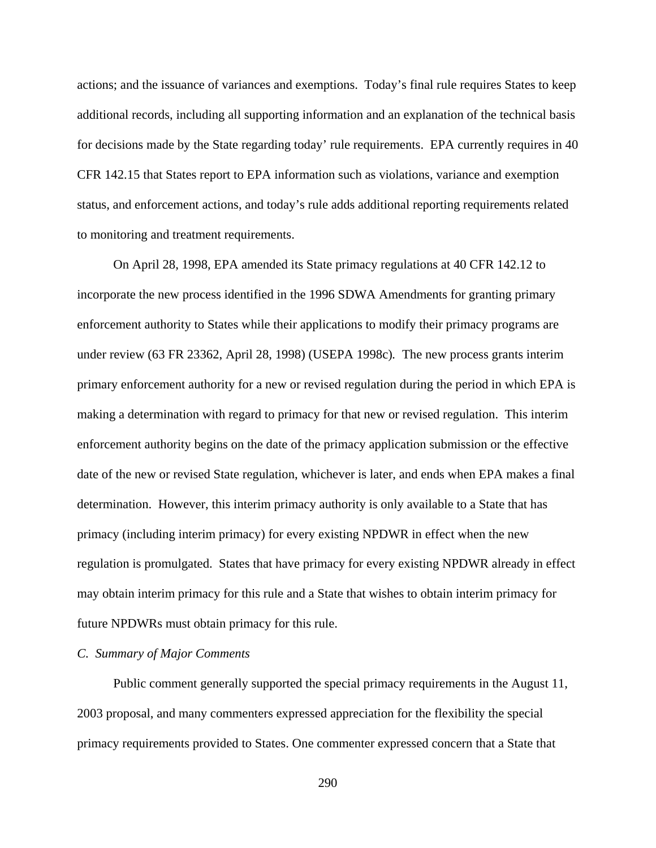actions; and the issuance of variances and exemptions. Today's final rule requires States to keep additional records, including all supporting information and an explanation of the technical basis for decisions made by the State regarding today' rule requirements. EPA currently requires in 40 CFR 142.15 that States report to EPA information such as violations, variance and exemption status, and enforcement actions, and today's rule adds additional reporting requirements related to monitoring and treatment requirements.

On April 28, 1998, EPA amended its State primacy regulations at 40 CFR 142.12 to incorporate the new process identified in the 1996 SDWA Amendments for granting primary enforcement authority to States while their applications to modify their primacy programs are under review (63 FR 23362, April 28, 1998) (USEPA 1998c)*.* The new process grants interim primary enforcement authority for a new or revised regulation during the period in which EPA is making a determination with regard to primacy for that new or revised regulation. This interim enforcement authority begins on the date of the primacy application submission or the effective date of the new or revised State regulation, whichever is later, and ends when EPA makes a final determination. However, this interim primacy authority is only available to a State that has primacy (including interim primacy) for every existing NPDWR in effect when the new regulation is promulgated. States that have primacy for every existing NPDWR already in effect may obtain interim primacy for this rule and a State that wishes to obtain interim primacy for future NPDWRs must obtain primacy for this rule.

### *C. Summary of Major Comments*

Public comment generally supported the special primacy requirements in the August 11, 2003 proposal, and many commenters expressed appreciation for the flexibility the special primacy requirements provided to States. One commenter expressed concern that a State that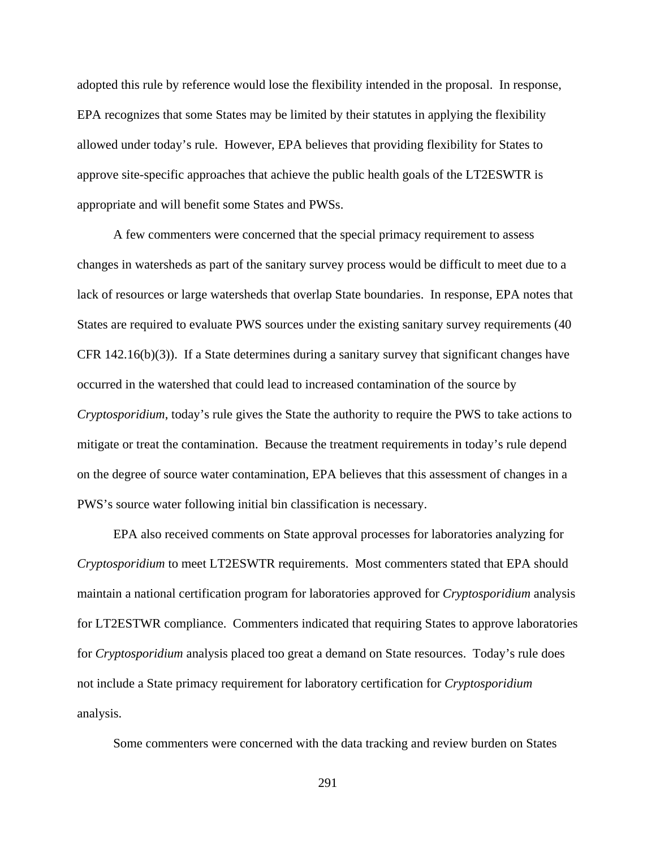adopted this rule by reference would lose the flexibility intended in the proposal. In response, EPA recognizes that some States may be limited by their statutes in applying the flexibility allowed under today's rule. However, EPA believes that providing flexibility for States to approve site-specific approaches that achieve the public health goals of the LT2ESWTR is appropriate and will benefit some States and PWSs.

A few commenters were concerned that the special primacy requirement to assess changes in watersheds as part of the sanitary survey process would be difficult to meet due to a lack of resources or large watersheds that overlap State boundaries. In response, EPA notes that States are required to evaluate PWS sources under the existing sanitary survey requirements (40 CFR  $142.16(b)(3)$ ). If a State determines during a sanitary survey that significant changes have occurred in the watershed that could lead to increased contamination of the source by *Cryptosporidium*, today's rule gives the State the authority to require the PWS to take actions to mitigate or treat the contamination. Because the treatment requirements in today's rule depend on the degree of source water contamination, EPA believes that this assessment of changes in a PWS's source water following initial bin classification is necessary.

EPA also received comments on State approval processes for laboratories analyzing for *Cryptosporidium* to meet LT2ESWTR requirements. Most commenters stated that EPA should maintain a national certification program for laboratories approved for *Cryptosporidium* analysis for LT2ESTWR compliance. Commenters indicated that requiring States to approve laboratories for *Cryptosporidium* analysis placed too great a demand on State resources. Today's rule does not include a State primacy requirement for laboratory certification for *Cryptosporidium* analysis.

Some commenters were concerned with the data tracking and review burden on States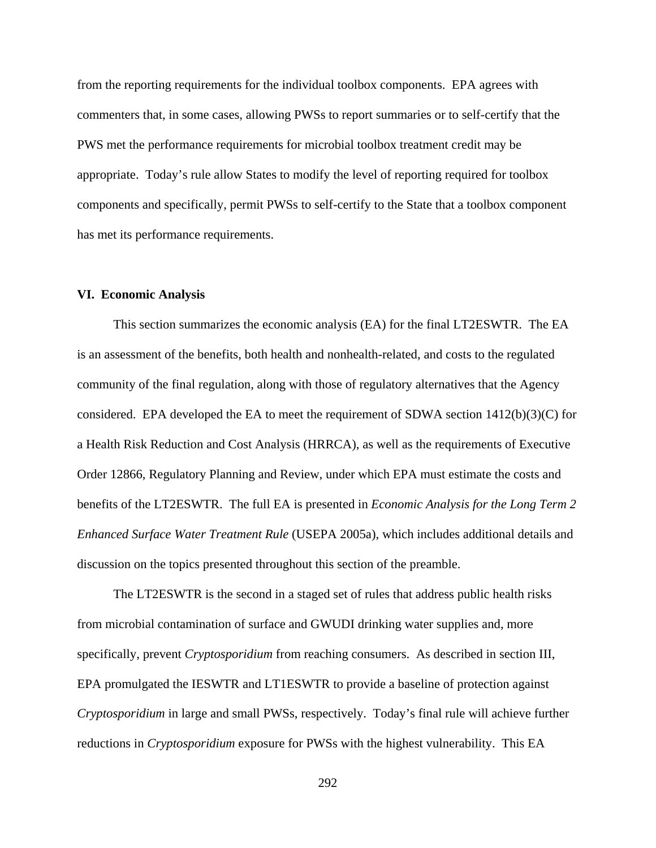from the reporting requirements for the individual toolbox components. EPA agrees with commenters that, in some cases, allowing PWSs to report summaries or to self-certify that the PWS met the performance requirements for microbial toolbox treatment credit may be appropriate. Today's rule allow States to modify the level of reporting required for toolbox components and specifically, permit PWSs to self-certify to the State that a toolbox component has met its performance requirements.

### **VI. Economic Analysis**

This section summarizes the economic analysis (EA) for the final LT2ESWTR. The EA is an assessment of the benefits, both health and nonhealth-related, and costs to the regulated community of the final regulation, along with those of regulatory alternatives that the Agency considered. EPA developed the EA to meet the requirement of SDWA section 1412(b)(3)(C) for a Health Risk Reduction and Cost Analysis (HRRCA), as well as the requirements of Executive Order 12866, Regulatory Planning and Review, under which EPA must estimate the costs and benefits of the LT2ESWTR. The full EA is presented in *Economic Analysis for the Long Term 2 Enhanced Surface Water Treatment Rule* (USEPA 2005a), which includes additional details and discussion on the topics presented throughout this section of the preamble.

The LT2ESWTR is the second in a staged set of rules that address public health risks from microbial contamination of surface and GWUDI drinking water supplies and, more specifically, prevent *Cryptosporidium* from reaching consumers. As described in section III, EPA promulgated the IESWTR and LT1ESWTR to provide a baseline of protection against *Cryptosporidium* in large and small PWSs, respectively. Today's final rule will achieve further reductions in *Cryptosporidium* exposure for PWSs with the highest vulnerability. This EA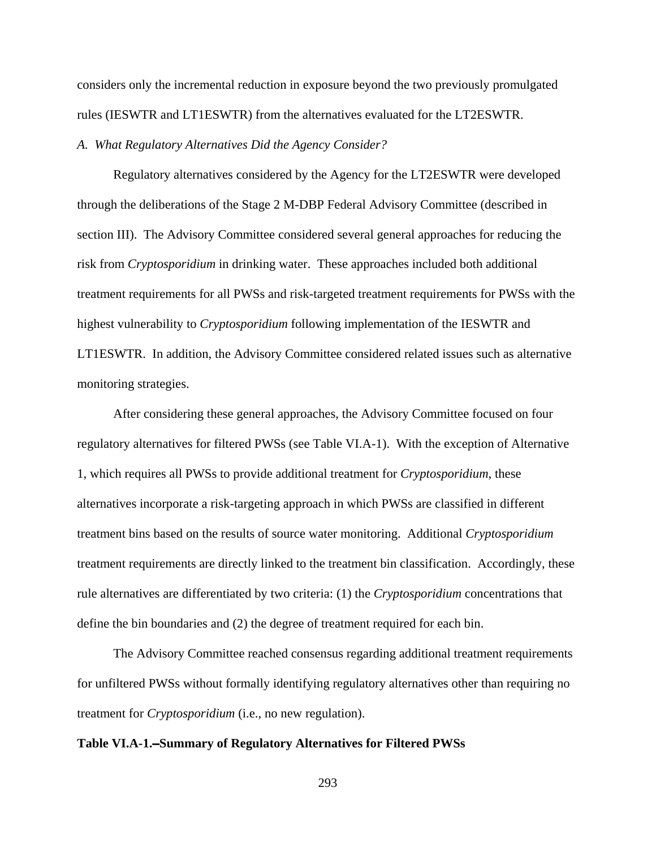considers only the incremental reduction in exposure beyond the two previously promulgated rules (IESWTR and LT1ESWTR) from the alternatives evaluated for the LT2ESWTR.

### *A. What Regulatory Alternatives Did the Agency Consider?*

Regulatory alternatives considered by the Agency for the LT2ESWTR were developed through the deliberations of the Stage 2 M-DBP Federal Advisory Committee (described in section III). The Advisory Committee considered several general approaches for reducing the risk from *Cryptosporidium* in drinking water. These approaches included both additional treatment requirements for all PWSs and risk-targeted treatment requirements for PWSs with the highest vulnerability to *Cryptosporidium* following implementation of the IESWTR and LT1ESWTR. In addition, the Advisory Committee considered related issues such as alternative monitoring strategies.

After considering these general approaches, the Advisory Committee focused on four regulatory alternatives for filtered PWSs (see Table VI.A-1). With the exception of Alternative 1, which requires all PWSs to provide additional treatment for *Cryptosporidium*, these alternatives incorporate a risk-targeting approach in which PWSs are classified in different treatment bins based on the results of source water monitoring. Additional *Cryptosporidium* treatment requirements are directly linked to the treatment bin classification. Accordingly, these rule alternatives are differentiated by two criteria: (1) the *Cryptosporidium* concentrations that define the bin boundaries and (2) the degree of treatment required for each bin.

The Advisory Committee reached consensus regarding additional treatment requirements for unfiltered PWSs without formally identifying regulatory alternatives other than requiring no treatment for *Cryptosporidium* (i.e., no new regulation).

### Table VI.A-1.-Summary of Regulatory Alternatives for Filtered PWSs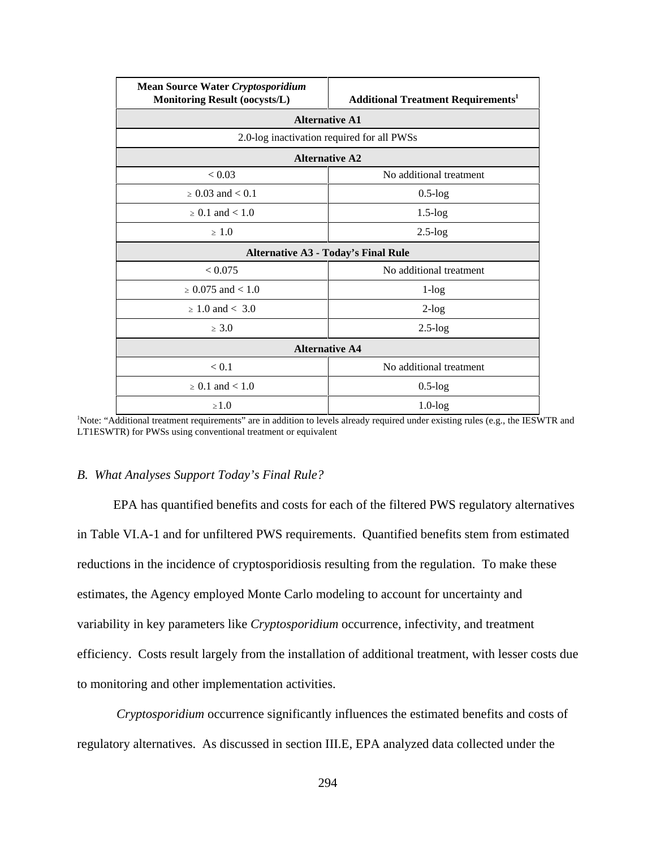| <b>Mean Source Water Cryptosporidium</b><br><b>Monitoring Result (oocysts/L)</b> | <b>Additional Treatment Requirements<sup>1</sup></b> |  |  |  |  |  |  |  |  |
|----------------------------------------------------------------------------------|------------------------------------------------------|--|--|--|--|--|--|--|--|
|                                                                                  | <b>Alternative A1</b>                                |  |  |  |  |  |  |  |  |
|                                                                                  | 2.0-log inactivation required for all PWSs           |  |  |  |  |  |  |  |  |
| <b>Alternative A2</b>                                                            |                                                      |  |  |  |  |  |  |  |  |
| < 0.03                                                                           | No additional treatment                              |  |  |  |  |  |  |  |  |
| $> 0.03$ and $< 0.1$                                                             | $0.5$ -log                                           |  |  |  |  |  |  |  |  |
| $> 0.1$ and $< 1.0$                                                              | $1.5$ - $log$                                        |  |  |  |  |  |  |  |  |
| > 1.0                                                                            | $2.5 - log$                                          |  |  |  |  |  |  |  |  |
|                                                                                  | <b>Alternative A3 - Today's Final Rule</b>           |  |  |  |  |  |  |  |  |
| < 0.075                                                                          | No additional treatment                              |  |  |  |  |  |  |  |  |
| $> 0.075$ and $< 1.0$                                                            | $1$ -log                                             |  |  |  |  |  |  |  |  |
| $> 1.0$ and $< 3.0$                                                              | $2$ -log                                             |  |  |  |  |  |  |  |  |
| $\geq 3.0$                                                                       | $2.5 - log$                                          |  |  |  |  |  |  |  |  |
|                                                                                  | <b>Alternative A4</b>                                |  |  |  |  |  |  |  |  |
| < 0.1                                                                            | No additional treatment                              |  |  |  |  |  |  |  |  |
| $> 0.1$ and $< 1.0$                                                              | $0.5 - log$                                          |  |  |  |  |  |  |  |  |
| $\geq 1.0$                                                                       | $1.0$ - $log$                                        |  |  |  |  |  |  |  |  |

1 Note: "Additional treatment requirements" are in addition to levels already required under existing rules (e.g., the IESWTR and LT1ESWTR) for PWSs using conventional treatment or equivalent

### *B. What Analyses Support Today's Final Rule?*

EPA has quantified benefits and costs for each of the filtered PWS regulatory alternatives in Table VI.A-1 and for unfiltered PWS requirements. Quantified benefits stem from estimated reductions in the incidence of cryptosporidiosis resulting from the regulation. To make these estimates, the Agency employed Monte Carlo modeling to account for uncertainty and variability in key parameters like *Cryptosporidium* occurrence, infectivity, and treatment efficiency. Costs result largely from the installation of additional treatment, with lesser costs due to monitoring and other implementation activities.

*Cryptosporidium* occurrence significantly influences the estimated benefits and costs of regulatory alternatives. As discussed in section III.E, EPA analyzed data collected under the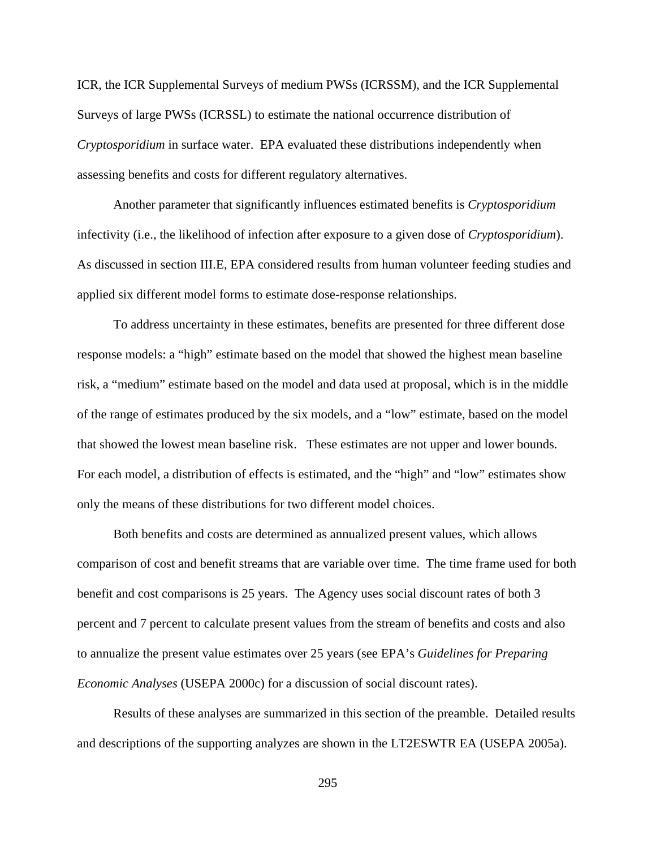ICR, the ICR Supplemental Surveys of medium PWSs (ICRSSM), and the ICR Supplemental Surveys of large PWSs (ICRSSL) to estimate the national occurrence distribution of *Cryptosporidium* in surface water. EPA evaluated these distributions independently when assessing benefits and costs for different regulatory alternatives.

Another parameter that significantly influences estimated benefits is *Cryptosporidium* infectivity (i.e., the likelihood of infection after exposure to a given dose of *Cryptosporidium*). As discussed in section III.E, EPA considered results from human volunteer feeding studies and applied six different model forms to estimate dose-response relationships.

To address uncertainty in these estimates, benefits are presented for three different dose response models: a "high" estimate based on the model that showed the highest mean baseline risk, a "medium" estimate based on the model and data used at proposal, which is in the middle of the range of estimates produced by the six models, and a "low" estimate, based on the model that showed the lowest mean baseline risk. These estimates are not upper and lower bounds. For each model, a distribution of effects is estimated, and the "high" and "low" estimates show only the means of these distributions for two different model choices.

Both benefits and costs are determined as annualized present values, which allows comparison of cost and benefit streams that are variable over time. The time frame used for both benefit and cost comparisons is 25 years. The Agency uses social discount rates of both 3 percent and 7 percent to calculate present values from the stream of benefits and costs and also to annualize the present value estimates over 25 years (see EPA's *Guidelines for Preparing Economic Analyses* (USEPA 2000c) for a discussion of social discount rates).

Results of these analyses are summarized in this section of the preamble. Detailed results and descriptions of the supporting analyzes are shown in the LT2ESWTR EA (USEPA 2005a).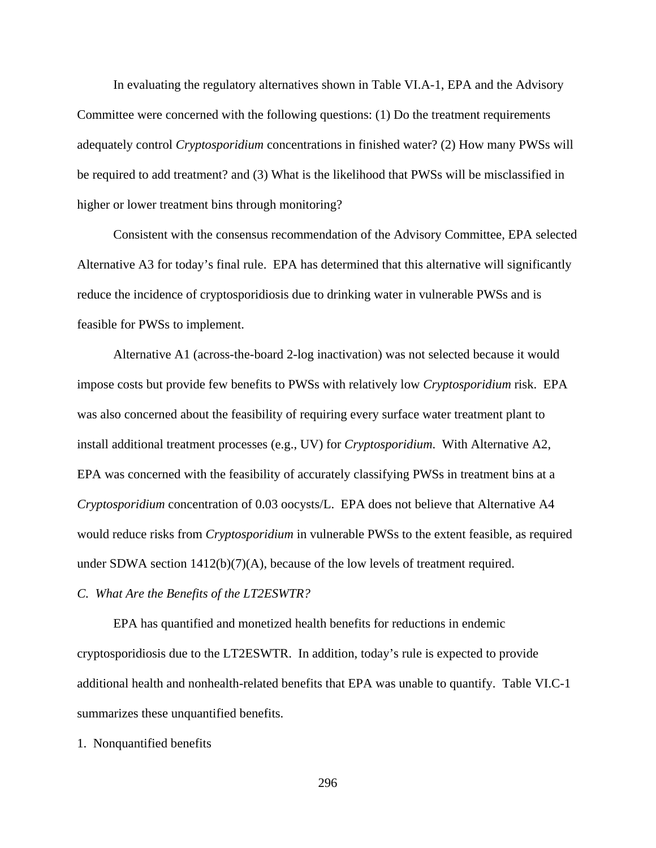In evaluating the regulatory alternatives shown in Table VI.A-1, EPA and the Advisory Committee were concerned with the following questions: (1) Do the treatment requirements adequately control *Cryptosporidium* concentrations in finished water? (2) How many PWSs will be required to add treatment? and (3) What is the likelihood that PWSs will be misclassified in higher or lower treatment bins through monitoring?

Consistent with the consensus recommendation of the Advisory Committee, EPA selected Alternative A3 for today's final rule. EPA has determined that this alternative will significantly reduce the incidence of cryptosporidiosis due to drinking water in vulnerable PWSs and is feasible for PWSs to implement.

Alternative A1 (across-the-board 2-log inactivation) was not selected because it would impose costs but provide few benefits to PWSs with relatively low *Cryptosporidium* risk. EPA was also concerned about the feasibility of requiring every surface water treatment plant to install additional treatment processes (e.g., UV) for *Cryptosporidium*. With Alternative A2, EPA was concerned with the feasibility of accurately classifying PWSs in treatment bins at a *Cryptosporidium* concentration of 0.03 oocysts/L. EPA does not believe that Alternative A4 would reduce risks from *Cryptosporidium* in vulnerable PWSs to the extent feasible, as required under SDWA section  $1412(b)(7)(A)$ , because of the low levels of treatment required.

*C. What Are the Benefits of the LT2ESWTR?*

EPA has quantified and monetized health benefits for reductions in endemic cryptosporidiosis due to the LT2ESWTR. In addition, today's rule is expected to provide additional health and nonhealth-related benefits that EPA was unable to quantify. Table VI.C-1 summarizes these unquantified benefits.

1. Nonquantified benefits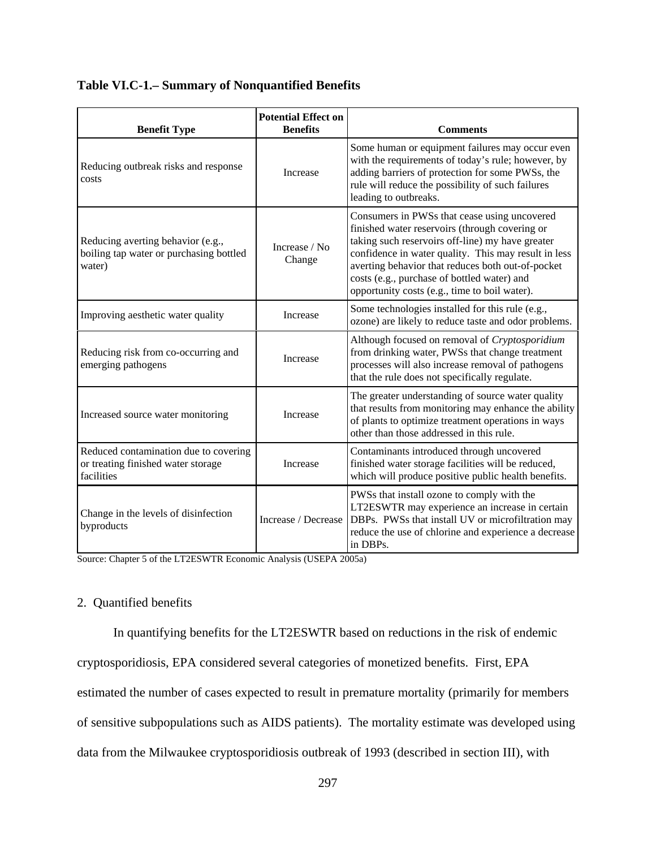| <b>Benefit Type</b>                                                                       | <b>Potential Effect on</b><br><b>Benefits</b> | <b>Comments</b>                                                                                                                                                                                                                                                                                                                                                 |
|-------------------------------------------------------------------------------------------|-----------------------------------------------|-----------------------------------------------------------------------------------------------------------------------------------------------------------------------------------------------------------------------------------------------------------------------------------------------------------------------------------------------------------------|
| Reducing outbreak risks and response<br>costs                                             | Increase                                      | Some human or equipment failures may occur even<br>with the requirements of today's rule; however, by<br>adding barriers of protection for some PWSs, the<br>rule will reduce the possibility of such failures<br>leading to outbreaks.                                                                                                                         |
| Reducing averting behavior (e.g.,<br>boiling tap water or purchasing bottled<br>water)    | Increase / No<br>Change                       | Consumers in PWSs that cease using uncovered<br>finished water reservoirs (through covering or<br>taking such reservoirs off-line) my have greater<br>confidence in water quality. This may result in less<br>averting behavior that reduces both out-of-pocket<br>costs (e.g., purchase of bottled water) and<br>opportunity costs (e.g., time to boil water). |
| Improving aesthetic water quality                                                         | Increase                                      | Some technologies installed for this rule (e.g.,<br>ozone) are likely to reduce taste and odor problems.                                                                                                                                                                                                                                                        |
| Reducing risk from co-occurring and<br>emerging pathogens                                 | Increase                                      | Although focused on removal of Cryptosporidium<br>from drinking water, PWSs that change treatment<br>processes will also increase removal of pathogens<br>that the rule does not specifically regulate.                                                                                                                                                         |
| Increased source water monitoring                                                         | Increase                                      | The greater understanding of source water quality<br>that results from monitoring may enhance the ability<br>of plants to optimize treatment operations in ways<br>other than those addressed in this rule.                                                                                                                                                     |
| Reduced contamination due to covering<br>or treating finished water storage<br>facilities | Increase                                      | Contaminants introduced through uncovered<br>finished water storage facilities will be reduced,<br>which will produce positive public health benefits.                                                                                                                                                                                                          |
| Change in the levels of disinfection<br>byproducts                                        | Increase / Decrease                           | PWSs that install ozone to comply with the<br>LT2ESWTR may experience an increase in certain<br>DBPs. PWSs that install UV or microfiltration may<br>reduce the use of chlorine and experience a decrease<br>in DBPs.                                                                                                                                           |

# **Table VI.C-1.– Summary of Nonquantified Benefits**

Source: Chapter 5 of the LT2ESWTR Economic Analysis (USEPA 2005a)

## 2. Quantified benefits

In quantifying benefits for the LT2ESWTR based on reductions in the risk of endemic cryptosporidiosis, EPA considered several categories of monetized benefits. First, EPA estimated the number of cases expected to result in premature mortality (primarily for members of sensitive subpopulations such as AIDS patients). The mortality estimate was developed using data from the Milwaukee cryptosporidiosis outbreak of 1993 (described in section III), with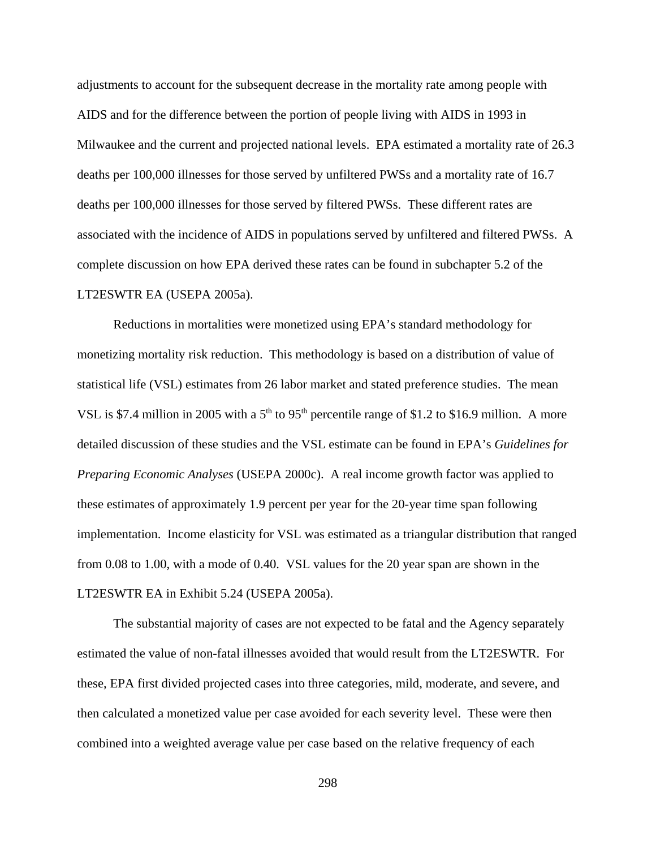adjustments to account for the subsequent decrease in the mortality rate among people with AIDS and for the difference between the portion of people living with AIDS in 1993 in Milwaukee and the current and projected national levels. EPA estimated a mortality rate of 26.3 deaths per 100,000 illnesses for those served by unfiltered PWSs and a mortality rate of 16.7 deaths per 100,000 illnesses for those served by filtered PWSs. These different rates are associated with the incidence of AIDS in populations served by unfiltered and filtered PWSs. A complete discussion on how EPA derived these rates can be found in subchapter 5.2 of the LT2ESWTR EA (USEPA 2005a).

Reductions in mortalities were monetized using EPA's standard methodology for monetizing mortality risk reduction. This methodology is based on a distribution of value of statistical life (VSL) estimates from 26 labor market and stated preference studies. The mean VSL is \$7.4 million in 2005 with a 5<sup>th</sup> to 95<sup>th</sup> percentile range of \$1.2 to \$16.9 million. A more detailed discussion of these studies and the VSL estimate can be found in EPA's *Guidelines for Preparing Economic Analyses* (USEPA 2000c). A real income growth factor was applied to these estimates of approximately 1.9 percent per year for the 20-year time span following implementation. Income elasticity for VSL was estimated as a triangular distribution that ranged from 0.08 to 1.00, with a mode of 0.40. VSL values for the 20 year span are shown in the LT2ESWTR EA in Exhibit 5.24 (USEPA 2005a).

The substantial majority of cases are not expected to be fatal and the Agency separately estimated the value of non-fatal illnesses avoided that would result from the LT2ESWTR. For these, EPA first divided projected cases into three categories, mild, moderate, and severe, and then calculated a monetized value per case avoided for each severity level. These were then combined into a weighted average value per case based on the relative frequency of each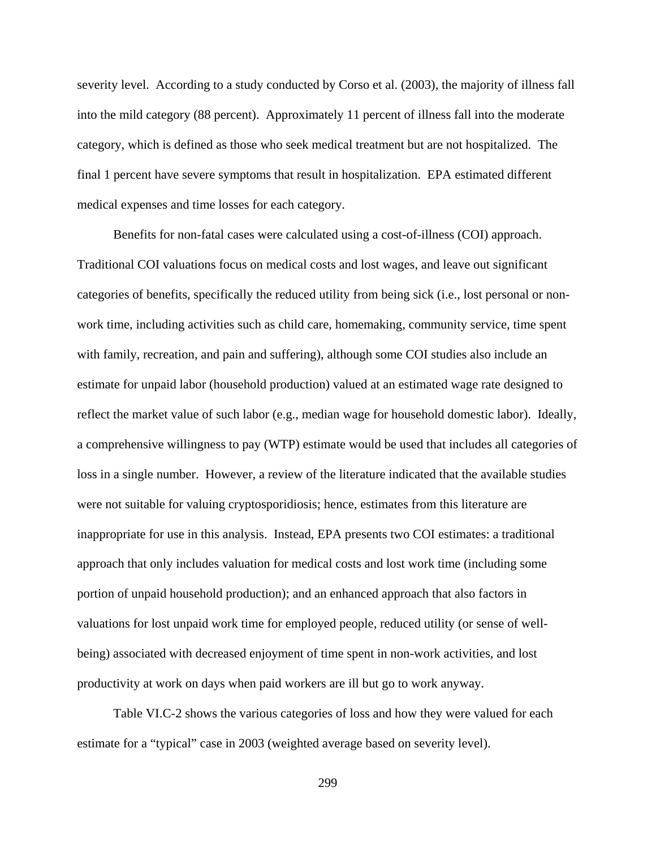severity level. According to a study conducted by Corso et al. (2003), the majority of illness fall into the mild category (88 percent). Approximately 11 percent of illness fall into the moderate category, which is defined as those who seek medical treatment but are not hospitalized. The final 1 percent have severe symptoms that result in hospitalization. EPA estimated different medical expenses and time losses for each category.

Benefits for non-fatal cases were calculated using a cost-of-illness (COI) approach. Traditional COI valuations focus on medical costs and lost wages, and leave out significant categories of benefits, specifically the reduced utility from being sick (i.e., lost personal or nonwork time, including activities such as child care, homemaking, community service, time spent with family, recreation, and pain and suffering), although some COI studies also include an estimate for unpaid labor (household production) valued at an estimated wage rate designed to reflect the market value of such labor (e.g., median wage for household domestic labor). Ideally, a comprehensive willingness to pay (WTP) estimate would be used that includes all categories of loss in a single number. However, a review of the literature indicated that the available studies were not suitable for valuing cryptosporidiosis; hence, estimates from this literature are inappropriate for use in this analysis. Instead, EPA presents two COI estimates: a traditional approach that only includes valuation for medical costs and lost work time (including some portion of unpaid household production); and an enhanced approach that also factors in valuations for lost unpaid work time for employed people, reduced utility (or sense of wellbeing) associated with decreased enjoyment of time spent in non-work activities, and lost productivity at work on days when paid workers are ill but go to work anyway.

Table VI.C-2 shows the various categories of loss and how they were valued for each estimate for a "typical" case in 2003 (weighted average based on severity level).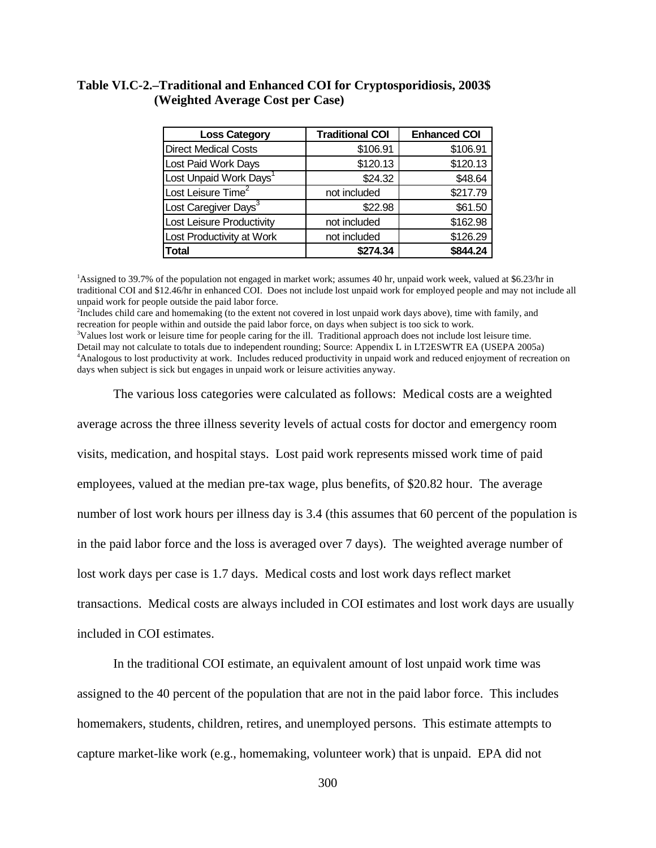# **Table VI.C-2.–Traditional and Enhanced COI for Cryptosporidiosis, 2003\$ (Weighted Average Cost per Case)**

| <b>Loss Category</b>               | <b>Traditional COI</b> | <b>Enhanced COI</b> |
|------------------------------------|------------------------|---------------------|
| <b>Direct Medical Costs</b>        | \$106.91               | \$106.91            |
| Lost Paid Work Days                | \$120.13               | \$120.13            |
| Lost Unpaid Work Days <sup>1</sup> | \$24.32                | \$48.64             |
| Lost Leisure Time <sup>2</sup>     | not included           | \$217.79            |
| Lost Caregiver Days <sup>3</sup>   | \$22.98                | \$61.50             |
| Lost Leisure Productivity          | not included           | \$162.98            |
| Lost Productivity at Work          | not included           | \$126.29            |
| <b>Total</b>                       | \$274.34               | \$844.24            |

1 Assigned to 39.7% of the population not engaged in market work; assumes 40 hr, unpaid work week, valued at \$6.23/hr in traditional COI and \$12.46/hr in enhanced COI. Does not include lost unpaid work for employed people and may not include all unpaid work for people outside the paid labor force.

2 Includes child care and homemaking (to the extent not covered in lost unpaid work days above), time with family, and recreation for people within and outside the paid labor force, on days when subject is too sick to work. <sup>3</sup>Values lost work or leisure time for people caring for the ill. Traditional approach does not include lost leisure time. Detail may not calculate to totals due to independent rounding; Source: Appendix L in LT2ESWTR EA (USEPA 2005a) 4 Analogous to lost productivity at work. Includes reduced productivity in unpaid work and reduced enjoyment of recreation on days when subject is sick but engages in unpaid work or leisure activities anyway.

The various loss categories were calculated as follows: Medical costs are a weighted

average across the three illness severity levels of actual costs for doctor and emergency room visits, medication, and hospital stays. Lost paid work represents missed work time of paid employees, valued at the median pre-tax wage, plus benefits, of \$20.82 hour. The average number of lost work hours per illness day is 3.4 (this assumes that 60 percent of the population is in the paid labor force and the loss is averaged over 7 days). The weighted average number of lost work days per case is 1.7 days. Medical costs and lost work days reflect market transactions. Medical costs are always included in COI estimates and lost work days are usually included in COI estimates.

In the traditional COI estimate, an equivalent amount of lost unpaid work time was assigned to the 40 percent of the population that are not in the paid labor force. This includes homemakers, students, children, retires, and unemployed persons. This estimate attempts to capture market-like work (e.g., homemaking, volunteer work) that is unpaid. EPA did not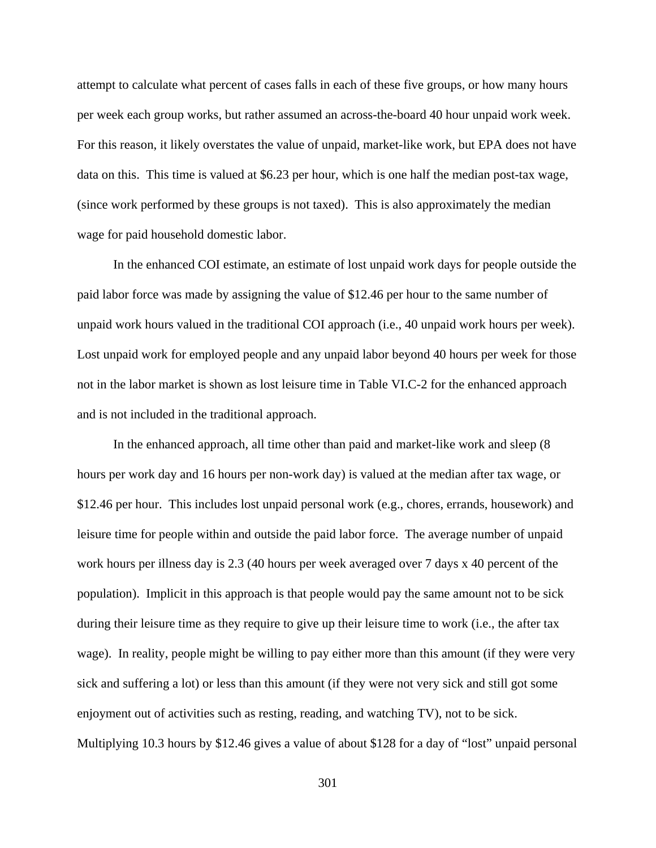attempt to calculate what percent of cases falls in each of these five groups, or how many hours per week each group works, but rather assumed an across-the-board 40 hour unpaid work week. For this reason, it likely overstates the value of unpaid, market-like work, but EPA does not have data on this. This time is valued at \$6.23 per hour, which is one half the median post-tax wage, (since work performed by these groups is not taxed). This is also approximately the median wage for paid household domestic labor.

In the enhanced COI estimate, an estimate of lost unpaid work days for people outside the paid labor force was made by assigning the value of \$12.46 per hour to the same number of unpaid work hours valued in the traditional COI approach (i.e., 40 unpaid work hours per week). Lost unpaid work for employed people and any unpaid labor beyond 40 hours per week for those not in the labor market is shown as lost leisure time in Table VI.C-2 for the enhanced approach and is not included in the traditional approach.

In the enhanced approach, all time other than paid and market-like work and sleep (8 hours per work day and 16 hours per non-work day) is valued at the median after tax wage, or \$12.46 per hour. This includes lost unpaid personal work (e.g., chores, errands, housework) and leisure time for people within and outside the paid labor force. The average number of unpaid work hours per illness day is 2.3 (40 hours per week averaged over 7 days x 40 percent of the population). Implicit in this approach is that people would pay the same amount not to be sick during their leisure time as they require to give up their leisure time to work (i.e., the after tax wage). In reality, people might be willing to pay either more than this amount (if they were very sick and suffering a lot) or less than this amount (if they were not very sick and still got some enjoyment out of activities such as resting, reading, and watching TV), not to be sick. Multiplying 10.3 hours by \$12.46 gives a value of about \$128 for a day of "lost" unpaid personal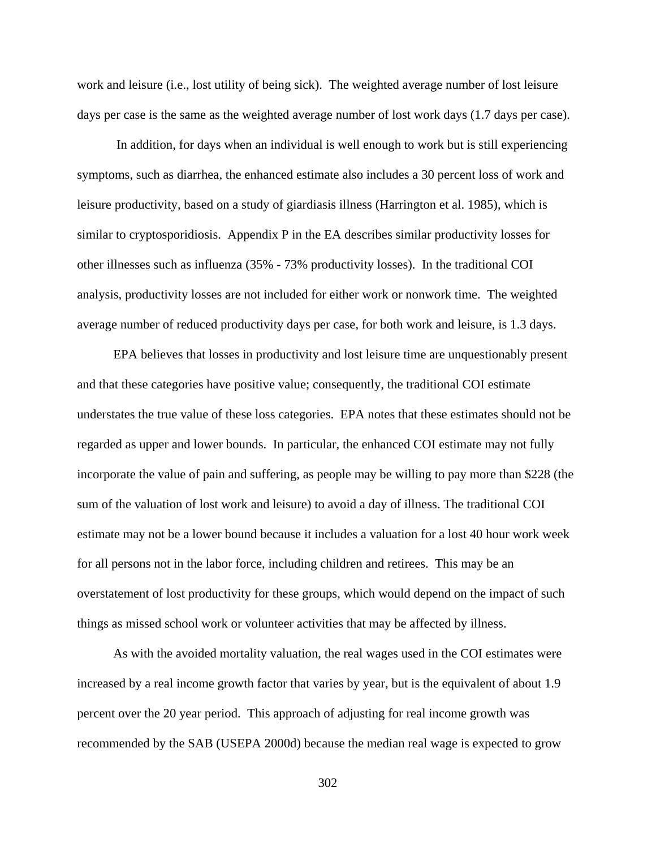work and leisure (i.e., lost utility of being sick). The weighted average number of lost leisure days per case is the same as the weighted average number of lost work days (1.7 days per case).

 In addition, for days when an individual is well enough to work but is still experiencing symptoms, such as diarrhea, the enhanced estimate also includes a 30 percent loss of work and leisure productivity, based on a study of giardiasis illness (Harrington et al. 1985), which is similar to cryptosporidiosis. Appendix P in the EA describes similar productivity losses for other illnesses such as influenza (35% - 73% productivity losses). In the traditional COI analysis, productivity losses are not included for either work or nonwork time. The weighted average number of reduced productivity days per case, for both work and leisure, is 1.3 days.

EPA believes that losses in productivity and lost leisure time are unquestionably present and that these categories have positive value; consequently, the traditional COI estimate understates the true value of these loss categories. EPA notes that these estimates should not be regarded as upper and lower bounds. In particular, the enhanced COI estimate may not fully incorporate the value of pain and suffering, as people may be willing to pay more than \$228 (the sum of the valuation of lost work and leisure) to avoid a day of illness. The traditional COI estimate may not be a lower bound because it includes a valuation for a lost 40 hour work week for all persons not in the labor force, including children and retirees. This may be an overstatement of lost productivity for these groups, which would depend on the impact of such things as missed school work or volunteer activities that may be affected by illness.

As with the avoided mortality valuation, the real wages used in the COI estimates were increased by a real income growth factor that varies by year, but is the equivalent of about 1.9 percent over the 20 year period. This approach of adjusting for real income growth was recommended by the SAB (USEPA 2000d) because the median real wage is expected to grow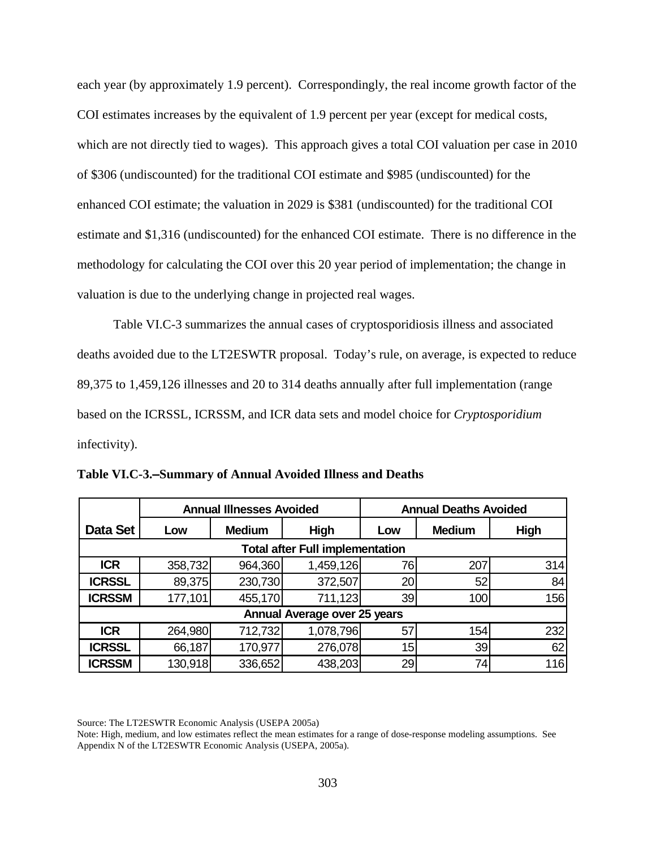each year (by approximately 1.9 percent). Correspondingly, the real income growth factor of the COI estimates increases by the equivalent of 1.9 percent per year (except for medical costs, which are not directly tied to wages). This approach gives a total COI valuation per case in 2010 of \$306 (undiscounted) for the traditional COI estimate and \$985 (undiscounted) for the enhanced COI estimate; the valuation in 2029 is \$381 (undiscounted) for the traditional COI estimate and \$1,316 (undiscounted) for the enhanced COI estimate. There is no difference in the methodology for calculating the COI over this 20 year period of implementation; the change in valuation is due to the underlying change in projected real wages.

Table VI.C-3 summarizes the annual cases of cryptosporidiosis illness and associated deaths avoided due to the LT2ESWTR proposal. Today's rule, on average, is expected to reduce 89,375 to 1,459,126 illnesses and 20 to 314 deaths annually after full implementation (range based on the ICRSSL, ICRSSM, and ICR data sets and model choice for *Cryptosporidium* infectivity).

|               |         | <b>Annual Illnesses Avoided</b> | <b>Annual Deaths Avoided</b>           |     |               |      |  |  |  |
|---------------|---------|---------------------------------|----------------------------------------|-----|---------------|------|--|--|--|
| Data Set      | Low     | <b>Medium</b>                   | High                                   | Low | <b>Medium</b> | High |  |  |  |
|               |         |                                 | <b>Total after Full implementation</b> |     |               |      |  |  |  |
| <b>ICR</b>    | 358,732 | 964,360                         | 1,459,126                              | 76  | 207           | 314  |  |  |  |
| <b>ICRSSL</b> | 89,375  | 230,730                         | 372,507                                | 20  | 52            | 84   |  |  |  |
| <b>ICRSSM</b> | 177,101 | 455,170                         | 711,123                                | 39  | 100           | 156  |  |  |  |
|               |         |                                 | <b>Annual Average over 25 years</b>    |     |               |      |  |  |  |
| <b>ICR</b>    | 264,980 | 712,732                         | 1,078,796                              | 57  | 154           | 232  |  |  |  |
| <b>ICRSSL</b> | 66,187  | 170,977                         | 276,078                                | 15  | 39            | 62   |  |  |  |
| <b>ICRSSM</b> | 130,918 | 336,652                         | 438,203                                | 29  | 74            | 116  |  |  |  |

**Table VI.C-3.**S**Summary of Annual Avoided Illness and Deaths**

Source: The LT2ESWTR Economic Analysis (USEPA 2005a)

Note: High, medium, and low estimates reflect the mean estimates for a range of dose-response modeling assumptions. See Appendix N of the LT2ESWTR Economic Analysis (USEPA, 2005a).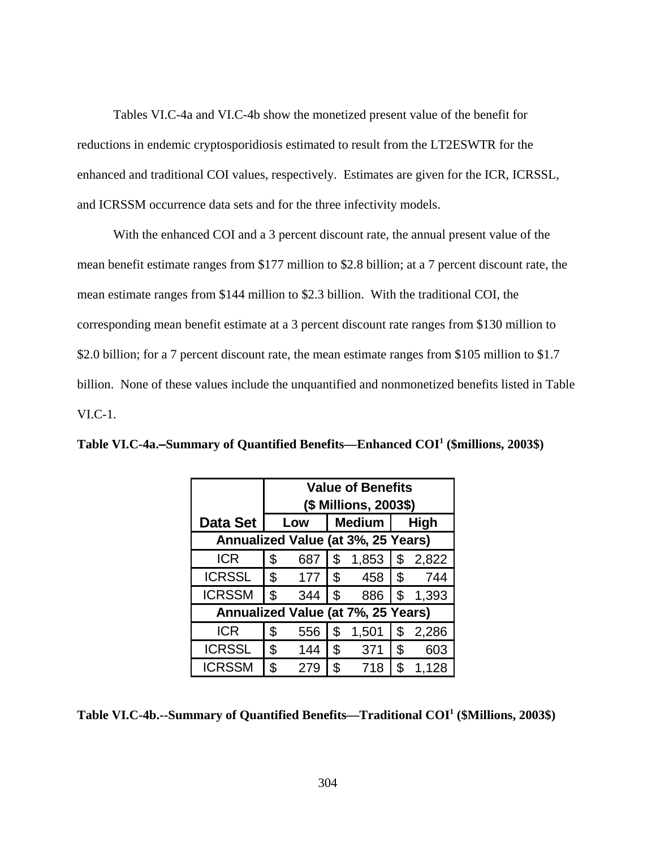Tables VI.C-4a and VI.C-4b show the monetized present value of the benefit for reductions in endemic cryptosporidiosis estimated to result from the LT2ESWTR for the enhanced and traditional COI values, respectively. Estimates are given for the ICR, ICRSSL, and ICRSSM occurrence data sets and for the three infectivity models.

With the enhanced COI and a 3 percent discount rate, the annual present value of the mean benefit estimate ranges from \$177 million to \$2.8 billion; at a 7 percent discount rate, the mean estimate ranges from \$144 million to \$2.3 billion. With the traditional COI, the corresponding mean benefit estimate at a 3 percent discount rate ranges from \$130 million to \$2.0 billion; for a 7 percent discount rate, the mean estimate ranges from \$105 million to \$1.7 billion. None of these values include the unquantified and nonmonetized benefits listed in Table VI.C-1.

|                                    |                           | <b>Value of Benefits</b> |               |       |    |         |  |  |  |  |  |  |  |  |  |
|------------------------------------|---------------------------|--------------------------|---------------|-------|----|---------|--|--|--|--|--|--|--|--|--|
|                                    |                           | (\$ Millions, 2003\$)    |               |       |    |         |  |  |  |  |  |  |  |  |  |
| <b>Data Set</b>                    |                           | Medium  <br>High<br>Low  |               |       |    |         |  |  |  |  |  |  |  |  |  |
| Annualized Value (at 3%, 25 Years) |                           |                          |               |       |    |         |  |  |  |  |  |  |  |  |  |
| <b>ICR</b>                         | \$                        | 687                      | \$            | 1,853 |    | \$2,822 |  |  |  |  |  |  |  |  |  |
| <b>ICRSSL</b>                      | \$                        | 177                      | $\mathcal{L}$ | 458   | \$ | 744     |  |  |  |  |  |  |  |  |  |
| <b>ICRSSM</b>                      | $\boldsymbol{\mathsf{S}}$ | 344                      | \$            | 886   | \$ | 1,393   |  |  |  |  |  |  |  |  |  |
| Annualized Value (at 7%, 25 Years) |                           |                          |               |       |    |         |  |  |  |  |  |  |  |  |  |
| <b>ICR</b>                         | \$                        | 556                      | \$            | 1,501 | \$ | 2,286   |  |  |  |  |  |  |  |  |  |
| <b>ICRSSL</b>                      | \$                        | 144                      | \$            | 371   | \$ | 603     |  |  |  |  |  |  |  |  |  |
| <b>ICRSSM</b>                      | \$                        | 279                      | \$            | 718   | \$ | 1,128   |  |  |  |  |  |  |  |  |  |

**Table VI.C-4a.**S**Summary of Quantified Benefits—Enhanced COI1 (\$millions, 2003\$)**

**Table VI.C-4b.--Summary of Quantified Benefits—Traditional COI1 (\$Millions, 2003\$)**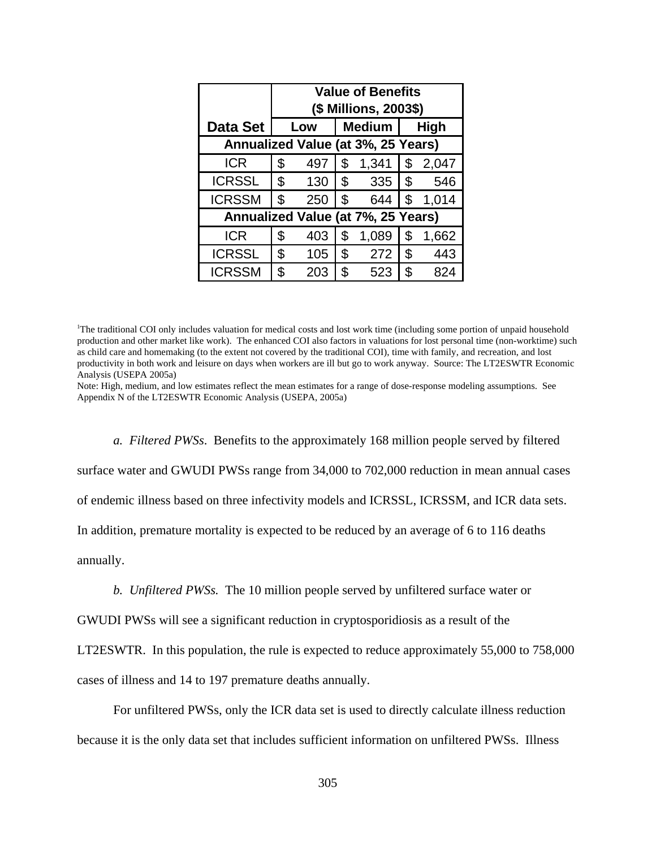|                                    |                              | <b>Value of Benefits</b> |              |       |              |       |  |  |  |  |  |  |  |  |
|------------------------------------|------------------------------|--------------------------|--------------|-------|--------------|-------|--|--|--|--|--|--|--|--|
|                                    |                              | (\$ Millions, 2003\$)    |              |       |              |       |  |  |  |  |  |  |  |  |
| <b>Data Set</b>                    | <b>Medium</b><br>High<br>Low |                          |              |       |              |       |  |  |  |  |  |  |  |  |
| Annualized Value (at 3%, 25 Years) |                              |                          |              |       |              |       |  |  |  |  |  |  |  |  |
| <b>ICR</b>                         | \$                           | 497                      | \$           | 1,341 | \$           | 2,047 |  |  |  |  |  |  |  |  |
| <b>ICRSSL</b>                      | \$                           | 130                      | $\mathbb{S}$ | 335   | I \$         | 546   |  |  |  |  |  |  |  |  |
| <b>ICRSSM</b>                      | \$                           | 250                      | \$           | 644   | \$           | 1,014 |  |  |  |  |  |  |  |  |
| Annualized Value (at 7%, 25 Years) |                              |                          |              |       |              |       |  |  |  |  |  |  |  |  |
| <b>ICR</b>                         | \$                           | 403                      | \$           | 1,089 | \$           | 1,662 |  |  |  |  |  |  |  |  |
| <b>ICRSSL</b>                      | \$                           | 105                      | \$           | 272   | $\mathbb{S}$ | 443   |  |  |  |  |  |  |  |  |
| <b>ICRSSM</b>                      | \$                           | 203                      | \$           | 523   | \$           | 824   |  |  |  |  |  |  |  |  |

<sup>1</sup> The traditional COI only includes valuation for medical costs and lost work time (including some portion of unpaid household production and other market like work). The enhanced COI also factors in valuations for lost personal time (non-worktime) such as child care and homemaking (to the extent not covered by the traditional COI), time with family, and recreation, and lost productivity in both work and leisure on days when workers are ill but go to work anyway. Source: The LT2ESWTR Economic Analysis (USEPA 2005a)

Note: High, medium, and low estimates reflect the mean estimates for a range of dose-response modeling assumptions. See Appendix N of the LT2ESWTR Economic Analysis (USEPA, 2005a)

*a. Filtered PWSs*. Benefits to the approximately 168 million people served by filtered surface water and GWUDI PWSs range from 34,000 to 702,000 reduction in mean annual cases of endemic illness based on three infectivity models and ICRSSL, ICRSSM, and ICR data sets. In addition, premature mortality is expected to be reduced by an average of 6 to 116 deaths annually.

*b. Unfiltered PWSs.* The 10 million people served by unfiltered surface water or

GWUDI PWSs will see a significant reduction in cryptosporidiosis as a result of the

LT2ESWTR. In this population, the rule is expected to reduce approximately 55,000 to 758,000

cases of illness and 14 to 197 premature deaths annually.

For unfiltered PWSs, only the ICR data set is used to directly calculate illness reduction because it is the only data set that includes sufficient information on unfiltered PWSs. Illness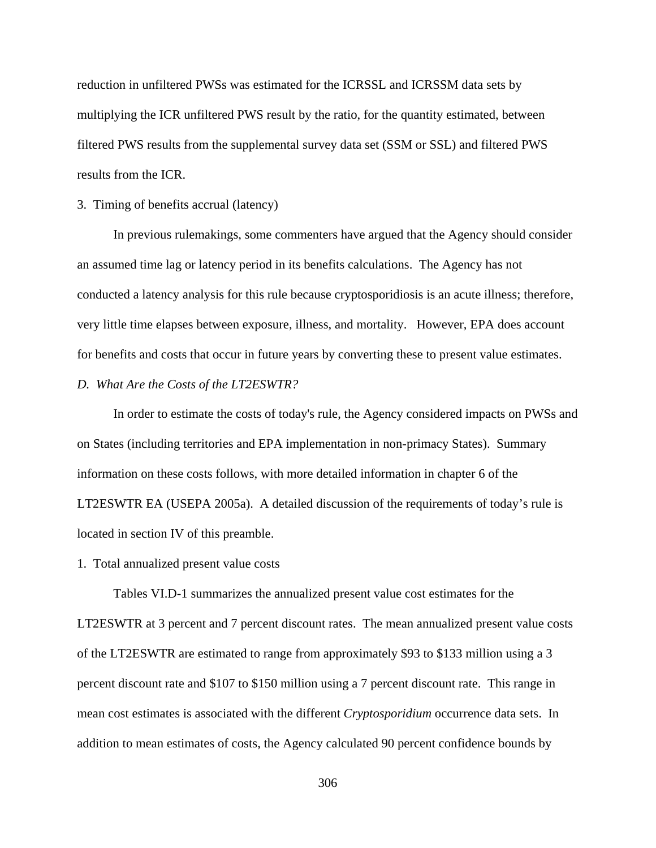reduction in unfiltered PWSs was estimated for the ICRSSL and ICRSSM data sets by multiplying the ICR unfiltered PWS result by the ratio, for the quantity estimated, between filtered PWS results from the supplemental survey data set (SSM or SSL) and filtered PWS results from the ICR.

### 3. Timing of benefits accrual (latency)

In previous rulemakings, some commenters have argued that the Agency should consider an assumed time lag or latency period in its benefits calculations. The Agency has not conducted a latency analysis for this rule because cryptosporidiosis is an acute illness; therefore, very little time elapses between exposure, illness, and mortality. However, EPA does account for benefits and costs that occur in future years by converting these to present value estimates.

## *D. What Are the Costs of the LT2ESWTR?*

In order to estimate the costs of today's rule, the Agency considered impacts on PWSs and on States (including territories and EPA implementation in non-primacy States). Summary information on these costs follows, with more detailed information in chapter 6 of the LT2ESWTR EA (USEPA 2005a). A detailed discussion of the requirements of today's rule is located in section IV of this preamble.

1. Total annualized present value costs

Tables VI.D-1 summarizes the annualized present value cost estimates for the LT2ESWTR at 3 percent and 7 percent discount rates. The mean annualized present value costs of the LT2ESWTR are estimated to range from approximately \$93 to \$133 million using a 3 percent discount rate and \$107 to \$150 million using a 7 percent discount rate. This range in mean cost estimates is associated with the different *Cryptosporidium* occurrence data sets. In addition to mean estimates of costs, the Agency calculated 90 percent confidence bounds by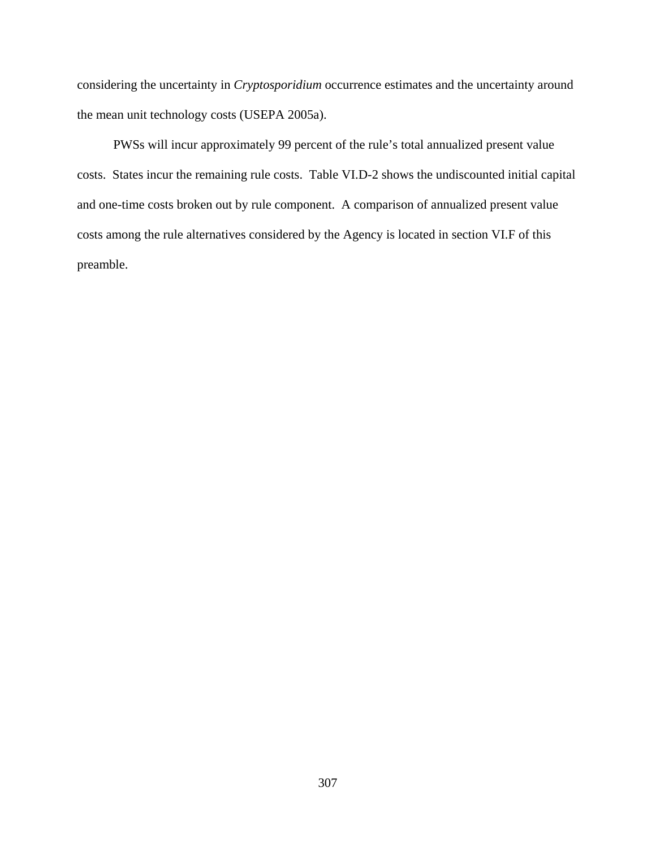considering the uncertainty in *Cryptosporidium* occurrence estimates and the uncertainty around the mean unit technology costs (USEPA 2005a).

PWSs will incur approximately 99 percent of the rule's total annualized present value costs. States incur the remaining rule costs. Table VI.D-2 shows the undiscounted initial capital and one-time costs broken out by rule component. A comparison of annualized present value costs among the rule alternatives considered by the Agency is located in section VI.F of this preamble.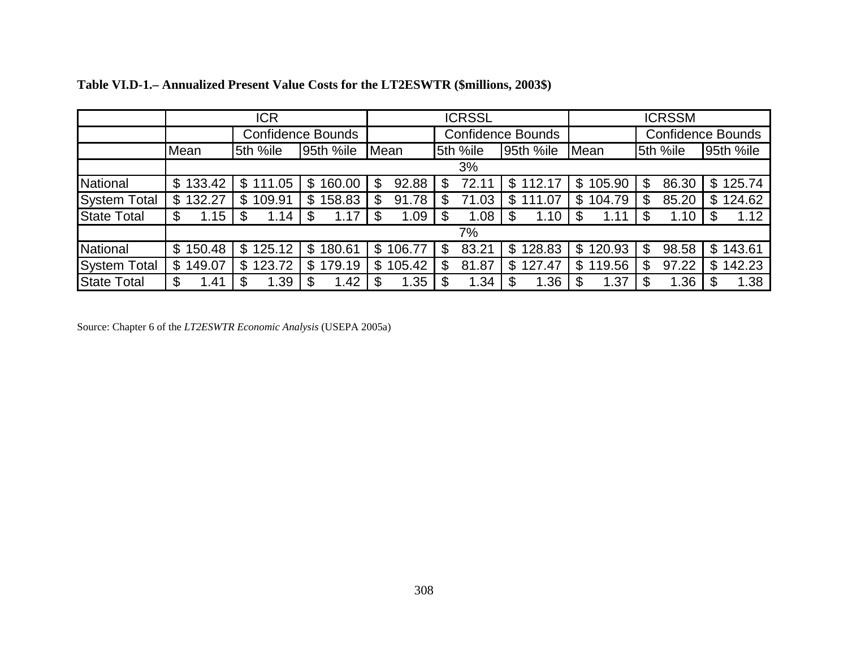|                     |                          | ICR                      |                          |              | <b>ICRSSL</b> |                          | <b>ICRSSM</b>            |                          |                          |  |  |
|---------------------|--------------------------|--------------------------|--------------------------|--------------|---------------|--------------------------|--------------------------|--------------------------|--------------------------|--|--|
|                     |                          |                          | <b>Confidence Bounds</b> |              |               | <b>Confidence Bounds</b> |                          | <b>Confidence Bounds</b> |                          |  |  |
|                     | Mean                     | 5th %ile                 | 95th %ile                | Mean         | 5th %ile      | 95th %ile                | Mean                     | 5th %ile                 | 95th %ile                |  |  |
|                     |                          |                          |                          |              | 3%            |                          |                          |                          |                          |  |  |
| National            | \$133.42                 | $\mathfrak{L}$<br>111.05 | 160.00<br>$\mathfrak{L}$ | \$<br>92.88  | 72.11<br>\$   | $\mathbb{S}$<br>112.17   | $\mathfrak{L}$<br>105.90 | 86.30<br>\$              | 125.74<br>$\mathfrak{L}$ |  |  |
| <b>System Total</b> | \$132.27                 | 109.91<br>$\mathbb{S}$   | 158.83<br>\$             | \$<br>91.78  | 71.03         | \$<br>111.07             | 104.79<br>\$             | 85.20<br>S               | 124.62<br>\$             |  |  |
| <b>State Total</b>  | 1.15<br>\$               | 1.14                     | 1.17<br>\$               | 1.09<br>\$   | 1.08          | 1.10                     | 1.11                     | 1.10<br>S                | 1.12                     |  |  |
|                     |                          |                          |                          |              | 7%            |                          |                          |                          |                          |  |  |
| National            | 150.48<br>$\mathfrak{L}$ | 125.12<br>$\mathbb{S}$   | 180.61<br>\$             | \$<br>106.77 | 83.21<br>S    | 128.83<br>\$             | 120.93<br>$\mathbb{S}$   | 98.58<br>\$              | 143.61<br>$\mathbb{S}$   |  |  |
| <b>System Total</b> | 149.07<br>\$             | 123.72<br>\$             | 179.19<br>\$             | 105.42<br>\$ | 81.87<br>S    | 127.47<br>\$             | 119.56<br>\$             | 97.22<br>\$              | 142.23<br>S              |  |  |
| <b>State Total</b>  | \$<br>1.41               | 1.39                     | 1.42                     | 1.35         | 1.34          | 1.36                     | 1.37                     | 1.36                     | 1.38                     |  |  |

| Table VI.D-1.– Annualized Present Value Costs for the LT2ESWTR (\$millions, 2003\$) |  |  |  |  |  |
|-------------------------------------------------------------------------------------|--|--|--|--|--|
|-------------------------------------------------------------------------------------|--|--|--|--|--|

Source: Chapter 6 of the *LT2ESWTR Economic Analysis* (USEPA 2005a)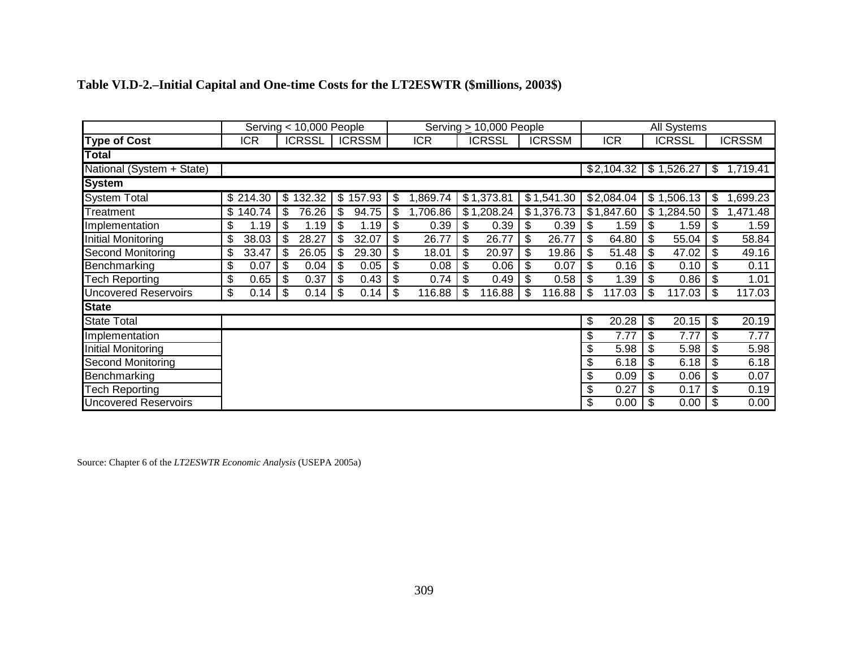|                             | Serving < 10,000 People |            |    |               |    |               |                | Serving > 10,000 People   |               |               |              | All Systems               |               |                           |               |
|-----------------------------|-------------------------|------------|----|---------------|----|---------------|----------------|---------------------------|---------------|---------------|--------------|---------------------------|---------------|---------------------------|---------------|
| <b>Type of Cost</b>         |                         | <b>ICR</b> |    | <b>ICRSSL</b> |    | <b>ICRSSM</b> | <b>ICR</b>     |                           | <b>ICRSSL</b> | <b>ICRSSM</b> | <b>ICR</b>   |                           | <b>ICRSSL</b> |                           | <b>ICRSSM</b> |
| <b>Total</b>                |                         |            |    |               |    |               |                |                           |               |               |              |                           |               |                           |               |
| National (System + State)   |                         |            |    |               |    |               |                |                           |               |               | \$2,104.32   |                           | \$1,526.27    | $\boldsymbol{\mathsf{S}}$ | 1,719.41      |
| <b>System</b>               |                         |            |    |               |    |               |                |                           |               |               |              |                           |               |                           |               |
| <b>System Total</b>         |                         | \$214.30   |    | \$132.32      |    | \$157.93      | \$<br>,869.74  |                           | \$1,373.81    | \$1,541.30    | \$2,084.04   |                           | \$1,506.13    | \$                        | ,699.23       |
| Treatment                   |                         | \$140.74   | \$ | 76.26         | \$ | 94.75         | \$<br>1,706.86 |                           | \$1,208.24    | \$1,376.73    | \$1,847.60   |                           | \$1,284.50    | \$                        | ,471.48       |
| Implementation              | \$                      | .19        | \$ | 1.19          | \$ | 1.19          | \$<br>0.39     | \$                        | 0.39          | \$<br>0.39    | \$<br>1.59   | \$                        | 1.59          | \$                        | 1.59          |
| <b>Initial Monitoring</b>   | \$                      | 38.03      | \$ | 28.27         | \$ | 32.07         | \$<br>26.77    | $\boldsymbol{\mathsf{S}}$ | 26.77         | \$<br>26.77   | \$<br>64.80  | $\boldsymbol{\mathsf{S}}$ | 55.04         | \$                        | 58.84         |
| <b>Second Monitoring</b>    | \$                      | 33.47      | \$ | 26.05         | \$ | 29.30         | \$<br>18.01    | \$                        | 20.97         | \$<br>19.86   | \$<br>51.48  | \$                        | 47.02         | \$                        | 49.16         |
| Benchmarking                | \$                      | 0.07       | \$ | 0.04          | \$ | 0.05          | \$<br>0.08     | \$                        | 0.06          | \$<br>0.07    | \$<br>0.16   | $\boldsymbol{\mathsf{S}}$ | 0.10          | \$                        | 0.11          |
| <b>Tech Reporting</b>       | \$                      | 0.65       | \$ | 0.37          | \$ | 0.43          | \$<br>0.74     | \$                        | 0.49          | \$<br>0.58    | \$<br>1.39   | \$                        | 0.86          | \$                        | 1.01          |
| <b>Uncovered Reservoirs</b> | \$                      | 0.14       | \$ | 0.14          | \$ | 0.14          | \$<br>116.88   | -\$                       | 116.88        | \$<br>116.88  | \$<br>117.03 | -\$                       | 117.03        | \$                        | 117.03        |
| <b>State</b>                |                         |            |    |               |    |               |                |                           |               |               |              |                           |               |                           |               |
| <b>State Total</b>          |                         |            |    |               |    |               |                |                           |               |               | \$<br>20.28  | -\$                       | 20.15         | \$                        | 20.19         |
| Implementation              |                         |            |    |               |    |               |                |                           |               |               | \$<br>7.77   | \$                        | 7.77          | \$                        | 7.77          |
| <b>Initial Monitoring</b>   |                         |            |    |               |    |               |                |                           |               |               | \$<br>5.98   | \$                        | 5.98          | \$                        | 5.98          |
| Second Monitoring           |                         |            |    |               |    |               |                |                           |               |               | \$<br>6.18   | \$                        | 6.18          | $\boldsymbol{\mathsf{S}}$ | 6.18          |
| Benchmarking                |                         |            |    |               |    |               |                |                           |               |               | \$<br>0.09   | \$                        | 0.06          | \$                        | 0.07          |
| <b>Tech Reporting</b>       |                         |            |    |               |    |               |                |                           |               |               | \$<br>0.27   | \$                        | 0.17          | \$                        | 0.19          |
| <b>Uncovered Reservoirs</b> |                         |            |    |               |    |               |                |                           |               |               | \$<br>0.00   |                           | 0.00          |                           | 0.00          |

# **Table VI.D-2.–Initial Capital and One-time Costs for the LT2ESWTR (\$millions, 2003\$)**

Source: Chapter 6 of the *LT2ESWTR Economic Analysis* (USEPA 2005a)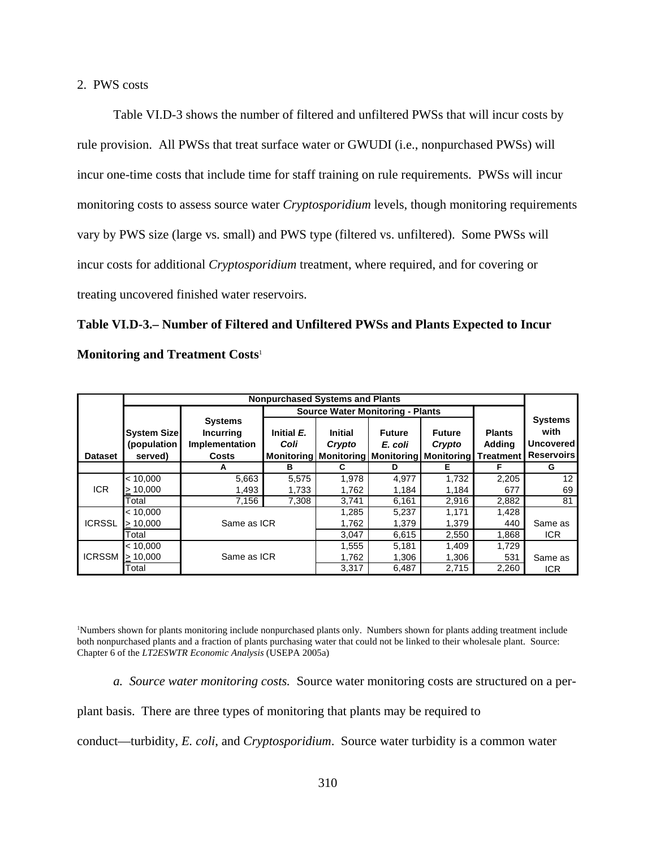### 2. PWS costs

Table VI.D-3 shows the number of filtered and unfiltered PWSs that will incur costs by rule provision. All PWSs that treat surface water or GWUDI (i.e., nonpurchased PWSs) will incur one-time costs that include time for staff training on rule requirements. PWSs will incur monitoring costs to assess source water *Cryptosporidium* levels, though monitoring requirements vary by PWS size (large vs. small) and PWS type (filtered vs. unfiltered). Some PWSs will incur costs for additional *Cryptosporidium* treatment, where required, and for covering or treating uncovered finished water reservoirs.

# **Table VI.D-3.– Number of Filtered and Unfiltered PWSs and Plants Expected to Incur Monitoring and Treatment Costs**<sup>1</sup>

|                |                                              |                                                                      | <b>Nonpurchased Systems and Plants</b> |                          |                                                                                           |                         |                         |                                                                 |  |  |  |
|----------------|----------------------------------------------|----------------------------------------------------------------------|----------------------------------------|--------------------------|-------------------------------------------------------------------------------------------|-------------------------|-------------------------|-----------------------------------------------------------------|--|--|--|
|                | <b>Source Water Monitoring - Plants</b>      |                                                                      |                                        |                          |                                                                                           |                         |                         |                                                                 |  |  |  |
| <b>Dataset</b> | <b>System Size</b><br>(population<br>served) | <b>Systems</b><br><b>Incurring</b><br>Implementation<br><b>Costs</b> | Initial E.<br>Coli                     | <b>Initial</b><br>Crypto | <b>Future</b><br>E. coli<br>Monitoring   Monitoring   Monitoring   Monitoring   Treatment | <b>Future</b><br>Crypto | <b>Plants</b><br>Adding | <b>Systems</b><br>with<br><b>Uncovered</b><br><b>Reservoirs</b> |  |  |  |
|                |                                              | А                                                                    | в                                      | C                        | D                                                                                         | Е                       | F                       | G                                                               |  |  |  |
|                | < 10,000                                     | 5,663                                                                | 5,575                                  | 1,978                    | 4,977                                                                                     | 1,732                   | 2,205                   | 12 <sup>2</sup>                                                 |  |  |  |
| <b>ICR</b>     | >10,000                                      | 1,493                                                                | 1,733                                  | 1,762                    | 1,184                                                                                     | 1,184                   | 677                     | 69                                                              |  |  |  |
|                | Total                                        | 7,156                                                                | 7,308                                  | 3,741                    | 6,161                                                                                     | 2,916                   | 2,882                   | 81                                                              |  |  |  |
|                | < 10,000                                     |                                                                      |                                        | 1,285                    | 5,237                                                                                     | 1,171                   | 1,428                   |                                                                 |  |  |  |
| <b>ICRSSL</b>  | > 10,000                                     | Same as ICR                                                          |                                        | 1,762                    | 1,379                                                                                     | 1,379                   | 440                     | Same as                                                         |  |  |  |
|                | Total                                        |                                                                      |                                        | 3,047                    | 6,615                                                                                     | 2,550                   | 1,868                   | ICR.                                                            |  |  |  |
|                | < 10,000                                     |                                                                      |                                        | 1,555                    | 5,181                                                                                     | 1.409                   | 1,729                   |                                                                 |  |  |  |
| <b>ICRSSM</b>  | > 10,000                                     | Same as ICR                                                          |                                        | 1,762                    | 1,306                                                                                     | 1,306                   | 531                     | Same as                                                         |  |  |  |
|                | Total                                        |                                                                      |                                        | 3,317                    | 6,487                                                                                     | 2,715                   | 2,260                   | <b>ICR</b>                                                      |  |  |  |

1 Numbers shown for plants monitoring include nonpurchased plants only. Numbers shown for plants adding treatment include both nonpurchased plants and a fraction of plants purchasing water that could not be linked to their wholesale plant. Source: Chapter 6 of the *LT2ESWTR Economic Analysis* (USEPA 2005a)

*a. Source water monitoring costs.* Source water monitoring costs are structured on a per-

plant basis. There are three types of monitoring that plants may be required to

conduct—turbidity, *E. coli*, and *Cryptosporidium*. Source water turbidity is a common water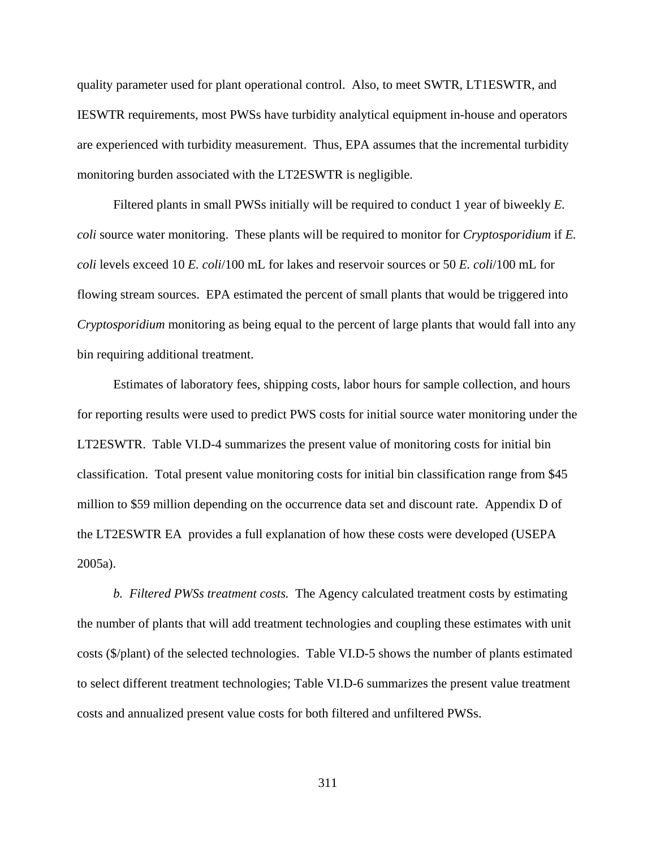quality parameter used for plant operational control. Also, to meet SWTR, LT1ESWTR, and IESWTR requirements, most PWSs have turbidity analytical equipment in-house and operators are experienced with turbidity measurement. Thus, EPA assumes that the incremental turbidity monitoring burden associated with the LT2ESWTR is negligible.

Filtered plants in small PWSs initially will be required to conduct 1 year of biweekly *E. coli* source water monitoring. These plants will be required to monitor for *Cryptosporidium* if *E. coli* levels exceed 10 *E. coli*/100 mL for lakes and reservoir sources or 50 *E. coli*/100 mL for flowing stream sources. EPA estimated the percent of small plants that would be triggered into *Cryptosporidium* monitoring as being equal to the percent of large plants that would fall into any bin requiring additional treatment.

Estimates of laboratory fees, shipping costs, labor hours for sample collection, and hours for reporting results were used to predict PWS costs for initial source water monitoring under the LT2ESWTR. Table VI.D-4 summarizes the present value of monitoring costs for initial bin classification. Total present value monitoring costs for initial bin classification range from \$45 million to \$59 million depending on the occurrence data set and discount rate. Appendix D of the LT2ESWTR EA provides a full explanation of how these costs were developed (USEPA 2005a).

*b. Filtered PWSs treatment costs.* The Agency calculated treatment costs by estimating the number of plants that will add treatment technologies and coupling these estimates with unit costs (\$/plant) of the selected technologies. Table VI.D-5 shows the number of plants estimated to select different treatment technologies; Table VI.D-6 summarizes the present value treatment costs and annualized present value costs for both filtered and unfiltered PWSs.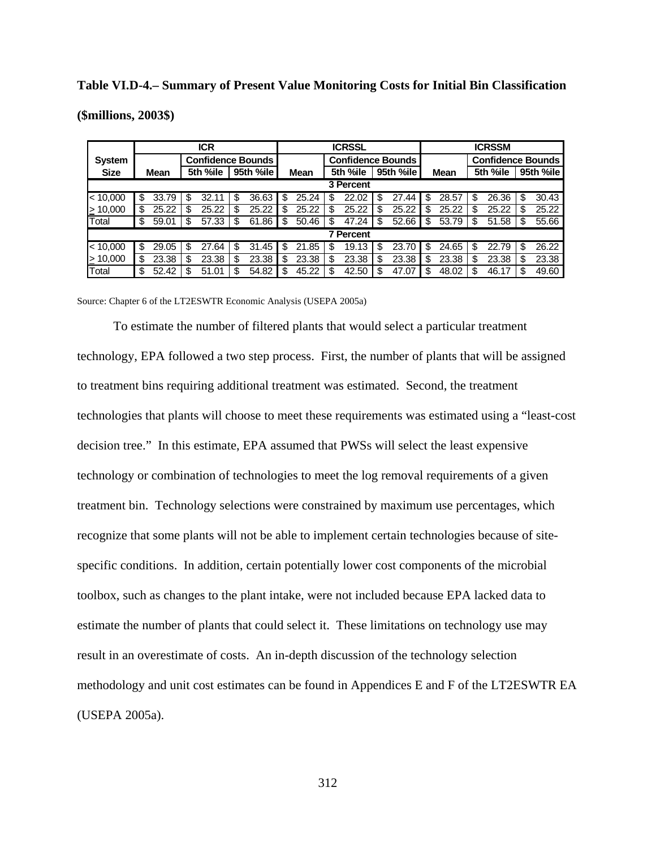### **Table VI.D-4.– Summary of Present Value Monitoring Costs for Initial Bin Classification**

**(\$millions, 2003\$)**

|               | <b>ICR</b>               |       |    |          |    |           | <b>ICRSSL</b> |             |                          |                  |    |           |    | <b>ICRSSM</b> |                          |          |    |           |  |
|---------------|--------------------------|-------|----|----------|----|-----------|---------------|-------------|--------------------------|------------------|----|-----------|----|---------------|--------------------------|----------|----|-----------|--|
| System        | <b>Confidence Bounds</b> |       |    |          |    |           |               |             | <b>Confidence Bounds</b> |                  |    |           |    |               | <b>Confidence Bounds</b> |          |    |           |  |
| <b>Size</b>   |                          | Mean  |    | 5th %ile |    | 95th %ile |               | <b>Mean</b> |                          | 5th %ile         |    | 95th %ile |    | <b>Mean</b>   |                          | 5th %ile |    | 95th %ile |  |
|               |                          |       |    |          |    |           |               |             |                          | 3 Percent        |    |           |    |               |                          |          |    |           |  |
| < 10,000      | \$                       | 33.79 | \$ | 32.11    | \$ | 36.63     | \$            | 25.24       | S                        | 22.02            | S  | 27.44     | \$ | 28.57         | \$                       | 26.36    | \$ | 30.43     |  |
| $\geq 10,000$ | \$                       | 25.22 | \$ | 25.22    | S  | 25.22     | \$            | 25.22       | \$                       | 25.22            | \$ | 25.22     | S  | 25.22         | \$                       | 25.22    | \$ | 25.22     |  |
| Total         | \$                       | 59.01 | \$ | 57.33    | \$ | 61.86     | \$            | 50.46       | \$                       | 47.24            | \$ | 52.66     | \$ | 53.79         | \$                       | 51.58    | \$ | 55.66     |  |
|               |                          |       |    |          |    |           |               |             |                          | <b>7 Percent</b> |    |           |    |               |                          |          |    |           |  |
| < 10,000      | \$                       | 29.05 | \$ | 27.64    | \$ | 31.45     | \$            | 21.85       | \$                       | 19.13            | \$ | 23.70     | \$ | 24.65         | \$                       | 22.79    | \$ | 26.22     |  |
| $\geq 10,000$ | \$                       | 23.38 | S  | 23.38    | \$ | 23.38     | \$            | 23.38       | \$                       | 23.38            | \$ | 23.38     | S  | 23.38         | S                        | 23.38    | S  | 23.38     |  |
| Total         | \$                       | 52.42 | \$ | 51.01    | \$ | 54.82     | \$            | 45.22       | \$.                      | 42.50            | \$ | 47.07     | S  | 48.02         | \$                       | 46.17    | S  | 49.60     |  |

Source: Chapter 6 of the LT2ESWTR Economic Analysis (USEPA 2005a)

To estimate the number of filtered plants that would select a particular treatment technology, EPA followed a two step process. First, the number of plants that will be assigned to treatment bins requiring additional treatment was estimated. Second, the treatment technologies that plants will choose to meet these requirements was estimated using a "least-cost decision tree." In this estimate, EPA assumed that PWSs will select the least expensive technology or combination of technologies to meet the log removal requirements of a given treatment bin. Technology selections were constrained by maximum use percentages, which recognize that some plants will not be able to implement certain technologies because of sitespecific conditions. In addition, certain potentially lower cost components of the microbial toolbox, such as changes to the plant intake, were not included because EPA lacked data to estimate the number of plants that could select it. These limitations on technology use may result in an overestimate of costs. An in-depth discussion of the technology selection methodology and unit cost estimates can be found in Appendices E and F of the LT2ESWTR EA (USEPA 2005a).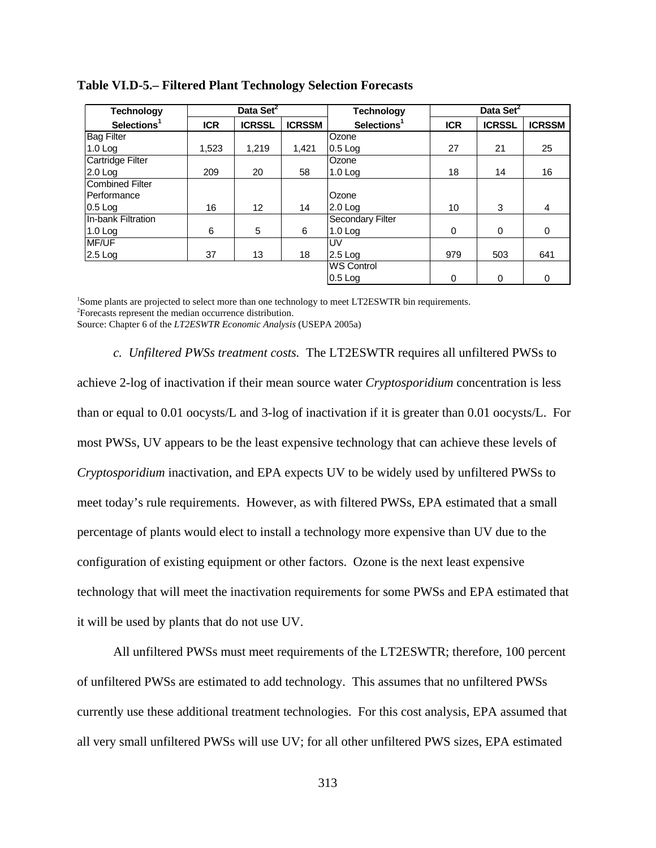| <b>Technology</b>       |            | Data Set <sup>2</sup> |               | <b>Technology</b>       |            |               |               |
|-------------------------|------------|-----------------------|---------------|-------------------------|------------|---------------|---------------|
| Selections <sup>1</sup> | <b>ICR</b> | <b>ICRSSL</b>         | <b>ICRSSM</b> | Selections <sup>1</sup> | <b>ICR</b> | <b>ICRSSL</b> | <b>ICRSSM</b> |
| <b>Bag Filter</b>       |            |                       |               | Ozone                   |            |               |               |
| $1.0$ Log               | 1,523      | 1.219                 | 1.421         | $0.5$ Log               | 27         | 21            | 25            |
| Cartridge Filter        |            |                       |               | Ozone                   |            |               |               |
| $2.0$ Log               | 209        | 20                    | 58            | $1.0$ Log               | 18         | 14            | 16            |
| <b>Combined Filter</b>  |            |                       |               |                         |            |               |               |
| Performance             |            |                       |               | Ozone                   |            |               |               |
| $0.5$ Log               | 16         | 12                    | 14            | $2.0$ Log               | 10         | 3             | 4             |
| In-bank Filtration      |            |                       |               | Secondary Filter        |            |               |               |
| $1.0$ Log               | 6          | 5                     | 6             | $1.0$ Log               | $\Omega$   | 0             | 0             |
| <b>MF/UF</b>            |            |                       |               | UV                      |            |               |               |
| $2.5$ Log               | 37         | 13                    | 18            | $2.5$ Log               | 979        | 503           | 641           |
|                         |            |                       |               | <b>WS Control</b>       |            |               |               |
|                         |            |                       |               | $0.5$ Log               | 0          | 0             | $\Omega$      |

**Table VI.D-5.– Filtered Plant Technology Selection Forecasts**

<sup>1</sup>Some plants are projected to select more than one technology to meet LT2ESWTR bin requirements. Forecasts represent the median occurrence distribution. Source: Chapter 6 of the *LT2ESWTR Economic Analysis* (USEPA 2005a)

*c. Unfiltered PWSs treatment costs.* The LT2ESWTR requires all unfiltered PWSs to achieve 2-log of inactivation if their mean source water *Cryptosporidium* concentration is less than or equal to 0.01 oocysts/L and 3-log of inactivation if it is greater than 0.01 oocysts/L. For most PWSs, UV appears to be the least expensive technology that can achieve these levels of *Cryptosporidium* inactivation, and EPA expects UV to be widely used by unfiltered PWSs to meet today's rule requirements. However, as with filtered PWSs, EPA estimated that a small percentage of plants would elect to install a technology more expensive than UV due to the configuration of existing equipment or other factors. Ozone is the next least expensive technology that will meet the inactivation requirements for some PWSs and EPA estimated that it will be used by plants that do not use UV.

All unfiltered PWSs must meet requirements of the LT2ESWTR; therefore, 100 percent of unfiltered PWSs are estimated to add technology. This assumes that no unfiltered PWSs currently use these additional treatment technologies. For this cost analysis, EPA assumed that all very small unfiltered PWSs will use UV; for all other unfiltered PWS sizes, EPA estimated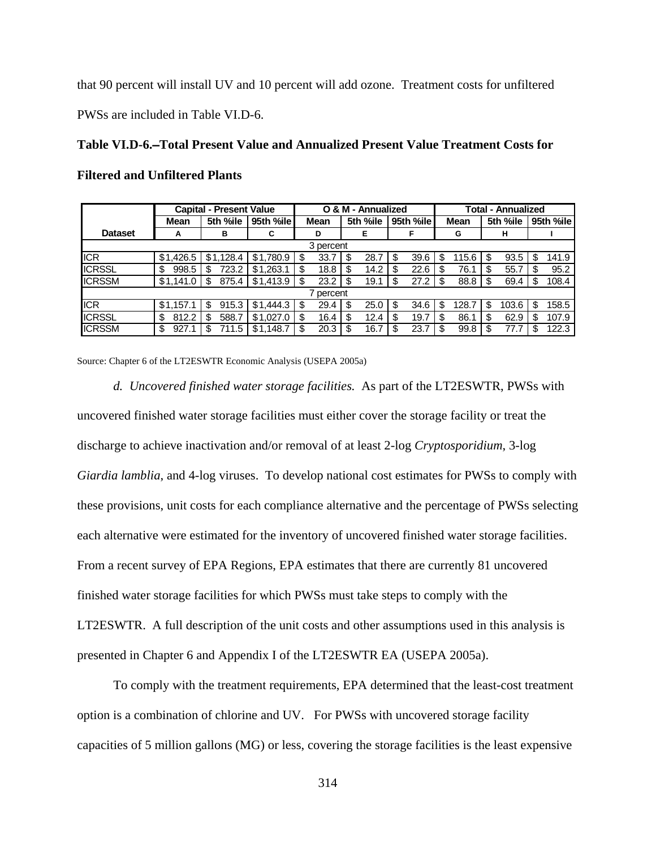that 90 percent will install UV and 10 percent will add ozone. Treatment costs for unfiltered PWSs are included in Table VI.D-6.

**Table VI.D-6.**S**Total Present Value and Annualized Present Value Treatment Costs for Filtered and Unfiltered Plants**

|                |             | <b>Capital - Present Value</b> |           |      |           |      | O & M - Annualized |      |             | - Annualized<br>Total |             |      |          |     |           |  |  |
|----------------|-------------|--------------------------------|-----------|------|-----------|------|--------------------|------|-------------|-----------------------|-------------|------|----------|-----|-----------|--|--|
|                | Mean        | 5th %ile                       | 95th %ile |      | Mean      |      | 5th %ile           |      | 95th %ile   |                       | <b>Mean</b> |      | 5th %ile |     | 95th %ile |  |  |
| <b>Dataset</b> | A           | в                              | С         |      | D         |      | Е                  |      |             |                       | G           |      | н        |     |           |  |  |
| 3 percent      |             |                                |           |      |           |      |                    |      |             |                       |             |      |          |     |           |  |  |
| <b>ICR</b>     | \$1,426.5   | \$1,128.4                      | \$1,780.9 | - \$ | 33.7      | - \$ | 28.7               |      | 39.6<br>\$. |                       | 115.6       | - \$ | 93.5     | \$. | 141.9     |  |  |
| <b>ICRSSL</b>  | \$<br>998.5 | 723.2<br>S                     | \$1,263.1 | \$   | 18.8      | -\$  | 14.2               | S    | 22.6        |                       | 76.1        | \$   | 55.7     |     | 95.2      |  |  |
| <b>ICRSSM</b>  | \$1,141.0   | 875.4<br>S                     | \$1,413.9 |      | 23.2      | - \$ | 19.1               | S    | 27.2        |                       | 88.8        |      | 69.4     | £.  | 108.4     |  |  |
|                |             |                                |           |      | ' percent |      |                    |      |             |                       |             |      |          |     |           |  |  |
| <b>ICR</b>     | \$1,157.1   | 915.3<br>\$                    | \$1,444.3 | S    | 29.4      | -\$  | 25.0               | - \$ | 34.6        | \$                    | 128.7       | -\$  | 103.6    | -S  | 158.5     |  |  |
| <b>ICRSSL</b>  | \$<br>812.2 | 588.7<br>S                     | \$1,027.0 | \$   | 16.4      | -\$  | 12.4               | \$   | 19.7        | S                     | 86.         | \$   | 62.9     | S   | 107.9     |  |  |
| <b>ICRSSM</b>  | \$<br>927.1 | 711.5                          | \$1.148.7 |      | 20.3      |      | 16.7               |      | 23.7        |                       | 99.8        |      | 77.7     |     | 122.3     |  |  |

Source: Chapter 6 of the LT2ESWTR Economic Analysis (USEPA 2005a)

*d. Uncovered finished water storage facilities.* As part of the LT2ESWTR, PWSs with uncovered finished water storage facilities must either cover the storage facility or treat the discharge to achieve inactivation and/or removal of at least 2-log *Cryptosporidium*, 3-log *Giardia lamblia*, and 4-log viruses. To develop national cost estimates for PWSs to comply with these provisions, unit costs for each compliance alternative and the percentage of PWSs selecting each alternative were estimated for the inventory of uncovered finished water storage facilities. From a recent survey of EPA Regions, EPA estimates that there are currently 81 uncovered finished water storage facilities for which PWSs must take steps to comply with the LT2ESWTR. A full description of the unit costs and other assumptions used in this analysis is presented in Chapter 6 and Appendix I of the LT2ESWTR EA (USEPA 2005a).

To comply with the treatment requirements, EPA determined that the least-cost treatment option is a combination of chlorine and UV. For PWSs with uncovered storage facility capacities of 5 million gallons (MG) or less, covering the storage facilities is the least expensive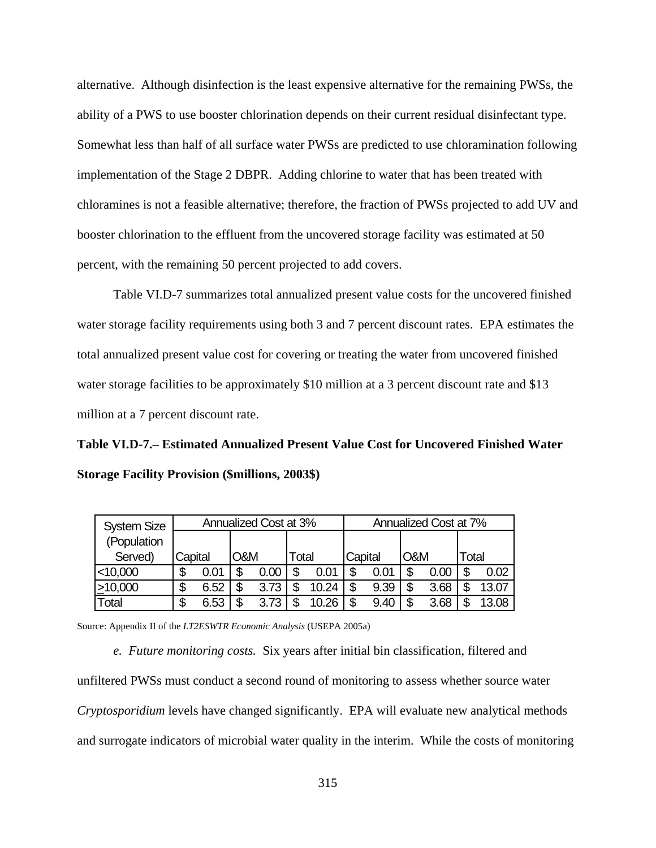alternative. Although disinfection is the least expensive alternative for the remaining PWSs, the ability of a PWS to use booster chlorination depends on their current residual disinfectant type. Somewhat less than half of all surface water PWSs are predicted to use chloramination following implementation of the Stage 2 DBPR. Adding chlorine to water that has been treated with chloramines is not a feasible alternative; therefore, the fraction of PWSs projected to add UV and booster chlorination to the effluent from the uncovered storage facility was estimated at 50 percent, with the remaining 50 percent projected to add covers.

Table VI.D-7 summarizes total annualized present value costs for the uncovered finished water storage facility requirements using both 3 and 7 percent discount rates. EPA estimates the total annualized present value cost for covering or treating the water from uncovered finished water storage facilities to be approximately \$10 million at a 3 percent discount rate and \$13 million at a 7 percent discount rate.

**Table VI.D-7.– Estimated Annualized Present Value Cost for Uncovered Finished Water Storage Facility Provision (\$millions, 2003\$)**

| <b>System Size</b> |         |      |     | Annualized Cost at 3% |       |       | Annualized Cost at 7% |      |     |      |       |       |  |  |  |  |  |
|--------------------|---------|------|-----|-----------------------|-------|-------|-----------------------|------|-----|------|-------|-------|--|--|--|--|--|
| (Population        |         |      |     |                       |       |       |                       |      |     |      |       |       |  |  |  |  |  |
| Served)            | Capital |      | O&M |                       | Total |       | Capital               |      | O&M |      | Total |       |  |  |  |  |  |
| $<$ 10,000         |         | 0.01 | \$  | 0.00                  |       | 0.01  | \$                    | 0.01 | \$  | 0.00 |       | 0.02  |  |  |  |  |  |
| $\geq 10,000$      | S       | 6.52 | \$  | 3.73                  |       | 10.24 | \$                    | 9.39 | \$  | 3.68 |       | 13.07 |  |  |  |  |  |
| Total              | S       | 6.53 | S   | 3.73                  |       |       | S                     | 9.40 | S   | 3.68 |       | 13.08 |  |  |  |  |  |

Source: Appendix II of the *LT2ESWTR Economic Analysis* (USEPA 2005a)

*e. Future monitoring costs.* Six years after initial bin classification, filtered and unfiltered PWSs must conduct a second round of monitoring to assess whether source water *Cryptosporidium* levels have changed significantly. EPA will evaluate new analytical methods and surrogate indicators of microbial water quality in the interim. While the costs of monitoring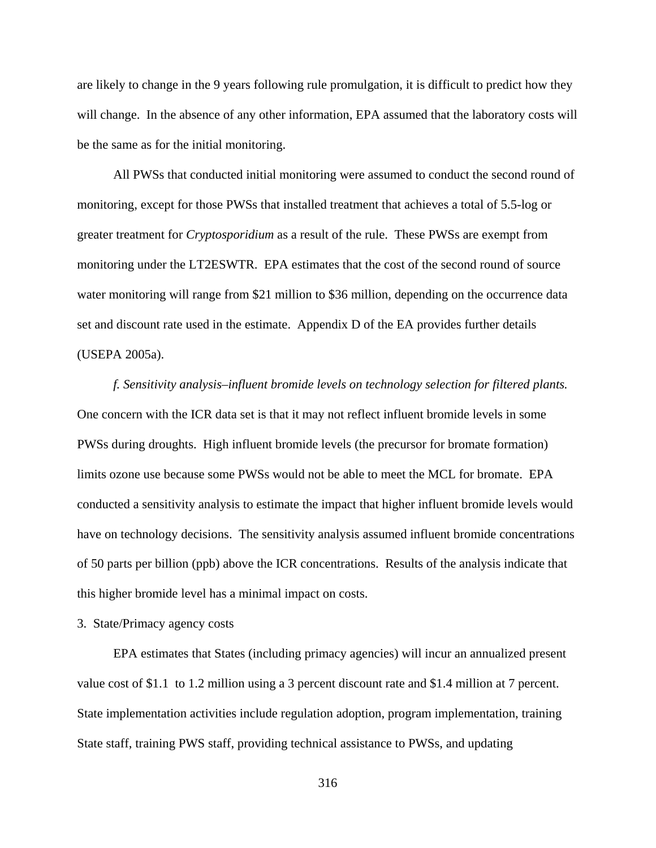are likely to change in the 9 years following rule promulgation, it is difficult to predict how they will change. In the absence of any other information, EPA assumed that the laboratory costs will be the same as for the initial monitoring.

All PWSs that conducted initial monitoring were assumed to conduct the second round of monitoring, except for those PWSs that installed treatment that achieves a total of 5.5-log or greater treatment for *Cryptosporidium* as a result of the rule. These PWSs are exempt from monitoring under the LT2ESWTR. EPA estimates that the cost of the second round of source water monitoring will range from \$21 million to \$36 million, depending on the occurrence data set and discount rate used in the estimate. Appendix D of the EA provides further details (USEPA 2005a).

*f. Sensitivity analysis–influent bromide levels on technology selection for filtered plants.* One concern with the ICR data set is that it may not reflect influent bromide levels in some PWSs during droughts. High influent bromide levels (the precursor for bromate formation) limits ozone use because some PWSs would not be able to meet the MCL for bromate. EPA conducted a sensitivity analysis to estimate the impact that higher influent bromide levels would have on technology decisions. The sensitivity analysis assumed influent bromide concentrations of 50 parts per billion (ppb) above the ICR concentrations. Results of the analysis indicate that this higher bromide level has a minimal impact on costs.

## 3. State/Primacy agency costs

EPA estimates that States (including primacy agencies) will incur an annualized present value cost of \$1.1 to 1.2 million using a 3 percent discount rate and \$1.4 million at 7 percent. State implementation activities include regulation adoption, program implementation, training State staff, training PWS staff, providing technical assistance to PWSs, and updating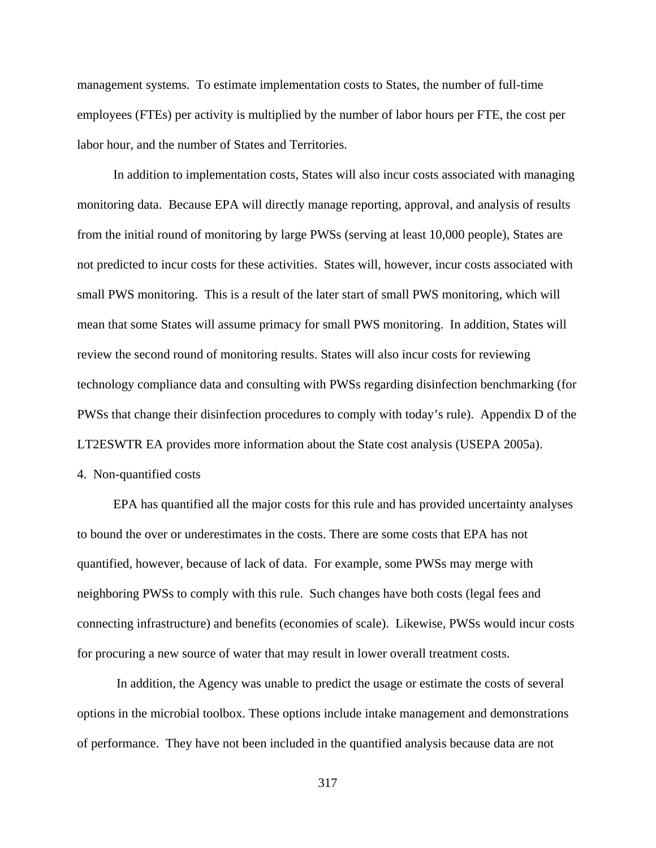management systems. To estimate implementation costs to States, the number of full-time employees (FTEs) per activity is multiplied by the number of labor hours per FTE, the cost per labor hour, and the number of States and Territories.

In addition to implementation costs, States will also incur costs associated with managing monitoring data. Because EPA will directly manage reporting, approval, and analysis of results from the initial round of monitoring by large PWSs (serving at least 10,000 people), States are not predicted to incur costs for these activities. States will, however, incur costs associated with small PWS monitoring. This is a result of the later start of small PWS monitoring, which will mean that some States will assume primacy for small PWS monitoring. In addition, States will review the second round of monitoring results. States will also incur costs for reviewing technology compliance data and consulting with PWSs regarding disinfection benchmarking (for PWSs that change their disinfection procedures to comply with today's rule). Appendix D of the LT2ESWTR EA provides more information about the State cost analysis (USEPA 2005a).

4. Non-quantified costs

EPA has quantified all the major costs for this rule and has provided uncertainty analyses to bound the over or underestimates in the costs. There are some costs that EPA has not quantified, however, because of lack of data. For example, some PWSs may merge with neighboring PWSs to comply with this rule. Such changes have both costs (legal fees and connecting infrastructure) and benefits (economies of scale). Likewise, PWSs would incur costs for procuring a new source of water that may result in lower overall treatment costs.

 In addition, the Agency was unable to predict the usage or estimate the costs of several options in the microbial toolbox. These options include intake management and demonstrations of performance. They have not been included in the quantified analysis because data are not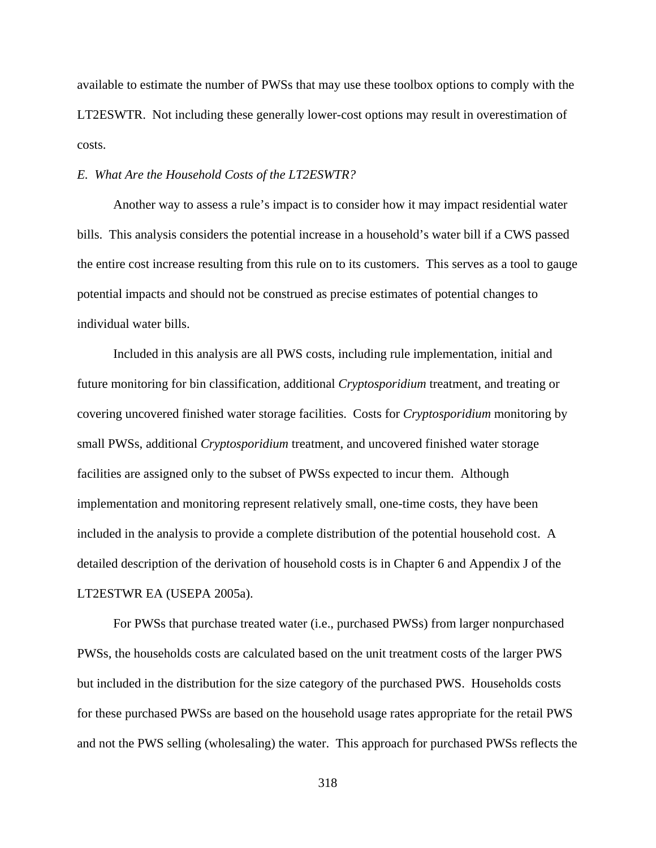available to estimate the number of PWSs that may use these toolbox options to comply with the LT2ESWTR. Not including these generally lower-cost options may result in overestimation of costs.

### *E. What Are the Household Costs of the LT2ESWTR?*

Another way to assess a rule's impact is to consider how it may impact residential water bills. This analysis considers the potential increase in a household's water bill if a CWS passed the entire cost increase resulting from this rule on to its customers. This serves as a tool to gauge potential impacts and should not be construed as precise estimates of potential changes to individual water bills.

Included in this analysis are all PWS costs, including rule implementation, initial and future monitoring for bin classification, additional *Cryptosporidium* treatment, and treating or covering uncovered finished water storage facilities. Costs for *Cryptosporidium* monitoring by small PWSs, additional *Cryptosporidium* treatment, and uncovered finished water storage facilities are assigned only to the subset of PWSs expected to incur them. Although implementation and monitoring represent relatively small, one-time costs, they have been included in the analysis to provide a complete distribution of the potential household cost. A detailed description of the derivation of household costs is in Chapter 6 and Appendix J of the LT2ESTWR EA (USEPA 2005a).

For PWSs that purchase treated water (i.e., purchased PWSs) from larger nonpurchased PWSs, the households costs are calculated based on the unit treatment costs of the larger PWS but included in the distribution for the size category of the purchased PWS. Households costs for these purchased PWSs are based on the household usage rates appropriate for the retail PWS and not the PWS selling (wholesaling) the water. This approach for purchased PWSs reflects the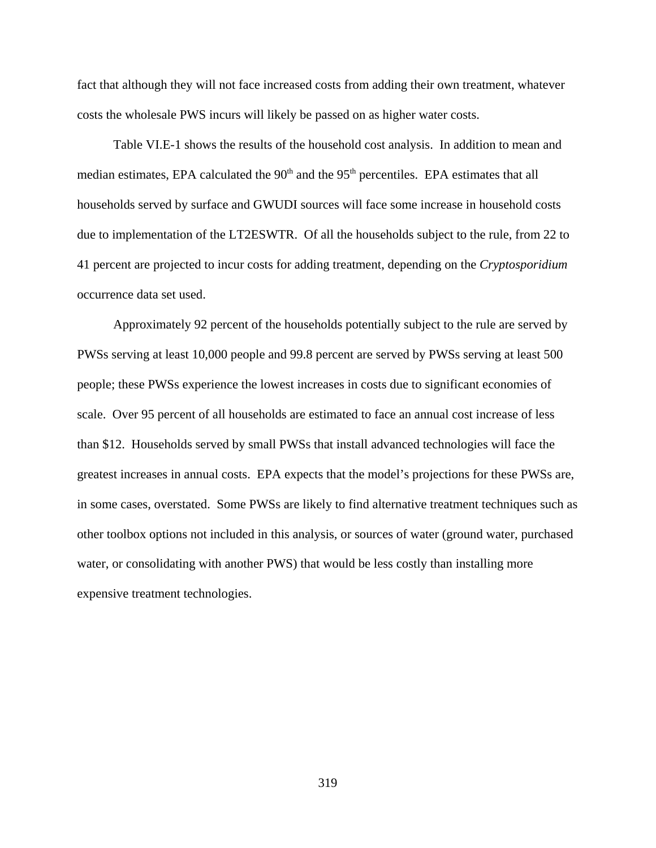fact that although they will not face increased costs from adding their own treatment, whatever costs the wholesale PWS incurs will likely be passed on as higher water costs.

Table VI.E-1 shows the results of the household cost analysis. In addition to mean and median estimates, EPA calculated the  $90<sup>th</sup>$  and the  $95<sup>th</sup>$  percentiles. EPA estimates that all households served by surface and GWUDI sources will face some increase in household costs due to implementation of the LT2ESWTR. Of all the households subject to the rule, from 22 to 41 percent are projected to incur costs for adding treatment, depending on the *Cryptosporidium* occurrence data set used.

Approximately 92 percent of the households potentially subject to the rule are served by PWSs serving at least 10,000 people and 99.8 percent are served by PWSs serving at least 500 people; these PWSs experience the lowest increases in costs due to significant economies of scale. Over 95 percent of all households are estimated to face an annual cost increase of less than \$12. Households served by small PWSs that install advanced technologies will face the greatest increases in annual costs. EPA expects that the model's projections for these PWSs are, in some cases, overstated. Some PWSs are likely to find alternative treatment techniques such as other toolbox options not included in this analysis, or sources of water (ground water, purchased water, or consolidating with another PWS) that would be less costly than installing more expensive treatment technologies.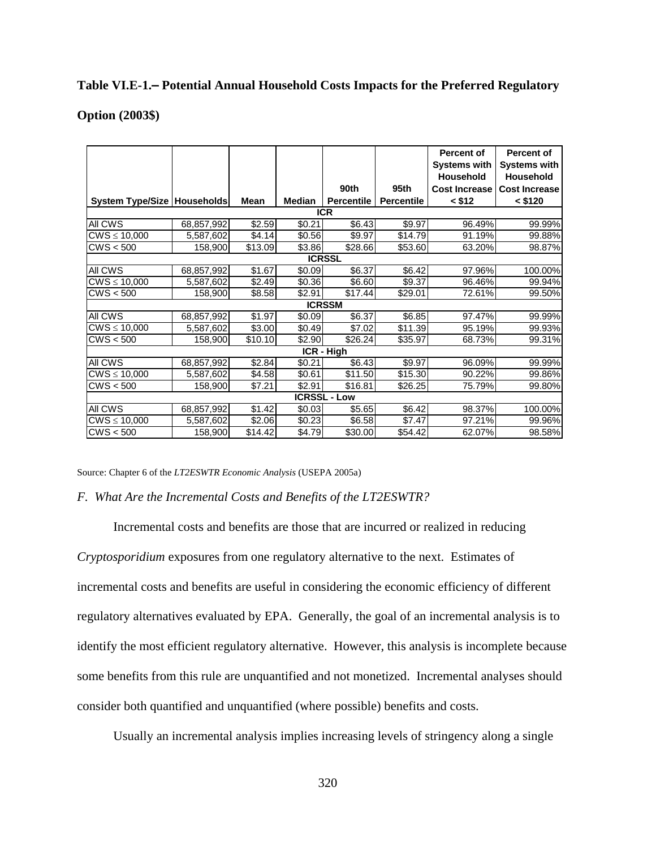## Table VI.E-1.- Potential Annual Household Costs Impacts for the Preferred Regulatory

## **Option (2003\$)**

|                                        |            |                |               |                     |                   | <b>Percent of</b>    | Percent of           |  |  |  |  |  |  |  |
|----------------------------------------|------------|----------------|---------------|---------------------|-------------------|----------------------|----------------------|--|--|--|--|--|--|--|
|                                        |            |                |               |                     |                   | <b>Systems with</b>  | <b>Systems with</b>  |  |  |  |  |  |  |  |
|                                        |            |                |               |                     |                   | <b>Household</b>     | <b>Household</b>     |  |  |  |  |  |  |  |
|                                        |            |                |               | 90th                | 95 <sub>th</sub>  | <b>Cost Increase</b> | <b>Cost Increase</b> |  |  |  |  |  |  |  |
| System Type/Size   Households          |            | Mean           | <b>Median</b> | <b>Percentile</b>   | <b>Percentile</b> | $<$ \$12             | $<$ \$120            |  |  |  |  |  |  |  |
| <b>ICR</b>                             |            |                |               |                     |                   |                      |                      |  |  |  |  |  |  |  |
| All CWS                                | 68,857,992 | \$2.59         | \$0.21        | \$6.43              | \$9.97            | 96.49%               | 99.99%               |  |  |  |  |  |  |  |
| $CWS \le 10,000$                       | 5,587,602  | \$4.14]        | \$0.56        | \$9.97              | \$14.79           | 91.19%               | 99.88%               |  |  |  |  |  |  |  |
| CWS < 500                              | 158,900    | \$13.09        | \$3.86        | \$28.66             | \$53.60           | 63.20%               | 98.87%               |  |  |  |  |  |  |  |
| <b>ICRSSL</b>                          |            |                |               |                     |                   |                      |                      |  |  |  |  |  |  |  |
| All CWS                                | 68,857,992 | \$1.67         | \$0.09        | \$6.37              | \$6.42            | 97.96%               | 100.00%              |  |  |  |  |  |  |  |
| $\overline{\text{CW}}$ S $\leq$ 10,000 | 5,587,602  | $\sqrt{$2.49}$ | \$0.36        | \$6.60              | \$9.37            | 96.46%               | 99.94%               |  |  |  |  |  |  |  |
| CWS < 500                              | 158,900    | \$8.58         | \$2.91        | \$17.44             | \$29.01           | 72.61%               | 99.50%               |  |  |  |  |  |  |  |
|                                        |            |                |               | <b>ICRSSM</b>       |                   |                      |                      |  |  |  |  |  |  |  |
| All CWS                                | 68,857,992 | \$1.97         | \$0.09        | \$6.37              | \$6.85            | 97.47%               | 99.99%               |  |  |  |  |  |  |  |
| $\overline{\text{CWS}} \le 10,000$     | 5,587,602  | \$3.00         | \$0.49        | \$7.02              | \$11.39           | 95.19%               | 99.93%               |  |  |  |  |  |  |  |
| CWS < 500                              | 158,900    | \$10.10        | \$2.90        | \$26.24             | \$35.97           | 68.73%               | 99.31%               |  |  |  |  |  |  |  |
|                                        |            |                |               | ICR - High          |                   |                      |                      |  |  |  |  |  |  |  |
| All CWS                                | 68,857,992 | \$2.84         | \$0.21        | \$6.43              | \$9.97            | 96.09%               | 99.99%               |  |  |  |  |  |  |  |
| $\overline{\text{CWS}} \le 10,000$     | 5,587,602  | \$4.58         | \$0.61        | \$11.50             | \$15.30           | 90.22%               | 99.86%               |  |  |  |  |  |  |  |
| CWS < 500                              | 158,900    | \$7.21         | \$2.91        | \$16.81             | \$26.25           | 75.79%               | 99.80%               |  |  |  |  |  |  |  |
|                                        |            |                |               | <b>ICRSSL - Low</b> |                   |                      |                      |  |  |  |  |  |  |  |
| All CWS                                | 68,857,992 | \$1.42         | \$0.03        | \$5.65              | \$6.42            | 98.37%               | 100.00%              |  |  |  |  |  |  |  |
| $\overline{\text{CW}}$ S $\leq$ 10,000 | 5,587,602  | \$2.06         | \$0.23        | \$6.58              | \$7.47            | 97.21%               | 99.96%               |  |  |  |  |  |  |  |
| CWS < 500                              | 158,900    | \$14.42        | \$4.79        | \$30.00             | \$54.42           | 62.07%               | 98.58%               |  |  |  |  |  |  |  |

Source: Chapter 6 of the *LT2ESWTR Economic Analysis* (USEPA 2005a)

### *F. What Are the Incremental Costs and Benefits of the LT2ESWTR?*

Incremental costs and benefits are those that are incurred or realized in reducing *Cryptosporidium* exposures from one regulatory alternative to the next. Estimates of incremental costs and benefits are useful in considering the economic efficiency of different regulatory alternatives evaluated by EPA. Generally, the goal of an incremental analysis is to identify the most efficient regulatory alternative. However, this analysis is incomplete because some benefits from this rule are unquantified and not monetized. Incremental analyses should consider both quantified and unquantified (where possible) benefits and costs.

Usually an incremental analysis implies increasing levels of stringency along a single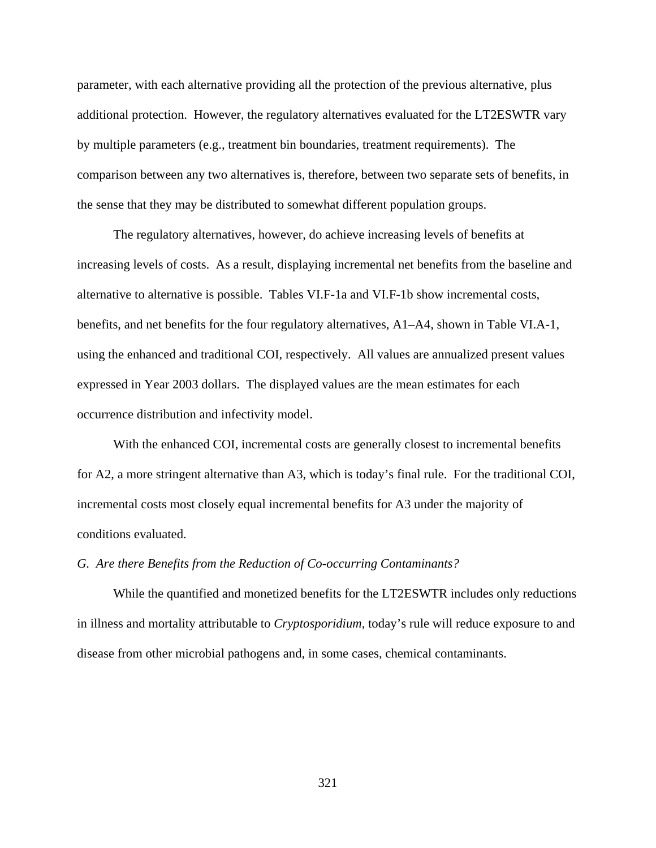parameter, with each alternative providing all the protection of the previous alternative, plus additional protection. However, the regulatory alternatives evaluated for the LT2ESWTR vary by multiple parameters (e.g., treatment bin boundaries, treatment requirements). The comparison between any two alternatives is, therefore, between two separate sets of benefits, in the sense that they may be distributed to somewhat different population groups.

The regulatory alternatives, however, do achieve increasing levels of benefits at increasing levels of costs. As a result, displaying incremental net benefits from the baseline and alternative to alternative is possible. Tables VI.F-1a and VI.F-1b show incremental costs, benefits, and net benefits for the four regulatory alternatives, A1–A4, shown in Table VI.A-1, using the enhanced and traditional COI, respectively. All values are annualized present values expressed in Year 2003 dollars. The displayed values are the mean estimates for each occurrence distribution and infectivity model.

With the enhanced COI, incremental costs are generally closest to incremental benefits for A2, a more stringent alternative than A3, which is today's final rule. For the traditional COI, incremental costs most closely equal incremental benefits for A3 under the majority of conditions evaluated.

### *G. Are there Benefits from the Reduction of Co-occurring Contaminants?*

While the quantified and monetized benefits for the LT2ESWTR includes only reductions in illness and mortality attributable to *Cryptosporidium*, today's rule will reduce exposure to and disease from other microbial pathogens and, in some cases, chemical contaminants.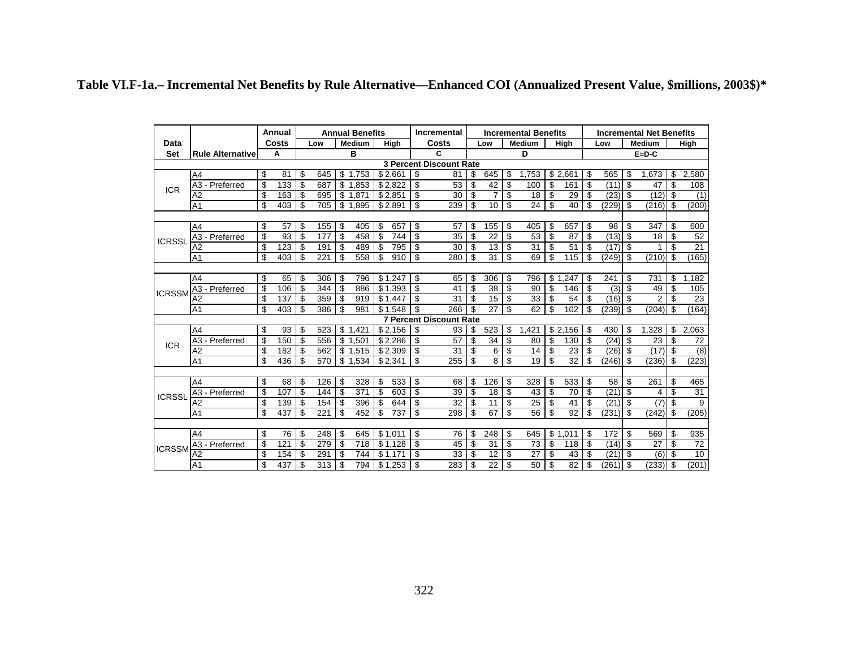|               |                             |    | Annual |    |     |    | <b>Annual Benefits</b> |     |         |                | Incremental                    |    |                |    | <b>Incremental Benefits</b> |    |                     |    |             |    | <b>Incremental Net Benefits</b> |    |       |  |  |
|---------------|-----------------------------|----|--------|----|-----|----|------------------------|-----|---------|----------------|--------------------------------|----|----------------|----|-----------------------------|----|---------------------|----|-------------|----|---------------------------------|----|-------|--|--|
| Data          |                             |    | Costs  |    | Low |    | <b>Medium</b>          |     | High    |                | Costs                          |    | Low            |    | <b>Medium</b>               |    | High                |    | Low         |    | <b>Medium</b>                   |    | High  |  |  |
| <b>Set</b>    | <b>Rule Alternative</b>     |    | A      |    | в   |    |                        |     |         |                | C                              | D  |                |    |                             |    |                     |    | $E = D - C$ |    |                                 |    |       |  |  |
|               |                             |    |        |    |     |    |                        |     |         |                | <b>3 Percent Discount Rate</b> |    |                |    |                             |    |                     |    |             |    |                                 |    |       |  |  |
| <b>ICR</b>    | A4                          | \$ | 81     | \$ | 645 | \$ | 1.753                  |     | \$2.661 | \$             | 81                             | \$ | 645            | \$ | .753                        |    | \$2.661             | \$ | 565         | \$ | .673                            | \$ | 2,580 |  |  |
|               | A3 - Preferred              | \$ | 133    | \$ | 687 | \$ | 1,853                  |     | \$2.822 | \$             | 53                             | \$ | 42             | \$ | 100                         | \$ | 161                 | \$ | (11)        | \$ | 47                              | \$ | 108   |  |  |
|               | A2                          | \$ | 163    | \$ | 695 | \$ | 1.87'                  |     | \$2,851 | \$             | 30                             | \$ | $\overline{7}$ | \$ | 18                          | \$ | 29                  | \$ | (23)        | \$ | (12)                            | \$ | (1)   |  |  |
|               | A <sub>1</sub>              | \$ | 403    | \$ | 705 | \$ | 1,895                  |     | \$2,891 | \$             | 239                            | \$ | 10             | \$ | 24                          | \$ | 40                  | \$ | (229)       | \$ | (216)                           | \$ | (200) |  |  |
|               |                             |    |        |    |     |    |                        |     |         |                |                                |    |                |    |                             |    |                     |    |             |    |                                 |    |       |  |  |
|               | A <sub>4</sub>              | \$ | 57     | \$ | 155 | \$ | 405                    | \$  | 657     | \$             | 57                             | \$ | 155            | \$ | 405                         | \$ | 657                 | \$ | 98          | \$ | 347                             | \$ | 600   |  |  |
| <b>ICRSSL</b> | A3 - Preferred              | \$ | 93     | \$ | 177 | \$ | 458                    | \$  | 744     | \$             | 35                             | \$ | 22             | \$ | 53                          | \$ | 87                  | \$ | (13)        | \$ | 18                              | \$ | 52    |  |  |
|               | A <sub>2</sub>              | \$ | 123    | \$ | 191 | \$ | 489                    | \$  | 795     | \$             | 30                             | \$ | 13             | \$ | 31                          | \$ | 51                  | \$ | (17)        | \$ |                                 | \$ | 21    |  |  |
|               | A <sub>1</sub>              | \$ | 403    | \$ | 221 | \$ | 558                    | \$  | 910     | ာ              | 280                            | \$ | 31             | \$ | 69                          | \$ | 115                 | \$ | (249)       | \$ | (210)                           | \$ | (165) |  |  |
|               |                             |    |        |    |     |    |                        |     |         |                |                                |    |                |    |                             |    |                     |    |             |    |                                 |    |       |  |  |
| <b>ICRSSM</b> | A4                          | \$ | 65     | \$ | 306 | \$ | 796                    |     | \$1,247 | -\$            | 65                             | \$ | 306            | \$ | 796                         | \$ | .247<br>$\mathbf 1$ | \$ | 241         | \$ | 731                             | \$ | 1,182 |  |  |
|               | - Preferred<br>A3           | \$ | 106    | \$ | 344 | \$ | 886                    |     | \$1,393 | $\mathcal{S}$  | 41                             | \$ | 38             | \$ | 90                          | \$ | 146                 | \$ | (3)         | \$ | 49                              | \$ | 105   |  |  |
|               | A2                          | \$ | 137    | \$ | 359 | \$ | 919                    |     | \$1,447 | \$             | 31                             | \$ | 15             | \$ | 33                          | \$ | 54                  | \$ | (16)        | \$ | 2                               | \$ | 23    |  |  |
|               | A <sub>1</sub>              | \$ | 403    | \$ | 386 | \$ | 981                    |     | \$1.548 | \$             | 266                            | \$ | 27             | \$ | 62                          | \$ | 102                 | \$ | (239)       | \$ | (204)                           | \$ | (164) |  |  |
|               |                             |    |        |    |     |    |                        |     |         |                | <b>7 Percent Discount Rate</b> |    |                |    |                             |    |                     |    |             |    |                                 |    |       |  |  |
|               | A4                          | \$ | 93     | \$ | 523 | \$ | 1.421                  |     | \$2,156 | -\$            | 93                             | \$ | 523            | \$ | .421<br>1                   |    | \$2,156             | \$ | 430         | \$ | 1.328                           | \$ | 2.063 |  |  |
| <b>ICR</b>    | Preferred<br>A <sub>3</sub> | \$ | 150    | \$ | 556 | \$ | 1.501                  |     | \$2.286 | -\$            | 57                             | \$ | 34             | \$ | 80                          | \$ | 130                 | \$ | (24)        | \$ | 23                              | \$ | 72    |  |  |
|               | A2                          | \$ | 182    | \$ | 562 | \$ | ,515                   |     | \$2,309 | \$             | 31                             | \$ | 6              | \$ | 14                          | \$ | 23                  | \$ | (26)        | \$ | (17)                            | \$ | (8)   |  |  |
|               | A <sub>1</sub>              | \$ | 436    | \$ | 570 | \$ | 1,534                  |     | \$2,341 | \$             | 255                            | \$ | 8              | \$ | 19                          | \$ | 32                  | \$ | (246)       | \$ | (236)                           | \$ | (223) |  |  |
|               |                             |    |        |    |     |    |                        |     |         |                |                                |    |                |    |                             |    |                     |    |             |    |                                 |    |       |  |  |
|               | A4                          | \$ | 68     | \$ | 126 | \$ | 328                    | \$  | 533     | \$             | 68                             | \$ | 126            | \$ | 328                         | \$ | 533                 | \$ | 58          | \$ | 261                             | \$ | 465   |  |  |
| <b>ICRSSL</b> | A3 - Preferred              | \$ | 107    | \$ | 144 | \$ | 371                    | -\$ | 603     | \$             | 39                             | \$ | 18             | \$ | 43                          | \$ | 70                  | \$ | (21)        | \$ | 4                               | \$ | 31    |  |  |
|               | A2                          | \$ | 139    | \$ | 154 | \$ | 396                    | \$  | 644     | \$             | 32                             | \$ | 11             | \$ | 25                          | \$ | 41                  | \$ | (21)        | \$ | (7)                             | \$ | 9     |  |  |
|               | A <sub>1</sub>              | \$ | 437    | \$ | 221 | \$ | 452                    | \$  | 737     | $\mathfrak{s}$ | 298                            | \$ | 67             | \$ | 56                          | \$ | 92                  | \$ | (231)       | \$ | (242)                           | \$ | (205) |  |  |
|               |                             |    |        |    |     |    |                        |     |         |                |                                |    |                |    |                             |    |                     |    |             |    |                                 |    |       |  |  |
|               | A4                          | \$ | 76     | \$ | 248 | \$ | 645                    |     | \$1.011 | \$             | 76                             | \$ | 248            | \$ | 645                         | \$ | .011<br>$\mathbf 1$ | \$ | 172         | \$ | 569                             | \$ | 935   |  |  |
| <b>ICRSSM</b> | A3 - Preferred              | \$ | 121    | \$ | 279 | \$ | 718                    |     | \$1.128 | \$             | 45                             | \$ | 31             | \$ | 73                          | \$ | 118                 | \$ | (14)        | \$ | 27                              | \$ | 72    |  |  |
|               | A2                          | \$ | 154    | \$ | 291 | \$ | 744                    |     | \$1.171 | \$             | 33                             | \$ | 12             | \$ | 27                          | \$ | 43                  | \$ | (21)        | \$ | (6)                             | \$ | 10    |  |  |
|               | A <sub>1</sub>              | \$ | 437    | \$ | 313 | \$ | 794                    |     | \$1.253 | \$             | 283                            | \$ | 22             | \$ | 50                          | \$ | 82                  | \$ | (261)       | \$ | (233)                           | \$ | (201) |  |  |

**Table VI.F-1a.– Incremental Net Benefits by Rule Alternative—Enhanced COI (Annualized Present Value, \$millions, 2003\$)\***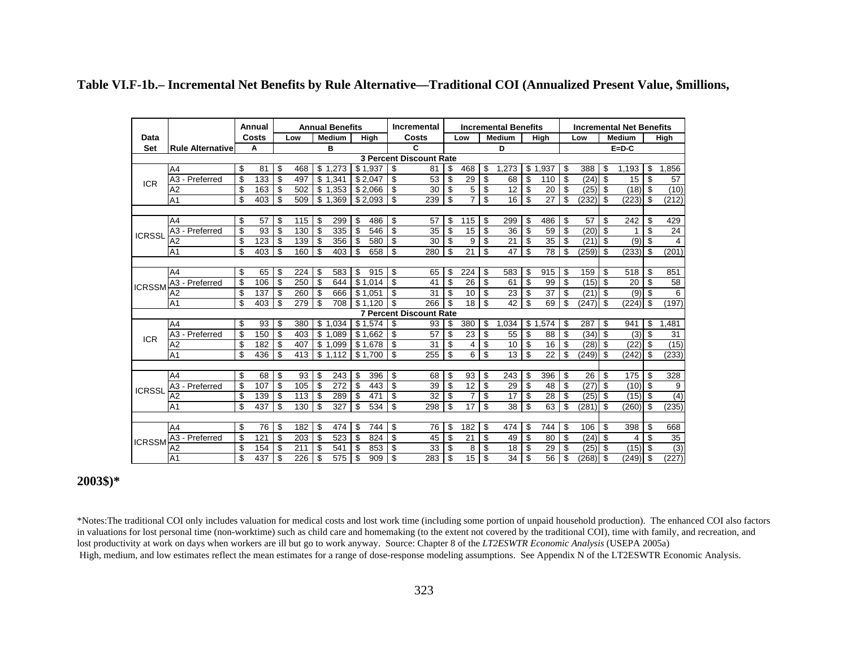|               |                               |    | Annual |    |     | <b>Annual Benefits</b> |                     |    |         |                | Incremental                    |    |                 |    | <b>Incremental Benefits</b> |     |                 |    |       | <b>Incremental Net Benefits</b> |        |    |       |  |  |  |
|---------------|-------------------------------|----|--------|----|-----|------------------------|---------------------|----|---------|----------------|--------------------------------|----|-----------------|----|-----------------------------|-----|-----------------|----|-------|---------------------------------|--------|----|-------|--|--|--|
| Data          |                               |    | Costs  |    | Low |                        | <b>Medium</b>       |    | Hiah    |                | Costs                          |    | Low             |    | <b>Medium</b>               |     | High            |    | Low   |                                 | Medium |    | High  |  |  |  |
| Set           | <b>Rule Alternative</b>       |    | Α      |    |     | B                      |                     |    |         |                | C                              |    |                 |    | D                           |     |                 |    |       |                                 |        |    |       |  |  |  |
|               |                               |    |        |    |     |                        |                     |    |         |                | <b>3 Percent Discount Rate</b> |    |                 |    |                             |     |                 |    |       |                                 |        |    |       |  |  |  |
|               | A <sub>4</sub>                | \$ | 81     | \$ | 468 |                        | \$1.273             |    | \$1.937 | \$             | 81                             | \$ | 468             | \$ | .273<br>1                   | \$  | .937<br>1       | \$ | 388   | \$                              | 1.193  | \$ | .856  |  |  |  |
| <b>ICR</b>    | A3 - Preferred                | \$ | 133    | \$ | 497 | \$                     | 1.341               |    | \$2.047 | \$             | 53                             | \$ | 29              | \$ | 68                          | \$  | 110             | \$ | (24)  | \$                              | 15     | \$ | 57    |  |  |  |
|               | A2                            | \$ | 163    | \$ | 502 | \$                     | 1,353               |    | \$2,066 | \$             | 30                             | \$ | 5               | \$ | 12                          | \$  | 20              | \$ | (25)  | \$                              | (18)   | \$ | (10)  |  |  |  |
|               | A <sub>1</sub>                | \$ | 403    | \$ | 509 |                        | \$1.369             |    | \$2.093 | \$             | 239                            | \$ | $\overline{7}$  | \$ | $\overline{16}$             | \$  | $\overline{27}$ | \$ | (232) | \$                              | (223)  | \$ | (212) |  |  |  |
|               |                               |    |        |    |     |                        |                     |    |         |                |                                |    |                 |    |                             |     |                 |    |       |                                 |        |    |       |  |  |  |
|               | A4                            | \$ | 57     | \$ | 115 | \$                     | 299                 | \$ | 486     | \$             | 57                             | \$ | 115             | \$ | 299                         | \$  | 486             | \$ | 57    | \$                              | 242    | \$ | 429   |  |  |  |
| <b>ICRSSL</b> | A3 - Preferred                | \$ | 93     | \$ | 130 | \$                     | 335                 | \$ | 546     | \$             | 35                             | \$ | 15              | \$ | 36                          | \$  | 59              | \$ | (20)  | \$                              | 1      | \$ | 24    |  |  |  |
|               | A <sub>2</sub>                | \$ | 123    | \$ | 139 | \$                     | 356                 | \$ | 580     | \$             | 30                             | \$ | 9               | \$ | 21                          | \$  | 35              | \$ | (21)  | \$                              | (9)    | \$ | 4     |  |  |  |
|               | A <sub>1</sub>                | \$ | 403    | \$ | 160 | \$                     | 403                 | \$ | 658     | \$             | 280                            | \$ | 21              | \$ | 47                          | \$  | 78              | \$ | (259) | \$                              | (233)  | \$ | (201) |  |  |  |
|               |                               |    |        |    |     |                        |                     |    |         |                |                                |    |                 |    |                             |     |                 |    |       |                                 |        |    |       |  |  |  |
|               | A <sub>4</sub>                | \$ | 65     | \$ | 224 | \$                     | 583                 | \$ | 915     | \$             | 65                             | \$ | 224             | \$ | 583                         | \$  | 915             | \$ | 159   | \$                              | 518    | \$ | 851   |  |  |  |
| <b>ICRSSM</b> | A3 - Preferred                | \$ | 106    | \$ | 250 | \$                     | 644                 |    | \$1,014 | \$             | 41                             | \$ | 26              | \$ | 61                          | \$  | 99              | \$ | (15)  | \$                              | 20     | \$ | 58    |  |  |  |
|               | A2                            | \$ | 137    | \$ | 260 | \$                     | 666                 |    | \$1.051 | \$             | 31                             | \$ | 10              | \$ | 23                          | \$  | 37              | \$ | (21)  | \$                              | (9)    | \$ | 6     |  |  |  |
|               | A <sub>1</sub>                | \$ | 403    | \$ | 279 | \$                     | 708                 |    | \$1,120 | \$             | 266                            | \$ | 18              | \$ | 42                          | \$  | 69              | \$ | (247) | \$                              | (224)  | \$ | (197) |  |  |  |
|               |                               |    |        |    |     |                        |                     |    |         |                | <b>7 Percent Discount Rate</b> |    |                 |    |                             |     |                 |    |       |                                 |        |    |       |  |  |  |
|               | A4                            | \$ | 93     | \$ | 380 | \$                     | .034<br>$\mathbf 1$ |    | \$1,574 | \$             | 93                             | \$ | 380             | \$ | ,034<br>1                   | \$  | .574<br>1       | \$ | 287   | \$                              | 941    | \$ | ,481  |  |  |  |
| <b>ICR</b>    | - Preferred<br>A <sub>3</sub> | \$ | 150    | \$ | 403 | \$                     | .089                |    | \$1,662 | \$             | 57                             | \$ | 23              | \$ | 55                          | \$  | 88              | \$ | (34)  | \$                              | (3)    | \$ | 31    |  |  |  |
|               | A2                            | \$ | 182    | \$ | 407 | \$                     | 1.099               |    | \$1.678 | \$             | 31                             | \$ | 4               | \$ | 10                          | \$  | 16              | \$ | (28)  | \$                              | (22)   | \$ | (15)  |  |  |  |
|               | A <sub>1</sub>                | \$ | 436    | \$ | 413 | \$                     | .112<br>1           |    | \$1.700 | $\mathfrak{s}$ | 255                            | \$ | 6               | \$ | 13                          | \$  | 22              | \$ | (249) | \$                              | (242)  | \$ | (233) |  |  |  |
|               |                               |    |        |    |     |                        |                     |    |         |                |                                |    |                 |    |                             |     |                 |    |       |                                 |        |    |       |  |  |  |
|               | A <sub>4</sub>                | \$ | 68     | \$ | 93  | \$                     | 243                 | \$ | 396     | \$             | 68                             | \$ | 93              | \$ | 243                         | \$  | 396             | \$ | 26    | \$                              | 175    | \$ | 328   |  |  |  |
| <b>ICRSSL</b> | A3 - Preferred                | \$ | 107    | \$ | 105 | \$                     | $\overline{272}$    | \$ | 443     | \$             | 39                             | \$ | $\overline{12}$ | \$ | 29                          | \$  | 48              | \$ | (27)  | \$                              | (10)   | \$ | 9     |  |  |  |
|               | A2                            | \$ | 139    | \$ | 113 | \$                     | 289                 | \$ | 471     | \$             | 32                             | \$ | $\overline{7}$  | \$ | 17                          | \$  | 28              | \$ | (25)  | \$                              | (15)   | \$ | (4)   |  |  |  |
|               | A <sub>1</sub>                | \$ | 437    | \$ | 130 | \$                     | 327                 | \$ | 534     | \$             | 298                            | \$ | 17              | \$ | 38                          | \$  | 63              | \$ | (281) | \$                              | (260)  | \$ | (235) |  |  |  |
|               |                               |    |        |    |     |                        |                     |    |         |                |                                |    |                 |    |                             |     |                 |    |       |                                 |        |    |       |  |  |  |
|               | A <sub>4</sub>                | \$ | 76     | \$ | 182 | \$                     | 474                 | \$ | 744     | \$             | 76                             | \$ | 182             | \$ | 474                         | -\$ | 744             | \$ | 106   | \$                              | 398    | \$ | 668   |  |  |  |
| <b>ICRSSM</b> | A3 - Preferred                | \$ | 121    | \$ | 203 | \$                     | 523                 | \$ | 824     | \$             | 45                             | \$ | 21              | \$ | 49                          | \$  | 80              | \$ | (24)  | \$                              | 4      | \$ | 35    |  |  |  |
|               | A <sub>2</sub>                | \$ | 154    | \$ | 211 | \$                     | 541                 | \$ | 853     | \$             | 33                             | \$ | 8               | \$ | 18                          | \$  | 29              | \$ | (25)  | \$                              | (15)   | \$ | (3)   |  |  |  |
|               | A <sub>1</sub>                | \$ | 437    | \$ | 226 | \$                     | 575                 | \$ | 909     | \$             | 283                            | \$ | 15              | \$ | $\overline{34}$             | \$  | $\overline{56}$ | \$ | (268) | \$                              | (249)  | \$ | (227) |  |  |  |

### **Table VI.F-1b.– Incremental Net Benefits by Rule Alternative—Traditional COI (Annualized Present Value, \$millions,**

## **2003\$)\***

\*Notes:The traditional COI only includes valuation for medical costs and lost work time (including some portion of unpaid household production). The enhanced COI also factors in valuations for lost personal time (non-worktime) such as child care and homemaking (to the extent not covered by the traditional COI), time with family, and recreation, and lost productivity at work on days when workers are ill but go to work anyway. Source: Chapter 8 of the *LT2ESWTR Economic Analysis* (USEPA 2005a) High, medium, and low estimates reflect the mean estimates for a range of dose-response modeling assumptions. See Appendix N of the LT2ESWTR Economic Analysis.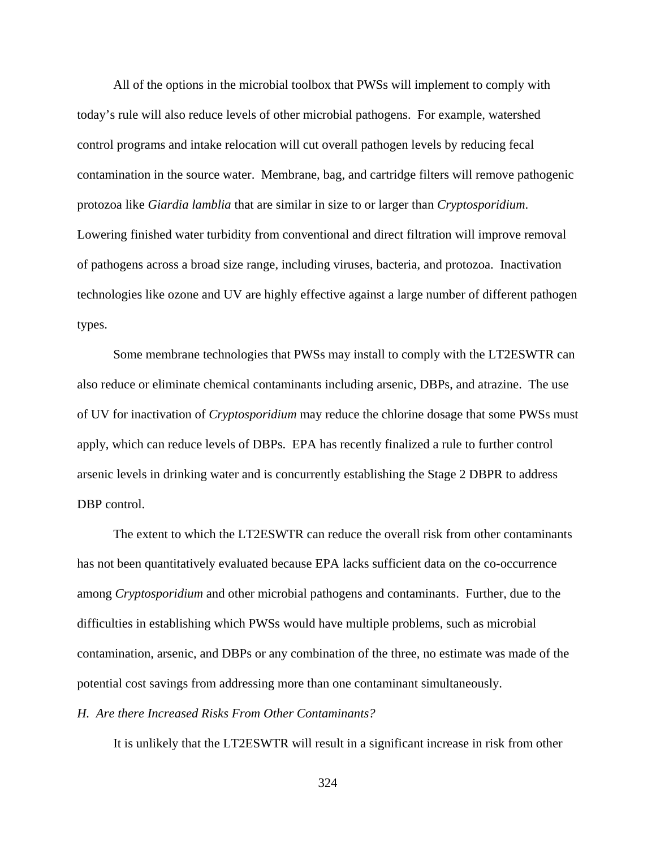All of the options in the microbial toolbox that PWSs will implement to comply with today's rule will also reduce levels of other microbial pathogens. For example, watershed control programs and intake relocation will cut overall pathogen levels by reducing fecal contamination in the source water. Membrane, bag, and cartridge filters will remove pathogenic protozoa like *Giardia lamblia* that are similar in size to or larger than *Cryptosporidium*. Lowering finished water turbidity from conventional and direct filtration will improve removal of pathogens across a broad size range, including viruses, bacteria, and protozoa. Inactivation technologies like ozone and UV are highly effective against a large number of different pathogen types.

Some membrane technologies that PWSs may install to comply with the LT2ESWTR can also reduce or eliminate chemical contaminants including arsenic, DBPs, and atrazine. The use of UV for inactivation of *Cryptosporidium* may reduce the chlorine dosage that some PWSs must apply, which can reduce levels of DBPs. EPA has recently finalized a rule to further control arsenic levels in drinking water and is concurrently establishing the Stage 2 DBPR to address DBP control.

The extent to which the LT2ESWTR can reduce the overall risk from other contaminants has not been quantitatively evaluated because EPA lacks sufficient data on the co-occurrence among *Cryptosporidium* and other microbial pathogens and contaminants. Further, due to the difficulties in establishing which PWSs would have multiple problems, such as microbial contamination, arsenic, and DBPs or any combination of the three, no estimate was made of the potential cost savings from addressing more than one contaminant simultaneously.

### *H. Are there Increased Risks From Other Contaminants?*

It is unlikely that the LT2ESWTR will result in a significant increase in risk from other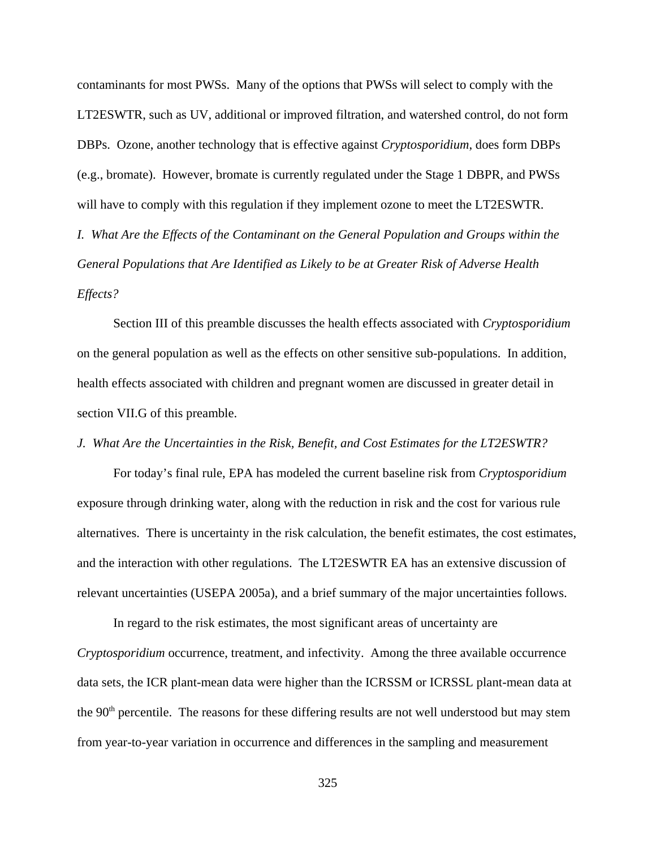contaminants for most PWSs. Many of the options that PWSs will select to comply with the LT2ESWTR, such as UV, additional or improved filtration, and watershed control, do not form DBPs. Ozone, another technology that is effective against *Cryptosporidium*, does form DBPs (e.g., bromate). However, bromate is currently regulated under the Stage 1 DBPR, and PWSs will have to comply with this regulation if they implement ozone to meet the LT2ESWTR.

*I. What Are the Effects of the Contaminant on the General Population and Groups within the General Populations that Are Identified as Likely to be at Greater Risk of Adverse Health Effects?*

Section III of this preamble discusses the health effects associated with *Cryptosporidium* on the general population as well as the effects on other sensitive sub-populations. In addition, health effects associated with children and pregnant women are discussed in greater detail in section VII.G of this preamble.

## *J. What Are the Uncertainties in the Risk, Benefit, and Cost Estimates for the LT2ESWTR?*

For today's final rule, EPA has modeled the current baseline risk from *Cryptosporidium* exposure through drinking water, along with the reduction in risk and the cost for various rule alternatives. There is uncertainty in the risk calculation, the benefit estimates, the cost estimates, and the interaction with other regulations. The LT2ESWTR EA has an extensive discussion of relevant uncertainties (USEPA 2005a), and a brief summary of the major uncertainties follows.

In regard to the risk estimates, the most significant areas of uncertainty are *Cryptosporidium* occurrence, treatment, and infectivity. Among the three available occurrence data sets, the ICR plant-mean data were higher than the ICRSSM or ICRSSL plant-mean data at the 90<sup>th</sup> percentile. The reasons for these differing results are not well understood but may stem from year-to-year variation in occurrence and differences in the sampling and measurement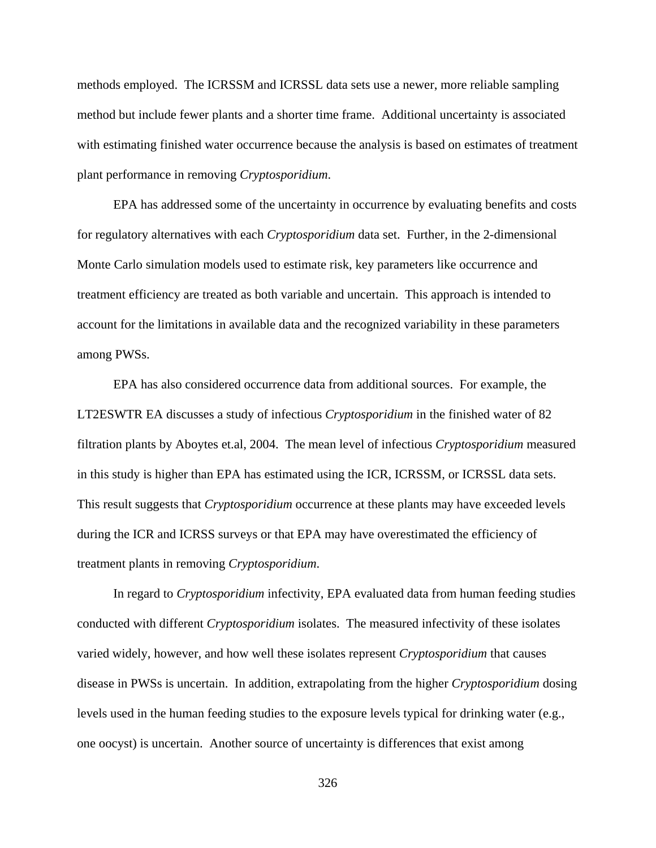methods employed. The ICRSSM and ICRSSL data sets use a newer, more reliable sampling method but include fewer plants and a shorter time frame. Additional uncertainty is associated with estimating finished water occurrence because the analysis is based on estimates of treatment plant performance in removing *Cryptosporidium*.

EPA has addressed some of the uncertainty in occurrence by evaluating benefits and costs for regulatory alternatives with each *Cryptosporidium* data set. Further, in the 2-dimensional Monte Carlo simulation models used to estimate risk, key parameters like occurrence and treatment efficiency are treated as both variable and uncertain. This approach is intended to account for the limitations in available data and the recognized variability in these parameters among PWSs.

EPA has also considered occurrence data from additional sources. For example, the LT2ESWTR EA discusses a study of infectious *Cryptosporidium* in the finished water of 82 filtration plants by Aboytes et.al, 2004. The mean level of infectious *Cryptosporidium* measured in this study is higher than EPA has estimated using the ICR, ICRSSM, or ICRSSL data sets. This result suggests that *Cryptosporidium* occurrence at these plants may have exceeded levels during the ICR and ICRSS surveys or that EPA may have overestimated the efficiency of treatment plants in removing *Cryptosporidium*.

In regard to *Cryptosporidium* infectivity, EPA evaluated data from human feeding studies conducted with different *Cryptosporidium* isolates. The measured infectivity of these isolates varied widely, however, and how well these isolates represent *Cryptosporidium* that causes disease in PWSs is uncertain. In addition, extrapolating from the higher *Cryptosporidium* dosing levels used in the human feeding studies to the exposure levels typical for drinking water (e.g., one oocyst) is uncertain. Another source of uncertainty is differences that exist among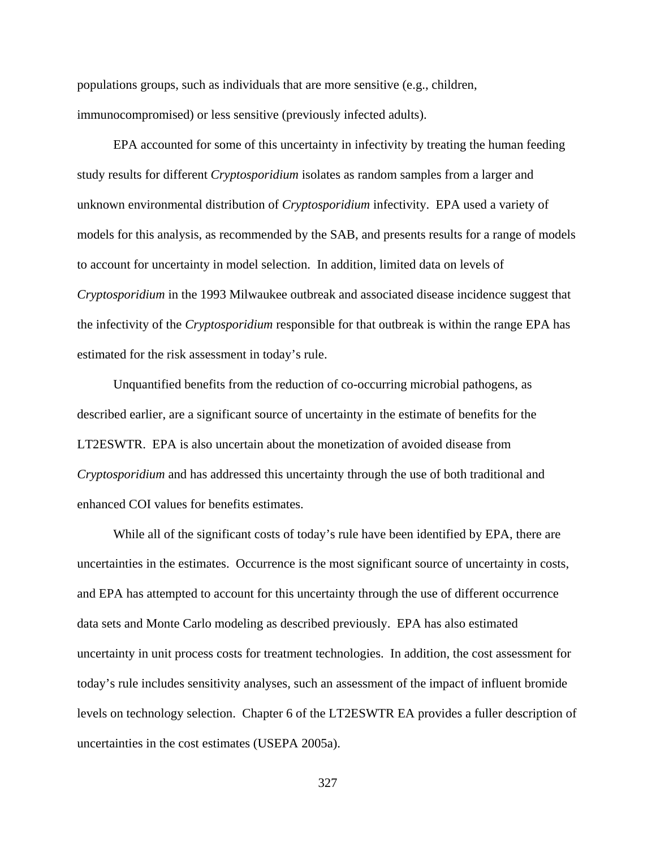populations groups, such as individuals that are more sensitive (e.g., children, immunocompromised) or less sensitive (previously infected adults).

EPA accounted for some of this uncertainty in infectivity by treating the human feeding study results for different *Cryptosporidium* isolates as random samples from a larger and unknown environmental distribution of *Cryptosporidium* infectivity. EPA used a variety of models for this analysis, as recommended by the SAB, and presents results for a range of models to account for uncertainty in model selection. In addition, limited data on levels of *Cryptosporidium* in the 1993 Milwaukee outbreak and associated disease incidence suggest that the infectivity of the *Cryptosporidium* responsible for that outbreak is within the range EPA has estimated for the risk assessment in today's rule.

Unquantified benefits from the reduction of co-occurring microbial pathogens, as described earlier, are a significant source of uncertainty in the estimate of benefits for the LT2ESWTR. EPA is also uncertain about the monetization of avoided disease from *Cryptosporidium* and has addressed this uncertainty through the use of both traditional and enhanced COI values for benefits estimates.

While all of the significant costs of today's rule have been identified by EPA, there are uncertainties in the estimates. Occurrence is the most significant source of uncertainty in costs, and EPA has attempted to account for this uncertainty through the use of different occurrence data sets and Monte Carlo modeling as described previously. EPA has also estimated uncertainty in unit process costs for treatment technologies. In addition, the cost assessment for today's rule includes sensitivity analyses, such an assessment of the impact of influent bromide levels on technology selection. Chapter 6 of the LT2ESWTR EA provides a fuller description of uncertainties in the cost estimates (USEPA 2005a).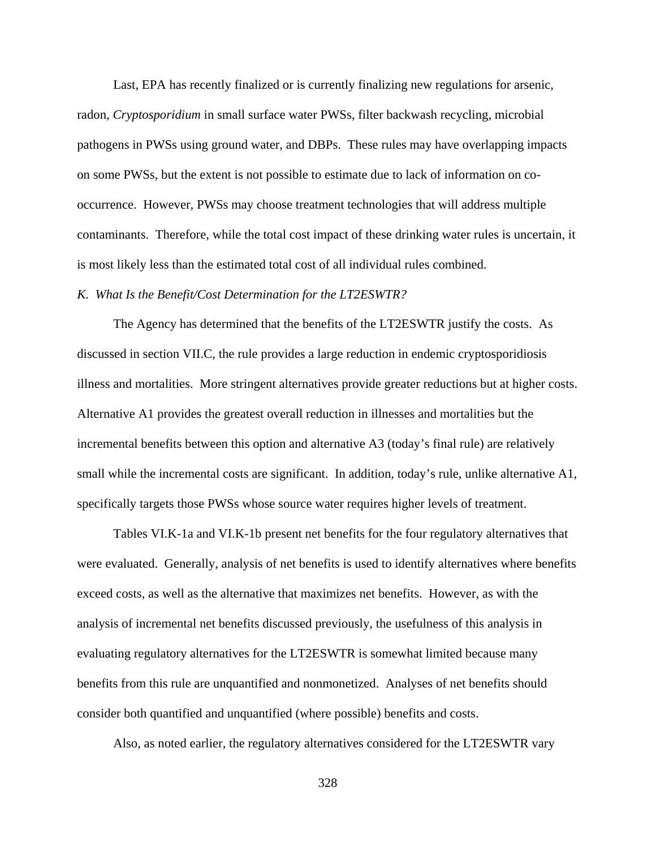Last, EPA has recently finalized or is currently finalizing new regulations for arsenic, radon, *Cryptosporidium* in small surface water PWSs, filter backwash recycling, microbial pathogens in PWSs using ground water, and DBPs. These rules may have overlapping impacts on some PWSs, but the extent is not possible to estimate due to lack of information on cooccurrence. However, PWSs may choose treatment technologies that will address multiple contaminants. Therefore, while the total cost impact of these drinking water rules is uncertain, it is most likely less than the estimated total cost of all individual rules combined.

## *K. What Is the Benefit/Cost Determination for the LT2ESWTR?*

The Agency has determined that the benefits of the LT2ESWTR justify the costs. As discussed in section VII.C, the rule provides a large reduction in endemic cryptosporidiosis illness and mortalities. More stringent alternatives provide greater reductions but at higher costs. Alternative A1 provides the greatest overall reduction in illnesses and mortalities but the incremental benefits between this option and alternative A3 (today's final rule) are relatively small while the incremental costs are significant. In addition, today's rule, unlike alternative A1, specifically targets those PWSs whose source water requires higher levels of treatment.

Tables VI.K-1a and VI.K-1b present net benefits for the four regulatory alternatives that were evaluated. Generally, analysis of net benefits is used to identify alternatives where benefits exceed costs, as well as the alternative that maximizes net benefits. However, as with the analysis of incremental net benefits discussed previously, the usefulness of this analysis in evaluating regulatory alternatives for the LT2ESWTR is somewhat limited because many benefits from this rule are unquantified and nonmonetized. Analyses of net benefits should consider both quantified and unquantified (where possible) benefits and costs.

Also, as noted earlier, the regulatory alternatives considered for the LT2ESWTR vary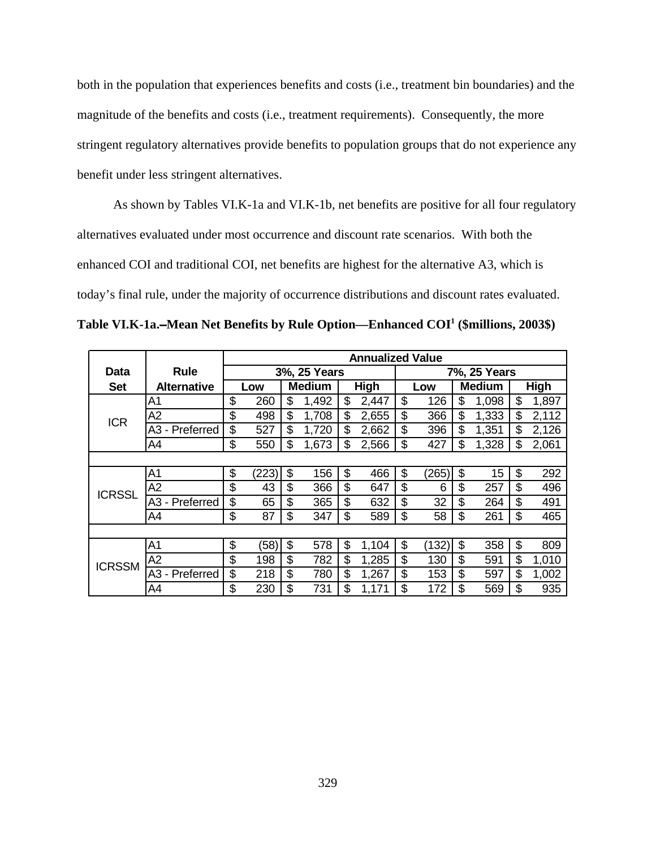both in the population that experiences benefits and costs (i.e., treatment bin boundaries) and the magnitude of the benefits and costs (i.e., treatment requirements). Consequently, the more stringent regulatory alternatives provide benefits to population groups that do not experience any benefit under less stringent alternatives.

As shown by Tables VI.K-1a and VI.K-1b, net benefits are positive for all four regulatory alternatives evaluated under most occurrence and discount rate scenarios. With both the enhanced COI and traditional COI, net benefits are highest for the alternative A3, which is today's final rule, under the majority of occurrence distributions and discount rates evaluated.

Table VI.K-1a.–Mean Net Benefits by Rule Option—Enhanced COI<sup>1</sup> (\$millions, 2003\$)

|               |                                             |    |       |    |               |    |       |    | <b>Annualized Value</b> |    |               |    |             |  |  |
|---------------|---------------------------------------------|----|-------|----|---------------|----|-------|----|-------------------------|----|---------------|----|-------------|--|--|
| Data          | <b>Rule</b>                                 |    |       |    | 3%, 25 Years  |    |       |    |                         |    | 7%, 25 Years  |    |             |  |  |
| <b>Set</b>    | <b>Alternative</b>                          |    | Low   |    | <b>Medium</b> |    | High  |    | Low                     |    | <b>Medium</b> |    | <b>High</b> |  |  |
|               | A1                                          | \$ | 260   | \$ | 1,492         | \$ | 2,447 | \$ | 126                     | \$ | 1,098         | \$ | 1,897       |  |  |
| <b>ICR</b>    | A <sub>2</sub>                              | \$ | 498   | \$ | 1,708         | \$ | 2,655 | \$ | 366                     | \$ | 1,333         | \$ | 2,112       |  |  |
|               | Preferred<br>A3<br>$\overline{\phantom{a}}$ | \$ | 527   | \$ | 1,720         | \$ | 2,662 | \$ | 396                     | \$ | 1,351         | \$ | 2,126       |  |  |
|               | A4                                          | \$ | 550   | \$ | 1,673         | \$ | 2,566 | \$ | 427                     | \$ | 1,328         | \$ | 2,061       |  |  |
|               |                                             |    |       |    |               |    |       |    |                         |    |               |    |             |  |  |
|               | A <sub>1</sub>                              | \$ | (223) | \$ | 156           | \$ | 466   | \$ | (265)                   | \$ | 15            | \$ | 292         |  |  |
| <b>ICRSSL</b> | A2                                          | \$ | 43    | \$ | 366           | \$ | 647   | \$ | 6                       | \$ | 257           | \$ | 496         |  |  |
|               | - Preferred<br>A3                           | \$ | 65    | \$ | 365           | \$ | 632   | \$ | 32                      | \$ | 264           | \$ | 491         |  |  |
|               | A4                                          | \$ | 87    | \$ | 347           | \$ | 589   | \$ | 58                      | \$ | 261           | \$ | 465         |  |  |
|               |                                             |    |       |    |               |    |       |    |                         |    |               |    |             |  |  |
|               | A <sub>1</sub>                              | \$ | (58)  | \$ | 578           | \$ | 1,104 | \$ | (132)                   | \$ | 358           | \$ | 809         |  |  |
| <b>ICRSSM</b> | A2                                          | \$ | 198   | \$ | 782           | \$ | 1,285 | \$ | 130                     | \$ | 591           | \$ | 1,010       |  |  |
|               | - Preferred<br>A3                           | \$ | 218   | \$ | 780           | \$ | 1,267 | \$ | 153                     | \$ | 597           | \$ | 1,002       |  |  |
|               | A4                                          | \$ | 230   | \$ | 731           | \$ | 1,171 | \$ | 172                     | \$ | 569           | \$ | 935         |  |  |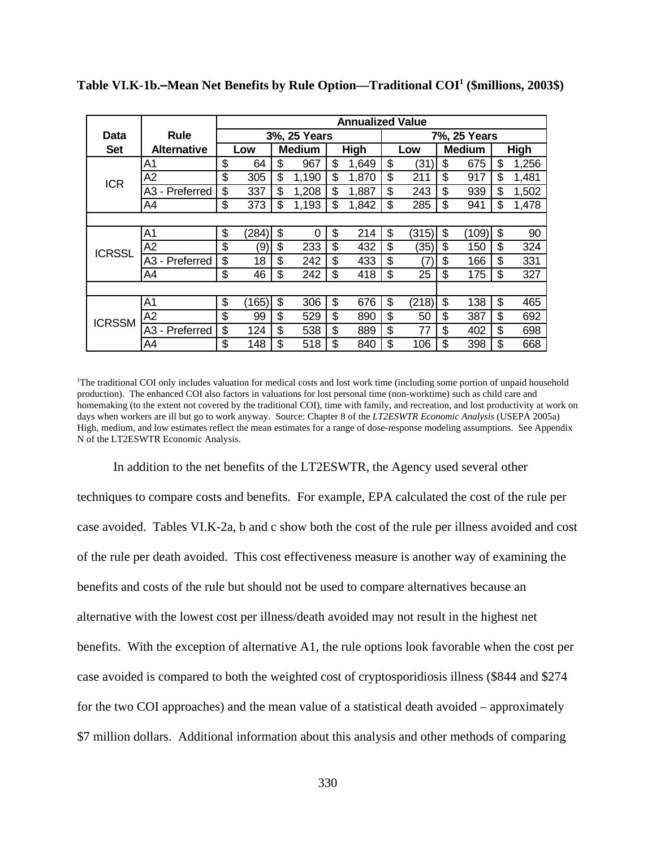|               |                                   |    |       |    |               |    |       | <b>Annualized Value</b> |       |    |               |    |       |  |
|---------------|-----------------------------------|----|-------|----|---------------|----|-------|-------------------------|-------|----|---------------|----|-------|--|
| Data          | Rule                              |    |       |    | 3%, 25 Years  |    |       | 7%, 25 Years            |       |    |               |    |       |  |
| <b>Set</b>    | <b>Alternative</b>                |    | Low   |    | <b>Medium</b> |    | High  |                         | Low   |    | <b>Medium</b> |    | High  |  |
|               | A1                                | \$ | 64    | \$ | 967           | \$ | 1,649 | \$                      | (31   | \$ | 675           | \$ | 1,256 |  |
| <b>ICR</b>    | A <sub>2</sub>                    | \$ | 305   | \$ | 1,190         | \$ | 1,870 | \$                      | 211   | \$ | 917           | \$ | 1,481 |  |
|               | Preferred<br>A3<br>$\blacksquare$ | \$ | 337   | \$ | 1,208         | \$ | 1,887 | \$                      | 243   | \$ | 939           | \$ | 1,502 |  |
|               | A4                                | \$ | 373   | \$ | 1,193         | \$ | 1,842 | \$                      | 285   | \$ | 941           | \$ | 1,478 |  |
|               |                                   |    |       |    |               |    |       |                         |       |    |               |    |       |  |
|               | A <sub>1</sub>                    | \$ | (284) | \$ | 0             | \$ | 214   | \$                      | (315) | \$ | (109)         | \$ | 90    |  |
| <b>ICRSSL</b> | A2                                | \$ | (9)   | \$ | 233           | \$ | 432   | \$                      | (35)  | \$ | 150           | \$ | 324   |  |
|               | Preferred<br>A3<br>$\blacksquare$ | \$ | 18    | \$ | 242           | \$ | 433   | \$                      | (7)   | \$ | 166           | \$ | 331   |  |
|               | A4                                | \$ | 46    | \$ | 242           | \$ | 418   | \$                      | 25    | \$ | 175           | \$ | 327   |  |
|               |                                   |    |       |    |               |    |       |                         |       |    |               |    |       |  |
|               | A <sub>1</sub>                    | \$ | (165) | \$ | 306           | \$ | 676   | \$                      | (218) | \$ | 138           | \$ | 465   |  |
| <b>ICRSSM</b> | A2                                | \$ | 99    | \$ | 529           | \$ | 890   | \$                      | 50    | \$ | 387           | \$ | 692   |  |
|               | Preferred<br>A3 -                 | \$ | 124   | \$ | 538           | \$ | 889   | \$                      | 77    | \$ | 402           | \$ | 698   |  |
|               | A4                                | \$ | 148   | \$ | 518           | \$ | 840   | \$                      | 106   | \$ | 398           | \$ | 668   |  |

Table VI.K-1b.–Mean Net Benefits by Rule Option—Traditional COI<sup>1</sup> (\$millions, 2003\$)

1 The traditional COI only includes valuation for medical costs and lost work time (including some portion of unpaid household production). The enhanced COI also factors in valuations for lost personal time (non-worktime) such as child care and homemaking (to the extent not covered by the traditional COI), time with family, and recreation, and lost productivity at work on days when workers are ill but go to work anyway. Source: Chapter 8 of the *LT2ESWTR Economic Analysis* (USEPA 2005a) High, medium, and low estimates reflect the mean estimates for a range of dose-response modeling assumptions. See Appendix N of the LT2ESWTR Economic Analysis.

In addition to the net benefits of the LT2ESWTR, the Agency used several other techniques to compare costs and benefits. For example, EPA calculated the cost of the rule per case avoided. Tables VI.K-2a, b and c show both the cost of the rule per illness avoided and cost of the rule per death avoided. This cost effectiveness measure is another way of examining the benefits and costs of the rule but should not be used to compare alternatives because an alternative with the lowest cost per illness/death avoided may not result in the highest net benefits. With the exception of alternative A1, the rule options look favorable when the cost per case avoided is compared to both the weighted cost of cryptosporidiosis illness (\$844 and \$274 for the two COI approaches) and the mean value of a statistical death avoided – approximately \$7 million dollars. Additional information about this analysis and other methods of comparing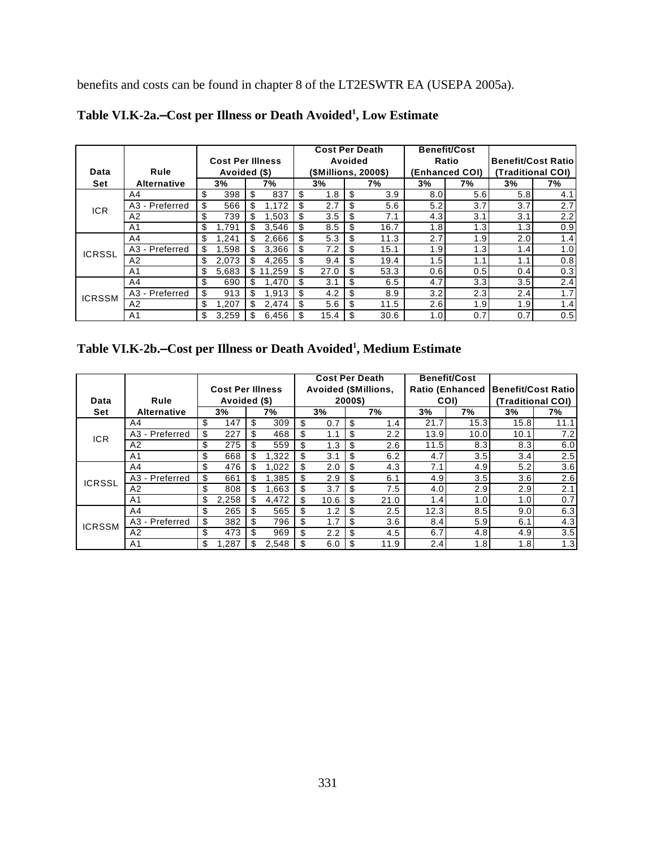benefits and costs can be found in chapter 8 of the LT2ESWTR EA (USEPA 2005a).

|               |                    |                         |    |        |    | <b>Cost Per Death</b> |    |      |                  | <b>Benefit/Cost</b> |                           |     |  |
|---------------|--------------------|-------------------------|----|--------|----|-----------------------|----|------|------------------|---------------------|---------------------------|-----|--|
|               |                    | <b>Cost Per Illness</b> |    |        |    | Avoided               |    |      |                  | Ratio               | <b>Benefit/Cost Ratio</b> |     |  |
| Data          | Rule               | Avoided (\$)            |    |        |    | (\$Millions, 2000\$)  |    |      |                  | (Enhanced COI)      | (Traditional COI)         |     |  |
| Set           | <b>Alternative</b> | 3%                      |    | 7%     |    | 3%                    |    | 7%   | 3%               | 7%                  | 3%                        | 7%  |  |
|               | A4                 | \$<br>398               | \$ | 837    | \$ | 1.8                   | \$ | 3.9  | 8.0              | 5.6                 | 5.8                       | 4.1 |  |
| <b>ICR</b>    | A3 - Preferred     | \$<br>566               | \$ | 1.172  | \$ | 2.7                   | \$ | 5.6  | 5.2              | 3.7                 | 3.7                       | 2.7 |  |
|               | A2                 | \$<br>739               | \$ | 1,503  |    | 3.5                   |    | 7.1  | 4.3              | 3.1                 | 3.1                       | 2.2 |  |
|               | A <sub>1</sub>     | \$<br>791.ا             | \$ | 3,546  | \$ | 8.5                   | \$ | 16.7 | 1.8              | 1.3                 | 1.3                       | 0.9 |  |
|               | A <sub>4</sub>     | \$<br>241.ا             | \$ | 2,666  | \$ | 5.3                   | \$ | 11.3 | 2.7              | 1.9                 | 2.0                       | 1.4 |  |
| <b>ICRSSL</b> | A3 - Preferred     | \$<br>598. ا            | \$ | 3,366  |    | 7.2                   | \$ | 15.1 | 1.9              | 1.3                 | 1.4                       | 1.0 |  |
|               | A2                 | \$<br>2.073             | \$ | 4.265  | \$ | 9.4                   | S  | 19.4 | 1.5              | 1.1                 | 1. $\dot{\phantom{1}}$    | 0.8 |  |
|               | A <sub>1</sub>     | \$<br>5,683             | \$ | 11.259 | -S | 27.0                  | \$ | 53.3 | 0.6              | 0.5                 | 0.4                       | 0.3 |  |
|               | A4                 | \$<br>690               | \$ | 1.470  | \$ | 3.1                   | \$ | 6.5  | 4.7              | 3.3                 | 3.5                       | 2.4 |  |
| <b>ICRSSM</b> | A3 - Preferred     | \$<br>913               | \$ | 1.913  | \$ | 4.2                   | \$ | 8.9  | 3.2              | 2.3                 | 2.4                       | 1.7 |  |
|               | A2                 | \$<br>.207              | \$ | 2.474  |    | 5.6                   | S  | 11.5 | 2.6              | 1.9                 | 1.9                       | 1.4 |  |
|               | A <sub>1</sub>     | \$<br>3.259             | \$ | 6,456  | \$ | 15.4                  |    | 30.6 | 1.0 <sub>l</sub> | 0.7                 | 0.7                       | 0.5 |  |

Table VI.K-2a.–Cost per Illness or Death Avoided<sup>1</sup>, Low Estimate

| Table VI.K-2b.-Cost per Illness or Death Avoided <sup>1</sup> , Medium Estimate |  |  |  |
|---------------------------------------------------------------------------------|--|--|--|
|                                                                                 |  |  |  |

|               |                    |                         |    |       |     | <b>Cost Per Death</b> |         |                             |      | <b>Benefit/Cost</b>    |                            |      |  |
|---------------|--------------------|-------------------------|----|-------|-----|-----------------------|---------|-----------------------------|------|------------------------|----------------------------|------|--|
|               |                    | <b>Cost Per Illness</b> |    |       |     |                       |         | <b>Avoided (\$Millions,</b> |      | <b>Ratio (Enhanced</b> | <b>Benefit/Cost Ratiol</b> |      |  |
| Data          | Rule               | Avoided (\$)            |    |       |     |                       | 2000\$) |                             |      | COI)                   | (Traditional COI)          |      |  |
| <b>Set</b>    | <b>Alternative</b> | 3%                      |    | 7%    |     | 3%                    |         | 7%                          | 3%   | 7%                     | 3%                         | 7%   |  |
|               | A4                 | \$<br>147               | \$ | 309   | \$  | 0.7                   | \$      | 1.4                         | 21.7 | 15.3                   | 15.8                       | 11.1 |  |
| ICR.          | - Preferred<br>A3  | \$<br>227               | \$ | 468   | \$  | 1.1                   |         | $2.2^{\circ}$               | 13.9 | 10.0                   | 10.1                       | 7.2  |  |
|               | A2                 | \$<br>275               |    | 559   |     | 1.3                   |         | 2.6                         | 11.5 | 8.3                    | 8.3                        | 6.0  |  |
|               | A <sub>1</sub>     | \$<br>668               | \$ | 1,322 | \$  | 3.1                   | \$      | 6.2                         | 4.7  | 3.5                    | 3.4                        | 2.5  |  |
|               | A <sub>4</sub>     | \$<br>476               | S  | 1,022 | \$  | 2.0                   |         | 4.3                         | 7.1  | 4.9                    | 5.2                        | 3.6  |  |
| ICRSSL        | A3 - Preferred     | \$<br>661               | \$ | .385  | \$. | 2.9                   | \$      | 6.1                         | 4.9  | 3.5                    | 3.6                        | 2.6  |  |
|               | A <sub>2</sub>     | \$<br>808               |    | 1,663 | \$  | 3.7                   | \$      | 7.5                         | 4.0  | 2.9                    | 2.9                        | 2.1  |  |
|               | A <sub>1</sub>     | \$<br>2,258             |    | 4.472 | \$  | 10.6                  | \$      | 21.0                        | 1.4  | 1.0                    | 1.0                        | 0.7  |  |
|               | A <sub>4</sub>     | \$<br>265               | \$ | 565   |     | 1.2                   |         | 2.5                         | 12.3 | 8.5                    | 9.0                        | 6.3  |  |
| <b>ICRSSM</b> | A3 - Preferred     | \$<br>382               | \$ | 796   | \$  | 1.7                   |         | 3.6                         | 8.4  | 5.9                    | 6.1                        | 4.3  |  |
|               | A <sub>2</sub>     | \$<br>473               | \$ | 969   | \$  | 2.2                   | \$      | 4.5                         | 6.7  | 4.8                    | 4.9                        | 3.5  |  |
|               | A1                 | \$<br>1.287             |    | 2,548 |     | 6.0                   |         | 11.9                        | 2.4  | 1.8                    | 1.8                        | 1.3  |  |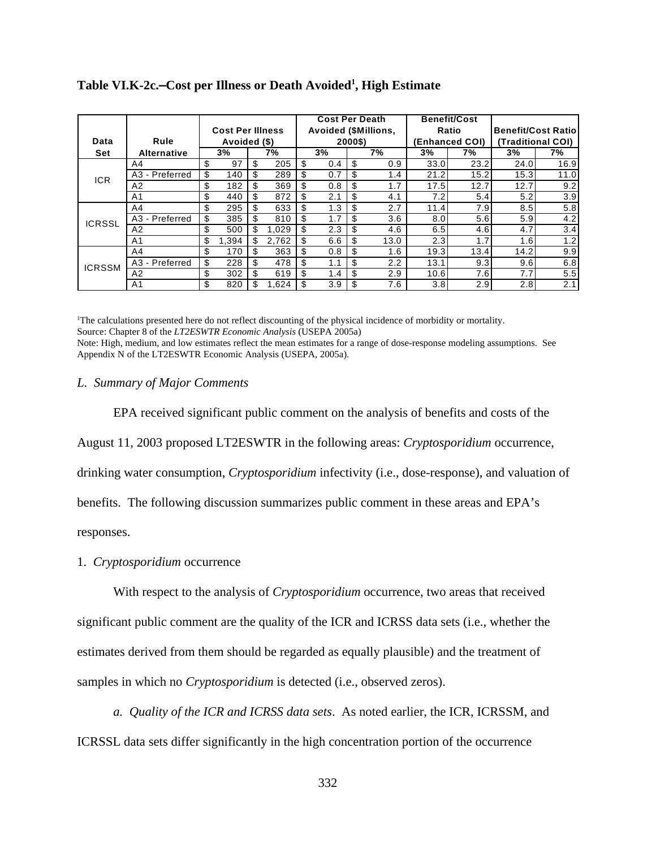|               |                |                         |     |       |     | <b>Cost Per Death</b>       |         |               |      | <b>Benefit/Cost</b> |                            |      |  |
|---------------|----------------|-------------------------|-----|-------|-----|-----------------------------|---------|---------------|------|---------------------|----------------------------|------|--|
|               |                | <b>Cost Per Illness</b> |     |       |     | <b>Avoided (\$Millions,</b> |         |               |      | Ratio               | <b>Benefit/Cost Ratiol</b> |      |  |
| Data          | Rule           | Avoided (\$)            |     |       |     |                             | 2000\$) |               |      | (Enhanced COI)      | (Traditional COI)          |      |  |
| <b>Set</b>    | Alternative    | 3%                      |     | 7%    |     | 3%                          |         | 7%            | 3%   | 7%                  | 3%                         | 7%   |  |
|               | A4             | \$<br>97                | \$  | 205   | \$  | 0.4                         | \$      | 0.9           | 33.0 | 23.2                | 24.0                       | 16.9 |  |
| ICR.          | A3 - Preferred | \$<br>140               | -\$ | 289   | \$  | 0.7                         | \$      | 1.4           | 21.2 | 15.2                | 15.3                       | 11.0 |  |
|               | A <sub>2</sub> | \$<br>182               | -\$ | 369   | \$  | 0.8                         | \$      | 1.7           | 17.5 | 12.7                | 12.7                       | 9.2  |  |
|               | A1             | \$<br>440               |     | 872   |     | 2.1                         | \$      | 4.1           | 7.2  | 5.4                 | 5.2                        | 3.9  |  |
|               | A4             | \$<br>295               | -\$ | 633   | \$  | 1.3                         | \$      | 2.7           | 11.4 | 7.9                 | 8.5                        | 5.8  |  |
| <b>ICRSSL</b> | A3 - Preferred | \$<br>385               | \$  | 810   | \$  | 1.7                         | \$      | 3.6           | 8.0  | 5.6                 | 5.9                        | 4.2  |  |
|               | A2             | \$<br>500               | \$  | 1.029 |     | 2.3                         | \$      | 4.6           | 6.5  | 4.6                 | 4.7                        | 3.4  |  |
|               | A <sub>1</sub> | \$<br>1.394             | \$  | 2,762 |     | 6.6                         |         | 13.0          | 2.3  | 1.7                 | 1.6                        | 1.2  |  |
|               | A4             | \$<br>170               | -\$ | 363   | \$  | 0.8                         | \$      | 1.6           | 19.3 | 13.4                | 14.2                       | 9.9  |  |
| <b>ICRSSM</b> | A3 - Preferred | \$<br>228               | \$. | 478   | \$. | 1.1                         | \$      | $2.2^{\circ}$ | 13.1 | 9.3                 | 9.6                        | 6.8  |  |
|               | A <sub>2</sub> | \$<br>302               | \$  | 619   |     | 1.4                         | \$      | 2.9           | 10.6 | 7.6                 | 7.7                        | 5.5  |  |
|               | A <sub>1</sub> | \$<br>820               | \$  | 1,624 | \$  | 3.9                         | \$      | 7.6           | 3.8  | 2.9                 | 2.8                        | 2.1  |  |

Table VI.K-2c.–Cost per Illness or Death Avoided<sup>1</sup>, High Estimate

1 The calculations presented here do not reflect discounting of the physical incidence of morbidity or mortality. Source: Chapter 8 of the *LT2ESWTR Economic Analysis* (USEPA 2005a) Note: High, medium, and low estimates reflect the mean estimates for a range of dose-response modeling assumptions. See Appendix N of the LT2ESWTR Economic Analysis (USEPA, 2005a).

## *L. Summary of Major Comments*

EPA received significant public comment on the analysis of benefits and costs of the August 11, 2003 proposed LT2ESWTR in the following areas: *Cryptosporidium* occurrence, drinking water consumption, *Cryptosporidium* infectivity (i.e., dose-response), and valuation of benefits. The following discussion summarizes public comment in these areas and EPA's responses.

## 1. *Cryptosporidium* occurrence

With respect to the analysis of *Cryptosporidium* occurrence, two areas that received significant public comment are the quality of the ICR and ICRSS data sets (i.e., whether the estimates derived from them should be regarded as equally plausible) and the treatment of samples in which no *Cryptosporidium* is detected (i.e., observed zeros).

*a. Quality of the ICR and ICRSS data sets*. As noted earlier, the ICR, ICRSSM, and ICRSSL data sets differ significantly in the high concentration portion of the occurrence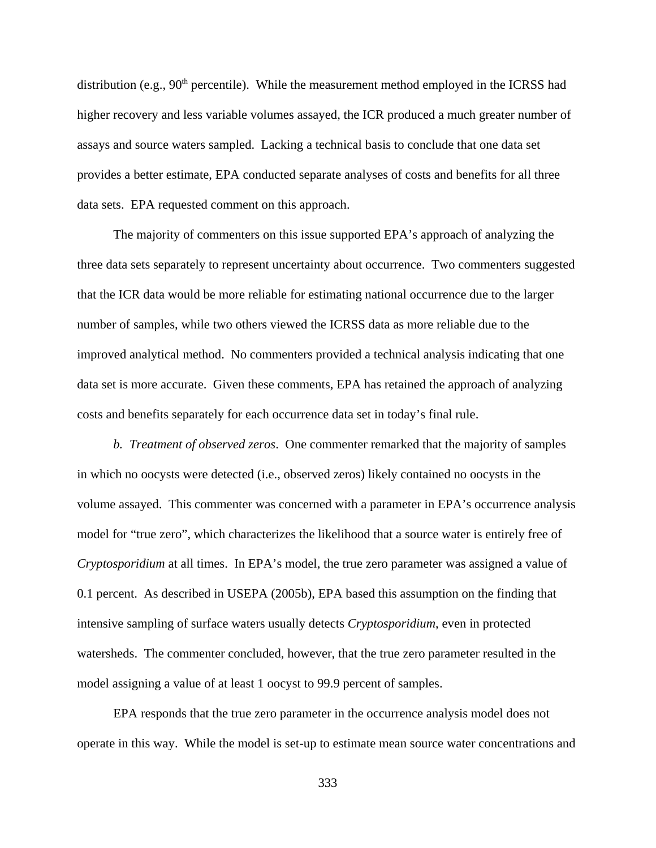distribution (e.g.,  $90<sup>th</sup>$  percentile). While the measurement method employed in the ICRSS had higher recovery and less variable volumes assayed, the ICR produced a much greater number of assays and source waters sampled. Lacking a technical basis to conclude that one data set provides a better estimate, EPA conducted separate analyses of costs and benefits for all three data sets. EPA requested comment on this approach.

The majority of commenters on this issue supported EPA's approach of analyzing the three data sets separately to represent uncertainty about occurrence. Two commenters suggested that the ICR data would be more reliable for estimating national occurrence due to the larger number of samples, while two others viewed the ICRSS data as more reliable due to the improved analytical method. No commenters provided a technical analysis indicating that one data set is more accurate. Given these comments, EPA has retained the approach of analyzing costs and benefits separately for each occurrence data set in today's final rule.

*b. Treatment of observed zeros*. One commenter remarked that the majority of samples in which no oocysts were detected (i.e., observed zeros) likely contained no oocysts in the volume assayed. This commenter was concerned with a parameter in EPA's occurrence analysis model for "true zero", which characterizes the likelihood that a source water is entirely free of *Cryptosporidium* at all times. In EPA's model, the true zero parameter was assigned a value of 0.1 percent. As described in USEPA (2005b), EPA based this assumption on the finding that intensive sampling of surface waters usually detects *Cryptosporidium*, even in protected watersheds. The commenter concluded, however, that the true zero parameter resulted in the model assigning a value of at least 1 oocyst to 99.9 percent of samples.

EPA responds that the true zero parameter in the occurrence analysis model does not operate in this way. While the model is set-up to estimate mean source water concentrations and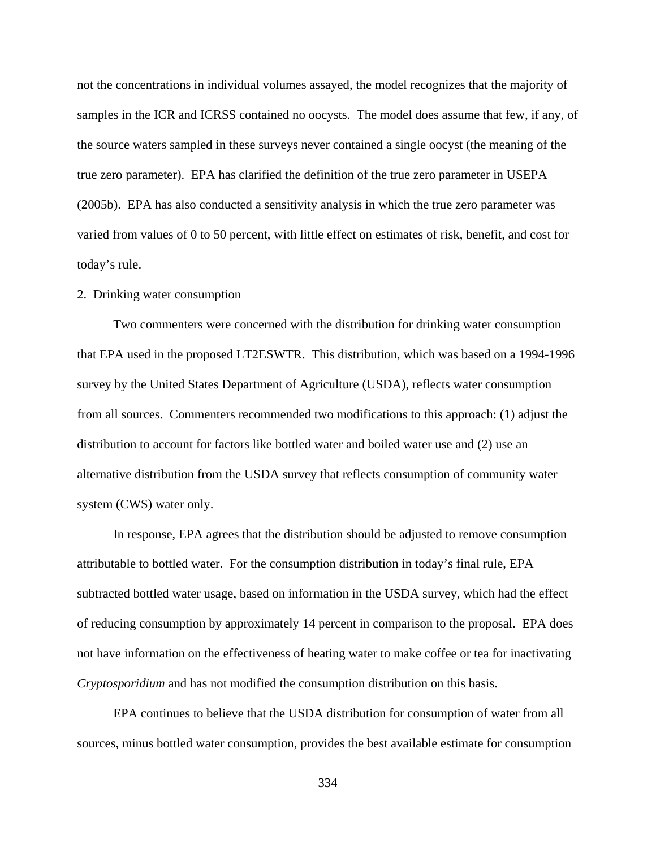not the concentrations in individual volumes assayed, the model recognizes that the majority of samples in the ICR and ICRSS contained no oocysts. The model does assume that few, if any, of the source waters sampled in these surveys never contained a single oocyst (the meaning of the true zero parameter). EPA has clarified the definition of the true zero parameter in USEPA (2005b). EPA has also conducted a sensitivity analysis in which the true zero parameter was varied from values of 0 to 50 percent, with little effect on estimates of risk, benefit, and cost for today's rule.

## 2. Drinking water consumption

Two commenters were concerned with the distribution for drinking water consumption that EPA used in the proposed LT2ESWTR. This distribution, which was based on a 1994-1996 survey by the United States Department of Agriculture (USDA), reflects water consumption from all sources. Commenters recommended two modifications to this approach: (1) adjust the distribution to account for factors like bottled water and boiled water use and (2) use an alternative distribution from the USDA survey that reflects consumption of community water system (CWS) water only.

In response, EPA agrees that the distribution should be adjusted to remove consumption attributable to bottled water. For the consumption distribution in today's final rule, EPA subtracted bottled water usage, based on information in the USDA survey, which had the effect of reducing consumption by approximately 14 percent in comparison to the proposal. EPA does not have information on the effectiveness of heating water to make coffee or tea for inactivating *Cryptosporidium* and has not modified the consumption distribution on this basis.

EPA continues to believe that the USDA distribution for consumption of water from all sources, minus bottled water consumption, provides the best available estimate for consumption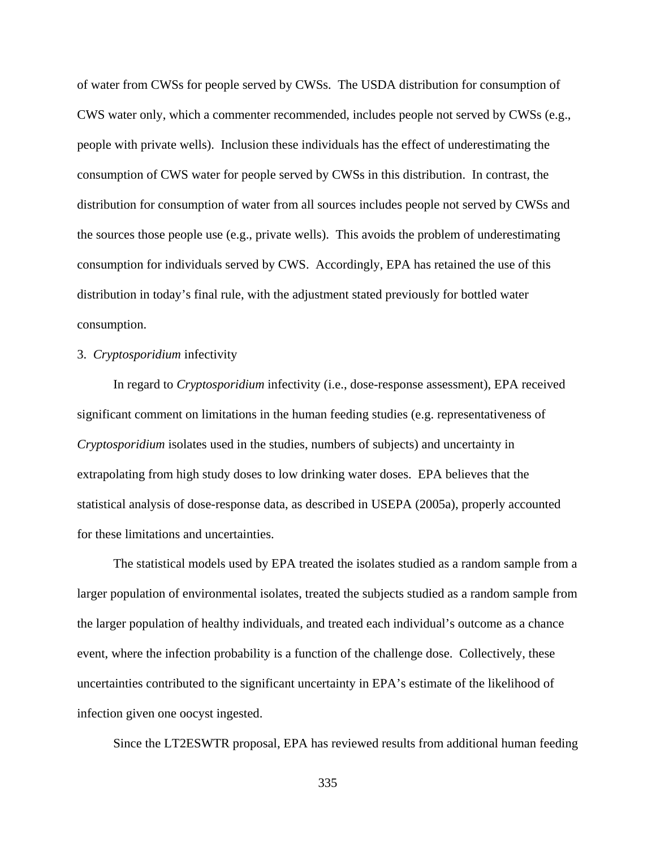of water from CWSs for people served by CWSs. The USDA distribution for consumption of CWS water only, which a commenter recommended, includes people not served by CWSs (e.g., people with private wells). Inclusion these individuals has the effect of underestimating the consumption of CWS water for people served by CWSs in this distribution. In contrast, the distribution for consumption of water from all sources includes people not served by CWSs and the sources those people use (e.g., private wells). This avoids the problem of underestimating consumption for individuals served by CWS. Accordingly, EPA has retained the use of this distribution in today's final rule, with the adjustment stated previously for bottled water consumption.

## 3. *Cryptosporidium* infectivity

In regard to *Cryptosporidium* infectivity (i.e., dose-response assessment), EPA received significant comment on limitations in the human feeding studies (e.g. representativeness of *Cryptosporidium* isolates used in the studies, numbers of subjects) and uncertainty in extrapolating from high study doses to low drinking water doses. EPA believes that the statistical analysis of dose-response data, as described in USEPA (2005a), properly accounted for these limitations and uncertainties.

The statistical models used by EPA treated the isolates studied as a random sample from a larger population of environmental isolates, treated the subjects studied as a random sample from the larger population of healthy individuals, and treated each individual's outcome as a chance event, where the infection probability is a function of the challenge dose. Collectively, these uncertainties contributed to the significant uncertainty in EPA's estimate of the likelihood of infection given one oocyst ingested.

Since the LT2ESWTR proposal, EPA has reviewed results from additional human feeding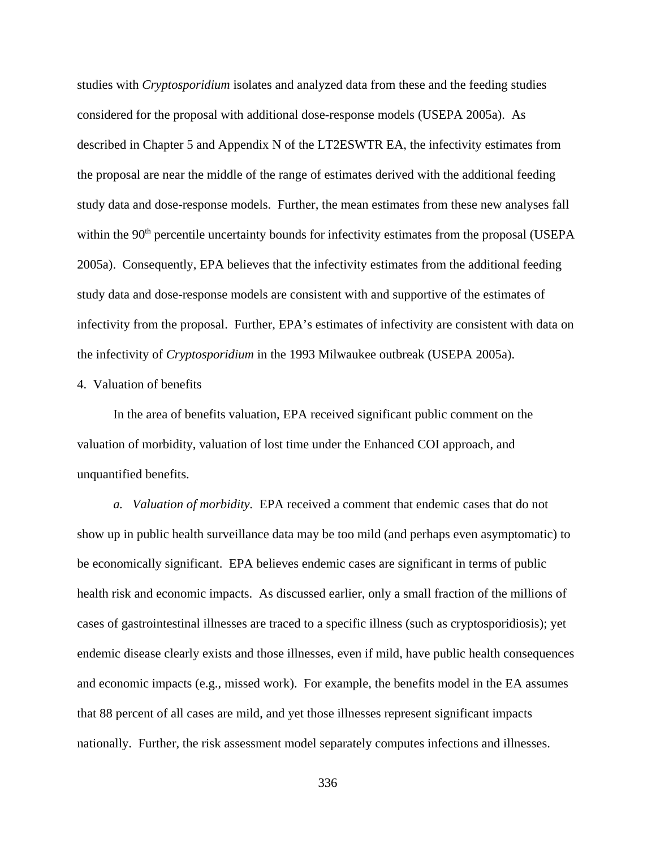studies with *Cryptosporidium* isolates and analyzed data from these and the feeding studies considered for the proposal with additional dose-response models (USEPA 2005a). As described in Chapter 5 and Appendix N of the LT2ESWTR EA, the infectivity estimates from the proposal are near the middle of the range of estimates derived with the additional feeding study data and dose-response models. Further, the mean estimates from these new analyses fall within the  $90<sup>th</sup>$  percentile uncertainty bounds for infectivity estimates from the proposal (USEPA 2005a). Consequently, EPA believes that the infectivity estimates from the additional feeding study data and dose-response models are consistent with and supportive of the estimates of infectivity from the proposal. Further, EPA's estimates of infectivity are consistent with data on the infectivity of *Cryptosporidium* in the 1993 Milwaukee outbreak (USEPA 2005a).

## 4. Valuation of benefits

In the area of benefits valuation, EPA received significant public comment on the valuation of morbidity, valuation of lost time under the Enhanced COI approach, and unquantified benefits.

*a. Valuation of morbidity.* EPA received a comment that endemic cases that do not show up in public health surveillance data may be too mild (and perhaps even asymptomatic) to be economically significant. EPA believes endemic cases are significant in terms of public health risk and economic impacts. As discussed earlier, only a small fraction of the millions of cases of gastrointestinal illnesses are traced to a specific illness (such as cryptosporidiosis); yet endemic disease clearly exists and those illnesses, even if mild, have public health consequences and economic impacts (e.g., missed work). For example, the benefits model in the EA assumes that 88 percent of all cases are mild, and yet those illnesses represent significant impacts nationally. Further, the risk assessment model separately computes infections and illnesses.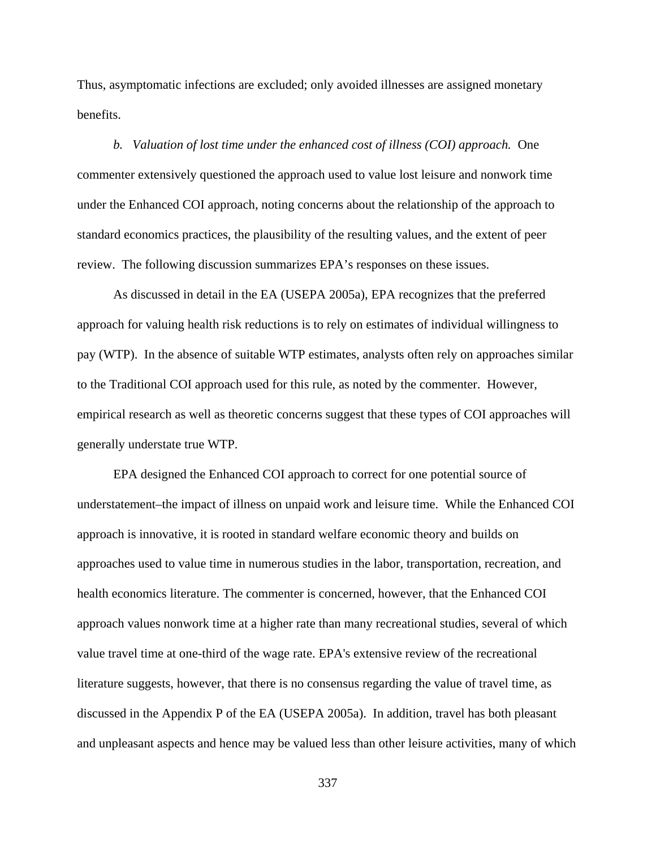Thus, asymptomatic infections are excluded; only avoided illnesses are assigned monetary benefits.

*b. Valuation of lost time under the enhanced cost of illness (COI) approach.* One commenter extensively questioned the approach used to value lost leisure and nonwork time under the Enhanced COI approach, noting concerns about the relationship of the approach to standard economics practices, the plausibility of the resulting values, and the extent of peer review. The following discussion summarizes EPA's responses on these issues.

As discussed in detail in the EA (USEPA 2005a), EPA recognizes that the preferred approach for valuing health risk reductions is to rely on estimates of individual willingness to pay (WTP). In the absence of suitable WTP estimates, analysts often rely on approaches similar to the Traditional COI approach used for this rule, as noted by the commenter. However, empirical research as well as theoretic concerns suggest that these types of COI approaches will generally understate true WTP.

EPA designed the Enhanced COI approach to correct for one potential source of understatement–the impact of illness on unpaid work and leisure time. While the Enhanced COI approach is innovative, it is rooted in standard welfare economic theory and builds on approaches used to value time in numerous studies in the labor, transportation, recreation, and health economics literature. The commenter is concerned, however, that the Enhanced COI approach values nonwork time at a higher rate than many recreational studies, several of which value travel time at one-third of the wage rate. EPA's extensive review of the recreational literature suggests, however, that there is no consensus regarding the value of travel time, as discussed in the Appendix P of the EA (USEPA 2005a). In addition, travel has both pleasant and unpleasant aspects and hence may be valued less than other leisure activities, many of which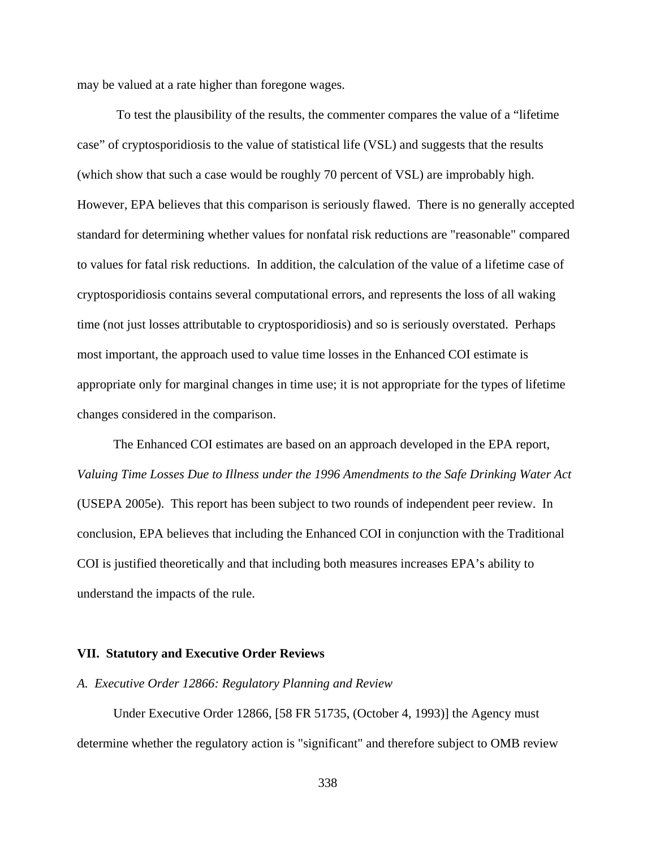may be valued at a rate higher than foregone wages.

 To test the plausibility of the results, the commenter compares the value of a "lifetime case" of cryptosporidiosis to the value of statistical life (VSL) and suggests that the results (which show that such a case would be roughly 70 percent of VSL) are improbably high. However, EPA believes that this comparison is seriously flawed. There is no generally accepted standard for determining whether values for nonfatal risk reductions are "reasonable" compared to values for fatal risk reductions. In addition, the calculation of the value of a lifetime case of cryptosporidiosis contains several computational errors, and represents the loss of all waking time (not just losses attributable to cryptosporidiosis) and so is seriously overstated. Perhaps most important, the approach used to value time losses in the Enhanced COI estimate is appropriate only for marginal changes in time use; it is not appropriate for the types of lifetime changes considered in the comparison.

The Enhanced COI estimates are based on an approach developed in the EPA report, *Valuing Time Losses Due to Illness under the 1996 Amendments to the Safe Drinking Water Act* (USEPA 2005e). This report has been subject to two rounds of independent peer review. In conclusion, EPA believes that including the Enhanced COI in conjunction with the Traditional COI is justified theoretically and that including both measures increases EPA's ability to understand the impacts of the rule.

## **VII. Statutory and Executive Order Reviews**

## *A. Executive Order 12866: Regulatory Planning and Review*

Under Executive Order 12866, [58 FR 51735, (October 4, 1993)] the Agency must determine whether the regulatory action is "significant" and therefore subject to OMB review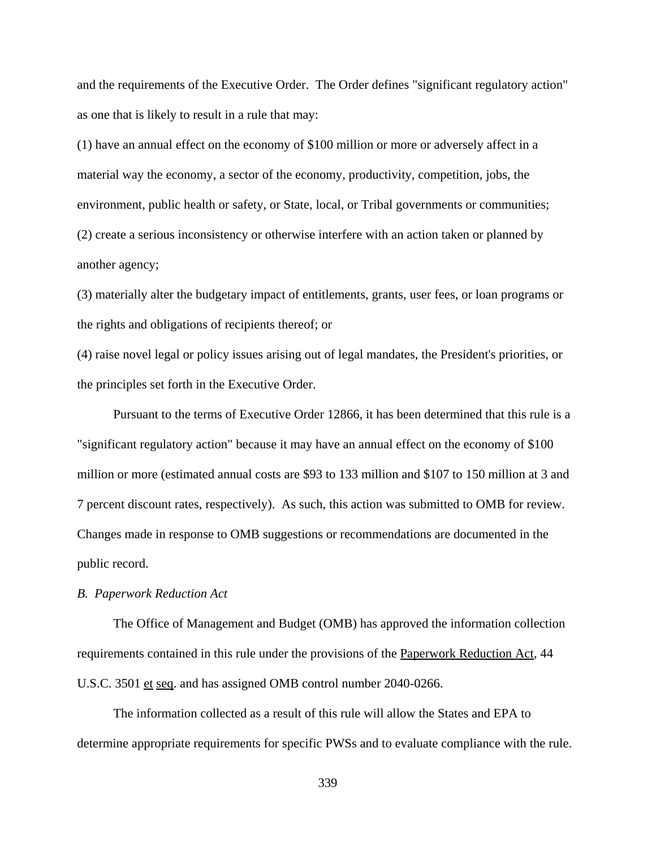and the requirements of the Executive Order. The Order defines "significant regulatory action" as one that is likely to result in a rule that may:

(1) have an annual effect on the economy of \$100 million or more or adversely affect in a material way the economy, a sector of the economy, productivity, competition, jobs, the environment, public health or safety, or State, local, or Tribal governments or communities; (2) create a serious inconsistency or otherwise interfere with an action taken or planned by another agency;

(3) materially alter the budgetary impact of entitlements, grants, user fees, or loan programs or the rights and obligations of recipients thereof; or

(4) raise novel legal or policy issues arising out of legal mandates, the President's priorities, or the principles set forth in the Executive Order.

Pursuant to the terms of Executive Order 12866, it has been determined that this rule is a "significant regulatory action" because it may have an annual effect on the economy of \$100 million or more (estimated annual costs are \$93 to 133 million and \$107 to 150 million at 3 and 7 percent discount rates, respectively). As such, this action was submitted to OMB for review. Changes made in response to OMB suggestions or recommendations are documented in the public record.

# *B. Paperwork Reduction Act*

The Office of Management and Budget (OMB) has approved the information collection requirements contained in this rule under the provisions of the Paperwork Reduction Act, 44 U.S.C. 3501 et seq. and has assigned OMB control number 2040-0266.

The information collected as a result of this rule will allow the States and EPA to determine appropriate requirements for specific PWSs and to evaluate compliance with the rule.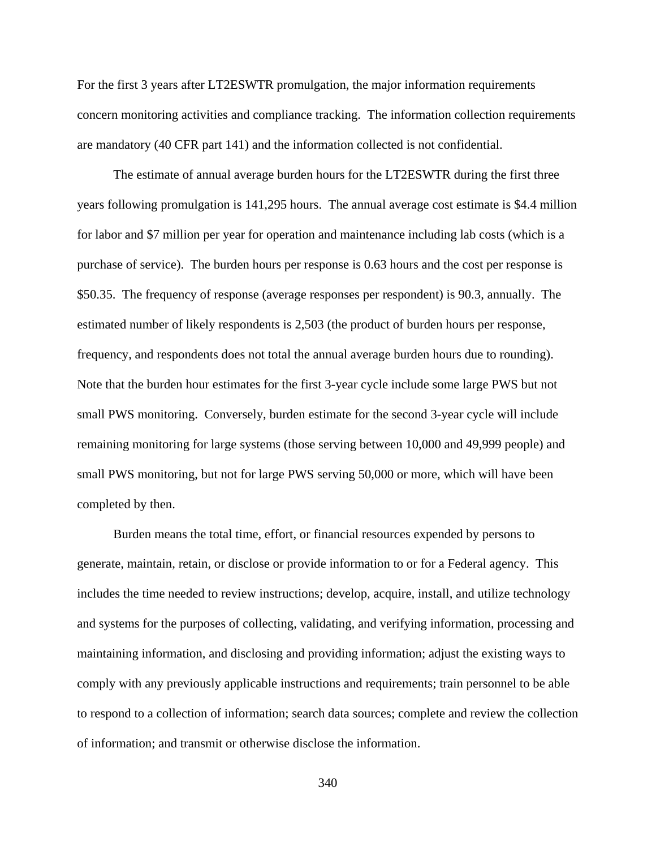For the first 3 years after LT2ESWTR promulgation, the major information requirements concern monitoring activities and compliance tracking. The information collection requirements are mandatory (40 CFR part 141) and the information collected is not confidential.

The estimate of annual average burden hours for the LT2ESWTR during the first three years following promulgation is 141,295 hours. The annual average cost estimate is \$4.4 million for labor and \$7 million per year for operation and maintenance including lab costs (which is a purchase of service). The burden hours per response is 0.63 hours and the cost per response is \$50.35. The frequency of response (average responses per respondent) is 90.3, annually. The estimated number of likely respondents is 2,503 (the product of burden hours per response, frequency, and respondents does not total the annual average burden hours due to rounding). Note that the burden hour estimates for the first 3-year cycle include some large PWS but not small PWS monitoring. Conversely, burden estimate for the second 3-year cycle will include remaining monitoring for large systems (those serving between 10,000 and 49,999 people) and small PWS monitoring, but not for large PWS serving 50,000 or more, which will have been completed by then.

Burden means the total time, effort, or financial resources expended by persons to generate, maintain, retain, or disclose or provide information to or for a Federal agency. This includes the time needed to review instructions; develop, acquire, install, and utilize technology and systems for the purposes of collecting, validating, and verifying information, processing and maintaining information, and disclosing and providing information; adjust the existing ways to comply with any previously applicable instructions and requirements; train personnel to be able to respond to a collection of information; search data sources; complete and review the collection of information; and transmit or otherwise disclose the information.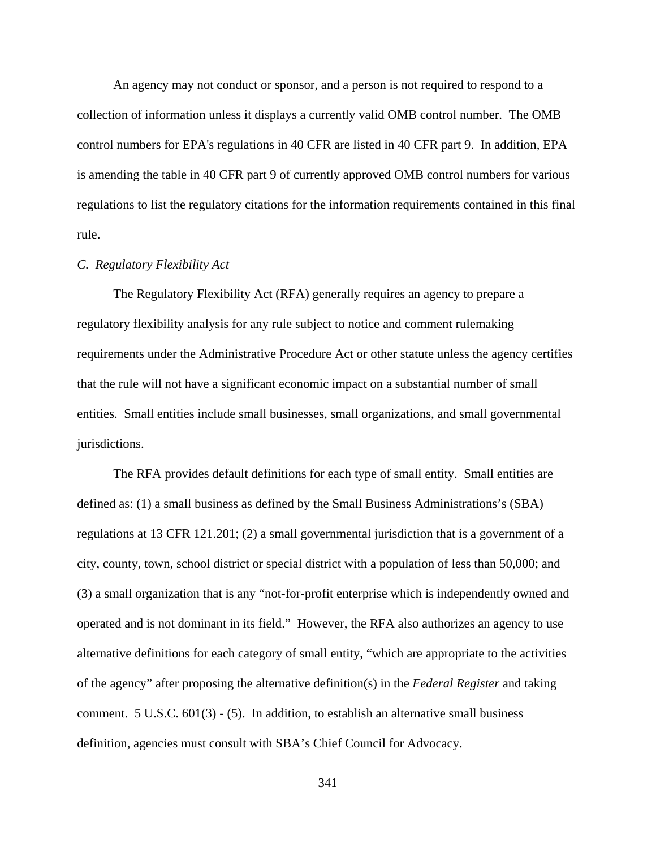An agency may not conduct or sponsor, and a person is not required to respond to a collection of information unless it displays a currently valid OMB control number. The OMB control numbers for EPA's regulations in 40 CFR are listed in 40 CFR part 9. In addition, EPA is amending the table in 40 CFR part 9 of currently approved OMB control numbers for various regulations to list the regulatory citations for the information requirements contained in this final rule.

# *C. Regulatory Flexibility Act*

The Regulatory Flexibility Act (RFA) generally requires an agency to prepare a regulatory flexibility analysis for any rule subject to notice and comment rulemaking requirements under the Administrative Procedure Act or other statute unless the agency certifies that the rule will not have a significant economic impact on a substantial number of small entities. Small entities include small businesses, small organizations, and small governmental jurisdictions.

The RFA provides default definitions for each type of small entity. Small entities are defined as: (1) a small business as defined by the Small Business Administrations's (SBA) regulations at 13 CFR 121.201; (2) a small governmental jurisdiction that is a government of a city, county, town, school district or special district with a population of less than 50,000; and (3) a small organization that is any "not-for-profit enterprise which is independently owned and operated and is not dominant in its field." However, the RFA also authorizes an agency to use alternative definitions for each category of small entity, "which are appropriate to the activities of the agency" after proposing the alternative definition(s) in the *Federal Register* and taking comment. 5 U.S.C.  $601(3)$  - (5). In addition, to establish an alternative small business definition, agencies must consult with SBA's Chief Council for Advocacy.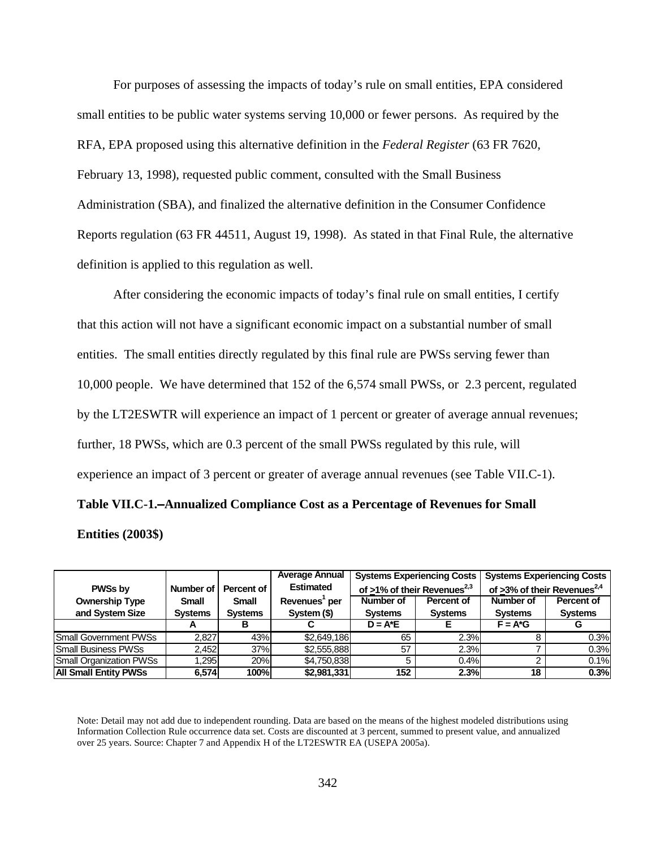For purposes of assessing the impacts of today's rule on small entities, EPA considered small entities to be public water systems serving 10,000 or fewer persons. As required by the RFA, EPA proposed using this alternative definition in the *Federal Register* (63 FR 7620, February 13, 1998), requested public comment, consulted with the Small Business Administration (SBA), and finalized the alternative definition in the Consumer Confidence Reports regulation (63 FR 44511, August 19, 1998). As stated in that Final Rule, the alternative definition is applied to this regulation as well.

After considering the economic impacts of today's final rule on small entities, I certify that this action will not have a significant economic impact on a substantial number of small entities. The small entities directly regulated by this final rule are PWSs serving fewer than 10,000 people. We have determined that 152 of the 6,574 small PWSs, or 2.3 percent, regulated by the LT2ESWTR will experience an impact of 1 percent or greater of average annual revenues; further, 18 PWSs, which are 0.3 percent of the small PWSs regulated by this rule, will experience an impact of 3 percent or greater of average annual revenues (see Table VII.C-1).

# Table VII.C-1.-Annualized Compliance Cost as a Percentage of Revenues for Small

#### **Entities (2003\$)**

|                                |                |                | <b>Average Annual</b>     |                                         | <b>Systems Experiencing Costs</b> |                | <b>Systems Experiencing Costs</b>          |
|--------------------------------|----------------|----------------|---------------------------|-----------------------------------------|-----------------------------------|----------------|--------------------------------------------|
| <b>PWSs by</b>                 | Number of      | Percent of     | <b>Estimated</b>          | of >1% of their Revenues <sup>2,3</sup> |                                   |                | of $>3\%$ of their Revenues <sup>2,4</sup> |
| <b>Ownership Type</b>          | <b>Small</b>   | <b>Small</b>   | Revenues <sup>1</sup> per | Number of                               | Percent of                        | Number of      | Percent of                                 |
| and System Size                | <b>Systems</b> | <b>Systems</b> | System (\$)               | <b>Systems</b>                          | <b>Systems</b>                    | <b>Systems</b> | <b>Systems</b>                             |
|                                |                |                |                           | $D = A^*E$                              |                                   | $F = A^*G$     |                                            |
| <b>Small Government PWSs</b>   | 2.827          | 43%            | \$2,649,186               | 65                                      | 2.3%                              |                | 0.3%                                       |
| <b>Small Business PWSs</b>     | 2.452          | 37%            | \$2,555,888               | 57                                      | 2.3%                              |                | 0.3%                                       |
| <b>Small Organization PWSs</b> | .295           | 20%            | \$4.750.838               |                                         | 0.4%                              |                | 0.1%                                       |
| <b>All Small Entity PWSs</b>   | 6.574          | 100%           | \$2,981,331               | 152                                     | 2.3%                              | 18             | 0.3%                                       |

Note: Detail may not add due to independent rounding. Data are based on the means of the highest modeled distributions using Information Collection Rule occurrence data set. Costs are discounted at 3 percent, summed to present value, and annualized over 25 years. Source: Chapter 7 and Appendix H of the LT2ESWTR EA (USEPA 2005a).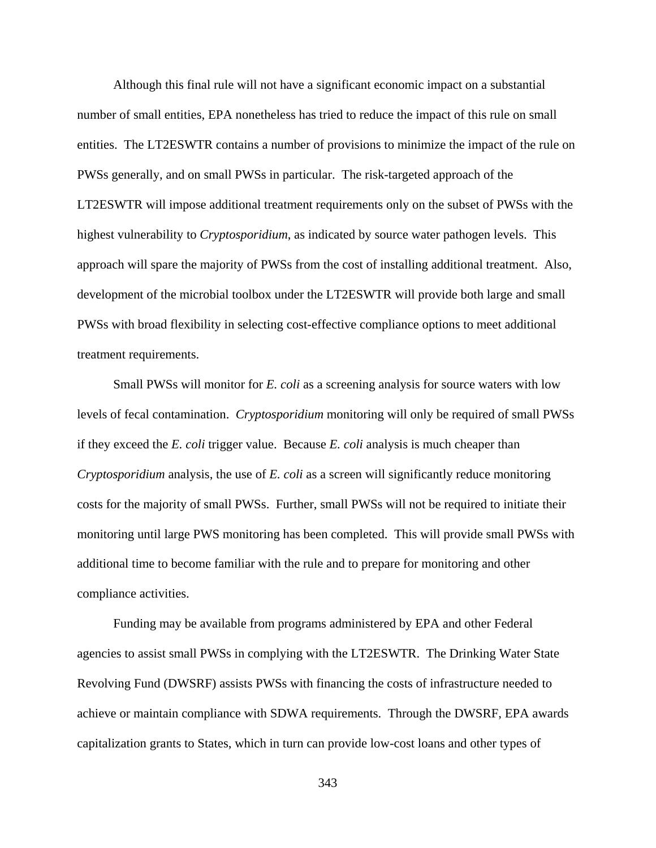Although this final rule will not have a significant economic impact on a substantial number of small entities, EPA nonetheless has tried to reduce the impact of this rule on small entities. The LT2ESWTR contains a number of provisions to minimize the impact of the rule on PWSs generally, and on small PWSs in particular. The risk-targeted approach of the LT2ESWTR will impose additional treatment requirements only on the subset of PWSs with the highest vulnerability to *Cryptosporidium*, as indicated by source water pathogen levels. This approach will spare the majority of PWSs from the cost of installing additional treatment. Also, development of the microbial toolbox under the LT2ESWTR will provide both large and small PWSs with broad flexibility in selecting cost-effective compliance options to meet additional treatment requirements.

Small PWSs will monitor for *E. coli* as a screening analysis for source waters with low levels of fecal contamination. *Cryptosporidium* monitoring will only be required of small PWSs if they exceed the *E. coli* trigger value. Because *E. coli* analysis is much cheaper than *Cryptosporidium* analysis, the use of *E. coli* as a screen will significantly reduce monitoring costs for the majority of small PWSs. Further, small PWSs will not be required to initiate their monitoring until large PWS monitoring has been completed. This will provide small PWSs with additional time to become familiar with the rule and to prepare for monitoring and other compliance activities.

Funding may be available from programs administered by EPA and other Federal agencies to assist small PWSs in complying with the LT2ESWTR. The Drinking Water State Revolving Fund (DWSRF) assists PWSs with financing the costs of infrastructure needed to achieve or maintain compliance with SDWA requirements. Through the DWSRF, EPA awards capitalization grants to States, which in turn can provide low-cost loans and other types of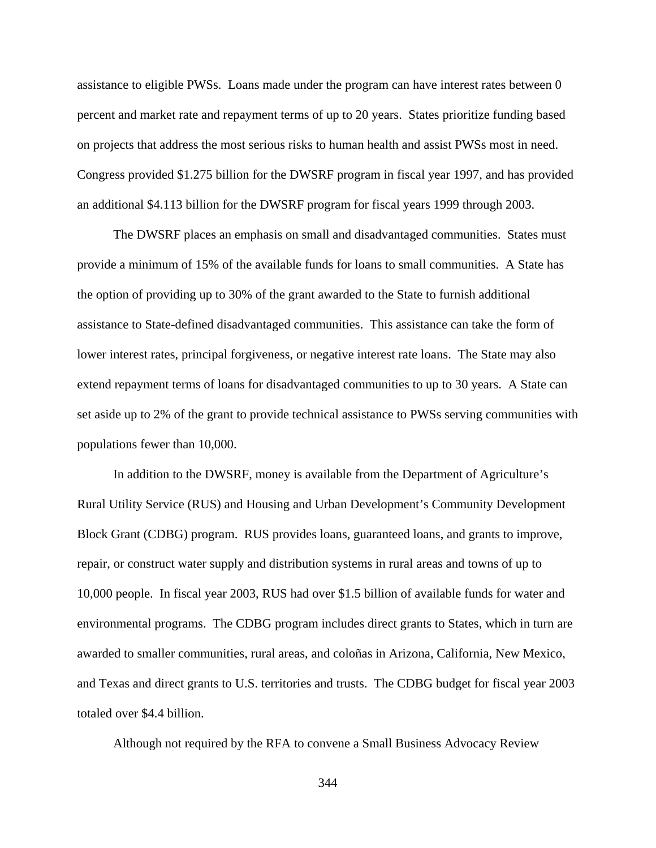assistance to eligible PWSs. Loans made under the program can have interest rates between 0 percent and market rate and repayment terms of up to 20 years. States prioritize funding based on projects that address the most serious risks to human health and assist PWSs most in need. Congress provided \$1.275 billion for the DWSRF program in fiscal year 1997, and has provided an additional \$4.113 billion for the DWSRF program for fiscal years 1999 through 2003.

The DWSRF places an emphasis on small and disadvantaged communities. States must provide a minimum of 15% of the available funds for loans to small communities. A State has the option of providing up to 30% of the grant awarded to the State to furnish additional assistance to State-defined disadvantaged communities. This assistance can take the form of lower interest rates, principal forgiveness, or negative interest rate loans. The State may also extend repayment terms of loans for disadvantaged communities to up to 30 years. A State can set aside up to 2% of the grant to provide technical assistance to PWSs serving communities with populations fewer than 10,000.

In addition to the DWSRF, money is available from the Department of Agriculture's Rural Utility Service (RUS) and Housing and Urban Development's Community Development Block Grant (CDBG) program. RUS provides loans, guaranteed loans, and grants to improve, repair, or construct water supply and distribution systems in rural areas and towns of up to 10,000 people. In fiscal year 2003, RUS had over \$1.5 billion of available funds for water and environmental programs. The CDBG program includes direct grants to States, which in turn are awarded to smaller communities, rural areas, and coloñas in Arizona, California, New Mexico, and Texas and direct grants to U.S. territories and trusts. The CDBG budget for fiscal year 2003 totaled over \$4.4 billion.

Although not required by the RFA to convene a Small Business Advocacy Review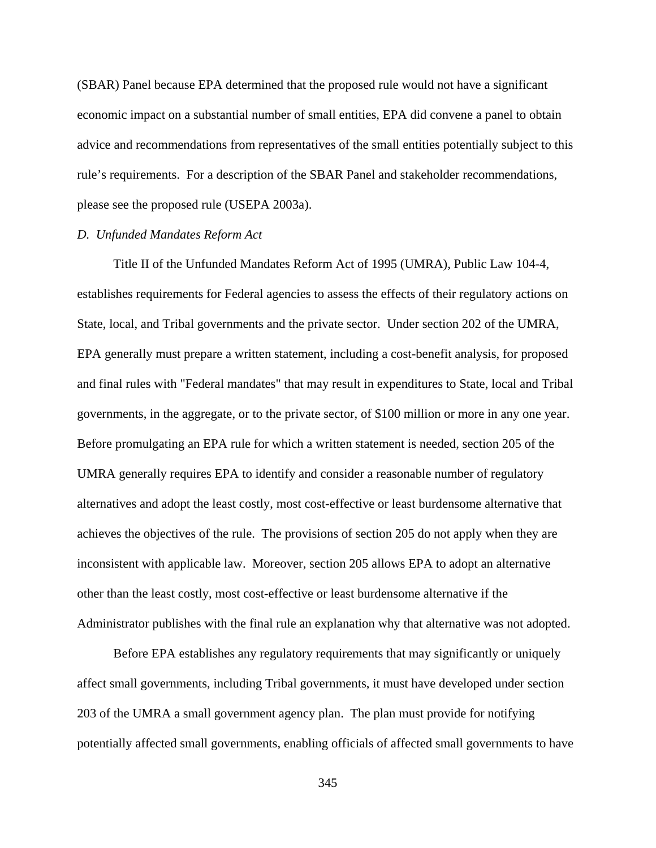(SBAR) Panel because EPA determined that the proposed rule would not have a significant economic impact on a substantial number of small entities, EPA did convene a panel to obtain advice and recommendations from representatives of the small entities potentially subject to this rule's requirements. For a description of the SBAR Panel and stakeholder recommendations, please see the proposed rule (USEPA 2003a).

## *D. Unfunded Mandates Reform Act*

Title II of the Unfunded Mandates Reform Act of 1995 (UMRA), Public Law 104-4, establishes requirements for Federal agencies to assess the effects of their regulatory actions on State, local, and Tribal governments and the private sector. Under section 202 of the UMRA, EPA generally must prepare a written statement, including a cost-benefit analysis, for proposed and final rules with "Federal mandates" that may result in expenditures to State, local and Tribal governments, in the aggregate, or to the private sector, of \$100 million or more in any one year. Before promulgating an EPA rule for which a written statement is needed, section 205 of the UMRA generally requires EPA to identify and consider a reasonable number of regulatory alternatives and adopt the least costly, most cost-effective or least burdensome alternative that achieves the objectives of the rule. The provisions of section 205 do not apply when they are inconsistent with applicable law. Moreover, section 205 allows EPA to adopt an alternative other than the least costly, most cost-effective or least burdensome alternative if the Administrator publishes with the final rule an explanation why that alternative was not adopted.

Before EPA establishes any regulatory requirements that may significantly or uniquely affect small governments, including Tribal governments, it must have developed under section 203 of the UMRA a small government agency plan. The plan must provide for notifying potentially affected small governments, enabling officials of affected small governments to have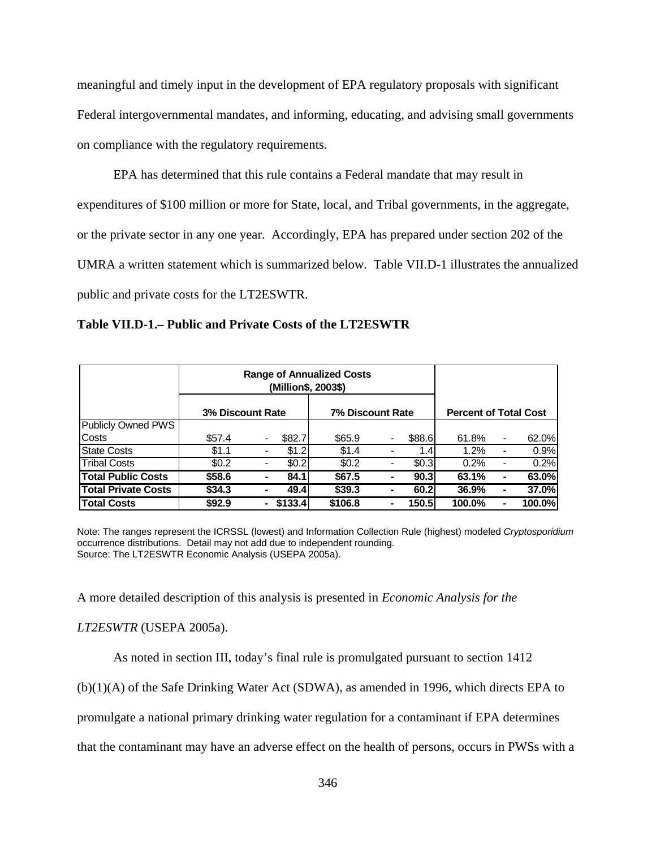meaningful and timely input in the development of EPA regulatory proposals with significant Federal intergovernmental mandates, and informing, educating, and advising small governments on compliance with the regulatory requirements.

EPA has determined that this rule contains a Federal mandate that may result in expenditures of \$100 million or more for State, local, and Tribal governments, in the aggregate, or the private sector in any one year. Accordingly, EPA has prepared under section 202 of the UMRA a written statement which is summarized below. Table VII.D-1 illustrates the annualized public and private costs for the LT2ESWTR.

**Table VII.D-1.– Public and Private Costs of the LT2ESWTR**

|                            |                  | <b>Range of Annualized Costs</b><br>(Million\$, 2003\$) |         |                  |        |                              |                |         |
|----------------------------|------------------|---------------------------------------------------------|---------|------------------|--------|------------------------------|----------------|---------|
|                            | 3% Discount Rate |                                                         |         | 7% Discount Rate |        | <b>Percent of Total Cost</b> |                |         |
| Publicly Owned PWS         |                  |                                                         |         |                  |        |                              |                |         |
| Costs                      | \$57.4           |                                                         | \$82.7  | \$65.9           | \$88.6 | 61.8%                        | $\blacksquare$ | 62.0%   |
| <b>State Costs</b>         | \$1.1            | $\blacksquare$                                          | \$1.2   | \$1.4            | 1.4    | $1.2\%$                      | $\blacksquare$ | 0.9%    |
| <b>Tribal Costs</b>        | \$0.2            | $\blacksquare$                                          | \$0.2   | \$0.2            | \$0.3  | 0.2%                         | -              | 0.2%    |
| <b>Total Public Costs</b>  | \$58.6           | ۰                                                       | 84.1    | \$67.5           | 90.3   | 63.1%                        | ۰              | 63.0%   |
| <b>Total Private Costs</b> | \$34.3           | ۰                                                       | 49.4    | \$39.3           | 60.2   | 36.9%                        | ۰              | 37.0%   |
| <b>Total Costs</b>         | \$92.9           | ۰.                                                      | \$133.4 | \$106.8          | 150.5  | 100.0%                       | ۰              | 100.0%l |

Note: The ranges represent the ICRSSL (lowest) and Information Collection Rule (highest) modeled *Cryptosporidium* occurrence distributions. Detail may not add due to independent rounding. Source: The LT2ESWTR Economic Analysis (USEPA 2005a).

A more detailed description of this analysis is presented in *Economic Analysis for the*

#### *LT2ESWTR* (USEPA 2005a).

As noted in section III, today's final rule is promulgated pursuant to section 1412

(b)(1)(A) of the Safe Drinking Water Act (SDWA), as amended in 1996, which directs EPA to

promulgate a national primary drinking water regulation for a contaminant if EPA determines

that the contaminant may have an adverse effect on the health of persons, occurs in PWSs with a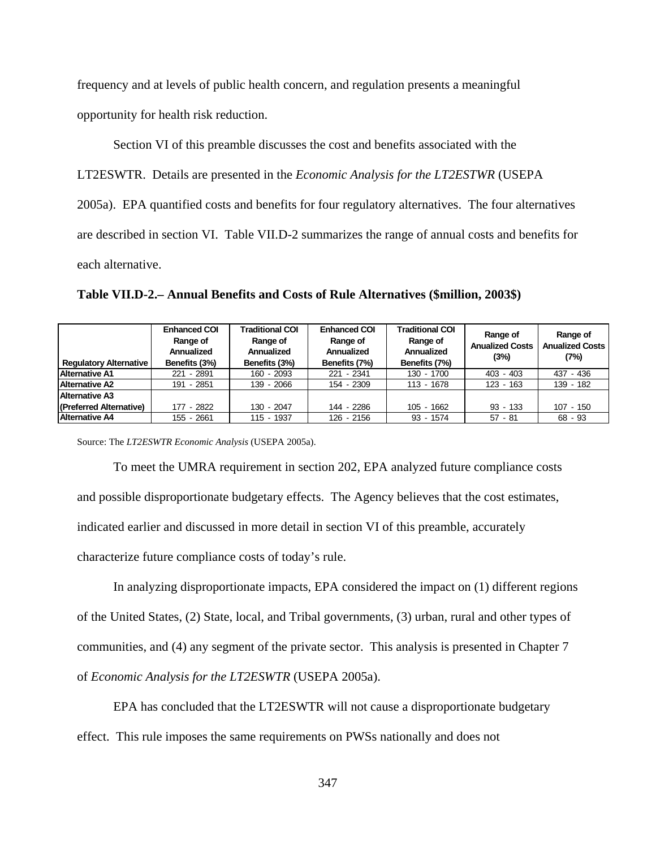frequency and at levels of public health concern, and regulation presents a meaningful

opportunity for health risk reduction.

Section VI of this preamble discusses the cost and benefits associated with the LT2ESWTR. Details are presented in the *Economic Analysis for the LT2ESTWR* (USEPA 2005a). EPA quantified costs and benefits for four regulatory alternatives. The four alternatives are described in section VI. Table VII.D-2 summarizes the range of annual costs and benefits for each alternative.

**Table VII.D-2.– Annual Benefits and Costs of Rule Alternatives (\$million, 2003\$)**

|                               | <b>Enhanced COI</b><br>Range of<br>Annualized | <b>Traditional COI</b><br>Range of<br>Annualized | <b>Enhanced COI</b><br>Range of<br>Annualized | <b>Traditional COI</b><br>Range of<br>Annualized | Range of<br><b>Anualized Costs</b><br>(3%) | Range of<br><b>Anualized Costs</b><br>(7%) |  |
|-------------------------------|-----------------------------------------------|--------------------------------------------------|-----------------------------------------------|--------------------------------------------------|--------------------------------------------|--------------------------------------------|--|
| <b>Regulatory Alternative</b> | Benefits (3%)                                 | Benefits (3%)                                    | Benefits (7%)                                 | Benefits (7%)                                    |                                            |                                            |  |
| <b>Alternative A1</b>         | 221 - 2891                                    | 160 - 2093                                       | 221 - 2341                                    | 130 - 1700                                       | $403 - 403$                                | 437 - 436                                  |  |
| <b>Alternative A2</b>         | 191 - 2851                                    | 139 - 2066                                       | 154 - 2309                                    | 113 - 1678                                       | $123 - 163$                                | 139 - 182                                  |  |
| <b>Alternative A3</b>         |                                               |                                                  |                                               |                                                  |                                            |                                            |  |
| (Preferred Alternative)       | 177 - 2822                                    | 130 - 2047                                       | 144 - 2286                                    | $105 - 1662$                                     | $93 - 133$                                 | $107 - 150$                                |  |
| <b>Alternative A4</b>         | 155 - 2661                                    | $115 - 1937$                                     | 126 - 2156                                    | $93 - 1574$                                      | $57 - 81$                                  | 68 - 93                                    |  |

Source: The *LT2ESWTR Economic Analysis* (USEPA 2005a).

To meet the UMRA requirement in section 202, EPA analyzed future compliance costs and possible disproportionate budgetary effects. The Agency believes that the cost estimates, indicated earlier and discussed in more detail in section VI of this preamble, accurately characterize future compliance costs of today's rule.

In analyzing disproportionate impacts, EPA considered the impact on (1) different regions of the United States, (2) State, local, and Tribal governments, (3) urban, rural and other types of communities, and (4) any segment of the private sector. This analysis is presented in Chapter 7 of *Economic Analysis for the LT2ESWTR* (USEPA 2005a).

EPA has concluded that the LT2ESWTR will not cause a disproportionate budgetary effect. This rule imposes the same requirements on PWSs nationally and does not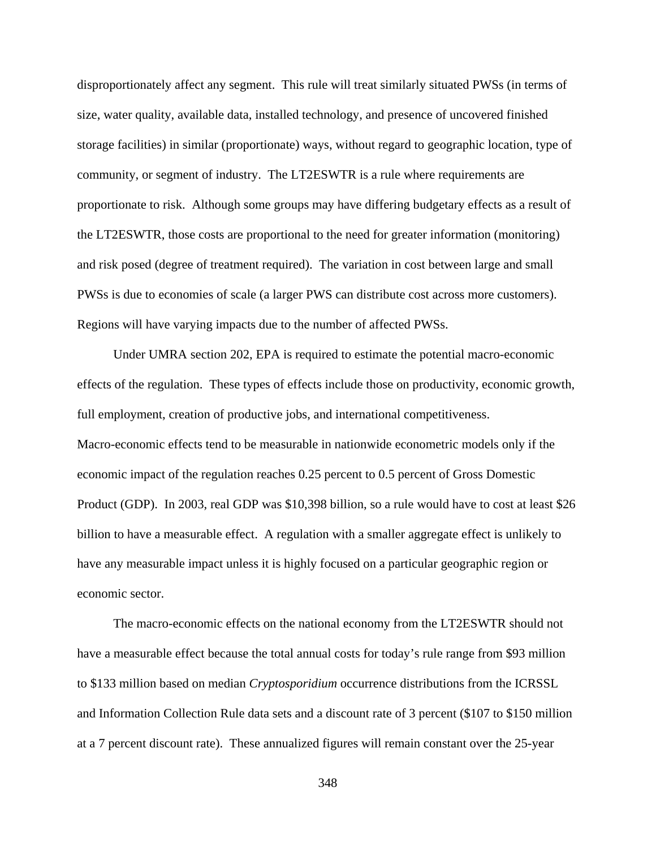disproportionately affect any segment. This rule will treat similarly situated PWSs (in terms of size, water quality, available data, installed technology, and presence of uncovered finished storage facilities) in similar (proportionate) ways, without regard to geographic location, type of community, or segment of industry. The LT2ESWTR is a rule where requirements are proportionate to risk. Although some groups may have differing budgetary effects as a result of the LT2ESWTR, those costs are proportional to the need for greater information (monitoring) and risk posed (degree of treatment required). The variation in cost between large and small PWSs is due to economies of scale (a larger PWS can distribute cost across more customers). Regions will have varying impacts due to the number of affected PWSs.

Under UMRA section 202, EPA is required to estimate the potential macro-economic effects of the regulation. These types of effects include those on productivity, economic growth, full employment, creation of productive jobs, and international competitiveness. Macro-economic effects tend to be measurable in nationwide econometric models only if the economic impact of the regulation reaches 0.25 percent to 0.5 percent of Gross Domestic Product (GDP). In 2003, real GDP was \$10,398 billion, so a rule would have to cost at least \$26 billion to have a measurable effect. A regulation with a smaller aggregate effect is unlikely to have any measurable impact unless it is highly focused on a particular geographic region or economic sector.

The macro-economic effects on the national economy from the LT2ESWTR should not have a measurable effect because the total annual costs for today's rule range from \$93 million to \$133 million based on median *Cryptosporidium* occurrence distributions from the ICRSSL and Information Collection Rule data sets and a discount rate of 3 percent (\$107 to \$150 million at a 7 percent discount rate). These annualized figures will remain constant over the 25-year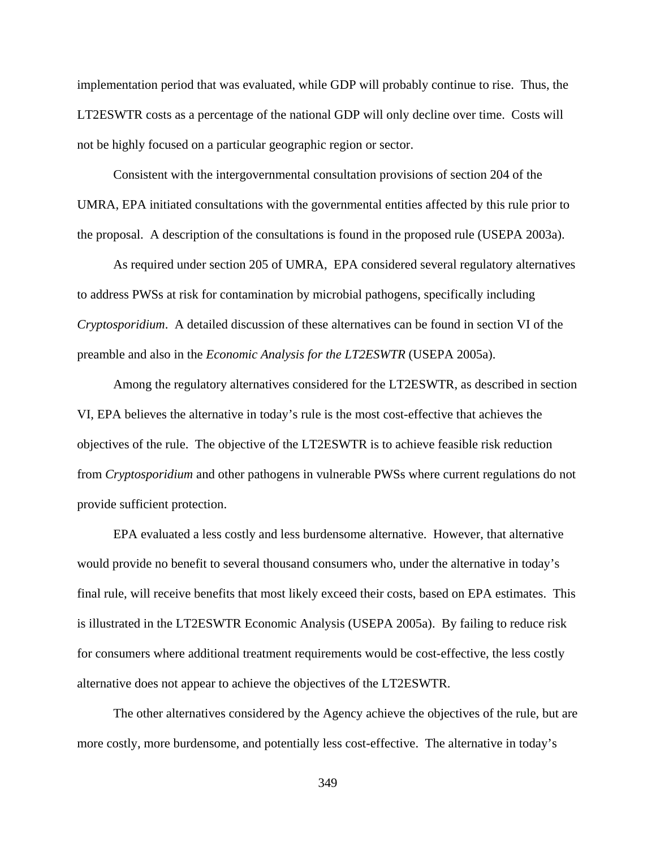implementation period that was evaluated, while GDP will probably continue to rise. Thus, the LT2ESWTR costs as a percentage of the national GDP will only decline over time. Costs will not be highly focused on a particular geographic region or sector.

Consistent with the intergovernmental consultation provisions of section 204 of the UMRA, EPA initiated consultations with the governmental entities affected by this rule prior to the proposal. A description of the consultations is found in the proposed rule (USEPA 2003a).

As required under section 205 of UMRA, EPA considered several regulatory alternatives to address PWSs at risk for contamination by microbial pathogens, specifically including *Cryptosporidium*. A detailed discussion of these alternatives can be found in section VI of the preamble and also in the *Economic Analysis for the LT2ESWTR* (USEPA 2005a).

Among the regulatory alternatives considered for the LT2ESWTR, as described in section VI, EPA believes the alternative in today's rule is the most cost-effective that achieves the objectives of the rule. The objective of the LT2ESWTR is to achieve feasible risk reduction from *Cryptosporidium* and other pathogens in vulnerable PWSs where current regulations do not provide sufficient protection.

EPA evaluated a less costly and less burdensome alternative. However, that alternative would provide no benefit to several thousand consumers who, under the alternative in today's final rule, will receive benefits that most likely exceed their costs, based on EPA estimates. This is illustrated in the LT2ESWTR Economic Analysis (USEPA 2005a). By failing to reduce risk for consumers where additional treatment requirements would be cost-effective, the less costly alternative does not appear to achieve the objectives of the LT2ESWTR.

The other alternatives considered by the Agency achieve the objectives of the rule, but are more costly, more burdensome, and potentially less cost-effective. The alternative in today's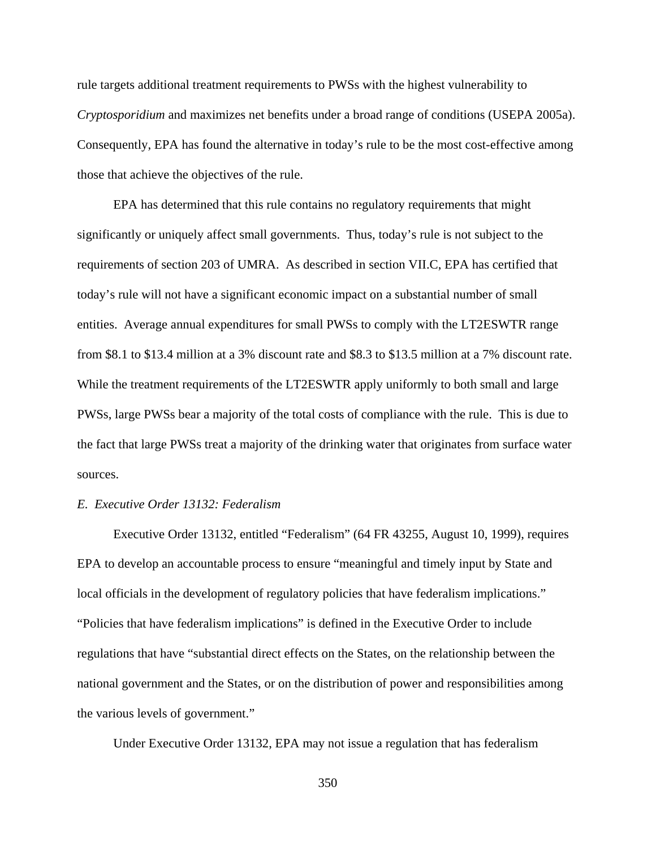rule targets additional treatment requirements to PWSs with the highest vulnerability to *Cryptosporidium* and maximizes net benefits under a broad range of conditions (USEPA 2005a). Consequently, EPA has found the alternative in today's rule to be the most cost-effective among those that achieve the objectives of the rule.

EPA has determined that this rule contains no regulatory requirements that might significantly or uniquely affect small governments. Thus, today's rule is not subject to the requirements of section 203 of UMRA. As described in section VII.C, EPA has certified that today's rule will not have a significant economic impact on a substantial number of small entities. Average annual expenditures for small PWSs to comply with the LT2ESWTR range from \$8.1 to \$13.4 million at a 3% discount rate and \$8.3 to \$13.5 million at a 7% discount rate. While the treatment requirements of the LT2ESWTR apply uniformly to both small and large PWSs, large PWSs bear a majority of the total costs of compliance with the rule. This is due to the fact that large PWSs treat a majority of the drinking water that originates from surface water sources.

## *E. Executive Order 13132: Federalism*

Executive Order 13132, entitled "Federalism" (64 FR 43255, August 10, 1999), requires EPA to develop an accountable process to ensure "meaningful and timely input by State and local officials in the development of regulatory policies that have federalism implications." "Policies that have federalism implications" is defined in the Executive Order to include regulations that have "substantial direct effects on the States, on the relationship between the national government and the States, or on the distribution of power and responsibilities among the various levels of government."

Under Executive Order 13132, EPA may not issue a regulation that has federalism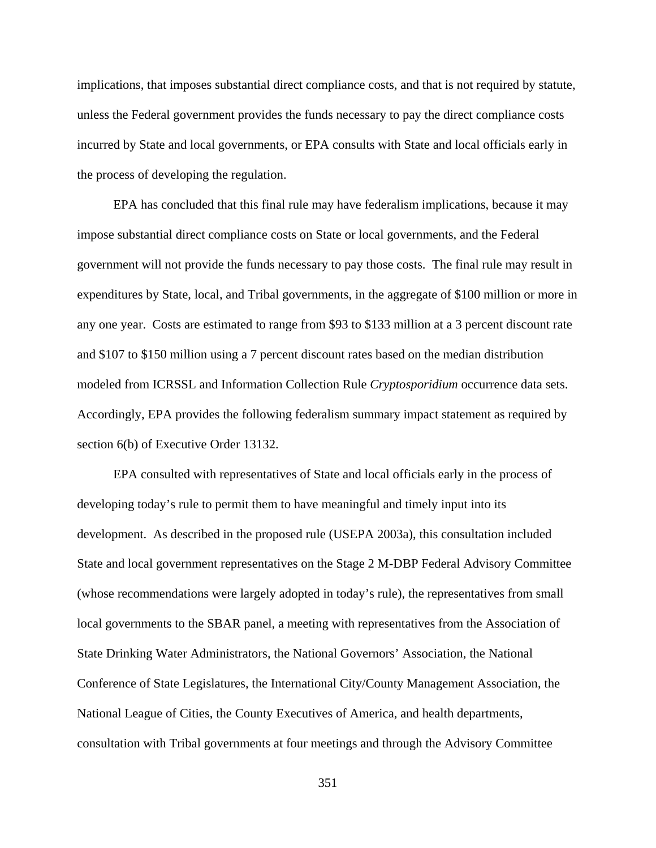implications, that imposes substantial direct compliance costs, and that is not required by statute, unless the Federal government provides the funds necessary to pay the direct compliance costs incurred by State and local governments, or EPA consults with State and local officials early in the process of developing the regulation.

EPA has concluded that this final rule may have federalism implications, because it may impose substantial direct compliance costs on State or local governments, and the Federal government will not provide the funds necessary to pay those costs. The final rule may result in expenditures by State, local, and Tribal governments, in the aggregate of \$100 million or more in any one year. Costs are estimated to range from \$93 to \$133 million at a 3 percent discount rate and \$107 to \$150 million using a 7 percent discount rates based on the median distribution modeled from ICRSSL and Information Collection Rule *Cryptosporidium* occurrence data sets. Accordingly, EPA provides the following federalism summary impact statement as required by section 6(b) of Executive Order 13132.

EPA consulted with representatives of State and local officials early in the process of developing today's rule to permit them to have meaningful and timely input into its development. As described in the proposed rule (USEPA 2003a), this consultation included State and local government representatives on the Stage 2 M-DBP Federal Advisory Committee (whose recommendations were largely adopted in today's rule), the representatives from small local governments to the SBAR panel, a meeting with representatives from the Association of State Drinking Water Administrators, the National Governors' Association, the National Conference of State Legislatures, the International City/County Management Association, the National League of Cities, the County Executives of America, and health departments, consultation with Tribal governments at four meetings and through the Advisory Committee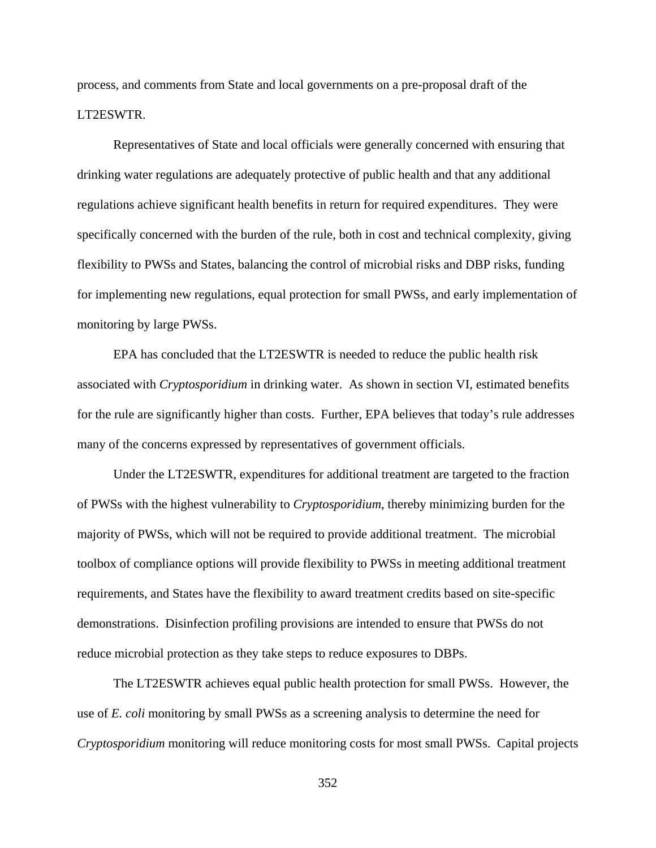process, and comments from State and local governments on a pre-proposal draft of the LT2ESWTR.

Representatives of State and local officials were generally concerned with ensuring that drinking water regulations are adequately protective of public health and that any additional regulations achieve significant health benefits in return for required expenditures. They were specifically concerned with the burden of the rule, both in cost and technical complexity, giving flexibility to PWSs and States, balancing the control of microbial risks and DBP risks, funding for implementing new regulations, equal protection for small PWSs, and early implementation of monitoring by large PWSs.

EPA has concluded that the LT2ESWTR is needed to reduce the public health risk associated with *Cryptosporidium* in drinking water. As shown in section VI, estimated benefits for the rule are significantly higher than costs. Further, EPA believes that today's rule addresses many of the concerns expressed by representatives of government officials.

Under the LT2ESWTR, expenditures for additional treatment are targeted to the fraction of PWSs with the highest vulnerability to *Cryptosporidium*, thereby minimizing burden for the majority of PWSs, which will not be required to provide additional treatment. The microbial toolbox of compliance options will provide flexibility to PWSs in meeting additional treatment requirements, and States have the flexibility to award treatment credits based on site-specific demonstrations. Disinfection profiling provisions are intended to ensure that PWSs do not reduce microbial protection as they take steps to reduce exposures to DBPs.

The LT2ESWTR achieves equal public health protection for small PWSs. However, the use of *E. coli* monitoring by small PWSs as a screening analysis to determine the need for *Cryptosporidium* monitoring will reduce monitoring costs for most small PWSs. Capital projects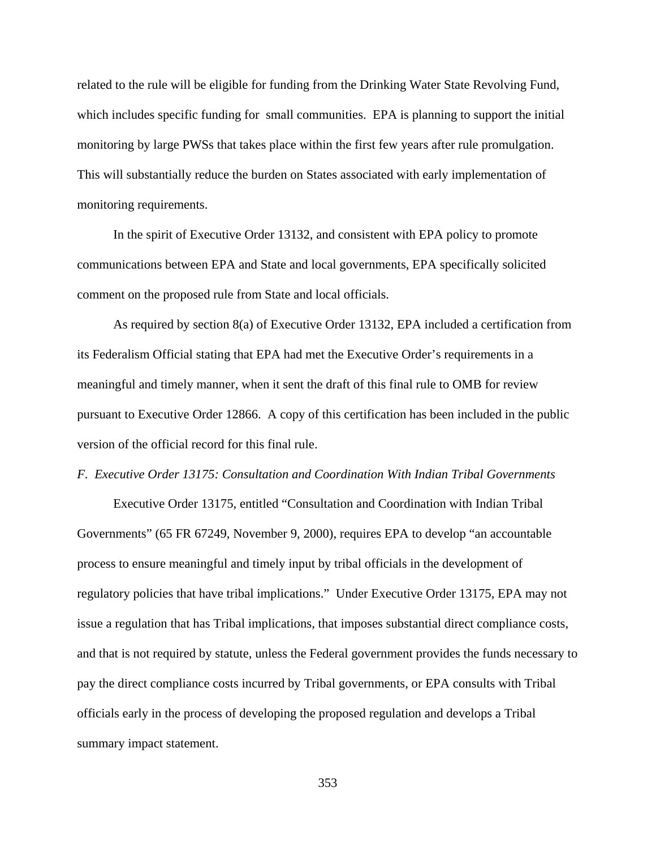related to the rule will be eligible for funding from the Drinking Water State Revolving Fund, which includes specific funding for small communities. EPA is planning to support the initial monitoring by large PWSs that takes place within the first few years after rule promulgation. This will substantially reduce the burden on States associated with early implementation of monitoring requirements.

In the spirit of Executive Order 13132, and consistent with EPA policy to promote communications between EPA and State and local governments, EPA specifically solicited comment on the proposed rule from State and local officials.

As required by section 8(a) of Executive Order 13132, EPA included a certification from its Federalism Official stating that EPA had met the Executive Order's requirements in a meaningful and timely manner, when it sent the draft of this final rule to OMB for review pursuant to Executive Order 12866. A copy of this certification has been included in the public version of the official record for this final rule.

## *F. Executive Order 13175: Consultation and Coordination With Indian Tribal Governments*

Executive Order 13175, entitled "Consultation and Coordination with Indian Tribal Governments" (65 FR 67249, November 9, 2000), requires EPA to develop "an accountable process to ensure meaningful and timely input by tribal officials in the development of regulatory policies that have tribal implications." Under Executive Order 13175, EPA may not issue a regulation that has Tribal implications, that imposes substantial direct compliance costs, and that is not required by statute, unless the Federal government provides the funds necessary to pay the direct compliance costs incurred by Tribal governments, or EPA consults with Tribal officials early in the process of developing the proposed regulation and develops a Tribal summary impact statement.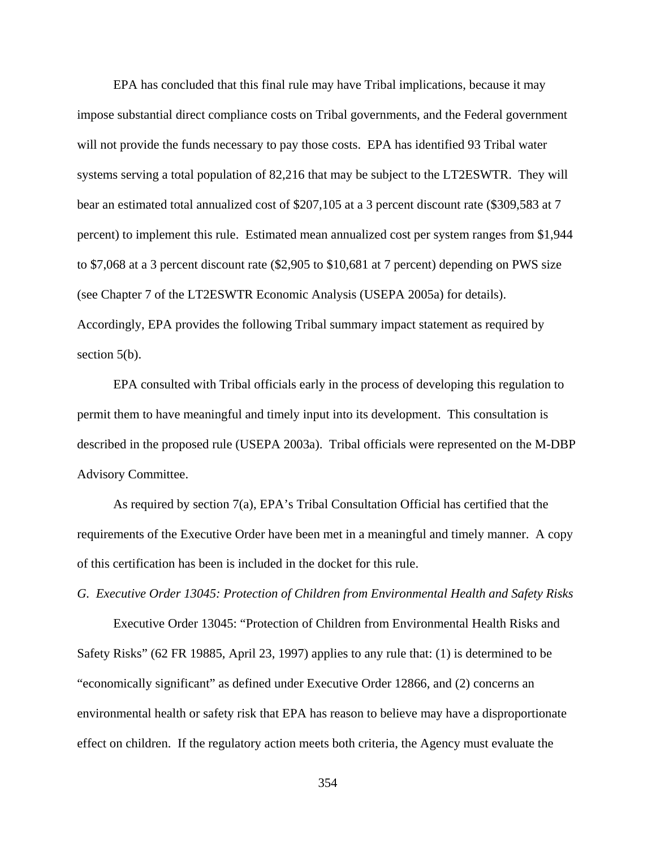EPA has concluded that this final rule may have Tribal implications, because it may impose substantial direct compliance costs on Tribal governments, and the Federal government will not provide the funds necessary to pay those costs. EPA has identified 93 Tribal water systems serving a total population of 82,216 that may be subject to the LT2ESWTR. They will bear an estimated total annualized cost of \$207,105 at a 3 percent discount rate (\$309,583 at 7 percent) to implement this rule. Estimated mean annualized cost per system ranges from \$1,944 to \$7,068 at a 3 percent discount rate (\$2,905 to \$10,681 at 7 percent) depending on PWS size (see Chapter 7 of the LT2ESWTR Economic Analysis (USEPA 2005a) for details). Accordingly, EPA provides the following Tribal summary impact statement as required by section 5(b).

EPA consulted with Tribal officials early in the process of developing this regulation to permit them to have meaningful and timely input into its development. This consultation is described in the proposed rule (USEPA 2003a). Tribal officials were represented on the M-DBP Advisory Committee.

As required by section 7(a), EPA's Tribal Consultation Official has certified that the requirements of the Executive Order have been met in a meaningful and timely manner. A copy of this certification has been is included in the docket for this rule.

*G. Executive Order 13045: Protection of Children from Environmental Health and Safety Risks* 

Executive Order 13045: "Protection of Children from Environmental Health Risks and Safety Risks" (62 FR 19885, April 23, 1997) applies to any rule that: (1) is determined to be "economically significant" as defined under Executive Order 12866, and (2) concerns an environmental health or safety risk that EPA has reason to believe may have a disproportionate effect on children. If the regulatory action meets both criteria, the Agency must evaluate the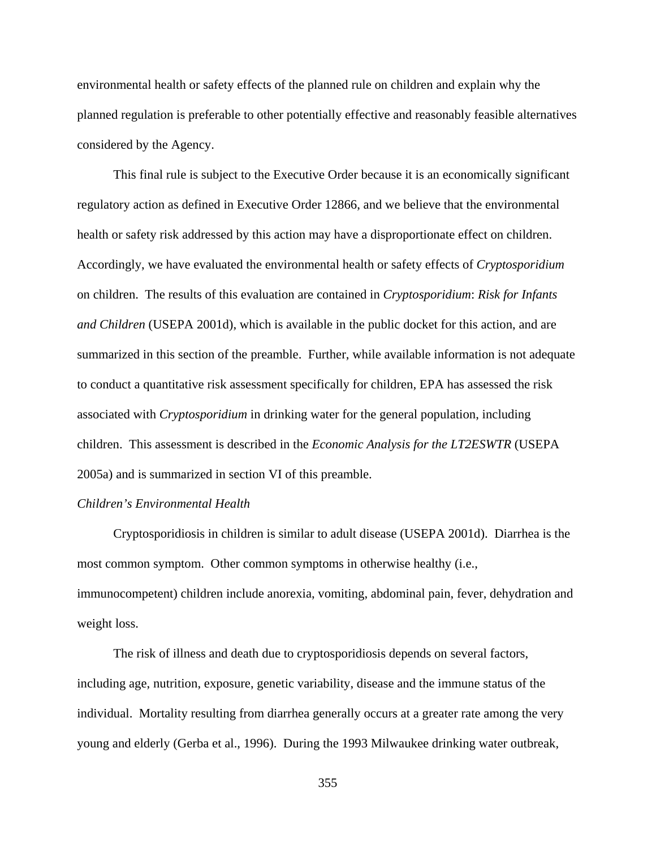environmental health or safety effects of the planned rule on children and explain why the planned regulation is preferable to other potentially effective and reasonably feasible alternatives considered by the Agency.

This final rule is subject to the Executive Order because it is an economically significant regulatory action as defined in Executive Order 12866, and we believe that the environmental health or safety risk addressed by this action may have a disproportionate effect on children. Accordingly, we have evaluated the environmental health or safety effects of *Cryptosporidium* on children. The results of this evaluation are contained in *Cryptosporidium*: *Risk for Infants and Children* (USEPA 2001d), which is available in the public docket for this action, and are summarized in this section of the preamble. Further, while available information is not adequate to conduct a quantitative risk assessment specifically for children, EPA has assessed the risk associated with *Cryptosporidium* in drinking water for the general population, including children. This assessment is described in the *Economic Analysis for the LT2ESWTR* (USEPA 2005a) and is summarized in section VI of this preamble.

## *Children's Environmental Health*

Cryptosporidiosis in children is similar to adult disease (USEPA 2001d). Diarrhea is the most common symptom. Other common symptoms in otherwise healthy (i.e., immunocompetent) children include anorexia, vomiting, abdominal pain, fever, dehydration and weight loss.

The risk of illness and death due to cryptosporidiosis depends on several factors, including age, nutrition, exposure, genetic variability, disease and the immune status of the individual. Mortality resulting from diarrhea generally occurs at a greater rate among the very young and elderly (Gerba et al., 1996). During the 1993 Milwaukee drinking water outbreak,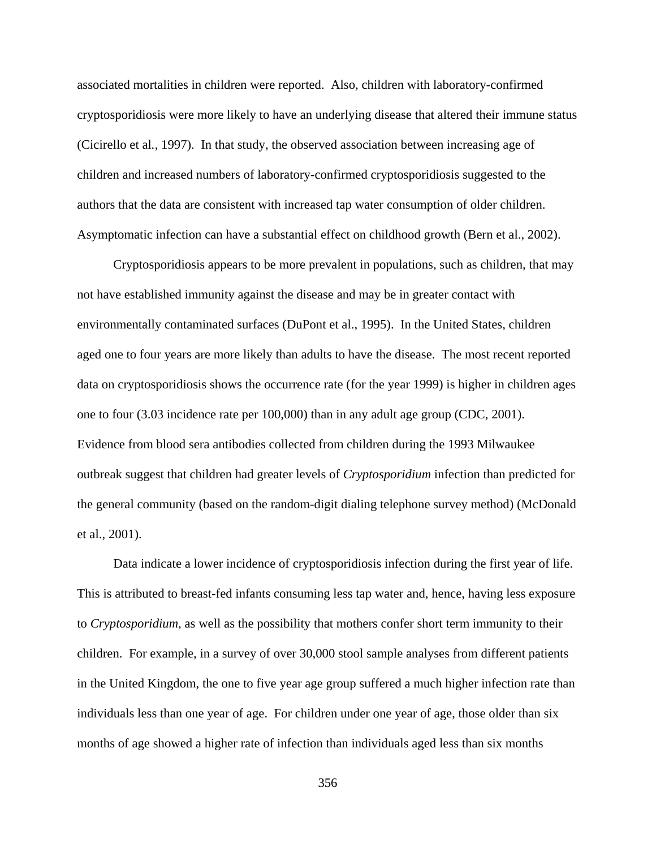associated mortalities in children were reported. Also, children with laboratory-confirmed cryptosporidiosis were more likely to have an underlying disease that altered their immune status (Cicirello et al*.*, 1997). In that study, the observed association between increasing age of children and increased numbers of laboratory-confirmed cryptosporidiosis suggested to the authors that the data are consistent with increased tap water consumption of older children. Asymptomatic infection can have a substantial effect on childhood growth (Bern et al., 2002).

Cryptosporidiosis appears to be more prevalent in populations, such as children, that may not have established immunity against the disease and may be in greater contact with environmentally contaminated surfaces (DuPont et al., 1995). In the United States, children aged one to four years are more likely than adults to have the disease. The most recent reported data on cryptosporidiosis shows the occurrence rate (for the year 1999) is higher in children ages one to four (3.03 incidence rate per 100,000) than in any adult age group (CDC, 2001). Evidence from blood sera antibodies collected from children during the 1993 Milwaukee outbreak suggest that children had greater levels of *Cryptosporidium* infection than predicted for the general community (based on the random-digit dialing telephone survey method) (McDonald et al., 2001).

Data indicate a lower incidence of cryptosporidiosis infection during the first year of life. This is attributed to breast-fed infants consuming less tap water and, hence, having less exposure to *Cryptosporidium*, as well as the possibility that mothers confer short term immunity to their children. For example, in a survey of over 30,000 stool sample analyses from different patients in the United Kingdom, the one to five year age group suffered a much higher infection rate than individuals less than one year of age. For children under one year of age, those older than six months of age showed a higher rate of infection than individuals aged less than six months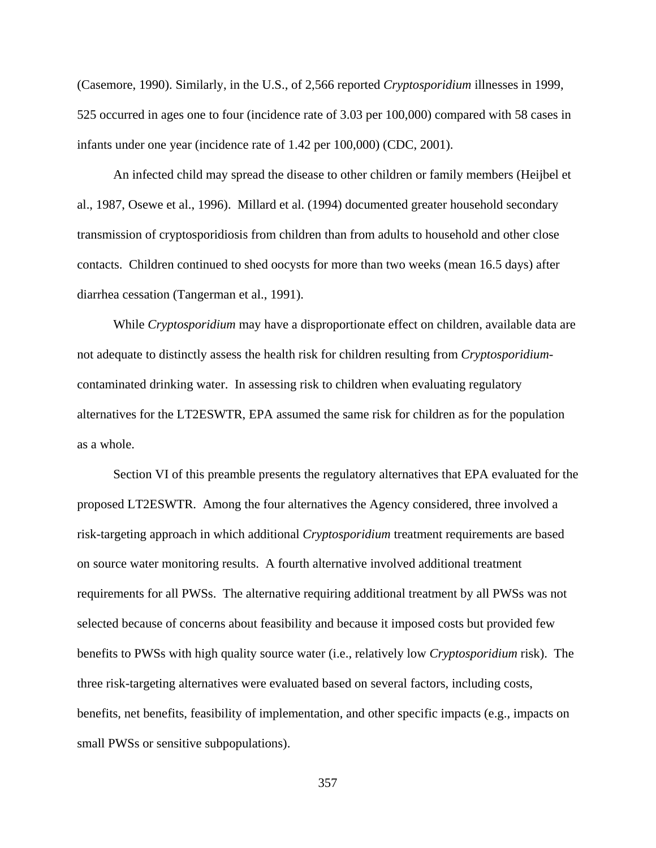(Casemore, 1990). Similarly, in the U.S., of 2,566 reported *Cryptosporidium* illnesses in 1999, 525 occurred in ages one to four (incidence rate of 3.03 per 100,000) compared with 58 cases in infants under one year (incidence rate of 1.42 per 100,000) (CDC, 2001).

An infected child may spread the disease to other children or family members (Heijbel et al., 1987, Osewe et al., 1996). Millard et al. (1994) documented greater household secondary transmission of cryptosporidiosis from children than from adults to household and other close contacts. Children continued to shed oocysts for more than two weeks (mean 16.5 days) after diarrhea cessation (Tangerman et al., 1991).

While *Cryptosporidium* may have a disproportionate effect on children, available data are not adequate to distinctly assess the health risk for children resulting from *Cryptosporidium*contaminated drinking water. In assessing risk to children when evaluating regulatory alternatives for the LT2ESWTR, EPA assumed the same risk for children as for the population as a whole.

Section VI of this preamble presents the regulatory alternatives that EPA evaluated for the proposed LT2ESWTR. Among the four alternatives the Agency considered, three involved a risk-targeting approach in which additional *Cryptosporidium* treatment requirements are based on source water monitoring results. A fourth alternative involved additional treatment requirements for all PWSs. The alternative requiring additional treatment by all PWSs was not selected because of concerns about feasibility and because it imposed costs but provided few benefits to PWSs with high quality source water (i.e., relatively low *Cryptosporidium* risk). The three risk-targeting alternatives were evaluated based on several factors, including costs, benefits, net benefits, feasibility of implementation, and other specific impacts (e.g., impacts on small PWSs or sensitive subpopulations).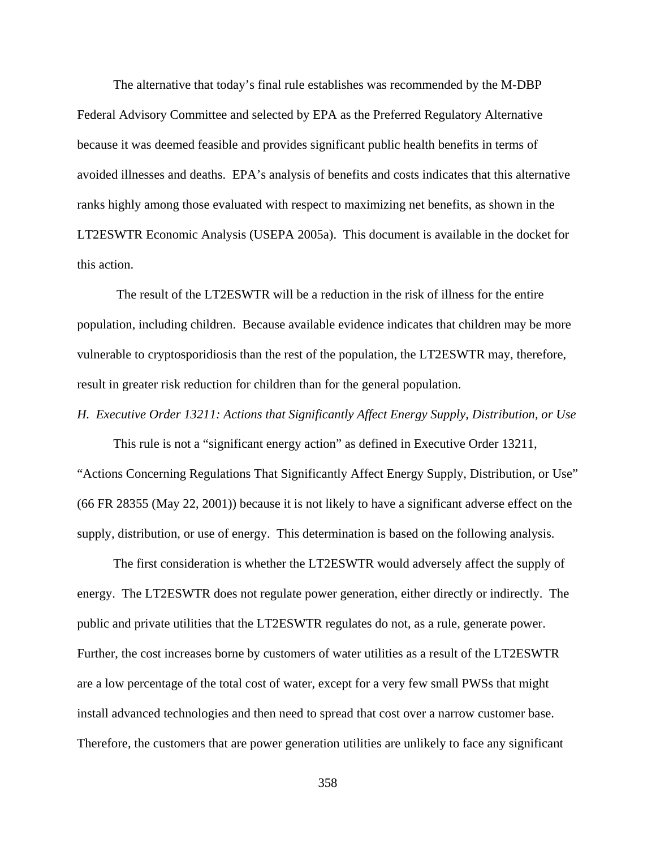The alternative that today's final rule establishes was recommended by the M-DBP Federal Advisory Committee and selected by EPA as the Preferred Regulatory Alternative because it was deemed feasible and provides significant public health benefits in terms of avoided illnesses and deaths. EPA's analysis of benefits and costs indicates that this alternative ranks highly among those evaluated with respect to maximizing net benefits, as shown in the LT2ESWTR Economic Analysis (USEPA 2005a). This document is available in the docket for this action.

 The result of the LT2ESWTR will be a reduction in the risk of illness for the entire population, including children. Because available evidence indicates that children may be more vulnerable to cryptosporidiosis than the rest of the population, the LT2ESWTR may, therefore, result in greater risk reduction for children than for the general population.

## *H. Executive Order 13211: Actions that Significantly Affect Energy Supply, Distribution, or Use*

This rule is not a "significant energy action" as defined in Executive Order 13211, "Actions Concerning Regulations That Significantly Affect Energy Supply, Distribution, or Use" (66 FR 28355 (May 22, 2001)) because it is not likely to have a significant adverse effect on the supply, distribution, or use of energy. This determination is based on the following analysis.

The first consideration is whether the LT2ESWTR would adversely affect the supply of energy. The LT2ESWTR does not regulate power generation, either directly or indirectly. The public and private utilities that the LT2ESWTR regulates do not, as a rule, generate power. Further, the cost increases borne by customers of water utilities as a result of the LT2ESWTR are a low percentage of the total cost of water, except for a very few small PWSs that might install advanced technologies and then need to spread that cost over a narrow customer base. Therefore, the customers that are power generation utilities are unlikely to face any significant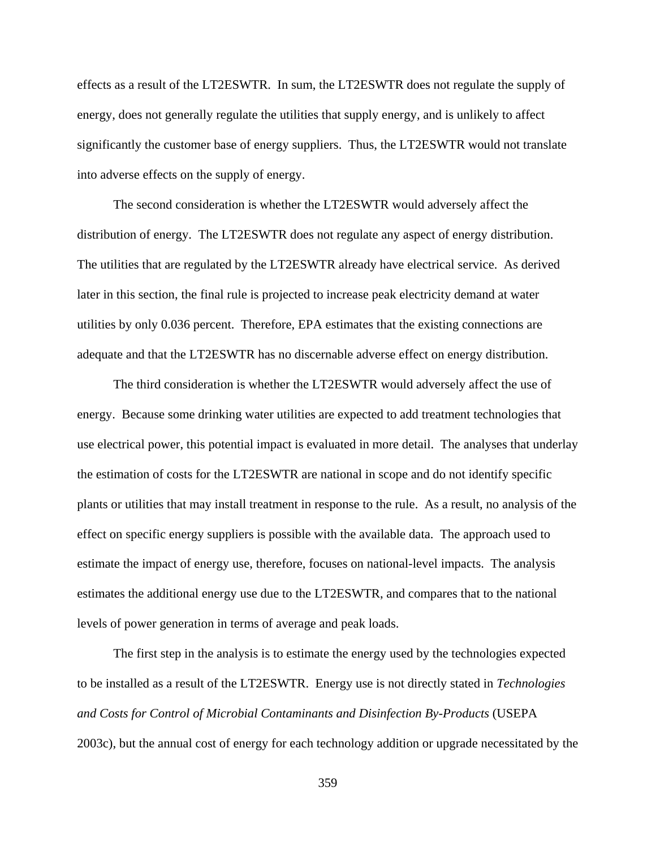effects as a result of the LT2ESWTR. In sum, the LT2ESWTR does not regulate the supply of energy, does not generally regulate the utilities that supply energy, and is unlikely to affect significantly the customer base of energy suppliers. Thus, the LT2ESWTR would not translate into adverse effects on the supply of energy.

The second consideration is whether the LT2ESWTR would adversely affect the distribution of energy. The LT2ESWTR does not regulate any aspect of energy distribution. The utilities that are regulated by the LT2ESWTR already have electrical service. As derived later in this section, the final rule is projected to increase peak electricity demand at water utilities by only 0.036 percent. Therefore, EPA estimates that the existing connections are adequate and that the LT2ESWTR has no discernable adverse effect on energy distribution.

The third consideration is whether the LT2ESWTR would adversely affect the use of energy. Because some drinking water utilities are expected to add treatment technologies that use electrical power, this potential impact is evaluated in more detail. The analyses that underlay the estimation of costs for the LT2ESWTR are national in scope and do not identify specific plants or utilities that may install treatment in response to the rule. As a result, no analysis of the effect on specific energy suppliers is possible with the available data. The approach used to estimate the impact of energy use, therefore, focuses on national-level impacts. The analysis estimates the additional energy use due to the LT2ESWTR, and compares that to the national levels of power generation in terms of average and peak loads.

The first step in the analysis is to estimate the energy used by the technologies expected to be installed as a result of the LT2ESWTR. Energy use is not directly stated in *Technologies and Costs for Control of Microbial Contaminants and Disinfection By-Products* (USEPA 2003c), but the annual cost of energy for each technology addition or upgrade necessitated by the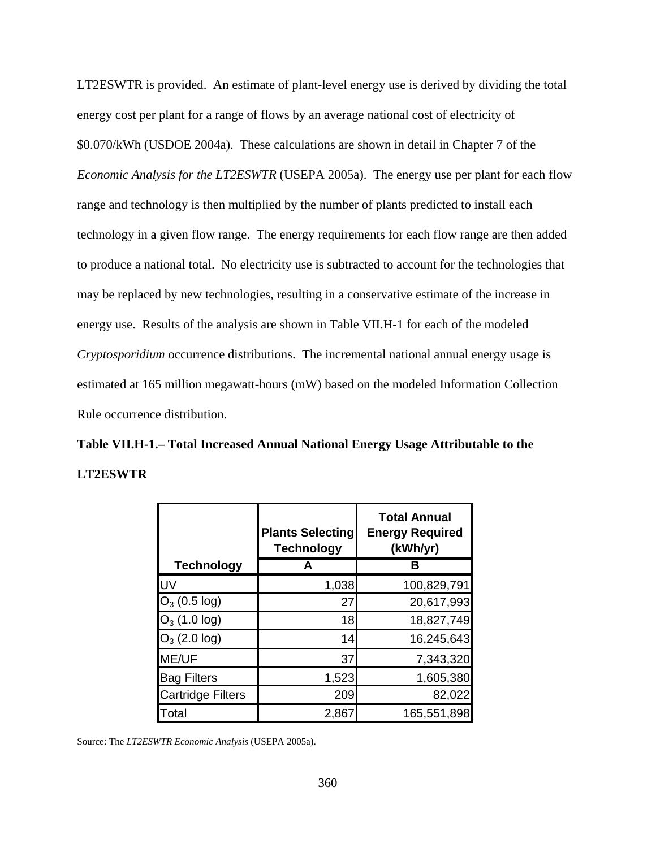LT2ESWTR is provided. An estimate of plant-level energy use is derived by dividing the total energy cost per plant for a range of flows by an average national cost of electricity of \$0.070/kWh (USDOE 2004a). These calculations are shown in detail in Chapter 7 of the *Economic Analysis for the LT2ESWTR* (USEPA 2005a). The energy use per plant for each flow range and technology is then multiplied by the number of plants predicted to install each technology in a given flow range. The energy requirements for each flow range are then added to produce a national total. No electricity use is subtracted to account for the technologies that may be replaced by new technologies, resulting in a conservative estimate of the increase in energy use. Results of the analysis are shown in Table VII.H-1 for each of the modeled *Cryptosporidium* occurrence distributions. The incremental national annual energy usage is estimated at 165 million megawatt-hours (mW) based on the modeled Information Collection Rule occurrence distribution.

**Table VII.H-1.– Total Increased Annual National Energy Usage Attributable to the LT2ESWTR**

|                          | <b>Plants Selecting</b><br><b>Technology</b> | <b>Total Annual</b><br><b>Energy Required</b><br>(kWh/yr) |
|--------------------------|----------------------------------------------|-----------------------------------------------------------|
| <b>Technology</b>        | A                                            |                                                           |
| UV                       | 1,038                                        | 100,829,791                                               |
| $O_3$ (0.5 log)          | 27                                           | 20,617,993                                                |
| $O_3$ (1.0 log)          | 18                                           | 18,827,749                                                |
| $O_3$ (2.0 log)          | 14                                           | 16,245,643                                                |
| ME/UF                    | 37                                           | 7,343,320                                                 |
| <b>Bag Filters</b>       | 1,523                                        | 1,605,380                                                 |
| <b>Cartridge Filters</b> | 209                                          | 82,022                                                    |
| Total                    | 2,867                                        | 165,551,898                                               |

Source: The *LT2ESWTR Economic Analysis* (USEPA 2005a).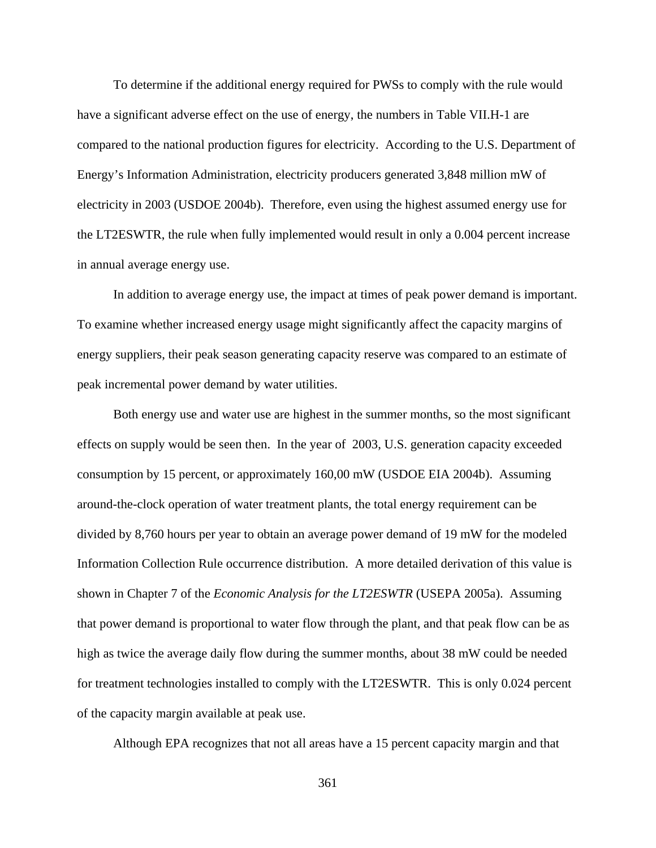To determine if the additional energy required for PWSs to comply with the rule would have a significant adverse effect on the use of energy, the numbers in Table VII.H-1 are compared to the national production figures for electricity. According to the U.S. Department of Energy's Information Administration, electricity producers generated 3,848 million mW of electricity in 2003 (USDOE 2004b). Therefore, even using the highest assumed energy use for the LT2ESWTR, the rule when fully implemented would result in only a 0.004 percent increase in annual average energy use.

In addition to average energy use, the impact at times of peak power demand is important. To examine whether increased energy usage might significantly affect the capacity margins of energy suppliers, their peak season generating capacity reserve was compared to an estimate of peak incremental power demand by water utilities.

Both energy use and water use are highest in the summer months, so the most significant effects on supply would be seen then. In the year of 2003, U.S. generation capacity exceeded consumption by 15 percent, or approximately 160,00 mW (USDOE EIA 2004b). Assuming around-the-clock operation of water treatment plants, the total energy requirement can be divided by 8,760 hours per year to obtain an average power demand of 19 mW for the modeled Information Collection Rule occurrence distribution. A more detailed derivation of this value is shown in Chapter 7 of the *Economic Analysis for the LT2ESWTR* (USEPA 2005a). Assuming that power demand is proportional to water flow through the plant, and that peak flow can be as high as twice the average daily flow during the summer months, about 38 mW could be needed for treatment technologies installed to comply with the LT2ESWTR. This is only 0.024 percent of the capacity margin available at peak use.

Although EPA recognizes that not all areas have a 15 percent capacity margin and that

361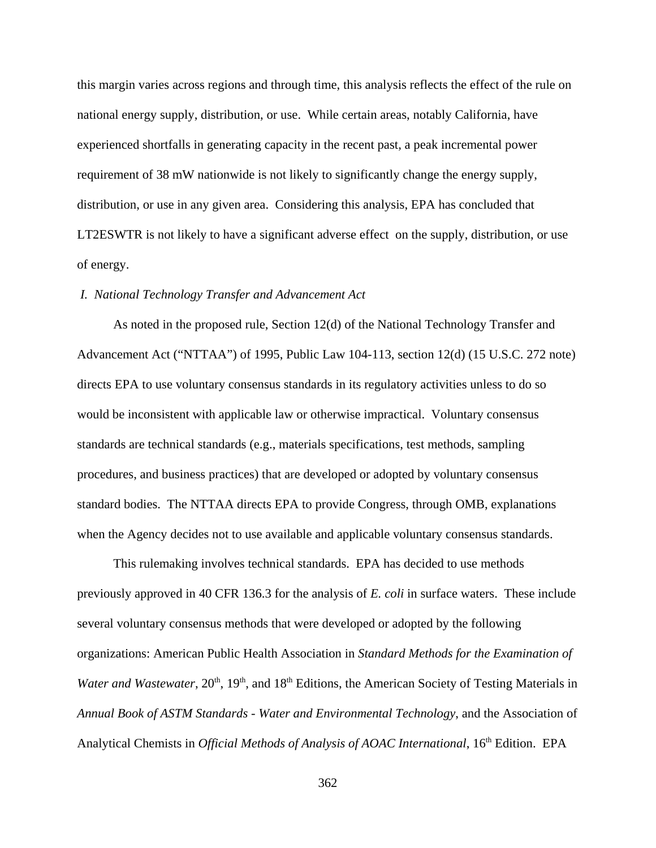this margin varies across regions and through time, this analysis reflects the effect of the rule on national energy supply, distribution, or use. While certain areas, notably California, have experienced shortfalls in generating capacity in the recent past, a peak incremental power requirement of 38 mW nationwide is not likely to significantly change the energy supply, distribution, or use in any given area. Considering this analysis, EPA has concluded that LT2ESWTR is not likely to have a significant adverse effect on the supply, distribution, or use of energy.

### *I. National Technology Transfer and Advancement Act*

As noted in the proposed rule, Section 12(d) of the National Technology Transfer and Advancement Act ("NTTAA") of 1995, Public Law 104-113, section 12(d) (15 U.S.C. 272 note) directs EPA to use voluntary consensus standards in its regulatory activities unless to do so would be inconsistent with applicable law or otherwise impractical. Voluntary consensus standards are technical standards (e.g., materials specifications, test methods, sampling procedures, and business practices) that are developed or adopted by voluntary consensus standard bodies. The NTTAA directs EPA to provide Congress, through OMB, explanations when the Agency decides not to use available and applicable voluntary consensus standards.

This rulemaking involves technical standards. EPA has decided to use methods previously approved in 40 CFR 136.3 for the analysis of *E. coli* in surface waters. These include several voluntary consensus methods that were developed or adopted by the following organizations: American Public Health Association in *Standard Methods for the Examination of Water and Wastewater*, 20<sup>th</sup>, 19<sup>th</sup>, and 18<sup>th</sup> Editions, the American Society of Testing Materials in *Annual Book of ASTM Standards - Water and Environmental Technology*, and the Association of Analytical Chemists in *Official Methods of Analysis of AOAC International*, 16<sup>th</sup> Edition. EPA

362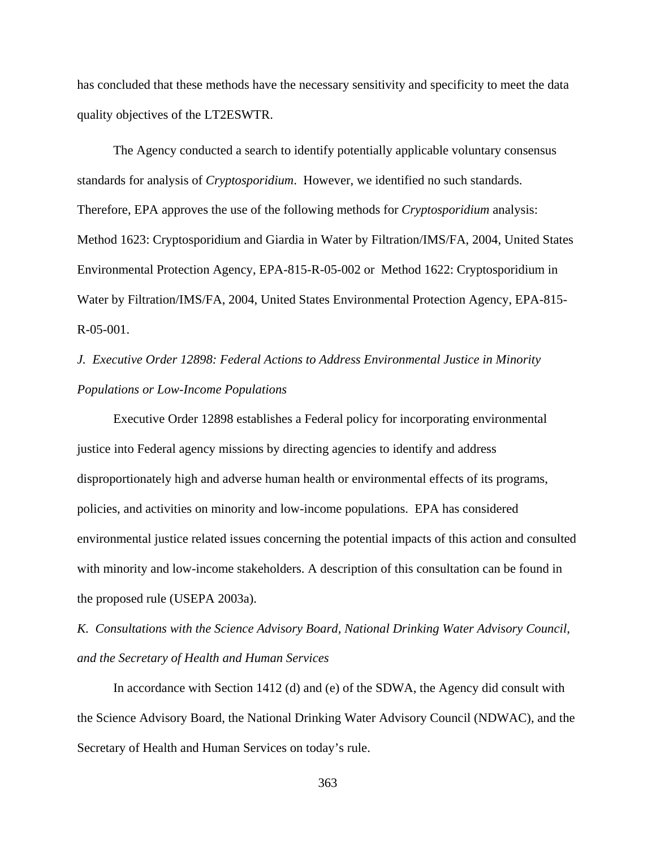has concluded that these methods have the necessary sensitivity and specificity to meet the data quality objectives of the LT2ESWTR.

The Agency conducted a search to identify potentially applicable voluntary consensus standards for analysis of *Cryptosporidium*. However, we identified no such standards. Therefore, EPA approves the use of the following methods for *Cryptosporidium* analysis: Method 1623: Cryptosporidium and Giardia in Water by Filtration/IMS/FA, 2004, United States Environmental Protection Agency, EPA-815-R-05-002 or Method 1622: Cryptosporidium in Water by Filtration/IMS/FA, 2004, United States Environmental Protection Agency, EPA-815- R-05-001.

*J. Executive Order 12898: Federal Actions to Address Environmental Justice in Minority Populations or Low-Income Populations* 

Executive Order 12898 establishes a Federal policy for incorporating environmental justice into Federal agency missions by directing agencies to identify and address disproportionately high and adverse human health or environmental effects of its programs, policies, and activities on minority and low-income populations. EPA has considered environmental justice related issues concerning the potential impacts of this action and consulted with minority and low-income stakeholders. A description of this consultation can be found in the proposed rule (USEPA 2003a).

*K. Consultations with the Science Advisory Board, National Drinking Water Advisory Council, and the Secretary of Health and Human Services*

In accordance with Section 1412 (d) and (e) of the SDWA, the Agency did consult with the Science Advisory Board, the National Drinking Water Advisory Council (NDWAC), and the Secretary of Health and Human Services on today's rule.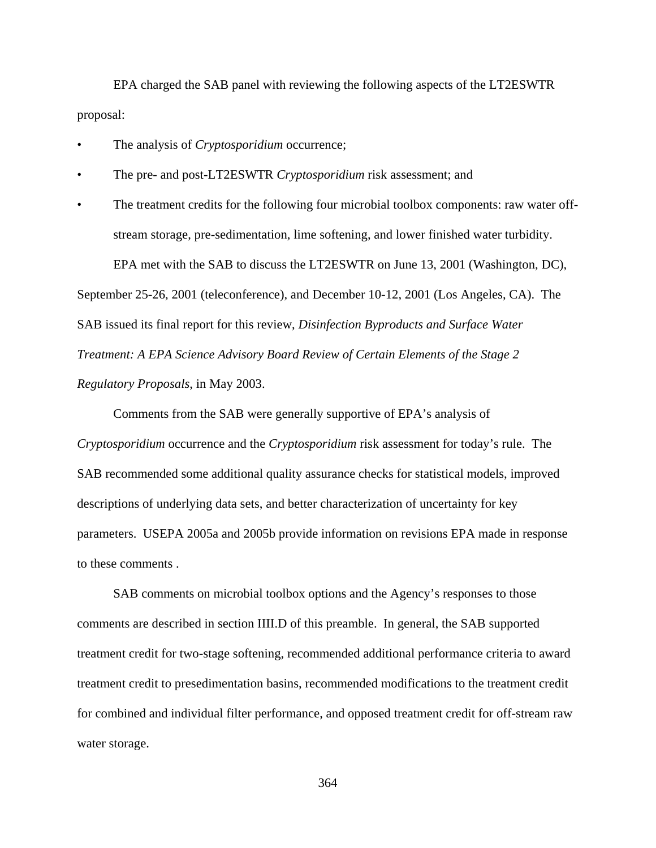EPA charged the SAB panel with reviewing the following aspects of the LT2ESWTR proposal:

- The analysis of *Cryptosporidium* occurrence;
- The pre- and post-LT2ESWTR *Cryptosporidium* risk assessment; and

• The treatment credits for the following four microbial toolbox components: raw water offstream storage, pre-sedimentation, lime softening, and lower finished water turbidity. EPA met with the SAB to discuss the LT2ESWTR on June 13, 2001 (Washington, DC), September 25-26, 2001 (teleconference), and December 10-12, 2001 (Los Angeles, CA). The SAB issued its final report for this review, *Disinfection Byproducts and Surface Water Treatment: A EPA Science Advisory Board Review of Certain Elements of the Stage 2 Regulatory Proposals*, in May 2003.

Comments from the SAB were generally supportive of EPA's analysis of *Cryptosporidium* occurrence and the *Cryptosporidium* risk assessment for today's rule. The SAB recommended some additional quality assurance checks for statistical models, improved descriptions of underlying data sets, and better characterization of uncertainty for key parameters. USEPA 2005a and 2005b provide information on revisions EPA made in response to these comments .

SAB comments on microbial toolbox options and the Agency's responses to those comments are described in section IIII.D of this preamble. In general, the SAB supported treatment credit for two-stage softening, recommended additional performance criteria to award treatment credit to presedimentation basins, recommended modifications to the treatment credit for combined and individual filter performance, and opposed treatment credit for off-stream raw water storage.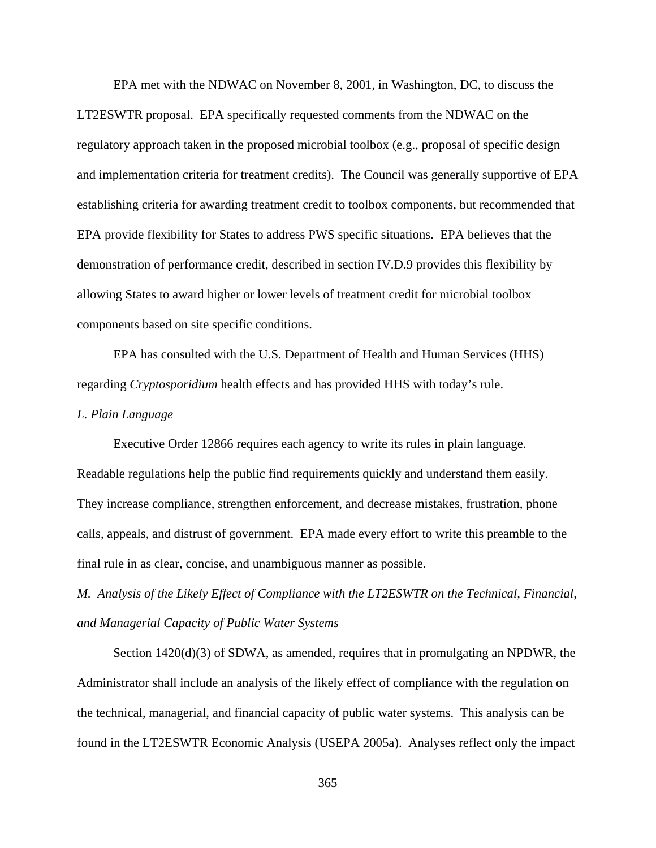EPA met with the NDWAC on November 8, 2001, in Washington, DC, to discuss the LT2ESWTR proposal. EPA specifically requested comments from the NDWAC on the regulatory approach taken in the proposed microbial toolbox (e.g., proposal of specific design and implementation criteria for treatment credits). The Council was generally supportive of EPA establishing criteria for awarding treatment credit to toolbox components, but recommended that EPA provide flexibility for States to address PWS specific situations. EPA believes that the demonstration of performance credit, described in section IV.D.9 provides this flexibility by allowing States to award higher or lower levels of treatment credit for microbial toolbox components based on site specific conditions.

EPA has consulted with the U.S. Department of Health and Human Services (HHS) regarding *Cryptosporidium* health effects and has provided HHS with today's rule.

### *L. Plain Language*

Executive Order 12866 requires each agency to write its rules in plain language. Readable regulations help the public find requirements quickly and understand them easily. They increase compliance, strengthen enforcement, and decrease mistakes, frustration, phone calls, appeals, and distrust of government. EPA made every effort to write this preamble to the final rule in as clear, concise, and unambiguous manner as possible.

*M. Analysis of the Likely Effect of Compliance with the LT2ESWTR on the Technical, Financial, and Managerial Capacity of Public Water Systems*

Section 1420(d)(3) of SDWA, as amended, requires that in promulgating an NPDWR, the Administrator shall include an analysis of the likely effect of compliance with the regulation on the technical, managerial, and financial capacity of public water systems. This analysis can be found in the LT2ESWTR Economic Analysis (USEPA 2005a). Analyses reflect only the impact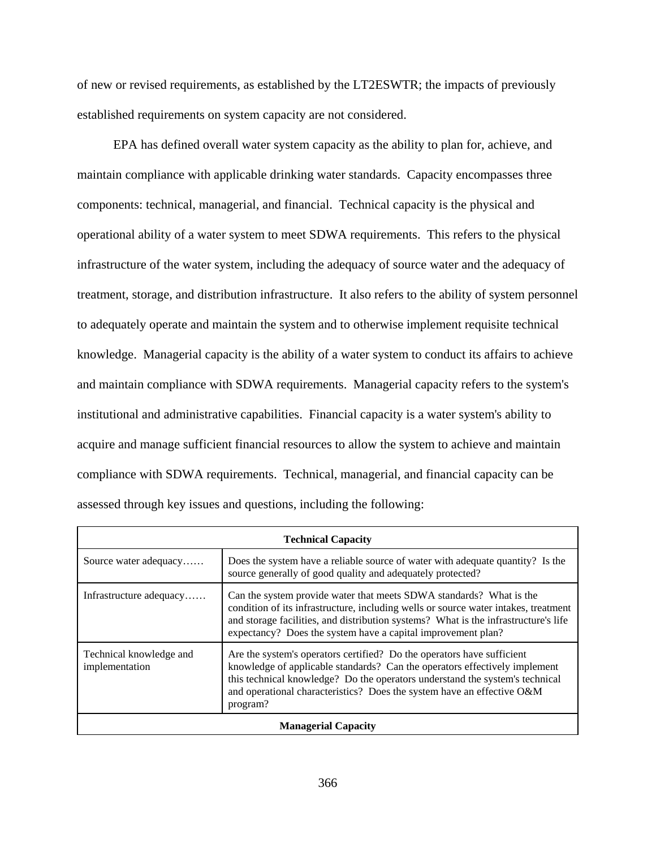of new or revised requirements, as established by the LT2ESWTR; the impacts of previously established requirements on system capacity are not considered.

EPA has defined overall water system capacity as the ability to plan for, achieve, and maintain compliance with applicable drinking water standards. Capacity encompasses three components: technical, managerial, and financial. Technical capacity is the physical and operational ability of a water system to meet SDWA requirements. This refers to the physical infrastructure of the water system, including the adequacy of source water and the adequacy of treatment, storage, and distribution infrastructure. It also refers to the ability of system personnel to adequately operate and maintain the system and to otherwise implement requisite technical knowledge. Managerial capacity is the ability of a water system to conduct its affairs to achieve and maintain compliance with SDWA requirements. Managerial capacity refers to the system's institutional and administrative capabilities. Financial capacity is a water system's ability to acquire and manage sufficient financial resources to allow the system to achieve and maintain compliance with SDWA requirements. Technical, managerial, and financial capacity can be assessed through key issues and questions, including the following:

| <b>Technical Capacity</b>                 |                                                                                                                                                                                                                                                                                                                            |  |  |  |  |
|-------------------------------------------|----------------------------------------------------------------------------------------------------------------------------------------------------------------------------------------------------------------------------------------------------------------------------------------------------------------------------|--|--|--|--|
| Source water adequacy                     | Does the system have a reliable source of water with adequate quantity? Is the<br>source generally of good quality and adequately protected?                                                                                                                                                                               |  |  |  |  |
| Infrastructure adequacy                   | Can the system provide water that meets SDWA standards? What is the<br>condition of its infrastructure, including wells or source water intakes, treatment<br>and storage facilities, and distribution systems? What is the infrastructure's life<br>expectancy? Does the system have a capital improvement plan?          |  |  |  |  |
| Technical knowledge and<br>implementation | Are the system's operators certified? Do the operators have sufficient<br>knowledge of applicable standards? Can the operators effectively implement<br>this technical knowledge? Do the operators understand the system's technical<br>and operational characteristics? Does the system have an effective O&M<br>program? |  |  |  |  |
| <b>Managerial Capacity</b>                |                                                                                                                                                                                                                                                                                                                            |  |  |  |  |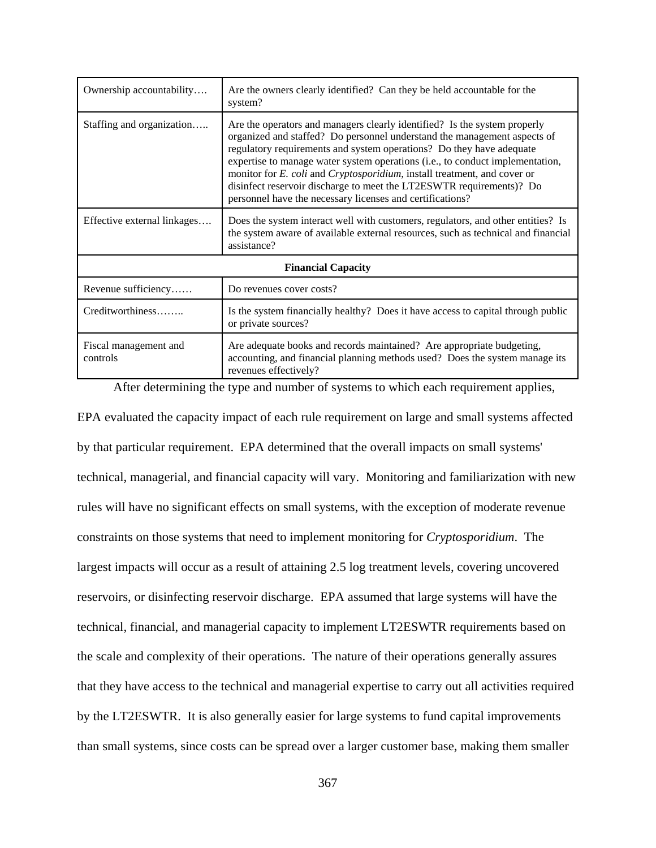| Ownership accountability          | Are the owners clearly identified? Can they be held accountable for the<br>system?                                                                                                                                                                                                                                                                                                                                                                                                                                                             |  |  |  |  |  |  |
|-----------------------------------|------------------------------------------------------------------------------------------------------------------------------------------------------------------------------------------------------------------------------------------------------------------------------------------------------------------------------------------------------------------------------------------------------------------------------------------------------------------------------------------------------------------------------------------------|--|--|--|--|--|--|
| Staffing and organization         | Are the operators and managers clearly identified? Is the system properly<br>organized and staffed? Do personnel understand the management aspects of<br>regulatory requirements and system operations? Do they have adequate<br>expertise to manage water system operations (i.e., to conduct implementation,<br>monitor for <i>E. coli</i> and <i>Cryptosporidium</i> , install treatment, and cover or<br>disinfect reservoir discharge to meet the LT2ESWTR requirements)? Do<br>personnel have the necessary licenses and certifications? |  |  |  |  |  |  |
| Effective external linkages       | Does the system interact well with customers, regulators, and other entities? Is<br>the system aware of available external resources, such as technical and financial<br>assistance?                                                                                                                                                                                                                                                                                                                                                           |  |  |  |  |  |  |
| <b>Financial Capacity</b>         |                                                                                                                                                                                                                                                                                                                                                                                                                                                                                                                                                |  |  |  |  |  |  |
| Revenue sufficiency               | Do revenues cover costs?                                                                                                                                                                                                                                                                                                                                                                                                                                                                                                                       |  |  |  |  |  |  |
| Creditworthiness                  | Is the system financially healthy? Does it have access to capital through public<br>or private sources?                                                                                                                                                                                                                                                                                                                                                                                                                                        |  |  |  |  |  |  |
| Fiscal management and<br>controls | Are adequate books and records maintained? Are appropriate budgeting,<br>accounting, and financial planning methods used? Does the system manage its<br>revenues effectively?                                                                                                                                                                                                                                                                                                                                                                  |  |  |  |  |  |  |

After determining the type and number of systems to which each requirement applies,

EPA evaluated the capacity impact of each rule requirement on large and small systems affected by that particular requirement. EPA determined that the overall impacts on small systems' technical, managerial, and financial capacity will vary. Monitoring and familiarization with new rules will have no significant effects on small systems, with the exception of moderate revenue constraints on those systems that need to implement monitoring for *Cryptosporidium*. The largest impacts will occur as a result of attaining 2.5 log treatment levels, covering uncovered reservoirs, or disinfecting reservoir discharge. EPA assumed that large systems will have the technical, financial, and managerial capacity to implement LT2ESWTR requirements based on the scale and complexity of their operations. The nature of their operations generally assures that they have access to the technical and managerial expertise to carry out all activities required by the LT2ESWTR. It is also generally easier for large systems to fund capital improvements than small systems, since costs can be spread over a larger customer base, making them smaller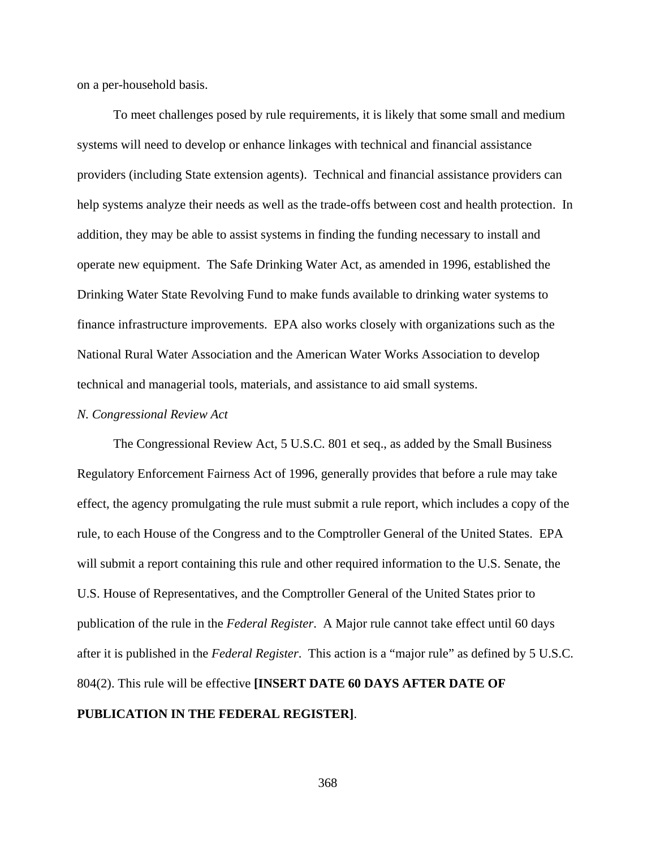on a per-household basis.

To meet challenges posed by rule requirements, it is likely that some small and medium systems will need to develop or enhance linkages with technical and financial assistance providers (including State extension agents). Technical and financial assistance providers can help systems analyze their needs as well as the trade-offs between cost and health protection. In addition, they may be able to assist systems in finding the funding necessary to install and operate new equipment. The Safe Drinking Water Act, as amended in 1996, established the Drinking Water State Revolving Fund to make funds available to drinking water systems to finance infrastructure improvements. EPA also works closely with organizations such as the National Rural Water Association and the American Water Works Association to develop technical and managerial tools, materials, and assistance to aid small systems.

### *N. Congressional Review Act*

The Congressional Review Act, 5 U.S.C. 801 et seq., as added by the Small Business Regulatory Enforcement Fairness Act of 1996, generally provides that before a rule may take effect, the agency promulgating the rule must submit a rule report, which includes a copy of the rule, to each House of the Congress and to the Comptroller General of the United States. EPA will submit a report containing this rule and other required information to the U.S. Senate, the U.S. House of Representatives, and the Comptroller General of the United States prior to publication of the rule in the *Federal Register*. A Major rule cannot take effect until 60 days after it is published in the *Federal Register*. This action is a "major rule" as defined by 5 U.S.C. 804(2). This rule will be effective **[INSERT DATE 60 DAYS AFTER DATE OF PUBLICATION IN THE FEDERAL REGISTER]**.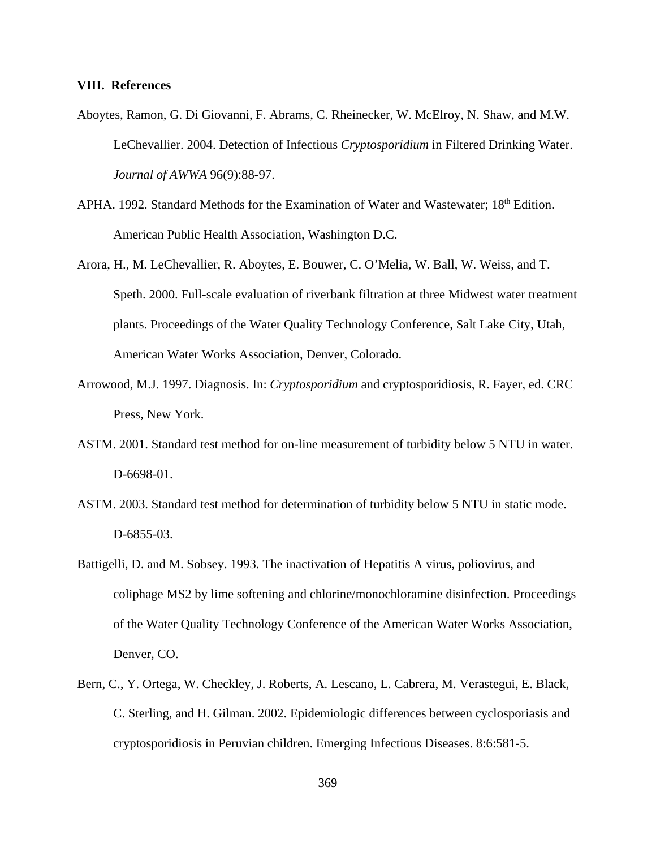### **VIII. References**

- Aboytes, Ramon, G. Di Giovanni, F. Abrams, C. Rheinecker, W. McElroy, N. Shaw, and M.W. LeChevallier. 2004. Detection of Infectious *Cryptosporidium* in Filtered Drinking Water. *Journal of AWWA* 96(9):88-97.
- APHA. 1992. Standard Methods for the Examination of Water and Wastewater; 18<sup>th</sup> Edition. American Public Health Association, Washington D.C.
- Arora, H., M. LeChevallier, R. Aboytes, E. Bouwer, C. O'Melia, W. Ball, W. Weiss, and T. Speth. 2000. Full-scale evaluation of riverbank filtration at three Midwest water treatment plants. Proceedings of the Water Quality Technology Conference, Salt Lake City, Utah, American Water Works Association, Denver, Colorado.
- Arrowood, M.J. 1997. Diagnosis. In: *Cryptosporidium* and cryptosporidiosis, R. Fayer, ed. CRC Press, New York.
- ASTM. 2001. Standard test method for on-line measurement of turbidity below 5 NTU in water. D-6698-01.
- ASTM. 2003. Standard test method for determination of turbidity below 5 NTU in static mode. D-6855-03.
- Battigelli, D. and M. Sobsey. 1993. The inactivation of Hepatitis A virus, poliovirus, and coliphage MS2 by lime softening and chlorine/monochloramine disinfection. Proceedings of the Water Quality Technology Conference of the American Water Works Association, Denver, CO.
- Bern, C., Y. Ortega, W. Checkley, J. Roberts, A. Lescano, L. Cabrera, M. Verastegui, E. Black, C. Sterling, and H. Gilman. 2002. Epidemiologic differences between cyclosporiasis and cryptosporidiosis in Peruvian children. Emerging Infectious Diseases. 8:6:581-5.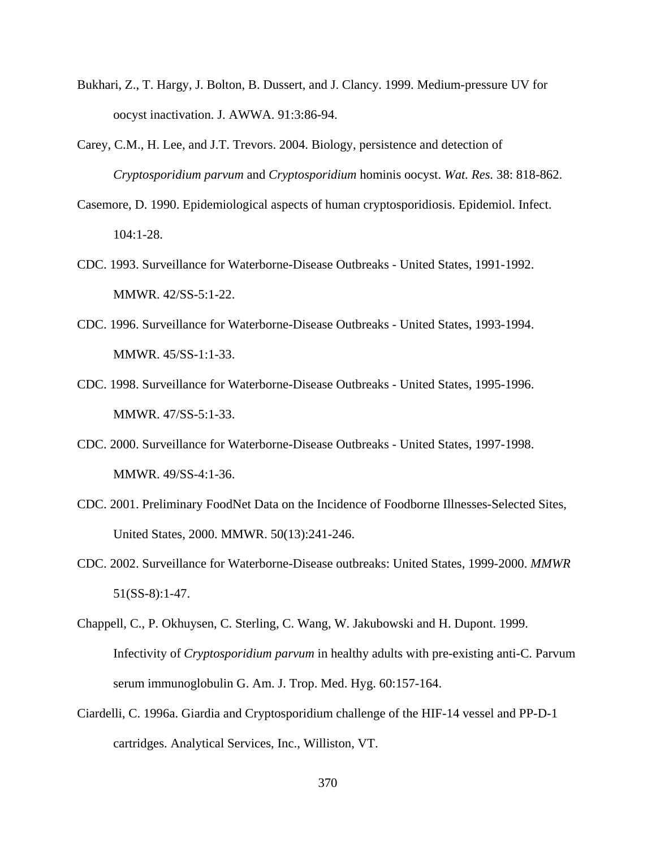- Bukhari, Z., T. Hargy, J. Bolton, B. Dussert, and J. Clancy. 1999. Medium-pressure UV for oocyst inactivation. J. AWWA. 91:3:86-94.
- Carey, C.M., H. Lee, and J.T. Trevors. 2004. Biology, persistence and detection of *Cryptosporidium parvum* and *Cryptosporidium* hominis oocyst. *Wat. Res.* 38: 818-862.
- Casemore, D. 1990. Epidemiological aspects of human cryptosporidiosis. Epidemiol. Infect. 104:1-28.
- CDC. 1993. Surveillance for Waterborne-Disease Outbreaks United States, 1991-1992. MMWR. 42/SS-5:1-22.
- CDC. 1996. Surveillance for Waterborne-Disease Outbreaks United States, 1993-1994. MMWR. 45/SS-1:1-33.
- CDC. 1998. Surveillance for Waterborne-Disease Outbreaks United States, 1995-1996. MMWR. 47/SS-5:1-33.
- CDC. 2000. Surveillance for Waterborne-Disease Outbreaks United States, 1997-1998. MMWR. 49/SS-4:1-36.
- CDC. 2001. Preliminary FoodNet Data on the Incidence of Foodborne Illnesses-Selected Sites, United States, 2000. MMWR. 50(13):241-246.
- CDC. 2002. Surveillance for Waterborne-Disease outbreaks: United States, 1999-2000. *MMWR* 51(SS-8):1-47.
- Chappell, C., P. Okhuysen, C. Sterling, C. Wang, W. Jakubowski and H. Dupont. 1999. Infectivity of *Cryptosporidium parvum* in healthy adults with pre-existing anti-C. Parvum serum immunoglobulin G. Am. J. Trop. Med. Hyg. 60:157-164.
- Ciardelli, C. 1996a. Giardia and Cryptosporidium challenge of the HIF-14 vessel and PP-D-1 cartridges. Analytical Services, Inc., Williston, VT.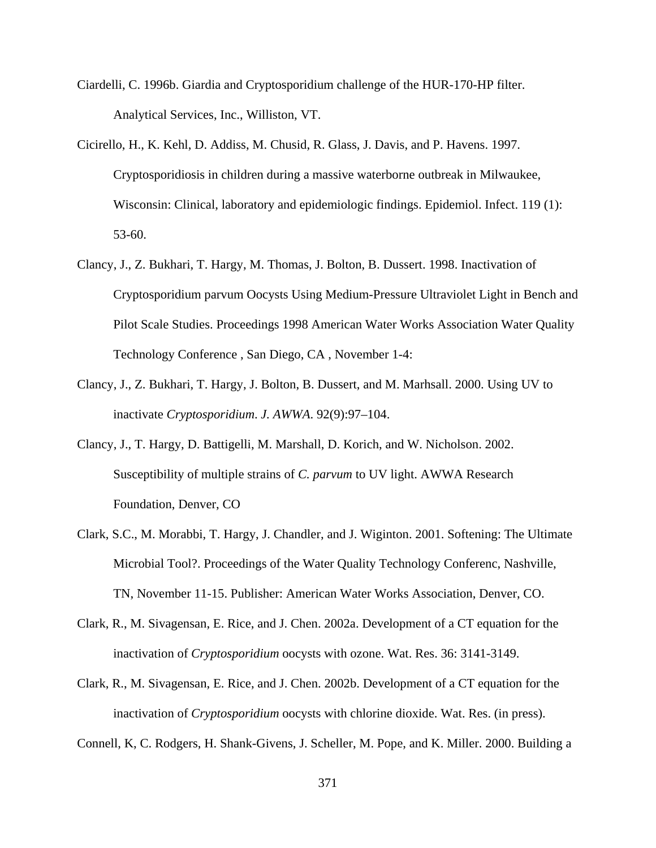- Ciardelli, C. 1996b. Giardia and Cryptosporidium challenge of the HUR-170-HP filter. Analytical Services, Inc., Williston, VT.
- Cicirello, H., K. Kehl, D. Addiss, M. Chusid, R. Glass, J. Davis, and P. Havens. 1997. Cryptosporidiosis in children during a massive waterborne outbreak in Milwaukee, Wisconsin: Clinical, laboratory and epidemiologic findings. Epidemiol. Infect. 119 (1): 53-60.
- Clancy, J., Z. Bukhari, T. Hargy, M. Thomas, J. Bolton, B. Dussert. 1998. Inactivation of Cryptosporidium parvum Oocysts Using Medium-Pressure Ultraviolet Light in Bench and Pilot Scale Studies. Proceedings 1998 American Water Works Association Water Quality Technology Conference , San Diego, CA , November 1-4:
- Clancy, J., Z. Bukhari, T. Hargy, J. Bolton, B. Dussert, and M. Marhsall. 2000. Using UV to inactivate *Cryptosporidium*. *J. AWWA*. 92(9):97–104.
- Clancy, J., T. Hargy, D. Battigelli, M. Marshall, D. Korich, and W. Nicholson. 2002. Susceptibility of multiple strains of *C. parvum* to UV light. AWWA Research Foundation, Denver, CO
- Clark, S.C., M. Morabbi, T. Hargy, J. Chandler, and J. Wiginton. 2001. Softening: The Ultimate Microbial Tool?. Proceedings of the Water Quality Technology Conferenc, Nashville, TN, November 11-15. Publisher: American Water Works Association, Denver, CO.
- Clark, R., M. Sivagensan, E. Rice, and J. Chen. 2002a. Development of a CT equation for the inactivation of *Cryptosporidium* oocysts with ozone. Wat. Res. 36: 3141-3149.
- Clark, R., M. Sivagensan, E. Rice, and J. Chen. 2002b. Development of a CT equation for the inactivation of *Cryptosporidium* oocysts with chlorine dioxide. Wat. Res. (in press).

Connell, K, C. Rodgers, H. Shank-Givens, J. Scheller, M. Pope, and K. Miller. 2000. Building a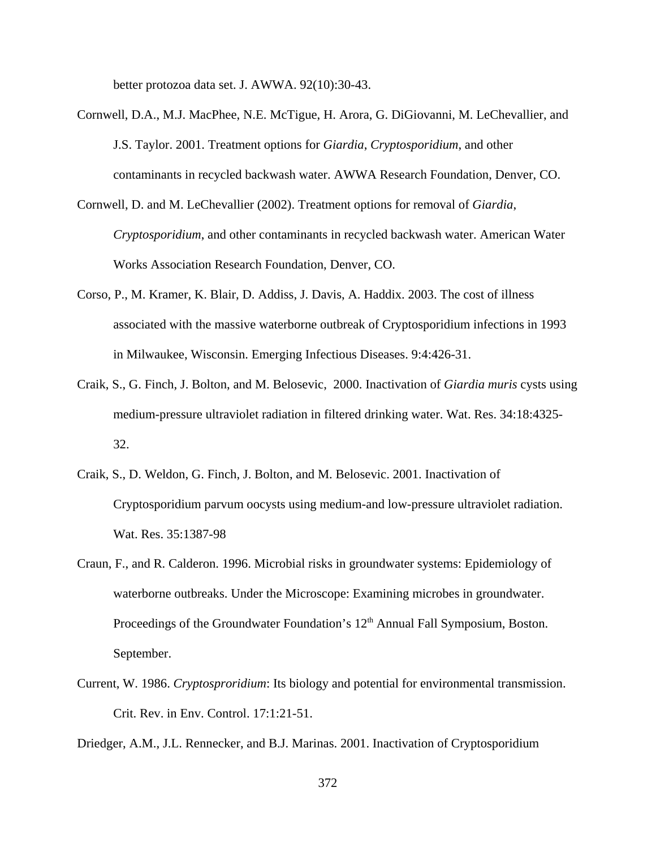better protozoa data set. J. AWWA. 92(10):30-43.

- Cornwell, D.A., M.J. MacPhee, N.E. McTigue, H. Arora, G. DiGiovanni, M. LeChevallier, and J.S. Taylor. 2001. Treatment options for *Giardia*, *Cryptosporidium*, and other contaminants in recycled backwash water. AWWA Research Foundation, Denver, CO.
- Cornwell, D. and M. LeChevallier (2002). Treatment options for removal of *Giardia*, *Cryptosporidium*, and other contaminants in recycled backwash water. American Water Works Association Research Foundation, Denver, CO.
- Corso, P., M. Kramer, K. Blair, D. Addiss, J. Davis, A. Haddix. 2003. The cost of illness associated with the massive waterborne outbreak of Cryptosporidium infections in 1993 in Milwaukee, Wisconsin. Emerging Infectious Diseases. 9:4:426-31.
- Craik, S., G. Finch, J. Bolton, and M. Belosevic, 2000. Inactivation of *Giardia muris* cysts using medium-pressure ultraviolet radiation in filtered drinking water. Wat. Res. 34:18:4325- 32.
- Craik, S., D. Weldon, G. Finch, J. Bolton, and M. Belosevic. 2001. Inactivation of Cryptosporidium parvum oocysts using medium-and low-pressure ultraviolet radiation. Wat. Res. 35:1387-98
- Craun, F., and R. Calderon. 1996. Microbial risks in groundwater systems: Epidemiology of waterborne outbreaks. Under the Microscope: Examining microbes in groundwater. Proceedings of the Groundwater Foundation's  $12<sup>th</sup>$  Annual Fall Symposium, Boston. September.
- Current, W. 1986. *Cryptosproridium*: Its biology and potential for environmental transmission. Crit. Rev. in Env. Control. 17:1:21-51.
- Driedger, A.M., J.L. Rennecker, and B.J. Marinas. 2001. Inactivation of Cryptosporidium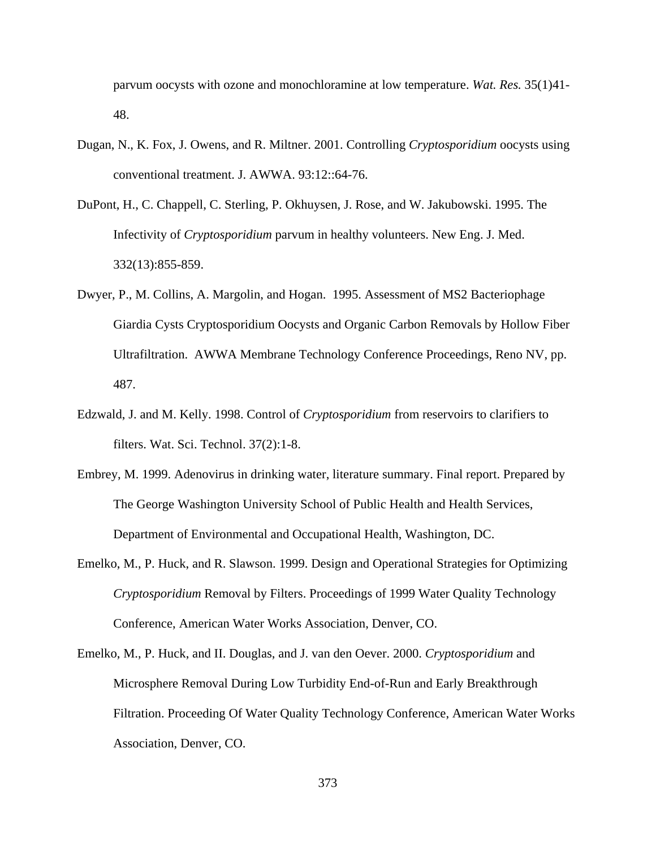parvum oocysts with ozone and monochloramine at low temperature. *Wat. Res.* 35(1)41- 48.

- Dugan, N., K. Fox, J. Owens, and R. Miltner. 2001. Controlling *Cryptosporidium* oocysts using conventional treatment. J. AWWA. 93:12::64-76.
- DuPont, H., C. Chappell, C. Sterling, P. Okhuysen, J. Rose, and W. Jakubowski. 1995. The Infectivity of *Cryptosporidium* parvum in healthy volunteers. New Eng. J. Med. 332(13):855-859.
- Dwyer, P., M. Collins, A. Margolin, and Hogan. 1995. Assessment of MS2 Bacteriophage Giardia Cysts Cryptosporidium Oocysts and Organic Carbon Removals by Hollow Fiber Ultrafiltration. AWWA Membrane Technology Conference Proceedings, Reno NV, pp. 487.
- Edzwald, J. and M. Kelly. 1998. Control of *Cryptosporidium* from reservoirs to clarifiers to filters. Wat. Sci. Technol. 37(2):1-8.
- Embrey, M. 1999. Adenovirus in drinking water, literature summary. Final report. Prepared by The George Washington University School of Public Health and Health Services, Department of Environmental and Occupational Health, Washington, DC.
- Emelko, M., P. Huck, and R. Slawson. 1999. Design and Operational Strategies for Optimizing *Cryptosporidium* Removal by Filters. Proceedings of 1999 Water Quality Technology Conference, American Water Works Association, Denver, CO.
- Emelko, M., P. Huck, and II. Douglas, and J. van den Oever. 2000. *Cryptosporidium* and Microsphere Removal During Low Turbidity End-of-Run and Early Breakthrough Filtration. Proceeding Of Water Quality Technology Conference, American Water Works Association, Denver, CO.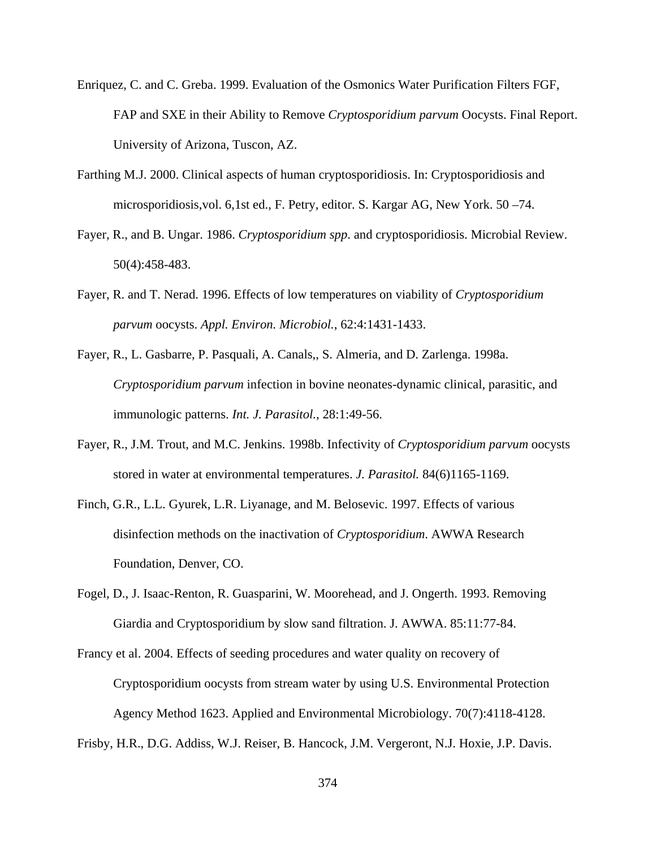- Enriquez, C. and C. Greba. 1999. Evaluation of the Osmonics Water Purification Filters FGF, FAP and SXE in their Ability to Remove *Cryptosporidium parvum* Oocysts. Final Report. University of Arizona, Tuscon, AZ.
- Farthing M.J. 2000. Clinical aspects of human cryptosporidiosis. In: Cryptosporidiosis and microsporidiosis,vol. 6,1st ed., F. Petry, editor. S. Kargar AG, New York. 50 –74.
- Fayer, R., and B. Ungar. 1986. *Cryptosporidium spp*. and cryptosporidiosis. Microbial Review. 50(4):458-483.
- Fayer, R. and T. Nerad. 1996. Effects of low temperatures on viability of *Cryptosporidium parvum* oocysts. *Appl. Environ. Microbiol.*, 62:4:1431-1433.
- Fayer, R., L. Gasbarre, P. Pasquali, A. Canals,, S. Almeria, and D. Zarlenga. 1998a. *Cryptosporidium parvum* infection in bovine neonates-dynamic clinical, parasitic, and immunologic patterns. *Int. J. Parasitol.*, 28:1:49-56.
- Fayer, R., J.M. Trout, and M.C. Jenkins. 1998b. Infectivity of *Cryptosporidium parvum* oocysts stored in water at environmental temperatures. *J. Parasitol.* 84(6)1165-1169.
- Finch, G.R., L.L. Gyurek, L.R. Liyanage, and M. Belosevic. 1997. Effects of various disinfection methods on the inactivation of *Cryptosporidium*. AWWA Research Foundation, Denver, CO.
- Fogel, D., J. Isaac-Renton, R. Guasparini, W. Moorehead, and J. Ongerth. 1993. Removing Giardia and Cryptosporidium by slow sand filtration. J. AWWA. 85:11:77-84.
- Francy et al. 2004. Effects of seeding procedures and water quality on recovery of Cryptosporidium oocysts from stream water by using U.S. Environmental Protection Agency Method 1623. Applied and Environmental Microbiology. 70(7):4118-4128.

Frisby, H.R., D.G. Addiss, W.J. Reiser, B. Hancock, J.M. Vergeront, N.J. Hoxie, J.P. Davis.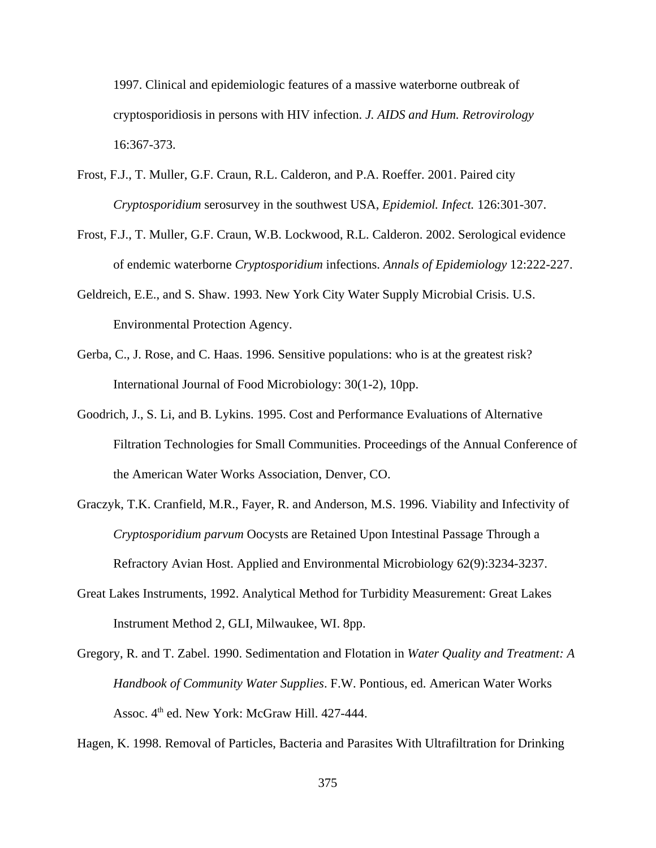1997. Clinical and epidemiologic features of a massive waterborne outbreak of cryptosporidiosis in persons with HIV infection. *J. AIDS and Hum. Retrovirology* 16:367-373.

- Frost, F.J., T. Muller, G.F. Craun, R.L. Calderon, and P.A. Roeffer. 2001. Paired city *Cryptosporidium* serosurvey in the southwest USA, *Epidemiol. Infect.* 126:301-307.
- Frost, F.J., T. Muller, G.F. Craun, W.B. Lockwood, R.L. Calderon. 2002. Serological evidence of endemic waterborne *Cryptosporidium* infections. *Annals of Epidemiology* 12:222-227.
- Geldreich, E.E., and S. Shaw. 1993. New York City Water Supply Microbial Crisis. U.S. Environmental Protection Agency.
- Gerba, C., J. Rose, and C. Haas. 1996. Sensitive populations: who is at the greatest risk? International Journal of Food Microbiology: 30(1-2), 10pp.
- Goodrich, J., S. Li, and B. Lykins. 1995. Cost and Performance Evaluations of Alternative Filtration Technologies for Small Communities. Proceedings of the Annual Conference of the American Water Works Association, Denver, CO.
- Graczyk, T.K. Cranfield, M.R., Fayer, R. and Anderson, M.S. 1996. Viability and Infectivity of *Cryptosporidium parvum* Oocysts are Retained Upon Intestinal Passage Through a Refractory Avian Host. Applied and Environmental Microbiology 62(9):3234-3237.
- Great Lakes Instruments, 1992. Analytical Method for Turbidity Measurement: Great Lakes Instrument Method 2, GLI, Milwaukee, WI. 8pp.
- Gregory, R. and T. Zabel. 1990. Sedimentation and Flotation in *Water Quality and Treatment: A Handbook of Community Water Supplies*. F.W. Pontious, ed. American Water Works Assoc. 4<sup>th</sup> ed. New York: McGraw Hill. 427-444.

Hagen, K. 1998. Removal of Particles, Bacteria and Parasites With Ultrafiltration for Drinking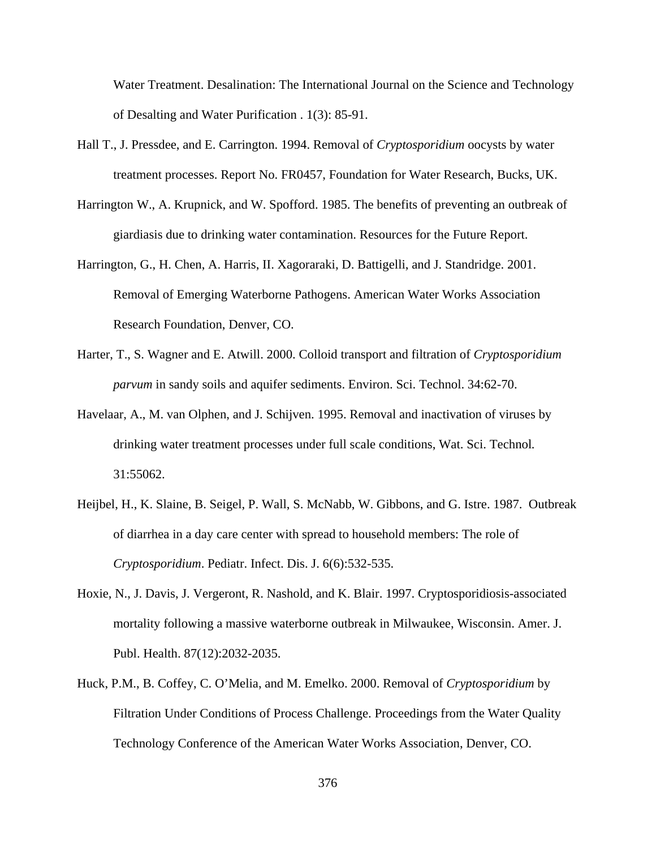Water Treatment. Desalination: The International Journal on the Science and Technology of Desalting and Water Purification . 1(3): 85-91.

- Hall T., J. Pressdee, and E. Carrington. 1994. Removal of *Cryptosporidium* oocysts by water treatment processes. Report No. FR0457, Foundation for Water Research, Bucks, UK.
- Harrington W., A. Krupnick, and W. Spofford. 1985. The benefits of preventing an outbreak of giardiasis due to drinking water contamination. Resources for the Future Report.
- Harrington, G., H. Chen, A. Harris, II. Xagoraraki, D. Battigelli, and J. Standridge. 2001. Removal of Emerging Waterborne Pathogens. American Water Works Association Research Foundation, Denver, CO.
- Harter, T., S. Wagner and E. Atwill. 2000. Colloid transport and filtration of *Cryptosporidium parvum* in sandy soils and aquifer sediments. Environ. Sci. Technol. 34:62-70.
- Havelaar, A., M. van Olphen, and J. Schijven. 1995. Removal and inactivation of viruses by drinking water treatment processes under full scale conditions, Wat. Sci. Technol*.* 31:55062.
- Heijbel, H., K. Slaine, B. Seigel, P. Wall, S. McNabb, W. Gibbons, and G. Istre. 1987. Outbreak of diarrhea in a day care center with spread to household members: The role of *Cryptosporidium*. Pediatr. Infect. Dis. J. 6(6):532-535.
- Hoxie, N., J. Davis, J. Vergeront, R. Nashold, and K. Blair. 1997. Cryptosporidiosis-associated mortality following a massive waterborne outbreak in Milwaukee, Wisconsin. Amer. J. Publ. Health. 87(12):2032-2035.
- Huck, P.M., B. Coffey, C. O'Melia, and M. Emelko. 2000. Removal of *Cryptosporidium* by Filtration Under Conditions of Process Challenge. Proceedings from the Water Quality Technology Conference of the American Water Works Association, Denver, CO.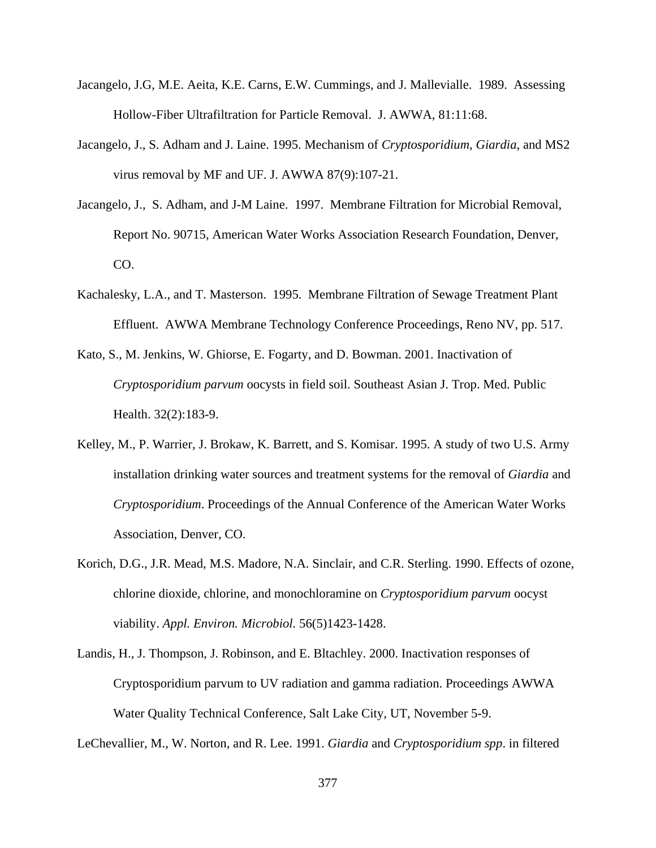- Jacangelo, J.G, M.E. Aeita, K.E. Carns, E.W. Cummings, and J. Mallevialle. 1989. Assessing Hollow-Fiber Ultrafiltration for Particle Removal. J. AWWA, 81:11:68.
- Jacangelo, J., S. Adham and J. Laine. 1995. Mechanism of *Cryptosporidium*, *Giardia*, and MS2 virus removal by MF and UF. J. AWWA 87(9):107-21.
- Jacangelo, J., S. Adham, and J-M Laine. 1997. Membrane Filtration for Microbial Removal, Report No. 90715, American Water Works Association Research Foundation, Denver, CO.
- Kachalesky, L.A., and T. Masterson. 1995. Membrane Filtration of Sewage Treatment Plant Effluent. AWWA Membrane Technology Conference Proceedings, Reno NV, pp. 517.
- Kato, S., M. Jenkins, W. Ghiorse, E. Fogarty, and D. Bowman. 2001. Inactivation of *Cryptosporidium parvum* oocysts in field soil. Southeast Asian J. Trop. Med. Public Health. 32(2):183-9.
- Kelley, M., P. Warrier, J. Brokaw, K. Barrett, and S. Komisar. 1995. A study of two U.S. Army installation drinking water sources and treatment systems for the removal of *Giardia* and *Cryptosporidium*. Proceedings of the Annual Conference of the American Water Works Association, Denver, CO.
- Korich, D.G., J.R. Mead, M.S. Madore, N.A. Sinclair, and C.R. Sterling. 1990. Effects of ozone, chlorine dioxide, chlorine, and monochloramine on *Cryptosporidium parvum* oocyst viability. *Appl. Environ. Microbiol.* 56(5)1423-1428.
- Landis, H., J. Thompson, J. Robinson, and E. Bltachley. 2000. Inactivation responses of Cryptosporidium parvum to UV radiation and gamma radiation. Proceedings AWWA Water Quality Technical Conference, Salt Lake City, UT, November 5-9.

LeChevallier, M., W. Norton, and R. Lee. 1991. *Giardia* and *Cryptosporidium spp*. in filtered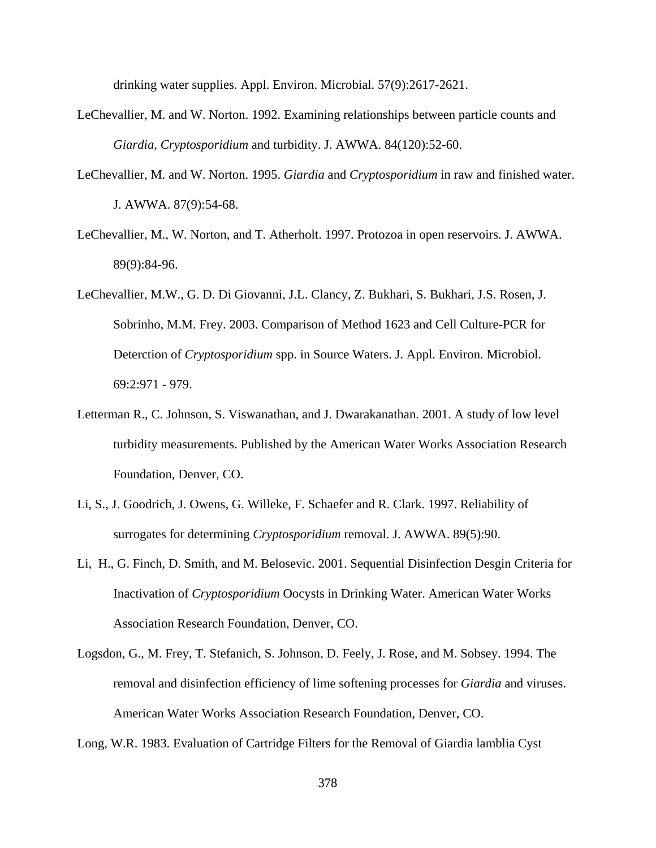drinking water supplies. Appl. Environ. Microbial. 57(9):2617-2621.

- LeChevallier, M. and W. Norton. 1992. Examining relationships between particle counts and *Giardia*, *Cryptosporidium* and turbidity. J. AWWA. 84(120):52-60.
- LeChevallier, M. and W. Norton. 1995. *Giardia* and *Cryptosporidium* in raw and finished water. J. AWWA. 87(9):54-68.
- LeChevallier, M., W. Norton, and T. Atherholt. 1997. Protozoa in open reservoirs. J. AWWA. 89(9):84-96.
- LeChevallier, M.W., G. D. Di Giovanni, J.L. Clancy, Z. Bukhari, S. Bukhari, J.S. Rosen, J. Sobrinho, M.M. Frey. 2003. Comparison of Method 1623 and Cell Culture-PCR for Deterction of *Cryptosporidium* spp. in Source Waters. J. Appl. Environ. Microbiol. 69:2:971 - 979.
- Letterman R., C. Johnson, S. Viswanathan, and J. Dwarakanathan. 2001. A study of low level turbidity measurements. Published by the American Water Works Association Research Foundation, Denver, CO.
- Li, S., J. Goodrich, J. Owens, G. Willeke, F. Schaefer and R. Clark. 1997. Reliability of surrogates for determining *Cryptosporidium* removal. J. AWWA. 89(5):90.
- Li, H., G. Finch, D. Smith, and M. Belosevic. 2001. Sequential Disinfection Desgin Criteria for Inactivation of *Cryptosporidium* Oocysts in Drinking Water. American Water Works Association Research Foundation, Denver, CO.
- Logsdon, G., M. Frey, T. Stefanich, S. Johnson, D. Feely, J. Rose, and M. Sobsey. 1994. The removal and disinfection efficiency of lime softening processes for *Giardia* and viruses. American Water Works Association Research Foundation, Denver, CO.

Long, W.R. 1983. Evaluation of Cartridge Filters for the Removal of Giardia lamblia Cyst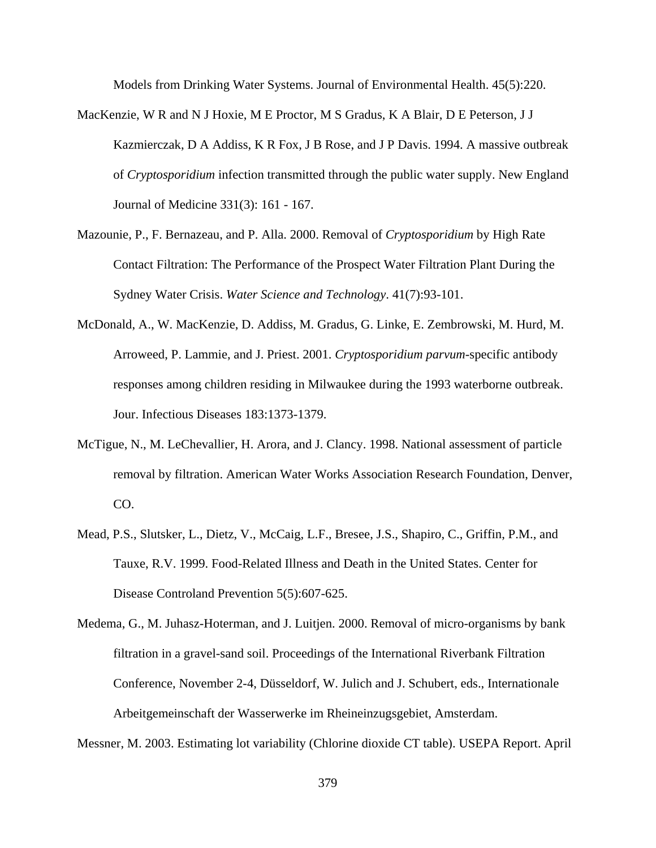Models from Drinking Water Systems. Journal of Environmental Health. 45(5):220.

- MacKenzie, W R and N J Hoxie, M E Proctor, M S Gradus, K A Blair, D E Peterson, J J Kazmierczak, D A Addiss, K R Fox, J B Rose, and J P Davis. 1994. A massive outbreak of *Cryptosporidium* infection transmitted through the public water supply. New England Journal of Medicine 331(3): 161 - 167.
- Mazounie, P., F. Bernazeau, and P. Alla. 2000. Removal of *Cryptosporidium* by High Rate Contact Filtration: The Performance of the Prospect Water Filtration Plant During the Sydney Water Crisis. *Water Science and Technology*. 41(7):93-101.
- McDonald, A., W. MacKenzie, D. Addiss, M. Gradus, G. Linke, E. Zembrowski, M. Hurd, M. Arroweed, P. Lammie, and J. Priest. 2001. *Cryptosporidium parvum*-specific antibody responses among children residing in Milwaukee during the 1993 waterborne outbreak. Jour. Infectious Diseases 183:1373-1379.
- McTigue, N., M. LeChevallier, H. Arora, and J. Clancy. 1998. National assessment of particle removal by filtration. American Water Works Association Research Foundation, Denver, CO.
- Mead, P.S., Slutsker, L., Dietz, V., McCaig, L.F., Bresee, J.S., Shapiro, C., Griffin, P.M., and Tauxe, R.V. 1999. Food-Related Illness and Death in the United States. Center for Disease Controland Prevention 5(5):607-625.
- Medema, G., M. Juhasz-Hoterman, and J. Luitjen. 2000. Removal of micro-organisms by bank filtration in a gravel-sand soil. Proceedings of the International Riverbank Filtration Conference, November 2-4, Düsseldorf, W. Julich and J. Schubert, eds., Internationale Arbeitgemeinschaft der Wasserwerke im Rheineinzugsgebiet, Amsterdam.

Messner, M. 2003. Estimating lot variability (Chlorine dioxide CT table). USEPA Report. April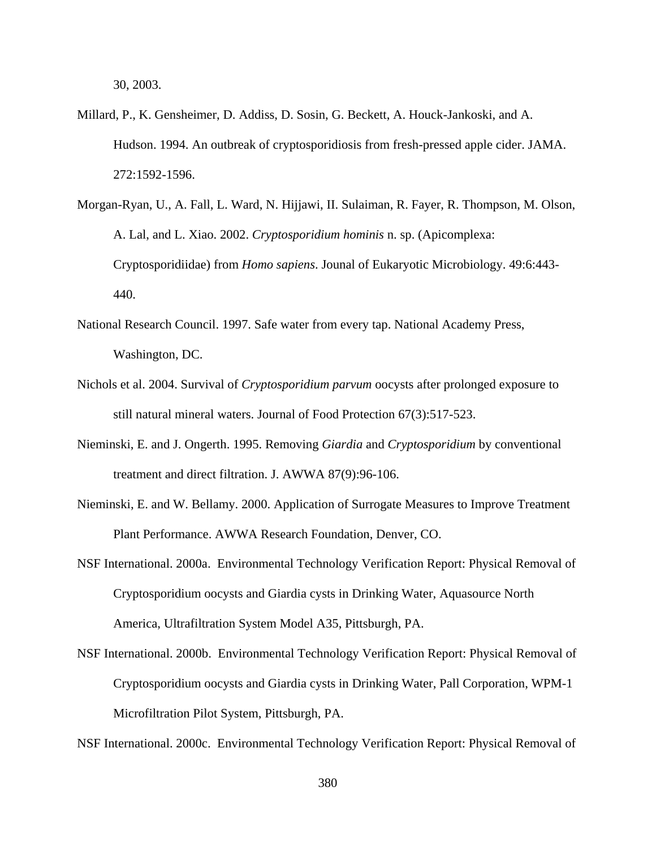30, 2003.

- Millard, P., K. Gensheimer, D. Addiss, D. Sosin, G. Beckett, A. Houck-Jankoski, and A. Hudson. 1994. An outbreak of cryptosporidiosis from fresh-pressed apple cider. JAMA. 272:1592-1596.
- Morgan-Ryan, U., A. Fall, L. Ward, N. Hijjawi, II. Sulaiman, R. Fayer, R. Thompson, M. Olson, A. Lal, and L. Xiao. 2002. *Cryptosporidium hominis* n. sp. (Apicomplexa: Cryptosporidiidae) from *Homo sapiens*. Jounal of Eukaryotic Microbiology. 49:6:443- 440.
- National Research Council. 1997. Safe water from every tap. National Academy Press, Washington, DC.
- Nichols et al. 2004. Survival of *Cryptosporidium parvum* oocysts after prolonged exposure to still natural mineral waters. Journal of Food Protection 67(3):517-523.
- Nieminski, E. and J. Ongerth. 1995. Removing *Giardia* and *Cryptosporidium* by conventional treatment and direct filtration. J. AWWA 87(9):96-106.
- Nieminski, E. and W. Bellamy. 2000. Application of Surrogate Measures to Improve Treatment Plant Performance. AWWA Research Foundation, Denver, CO.
- NSF International. 2000a. Environmental Technology Verification Report: Physical Removal of Cryptosporidium oocysts and Giardia cysts in Drinking Water, Aquasource North America, Ultrafiltration System Model A35, Pittsburgh, PA.
- NSF International. 2000b. Environmental Technology Verification Report: Physical Removal of Cryptosporidium oocysts and Giardia cysts in Drinking Water, Pall Corporation, WPM-1 Microfiltration Pilot System, Pittsburgh, PA.

NSF International. 2000c. Environmental Technology Verification Report: Physical Removal of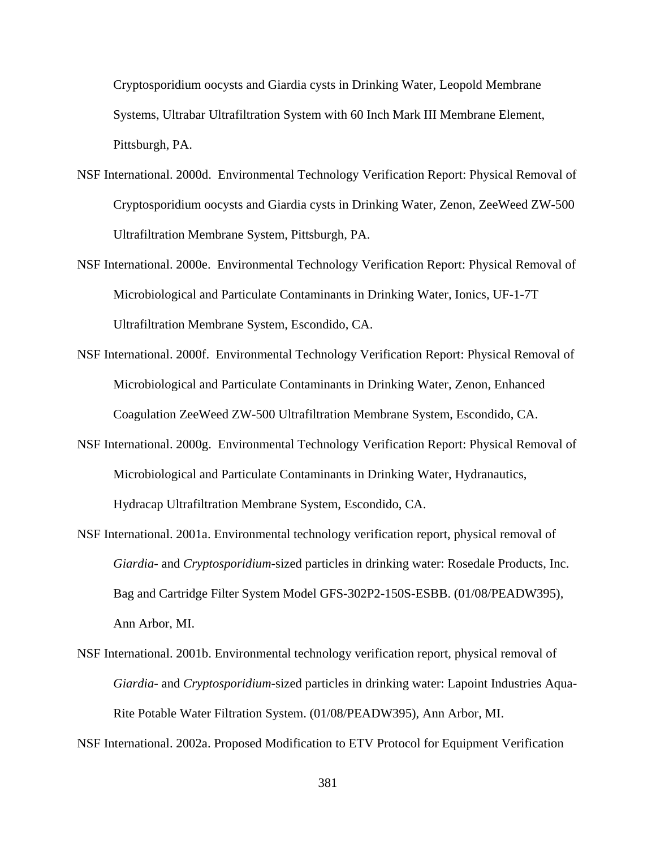Cryptosporidium oocysts and Giardia cysts in Drinking Water, Leopold Membrane Systems, Ultrabar Ultrafiltration System with 60 Inch Mark III Membrane Element, Pittsburgh, PA.

- NSF International. 2000d. Environmental Technology Verification Report: Physical Removal of Cryptosporidium oocysts and Giardia cysts in Drinking Water, Zenon, ZeeWeed ZW-500 Ultrafiltration Membrane System, Pittsburgh, PA.
- NSF International. 2000e. Environmental Technology Verification Report: Physical Removal of Microbiological and Particulate Contaminants in Drinking Water, Ionics, UF-1-7T Ultrafiltration Membrane System, Escondido, CA.
- NSF International. 2000f. Environmental Technology Verification Report: Physical Removal of Microbiological and Particulate Contaminants in Drinking Water, Zenon, Enhanced Coagulation ZeeWeed ZW-500 Ultrafiltration Membrane System, Escondido, CA.
- NSF International. 2000g. Environmental Technology Verification Report: Physical Removal of Microbiological and Particulate Contaminants in Drinking Water, Hydranautics, Hydracap Ultrafiltration Membrane System, Escondido, CA.
- NSF International. 2001a. Environmental technology verification report, physical removal of *Giardia*- and *Cryptosporidium*-sized particles in drinking water: Rosedale Products, Inc. Bag and Cartridge Filter System Model GFS-302P2-150S-ESBB. (01/08/PEADW395), Ann Arbor, MI.
- NSF International. 2001b. Environmental technology verification report, physical removal of *Giardia*- and *Cryptosporidium*-sized particles in drinking water: Lapoint Industries Aqua-Rite Potable Water Filtration System. (01/08/PEADW395), Ann Arbor, MI.

NSF International. 2002a. Proposed Modification to ETV Protocol for Equipment Verification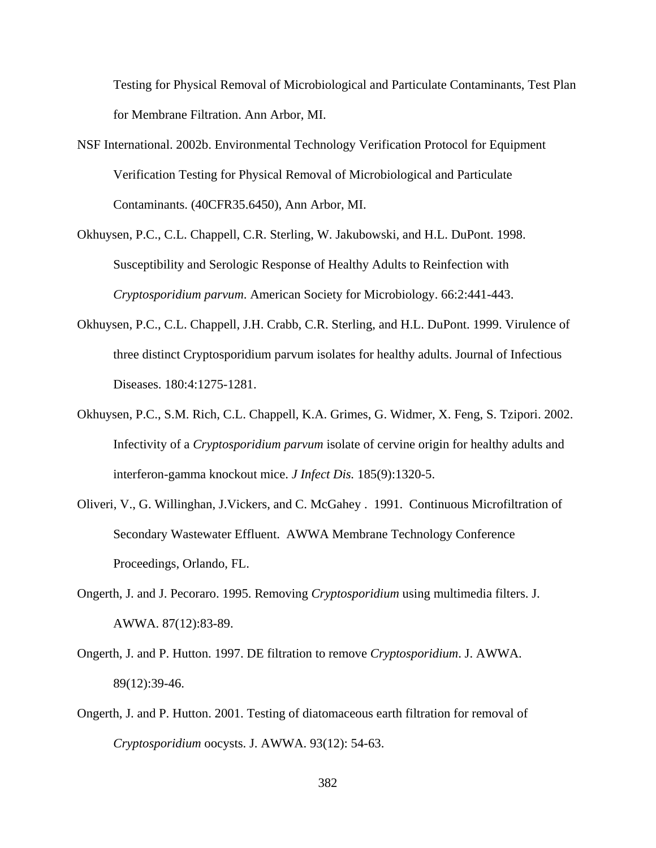Testing for Physical Removal of Microbiological and Particulate Contaminants, Test Plan for Membrane Filtration. Ann Arbor, MI.

- NSF International. 2002b. Environmental Technology Verification Protocol for Equipment Verification Testing for Physical Removal of Microbiological and Particulate Contaminants. (40CFR35.6450), Ann Arbor, MI.
- Okhuysen, P.C., C.L. Chappell, C.R. Sterling, W. Jakubowski, and H.L. DuPont. 1998. Susceptibility and Serologic Response of Healthy Adults to Reinfection with *Cryptosporidium parvum*. American Society for Microbiology. 66:2:441-443.
- Okhuysen, P.C., C.L. Chappell, J.H. Crabb, C.R. Sterling, and H.L. DuPont. 1999. Virulence of three distinct Cryptosporidium parvum isolates for healthy adults. Journal of Infectious Diseases. 180:4:1275-1281.
- Okhuysen, P.C., S.M. Rich, C.L. Chappell, K.A. Grimes, G. Widmer, X. Feng, S. Tzipori. 2002. Infectivity of a *Cryptosporidium parvum* isolate of cervine origin for healthy adults and interferon-gamma knockout mice. *J Infect Dis.* 185(9):1320-5.
- Oliveri, V., G. Willinghan, J.Vickers, and C. McGahey . 1991. Continuous Microfiltration of Secondary Wastewater Effluent. AWWA Membrane Technology Conference Proceedings, Orlando, FL.
- Ongerth, J. and J. Pecoraro. 1995. Removing *Cryptosporidium* using multimedia filters. J. AWWA. 87(12):83-89.
- Ongerth, J. and P. Hutton. 1997. DE filtration to remove *Cryptosporidium*. J. AWWA. 89(12):39-46.
- Ongerth, J. and P. Hutton. 2001. Testing of diatomaceous earth filtration for removal of *Cryptosporidium* oocysts. J. AWWA. 93(12): 54-63.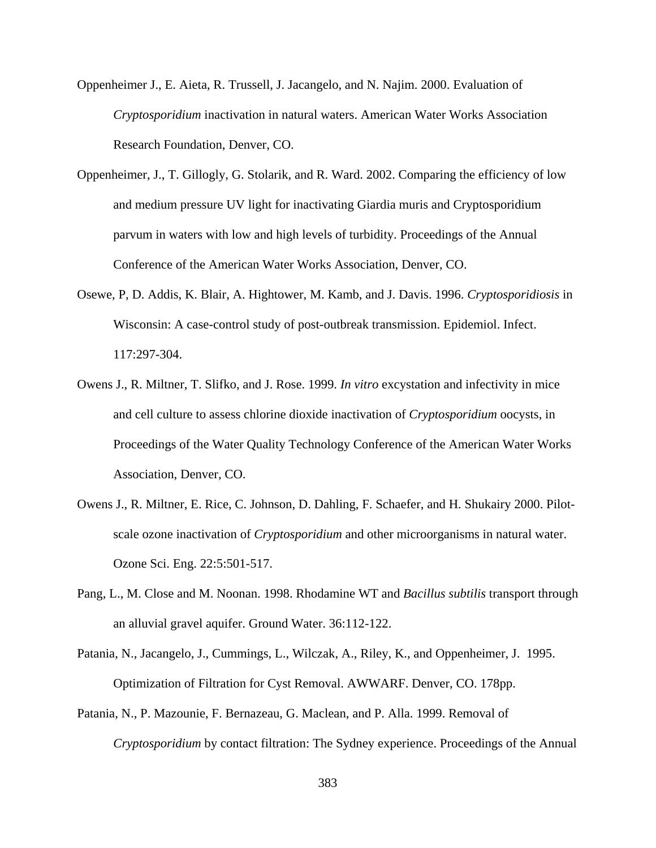- Oppenheimer J., E. Aieta, R. Trussell, J. Jacangelo, and N. Najim. 2000. Evaluation of *Cryptosporidium* inactivation in natural waters. American Water Works Association Research Foundation, Denver, CO.
- Oppenheimer, J., T. Gillogly, G. Stolarik, and R. Ward. 2002. Comparing the efficiency of low and medium pressure UV light for inactivating Giardia muris and Cryptosporidium parvum in waters with low and high levels of turbidity. Proceedings of the Annual Conference of the American Water Works Association, Denver, CO.
- Osewe, P, D. Addis, K. Blair, A. Hightower, M. Kamb, and J. Davis. 1996. *Cryptosporidiosis* in Wisconsin: A case-control study of post-outbreak transmission. Epidemiol. Infect. 117:297-304.
- Owens J., R. Miltner, T. Slifko, and J. Rose. 1999. *In vitro* excystation and infectivity in mice and cell culture to assess chlorine dioxide inactivation of *Cryptosporidium* oocysts, in Proceedings of the Water Quality Technology Conference of the American Water Works Association, Denver, CO.
- Owens J., R. Miltner, E. Rice, C. Johnson, D. Dahling, F. Schaefer, and H. Shukairy 2000. Pilotscale ozone inactivation of *Cryptosporidium* and other microorganisms in natural water. Ozone Sci. Eng. 22:5:501-517.
- Pang, L., M. Close and M. Noonan. 1998. Rhodamine WT and *Bacillus subtilis* transport through an alluvial gravel aquifer. Ground Water. 36:112-122.
- Patania, N., Jacangelo, J., Cummings, L., Wilczak, A., Riley, K., and Oppenheimer, J. 1995. Optimization of Filtration for Cyst Removal. AWWARF. Denver, CO. 178pp.
- Patania, N., P. Mazounie, F. Bernazeau, G. Maclean, and P. Alla. 1999. Removal of *Cryptosporidium* by contact filtration: The Sydney experience. Proceedings of the Annual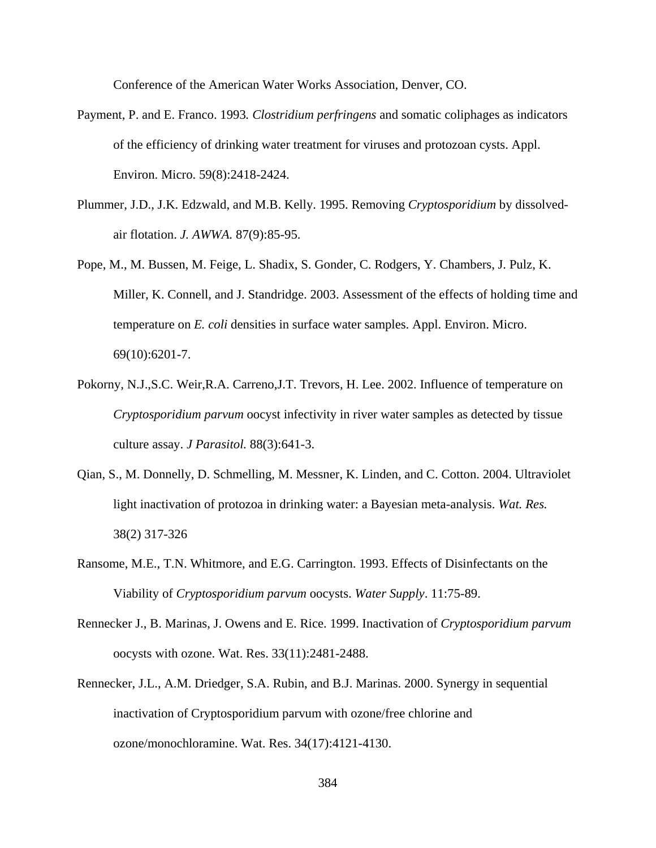Conference of the American Water Works Association, Denver, CO.

- Payment, P. and E. Franco. 1993*. Clostridium perfringens* and somatic coliphages as indicators of the efficiency of drinking water treatment for viruses and protozoan cysts. Appl. Environ. Micro. 59(8):2418-2424.
- Plummer, J.D., J.K. Edzwald, and M.B. Kelly. 1995. Removing *Cryptosporidium* by dissolvedair flotation. *J. AWWA.* 87(9):85-95.
- Pope, M., M. Bussen, M. Feige, L. Shadix, S. Gonder, C. Rodgers, Y. Chambers, J. Pulz, K. Miller, K. Connell, and J. Standridge. 2003. Assessment of the effects of holding time and temperature on *E. coli* densities in surface water samples. Appl. Environ. Micro. 69(10):6201-7.
- Pokorny, N.J.,S.C. Weir,R.A. Carreno,J.T. Trevors, H. Lee. 2002. Influence of temperature on *Cryptosporidium parvum* oocyst infectivity in river water samples as detected by tissue culture assay. *J Parasitol.* 88(3):641-3.
- Qian, S., M. Donnelly, D. Schmelling, M. Messner, K. Linden, and C. Cotton. 2004. Ultraviolet light inactivation of protozoa in drinking water: a Bayesian meta-analysis. *Wat. Res.* 38(2) 317-326
- Ransome, M.E., T.N. Whitmore, and E.G. Carrington. 1993. Effects of Disinfectants on the Viability of *Cryptosporidium parvum* oocysts. *Water Supply*. 11:75-89.
- Rennecker J., B. Marinas, J. Owens and E. Rice. 1999. Inactivation of *Cryptosporidium parvum* oocysts with ozone. Wat. Res. 33(11):2481-2488.
- Rennecker, J.L., A.M. Driedger, S.A. Rubin, and B.J. Marinas. 2000. Synergy in sequential inactivation of Cryptosporidium parvum with ozone/free chlorine and ozone/monochloramine. Wat. Res. 34(17):4121-4130.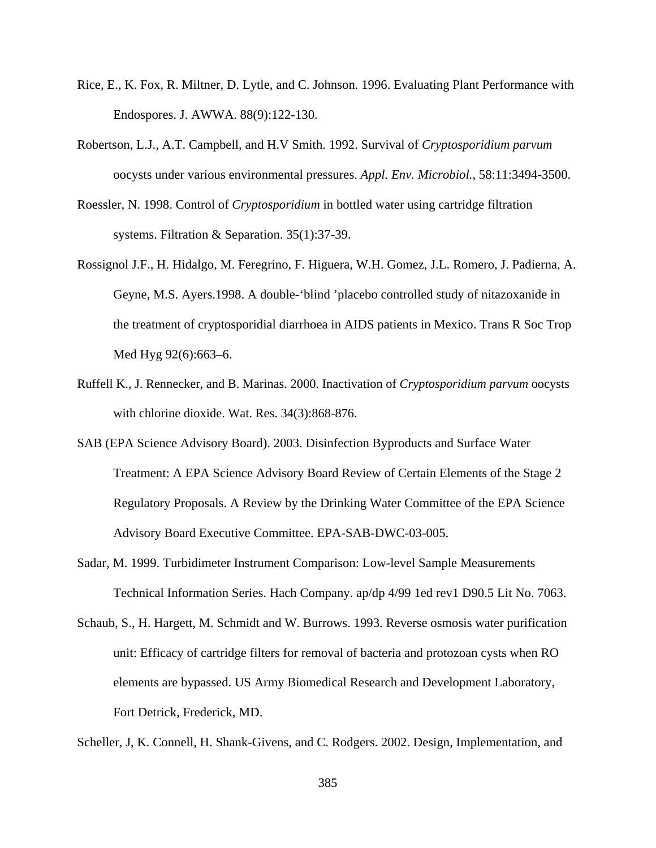- Rice, E., K. Fox, R. Miltner, D. Lytle, and C. Johnson. 1996. Evaluating Plant Performance with Endospores. J. AWWA. 88(9):122-130.
- Robertson, L.J., A.T. Campbell, and H.V Smith. 1992. Survival of *Cryptosporidium parvum* oocysts under various environmental pressures. *Appl. Env. Microbiol.*, 58:11:3494-3500.
- Roessler, N. 1998. Control of *Cryptosporidium* in bottled water using cartridge filtration systems. Filtration & Separation. 35(1):37-39.
- Rossignol J.F., H. Hidalgo, M. Feregrino, F. Higuera, W.H. Gomez, J.L. Romero, J. Padierna, A. Geyne, M.S. Ayers.1998. A double-'blind 'placebo controlled study of nitazoxanide in the treatment of cryptosporidial diarrhoea in AIDS patients in Mexico. Trans R Soc Trop Med Hyg 92(6):663–6.
- Ruffell K., J. Rennecker, and B. Marinas. 2000. Inactivation of *Cryptosporidium parvum* oocysts with chlorine dioxide. Wat. Res. 34(3):868-876.
- SAB (EPA Science Advisory Board). 2003. Disinfection Byproducts and Surface Water Treatment: A EPA Science Advisory Board Review of Certain Elements of the Stage 2 Regulatory Proposals. A Review by the Drinking Water Committee of the EPA Science Advisory Board Executive Committee. EPA-SAB-DWC-03-005.
- Sadar, M. 1999. Turbidimeter Instrument Comparison: Low-level Sample Measurements Technical Information Series. Hach Company. ap/dp 4/99 1ed rev1 D90.5 Lit No. 7063.
- Schaub, S., H. Hargett, M. Schmidt and W. Burrows. 1993. Reverse osmosis water purification unit: Efficacy of cartridge filters for removal of bacteria and protozoan cysts when RO elements are bypassed. US Army Biomedical Research and Development Laboratory, Fort Detrick, Frederick, MD.

Scheller, J, K. Connell, H. Shank-Givens, and C. Rodgers. 2002. Design, Implementation, and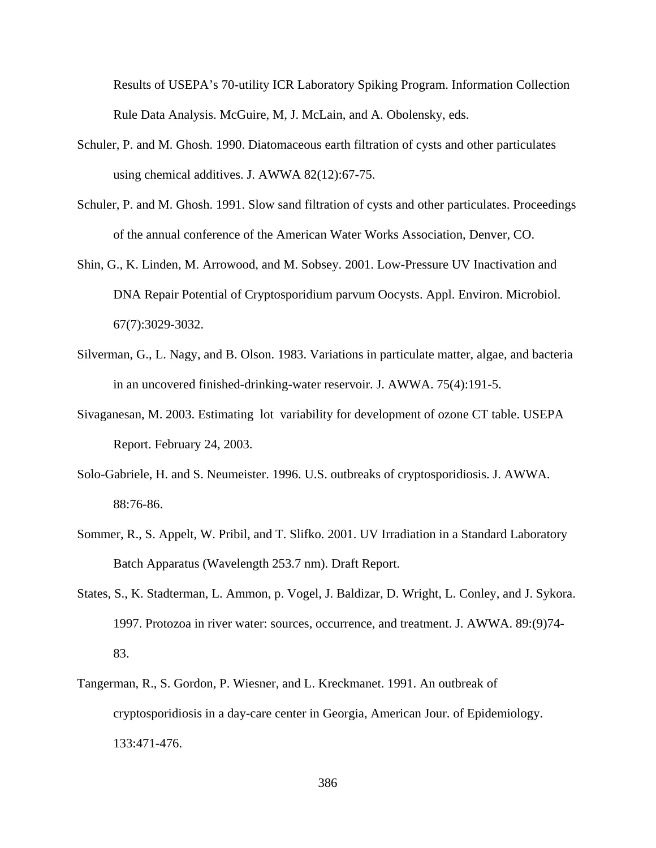Results of USEPA's 70-utility ICR Laboratory Spiking Program. Information Collection Rule Data Analysis. McGuire, M, J. McLain, and A. Obolensky, eds.

- Schuler, P. and M. Ghosh. 1990. Diatomaceous earth filtration of cysts and other particulates using chemical additives. J. AWWA 82(12):67-75.
- Schuler, P. and M. Ghosh. 1991. Slow sand filtration of cysts and other particulates. Proceedings of the annual conference of the American Water Works Association, Denver, CO.
- Shin, G., K. Linden, M. Arrowood, and M. Sobsey. 2001. Low-Pressure UV Inactivation and DNA Repair Potential of Cryptosporidium parvum Oocysts. Appl. Environ. Microbiol. 67(7):3029-3032.
- Silverman, G., L. Nagy, and B. Olson. 1983. Variations in particulate matter, algae, and bacteria in an uncovered finished-drinking-water reservoir. J. AWWA. 75(4):191-5.
- Sivaganesan, M. 2003. Estimating lot variability for development of ozone CT table. USEPA Report. February 24, 2003.
- Solo-Gabriele, H. and S. Neumeister. 1996. U.S. outbreaks of cryptosporidiosis. J. AWWA. 88:76-86.
- Sommer, R., S. Appelt, W. Pribil, and T. Slifko. 2001. UV Irradiation in a Standard Laboratory Batch Apparatus (Wavelength 253.7 nm). Draft Report.
- States, S., K. Stadterman, L. Ammon, p. Vogel, J. Baldizar, D. Wright, L. Conley, and J. Sykora. 1997. Protozoa in river water: sources, occurrence, and treatment. J. AWWA. 89:(9)74- 83.
- Tangerman, R., S. Gordon, P. Wiesner, and L. Kreckmanet. 1991. An outbreak of cryptosporidiosis in a day-care center in Georgia, American Jour. of Epidemiology. 133:471-476.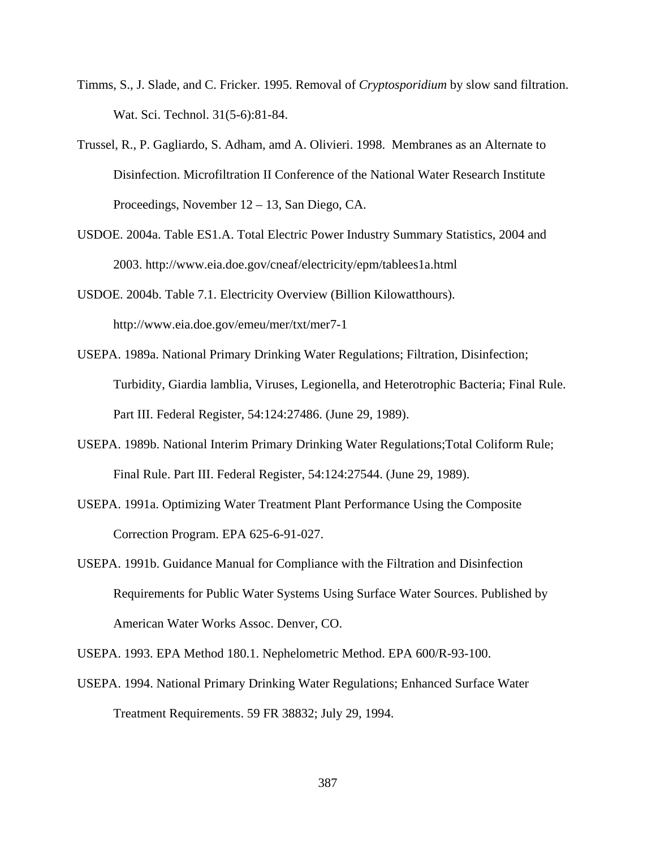- Timms, S., J. Slade, and C. Fricker. 1995. Removal of *Cryptosporidium* by slow sand filtration. Wat. Sci. Technol. 31(5-6):81-84.
- Trussel, R., P. Gagliardo, S. Adham, amd A. Olivieri. 1998. Membranes as an Alternate to Disinfection. Microfiltration II Conference of the National Water Research Institute Proceedings, November 12 – 13, San Diego, CA.
- USDOE. 2004a. Table ES1.A. Total Electric Power Industry Summary Statistics, 2004 and 2003. http://www.eia.doe.gov/cneaf/electricity/epm/tablees1a.html
- USDOE. 2004b. Table 7.1. Electricity Overview (Billion Kilowatthours). http://www.eia.doe.gov/emeu/mer/txt/mer7-1
- USEPA. 1989a. National Primary Drinking Water Regulations; Filtration, Disinfection; Turbidity, Giardia lamblia, Viruses, Legionella, and Heterotrophic Bacteria; Final Rule. Part III. Federal Register, 54:124:27486. (June 29, 1989).
- USEPA. 1989b. National Interim Primary Drinking Water Regulations;Total Coliform Rule; Final Rule. Part III. Federal Register, 54:124:27544. (June 29, 1989).
- USEPA. 1991a. Optimizing Water Treatment Plant Performance Using the Composite Correction Program. EPA 625-6-91-027.
- USEPA. 1991b. Guidance Manual for Compliance with the Filtration and Disinfection Requirements for Public Water Systems Using Surface Water Sources. Published by American Water Works Assoc. Denver, CO.

USEPA. 1993. EPA Method 180.1. Nephelometric Method. EPA 600/R-93-100.

USEPA. 1994. National Primary Drinking Water Regulations; Enhanced Surface Water Treatment Requirements. 59 FR 38832; July 29, 1994.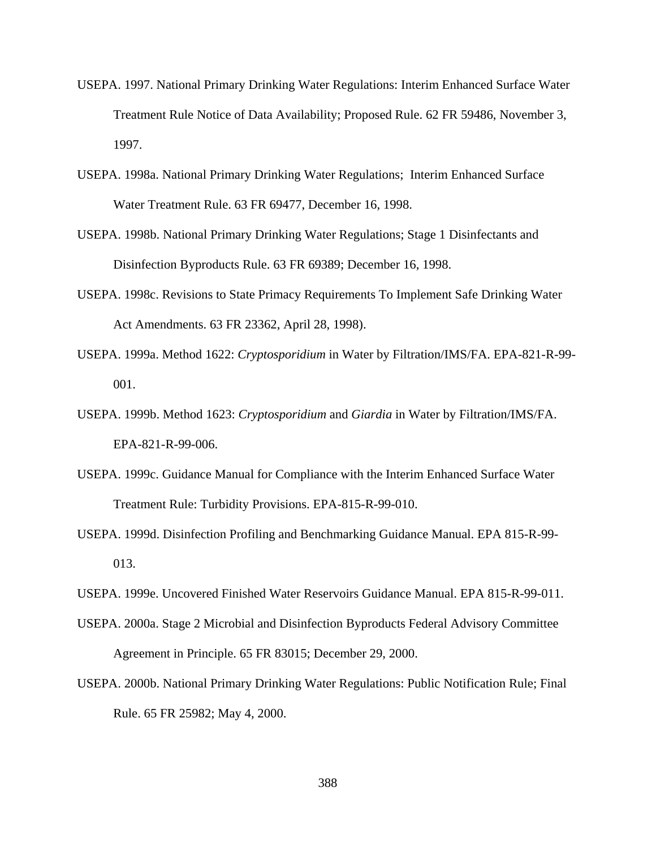- USEPA. 1997. National Primary Drinking Water Regulations: Interim Enhanced Surface Water Treatment Rule Notice of Data Availability; Proposed Rule. 62 FR 59486, November 3, 1997.
- USEPA. 1998a. National Primary Drinking Water Regulations; Interim Enhanced Surface Water Treatment Rule. 63 FR 69477, December 16, 1998.
- USEPA. 1998b. National Primary Drinking Water Regulations; Stage 1 Disinfectants and Disinfection Byproducts Rule. 63 FR 69389; December 16, 1998.
- USEPA. 1998c. Revisions to State Primacy Requirements To Implement Safe Drinking Water Act Amendments. 63 FR 23362, April 28, 1998).
- USEPA. 1999a. Method 1622: *Cryptosporidium* in Water by Filtration/IMS/FA. EPA-821-R-99- 001.
- USEPA. 1999b. Method 1623: *Cryptosporidium* and *Giardia* in Water by Filtration/IMS/FA. EPA-821-R-99-006.
- USEPA. 1999c. Guidance Manual for Compliance with the Interim Enhanced Surface Water Treatment Rule: Turbidity Provisions. EPA-815-R-99-010.
- USEPA. 1999d. Disinfection Profiling and Benchmarking Guidance Manual. EPA 815-R-99- 013.
- USEPA. 1999e. Uncovered Finished Water Reservoirs Guidance Manual. EPA 815-R-99-011.
- USEPA. 2000a. Stage 2 Microbial and Disinfection Byproducts Federal Advisory Committee Agreement in Principle. 65 FR 83015; December 29, 2000.
- USEPA. 2000b. National Primary Drinking Water Regulations: Public Notification Rule; Final Rule. 65 FR 25982; May 4, 2000.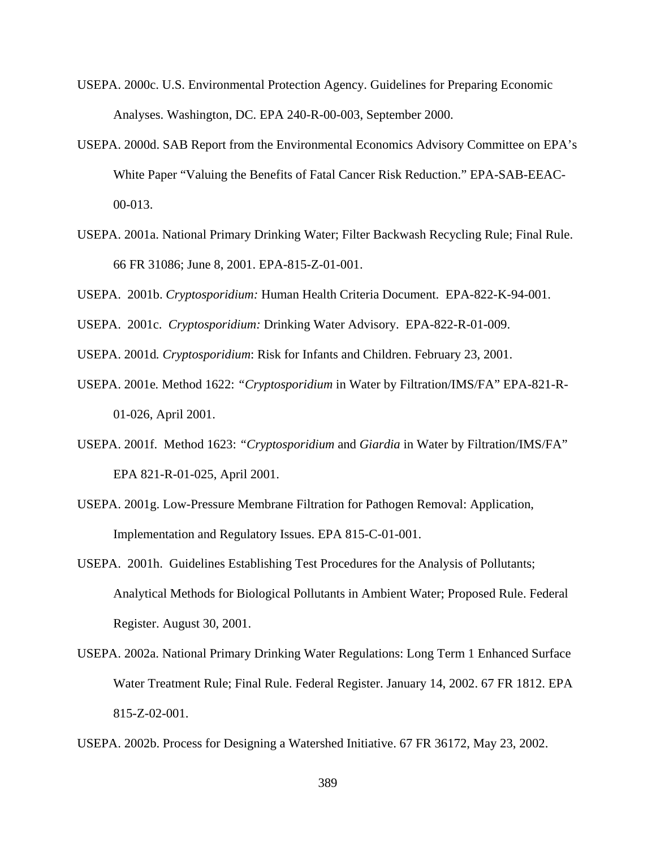- USEPA. 2000c. U.S. Environmental Protection Agency. Guidelines for Preparing Economic Analyses. Washington, DC. EPA 240-R-00-003, September 2000.
- USEPA. 2000d. SAB Report from the Environmental Economics Advisory Committee on EPA's White Paper "Valuing the Benefits of Fatal Cancer Risk Reduction." EPA-SAB-EEAC-00-013.
- USEPA. 2001a. National Primary Drinking Water; Filter Backwash Recycling Rule; Final Rule. 66 FR 31086; June 8, 2001. EPA-815-Z-01-001.
- USEPA. 2001b. *Cryptosporidium:* Human Health Criteria Document. EPA-822-K-94-001.
- USEPA. 2001c. *Cryptosporidium:* Drinking Water Advisory. EPA-822-R-01-009.

USEPA. 2001d*. Cryptosporidium*: Risk for Infants and Children. February 23, 2001.

- USEPA. 2001e*.* Method 1622: *"Cryptosporidium* in Water by Filtration/IMS/FA" EPA-821-R-01-026, April 2001.
- USEPA. 2001f. Method 1623: *"Cryptosporidium* and *Giardia* in Water by Filtration/IMS/FA" EPA 821-R-01-025, April 2001.
- USEPA. 2001g. Low-Pressure Membrane Filtration for Pathogen Removal: Application, Implementation and Regulatory Issues. EPA 815-C-01-001.
- USEPA. 2001h. Guidelines Establishing Test Procedures for the Analysis of Pollutants; Analytical Methods for Biological Pollutants in Ambient Water; Proposed Rule. Federal Register. August 30, 2001.
- USEPA. 2002a. National Primary Drinking Water Regulations: Long Term 1 Enhanced Surface Water Treatment Rule; Final Rule. Federal Register. January 14, 2002. 67 FR 1812. EPA 815-Z-02-001.
- USEPA. 2002b. Process for Designing a Watershed Initiative. 67 FR 36172, May 23, 2002.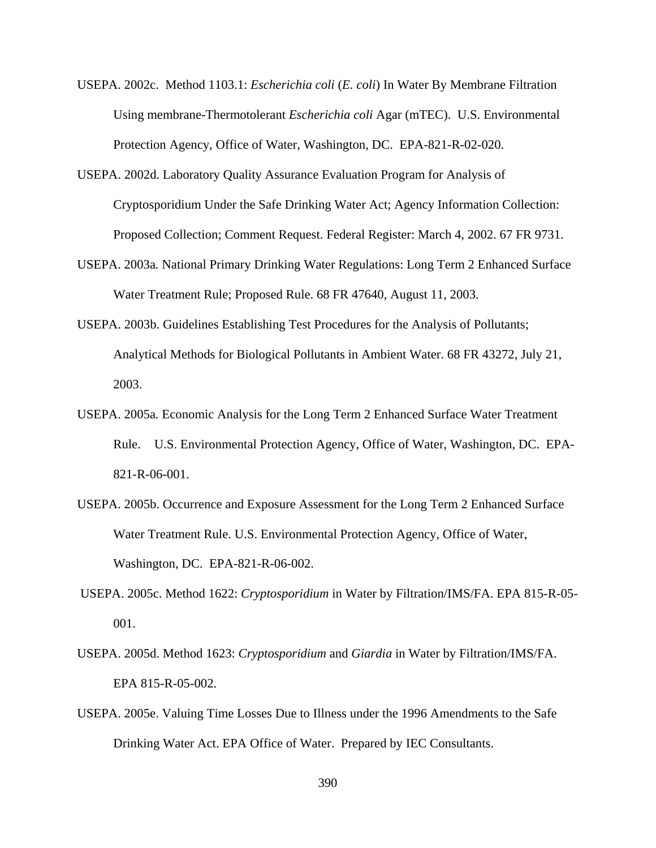- USEPA. 2002c. Method 1103.1: *Escherichia coli* (*E. coli*) In Water By Membrane Filtration Using membrane-Thermotolerant *Escherichia coli* Agar (mTEC). U.S. Environmental Protection Agency, Office of Water, Washington, DC. EPA-821-R-02-020.
- USEPA. 2002d. Laboratory Quality Assurance Evaluation Program for Analysis of Cryptosporidium Under the Safe Drinking Water Act; Agency Information Collection: Proposed Collection; Comment Request. Federal Register: March 4, 2002. 67 FR 9731.
- USEPA. 2003a*.* National Primary Drinking Water Regulations: Long Term 2 Enhanced Surface Water Treatment Rule; Proposed Rule. 68 FR 47640, August 11, 2003.
- USEPA. 2003b. Guidelines Establishing Test Procedures for the Analysis of Pollutants; Analytical Methods for Biological Pollutants in Ambient Water. 68 FR 43272, July 21, 2003.
- USEPA. 2005a*.* Economic Analysis for the Long Term 2 Enhanced Surface Water Treatment Rule. U.S. Environmental Protection Agency, Office of Water, Washington, DC. EPA-821-R-06-001.
- USEPA. 2005b. Occurrence and Exposure Assessment for the Long Term 2 Enhanced Surface Water Treatment Rule. U.S. Environmental Protection Agency, Office of Water, Washington, DC. EPA-821-R-06-002.
- USEPA. 2005c. Method 1622: *Cryptosporidium* in Water by Filtration/IMS/FA. EPA 815-R-05- 001.
- USEPA. 2005d. Method 1623: *Cryptosporidium* and *Giardia* in Water by Filtration/IMS/FA. EPA 815-R-05-002.
- USEPA. 2005e. Valuing Time Losses Due to Illness under the 1996 Amendments to the Safe Drinking Water Act. EPA Office of Water. Prepared by IEC Consultants.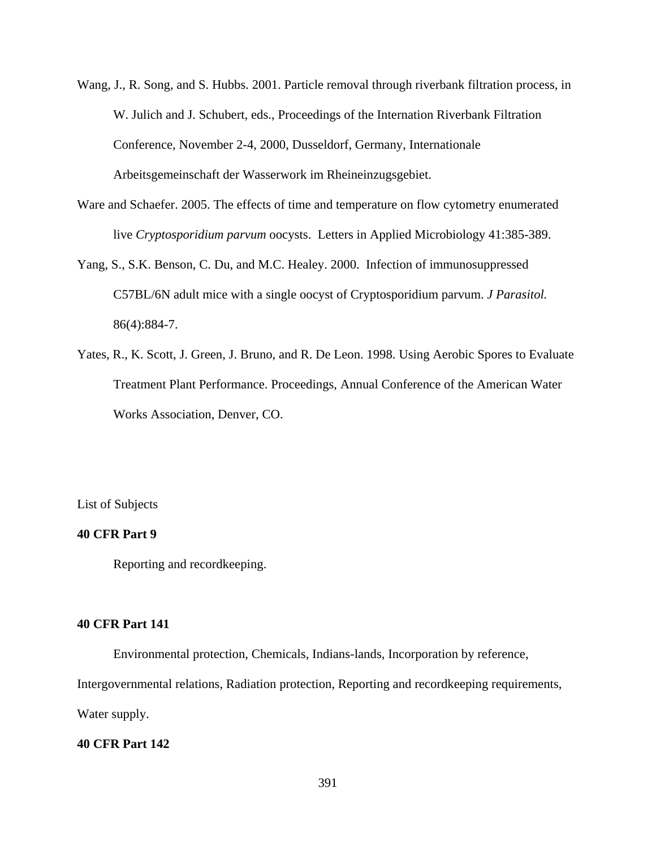- Wang, J., R. Song, and S. Hubbs. 2001. Particle removal through riverbank filtration process, in W. Julich and J. Schubert, eds., Proceedings of the Internation Riverbank Filtration Conference, November 2-4, 2000, Dusseldorf, Germany, Internationale Arbeitsgemeinschaft der Wasserwork im Rheineinzugsgebiet.
- Ware and Schaefer. 2005. The effects of time and temperature on flow cytometry enumerated live *Cryptosporidium parvum* oocysts. Letters in Applied Microbiology 41:385-389.
- Yang, S., S.K. Benson, C. Du, and M.C. Healey. 2000. Infection of immunosuppressed C57BL/6N adult mice with a single oocyst of Cryptosporidium parvum. *J Parasitol.* 86(4):884-7.
- Yates, R., K. Scott, J. Green, J. Bruno, and R. De Leon. 1998. Using Aerobic Spores to Evaluate Treatment Plant Performance. Proceedings, Annual Conference of the American Water Works Association, Denver, CO.

List of Subjects

### **40 CFR Part 9**

Reporting and recordkeeping.

### **40 CFR Part 141**

Environmental protection, Chemicals, Indians-lands, Incorporation by reference,

Intergovernmental relations, Radiation protection, Reporting and recordkeeping requirements,

Water supply.

## **40 CFR Part 142**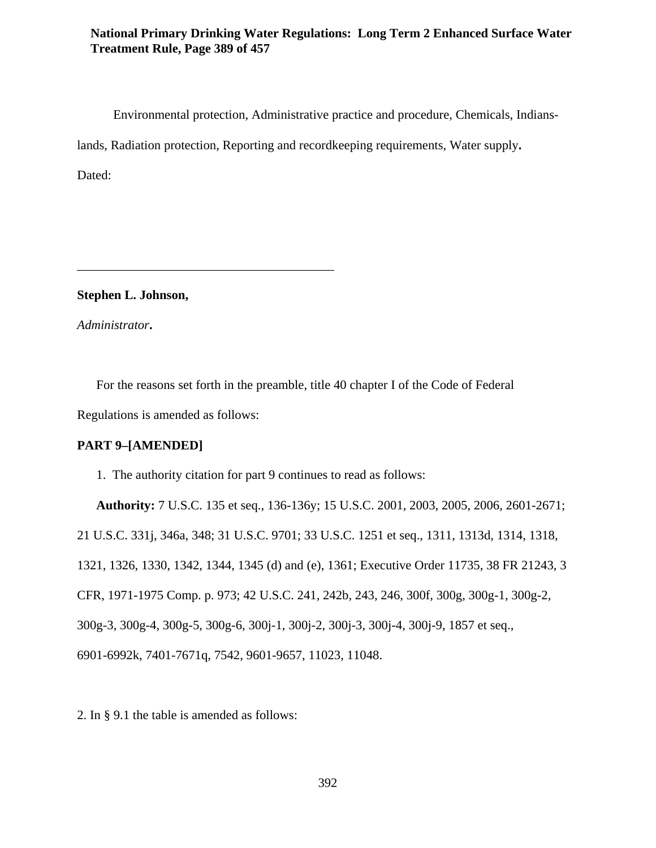## **National Primary Drinking Water Regulations: Long Term 2 Enhanced Surface Water Treatment Rule, Page 389 of 457**

Environmental protection, Administrative practice and procedure, Chemicals, Indianslands, Radiation protection, Reporting and recordkeeping requirements, Water supply**.** Dated:

**Stephen L. Johnson,**

\_\_\_\_\_\_\_\_\_\_\_\_\_\_\_\_\_\_\_\_\_\_\_\_\_\_\_\_\_\_\_\_\_\_\_\_\_\_\_\_

*Administrator***.**

For the reasons set forth in the preamble, title 40 chapter I of the Code of Federal Regulations is amended as follows:

# **PART 9–[AMENDED]**

1. The authority citation for part 9 continues to read as follows:

**Authority:** 7 U.S.C. 135 et seq., 136-136y; 15 U.S.C. 2001, 2003, 2005, 2006, 2601-2671; 21 U.S.C. 331j, 346a, 348; 31 U.S.C. 9701; 33 U.S.C. 1251 et seq., 1311, 1313d, 1314, 1318, 1321, 1326, 1330, 1342, 1344, 1345 (d) and (e), 1361; Executive Order 11735, 38 FR 21243, 3 CFR, 1971-1975 Comp. p. 973; 42 U.S.C. 241, 242b, 243, 246, 300f, 300g, 300g-1, 300g-2, 300g-3, 300g-4, 300g-5, 300g-6, 300j-1, 300j-2, 300j-3, 300j-4, 300j-9, 1857 et seq., 6901-6992k, 7401-7671q, 7542, 9601-9657, 11023, 11048.

2. In § 9.1 the table is amended as follows: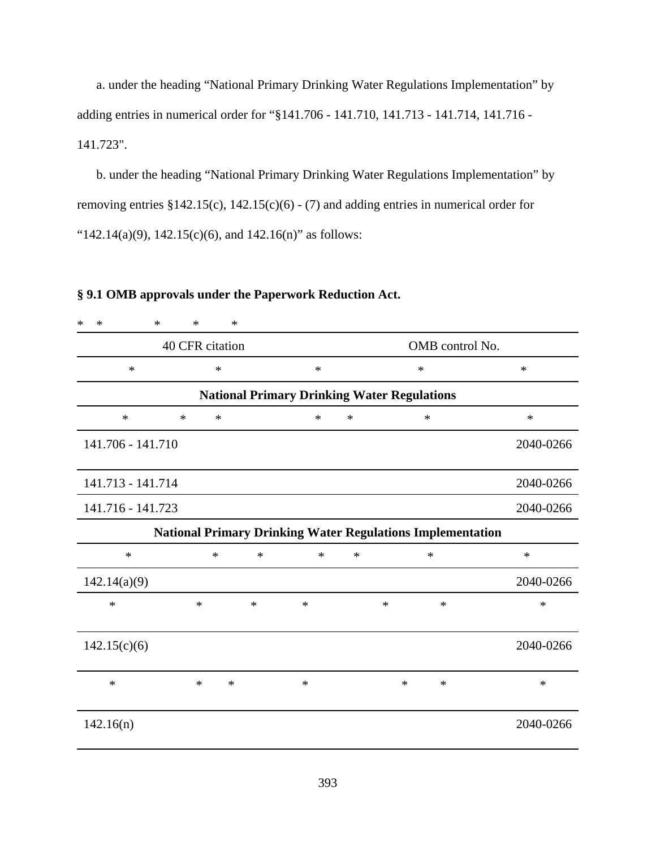a. under the heading "National Primary Drinking Water Regulations Implementation" by adding entries in numerical order for "§141.706 - 141.710, 141.713 - 141.714, 141.716 - 141.723".

b. under the heading "National Primary Drinking Water Regulations Implementation" by removing entries §142.15(c), 142.15(c)(6) - (7) and adding entries in numerical order for " $142.14(a)(9)$ ,  $142.15(c)(6)$ , and  $142.16(n)$ " as follows:

# **§ 9.1 OMB approvals under the Paperwork Reduction Act.**

| $\ast$<br>$\ast$<br>$\ast$ | $\ast$                                                            | $\ast$          |                                                    |        |        |        |           |
|----------------------------|-------------------------------------------------------------------|-----------------|----------------------------------------------------|--------|--------|--------|-----------|
| 40 CFR citation            |                                                                   | OMB control No. |                                                    |        |        |        |           |
| $\ast$                     | $\ast$                                                            |                 | $\ast$                                             |        | $\ast$ |        | $\ast$    |
|                            |                                                                   |                 | <b>National Primary Drinking Water Regulations</b> |        |        |        |           |
| $\ast$                     | $\ast$<br>$\ast$                                                  |                 | *                                                  | $\ast$ |        | $\ast$ | ∗         |
| 141.706 - 141.710          |                                                                   |                 |                                                    |        |        |        | 2040-0266 |
| 141.713 - 141.714          |                                                                   |                 |                                                    |        |        |        | 2040-0266 |
| 141.716 - 141.723          |                                                                   |                 |                                                    |        |        |        | 2040-0266 |
|                            | <b>National Primary Drinking Water Regulations Implementation</b> |                 |                                                    |        |        |        |           |
| $\ast$                     | $\ast$                                                            | $\ast$          | $\ast$                                             | $\ast$ |        | $\ast$ | $\ast$    |
| 142.14(a)(9)               |                                                                   |                 |                                                    |        |        |        | 2040-0266 |
| $\ast$                     | $\ast$                                                            | $\ast$          | $\ast$                                             |        | ∗      | $\ast$ | ∗         |
| 142.15(c)(6)               |                                                                   |                 |                                                    |        |        |        | 2040-0266 |
| $\ast$                     | $\ast$<br>$\ast$                                                  |                 | $\ast$                                             |        | $\ast$ | $\ast$ | $\ast$    |
| 142.16(n)                  |                                                                   |                 |                                                    |        |        |        | 2040-0266 |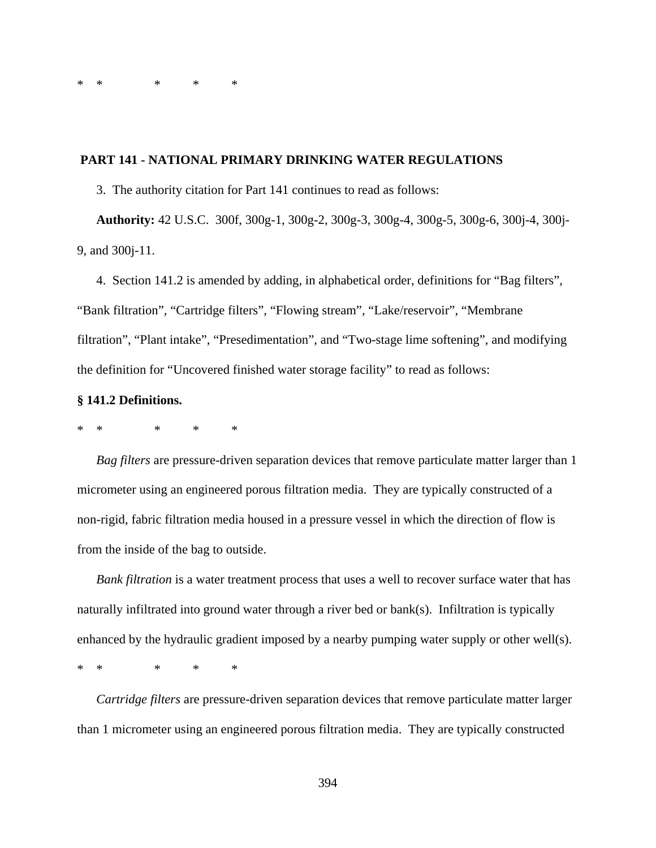\*\* \* \* \*

### **PART 141 - NATIONAL PRIMARY DRINKING WATER REGULATIONS**

3. The authority citation for Part 141 continues to read as follows:

**Authority:** 42 U.S.C. 300f, 300g-1, 300g-2, 300g-3, 300g-4, 300g-5, 300g-6, 300j-4, 300j-9, and 300j-11.

4. Section 141.2 is amended by adding, in alphabetical order, definitions for "Bag filters", "Bank filtration", "Cartridge filters", "Flowing stream", "Lake/reservoir", "Membrane filtration", "Plant intake", "Presedimentation", and "Two-stage lime softening", and modifying the definition for "Uncovered finished water storage facility" to read as follows:

### **§ 141.2 Definitions.**

### \*\* \* \* \*

*Bag filters* are pressure-driven separation devices that remove particulate matter larger than 1 micrometer using an engineered porous filtration media. They are typically constructed of a non-rigid, fabric filtration media housed in a pressure vessel in which the direction of flow is from the inside of the bag to outside.

*Bank filtration* is a water treatment process that uses a well to recover surface water that has naturally infiltrated into ground water through a river bed or bank(s). Infiltration is typically enhanced by the hydraulic gradient imposed by a nearby pumping water supply or other well(s).

\*\* \* \* \*

*Cartridge filters* are pressure-driven separation devices that remove particulate matter larger than 1 micrometer using an engineered porous filtration media. They are typically constructed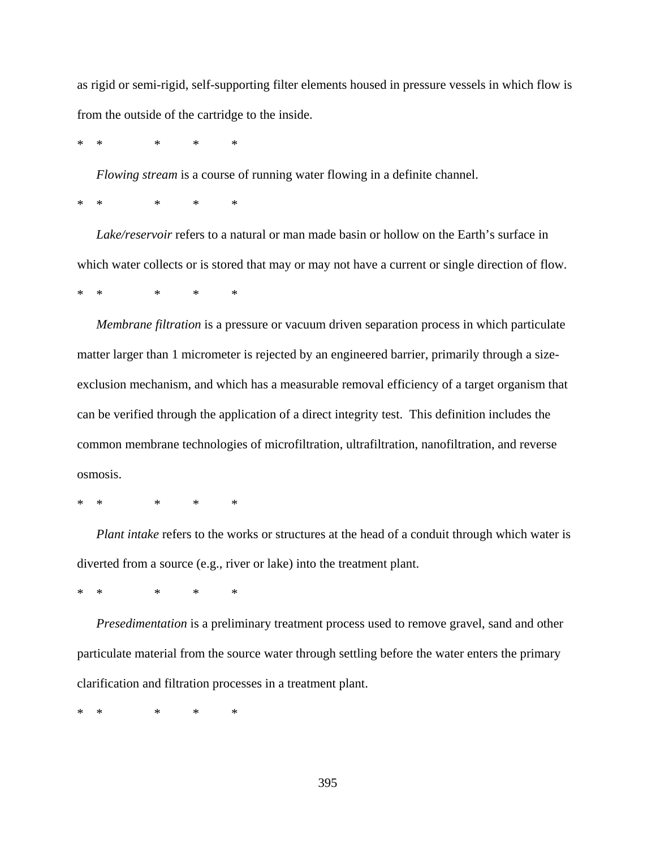as rigid or semi-rigid, self-supporting filter elements housed in pressure vessels in which flow is from the outside of the cartridge to the inside.

\*\* \* \* \*

*Flowing stream* is a course of running water flowing in a definite channel.

\*\* \* \* \*

*Lake/reservoir* refers to a natural or man made basin or hollow on the Earth's surface in which water collects or is stored that may or may not have a current or single direction of flow.

\*\* \* \* \*

*Membrane filtration* is a pressure or vacuum driven separation process in which particulate matter larger than 1 micrometer is rejected by an engineered barrier, primarily through a sizeexclusion mechanism, and which has a measurable removal efficiency of a target organism that can be verified through the application of a direct integrity test. This definition includes the common membrane technologies of microfiltration, ultrafiltration, nanofiltration, and reverse osmosis.

\*\* \* \* \*

*Plant intake* refers to the works or structures at the head of a conduit through which water is diverted from a source (e.g., river or lake) into the treatment plant.

\*\* \* \* \*

*Presedimentation* is a preliminary treatment process used to remove gravel, sand and other particulate material from the source water through settling before the water enters the primary clarification and filtration processes in a treatment plant.

\* \* \* \* \*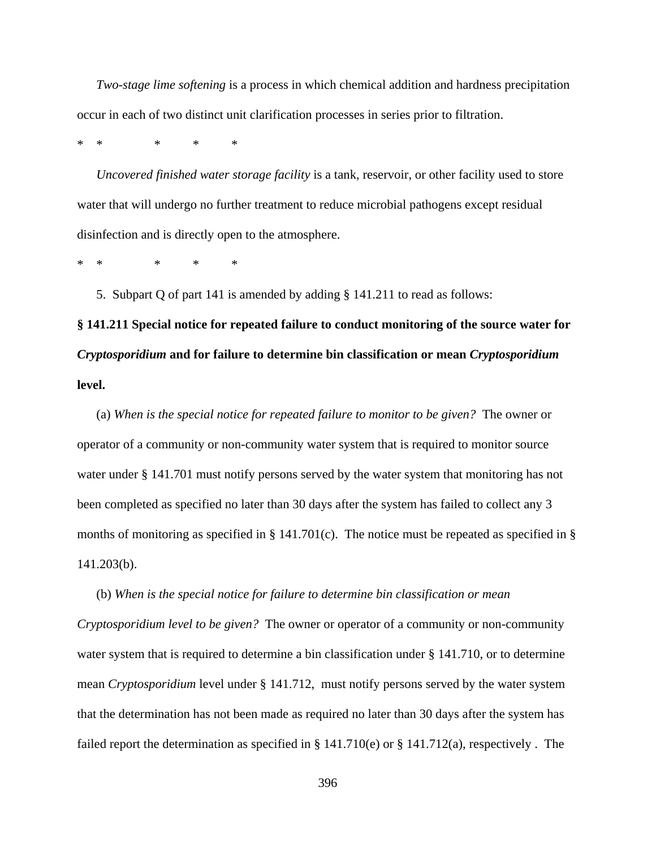*Two-stage lime softening* is a process in which chemical addition and hardness precipitation occur in each of two distinct unit clarification processes in series prior to filtration.

\* \* \* \* \*

*Uncovered finished water storage facility* is a tank, reservoir, or other facility used to store water that will undergo no further treatment to reduce microbial pathogens except residual disinfection and is directly open to the atmosphere.

\* \* \* \* \*

5. Subpart Q of part 141 is amended by adding § 141.211 to read as follows:

**§ 141.211 Special notice for repeated failure to conduct monitoring of the source water for** *Cryptosporidium* **and for failure to determine bin classification or mean** *Cryptosporidium* **level.**

(a) *When is the special notice for repeated failure to monitor to be given?* The owner or operator of a community or non-community water system that is required to monitor source water under § 141.701 must notify persons served by the water system that monitoring has not been completed as specified no later than 30 days after the system has failed to collect any 3 months of monitoring as specified in  $\S$  141.701(c). The notice must be repeated as specified in  $\S$ 141.203(b).

(b) *When is the special notice for failure to determine bin classification or mean Cryptosporidium level to be given?* The owner or operator of a community or non-community water system that is required to determine a bin classification under § 141.710, or to determine mean *Cryptosporidium* level under § 141.712, must notify persons served by the water system that the determination has not been made as required no later than 30 days after the system has failed report the determination as specified in § 141.710(e) or § 141.712(a), respectively . The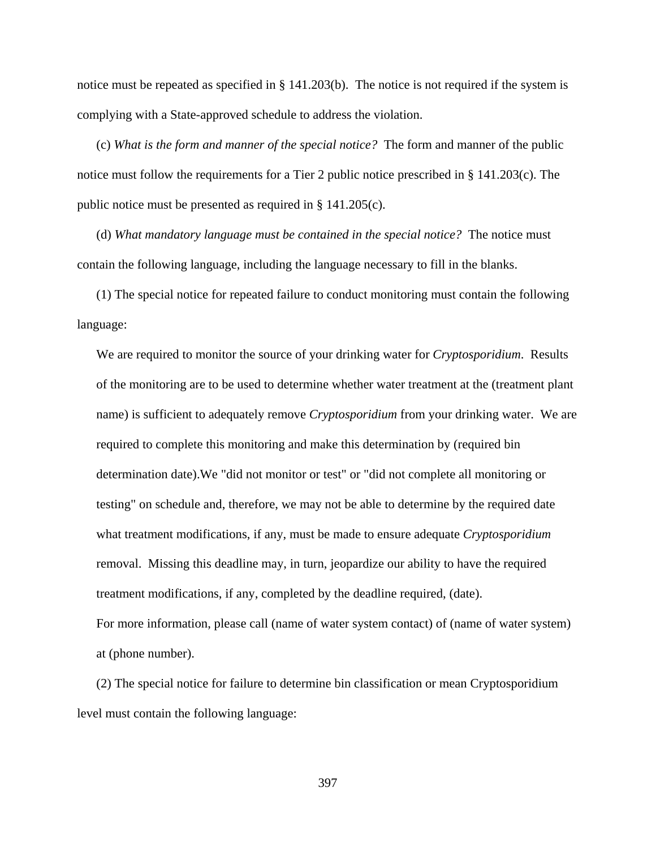notice must be repeated as specified in § 141.203(b). The notice is not required if the system is complying with a State-approved schedule to address the violation.

(c) *What is the form and manner of the special notice?* The form and manner of the public notice must follow the requirements for a Tier 2 public notice prescribed in § 141.203(c). The public notice must be presented as required in § 141.205(c).

(d) *What mandatory language must be contained in the special notice?* The notice must contain the following language, including the language necessary to fill in the blanks.

(1) The special notice for repeated failure to conduct monitoring must contain the following language:

We are required to monitor the source of your drinking water for *Cryptosporidium*. Results of the monitoring are to be used to determine whether water treatment at the (treatment plant name) is sufficient to adequately remove *Cryptosporidium* from your drinking water. We are required to complete this monitoring and make this determination by (required bin determination date).We "did not monitor or test" or "did not complete all monitoring or testing" on schedule and, therefore, we may not be able to determine by the required date what treatment modifications, if any, must be made to ensure adequate *Cryptosporidium* removal. Missing this deadline may, in turn, jeopardize our ability to have the required treatment modifications, if any, completed by the deadline required, (date). For more information, please call (name of water system contact) of (name of water system) at (phone number).

(2) The special notice for failure to determine bin classification or mean Cryptosporidium level must contain the following language: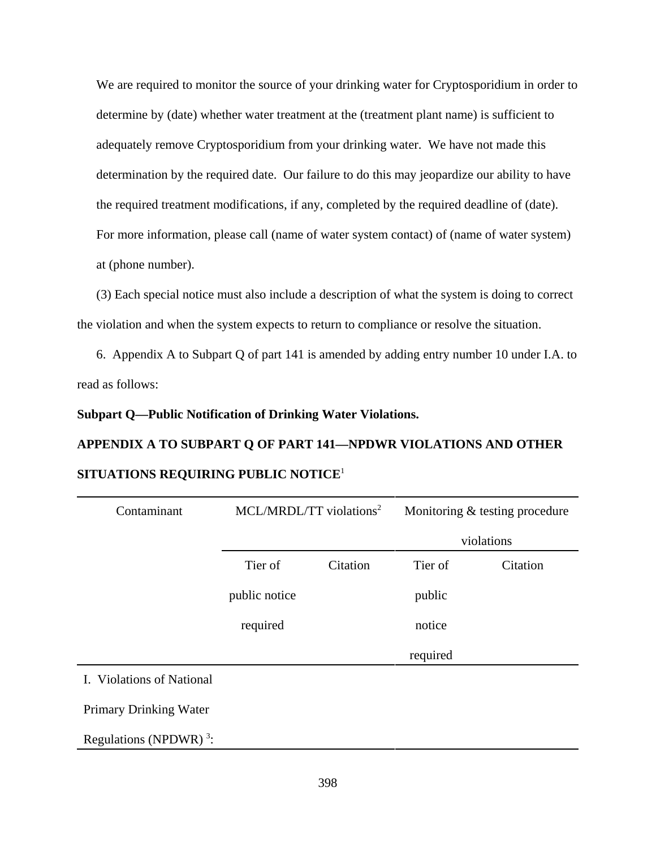We are required to monitor the source of your drinking water for Cryptosporidium in order to determine by (date) whether water treatment at the (treatment plant name) is sufficient to adequately remove Cryptosporidium from your drinking water. We have not made this determination by the required date. Our failure to do this may jeopardize our ability to have the required treatment modifications, if any, completed by the required deadline of (date). For more information, please call (name of water system contact) of (name of water system) at (phone number).

(3) Each special notice must also include a description of what the system is doing to correct the violation and when the system expects to return to compliance or resolve the situation.

6. Appendix A to Subpart Q of part 141 is amended by adding entry number 10 under I.A. to read as follows:

#### **Subpart Q—Public Notification of Drinking Water Violations.**

# **APPENDIX A TO SUBPART Q OF PART 141—NPDWR VIOLATIONS AND OTHER SITUATIONS REQUIRING PUBLIC NOTICE**<sup>1</sup>

| Contaminant                                                                                                                                                                                  |               | MCL/MRDL/TT violations <sup>2</sup> |          | Monitoring & testing procedure |  |
|----------------------------------------------------------------------------------------------------------------------------------------------------------------------------------------------|---------------|-------------------------------------|----------|--------------------------------|--|
|                                                                                                                                                                                              |               |                                     |          | violations                     |  |
|                                                                                                                                                                                              | Tier of       | Citation                            | Tier of  | Citation                       |  |
|                                                                                                                                                                                              | public notice |                                     | public   |                                |  |
|                                                                                                                                                                                              | required      |                                     | notice   |                                |  |
|                                                                                                                                                                                              |               |                                     | required |                                |  |
| $\mathbf{r}$ $\mathbf{r}$ $\mathbf{r}$ $\mathbf{r}$ $\mathbf{r}$ $\mathbf{r}$ $\mathbf{r}$ $\mathbf{r}$ $\mathbf{r}$<br>$C \times T$ $\rightarrow$ $\rightarrow$ $\rightarrow$ $\rightarrow$ |               |                                     |          |                                |  |

I. Violations of National

Primary Drinking Water

Regulations (NPDWR) $^3$ :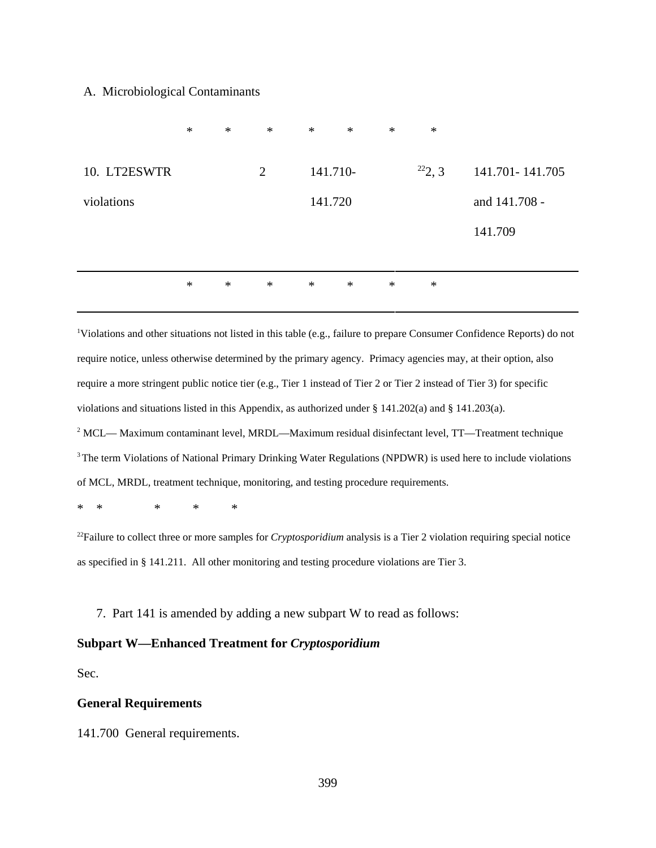#### A. Microbiological Contaminants

|              | $\ast$ | $\ast$ | $\ast$ | $\ast$   | $\ast$ | $\ast$ | $\ast$ |                   |
|--------------|--------|--------|--------|----------|--------|--------|--------|-------------------|
| 10. LT2ESWTR |        |        | 2      | 141.710- |        |        | 222, 3 | 141.701 - 141.705 |
| violations   |        |        |        | 141.720  |        |        |        | and 141.708 -     |
|              |        |        |        |          |        |        |        | 141.709           |
|              |        |        |        |          |        |        |        |                   |
|              | $\ast$ | $\ast$ | $\ast$ | $\ast$   | $\ast$ | $\ast$ | $\ast$ |                   |
|              |        |        |        |          |        |        |        |                   |

<sup>1</sup>Violations and other situations not listed in this table (e.g., failure to prepare Consumer Confidence Reports) do not require notice, unless otherwise determined by the primary agency. Primacy agencies may, at their option, also require a more stringent public notice tier (e.g., Tier 1 instead of Tier 2 or Tier 2 instead of Tier 3) for specific violations and situations listed in this Appendix, as authorized under § 141.202(a) and § 141.203(a).  $2$  MCL— Maximum contaminant level, MRDL—Maximum residual disinfectant level, TT—Treatment technique <sup>3</sup> The term Violations of National Primary Drinking Water Regulations (NPDWR) is used here to include violations

of MCL, MRDL, treatment technique, monitoring, and testing procedure requirements.

\* \* \* \* \*

22Failure to collect three or more samples for *Cryptosporidium* analysis is a Tier 2 violation requiring special notice as specified in § 141.211. All other monitoring and testing procedure violations are Tier 3.

7. Part 141 is amended by adding a new subpart W to read as follows:

### **Subpart W—Enhanced Treatment for** *Cryptosporidium*

Sec.

#### **General Requirements**

141.700 General requirements.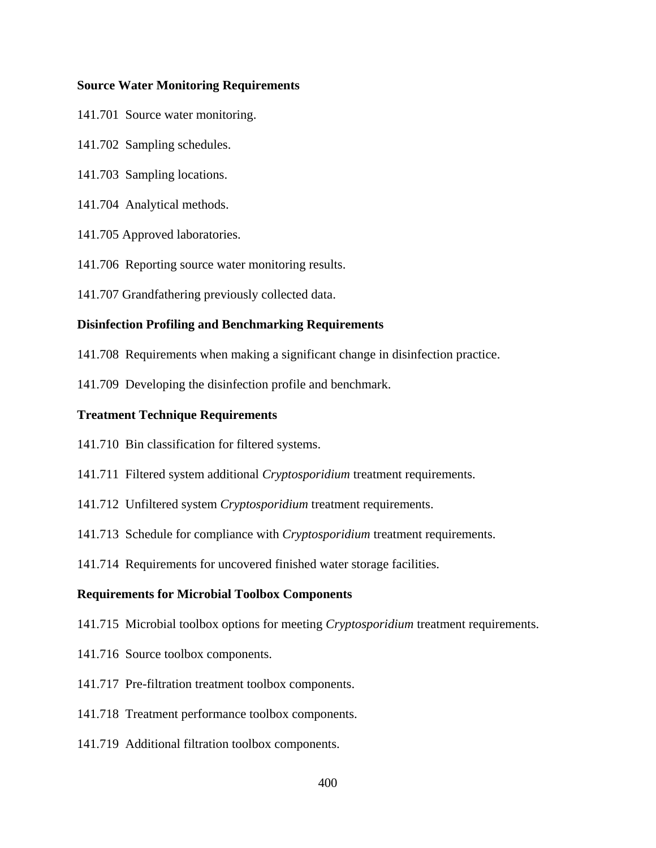#### **Source Water Monitoring Requirements**

- 141.701 Source water monitoring.
- 141.702 Sampling schedules.
- 141.703 Sampling locations.
- 141.704 Analytical methods.
- 141.705 Approved laboratories.
- 141.706 Reporting source water monitoring results.
- 141.707 Grandfathering previously collected data.

#### **Disinfection Profiling and Benchmarking Requirements**

- 141.708 Requirements when making a significant change in disinfection practice.
- 141.709 Developing the disinfection profile and benchmark.

#### **Treatment Technique Requirements**

- 141.710 Bin classification for filtered systems.
- 141.711 Filtered system additional *Cryptosporidium* treatment requirements.
- 141.712 Unfiltered system *Cryptosporidium* treatment requirements.
- 141.713 Schedule for compliance with *Cryptosporidium* treatment requirements.
- 141.714 Requirements for uncovered finished water storage facilities.

# **Requirements for Microbial Toolbox Components**

- 141.715 Microbial toolbox options for meeting *Cryptosporidium* treatment requirements.
- 141.716 Source toolbox components.
- 141.717 Pre-filtration treatment toolbox components.
- 141.718 Treatment performance toolbox components.
- 141.719 Additional filtration toolbox components.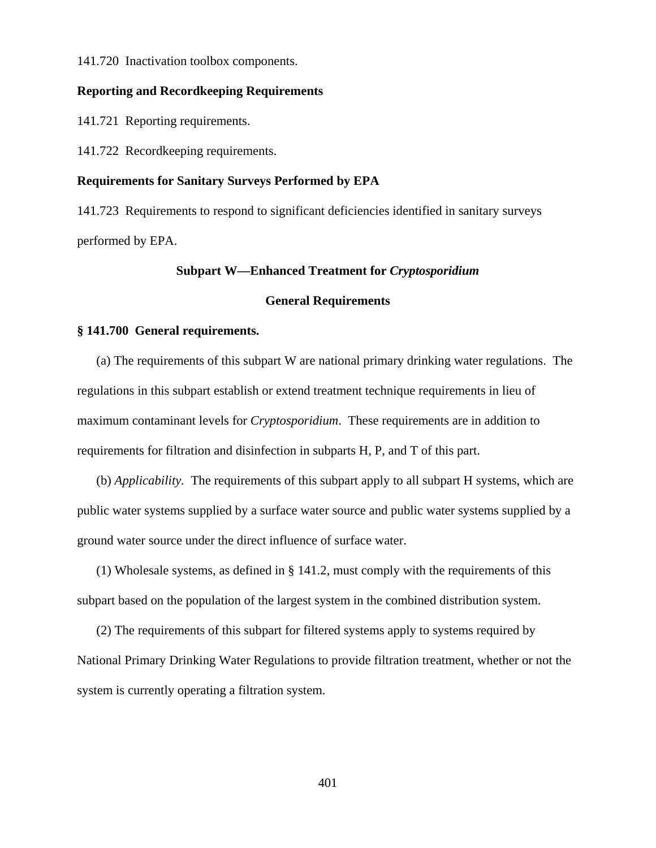141.720 Inactivation toolbox components.

### **Reporting and Recordkeeping Requirements**

141.721 Reporting requirements.

141.722 Recordkeeping requirements.

#### **Requirements for Sanitary Surveys Performed by EPA**

141.723 Requirements to respond to significant deficiencies identified in sanitary surveys performed by EPA.

# **Subpart W—Enhanced Treatment for** *Cryptosporidium*

# **General Requirements**

#### **§ 141.700 General requirements.**

(a) The requirements of this subpart W are national primary drinking water regulations. The regulations in this subpart establish or extend treatment technique requirements in lieu of maximum contaminant levels for *Cryptosporidium*. These requirements are in addition to requirements for filtration and disinfection in subparts H, P, and T of this part.

(b) *Applicability.* The requirements of this subpart apply to all subpart H systems, which are public water systems supplied by a surface water source and public water systems supplied by a ground water source under the direct influence of surface water.

(1) Wholesale systems, as defined in § 141.2, must comply with the requirements of this subpart based on the population of the largest system in the combined distribution system.

(2) The requirements of this subpart for filtered systems apply to systems required by National Primary Drinking Water Regulations to provide filtration treatment, whether or not the system is currently operating a filtration system.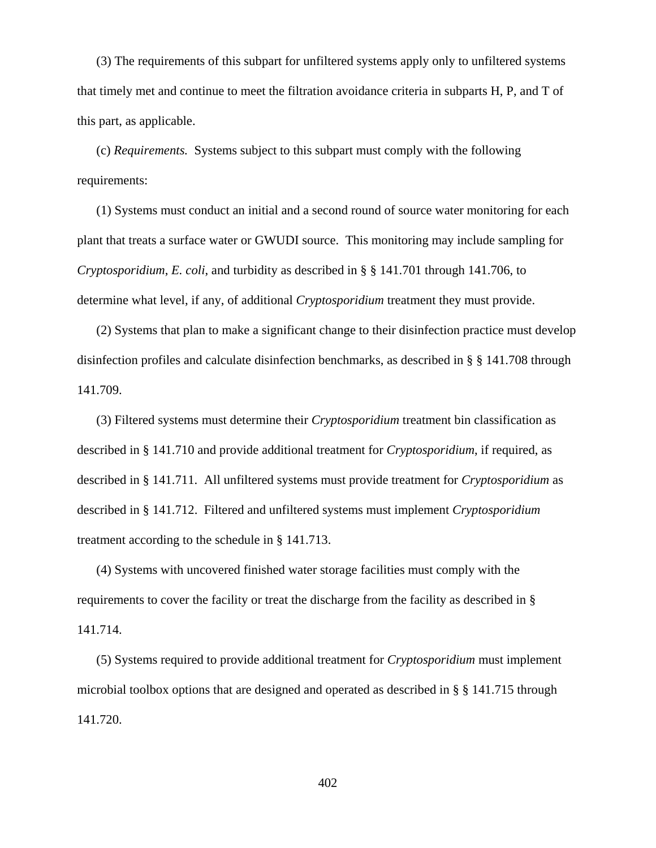(3) The requirements of this subpart for unfiltered systems apply only to unfiltered systems that timely met and continue to meet the filtration avoidance criteria in subparts H, P, and T of this part, as applicable.

(c) *Requirements.* Systems subject to this subpart must comply with the following requirements:

(1) Systems must conduct an initial and a second round of source water monitoring for each plant that treats a surface water or GWUDI source. This monitoring may include sampling for *Cryptosporidium*, *E. coli*, and turbidity as described in § § 141.701 through 141.706, to determine what level, if any, of additional *Cryptosporidium* treatment they must provide.

(2) Systems that plan to make a significant change to their disinfection practice must develop disinfection profiles and calculate disinfection benchmarks, as described in § § 141.708 through 141.709.

(3) Filtered systems must determine their *Cryptosporidium* treatment bin classification as described in § 141.710 and provide additional treatment for *Cryptosporidium*, if required, as described in § 141.711. All unfiltered systems must provide treatment for *Cryptosporidium* as described in § 141.712. Filtered and unfiltered systems must implement *Cryptosporidium* treatment according to the schedule in § 141.713.

(4) Systems with uncovered finished water storage facilities must comply with the requirements to cover the facility or treat the discharge from the facility as described in § 141.714.

(5) Systems required to provide additional treatment for *Cryptosporidium* must implement microbial toolbox options that are designed and operated as described in § § 141.715 through 141.720.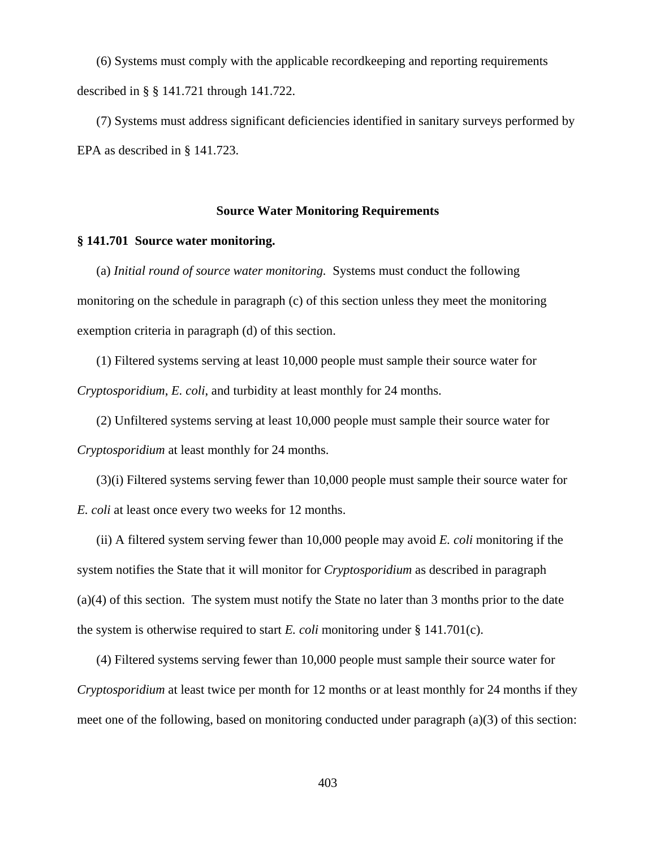(6) Systems must comply with the applicable recordkeeping and reporting requirements described in § § 141.721 through 141.722.

(7) Systems must address significant deficiencies identified in sanitary surveys performed by EPA as described in § 141.723.

#### **Source Water Monitoring Requirements**

#### **§ 141.701 Source water monitoring.**

(a) *Initial round of source water monitoring.* Systems must conduct the following monitoring on the schedule in paragraph (c) of this section unless they meet the monitoring exemption criteria in paragraph (d) of this section.

(1) Filtered systems serving at least 10,000 people must sample their source water for *Cryptosporidium*, *E. coli*, and turbidity at least monthly for 24 months.

(2) Unfiltered systems serving at least 10,000 people must sample their source water for *Cryptosporidium* at least monthly for 24 months.

(3)(i) Filtered systems serving fewer than 10,000 people must sample their source water for *E. coli* at least once every two weeks for 12 months.

(ii) A filtered system serving fewer than 10,000 people may avoid *E. coli* monitoring if the system notifies the State that it will monitor for *Cryptosporidium* as described in paragraph (a)(4) of this section. The system must notify the State no later than 3 months prior to the date the system is otherwise required to start *E. coli* monitoring under § 141.701(c).

(4) Filtered systems serving fewer than 10,000 people must sample their source water for *Cryptosporidium* at least twice per month for 12 months or at least monthly for 24 months if they meet one of the following, based on monitoring conducted under paragraph (a)(3) of this section: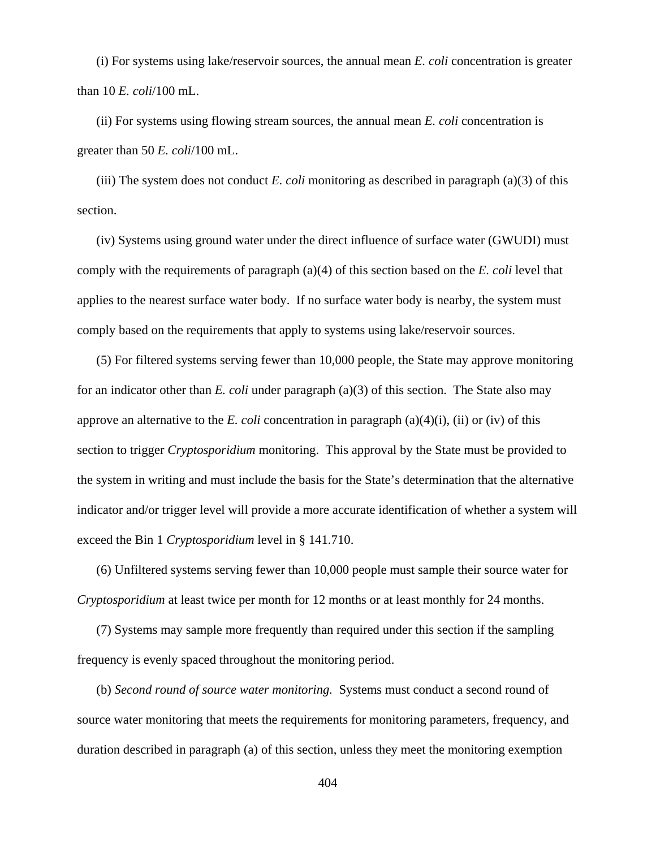(i) For systems using lake/reservoir sources, the annual mean *E. coli* concentration is greater than 10 *E. coli*/100 mL.

(ii) For systems using flowing stream sources, the annual mean *E. coli* concentration is greater than 50 *E. coli*/100 mL.

(iii) The system does not conduct *E. coli* monitoring as described in paragraph (a)(3) of this section.

(iv) Systems using ground water under the direct influence of surface water (GWUDI) must comply with the requirements of paragraph (a)(4) of this section based on the *E. coli* level that applies to the nearest surface water body. If no surface water body is nearby, the system must comply based on the requirements that apply to systems using lake/reservoir sources.

(5) For filtered systems serving fewer than 10,000 people, the State may approve monitoring for an indicator other than *E. coli* under paragraph (a)(3) of this section. The State also may approve an alternative to the *E. coli* concentration in paragraph  $(a)(4)(i)$ ,  $(ii)$  or  $(iv)$  of this section to trigger *Cryptosporidium* monitoring. This approval by the State must be provided to the system in writing and must include the basis for the State's determination that the alternative indicator and/or trigger level will provide a more accurate identification of whether a system will exceed the Bin 1 *Cryptosporidium* level in § 141.710.

(6) Unfiltered systems serving fewer than 10,000 people must sample their source water for *Cryptosporidium* at least twice per month for 12 months or at least monthly for 24 months.

(7) Systems may sample more frequently than required under this section if the sampling frequency is evenly spaced throughout the monitoring period.

(b) *Second round of source water monitoring.* Systems must conduct a second round of source water monitoring that meets the requirements for monitoring parameters, frequency, and duration described in paragraph (a) of this section, unless they meet the monitoring exemption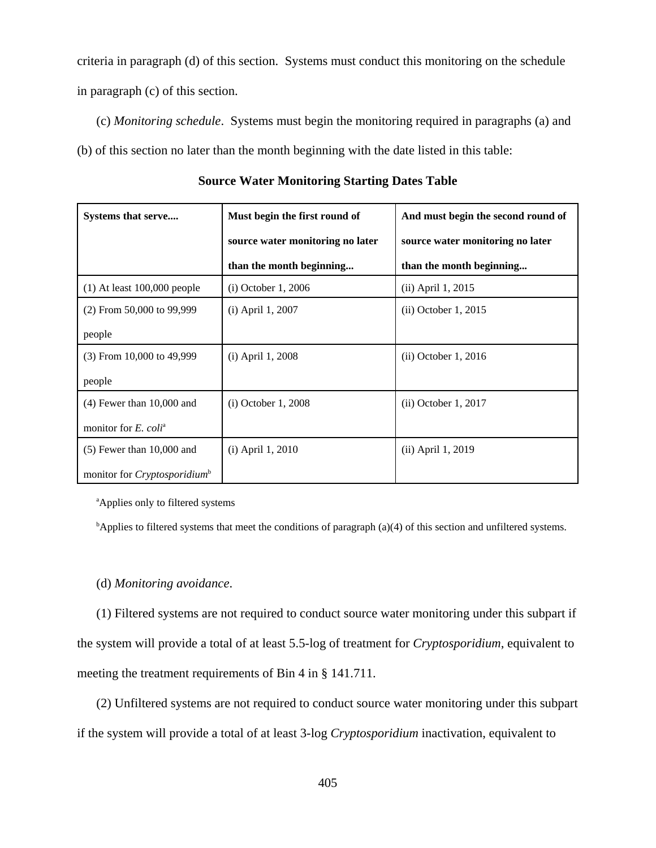criteria in paragraph (d) of this section. Systems must conduct this monitoring on the schedule in paragraph (c) of this section.

(c) *Monitoring schedule*. Systems must begin the monitoring required in paragraphs (a) and (b) of this section no later than the month beginning with the date listed in this table:

| Systems that serve                       | Must begin the first round of    | And must begin the second round of |  |
|------------------------------------------|----------------------------------|------------------------------------|--|
|                                          | source water monitoring no later | source water monitoring no later   |  |
|                                          | than the month beginning         | than the month beginning           |  |
| $(1)$ At least 100,000 people            | (i) October 1, 2006              | (ii) April 1, 2015                 |  |
| $(2)$ From 50,000 to 99,999              | (i) April 1, 2007                | (ii) October 1, 2015               |  |
| people                                   |                                  |                                    |  |
| $(3)$ From 10,000 to 49,999              | (i) April 1, 2008                | (ii) October 1, 2016               |  |
| people                                   |                                  |                                    |  |
| $(4)$ Fewer than 10,000 and              | $(i)$ October 1, 2008            | (ii) October 1, 2017               |  |
| monitor for $E$ . coli <sup>a</sup>      |                                  |                                    |  |
| $(5)$ Fewer than 10,000 and              | $(i)$ April 1, 2010              | (ii) April 1, 2019                 |  |
| monitor for Cryptosporidium <sup>b</sup> |                                  |                                    |  |

**Source Water Monitoring Starting Dates Table**

<sup>a</sup>Applies only to filtered systems

<sup>b</sup>Applies to filtered systems that meet the conditions of paragraph (a)(4) of this section and unfiltered systems.

# (d) *Monitoring avoidance*.

(1) Filtered systems are not required to conduct source water monitoring under this subpart if the system will provide a total of at least 5.5-log of treatment for *Cryptosporidium*, equivalent to meeting the treatment requirements of Bin 4 in § 141.711.

(2) Unfiltered systems are not required to conduct source water monitoring under this subpart if the system will provide a total of at least 3-log *Cryptosporidium* inactivation, equivalent to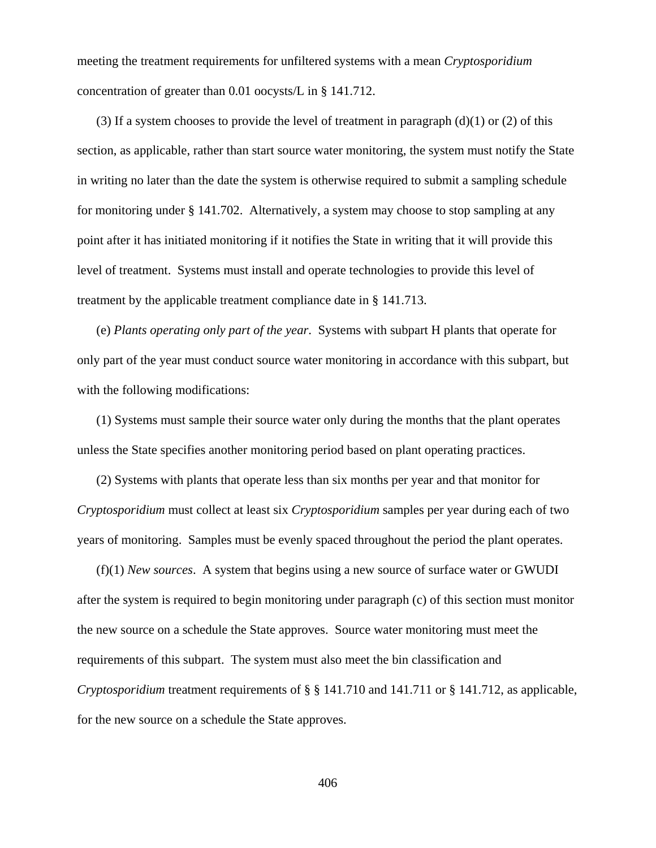meeting the treatment requirements for unfiltered systems with a mean *Cryptosporidium* concentration of greater than 0.01 oocysts/L in § 141.712.

(3) If a system chooses to provide the level of treatment in paragraph  $(d)(1)$  or (2) of this section, as applicable, rather than start source water monitoring, the system must notify the State in writing no later than the date the system is otherwise required to submit a sampling schedule for monitoring under § 141.702. Alternatively, a system may choose to stop sampling at any point after it has initiated monitoring if it notifies the State in writing that it will provide this level of treatment. Systems must install and operate technologies to provide this level of treatment by the applicable treatment compliance date in § 141.713.

(e) *Plants operating only part of the year*. Systems with subpart H plants that operate for only part of the year must conduct source water monitoring in accordance with this subpart, but with the following modifications:

(1) Systems must sample their source water only during the months that the plant operates unless the State specifies another monitoring period based on plant operating practices.

(2) Systems with plants that operate less than six months per year and that monitor for *Cryptosporidium* must collect at least six *Cryptosporidium* samples per year during each of two years of monitoring. Samples must be evenly spaced throughout the period the plant operates.

(f)(1) *New sources*. A system that begins using a new source of surface water or GWUDI after the system is required to begin monitoring under paragraph (c) of this section must monitor the new source on a schedule the State approves. Source water monitoring must meet the requirements of this subpart. The system must also meet the bin classification and *Cryptosporidium* treatment requirements of § § 141.710 and 141.711 or § 141.712, as applicable, for the new source on a schedule the State approves.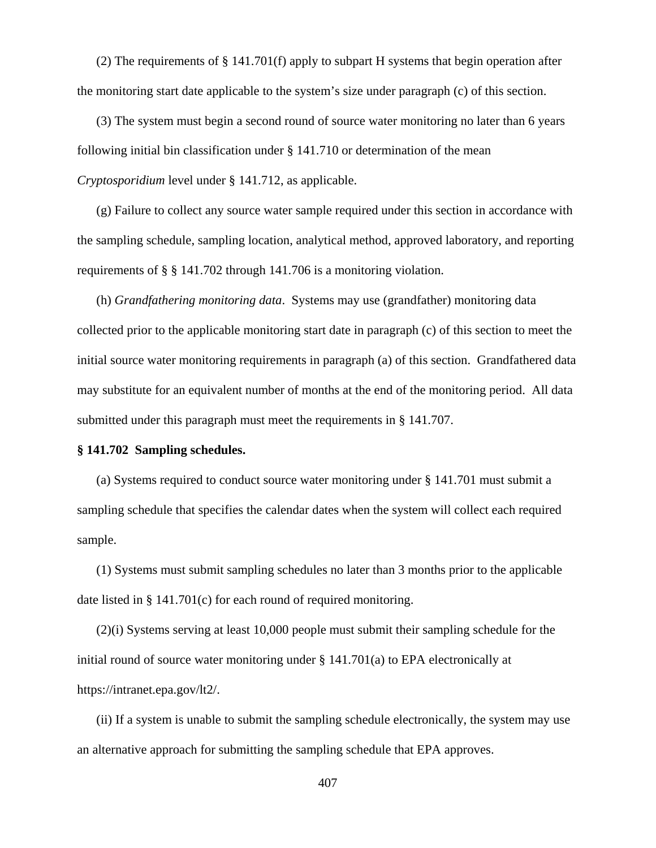(2) The requirements of § 141.701(f) apply to subpart H systems that begin operation after the monitoring start date applicable to the system's size under paragraph (c) of this section.

(3) The system must begin a second round of source water monitoring no later than 6 years following initial bin classification under § 141.710 or determination of the mean *Cryptosporidium* level under § 141.712, as applicable.

(g) Failure to collect any source water sample required under this section in accordance with the sampling schedule, sampling location, analytical method, approved laboratory, and reporting requirements of § § 141.702 through 141.706 is a monitoring violation.

(h) *Grandfathering monitoring data*. Systems may use (grandfather) monitoring data collected prior to the applicable monitoring start date in paragraph (c) of this section to meet the initial source water monitoring requirements in paragraph (a) of this section. Grandfathered data may substitute for an equivalent number of months at the end of the monitoring period. All data submitted under this paragraph must meet the requirements in § 141.707.

#### **§ 141.702 Sampling schedules.**

(a) Systems required to conduct source water monitoring under § 141.701 must submit a sampling schedule that specifies the calendar dates when the system will collect each required sample.

(1) Systems must submit sampling schedules no later than 3 months prior to the applicable date listed in § 141.701(c) for each round of required monitoring.

(2)(i) Systems serving at least 10,000 people must submit their sampling schedule for the initial round of source water monitoring under § 141.701(a) to EPA electronically at https://intranet.epa.gov/lt2/.

(ii) If a system is unable to submit the sampling schedule electronically, the system may use an alternative approach for submitting the sampling schedule that EPA approves.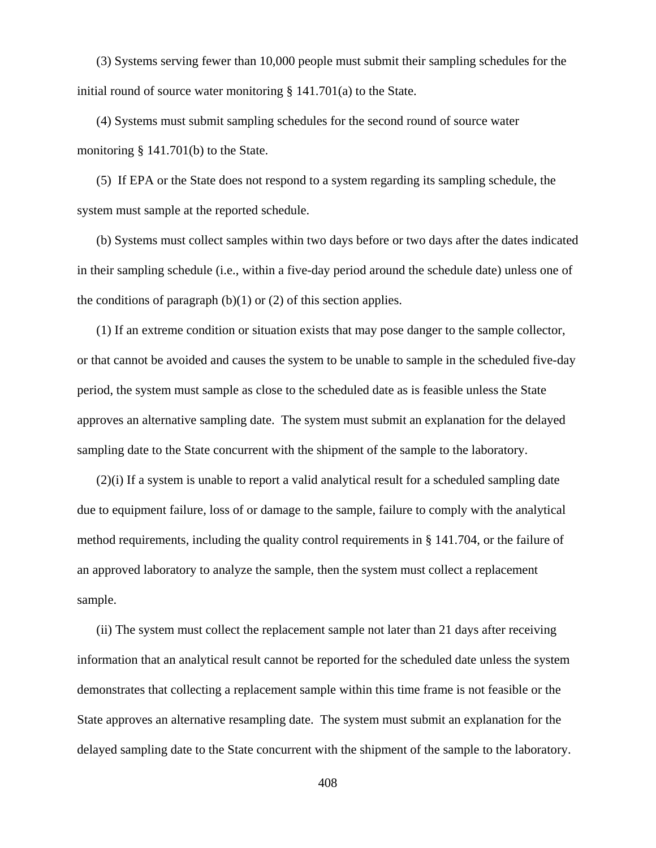(3) Systems serving fewer than 10,000 people must submit their sampling schedules for the initial round of source water monitoring § 141.701(a) to the State.

(4) Systems must submit sampling schedules for the second round of source water monitoring § 141.701(b) to the State.

(5) If EPA or the State does not respond to a system regarding its sampling schedule, the system must sample at the reported schedule.

(b) Systems must collect samples within two days before or two days after the dates indicated in their sampling schedule (i.e., within a five-day period around the schedule date) unless one of the conditions of paragraph  $(b)(1)$  or  $(2)$  of this section applies.

(1) If an extreme condition or situation exists that may pose danger to the sample collector, or that cannot be avoided and causes the system to be unable to sample in the scheduled five-day period, the system must sample as close to the scheduled date as is feasible unless the State approves an alternative sampling date. The system must submit an explanation for the delayed sampling date to the State concurrent with the shipment of the sample to the laboratory.

(2)(i) If a system is unable to report a valid analytical result for a scheduled sampling date due to equipment failure, loss of or damage to the sample, failure to comply with the analytical method requirements, including the quality control requirements in § 141.704, or the failure of an approved laboratory to analyze the sample, then the system must collect a replacement sample.

(ii) The system must collect the replacement sample not later than 21 days after receiving information that an analytical result cannot be reported for the scheduled date unless the system demonstrates that collecting a replacement sample within this time frame is not feasible or the State approves an alternative resampling date. The system must submit an explanation for the delayed sampling date to the State concurrent with the shipment of the sample to the laboratory.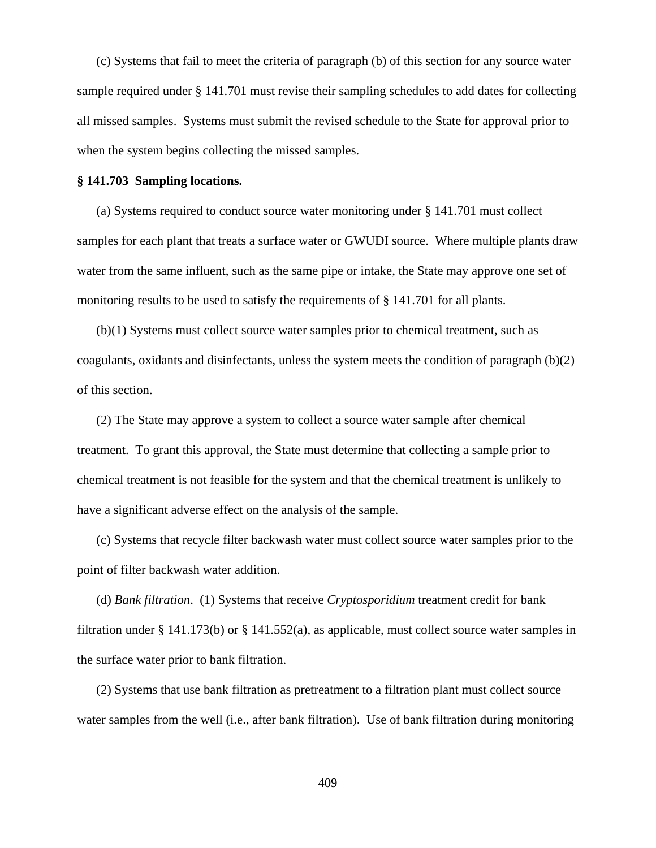(c) Systems that fail to meet the criteria of paragraph (b) of this section for any source water sample required under § 141.701 must revise their sampling schedules to add dates for collecting all missed samples. Systems must submit the revised schedule to the State for approval prior to when the system begins collecting the missed samples.

#### **§ 141.703 Sampling locations.**

(a) Systems required to conduct source water monitoring under § 141.701 must collect samples for each plant that treats a surface water or GWUDI source. Where multiple plants draw water from the same influent, such as the same pipe or intake, the State may approve one set of monitoring results to be used to satisfy the requirements of § 141.701 for all plants.

(b)(1) Systems must collect source water samples prior to chemical treatment, such as coagulants, oxidants and disinfectants, unless the system meets the condition of paragraph (b)(2) of this section.

(2) The State may approve a system to collect a source water sample after chemical treatment. To grant this approval, the State must determine that collecting a sample prior to chemical treatment is not feasible for the system and that the chemical treatment is unlikely to have a significant adverse effect on the analysis of the sample.

(c) Systems that recycle filter backwash water must collect source water samples prior to the point of filter backwash water addition.

 (d) *Bank filtration*. (1) Systems that receive *Cryptosporidium* treatment credit for bank filtration under § 141.173(b) or § 141.552(a), as applicable, must collect source water samples in the surface water prior to bank filtration.

(2) Systems that use bank filtration as pretreatment to a filtration plant must collect source water samples from the well (i.e., after bank filtration). Use of bank filtration during monitoring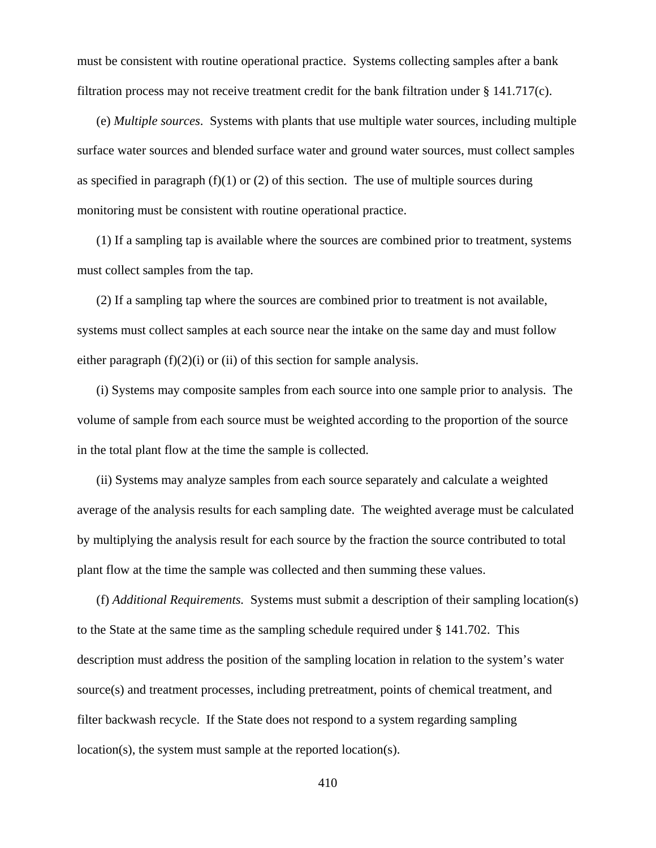must be consistent with routine operational practice. Systems collecting samples after a bank filtration process may not receive treatment credit for the bank filtration under § 141.717(c).

(e) *Multiple sources*. Systems with plants that use multiple water sources, including multiple surface water sources and blended surface water and ground water sources, must collect samples as specified in paragraph  $(f)(1)$  or  $(2)$  of this section. The use of multiple sources during monitoring must be consistent with routine operational practice.

(1) If a sampling tap is available where the sources are combined prior to treatment, systems must collect samples from the tap.

(2) If a sampling tap where the sources are combined prior to treatment is not available, systems must collect samples at each source near the intake on the same day and must follow either paragraph  $(f)(2)(i)$  or  $(ii)$  of this section for sample analysis.

(i) Systems may composite samples from each source into one sample prior to analysis. The volume of sample from each source must be weighted according to the proportion of the source in the total plant flow at the time the sample is collected.

(ii) Systems may analyze samples from each source separately and calculate a weighted average of the analysis results for each sampling date. The weighted average must be calculated by multiplying the analysis result for each source by the fraction the source contributed to total plant flow at the time the sample was collected and then summing these values.

(f) *Additional Requirements.* Systems must submit a description of their sampling location(s) to the State at the same time as the sampling schedule required under § 141.702. This description must address the position of the sampling location in relation to the system's water source(s) and treatment processes, including pretreatment, points of chemical treatment, and filter backwash recycle. If the State does not respond to a system regarding sampling location(s), the system must sample at the reported location(s).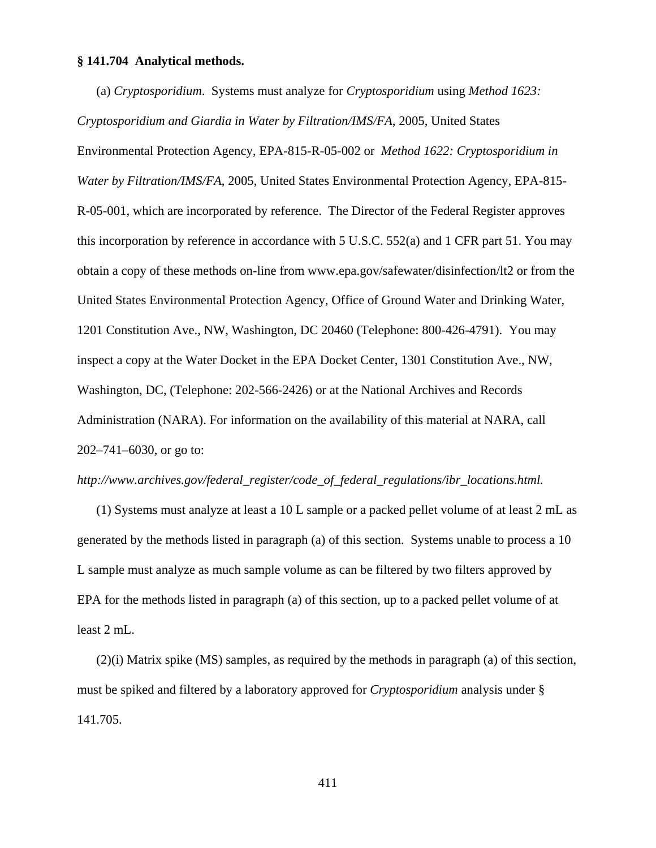#### **§ 141.704 Analytical methods.**

(a) *Cryptosporidium*. Systems must analyze for *Cryptosporidium* using *Method 1623:*

*Cryptosporidium and Giardia in Water by Filtration/IMS/FA*, 2005, United States Environmental Protection Agency, EPA-815-R-05-002 or *Method 1622: Cryptosporidium in Water by Filtration/IMS/FA*, 2005, United States Environmental Protection Agency, EPA-815- R-05-001, which are incorporated by reference. The Director of the Federal Register approves this incorporation by reference in accordance with 5 U.S.C. 552(a) and 1 CFR part 51. You may obtain a copy of these methods on-line from www.epa.gov/safewater/disinfection/lt2 or from the United States Environmental Protection Agency, Office of Ground Water and Drinking Water, 1201 Constitution Ave., NW, Washington, DC 20460 (Telephone: 800-426-4791). You may inspect a copy at the Water Docket in the EPA Docket Center, 1301 Constitution Ave., NW, Washington, DC, (Telephone: 202-566-2426) or at the National Archives and Records Administration (NARA). For information on the availability of this material at NARA, call 202–741–6030, or go to:

### *http://www.archives.gov/federal*\_*register/code*\_*of*\_*federal*\_*regulations/ibr*\_*locations.html.*

(1) Systems must analyze at least a 10 L sample or a packed pellet volume of at least 2 mL as generated by the methods listed in paragraph (a) of this section. Systems unable to process a 10 L sample must analyze as much sample volume as can be filtered by two filters approved by EPA for the methods listed in paragraph (a) of this section, up to a packed pellet volume of at least 2 mL.

(2)(i) Matrix spike (MS) samples, as required by the methods in paragraph (a) of this section, must be spiked and filtered by a laboratory approved for *Cryptosporidium* analysis under § 141.705.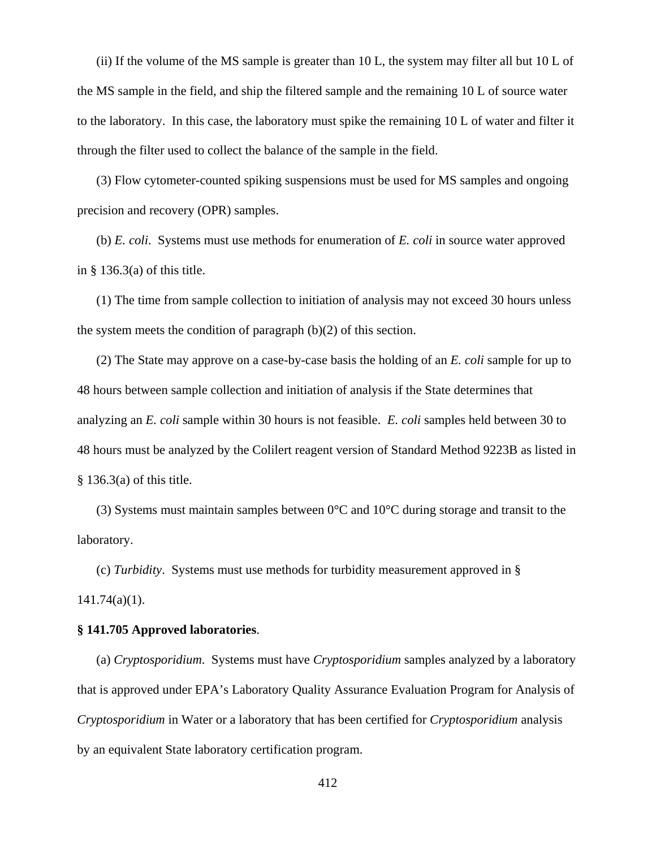(ii) If the volume of the MS sample is greater than 10 L, the system may filter all but 10 L of the MS sample in the field, and ship the filtered sample and the remaining 10 L of source water to the laboratory. In this case, the laboratory must spike the remaining 10 L of water and filter it through the filter used to collect the balance of the sample in the field.

(3) Flow cytometer-counted spiking suspensions must be used for MS samples and ongoing precision and recovery (OPR) samples.

(b) *E. coli*. Systems must use methods for enumeration of *E. coli* in source water approved in  $\S$  136.3(a) of this title.

(1) The time from sample collection to initiation of analysis may not exceed 30 hours unless the system meets the condition of paragraph (b)(2) of this section.

(2) The State may approve on a case-by-case basis the holding of an *E. coli* sample for up to 48 hours between sample collection and initiation of analysis if the State determines that analyzing an *E. coli* sample within 30 hours is not feasible. *E. coli* samples held between 30 to 48 hours must be analyzed by the Colilert reagent version of Standard Method 9223B as listed in § 136.3(a) of this title.

(3) Systems must maintain samples between  $0^{\circ}$ C and  $10^{\circ}$ C during storage and transit to the laboratory.

(c) *Turbidity*. Systems must use methods for turbidity measurement approved in § 141.74(a)(1).

#### **§ 141.705 Approved laboratories**.

(a) *Cryptosporidium*. Systems must have *Cryptosporidium* samples analyzed by a laboratory that is approved under EPA's Laboratory Quality Assurance Evaluation Program for Analysis of *Cryptosporidium* in Water or a laboratory that has been certified for *Cryptosporidium* analysis by an equivalent State laboratory certification program.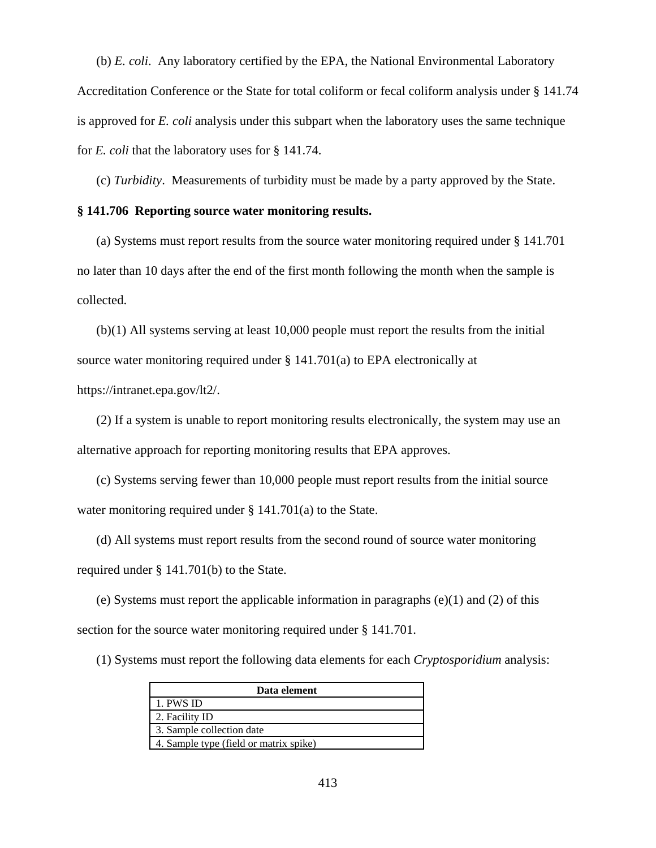(b) *E. coli*. Any laboratory certified by the EPA, the National Environmental Laboratory Accreditation Conference or the State for total coliform or fecal coliform analysis under § 141.74 is approved for *E. coli* analysis under this subpart when the laboratory uses the same technique for *E. coli* that the laboratory uses for § 141.74.

(c) *Turbidity*. Measurements of turbidity must be made by a party approved by the State.

#### **§ 141.706 Reporting source water monitoring results.**

(a) Systems must report results from the source water monitoring required under § 141.701 no later than 10 days after the end of the first month following the month when the sample is collected.

(b)(1) All systems serving at least 10,000 people must report the results from the initial source water monitoring required under § 141.701(a) to EPA electronically at https://intranet.epa.gov/lt2/.

(2) If a system is unable to report monitoring results electronically, the system may use an alternative approach for reporting monitoring results that EPA approves.

(c) Systems serving fewer than 10,000 people must report results from the initial source water monitoring required under § 141.701(a) to the State.

(d) All systems must report results from the second round of source water monitoring required under § 141.701(b) to the State.

(e) Systems must report the applicable information in paragraphs (e)(1) and (2) of this section for the source water monitoring required under § 141.701.

(1) Systems must report the following data elements for each *Cryptosporidium* analysis:

| Data element                           |
|----------------------------------------|
| 1. PWS ID                              |
| 2. Facility ID                         |
| 3. Sample collection date              |
| 4. Sample type (field or matrix spike) |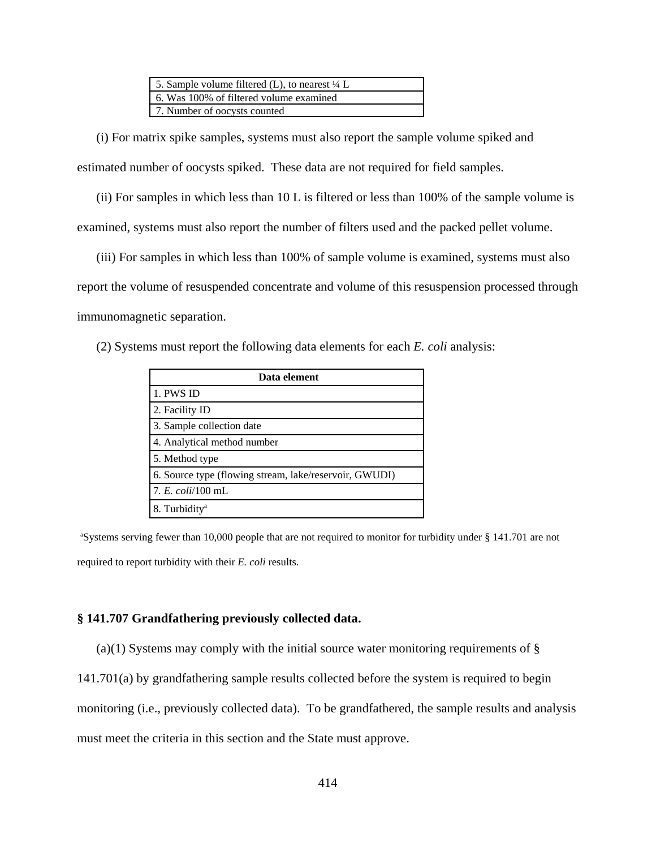(i) For matrix spike samples, systems must also report the sample volume spiked and estimated number of oocysts spiked. These data are not required for field samples.

(ii) For samples in which less than 10 L is filtered or less than 100% of the sample volume is examined, systems must also report the number of filters used and the packed pellet volume.

(iii) For samples in which less than 100% of sample volume is examined, systems must also report the volume of resuspended concentrate and volume of this resuspension processed through immunomagnetic separation.

(2) Systems must report the following data elements for each *E. coli* analysis:

| Data element                                           |  |  |
|--------------------------------------------------------|--|--|
| 1. PWS ID                                              |  |  |
| 2. Facility ID                                         |  |  |
| 3. Sample collection date                              |  |  |
| 4. Analytical method number                            |  |  |
| 5. Method type                                         |  |  |
| 6. Source type (flowing stream, lake/reservoir, GWUDI) |  |  |
| 7. E. coli/100 mL                                      |  |  |
| 8. Turbidity <sup>a</sup>                              |  |  |

<sup>a</sup>Systems serving fewer than 10,000 people that are not required to monitor for turbidity under § 141.701 are not required to report turbidity with their *E. coli* results.

#### **§ 141.707 Grandfathering previously collected data.**

(a)(1) Systems may comply with the initial source water monitoring requirements of  $\S$ 

141.701(a) by grandfathering sample results collected before the system is required to begin

monitoring (i.e., previously collected data). To be grandfathered, the sample results and analysis

must meet the criteria in this section and the State must approve.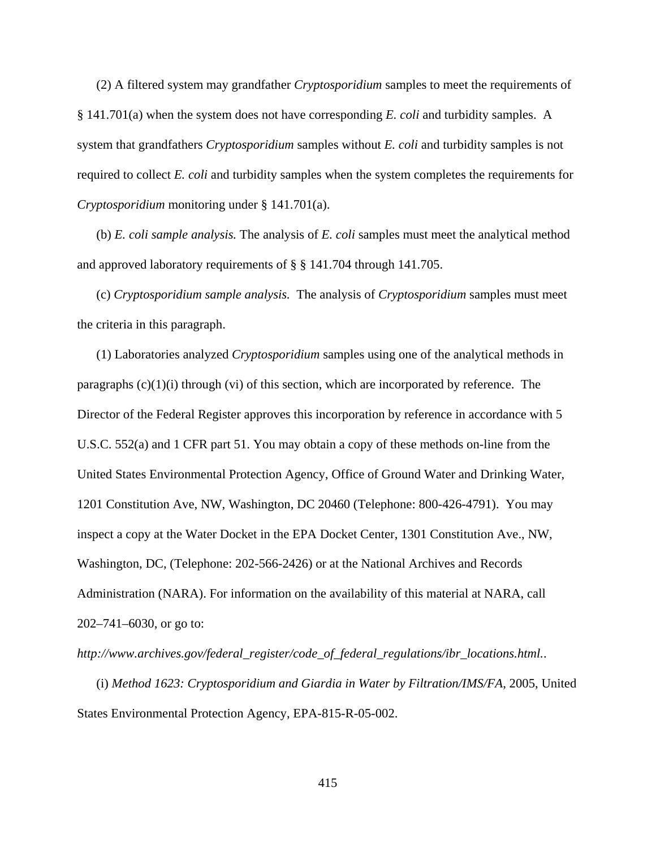(2) A filtered system may grandfather *Cryptosporidium* samples to meet the requirements of § 141.701(a) when the system does not have corresponding *E. coli* and turbidity samples. A system that grandfathers *Cryptosporidium* samples without *E. coli* and turbidity samples is not required to collect *E. coli* and turbidity samples when the system completes the requirements for *Cryptosporidium* monitoring under § 141.701(a).

(b) *E. coli sample analysis.* The analysis of *E. coli* samples must meet the analytical method and approved laboratory requirements of § § 141.704 through 141.705.

(c) *Cryptosporidium sample analysis.* The analysis of *Cryptosporidium* samples must meet the criteria in this paragraph.

(1) Laboratories analyzed *Cryptosporidium* samples using one of the analytical methods in paragraphs  $(c)(1)(i)$  through  $(vi)$  of this section, which are incorporated by reference. The Director of the Federal Register approves this incorporation by reference in accordance with 5 U.S.C. 552(a) and 1 CFR part 51. You may obtain a copy of these methods on-line from the United States Environmental Protection Agency, Office of Ground Water and Drinking Water, 1201 Constitution Ave, NW, Washington, DC 20460 (Telephone: 800-426-4791). You may inspect a copy at the Water Docket in the EPA Docket Center, 1301 Constitution Ave., NW, Washington, DC, (Telephone: 202-566-2426) or at the National Archives and Records Administration (NARA). For information on the availability of this material at NARA, call 202–741–6030, or go to:

*http://www.archives.gov/federal*\_*register/code*\_*of*\_*federal*\_*regulations/ibr*\_*locations.html.*.

(i) *Method 1623: Cryptosporidium and Giardia in Water by Filtration/IMS/FA*, 2005, United States Environmental Protection Agency, EPA-815-R-05-002.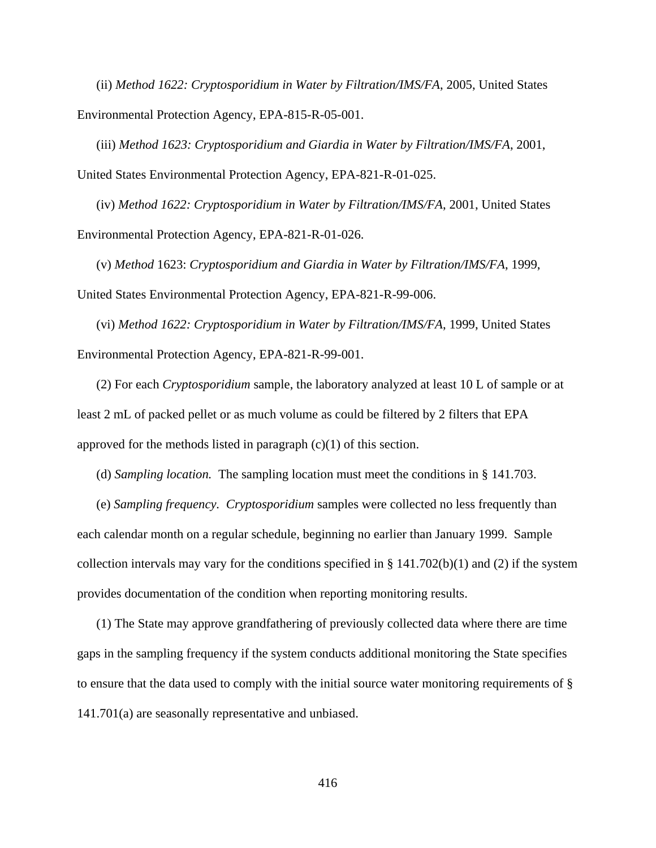(ii) *Method 1622: Cryptosporidium in Water by Filtration/IMS/FA*, 2005, United States Environmental Protection Agency, EPA-815-R-05-001.

(iii) *Method 1623: Cryptosporidium and Giardia in Water by Filtration/IMS/FA*, 2001, United States Environmental Protection Agency, EPA-821-R-01-025.

(iv) *Method 1622: Cryptosporidium in Water by Filtration/IMS/FA*, 2001, United States Environmental Protection Agency, EPA-821-R-01-026.

(v) *Method* 1623: *Cryptosporidium and Giardia in Water by Filtration/IMS/FA*, 1999, United States Environmental Protection Agency, EPA-821-R-99-006.

(vi) *Method 1622: Cryptosporidium in Water by Filtration/IMS/FA*, 1999, United States Environmental Protection Agency, EPA-821-R-99-001.

(2) For each *Cryptosporidium* sample, the laboratory analyzed at least 10 L of sample or at least 2 mL of packed pellet or as much volume as could be filtered by 2 filters that EPA approved for the methods listed in paragraph  $(c)(1)$  of this section.

(d) *Sampling location.* The sampling location must meet the conditions in § 141.703.

(e) *Sampling frequency. Cryptosporidium* samples were collected no less frequently than each calendar month on a regular schedule, beginning no earlier than January 1999. Sample collection intervals may vary for the conditions specified in  $\S$  141.702(b)(1) and (2) if the system provides documentation of the condition when reporting monitoring results.

(1) The State may approve grandfathering of previously collected data where there are time gaps in the sampling frequency if the system conducts additional monitoring the State specifies to ensure that the data used to comply with the initial source water monitoring requirements of § 141.701(a) are seasonally representative and unbiased.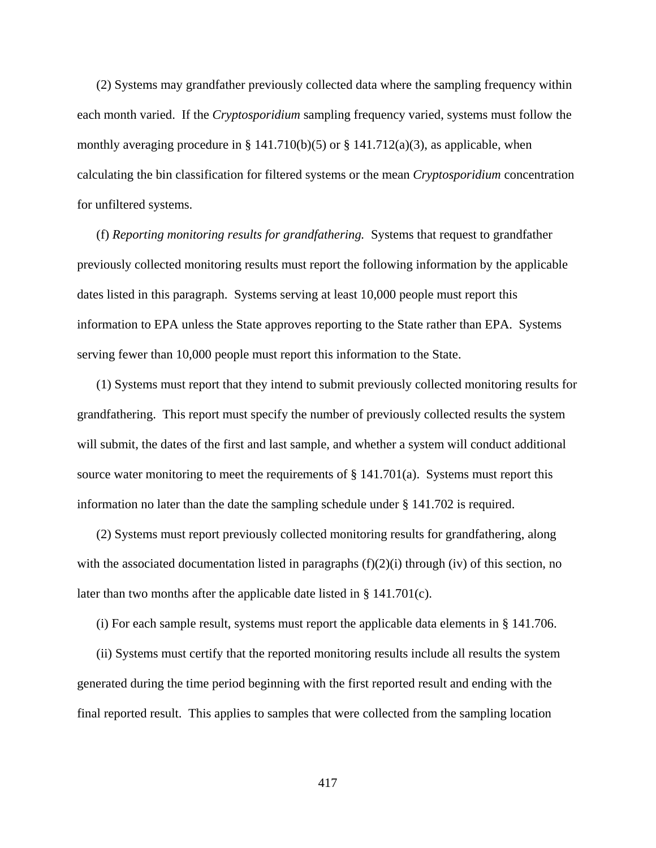(2) Systems may grandfather previously collected data where the sampling frequency within each month varied. If the *Cryptosporidium* sampling frequency varied, systems must follow the monthly averaging procedure in § 141.710(b)(5) or § 141.712(a)(3), as applicable, when calculating the bin classification for filtered systems or the mean *Cryptosporidium* concentration for unfiltered systems.

(f) *Reporting monitoring results for grandfathering.* Systems that request to grandfather previously collected monitoring results must report the following information by the applicable dates listed in this paragraph. Systems serving at least 10,000 people must report this information to EPA unless the State approves reporting to the State rather than EPA. Systems serving fewer than 10,000 people must report this information to the State.

(1) Systems must report that they intend to submit previously collected monitoring results for grandfathering. This report must specify the number of previously collected results the system will submit, the dates of the first and last sample, and whether a system will conduct additional source water monitoring to meet the requirements of  $\S$  141.701(a). Systems must report this information no later than the date the sampling schedule under § 141.702 is required.

(2) Systems must report previously collected monitoring results for grandfathering, along with the associated documentation listed in paragraphs  $(f)(2)(i)$  through (iv) of this section, no later than two months after the applicable date listed in § 141.701(c).

(i) For each sample result, systems must report the applicable data elements in § 141.706.

(ii) Systems must certify that the reported monitoring results include all results the system generated during the time period beginning with the first reported result and ending with the final reported result. This applies to samples that were collected from the sampling location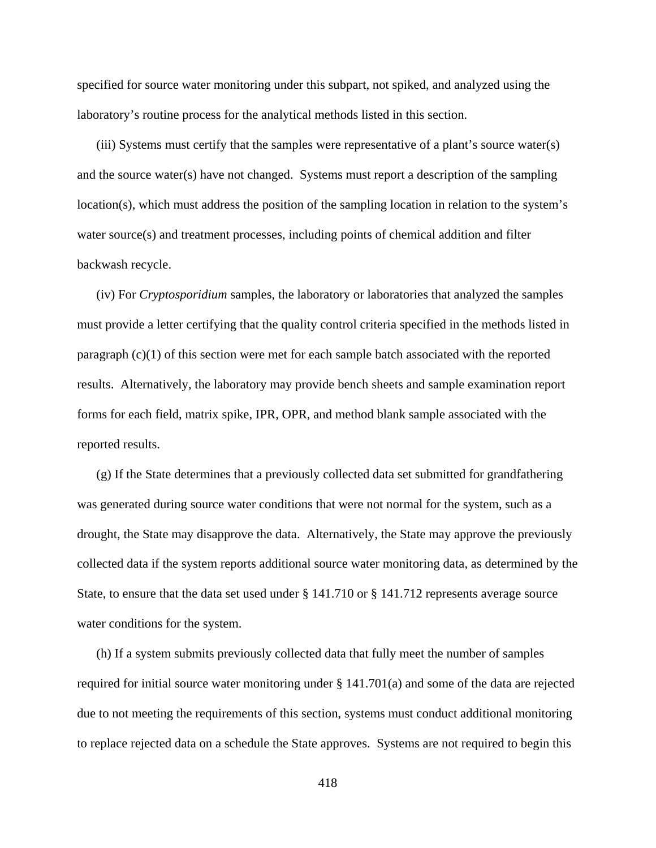specified for source water monitoring under this subpart, not spiked, and analyzed using the laboratory's routine process for the analytical methods listed in this section.

(iii) Systems must certify that the samples were representative of a plant's source water(s) and the source water(s) have not changed. Systems must report a description of the sampling location(s), which must address the position of the sampling location in relation to the system's water source(s) and treatment processes, including points of chemical addition and filter backwash recycle.

(iv) For *Cryptosporidium* samples, the laboratory or laboratories that analyzed the samples must provide a letter certifying that the quality control criteria specified in the methods listed in paragraph (c)(1) of this section were met for each sample batch associated with the reported results. Alternatively, the laboratory may provide bench sheets and sample examination report forms for each field, matrix spike, IPR, OPR, and method blank sample associated with the reported results.

(g) If the State determines that a previously collected data set submitted for grandfathering was generated during source water conditions that were not normal for the system, such as a drought, the State may disapprove the data. Alternatively, the State may approve the previously collected data if the system reports additional source water monitoring data, as determined by the State, to ensure that the data set used under § 141.710 or § 141.712 represents average source water conditions for the system.

(h) If a system submits previously collected data that fully meet the number of samples required for initial source water monitoring under  $\S 141.701(a)$  and some of the data are rejected due to not meeting the requirements of this section, systems must conduct additional monitoring to replace rejected data on a schedule the State approves. Systems are not required to begin this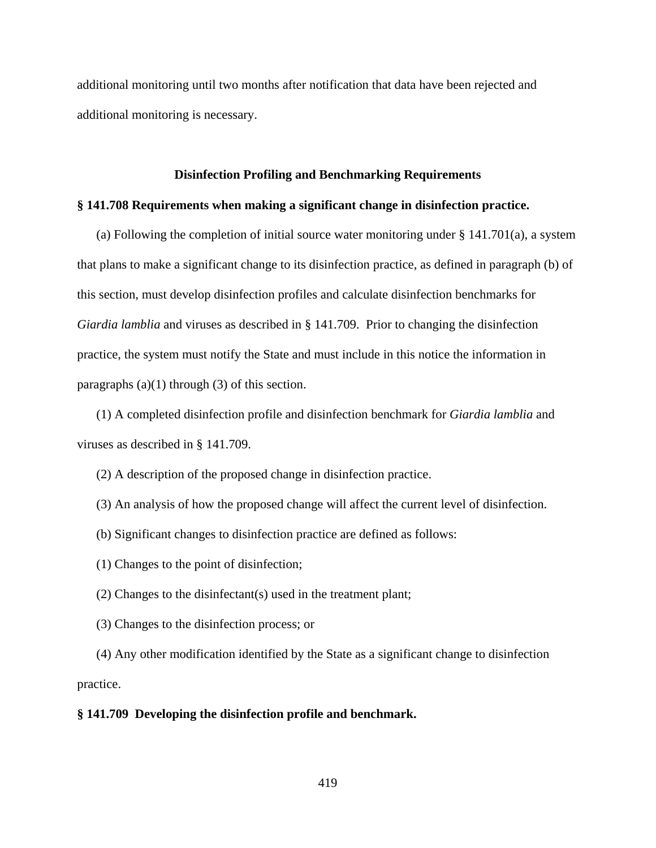additional monitoring until two months after notification that data have been rejected and additional monitoring is necessary.

#### **Disinfection Profiling and Benchmarking Requirements**

#### **§ 141.708 Requirements when making a significant change in disinfection practice.**

(a) Following the completion of initial source water monitoring under  $\S 141.701(a)$ , a system that plans to make a significant change to its disinfection practice, as defined in paragraph (b) of this section, must develop disinfection profiles and calculate disinfection benchmarks for *Giardia lamblia* and viruses as described in § 141.709. Prior to changing the disinfection practice, the system must notify the State and must include in this notice the information in paragraphs  $(a)(1)$  through  $(3)$  of this section.

(1) A completed disinfection profile and disinfection benchmark for *Giardia lamblia* and viruses as described in § 141.709.

- (2) A description of the proposed change in disinfection practice.
- (3) An analysis of how the proposed change will affect the current level of disinfection.
- (b) Significant changes to disinfection practice are defined as follows:
- (1) Changes to the point of disinfection;
- (2) Changes to the disinfectant(s) used in the treatment plant;
- (3) Changes to the disinfection process; or

(4) Any other modification identified by the State as a significant change to disinfection practice.

#### **§ 141.709 Developing the disinfection profile and benchmark.**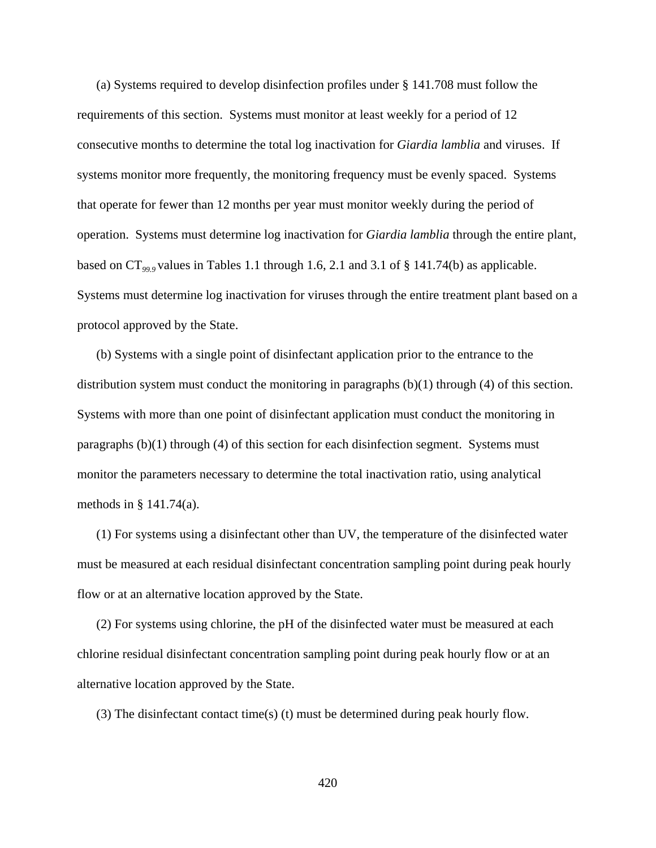(a) Systems required to develop disinfection profiles under § 141.708 must follow the requirements of this section. Systems must monitor at least weekly for a period of 12 consecutive months to determine the total log inactivation for *Giardia lamblia* and viruses. If systems monitor more frequently, the monitoring frequency must be evenly spaced. Systems that operate for fewer than 12 months per year must monitor weekly during the period of operation. Systems must determine log inactivation for *Giardia lamblia* through the entire plant, based on CT*99.9* values in Tables 1.1 through 1.6, 2.1 and 3.1 of § 141.74(b) as applicable. Systems must determine log inactivation for viruses through the entire treatment plant based on a protocol approved by the State.

(b) Systems with a single point of disinfectant application prior to the entrance to the distribution system must conduct the monitoring in paragraphs (b)(1) through (4) of this section. Systems with more than one point of disinfectant application must conduct the monitoring in paragraphs (b)(1) through (4) of this section for each disinfection segment. Systems must monitor the parameters necessary to determine the total inactivation ratio, using analytical methods in § 141.74(a).

(1) For systems using a disinfectant other than UV, the temperature of the disinfected water must be measured at each residual disinfectant concentration sampling point during peak hourly flow or at an alternative location approved by the State.

(2) For systems using chlorine, the pH of the disinfected water must be measured at each chlorine residual disinfectant concentration sampling point during peak hourly flow or at an alternative location approved by the State.

(3) The disinfectant contact time(s) (t) must be determined during peak hourly flow.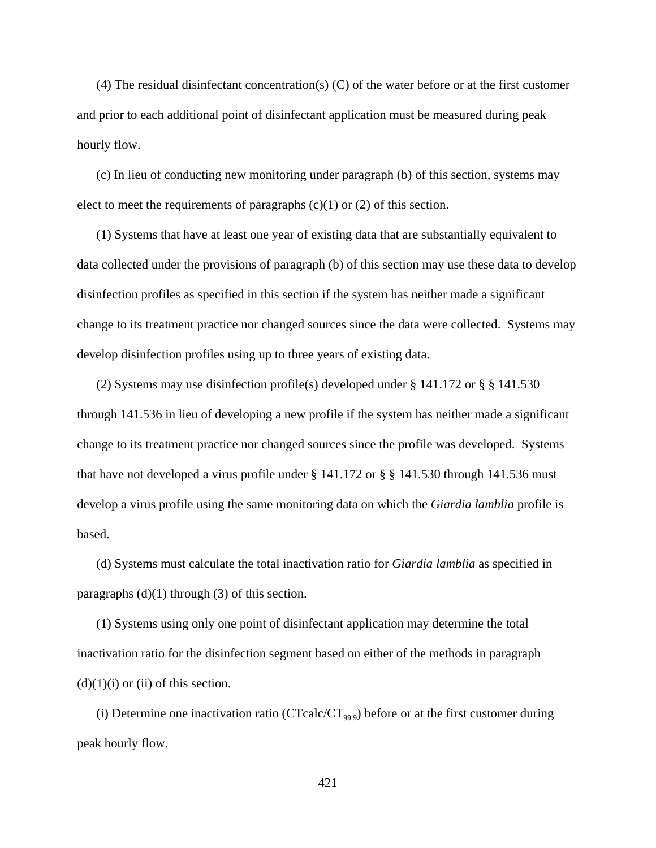(4) The residual disinfectant concentration(s) (C) of the water before or at the first customer and prior to each additional point of disinfectant application must be measured during peak hourly flow.

(c) In lieu of conducting new monitoring under paragraph (b) of this section, systems may elect to meet the requirements of paragraphs  $(c)(1)$  or  $(2)$  of this section.

(1) Systems that have at least one year of existing data that are substantially equivalent to data collected under the provisions of paragraph (b) of this section may use these data to develop disinfection profiles as specified in this section if the system has neither made a significant change to its treatment practice nor changed sources since the data were collected. Systems may develop disinfection profiles using up to three years of existing data.

(2) Systems may use disinfection profile(s) developed under § 141.172 or § § 141.530 through 141.536 in lieu of developing a new profile if the system has neither made a significant change to its treatment practice nor changed sources since the profile was developed. Systems that have not developed a virus profile under  $\S$  141.172 or  $\S$   $\S$  141.530 through 141.536 must develop a virus profile using the same monitoring data on which the *Giardia lamblia* profile is based.

(d) Systems must calculate the total inactivation ratio for *Giardia lamblia* as specified in paragraphs  $(d)(1)$  through  $(3)$  of this section.

(1) Systems using only one point of disinfectant application may determine the total inactivation ratio for the disinfection segment based on either of the methods in paragraph  $(d)(1)(i)$  or  $(ii)$  of this section.

(i) Determine one inactivation ratio (CTcalc/CT<sub>99.9</sub>) before or at the first customer during peak hourly flow.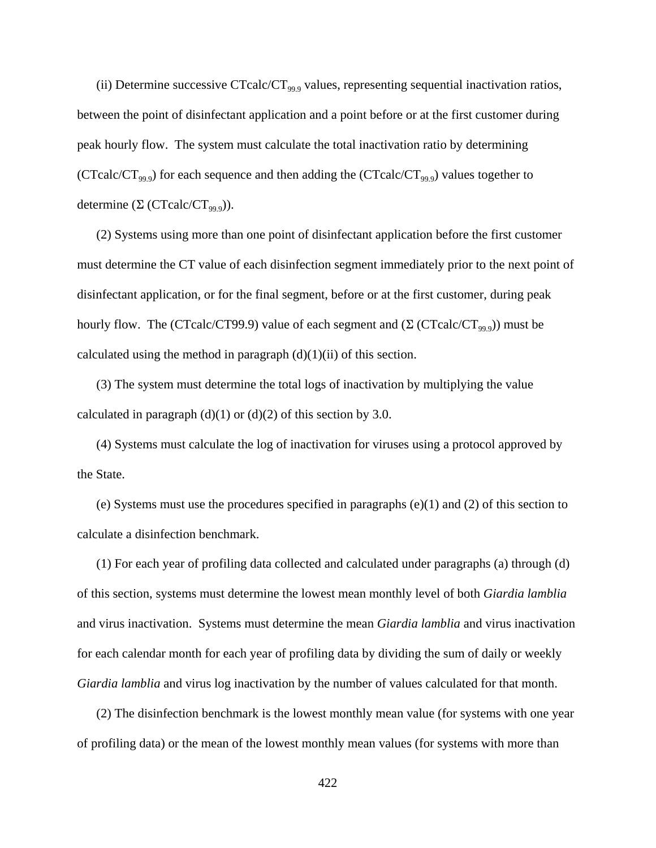(ii) Determine successive CTcalc/CT<sub>99.9</sub> values, representing sequential inactivation ratios, between the point of disinfectant application and a point before or at the first customer during peak hourly flow. The system must calculate the total inactivation ratio by determining (CTcalc/CT<sub>99.9</sub>) for each sequence and then adding the (CTcalc/CT<sub>99.9</sub>) values together to determine  $(\Sigma$  (CTcalc/CT<sub>99.9</sub>)).

(2) Systems using more than one point of disinfectant application before the first customer must determine the CT value of each disinfection segment immediately prior to the next point of disinfectant application, or for the final segment, before or at the first customer, during peak hourly flow. The (CTcalc/CT99.9) value of each segment and  $(\Sigma$  (CTcalc/CT<sub>99.9</sub>)) must be calculated using the method in paragraph  $(d)(1)(ii)$  of this section.

(3) The system must determine the total logs of inactivation by multiplying the value calculated in paragraph  $(d)(1)$  or  $(d)(2)$  of this section by 3.0.

(4) Systems must calculate the log of inactivation for viruses using a protocol approved by the State.

(e) Systems must use the procedures specified in paragraphs (e)(1) and (2) of this section to calculate a disinfection benchmark.

(1) For each year of profiling data collected and calculated under paragraphs (a) through (d) of this section, systems must determine the lowest mean monthly level of both *Giardia lamblia* and virus inactivation. Systems must determine the mean *Giardia lamblia* and virus inactivation for each calendar month for each year of profiling data by dividing the sum of daily or weekly *Giardia lamblia* and virus log inactivation by the number of values calculated for that month.

(2) The disinfection benchmark is the lowest monthly mean value (for systems with one year of profiling data) or the mean of the lowest monthly mean values (for systems with more than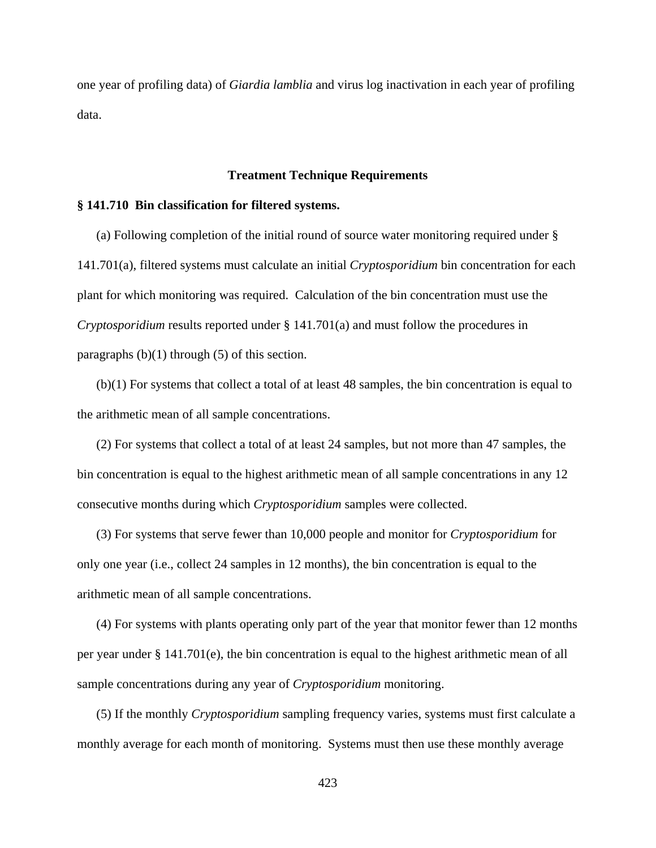one year of profiling data) of *Giardia lamblia* and virus log inactivation in each year of profiling data.

#### **Treatment Technique Requirements**

# **§ 141.710 Bin classification for filtered systems.**

(a) Following completion of the initial round of source water monitoring required under § 141.701(a), filtered systems must calculate an initial *Cryptosporidium* bin concentration for each plant for which monitoring was required. Calculation of the bin concentration must use the *Cryptosporidium* results reported under § 141.701(a) and must follow the procedures in paragraphs  $(b)(1)$  through  $(5)$  of this section.

(b)(1) For systems that collect a total of at least 48 samples, the bin concentration is equal to the arithmetic mean of all sample concentrations.

(2) For systems that collect a total of at least 24 samples, but not more than 47 samples, the bin concentration is equal to the highest arithmetic mean of all sample concentrations in any 12 consecutive months during which *Cryptosporidium* samples were collected.

(3) For systems that serve fewer than 10,000 people and monitor for *Cryptosporidium* for only one year (i.e., collect 24 samples in 12 months), the bin concentration is equal to the arithmetic mean of all sample concentrations.

(4) For systems with plants operating only part of the year that monitor fewer than 12 months per year under § 141.701(e), the bin concentration is equal to the highest arithmetic mean of all sample concentrations during any year of *Cryptosporidium* monitoring.

(5) If the monthly *Cryptosporidium* sampling frequency varies, systems must first calculate a monthly average for each month of monitoring. Systems must then use these monthly average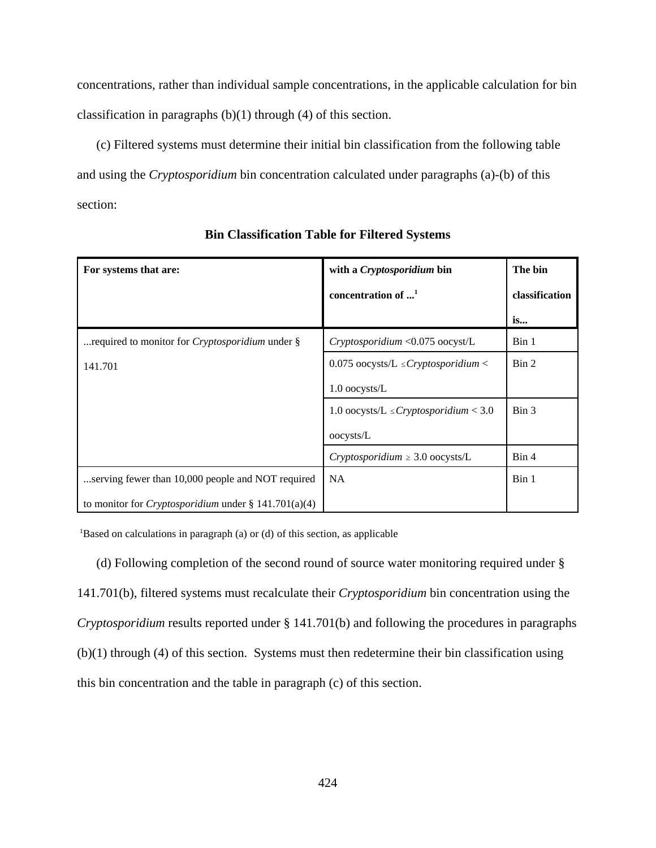concentrations, rather than individual sample concentrations, in the applicable calculation for bin classification in paragraphs (b)(1) through (4) of this section.

(c) Filtered systems must determine their initial bin classification from the following table and using the *Cryptosporidium* bin concentration calculated under paragraphs (a)-(b) of this section:

| For systems that are:                                       | with a Cryptosporidium bin                   | The bin        |
|-------------------------------------------------------------|----------------------------------------------|----------------|
|                                                             | concentration of $\dots$ <sup>1</sup>        | classification |
|                                                             |                                              | is             |
| required to monitor for <i>Cryptosporidium</i> under §      | Cryptosporidium <0.075 oocyst/L              | Bin 1          |
| 141.701                                                     | 0.075 oocysts/L $\leq$ Cryptosporidium $\lt$ | Bin 2          |
|                                                             | 1.0 oocysts/L                                |                |
|                                                             | 1.0 oocysts/L $\leq$ Cryptosporidium < 3.0   | Bin 3          |
|                                                             | oocysts/L                                    |                |
|                                                             | Cryptosporidium $\geq 3.0$ oocysts/L         | Bin 4          |
| serving fewer than 10,000 people and NOT required           | <b>NA</b>                                    | Bin 1          |
| to monitor for <i>Cryptosporidium</i> under § 141.701(a)(4) |                                              |                |

**Bin Classification Table for Filtered Systems**

<sup>1</sup>Based on calculations in paragraph (a) or (d) of this section, as applicable

(d) Following completion of the second round of source water monitoring required under § 141.701(b), filtered systems must recalculate their *Cryptosporidium* bin concentration using the *Cryptosporidium* results reported under § 141.701(b) and following the procedures in paragraphs (b)(1) through (4) of this section. Systems must then redetermine their bin classification using this bin concentration and the table in paragraph (c) of this section.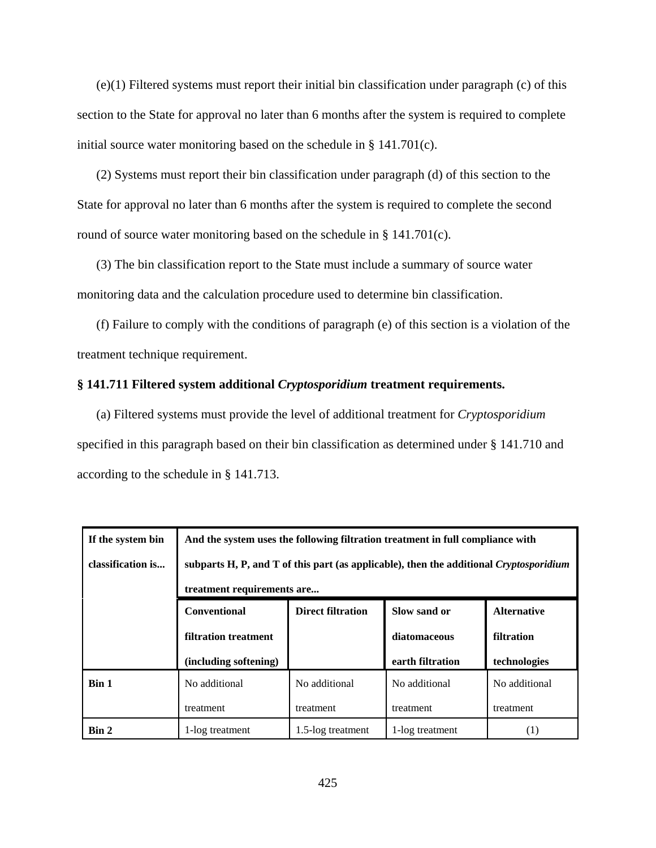(e)(1) Filtered systems must report their initial bin classification under paragraph (c) of this section to the State for approval no later than 6 months after the system is required to complete initial source water monitoring based on the schedule in  $\S$  141.701(c).

(2) Systems must report their bin classification under paragraph (d) of this section to the State for approval no later than 6 months after the system is required to complete the second round of source water monitoring based on the schedule in § 141.701(c).

(3) The bin classification report to the State must include a summary of source water monitoring data and the calculation procedure used to determine bin classification.

(f) Failure to comply with the conditions of paragraph (e) of this section is a violation of the treatment technique requirement.

#### **§ 141.711 Filtered system additional** *Cryptosporidium* **treatment requirements.**

(a) Filtered systems must provide the level of additional treatment for *Cryptosporidium* specified in this paragraph based on their bin classification as determined under § 141.710 and according to the schedule in § 141.713.

| If the system bin | And the system uses the following filtration treatment in full compliance with         |                   |                  |               |
|-------------------|----------------------------------------------------------------------------------------|-------------------|------------------|---------------|
| classification is | subparts H, P, and T of this part (as applicable), then the additional Cryptosporidium |                   |                  |               |
|                   | treatment requirements are                                                             |                   |                  |               |
|                   | <b>Direct filtration</b><br><b>Conventional</b><br>Slow sand or<br><b>Alternative</b>  |                   |                  |               |
|                   | filtration treatment                                                                   |                   | diatomaceous     | filtration    |
|                   | (including softening)                                                                  |                   | earth filtration | technologies  |
| Bin 1             | No additional                                                                          | No additional     | No additional    | No additional |
|                   | treatment                                                                              | treatment         | treatment        | treatment     |
| Bin 2             | 1-log treatment                                                                        | 1.5-log treatment | 1-log treatment  | (1)           |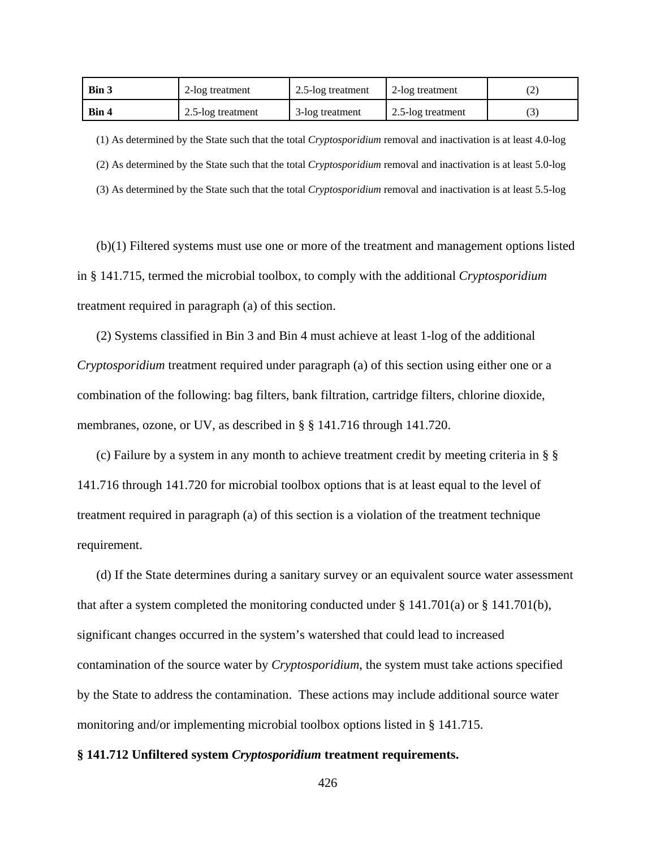| Bin 3        | 2-log treatment   | 2.5-log treatment | 2-log treatment   |  |
|--------------|-------------------|-------------------|-------------------|--|
| <b>Bin 4</b> | 2.5-log treatment | 3-log treatment   | 2.5-log treatment |  |

(1) As determined by the State such that the total *Cryptosporidium* removal and inactivation is at least 4.0-log (2) As determined by the State such that the total *Cryptosporidium* removal and inactivation is at least 5.0-log (3) As determined by the State such that the total *Cryptosporidium* removal and inactivation is at least 5.5-log

(b)(1) Filtered systems must use one or more of the treatment and management options listed in § 141.715, termed the microbial toolbox, to comply with the additional *Cryptosporidium* treatment required in paragraph (a) of this section.

(2) Systems classified in Bin 3 and Bin 4 must achieve at least 1-log of the additional *Cryptosporidium* treatment required under paragraph (a) of this section using either one or a combination of the following: bag filters, bank filtration, cartridge filters, chlorine dioxide, membranes, ozone, or UV, as described in § § 141.716 through 141.720.

(c) Failure by a system in any month to achieve treatment credit by meeting criteria in § § 141.716 through 141.720 for microbial toolbox options that is at least equal to the level of treatment required in paragraph (a) of this section is a violation of the treatment technique requirement.

(d) If the State determines during a sanitary survey or an equivalent source water assessment that after a system completed the monitoring conducted under  $\S 141.701(a)$  or  $\S 141.701(b)$ , significant changes occurred in the system's watershed that could lead to increased contamination of the source water by *Cryptosporidium*, the system must take actions specified by the State to address the contamination. These actions may include additional source water monitoring and/or implementing microbial toolbox options listed in § 141.715.

#### **§ 141.712 Unfiltered system** *Cryptosporidium* **treatment requirements.**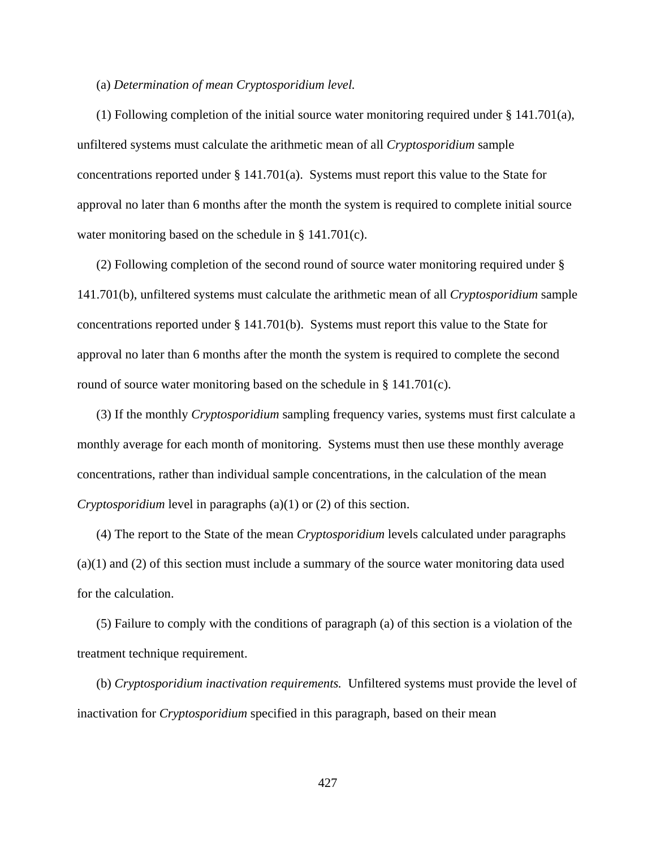#### (a) *Determination of mean Cryptosporidium level.*

(1) Following completion of the initial source water monitoring required under § 141.701(a), unfiltered systems must calculate the arithmetic mean of all *Cryptosporidium* sample concentrations reported under  $\S 141.701(a)$ . Systems must report this value to the State for approval no later than 6 months after the month the system is required to complete initial source water monitoring based on the schedule in § 141.701(c).

(2) Following completion of the second round of source water monitoring required under § 141.701(b), unfiltered systems must calculate the arithmetic mean of all *Cryptosporidium* sample concentrations reported under § 141.701(b). Systems must report this value to the State for approval no later than 6 months after the month the system is required to complete the second round of source water monitoring based on the schedule in § 141.701(c).

(3) If the monthly *Cryptosporidium* sampling frequency varies, systems must first calculate a monthly average for each month of monitoring. Systems must then use these monthly average concentrations, rather than individual sample concentrations, in the calculation of the mean *Cryptosporidium* level in paragraphs (a)(1) or (2) of this section.

(4) The report to the State of the mean *Cryptosporidium* levels calculated under paragraphs (a)(1) and (2) of this section must include a summary of the source water monitoring data used for the calculation.

(5) Failure to comply with the conditions of paragraph (a) of this section is a violation of the treatment technique requirement.

(b) *Cryptosporidium inactivation requirements.* Unfiltered systems must provide the level of inactivation for *Cryptosporidium* specified in this paragraph, based on their mean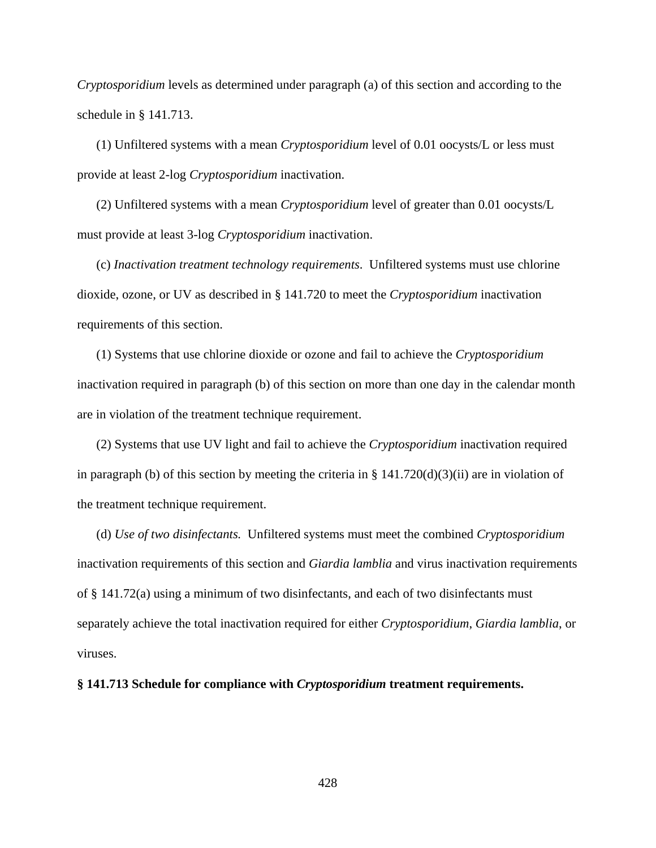*Cryptosporidium* levels as determined under paragraph (a) of this section and according to the schedule in § 141.713.

(1) Unfiltered systems with a mean *Cryptosporidium* level of 0.01 oocysts/L or less must provide at least 2-log *Cryptosporidium* inactivation.

(2) Unfiltered systems with a mean *Cryptosporidium* level of greater than 0.01 oocysts/L must provide at least 3-log *Cryptosporidium* inactivation.

(c) *Inactivation treatment technology requirements*. Unfiltered systems must use chlorine dioxide, ozone, or UV as described in § 141.720 to meet the *Cryptosporidium* inactivation requirements of this section.

(1) Systems that use chlorine dioxide or ozone and fail to achieve the *Cryptosporidium* inactivation required in paragraph (b) of this section on more than one day in the calendar month are in violation of the treatment technique requirement.

(2) Systems that use UV light and fail to achieve the *Cryptosporidium* inactivation required in paragraph (b) of this section by meeting the criteria in  $\S$  141.720(d)(3)(ii) are in violation of the treatment technique requirement.

(d) *Use of two disinfectants.* Unfiltered systems must meet the combined *Cryptosporidium* inactivation requirements of this section and *Giardia lamblia* and virus inactivation requirements of § 141.72(a) using a minimum of two disinfectants, and each of two disinfectants must separately achieve the total inactivation required for either *Cryptosporidium*, *Giardia lamblia*, or viruses.

**§ 141.713 Schedule for compliance with** *Cryptosporidium* **treatment requirements.**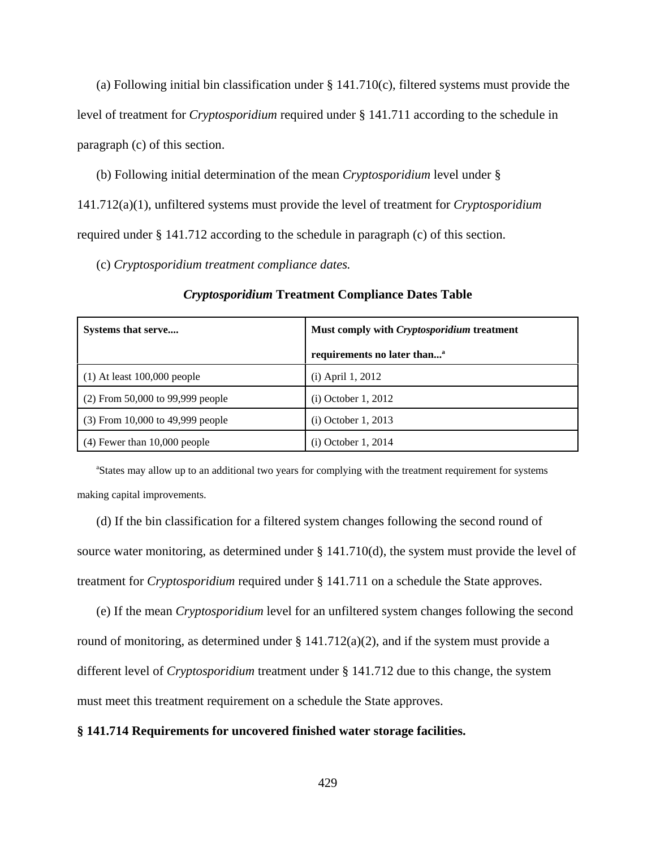(a) Following initial bin classification under § 141.710(c), filtered systems must provide the level of treatment for *Cryptosporidium* required under § 141.711 according to the schedule in paragraph (c) of this section.

(b) Following initial determination of the mean *Cryptosporidium* level under §

141.712(a)(1), unfiltered systems must provide the level of treatment for *Cryptosporidium*

required under § 141.712 according to the schedule in paragraph (c) of this section.

(c) *Cryptosporidium treatment compliance dates.*

| Systems that serve               | Must comply with Cryptosporidium treatment |  |
|----------------------------------|--------------------------------------------|--|
|                                  | requirements no later than <sup>a</sup>    |  |
| $(1)$ At least 100,000 people    | $(i)$ April 1, 2012                        |  |
| (2) From 50,000 to 99,999 people | $(i)$ October 1, 2012                      |  |
| (3) From 10,000 to 49,999 people | $(i)$ October 1, 2013                      |  |
| $(4)$ Fewer than 10,000 people   | (i) October 1, 2014                        |  |

*Cryptosporidium* **Treatment Compliance Dates Table**

<sup>a</sup>States may allow up to an additional two years for complying with the treatment requirement for systems making capital improvements.

(d) If the bin classification for a filtered system changes following the second round of source water monitoring, as determined under § 141.710(d), the system must provide the level of treatment for *Cryptosporidium* required under § 141.711 on a schedule the State approves.

(e) If the mean *Cryptosporidium* level for an unfiltered system changes following the second round of monitoring, as determined under  $\S 141.712(a)(2)$ , and if the system must provide a different level of *Cryptosporidium* treatment under § 141.712 due to this change, the system must meet this treatment requirement on a schedule the State approves.

#### **§ 141.714 Requirements for uncovered finished water storage facilities.**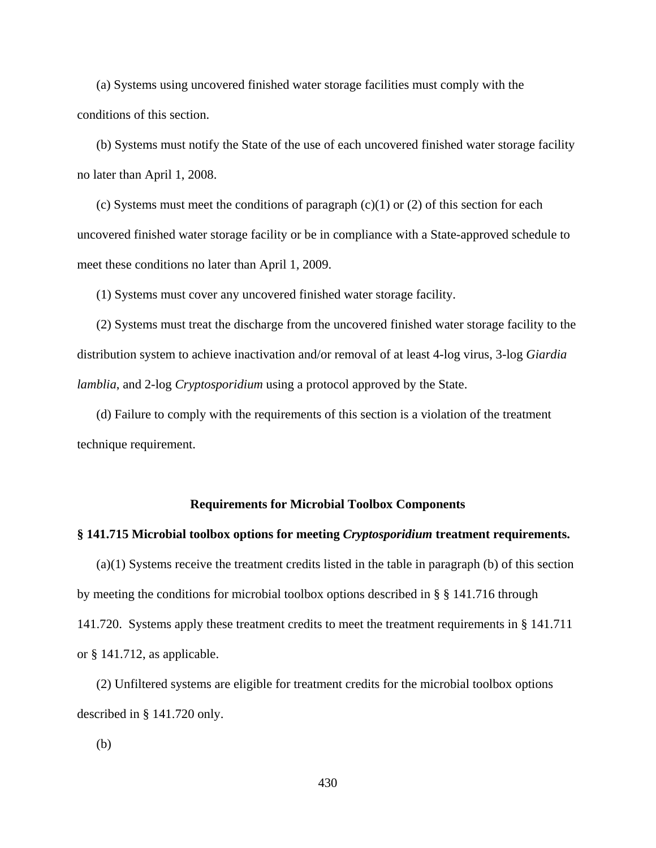(a) Systems using uncovered finished water storage facilities must comply with the conditions of this section.

(b) Systems must notify the State of the use of each uncovered finished water storage facility no later than April 1, 2008.

(c) Systems must meet the conditions of paragraph  $(c)(1)$  or  $(2)$  of this section for each uncovered finished water storage facility or be in compliance with a State-approved schedule to meet these conditions no later than April 1, 2009.

(1) Systems must cover any uncovered finished water storage facility.

(2) Systems must treat the discharge from the uncovered finished water storage facility to the distribution system to achieve inactivation and/or removal of at least 4-log virus, 3-log *Giardia lamblia*, and 2-log *Cryptosporidium* using a protocol approved by the State.

(d) Failure to comply with the requirements of this section is a violation of the treatment technique requirement.

#### **Requirements for Microbial Toolbox Components**

### **§ 141.715 Microbial toolbox options for meeting** *Cryptosporidium* **treatment requirements.**

(a)(1) Systems receive the treatment credits listed in the table in paragraph (b) of this section by meeting the conditions for microbial toolbox options described in § § 141.716 through 141.720. Systems apply these treatment credits to meet the treatment requirements in § 141.711 or § 141.712, as applicable.

(2) Unfiltered systems are eligible for treatment credits for the microbial toolbox options described in § 141.720 only.

(b)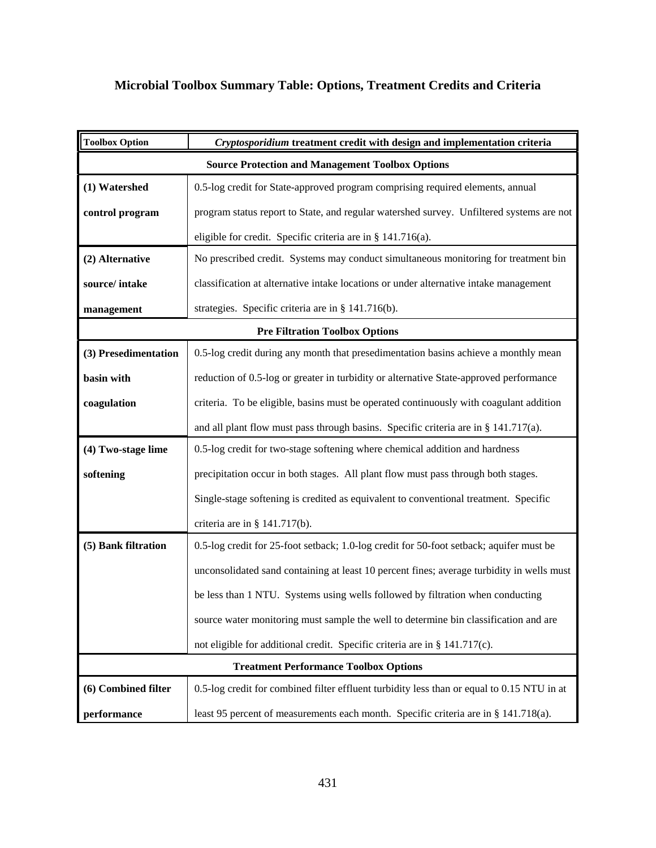# **Microbial Toolbox Summary Table: Options, Treatment Credits and Criteria**

| <b>Toolbox Option</b>                                   | Cryptosporidium treatment credit with design and implementation criteria                   |  |
|---------------------------------------------------------|--------------------------------------------------------------------------------------------|--|
| <b>Source Protection and Management Toolbox Options</b> |                                                                                            |  |
| (1) Watershed                                           | 0.5-log credit for State-approved program comprising required elements, annual             |  |
| control program                                         | program status report to State, and regular watershed survey. Unfiltered systems are not   |  |
|                                                         | eligible for credit. Specific criteria are in § 141.716(a).                                |  |
| (2) Alternative                                         | No prescribed credit. Systems may conduct simultaneous monitoring for treatment bin        |  |
| source/intake                                           | classification at alternative intake locations or under alternative intake management      |  |
| management                                              | strategies. Specific criteria are in § 141.716(b).                                         |  |
|                                                         | <b>Pre Filtration Toolbox Options</b>                                                      |  |
| (3) Presedimentation                                    | 0.5-log credit during any month that presedimentation basins achieve a monthly mean        |  |
| basin with                                              | reduction of 0.5-log or greater in turbidity or alternative State-approved performance     |  |
| coagulation                                             | criteria. To be eligible, basins must be operated continuously with coagulant addition     |  |
|                                                         | and all plant flow must pass through basins. Specific criteria are in $\S$ 141.717(a).     |  |
| (4) Two-stage lime                                      | 0.5-log credit for two-stage softening where chemical addition and hardness                |  |
| softening                                               | precipitation occur in both stages. All plant flow must pass through both stages.          |  |
|                                                         | Single-stage softening is credited as equivalent to conventional treatment. Specific       |  |
|                                                         | criteria are in § $141.717(b)$ .                                                           |  |
| (5) Bank filtration                                     | 0.5-log credit for 25-foot setback; 1.0-log credit for 50-foot setback; aquifer must be    |  |
|                                                         | unconsolidated sand containing at least 10 percent fines; average turbidity in wells must  |  |
|                                                         | be less than 1 NTU. Systems using wells followed by filtration when conducting             |  |
|                                                         | source water monitoring must sample the well to determine bin classification and are       |  |
|                                                         | not eligible for additional credit. Specific criteria are in § 141.717(c).                 |  |
| <b>Treatment Performance Toolbox Options</b>            |                                                                                            |  |
| (6) Combined filter                                     | 0.5-log credit for combined filter effluent turbidity less than or equal to 0.15 NTU in at |  |
| performance                                             | least 95 percent of measurements each month. Specific criteria are in § 141.718(a).        |  |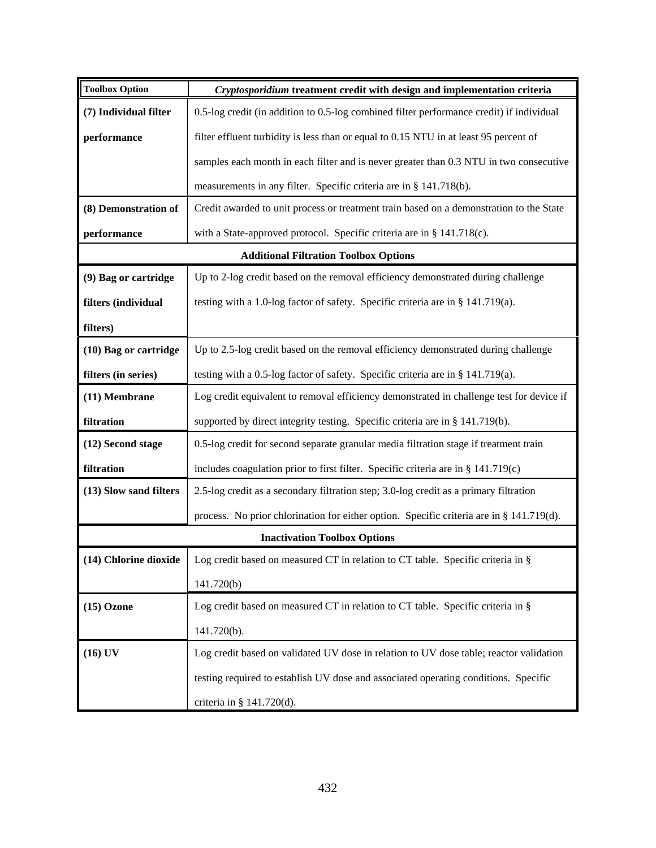| <b>Toolbox Option</b>  | Cryptosporidium treatment credit with design and implementation criteria                 |
|------------------------|------------------------------------------------------------------------------------------|
| (7) Individual filter  | 0.5-log credit (in addition to 0.5-log combined filter performance credit) if individual |
| performance            | filter effluent turbidity is less than or equal to 0.15 NTU in at least 95 percent of    |
|                        | samples each month in each filter and is never greater than 0.3 NTU in two consecutive   |
|                        | measurements in any filter. Specific criteria are in § 141.718(b).                       |
| (8) Demonstration of   | Credit awarded to unit process or treatment train based on a demonstration to the State  |
| performance            | with a State-approved protocol. Specific criteria are in § 141.718(c).                   |
|                        | <b>Additional Filtration Toolbox Options</b>                                             |
| (9) Bag or cartridge   | Up to 2-log credit based on the removal efficiency demonstrated during challenge         |
| filters (individual    | testing with a 1.0-log factor of safety. Specific criteria are in § 141.719(a).          |
| filters)               |                                                                                          |
| (10) Bag or cartridge  | Up to 2.5-log credit based on the removal efficiency demonstrated during challenge       |
| filters (in series)    | testing with a 0.5-log factor of safety. Specific criteria are in § 141.719(a).          |
| (11) Membrane          | Log credit equivalent to removal efficiency demonstrated in challenge test for device if |
| filtration             | supported by direct integrity testing. Specific criteria are in § 141.719(b).            |
| (12) Second stage      | 0.5-log credit for second separate granular media filtration stage if treatment train    |
| filtration             | includes coagulation prior to first filter. Specific criteria are in § 141.719(c)        |
| (13) Slow sand filters | 2.5-log credit as a secondary filtration step; 3.0-log credit as a primary filtration    |
|                        | process. No prior chlorination for either option. Specific criteria are in § 141.719(d). |
|                        | <b>Inactivation Toolbox Options</b>                                                      |
| (14) Chlorine dioxide  | Log credit based on measured CT in relation to CT table. Specific criteria in $\S$       |
|                        | 141.720(b)                                                                               |
| $(15)$ Ozone           | Log credit based on measured CT in relation to CT table. Specific criteria in §          |
|                        | 141.720(b).                                                                              |
| $(16)$ UV              | Log credit based on validated UV dose in relation to UV dose table; reactor validation   |
|                        | testing required to establish UV dose and associated operating conditions. Specific      |
|                        | criteria in § $141.720(d)$ .                                                             |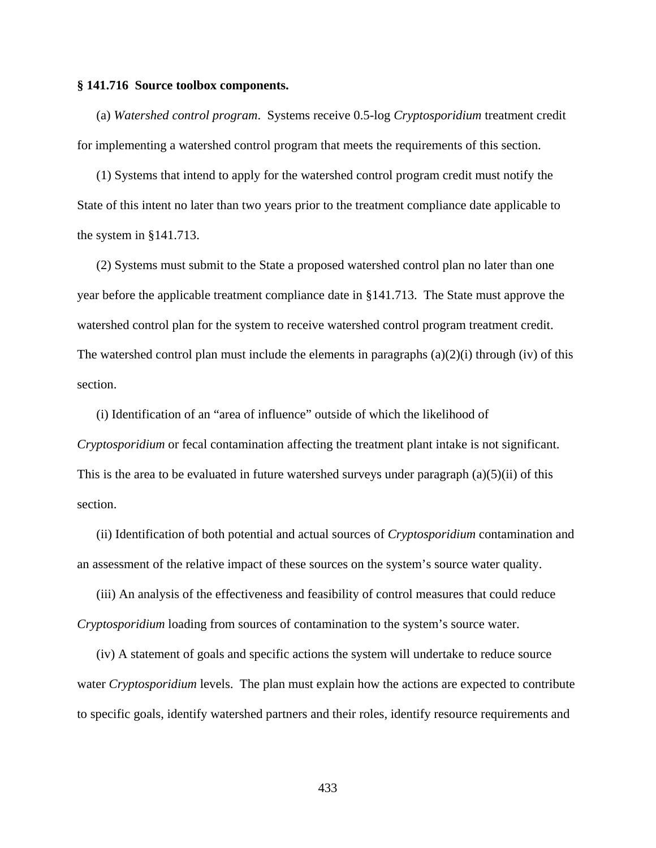#### **§ 141.716 Source toolbox components.**

 (a) *Watershed control program*. Systems receive 0.5-log *Cryptosporidium* treatment credit for implementing a watershed control program that meets the requirements of this section.

(1) Systems that intend to apply for the watershed control program credit must notify the State of this intent no later than two years prior to the treatment compliance date applicable to the system in §141.713.

(2) Systems must submit to the State a proposed watershed control plan no later than one year before the applicable treatment compliance date in §141.713. The State must approve the watershed control plan for the system to receive watershed control program treatment credit. The watershed control plan must include the elements in paragraphs  $(a)(2)(i)$  through  $(iv)$  of this section.

(i) Identification of an "area of influence" outside of which the likelihood of *Cryptosporidium* or fecal contamination affecting the treatment plant intake is not significant. This is the area to be evaluated in future watershed surveys under paragraph  $(a)(5)(ii)$  of this section.

(ii) Identification of both potential and actual sources of *Cryptosporidium* contamination and an assessment of the relative impact of these sources on the system's source water quality.

(iii) An analysis of the effectiveness and feasibility of control measures that could reduce *Cryptosporidium* loading from sources of contamination to the system's source water.

(iv) A statement of goals and specific actions the system will undertake to reduce source water *Cryptosporidium* levels. The plan must explain how the actions are expected to contribute to specific goals, identify watershed partners and their roles, identify resource requirements and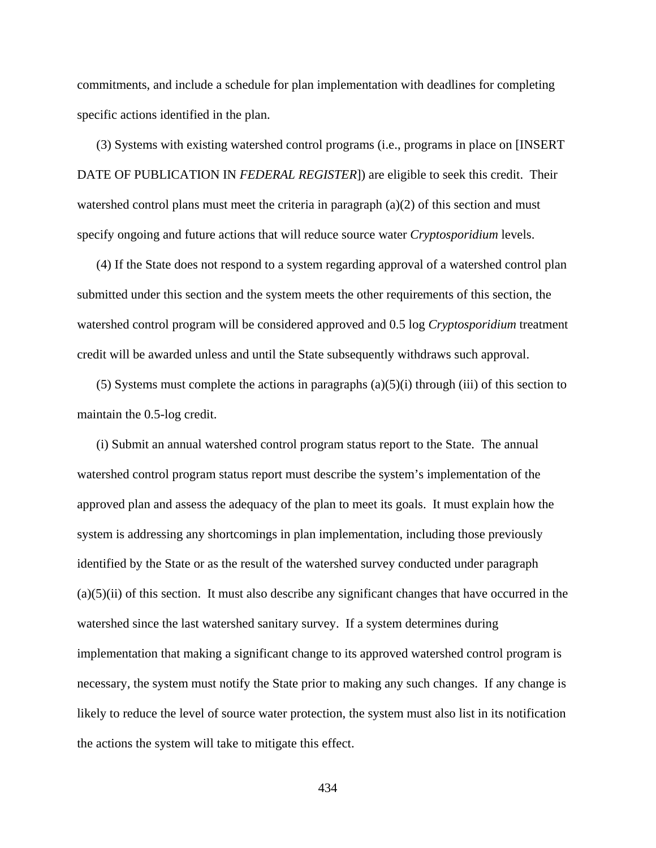commitments, and include a schedule for plan implementation with deadlines for completing specific actions identified in the plan.

(3) Systems with existing watershed control programs (i.e., programs in place on [INSERT DATE OF PUBLICATION IN *FEDERAL REGISTER*]) are eligible to seek this credit. Their watershed control plans must meet the criteria in paragraph  $(a)(2)$  of this section and must specify ongoing and future actions that will reduce source water *Cryptosporidium* levels.

(4) If the State does not respond to a system regarding approval of a watershed control plan submitted under this section and the system meets the other requirements of this section, the watershed control program will be considered approved and 0.5 log *Cryptosporidium* treatment credit will be awarded unless and until the State subsequently withdraws such approval.

(5) Systems must complete the actions in paragraphs  $(a)(5)(i)$  through (iii) of this section to maintain the 0.5-log credit.

(i) Submit an annual watershed control program status report to the State. The annual watershed control program status report must describe the system's implementation of the approved plan and assess the adequacy of the plan to meet its goals. It must explain how the system is addressing any shortcomings in plan implementation, including those previously identified by the State or as the result of the watershed survey conducted under paragraph  $(a)(5)(ii)$  of this section. It must also describe any significant changes that have occurred in the watershed since the last watershed sanitary survey. If a system determines during implementation that making a significant change to its approved watershed control program is necessary, the system must notify the State prior to making any such changes. If any change is likely to reduce the level of source water protection, the system must also list in its notification the actions the system will take to mitigate this effect.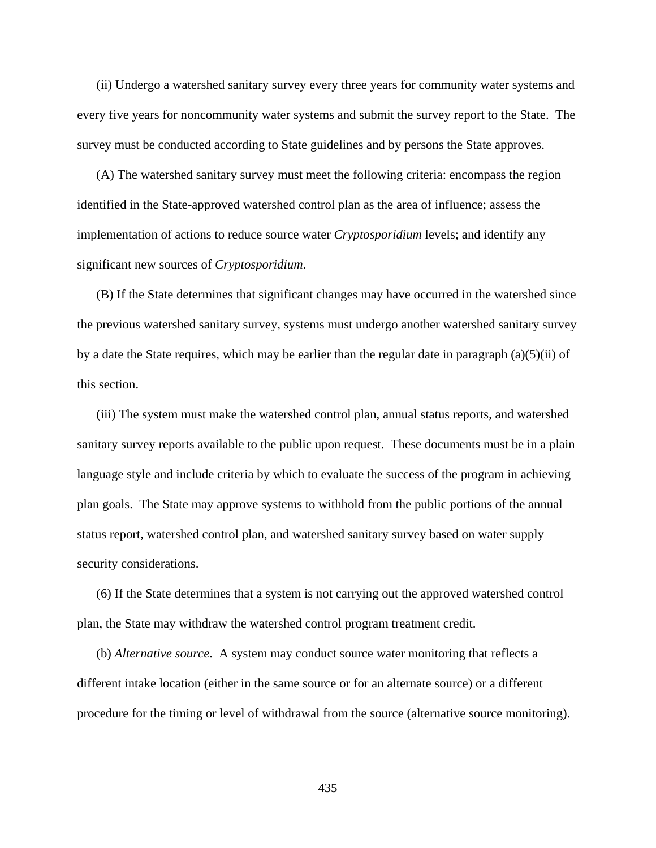(ii) Undergo a watershed sanitary survey every three years for community water systems and every five years for noncommunity water systems and submit the survey report to the State. The survey must be conducted according to State guidelines and by persons the State approves.

(A) The watershed sanitary survey must meet the following criteria: encompass the region identified in the State-approved watershed control plan as the area of influence; assess the implementation of actions to reduce source water *Cryptosporidium* levels; and identify any significant new sources of *Cryptosporidium*.

(B) If the State determines that significant changes may have occurred in the watershed since the previous watershed sanitary survey, systems must undergo another watershed sanitary survey by a date the State requires, which may be earlier than the regular date in paragraph (a)(5)(ii) of this section.

(iii) The system must make the watershed control plan, annual status reports, and watershed sanitary survey reports available to the public upon request. These documents must be in a plain language style and include criteria by which to evaluate the success of the program in achieving plan goals. The State may approve systems to withhold from the public portions of the annual status report, watershed control plan, and watershed sanitary survey based on water supply security considerations.

(6) If the State determines that a system is not carrying out the approved watershed control plan, the State may withdraw the watershed control program treatment credit.

(b) *Alternative source*. A system may conduct source water monitoring that reflects a different intake location (either in the same source or for an alternate source) or a different procedure for the timing or level of withdrawal from the source (alternative source monitoring).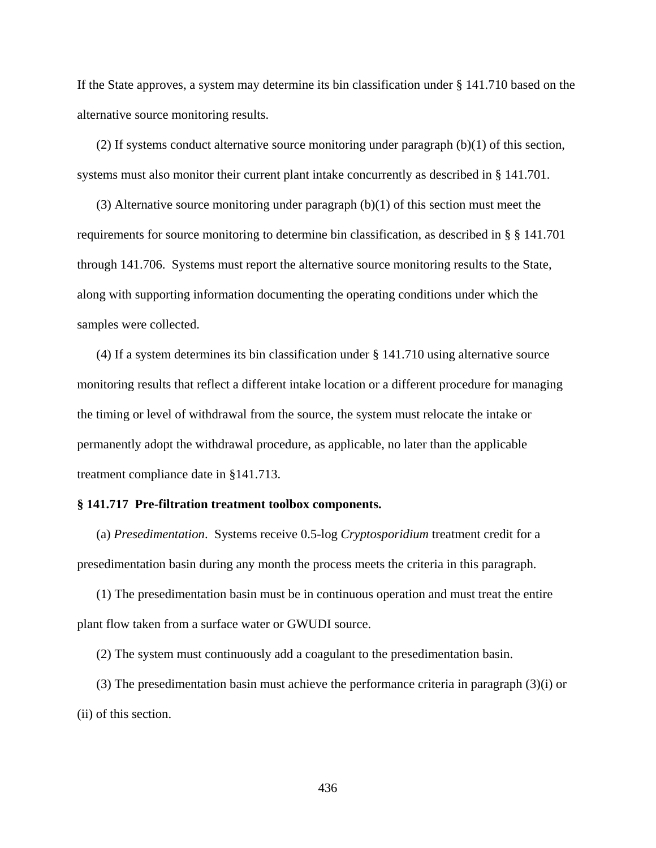If the State approves, a system may determine its bin classification under § 141.710 based on the alternative source monitoring results.

(2) If systems conduct alternative source monitoring under paragraph (b)(1) of this section, systems must also monitor their current plant intake concurrently as described in § 141.701.

(3) Alternative source monitoring under paragraph  $(b)(1)$  of this section must meet the requirements for source monitoring to determine bin classification, as described in § § 141.701 through 141.706. Systems must report the alternative source monitoring results to the State, along with supporting information documenting the operating conditions under which the samples were collected.

(4) If a system determines its bin classification under § 141.710 using alternative source monitoring results that reflect a different intake location or a different procedure for managing the timing or level of withdrawal from the source, the system must relocate the intake or permanently adopt the withdrawal procedure, as applicable, no later than the applicable treatment compliance date in §141.713.

### **§ 141.717 Pre-filtration treatment toolbox components.**

(a) *Presedimentation*. Systems receive 0.5-log *Cryptosporidium* treatment credit for a presedimentation basin during any month the process meets the criteria in this paragraph.

(1) The presedimentation basin must be in continuous operation and must treat the entire plant flow taken from a surface water or GWUDI source.

(2) The system must continuously add a coagulant to the presedimentation basin.

(3) The presedimentation basin must achieve the performance criteria in paragraph (3)(i) or (ii) of this section.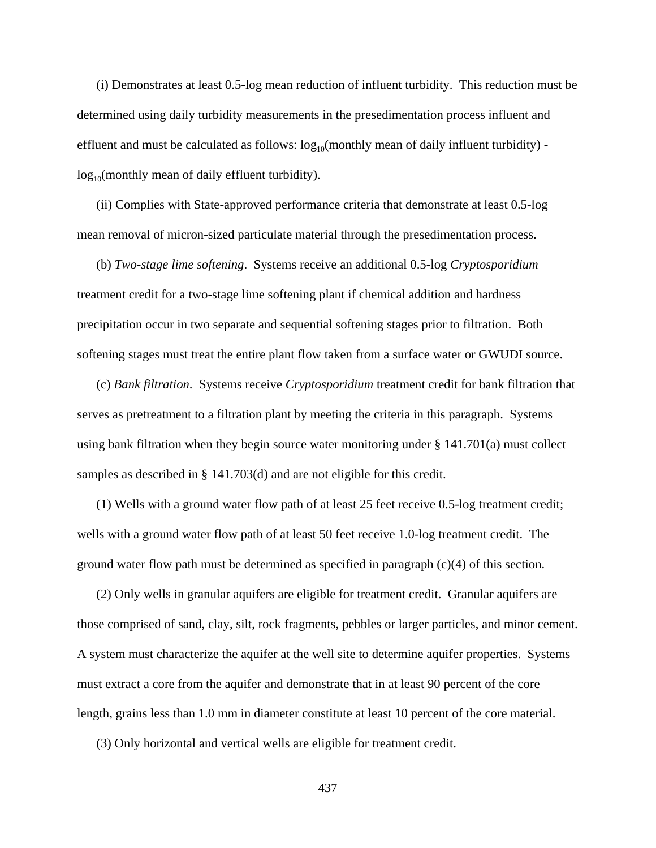(i) Demonstrates at least 0.5-log mean reduction of influent turbidity. This reduction must be determined using daily turbidity measurements in the presedimentation process influent and effluent and must be calculated as follows:  $log_{10}($ monthly mean of daily influent turbidity)  $log_{10}($ monthly mean of daily effluent turbidity).

(ii) Complies with State-approved performance criteria that demonstrate at least 0.5-log mean removal of micron-sized particulate material through the presedimentation process.

(b) *Two-stage lime softening*. Systems receive an additional 0.5-log *Cryptosporidium* treatment credit for a two-stage lime softening plant if chemical addition and hardness precipitation occur in two separate and sequential softening stages prior to filtration. Both softening stages must treat the entire plant flow taken from a surface water or GWUDI source.

(c) *Bank filtration*. Systems receive *Cryptosporidium* treatment credit for bank filtration that serves as pretreatment to a filtration plant by meeting the criteria in this paragraph. Systems using bank filtration when they begin source water monitoring under § 141.701(a) must collect samples as described in § 141.703(d) and are not eligible for this credit.

(1) Wells with a ground water flow path of at least 25 feet receive 0.5-log treatment credit; wells with a ground water flow path of at least 50 feet receive 1.0-log treatment credit. The ground water flow path must be determined as specified in paragraph (c)(4) of this section.

(2) Only wells in granular aquifers are eligible for treatment credit. Granular aquifers are those comprised of sand, clay, silt, rock fragments, pebbles or larger particles, and minor cement. A system must characterize the aquifer at the well site to determine aquifer properties. Systems must extract a core from the aquifer and demonstrate that in at least 90 percent of the core length, grains less than 1.0 mm in diameter constitute at least 10 percent of the core material.

(3) Only horizontal and vertical wells are eligible for treatment credit.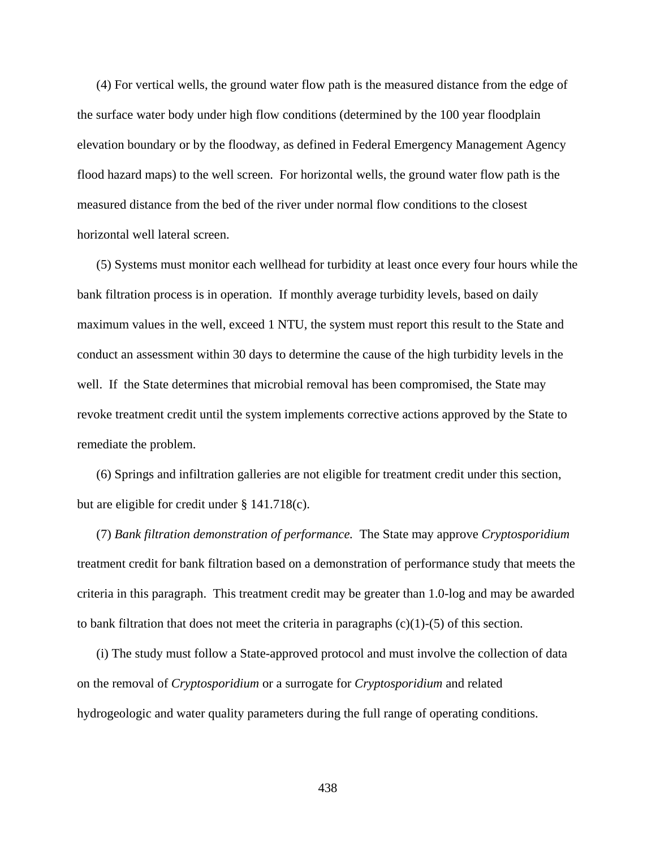(4) For vertical wells, the ground water flow path is the measured distance from the edge of the surface water body under high flow conditions (determined by the 100 year floodplain elevation boundary or by the floodway, as defined in Federal Emergency Management Agency flood hazard maps) to the well screen. For horizontal wells, the ground water flow path is the measured distance from the bed of the river under normal flow conditions to the closest horizontal well lateral screen.

(5) Systems must monitor each wellhead for turbidity at least once every four hours while the bank filtration process is in operation. If monthly average turbidity levels, based on daily maximum values in the well, exceed 1 NTU, the system must report this result to the State and conduct an assessment within 30 days to determine the cause of the high turbidity levels in the well. If the State determines that microbial removal has been compromised, the State may revoke treatment credit until the system implements corrective actions approved by the State to remediate the problem.

(6) Springs and infiltration galleries are not eligible for treatment credit under this section, but are eligible for credit under § 141.718(c).

(7) *Bank filtration demonstration of performance.* The State may approve *Cryptosporidium* treatment credit for bank filtration based on a demonstration of performance study that meets the criteria in this paragraph. This treatment credit may be greater than 1.0-log and may be awarded to bank filtration that does not meet the criteria in paragraphs  $(c)(1)-(5)$  of this section.

(i) The study must follow a State-approved protocol and must involve the collection of data on the removal of *Cryptosporidium* or a surrogate for *Cryptosporidium* and related hydrogeologic and water quality parameters during the full range of operating conditions.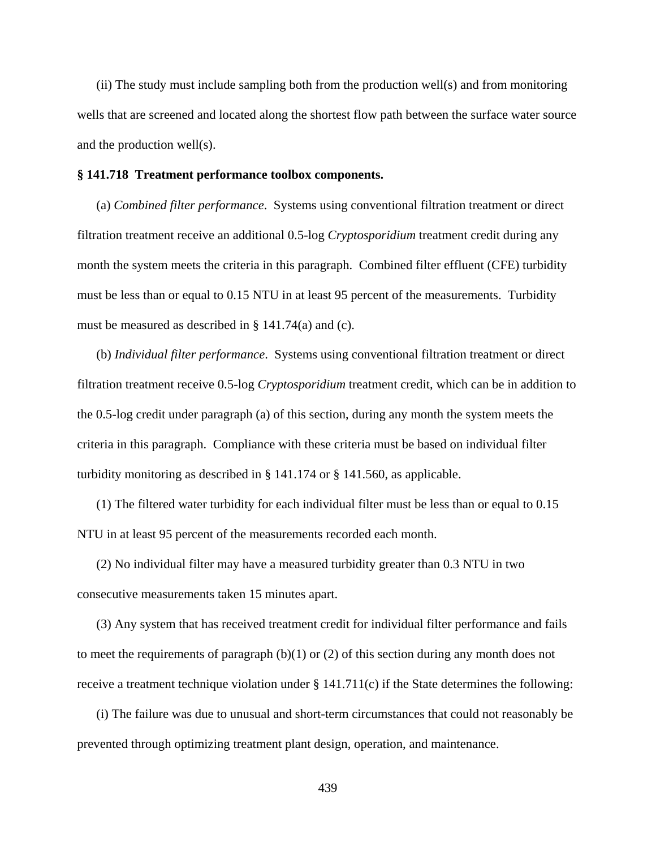(ii) The study must include sampling both from the production well(s) and from monitoring wells that are screened and located along the shortest flow path between the surface water source and the production well(s).

#### **§ 141.718 Treatment performance toolbox components.**

(a) *Combined filter performance*. Systems using conventional filtration treatment or direct filtration treatment receive an additional 0.5-log *Cryptosporidium* treatment credit during any month the system meets the criteria in this paragraph. Combined filter effluent (CFE) turbidity must be less than or equal to 0.15 NTU in at least 95 percent of the measurements. Turbidity must be measured as described in § 141.74(a) and (c).

(b) *Individual filter performance*. Systems using conventional filtration treatment or direct filtration treatment receive 0.5-log *Cryptosporidium* treatment credit, which can be in addition to the 0.5-log credit under paragraph (a) of this section, during any month the system meets the criteria in this paragraph. Compliance with these criteria must be based on individual filter turbidity monitoring as described in § 141.174 or § 141.560, as applicable.

(1) The filtered water turbidity for each individual filter must be less than or equal to 0.15 NTU in at least 95 percent of the measurements recorded each month.

(2) No individual filter may have a measured turbidity greater than 0.3 NTU in two consecutive measurements taken 15 minutes apart.

(3) Any system that has received treatment credit for individual filter performance and fails to meet the requirements of paragraph  $(b)(1)$  or  $(2)$  of this section during any month does not receive a treatment technique violation under § 141.711(c) if the State determines the following:

(i) The failure was due to unusual and short-term circumstances that could not reasonably be prevented through optimizing treatment plant design, operation, and maintenance.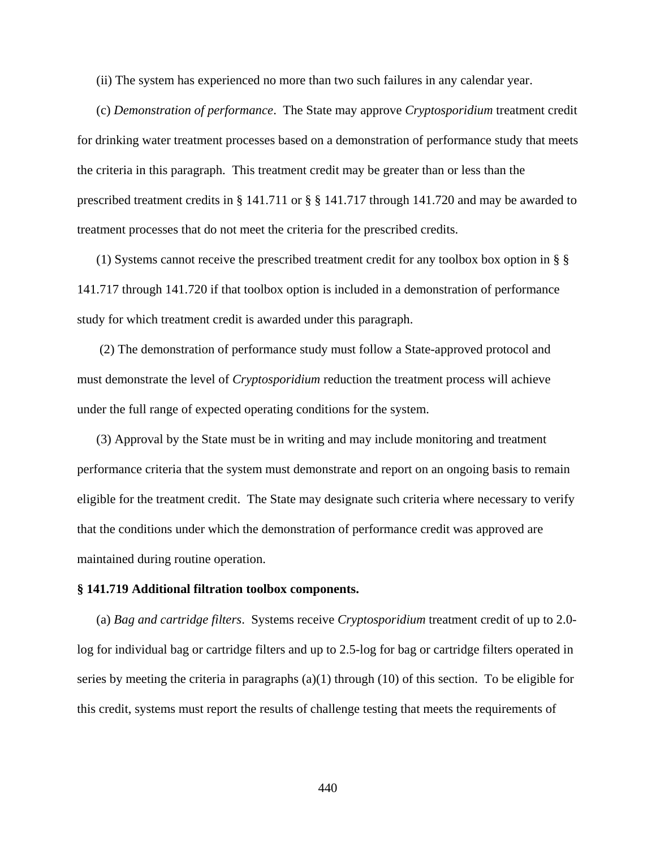(ii) The system has experienced no more than two such failures in any calendar year.

(c) *Demonstration of performance*. The State may approve *Cryptosporidium* treatment credit for drinking water treatment processes based on a demonstration of performance study that meets the criteria in this paragraph. This treatment credit may be greater than or less than the prescribed treatment credits in § 141.711 or § § 141.717 through 141.720 and may be awarded to treatment processes that do not meet the criteria for the prescribed credits.

(1) Systems cannot receive the prescribed treatment credit for any toolbox box option in § § 141.717 through 141.720 if that toolbox option is included in a demonstration of performance study for which treatment credit is awarded under this paragraph.

 (2) The demonstration of performance study must follow a State-approved protocol and must demonstrate the level of *Cryptosporidium* reduction the treatment process will achieve under the full range of expected operating conditions for the system.

(3) Approval by the State must be in writing and may include monitoring and treatment performance criteria that the system must demonstrate and report on an ongoing basis to remain eligible for the treatment credit. The State may designate such criteria where necessary to verify that the conditions under which the demonstration of performance credit was approved are maintained during routine operation.

## **§ 141.719 Additional filtration toolbox components.**

(a) *Bag and cartridge filters*. Systems receive *Cryptosporidium* treatment credit of up to 2.0 log for individual bag or cartridge filters and up to 2.5-log for bag or cartridge filters operated in series by meeting the criteria in paragraphs (a)(1) through (10) of this section. To be eligible for this credit, systems must report the results of challenge testing that meets the requirements of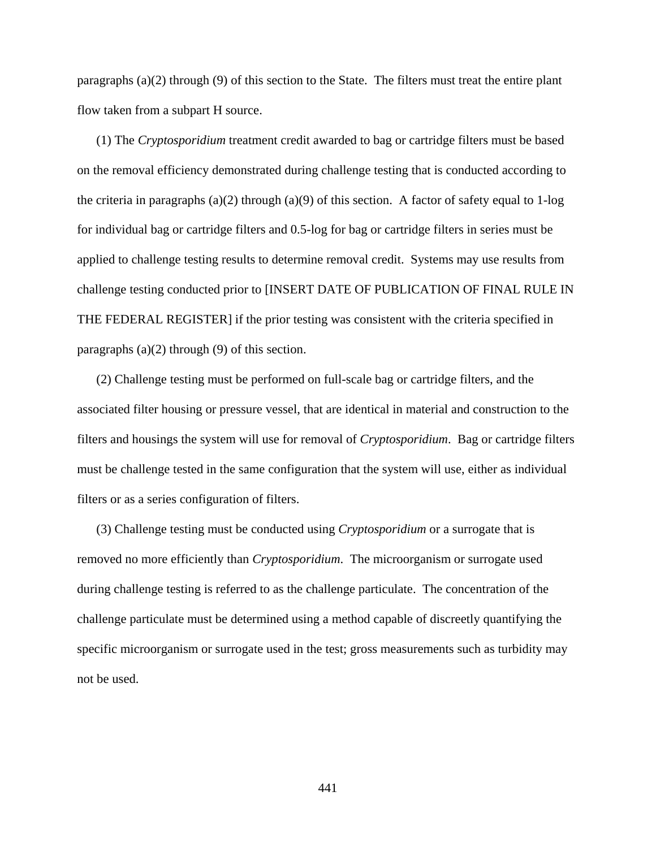paragraphs (a)(2) through (9) of this section to the State. The filters must treat the entire plant flow taken from a subpart H source.

(1) The *Cryptosporidium* treatment credit awarded to bag or cartridge filters must be based on the removal efficiency demonstrated during challenge testing that is conducted according to the criteria in paragraphs (a)(2) through (a)(9) of this section. A factor of safety equal to 1-log for individual bag or cartridge filters and 0.5-log for bag or cartridge filters in series must be applied to challenge testing results to determine removal credit. Systems may use results from challenge testing conducted prior to [INSERT DATE OF PUBLICATION OF FINAL RULE IN THE FEDERAL REGISTER] if the prior testing was consistent with the criteria specified in paragraphs  $(a)(2)$  through  $(9)$  of this section.

(2) Challenge testing must be performed on full-scale bag or cartridge filters, and the associated filter housing or pressure vessel, that are identical in material and construction to the filters and housings the system will use for removal of *Cryptosporidium*. Bag or cartridge filters must be challenge tested in the same configuration that the system will use, either as individual filters or as a series configuration of filters.

(3) Challenge testing must be conducted using *Cryptosporidium* or a surrogate that is removed no more efficiently than *Cryptosporidium*. The microorganism or surrogate used during challenge testing is referred to as the challenge particulate. The concentration of the challenge particulate must be determined using a method capable of discreetly quantifying the specific microorganism or surrogate used in the test; gross measurements such as turbidity may not be used.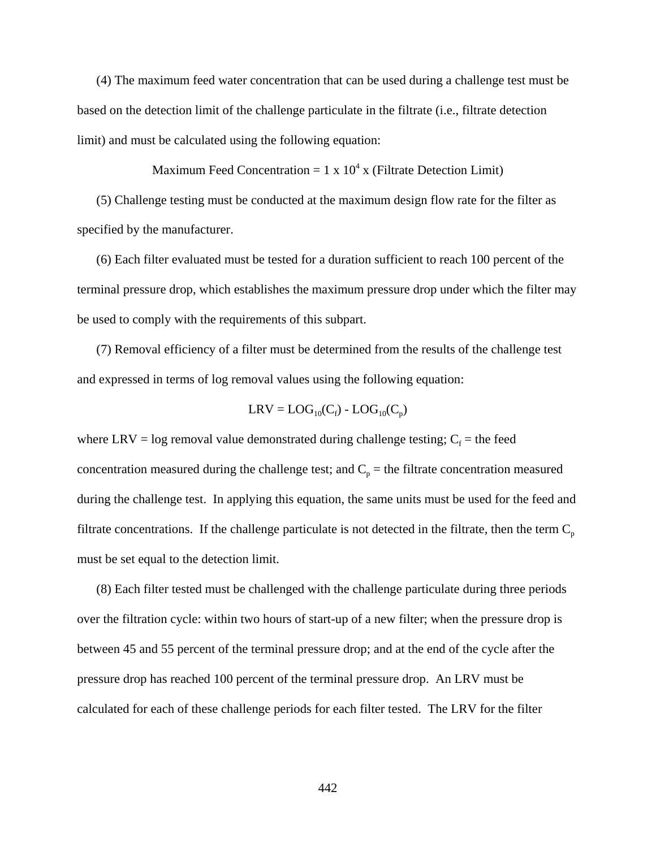(4) The maximum feed water concentration that can be used during a challenge test must be based on the detection limit of the challenge particulate in the filtrate (i.e., filtrate detection limit) and must be calculated using the following equation:

Maximum Feed Concentration =  $1 \times 10^4 \times$  (Filtrate Detection Limit)

(5) Challenge testing must be conducted at the maximum design flow rate for the filter as specified by the manufacturer.

(6) Each filter evaluated must be tested for a duration sufficient to reach 100 percent of the terminal pressure drop, which establishes the maximum pressure drop under which the filter may be used to comply with the requirements of this subpart.

(7) Removal efficiency of a filter must be determined from the results of the challenge test and expressed in terms of log removal values using the following equation:

$$
LRV = LOG_{10}(C_f) - LOG_{10}(C_p)
$$

where LRV = log removal value demonstrated during challenge testing;  $C_f$  = the feed concentration measured during the challenge test; and  $C_p$  = the filtrate concentration measured during the challenge test. In applying this equation, the same units must be used for the feed and filtrate concentrations. If the challenge particulate is not detected in the filtrate, then the term  $C_p$ must be set equal to the detection limit.

(8) Each filter tested must be challenged with the challenge particulate during three periods over the filtration cycle: within two hours of start-up of a new filter; when the pressure drop is between 45 and 55 percent of the terminal pressure drop; and at the end of the cycle after the pressure drop has reached 100 percent of the terminal pressure drop. An LRV must be calculated for each of these challenge periods for each filter tested. The LRV for the filter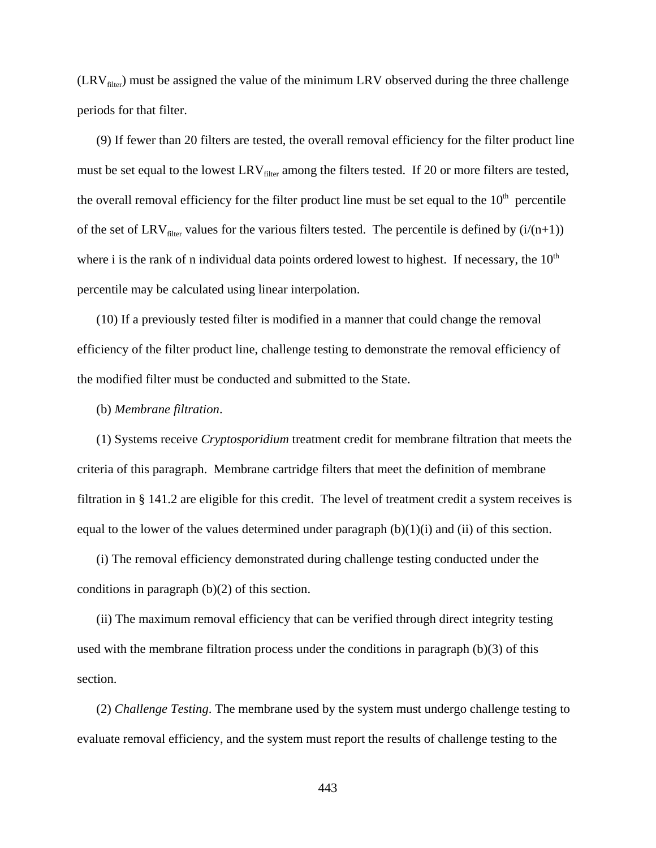$(LRV<sub>filter</sub>)$  must be assigned the value of the minimum LRV observed during the three challenge periods for that filter.

(9) If fewer than 20 filters are tested, the overall removal efficiency for the filter product line must be set equal to the lowest  $LRV_{filter}$  among the filters tested. If 20 or more filters are tested, the overall removal efficiency for the filter product line must be set equal to the  $10<sup>th</sup>$  percentile of the set of LRV<sub>filter</sub> values for the various filters tested. The percentile is defined by  $(i/(n+1))$ where i is the rank of n individual data points ordered lowest to highest. If necessary, the  $10<sup>th</sup>$ percentile may be calculated using linear interpolation.

(10) If a previously tested filter is modified in a manner that could change the removal efficiency of the filter product line, challenge testing to demonstrate the removal efficiency of the modified filter must be conducted and submitted to the State.

#### (b) *Membrane filtration*.

(1) Systems receive *Cryptosporidium* treatment credit for membrane filtration that meets the criteria of this paragraph. Membrane cartridge filters that meet the definition of membrane filtration in § 141.2 are eligible for this credit. The level of treatment credit a system receives is equal to the lower of the values determined under paragraph  $(b)(1)(i)$  and  $(ii)$  of this section.

(i) The removal efficiency demonstrated during challenge testing conducted under the conditions in paragraph (b)(2) of this section.

(ii) The maximum removal efficiency that can be verified through direct integrity testing used with the membrane filtration process under the conditions in paragraph (b)(3) of this section.

(2) *Challenge Testing*. The membrane used by the system must undergo challenge testing to evaluate removal efficiency, and the system must report the results of challenge testing to the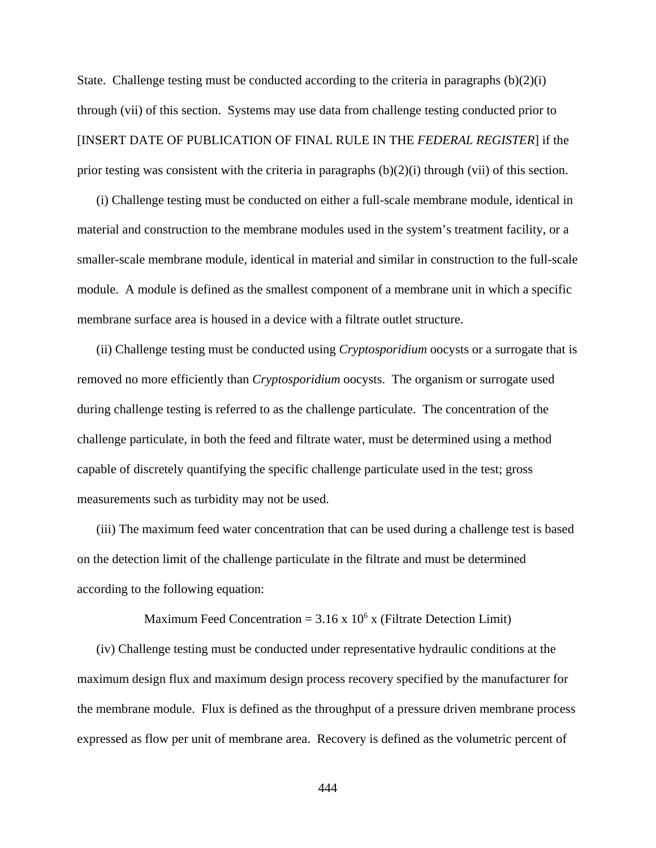State. Challenge testing must be conducted according to the criteria in paragraphs (b)(2)(i) through (vii) of this section. Systems may use data from challenge testing conducted prior to [INSERT DATE OF PUBLICATION OF FINAL RULE IN THE *FEDERAL REGISTER*] if the prior testing was consistent with the criteria in paragraphs (b)(2)(i) through (vii) of this section.

(i) Challenge testing must be conducted on either a full-scale membrane module, identical in material and construction to the membrane modules used in the system's treatment facility, or a smaller-scale membrane module, identical in material and similar in construction to the full-scale module. A module is defined as the smallest component of a membrane unit in which a specific membrane surface area is housed in a device with a filtrate outlet structure.

(ii) Challenge testing must be conducted using *Cryptosporidium* oocysts or a surrogate that is removed no more efficiently than *Cryptosporidium* oocysts. The organism or surrogate used during challenge testing is referred to as the challenge particulate. The concentration of the challenge particulate, in both the feed and filtrate water, must be determined using a method capable of discretely quantifying the specific challenge particulate used in the test; gross measurements such as turbidity may not be used.

(iii) The maximum feed water concentration that can be used during a challenge test is based on the detection limit of the challenge particulate in the filtrate and must be determined according to the following equation:

Maximum Feed Concentration =  $3.16 \times 10^6 \times$  (Filtrate Detection Limit)

(iv) Challenge testing must be conducted under representative hydraulic conditions at the maximum design flux and maximum design process recovery specified by the manufacturer for the membrane module. Flux is defined as the throughput of a pressure driven membrane process expressed as flow per unit of membrane area. Recovery is defined as the volumetric percent of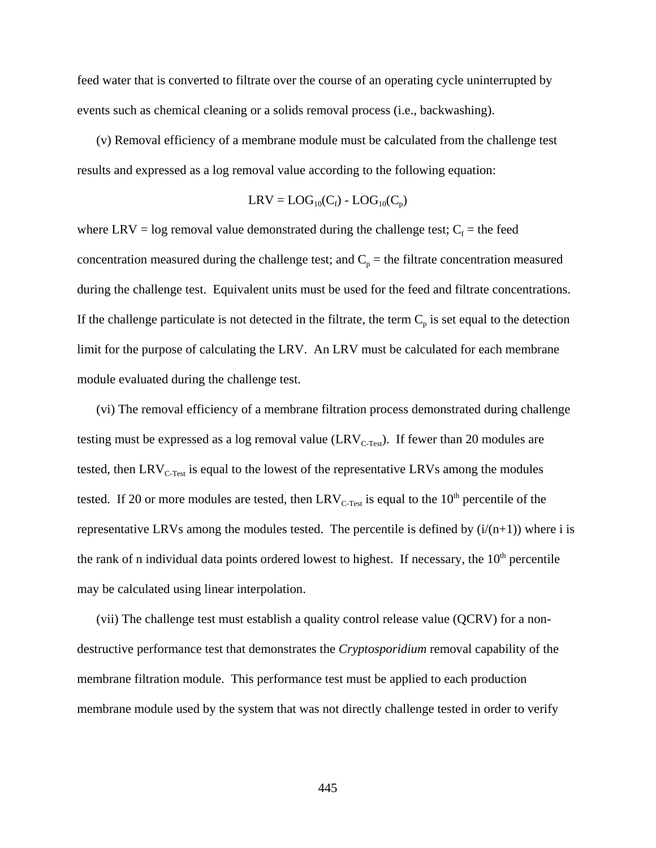feed water that is converted to filtrate over the course of an operating cycle uninterrupted by events such as chemical cleaning or a solids removal process (i.e., backwashing).

(v) Removal efficiency of a membrane module must be calculated from the challenge test results and expressed as a log removal value according to the following equation:

$$
LRV = LOG_{10}(C_f) - LOG_{10}(C_p)
$$

where LRV = log removal value demonstrated during the challenge test;  $C_f$  = the feed concentration measured during the challenge test; and  $C_p$  = the filtrate concentration measured during the challenge test. Equivalent units must be used for the feed and filtrate concentrations. If the challenge particulate is not detected in the filtrate, the term  $C_p$  is set equal to the detection limit for the purpose of calculating the LRV. An LRV must be calculated for each membrane module evaluated during the challenge test.

(vi) The removal efficiency of a membrane filtration process demonstrated during challenge testing must be expressed as a log removal value  $(LRV_{C\text{-Test}})$ . If fewer than 20 modules are tested, then  $LRV_{C-Test}$  is equal to the lowest of the representative LRVs among the modules tested. If 20 or more modules are tested, then  $LRV_{C-Test}$  is equal to the 10<sup>th</sup> percentile of the representative LRVs among the modules tested. The percentile is defined by  $(i/(n+1))$  where i is the rank of n individual data points ordered lowest to highest. If necessary, the  $10<sup>th</sup>$  percentile may be calculated using linear interpolation.

(vii) The challenge test must establish a quality control release value (QCRV) for a nondestructive performance test that demonstrates the *Cryptosporidium* removal capability of the membrane filtration module. This performance test must be applied to each production membrane module used by the system that was not directly challenge tested in order to verify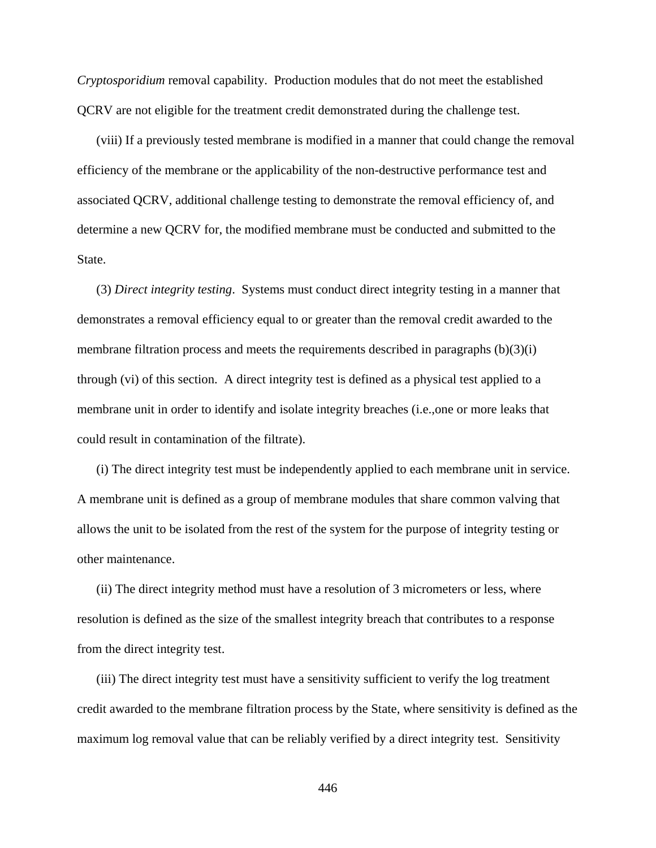*Cryptosporidium* removal capability. Production modules that do not meet the established QCRV are not eligible for the treatment credit demonstrated during the challenge test.

(viii) If a previously tested membrane is modified in a manner that could change the removal efficiency of the membrane or the applicability of the non-destructive performance test and associated QCRV, additional challenge testing to demonstrate the removal efficiency of, and determine a new QCRV for, the modified membrane must be conducted and submitted to the State.

(3) *Direct integrity testing*. Systems must conduct direct integrity testing in a manner that demonstrates a removal efficiency equal to or greater than the removal credit awarded to the membrane filtration process and meets the requirements described in paragraphs (b)(3)(i) through (vi) of this section. A direct integrity test is defined as a physical test applied to a membrane unit in order to identify and isolate integrity breaches (i.e.,one or more leaks that could result in contamination of the filtrate).

(i) The direct integrity test must be independently applied to each membrane unit in service. A membrane unit is defined as a group of membrane modules that share common valving that allows the unit to be isolated from the rest of the system for the purpose of integrity testing or other maintenance.

(ii) The direct integrity method must have a resolution of 3 micrometers or less, where resolution is defined as the size of the smallest integrity breach that contributes to a response from the direct integrity test.

(iii) The direct integrity test must have a sensitivity sufficient to verify the log treatment credit awarded to the membrane filtration process by the State, where sensitivity is defined as the maximum log removal value that can be reliably verified by a direct integrity test. Sensitivity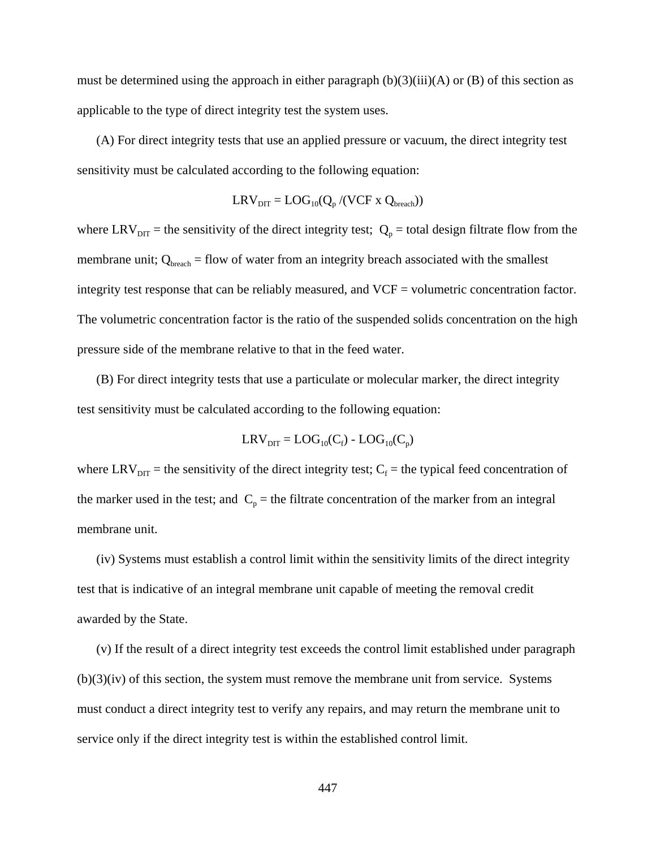must be determined using the approach in either paragraph  $(b)(3)(iii)(A)$  or  $(B)$  of this section as applicable to the type of direct integrity test the system uses.

(A) For direct integrity tests that use an applied pressure or vacuum, the direct integrity test sensitivity must be calculated according to the following equation:

$$
LRV_{DIT} = LOG_{10}(Q_p/(VCF \times Q_{break}))
$$

where LRV<sub>DIT</sub> = the sensitivity of the direct integrity test;  $Q_p$  = total design filtrate flow from the membrane unit;  $Q_{break} = flow$  of water from an integrity breach associated with the smallest integrity test response that can be reliably measured, and VCF = volumetric concentration factor. The volumetric concentration factor is the ratio of the suspended solids concentration on the high pressure side of the membrane relative to that in the feed water.

(B) For direct integrity tests that use a particulate or molecular marker, the direct integrity test sensitivity must be calculated according to the following equation:

$$
LRV_{\text{DIT}} = LOG_{10}(C_f) - LOG_{10}(C_p)
$$

where LRV<sub>DIT</sub> = the sensitivity of the direct integrity test;  $C_f$  = the typical feed concentration of the marker used in the test; and  $C_p$  = the filtrate concentration of the marker from an integral membrane unit.

(iv) Systems must establish a control limit within the sensitivity limits of the direct integrity test that is indicative of an integral membrane unit capable of meeting the removal credit awarded by the State.

(v) If the result of a direct integrity test exceeds the control limit established under paragraph  $(b)(3)(iv)$  of this section, the system must remove the membrane unit from service. Systems must conduct a direct integrity test to verify any repairs, and may return the membrane unit to service only if the direct integrity test is within the established control limit.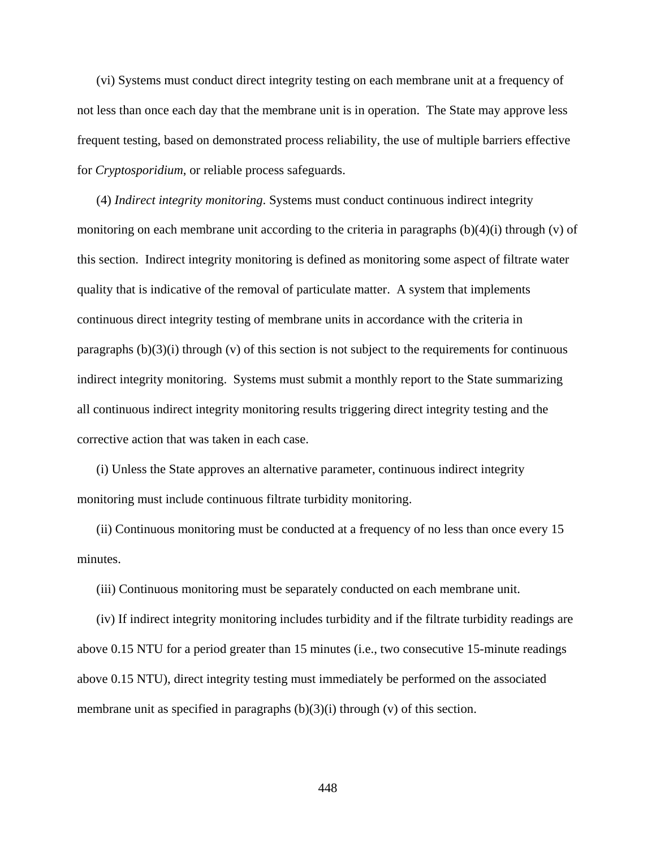(vi) Systems must conduct direct integrity testing on each membrane unit at a frequency of not less than once each day that the membrane unit is in operation. The State may approve less frequent testing, based on demonstrated process reliability, the use of multiple barriers effective for *Cryptosporidium*, or reliable process safeguards.

(4) *Indirect integrity monitoring*. Systems must conduct continuous indirect integrity monitoring on each membrane unit according to the criteria in paragraphs  $(b)(4)(i)$  through  $(v)$  of this section. Indirect integrity monitoring is defined as monitoring some aspect of filtrate water quality that is indicative of the removal of particulate matter. A system that implements continuous direct integrity testing of membrane units in accordance with the criteria in paragraphs  $(b)(3)(i)$  through  $(v)$  of this section is not subject to the requirements for continuous indirect integrity monitoring. Systems must submit a monthly report to the State summarizing all continuous indirect integrity monitoring results triggering direct integrity testing and the corrective action that was taken in each case.

(i) Unless the State approves an alternative parameter, continuous indirect integrity monitoring must include continuous filtrate turbidity monitoring.

(ii) Continuous monitoring must be conducted at a frequency of no less than once every 15 minutes.

(iii) Continuous monitoring must be separately conducted on each membrane unit.

(iv) If indirect integrity monitoring includes turbidity and if the filtrate turbidity readings are above 0.15 NTU for a period greater than 15 minutes (i.e., two consecutive 15-minute readings above 0.15 NTU), direct integrity testing must immediately be performed on the associated membrane unit as specified in paragraphs  $(b)(3)(i)$  through  $(v)$  of this section.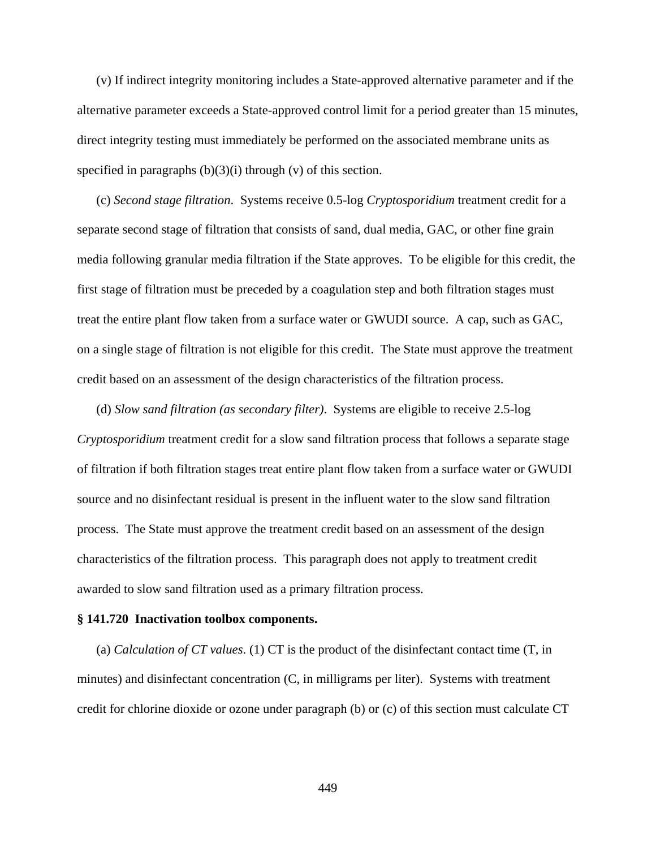(v) If indirect integrity monitoring includes a State-approved alternative parameter and if the alternative parameter exceeds a State-approved control limit for a period greater than 15 minutes, direct integrity testing must immediately be performed on the associated membrane units as specified in paragraphs  $(b)(3)(i)$  through  $(v)$  of this section.

(c) *Second stage filtration*. Systems receive 0.5-log *Cryptosporidium* treatment credit for a separate second stage of filtration that consists of sand, dual media, GAC, or other fine grain media following granular media filtration if the State approves. To be eligible for this credit, the first stage of filtration must be preceded by a coagulation step and both filtration stages must treat the entire plant flow taken from a surface water or GWUDI source. A cap, such as GAC, on a single stage of filtration is not eligible for this credit. The State must approve the treatment credit based on an assessment of the design characteristics of the filtration process.

(d) *Slow sand filtration (as secondary filter)*. Systems are eligible to receive 2.5-log *Cryptosporidium* treatment credit for a slow sand filtration process that follows a separate stage of filtration if both filtration stages treat entire plant flow taken from a surface water or GWUDI source and no disinfectant residual is present in the influent water to the slow sand filtration process. The State must approve the treatment credit based on an assessment of the design characteristics of the filtration process. This paragraph does not apply to treatment credit awarded to slow sand filtration used as a primary filtration process.

#### **§ 141.720 Inactivation toolbox components.**

(a) *Calculation of CT values*. (1) CT is the product of the disinfectant contact time (T, in minutes) and disinfectant concentration (C, in milligrams per liter). Systems with treatment credit for chlorine dioxide or ozone under paragraph (b) or (c) of this section must calculate CT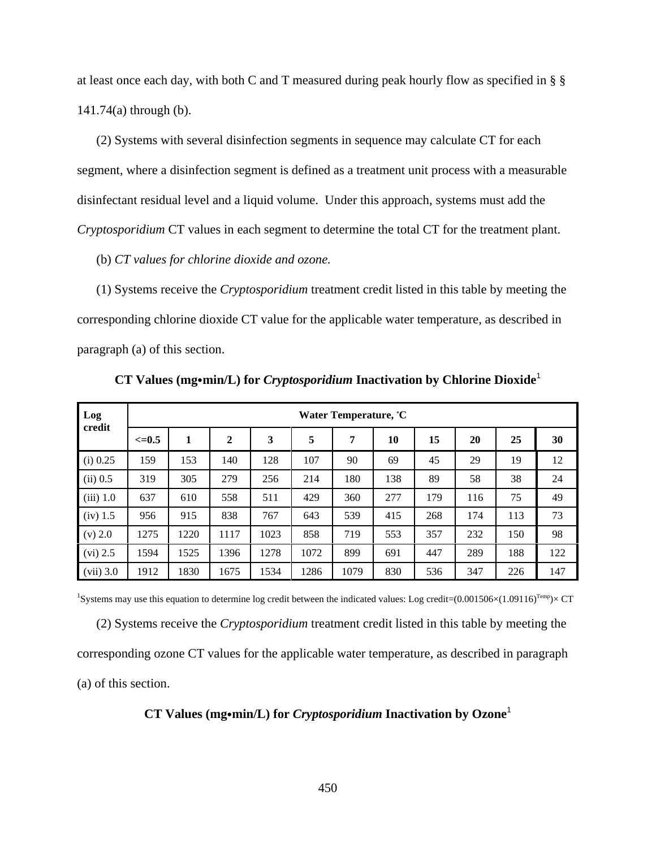at least once each day, with both C and T measured during peak hourly flow as specified in § § 141.74(a) through (b).

(2) Systems with several disinfection segments in sequence may calculate CT for each segment, where a disinfection segment is defined as a treatment unit process with a measurable disinfectant residual level and a liquid volume. Under this approach, systems must add the *Cryptosporidium* CT values in each segment to determine the total CT for the treatment plant.

(b) *CT values for chlorine dioxide and ozone.* 

(1) Systems receive the *Cryptosporidium* treatment credit listed in this table by meeting the corresponding chlorine dioxide CT value for the applicable water temperature, as described in paragraph (a) of this section.

| Log         | Water Temperature, °C |      |                |      |      |      |     |     |     |     |     |
|-------------|-----------------------|------|----------------|------|------|------|-----|-----|-----|-----|-----|
| credit      | $\leq=0.5$            | 1    | $\overline{2}$ | 3    | 5    | 7    | 10  | 15  | 20  | 25  | 30  |
| $(i)$ 0.25  | 159                   | 153  | 140            | 128  | 107  | 90   | 69  | 45  | 29  | 19  | 12  |
| (ii) 0.5    | 319                   | 305  | 279            | 256  | 214  | 180  | 138 | 89  | 58  | 38  | 24  |
| $(iii)$ 1.0 | 637                   | 610  | 558            | 511  | 429  | 360  | 277 | 179 | 116 | 75  | 49  |
| $(iv)$ 1.5  | 956                   | 915  | 838            | 767  | 643  | 539  | 415 | 268 | 174 | 113 | 73  |
| (v) 2.0     | 1275                  | 1220 | 1117           | 1023 | 858  | 719  | 553 | 357 | 232 | 150 | 98  |
| $(vi)$ 2.5  | 1594                  | 1525 | 1396           | 1278 | 1072 | 899  | 691 | 447 | 289 | 188 | 122 |
| $(vii)$ 3.0 | 1912                  | 1830 | 1675           | 1534 | 1286 | 1079 | 830 | 536 | 347 | 226 | 147 |

**CT Values (mg•min/L) for** *Cryptosporidium* **Inactivation by Chlorine Dioxide<sup>1</sup>** 

<sup>1</sup>Systems may use this equation to determine log credit between the indicated values: Log credit= $(0.001506\times(1.09116)^{Temp}\times CT$ (2) Systems receive the *Cryptosporidium* treatment credit listed in this table by meeting the corresponding ozone CT values for the applicable water temperature, as described in paragraph (a) of this section.

## **CT Values (mg•min/L) for** *Cryptosporidium* **Inactivation by Ozone<sup>1</sup>**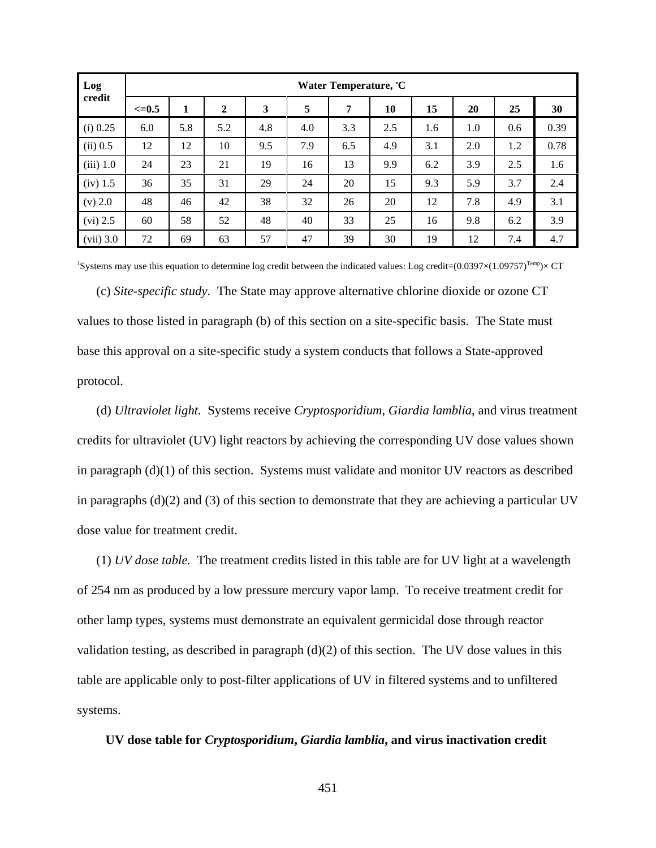| Log         | Water Temperature, °C |     |                |     |     |     |     |     |     |     |      |
|-------------|-----------------------|-----|----------------|-----|-----|-----|-----|-----|-----|-----|------|
| credit      | $\leq=0.5$            | 1   | $\overline{2}$ | 3   | 5   | 7   | 10  | 15  | 20  | 25  | 30   |
| $(i)$ 0.25  | 6.0                   | 5.8 | 5.2            | 4.8 | 4.0 | 3.3 | 2.5 | 1.6 | 1.0 | 0.6 | 0.39 |
| $(ii)$ 0.5  | 12                    | 12  | 10             | 9.5 | 7.9 | 6.5 | 4.9 | 3.1 | 2.0 | 1.2 | 0.78 |
| $(iii)$ 1.0 | 24                    | 23  | 21             | 19  | 16  | 13  | 9.9 | 6.2 | 3.9 | 2.5 | 1.6  |
| $(iv)$ 1.5  | 36                    | 35  | 31             | 29  | 24  | 20  | 15  | 9.3 | 5.9 | 3.7 | 2.4  |
| $(v)$ 2.0   | 48                    | 46  | 42             | 38  | 32  | 26  | 20  | 12  | 7.8 | 4.9 | 3.1  |
| $(vi)$ 2.5  | 60                    | 58  | 52             | 48  | 40  | 33  | 25  | 16  | 9.8 | 6.2 | 3.9  |
| $(vii)$ 3.0 | 72                    | 69  | 63             | 57  | 47  | 39  | 30  | 19  | 12  | 7.4 | 4.7  |

<sup>1</sup>Systems may use this equation to determine log credit between the indicated values: Log credit= $(0.0397\times(1.09757)^{Temp}\times CT$ 

(c) *Site-specific study*. The State may approve alternative chlorine dioxide or ozone CT values to those listed in paragraph (b) of this section on a site-specific basis. The State must base this approval on a site-specific study a system conducts that follows a State-approved protocol.

(d) *Ultraviolet light.* Systems receive *Cryptosporidium*, *Giardia lamblia*, and virus treatment credits for ultraviolet (UV) light reactors by achieving the corresponding UV dose values shown in paragraph (d)(1) of this section. Systems must validate and monitor UV reactors as described in paragraphs  $(d)(2)$  and  $(3)$  of this section to demonstrate that they are achieving a particular UV dose value for treatment credit.

(1) *UV dose table.* The treatment credits listed in this table are for UV light at a wavelength of 254 nm as produced by a low pressure mercury vapor lamp. To receive treatment credit for other lamp types, systems must demonstrate an equivalent germicidal dose through reactor validation testing, as described in paragraph (d)(2) of this section. The UV dose values in this table are applicable only to post-filter applications of UV in filtered systems and to unfiltered systems.

### **UV dose table for** *Cryptosporidium***,** *Giardia lamblia***, and virus inactivation credit**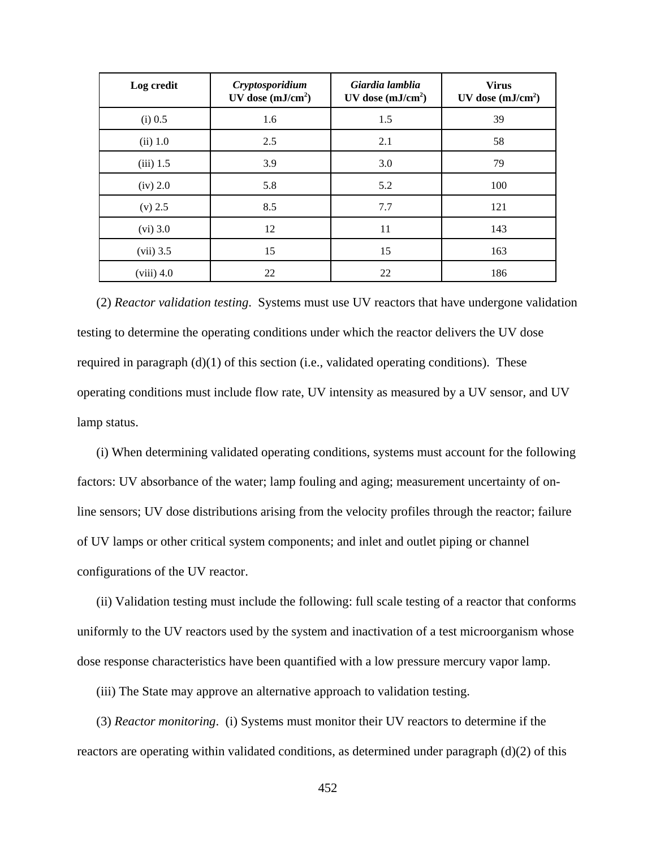| Log credit   | Cryptosporidium<br>UV dose $(mJ/cm2)$ | Giardia lamblia<br>UV dose $(mJ/cm2)$ | <b>Virus</b><br>UV dose $(mJ/cm2)$ |
|--------------|---------------------------------------|---------------------------------------|------------------------------------|
| $(i)$ 0.5    | 1.6                                   | 1.5                                   | 39                                 |
| $(ii)$ 1.0   | 2.5                                   | 2.1                                   | 58                                 |
| $(iii)$ 1.5  | 3.9                                   | 3.0                                   | 79                                 |
| $(iv)$ 2.0   | 5.8                                   | 5.2                                   | 100                                |
| $(v)$ 2.5    | 8.5                                   | 7.7                                   | 121                                |
| $(vi)$ 3.0   | 12                                    | 11                                    | 143                                |
| $(vii)$ 3.5  | 15                                    | 15                                    | 163                                |
| $(viii)$ 4.0 | 22                                    | 22                                    | 186                                |

(2) *Reactor validation testing*. Systems must use UV reactors that have undergone validation testing to determine the operating conditions under which the reactor delivers the UV dose required in paragraph (d)(1) of this section (i.e., validated operating conditions). These operating conditions must include flow rate, UV intensity as measured by a UV sensor, and UV lamp status.

(i) When determining validated operating conditions, systems must account for the following factors: UV absorbance of the water; lamp fouling and aging; measurement uncertainty of online sensors; UV dose distributions arising from the velocity profiles through the reactor; failure of UV lamps or other critical system components; and inlet and outlet piping or channel configurations of the UV reactor.

(ii) Validation testing must include the following: full scale testing of a reactor that conforms uniformly to the UV reactors used by the system and inactivation of a test microorganism whose dose response characteristics have been quantified with a low pressure mercury vapor lamp.

(iii) The State may approve an alternative approach to validation testing.

(3) *Reactor monitoring*. (i) Systems must monitor their UV reactors to determine if the reactors are operating within validated conditions, as determined under paragraph (d)(2) of this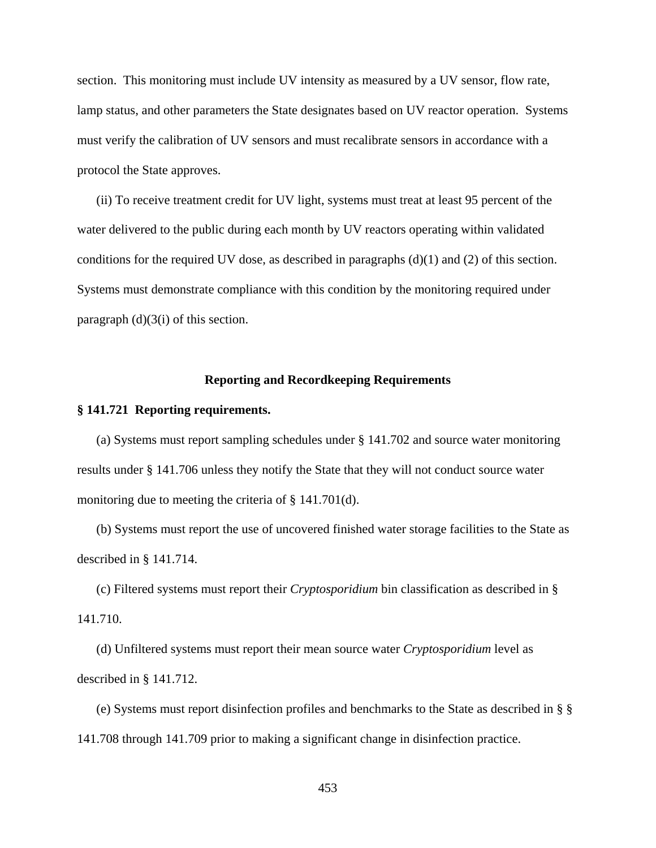section. This monitoring must include UV intensity as measured by a UV sensor, flow rate, lamp status, and other parameters the State designates based on UV reactor operation. Systems must verify the calibration of UV sensors and must recalibrate sensors in accordance with a protocol the State approves.

(ii) To receive treatment credit for UV light, systems must treat at least 95 percent of the water delivered to the public during each month by UV reactors operating within validated conditions for the required UV dose, as described in paragraphs  $(d)(1)$  and  $(2)$  of this section. Systems must demonstrate compliance with this condition by the monitoring required under paragraph  $(d)(3(i))$  of this section.

## **Reporting and Recordkeeping Requirements**

#### **§ 141.721 Reporting requirements.**

(a) Systems must report sampling schedules under § 141.702 and source water monitoring results under § 141.706 unless they notify the State that they will not conduct source water monitoring due to meeting the criteria of § 141.701(d).

(b) Systems must report the use of uncovered finished water storage facilities to the State as described in § 141.714.

(c) Filtered systems must report their *Cryptosporidium* bin classification as described in § 141.710.

(d) Unfiltered systems must report their mean source water *Cryptosporidium* level as described in § 141.712.

(e) Systems must report disinfection profiles and benchmarks to the State as described in § § 141.708 through 141.709 prior to making a significant change in disinfection practice.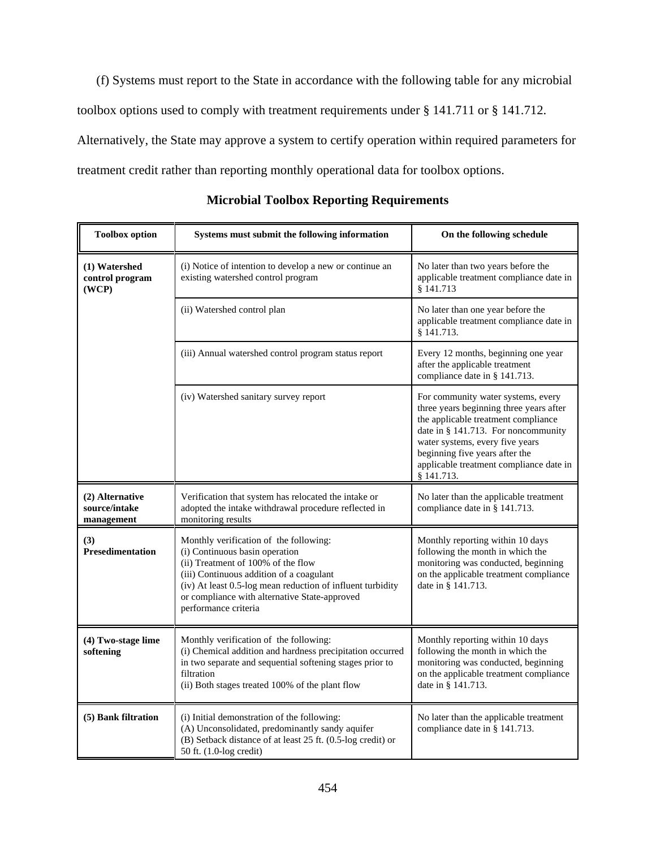(f) Systems must report to the State in accordance with the following table for any microbial toolbox options used to comply with treatment requirements under § 141.711 or § 141.712. Alternatively, the State may approve a system to certify operation within required parameters for treatment credit rather than reporting monthly operational data for toolbox options.

| <b>Toolbox</b> option                          | Systems must submit the following information                                                                                                                                                                                                                                                     | On the following schedule                                                                                                                                                                                                                                                                 |  |  |
|------------------------------------------------|---------------------------------------------------------------------------------------------------------------------------------------------------------------------------------------------------------------------------------------------------------------------------------------------------|-------------------------------------------------------------------------------------------------------------------------------------------------------------------------------------------------------------------------------------------------------------------------------------------|--|--|
| (1) Watershed<br>control program<br>(WCP)      | (i) Notice of intention to develop a new or continue an<br>existing watershed control program                                                                                                                                                                                                     | No later than two years before the<br>applicable treatment compliance date in<br>§ 141.713                                                                                                                                                                                                |  |  |
|                                                | (ii) Watershed control plan                                                                                                                                                                                                                                                                       | No later than one year before the<br>applicable treatment compliance date in<br>§ 141.713.                                                                                                                                                                                                |  |  |
|                                                | (iii) Annual watershed control program status report                                                                                                                                                                                                                                              | Every 12 months, beginning one year<br>after the applicable treatment<br>compliance date in § 141.713.                                                                                                                                                                                    |  |  |
|                                                | (iv) Watershed sanitary survey report                                                                                                                                                                                                                                                             | For community water systems, every<br>three years beginning three years after<br>the applicable treatment compliance<br>date in § 141.713. For noncommunity<br>water systems, every five years<br>beginning five years after the<br>applicable treatment compliance date in<br>§ 141.713. |  |  |
| (2) Alternative<br>source/intake<br>management | Verification that system has relocated the intake or<br>adopted the intake withdrawal procedure reflected in<br>monitoring results                                                                                                                                                                | No later than the applicable treatment<br>compliance date in § 141.713.                                                                                                                                                                                                                   |  |  |
| (3)<br><b>Presedimentation</b>                 | Monthly verification of the following:<br>(i) Continuous basin operation<br>(ii) Treatment of 100% of the flow<br>(iii) Continuous addition of a coagulant<br>(iv) At least 0.5-log mean reduction of influent turbidity<br>or compliance with alternative State-approved<br>performance criteria | Monthly reporting within 10 days<br>following the month in which the<br>monitoring was conducted, beginning<br>on the applicable treatment compliance<br>date in § 141.713.                                                                                                               |  |  |
| (4) Two-stage lime<br>softening                | Monthly verification of the following:<br>(i) Chemical addition and hardness precipitation occurred<br>in two separate and sequential softening stages prior to<br>filtration<br>(ii) Both stages treated 100% of the plant flow                                                                  | Monthly reporting within 10 days<br>following the month in which the<br>monitoring was conducted, beginning<br>on the applicable treatment compliance<br>date in § 141.713.                                                                                                               |  |  |
| (5) Bank filtration                            | (i) Initial demonstration of the following:<br>(A) Unconsolidated, predominantly sandy aquifer<br>(B) Setback distance of at least 25 ft. (0.5-log credit) or<br>50 ft. (1.0-log credit)                                                                                                          | No later than the applicable treatment<br>compliance date in § 141.713.                                                                                                                                                                                                                   |  |  |

**Microbial Toolbox Reporting Requirements**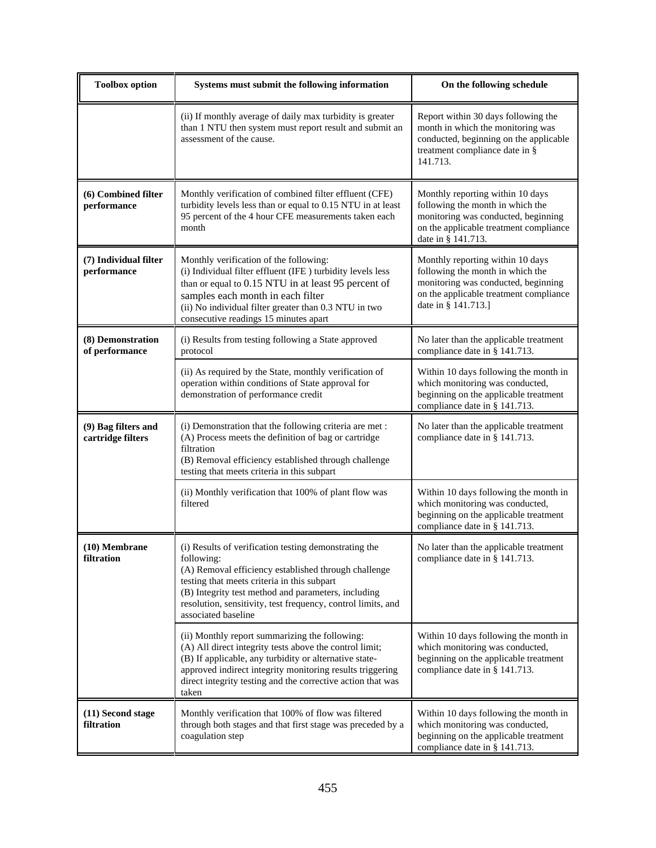| <b>Toolbox</b> option                    | Systems must submit the following information                                                                                                                                                                                                                                                                            | On the following schedule                                                                                                                                                    |  |  |
|------------------------------------------|--------------------------------------------------------------------------------------------------------------------------------------------------------------------------------------------------------------------------------------------------------------------------------------------------------------------------|------------------------------------------------------------------------------------------------------------------------------------------------------------------------------|--|--|
|                                          | (ii) If monthly average of daily max turbidity is greater<br>than 1 NTU then system must report result and submit an<br>assessment of the cause.                                                                                                                                                                         | Report within 30 days following the<br>month in which the monitoring was<br>conducted, beginning on the applicable<br>treatment compliance date in §<br>141.713.             |  |  |
| (6) Combined filter<br>performance       | Monthly verification of combined filter effluent (CFE)<br>turbidity levels less than or equal to 0.15 NTU in at least<br>95 percent of the 4 hour CFE measurements taken each<br>month                                                                                                                                   | Monthly reporting within 10 days<br>following the month in which the<br>monitoring was conducted, beginning<br>on the applicable treatment compliance<br>date in § 141.713.  |  |  |
| (7) Individual filter<br>performance     | Monthly verification of the following:<br>(i) Individual filter effluent (IFE ) turbidity levels less<br>than or equal to 0.15 NTU in at least 95 percent of<br>samples each month in each filter<br>(ii) No individual filter greater than 0.3 NTU in two<br>consecutive readings 15 minutes apart                      | Monthly reporting within 10 days<br>following the month in which the<br>monitoring was conducted, beginning<br>on the applicable treatment compliance<br>date in § 141.713.] |  |  |
| (8) Demonstration<br>of performance      | (i) Results from testing following a State approved<br>protocol                                                                                                                                                                                                                                                          | No later than the applicable treatment<br>compliance date in § 141.713.                                                                                                      |  |  |
|                                          | (ii) As required by the State, monthly verification of<br>operation within conditions of State approval for<br>demonstration of performance credit                                                                                                                                                                       | Within 10 days following the month in<br>which monitoring was conducted,<br>beginning on the applicable treatment<br>compliance date in § 141.713.                           |  |  |
| (9) Bag filters and<br>cartridge filters | (i) Demonstration that the following criteria are met :<br>(A) Process meets the definition of bag or cartridge<br>filtration<br>(B) Removal efficiency established through challenge<br>testing that meets criteria in this subpart                                                                                     | No later than the applicable treatment<br>compliance date in § 141.713.                                                                                                      |  |  |
|                                          | (ii) Monthly verification that 100% of plant flow was<br>filtered                                                                                                                                                                                                                                                        | Within 10 days following the month in<br>which monitoring was conducted,<br>beginning on the applicable treatment<br>compliance date in § 141.713.                           |  |  |
| $(10)$ Membrane<br>filtration            | (i) Results of verification testing demonstrating the<br>following:<br>(A) Removal efficiency established through challenge<br>testing that meets criteria in this subpart<br>(B) Integrity test method and parameters, including<br>resolution, sensitivity, test frequency, control limits, and<br>associated baseline | No later than the applicable treatment<br>compliance date in § 141.713.                                                                                                      |  |  |
|                                          | (ii) Monthly report summarizing the following:<br>(A) All direct integrity tests above the control limit;<br>(B) If applicable, any turbidity or alternative state-<br>approved indirect integrity monitoring results triggering<br>direct integrity testing and the corrective action that was<br>taken                 | Within 10 days following the month in<br>which monitoring was conducted,<br>beginning on the applicable treatment<br>compliance date in § 141.713.                           |  |  |
| (11) Second stage<br>filtration          | Monthly verification that 100% of flow was filtered<br>through both stages and that first stage was preceded by a<br>coagulation step                                                                                                                                                                                    | Within 10 days following the month in<br>which monitoring was conducted,<br>beginning on the applicable treatment<br>compliance date in § 141.713.                           |  |  |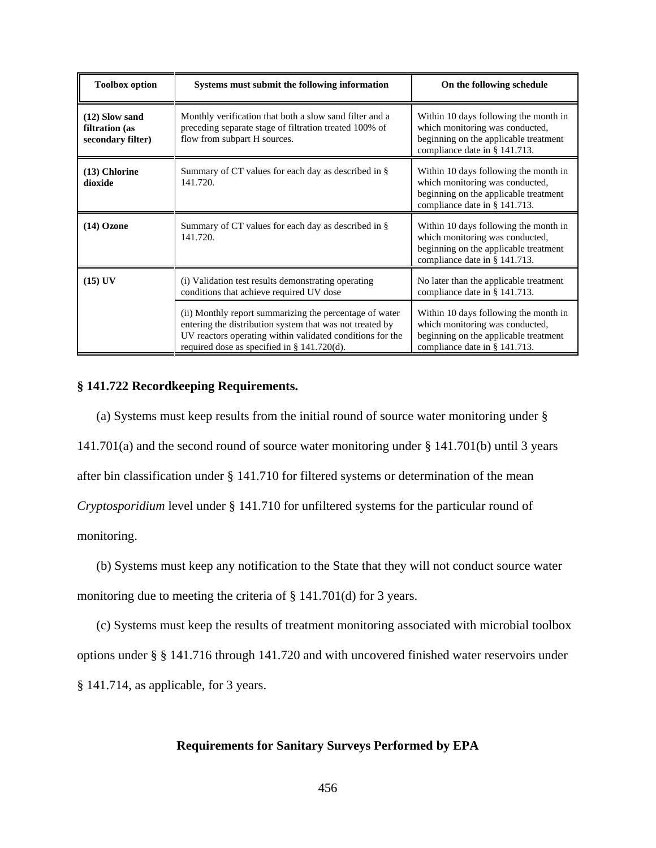| <b>Toolbox option</b>                                   | Systems must submit the following information                                                                                                                                                                                   | On the following schedule                                                                                                                          |  |  |  |
|---------------------------------------------------------|---------------------------------------------------------------------------------------------------------------------------------------------------------------------------------------------------------------------------------|----------------------------------------------------------------------------------------------------------------------------------------------------|--|--|--|
| $(12)$ Slow sand<br>filtration (as<br>secondary filter) | Monthly verification that both a slow sand filter and a<br>preceding separate stage of filtration treated 100% of<br>flow from subpart H sources.                                                                               | Within 10 days following the month in<br>which monitoring was conducted,<br>beginning on the applicable treatment<br>compliance date in § 141.713. |  |  |  |
| $(13)$ Chlorine<br>dioxide                              | Summary of CT values for each day as described in §<br>141.720.                                                                                                                                                                 | Within 10 days following the month in<br>which monitoring was conducted,<br>beginning on the applicable treatment<br>compliance date in § 141.713. |  |  |  |
| $(14)$ Ozone                                            | Summary of CT values for each day as described in §<br>141.720.                                                                                                                                                                 | Within 10 days following the month in<br>which monitoring was conducted,<br>beginning on the applicable treatment<br>compliance date in § 141.713. |  |  |  |
| $(15)$ UV                                               | (i) Validation test results demonstrating operating<br>conditions that achieve required UV dose                                                                                                                                 | No later than the applicable treatment<br>compliance date in § 141.713.                                                                            |  |  |  |
|                                                         | (ii) Monthly report summarizing the percentage of water<br>entering the distribution system that was not treated by<br>UV reactors operating within validated conditions for the<br>required dose as specified in § 141.720(d). | Within 10 days following the month in<br>which monitoring was conducted,<br>beginning on the applicable treatment<br>compliance date in § 141.713. |  |  |  |

## **§ 141.722 Recordkeeping Requirements.**

(a) Systems must keep results from the initial round of source water monitoring under § 141.701(a) and the second round of source water monitoring under § 141.701(b) until 3 years after bin classification under § 141.710 for filtered systems or determination of the mean *Cryptosporidium* level under § 141.710 for unfiltered systems for the particular round of monitoring.

(b) Systems must keep any notification to the State that they will not conduct source water monitoring due to meeting the criteria of § 141.701(d) for 3 years.

(c) Systems must keep the results of treatment monitoring associated with microbial toolbox options under § § 141.716 through 141.720 and with uncovered finished water reservoirs under § 141.714, as applicable, for 3 years.

## **Requirements for Sanitary Surveys Performed by EPA**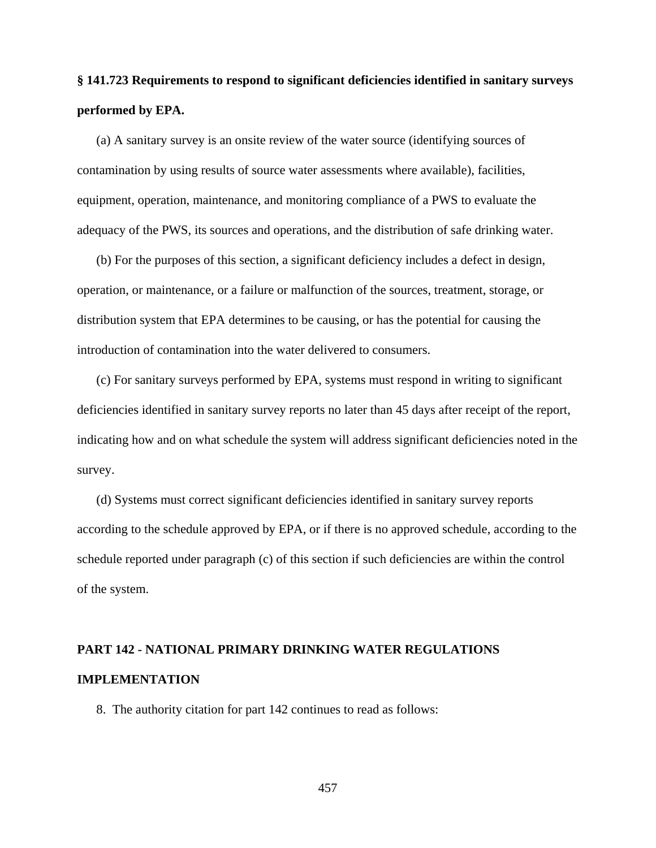# **§ 141.723 Requirements to respond to significant deficiencies identified in sanitary surveys performed by EPA.**

(a) A sanitary survey is an onsite review of the water source (identifying sources of contamination by using results of source water assessments where available), facilities, equipment, operation, maintenance, and monitoring compliance of a PWS to evaluate the adequacy of the PWS, its sources and operations, and the distribution of safe drinking water.

(b) For the purposes of this section, a significant deficiency includes a defect in design, operation, or maintenance, or a failure or malfunction of the sources, treatment, storage, or distribution system that EPA determines to be causing, or has the potential for causing the introduction of contamination into the water delivered to consumers.

(c) For sanitary surveys performed by EPA, systems must respond in writing to significant deficiencies identified in sanitary survey reports no later than 45 days after receipt of the report, indicating how and on what schedule the system will address significant deficiencies noted in the survey.

(d) Systems must correct significant deficiencies identified in sanitary survey reports according to the schedule approved by EPA, or if there is no approved schedule, according to the schedule reported under paragraph (c) of this section if such deficiencies are within the control of the system.

# **PART 142 - NATIONAL PRIMARY DRINKING WATER REGULATIONS IMPLEMENTATION**

8. The authority citation for part 142 continues to read as follows: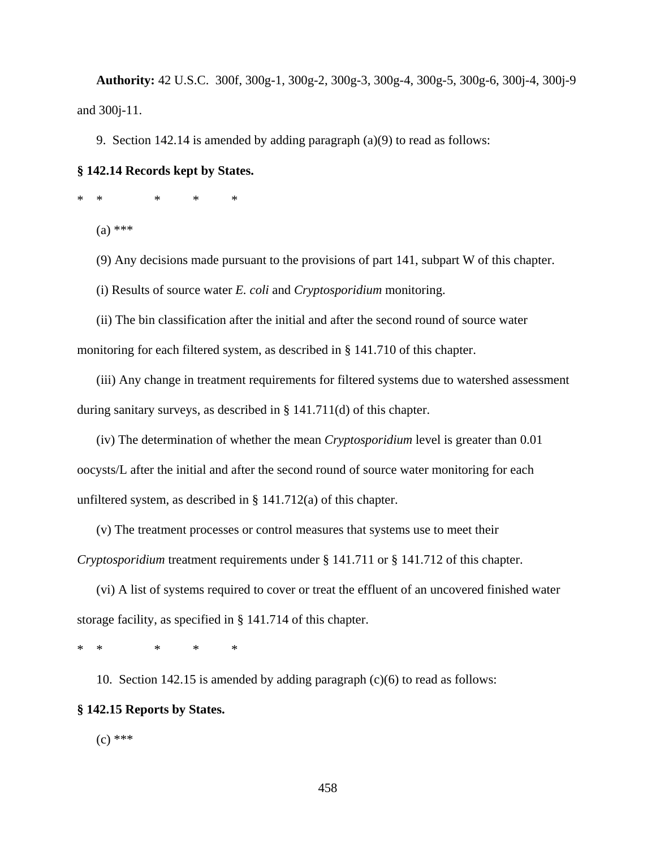**Authority:** 42 U.S.C. 300f, 300g-1, 300g-2, 300g-3, 300g-4, 300g-5, 300g-6, 300j-4, 300j-9 and 300j-11.

9. Section 142.14 is amended by adding paragraph (a)(9) to read as follows:

# **§ 142.14 Records kept by States.**

\*\* \* \* \*

(a) \*\*\*

(9) Any decisions made pursuant to the provisions of part 141, subpart W of this chapter.

(i) Results of source water *E. coli* and *Cryptosporidium* monitoring.

(ii) The bin classification after the initial and after the second round of source water monitoring for each filtered system, as described in § 141.710 of this chapter.

(iii) Any change in treatment requirements for filtered systems due to watershed assessment during sanitary surveys, as described in § 141.711(d) of this chapter.

(iv) The determination of whether the mean *Cryptosporidium* level is greater than 0.01 oocysts/L after the initial and after the second round of source water monitoring for each unfiltered system, as described in § 141.712(a) of this chapter.

(v) The treatment processes or control measures that systems use to meet their *Cryptosporidium* treatment requirements under § 141.711 or § 141.712 of this chapter.

(vi) A list of systems required to cover or treat the effluent of an uncovered finished water storage facility, as specified in § 141.714 of this chapter.

\*\* \* \* \*

10. Section 142.15 is amended by adding paragraph (c)(6) to read as follows: **§ 142.15 Reports by States.**

 $(c)$  \*\*\*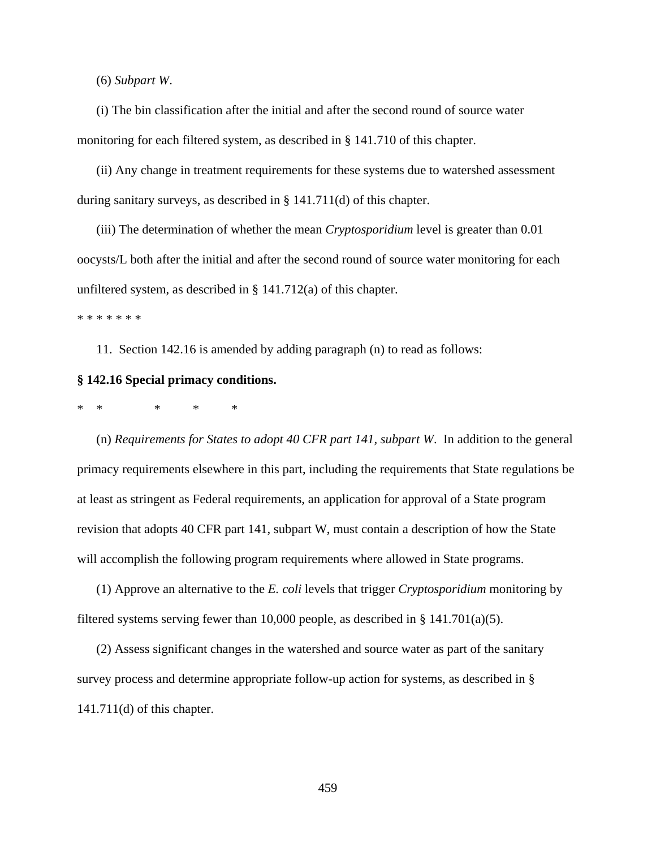(6) *Subpart W*.

(i) The bin classification after the initial and after the second round of source water monitoring for each filtered system, as described in § 141.710 of this chapter.

(ii) Any change in treatment requirements for these systems due to watershed assessment during sanitary surveys, as described in § 141.711(d) of this chapter.

(iii) The determination of whether the mean *Cryptosporidium* level is greater than 0.01 oocysts/L both after the initial and after the second round of source water monitoring for each unfiltered system, as described in § 141.712(a) of this chapter.

\* \* \* \* \* \* \*

11. Section 142.16 is amended by adding paragraph (n) to read as follows:

#### **§ 142.16 Special primacy conditions.**

\*\* \* \* \*

(n) *Requirements for States to adopt 40 CFR part 141, subpart W*. In addition to the general primacy requirements elsewhere in this part, including the requirements that State regulations be at least as stringent as Federal requirements, an application for approval of a State program revision that adopts 40 CFR part 141, subpart W, must contain a description of how the State will accomplish the following program requirements where allowed in State programs.

(1) Approve an alternative to the *E. coli* levels that trigger *Cryptosporidium* monitoring by filtered systems serving fewer than 10,000 people, as described in  $\S$  141.701(a)(5).

(2) Assess significant changes in the watershed and source water as part of the sanitary survey process and determine appropriate follow-up action for systems, as described in § 141.711(d) of this chapter.